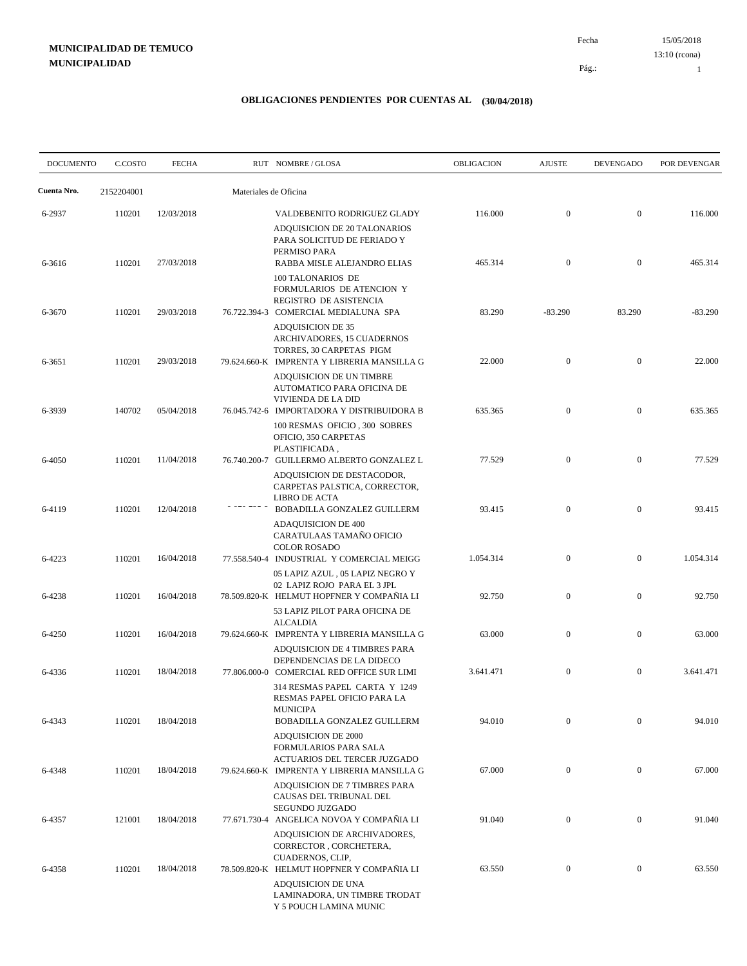15/05/2018 Fecha 13:10 (rcona)

Pág.:

1

| <b>DOCUMENTO</b> | C.COSTO    | <b>FECHA</b> |                       | RUT NOMBRE/GLOSA                                                                                                                              | <b>OBLIGACION</b> | <b>AJUSTE</b>  | <b>DEVENGADO</b> | POR DEVENGAR |
|------------------|------------|--------------|-----------------------|-----------------------------------------------------------------------------------------------------------------------------------------------|-------------------|----------------|------------------|--------------|
| Cuenta Nro.      | 2152204001 |              | Materiales de Oficina |                                                                                                                                               |                   |                |                  |              |
| 6-2937           | 110201     | 12/03/2018   |                       | VALDEBENITO RODRIGUEZ GLADY<br>ADQUISICION DE 20 TALONARIOS<br>PARA SOLICITUD DE FERIADO Y                                                    | 116.000           | $\mathbf{0}$   | $\mathbf{0}$     | 116.000      |
| 6-3616           | 110201     | 27/03/2018   |                       | PERMISO PARA<br>RABBA MISLE ALEJANDRO ELIAS<br>100 TALONARIOS DE                                                                              | 465.314           | $\mathbf{0}$   | $\mathbf{0}$     | 465.314      |
| 6-3670           | 110201     | 29/03/2018   |                       | FORMULARIOS DE ATENCION Y<br>REGISTRO DE ASISTENCIA<br>76.722.394-3 COMERCIAL MEDIALUNA SPA                                                   | 83.290            | $-83.290$      | 83.290           | $-83.290$    |
| 6-3651           | 110201     | 29/03/2018   |                       | <b>ADQUISICION DE 35</b><br>ARCHIVADORES, 15 CUADERNOS<br>TORRES, 30 CARPETAS PIGM<br>79.624.660-K IMPRENTA Y LIBRERIA MANSILLA G             | 22.000            | $\mathbf{0}$   | $\mathbf{0}$     | 22.000       |
|                  |            |              |                       | ADQUISICION DE UN TIMBRE<br>AUTOMATICO PARA OFICINA DE<br>VIVIENDA DE LA DID                                                                  |                   |                |                  |              |
| 6-3939           | 140702     | 05/04/2018   |                       | 76.045.742-6 IMPORTADORA Y DISTRIBUIDORA B<br>100 RESMAS OFICIO, 300 SOBRES<br>OFICIO, 350 CARPETAS                                           | 635.365           | $\mathbf{0}$   | $\mathbf{0}$     | 635.365      |
| 6-4050           | 110201     | 11/04/2018   |                       | PLASTIFICADA,<br>76.740.200-7 GUILLERMO ALBERTO GONZALEZ L<br>ADQUISICION DE DESTACODOR,<br>CARPETAS PALSTICA, CORRECTOR,                     | 77.529            | $\mathbf{0}$   | $\mathbf{0}$     | 77.529       |
| 6-4119           | 110201     | 12/04/2018   |                       | LIBRO DE ACTA<br>BOBADILLA GONZALEZ GUILLERM<br><b>ADAQUISICION DE 400</b>                                                                    | 93.415            | $\mathbf{0}$   | $\mathbf{0}$     | 93.415       |
| 6-4223           | 110201     | 16/04/2018   |                       | CARATULAAS TAMAÑO OFICIO<br><b>COLOR ROSADO</b><br>77.558.540-4 INDUSTRIAL Y COMERCIAL MEIGG                                                  | 1.054.314         | $\overline{0}$ | $\boldsymbol{0}$ | 1.054.314    |
| 6-4238           | 110201     | 16/04/2018   |                       | 05 LAPIZ AZUL, 05 LAPIZ NEGRO Y<br>02 LAPIZ ROJO PARA EL 3 JPL<br>78.509.820-K HELMUT HOPFNER Y COMPAÑIA LI<br>53 LAPIZ PILOT PARA OFICINA DE | 92.750            | $\mathbf{0}$   | $\mathbf{0}$     | 92.750       |
| 6-4250           | 110201     | 16/04/2018   |                       | <b>ALCALDIA</b><br>79.624.660-K IMPRENTA Y LIBRERIA MANSILLA G<br>ADQUISICION DE 4 TIMBRES PARA                                               | 63.000            | $\mathbf{0}$   | $\mathbf{0}$     | 63.000       |
| 6-4336           | 110201     | 18/04/2018   |                       | DEPENDENCIAS DE LA DIDECO<br>77.806.000-0 COMERCIAL RED OFFICE SUR LIMI<br>314 RESMAS PAPEL CARTA Y 1249                                      | 3.641.471         | $\mathbf{0}$   | $\mathbf{0}$     | 3.641.471    |
| 6-4343           | 110201     | 18/04/2018   |                       | RESMAS PAPEL OFICIO PARA LA<br><b>MUNICIPA</b><br><b>BOBADILLA GONZALEZ GUILLERM</b>                                                          | 94.010            | $\mathbf{0}$   | $\mathbf{0}$     | 94.010       |
| 6-4348           | 110201     | 18/04/2018   |                       | <b>ADQUISICION DE 2000</b><br>FORMULARIOS PARA SALA<br>ACTUARIOS DEL TERCER JUZGADO<br>79.624.660-K IMPRENTA Y LIBRERIA MANSILLA G            | 67.000            | $\mathbf{0}$   | $\mathbf{0}$     | 67.000       |
|                  |            |              |                       | ADQUISICION DE 7 TIMBRES PARA<br>CAUSAS DEL TRIBUNAL DEL<br>SEGUNDO JUZGADO                                                                   |                   |                |                  |              |
| 6-4357           | 121001     | 18/04/2018   |                       | 77.671.730-4 ANGELICA NOVOA Y COMPAÑIA LI<br>ADQUISICION DE ARCHIVADORES,<br>CORRECTOR, CORCHETERA,                                           | 91.040            | $\mathbf{0}$   | $\mathbf{0}$     | 91.040       |
| 6-4358           | 110201     | 18/04/2018   |                       | CUADERNOS, CLIP,<br>78.509.820-K HELMUT HOPFNER Y COMPAÑIA LI<br>ADQUISICION DE UNA<br>LAMINADORA, UN TIMBRE TRODAT                           | 63.550            | $\mathbf{0}$   | $\mathbf{0}$     | 63.550       |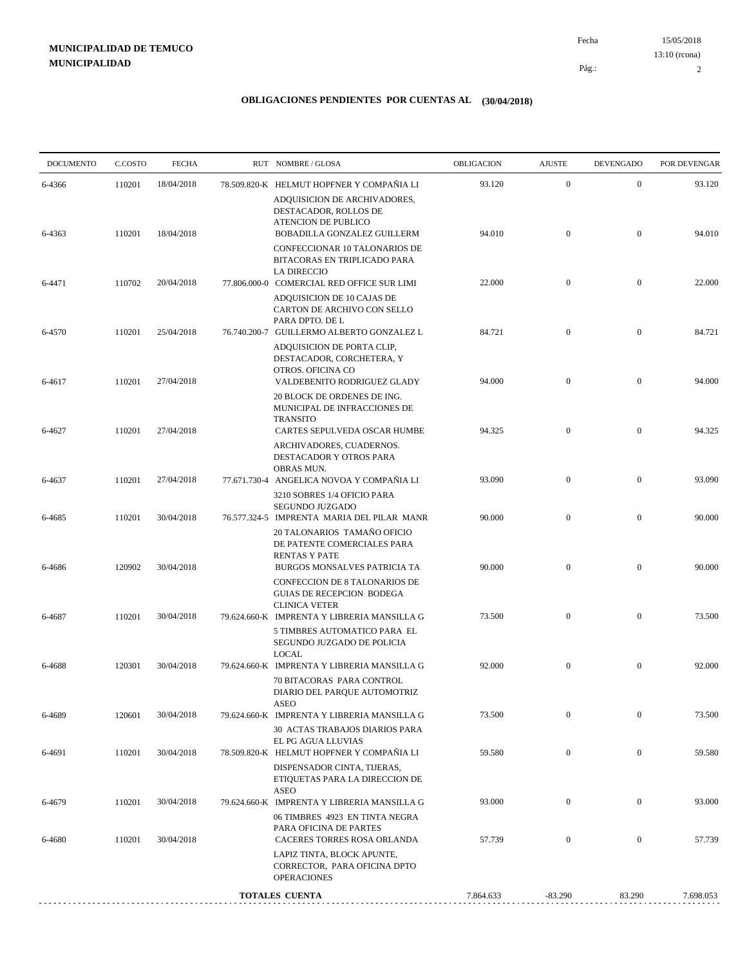15/05/2018 2 Pág.: Fecha 13:10 (rcona)

| <b>DOCUMENTO</b> | C.COSTO | <b>FECHA</b> | RUT NOMBRE/GLOSA                                                                                                          | <b>OBLIGACION</b> | <b>AJUSTE</b>    | <b>DEVENGADO</b> | POR DEVENGAR |
|------------------|---------|--------------|---------------------------------------------------------------------------------------------------------------------------|-------------------|------------------|------------------|--------------|
| 6-4366           | 110201  | 18/04/2018   | 78.509.820-K HELMUT HOPFNER Y COMPAÑIA LI                                                                                 | 93.120            | $\mathbf{0}$     | $\mathbf{0}$     | 93.120       |
|                  |         |              | ADQUISICION DE ARCHIVADORES,<br>DESTACADOR, ROLLOS DE<br><b>ATENCION DE PUBLICO</b>                                       |                   |                  |                  |              |
| 6-4363           | 110201  | 18/04/2018   | BOBADILLA GONZALEZ GUILLERM<br>CONFECCIONAR 10 TALONARIOS DE<br>BITACORAS EN TRIPLICADO PARA                              | 94.010            | $\mathbf{0}$     | $\overline{0}$   | 94.010       |
| 6-4471           | 110702  | 20/04/2018   | <b>LA DIRECCIO</b><br>77.806.000-0 COMERCIAL RED OFFICE SUR LIMI                                                          | 22.000            | $\mathbf{0}$     | $\mathbf{0}$     | 22.000       |
|                  |         |              | ADQUISICION DE 10 CAJAS DE<br>CARTON DE ARCHIVO CON SELLO<br>PARA DPTO. DE L                                              |                   |                  |                  |              |
| 6-4570           | 110201  | 25/04/2018   | 76.740.200-7 GUILLERMO ALBERTO GONZALEZ L<br>ADQUISICION DE PORTA CLIP,<br>DESTACADOR, CORCHETERA, Y<br>OTROS. OFICINA CO | 84.721            | $\mathbf{0}$     | $\mathbf{0}$     | 84.721       |
| 6-4617           | 110201  | 27/04/2018   | VALDEBENITO RODRIGUEZ GLADY<br>20 BLOCK DE ORDENES DE ING.<br>MUNICIPAL DE INFRACCIONES DE                                | 94.000            | $\mathbf{0}$     | $\mathbf{0}$     | 94.000       |
| 6-4627           | 110201  | 27/04/2018   | <b>TRANSITO</b><br>CARTES SEPULVEDA OSCAR HUMBE<br>ARCHIVADORES, CUADERNOS.<br>DESTACADOR Y OTROS PARA<br>OBRAS MUN.      | 94.325            | $\mathbf{0}$     | $\overline{0}$   | 94.325       |
| 6-4637           | 110201  | 27/04/2018   | 77.671.730-4 ANGELICA NOVOA Y COMPAÑIA LI<br>3210 SOBRES 1/4 OFICIO PARA                                                  | 93.090            | $\mathbf{0}$     | $\mathbf{0}$     | 93.090       |
| 6-4685           | 110201  | 30/04/2018   | SEGUNDO JUZGADO<br>76.577.324-5 IMPRENTA MARIA DEL PILAR MANR<br>20 TALONARIOS TAMAÑO OFICIO                              | 90.000            | $\mathbf{0}$     | $\mathbf{0}$     | 90.000       |
| 6-4686           | 120902  | 30/04/2018   | DE PATENTE COMERCIALES PARA<br><b>RENTAS Y PATE</b><br>BURGOS MONSALVES PATRICIA TA                                       | 90.000            | $\mathbf{0}$     | $\boldsymbol{0}$ | 90.000       |
|                  |         |              | CONFECCION DE 8 TALONARIOS DE<br><b>GUIAS DE RECEPCION BODEGA</b><br><b>CLINICA VETER</b>                                 |                   |                  |                  |              |
| 6-4687           | 110201  | 30/04/2018   | 79.624.660-K IMPRENTA Y LIBRERIA MANSILLA G<br>5 TIMBRES AUTOMATICO PARA EL<br>SEGUNDO JUZGADO DE POLICIA                 | 73.500            | $\overline{0}$   | $\boldsymbol{0}$ | 73.500       |
| 6-4688           | 120301  | 30/04/2018   | <b>LOCAL</b><br>79.624.660-K IMPRENTA Y LIBRERIA MANSILLA G<br>70 BITACORAS PARA CONTROL<br>DIARIO DEL PARQUE AUTOMOTRIZ  | 92.000            | $\mathbf{0}$     | $\overline{0}$   | 92.000       |
| 6-4689           | 120601  | 30/04/2018   | ASEO<br>79.624.660-K IMPRENTA Y LIBRERIA MANSILLA G<br><b>30 ACTAS TRABAJOS DIARIOS PARA</b>                              | 73.500            | $\boldsymbol{0}$ | $\boldsymbol{0}$ | 73.500       |
| 6-4691           | 110201  | 30/04/2018   | EL PG AGUA LLUVIAS<br>78.509.820-K HELMUT HOPFNER Y COMPAÑIA LI<br>DISPENSADOR CINTA, TIJERAS,                            | 59.580            | $\boldsymbol{0}$ | $\mathbf{0}$     | 59.580       |
| 6-4679           | 110201  | 30/04/2018   | ETIQUETAS PARA LA DIRECCION DE<br><b>ASEO</b><br>79.624.660-K IMPRENTA Y LIBRERIA MANSILLA G                              | 93.000            | $\boldsymbol{0}$ | $\boldsymbol{0}$ | 93.000       |
| 6-4680           | 110201  | 30/04/2018   | 06 TIMBRES 4923 EN TINTA NEGRA<br>PARA OFICINA DE PARTES<br>CACERES TORRES ROSA ORLANDA                                   | 57.739            | $\mathbf{0}$     | $\boldsymbol{0}$ | 57.739       |
|                  |         |              | LAPIZ TINTA, BLOCK APUNTE,<br>CORRECTOR, PARA OFICINA DPTO<br><b>OPERACIONES</b>                                          |                   |                  |                  |              |
|                  |         |              | <b>TOTALES CUENTA</b>                                                                                                     | 7.864.633         | $-83.290$        | 83.290           | 7.698.053    |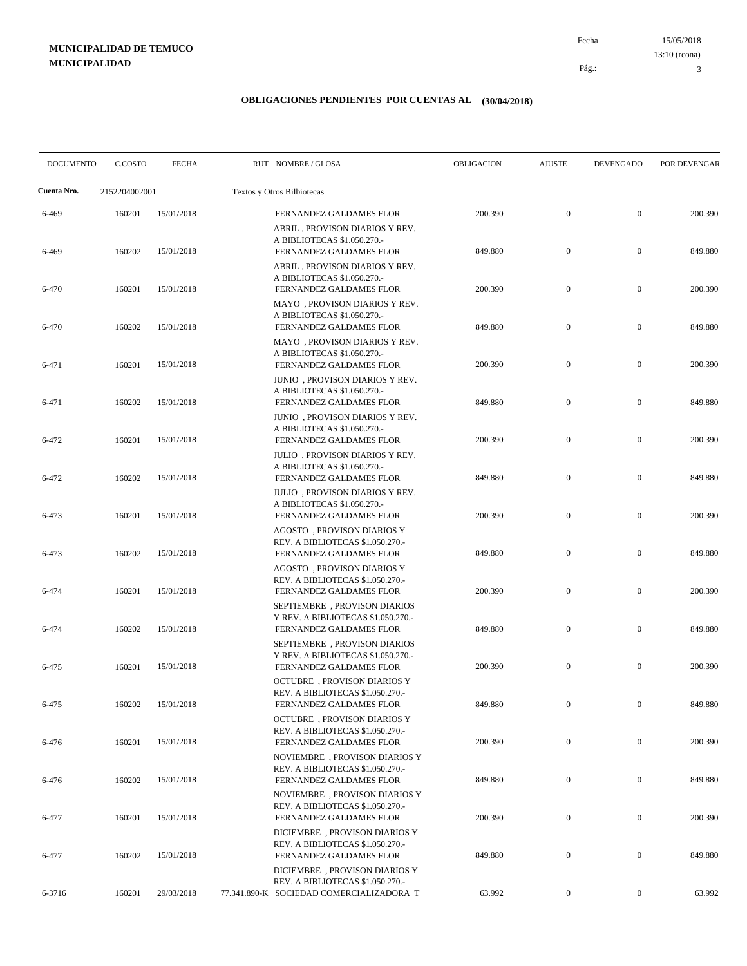15/05/2018 Pág.: Fecha 13:10 (rcona)

3

| <b>DOCUMENTO</b> | C.COSTO       | <b>FECHA</b> | RUT NOMBRE/GLOSA                                                                                                                                          | OBLIGACION | <b>AJUSTE</b>    | <b>DEVENGADO</b> | POR DEVENGAR |
|------------------|---------------|--------------|-----------------------------------------------------------------------------------------------------------------------------------------------------------|------------|------------------|------------------|--------------|
| Cuenta Nro.      | 2152204002001 |              | Textos y Otros Bilbiotecas                                                                                                                                |            |                  |                  |              |
| 6-469            | 160201        | 15/01/2018   | FERNANDEZ GALDAMES FLOR                                                                                                                                   | 200.390    | $\mathbf{0}$     | $\mathbf{0}$     | 200.390      |
| 6-469            | 160202        | 15/01/2018   | ABRIL, PROVISON DIARIOS Y REV.<br>A BIBLIOTECAS \$1.050.270.-<br>FERNANDEZ GALDAMES FLOR<br>ABRIL, PROVISON DIARIOS Y REV.<br>A BIBLIOTECAS \$1.050.270.- | 849.880    | $\mathbf{0}$     | $\boldsymbol{0}$ | 849.880      |
| 6-470            | 160201        | 15/01/2018   | FERNANDEZ GALDAMES FLOR<br>MAYO, PROVISON DIARIOS Y REV.                                                                                                  | 200.390    | $\mathbf{0}$     | $\mathbf{0}$     | 200.390      |
| 6-470            | 160202        | 15/01/2018   | A BIBLIOTECAS \$1.050.270.-<br>FERNANDEZ GALDAMES FLOR<br>MAYO, PROVISON DIARIOS Y REV.                                                                   | 849.880    | $\boldsymbol{0}$ | $\boldsymbol{0}$ | 849.880      |
| 6-471            | 160201        | 15/01/2018   | A BIBLIOTECAS \$1.050.270.-<br>FERNANDEZ GALDAMES FLOR                                                                                                    | 200.390    | $\mathbf{0}$     | $\boldsymbol{0}$ | 200.390      |
| 6-471            | 160202        | 15/01/2018   | JUNIO, PROVISON DIARIOS Y REV.<br>A BIBLIOTECAS \$1.050.270.-<br>FERNANDEZ GALDAMES FLOR                                                                  | 849.880    | $\boldsymbol{0}$ | $\mathbf{0}$     | 849.880      |
| 6-472            | 160201        | 15/01/2018   | JUNIO, PROVISON DIARIOS Y REV.<br>A BIBLIOTECAS \$1.050.270.-<br>FERNANDEZ GALDAMES FLOR                                                                  | 200.390    | $\mathbf{0}$     | $\mathbf{0}$     | 200.390      |
| 6-472            | 160202        | 15/01/2018   | JULIO, PROVISON DIARIOS Y REV.<br>A BIBLIOTECAS \$1.050.270.-<br>FERNANDEZ GALDAMES FLOR                                                                  | 849.880    | $\mathbf{0}$     | $\mathbf{0}$     | 849.880      |
| 6-473            | 160201        | 15/01/2018   | JULIO, PROVISON DIARIOS Y REV.<br>A BIBLIOTECAS \$1.050.270.-<br>FERNANDEZ GALDAMES FLOR                                                                  | 200.390    | $\mathbf{0}$     | $\boldsymbol{0}$ | 200.390      |
| 6-473            | 160202        | 15/01/2018   | AGOSTO, PROVISON DIARIOS Y<br>REV. A BIBLIOTECAS \$1.050.270.-<br>FERNANDEZ GALDAMES FLOR                                                                 | 849.880    | $\mathbf{0}$     | $\mathbf{0}$     | 849.880      |
| 6-474            | 160201        | 15/01/2018   | AGOSTO, PROVISON DIARIOS Y<br>REV. A BIBLIOTECAS \$1.050.270.-<br>FERNANDEZ GALDAMES FLOR                                                                 | 200.390    | $\mathbf{0}$     | $\boldsymbol{0}$ | 200.390      |
| 6-474            | 160202        | 15/01/2018   | SEPTIEMBRE, PROVISON DIARIOS<br>Y REV. A BIBLIOTECAS \$1.050.270.-<br>FERNANDEZ GALDAMES FLOR                                                             | 849.880    | $\mathbf{0}$     | $\boldsymbol{0}$ | 849.880      |
| 6-475            | 160201        | 15/01/2018   | SEPTIEMBRE, PROVISON DIARIOS<br>Y REV. A BIBLIOTECAS \$1.050.270.-<br>FERNANDEZ GALDAMES FLOR                                                             | 200.390    | $\mathbf{0}$     | $\mathbf{0}$     | 200.390      |
| 6-475            | 160202        | 15/01/2018   | <b>OCTUBRE</b> , PROVISON DIARIOS Y<br>REV. A BIBLIOTECAS \$1.050.270.-<br>FERNANDEZ GALDAMES FLOR                                                        | 849.880    | $\boldsymbol{0}$ | $\boldsymbol{0}$ | 849.880      |
| 6-476            | 160201        | 15/01/2018   | <b>OCTUBRE</b> , PROVISON DIARIOS Y<br>REV. A BIBLIOTECAS \$1.050.270.-<br>FERNANDEZ GALDAMES FLOR                                                        | 200.390    | $\boldsymbol{0}$ | $\boldsymbol{0}$ | 200.390      |
| 6-476            | 160202        | 15/01/2018   | NOVIEMBRE, PROVISON DIARIOS Y<br>REV. A BIBLIOTECAS \$1.050.270.-<br>FERNANDEZ GALDAMES FLOR                                                              | 849.880    | $\boldsymbol{0}$ | $\boldsymbol{0}$ | 849.880      |
| 6-477            | 160201        | 15/01/2018   | NOVIEMBRE, PROVISON DIARIOS Y<br>REV. A BIBLIOTECAS \$1.050.270.-<br>FERNANDEZ GALDAMES FLOR                                                              | 200.390    | $\boldsymbol{0}$ | $\overline{0}$   | 200.390      |
|                  |               |              | DICIEMBRE, PROVISON DIARIOS Y<br>REV. A BIBLIOTECAS \$1.050.270.-                                                                                         |            |                  |                  |              |
| 6-477            | 160202        | 15/01/2018   | FERNANDEZ GALDAMES FLOR<br>DICIEMBRE, PROVISON DIARIOS Y                                                                                                  | 849.880    | $\boldsymbol{0}$ | $\overline{0}$   | 849.880      |
| 6-3716           | 160201        | 29/03/2018   | REV. A BIBLIOTECAS \$1.050.270.-<br>77.341.890-K SOCIEDAD COMERCIALIZADORA T                                                                              | 63.992     | $\boldsymbol{0}$ | $\overline{0}$   | 63.992       |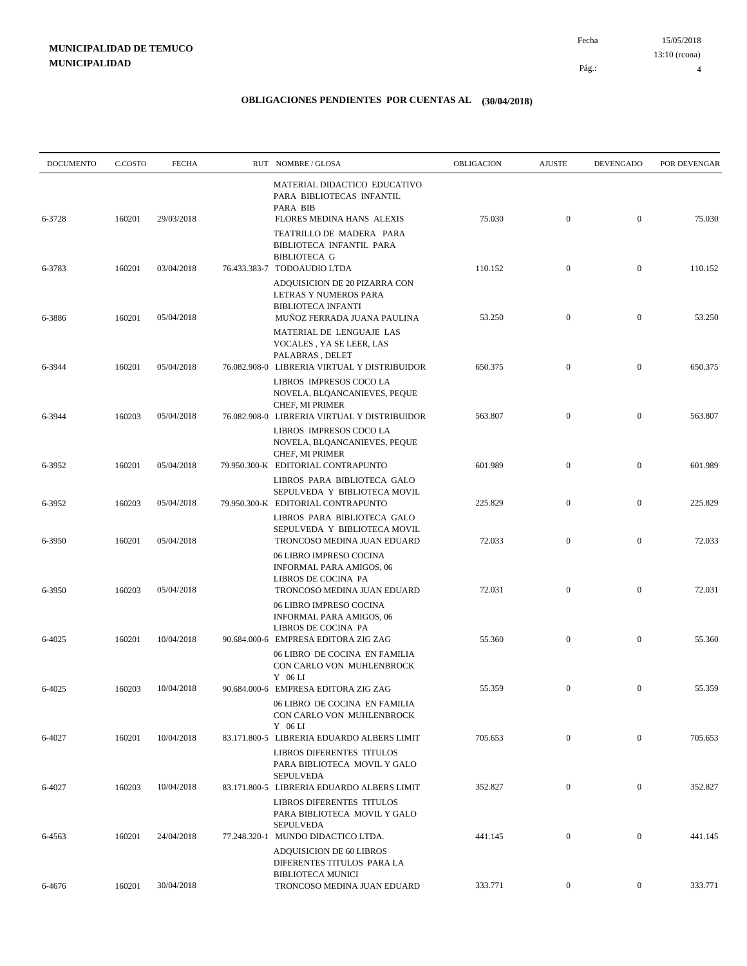| <b>DOCUMENTO</b> | C.COSTO | <b>FECHA</b> | RUT NOMBRE/GLOSA                                                                                                           | <b>OBLIGACION</b> | <b>AJUSTE</b>    | <b>DEVENGADO</b> | POR DEVENGAR |
|------------------|---------|--------------|----------------------------------------------------------------------------------------------------------------------------|-------------------|------------------|------------------|--------------|
| 6-3728           | 160201  | 29/03/2018   | MATERIAL DIDACTICO EDUCATIVO<br>PARA BIBLIOTECAS INFANTIL<br>PARA BIB<br>FLORES MEDINA HANS ALEXIS                         | 75.030            | $\mathbf{0}$     | $\boldsymbol{0}$ | 75.030       |
|                  |         |              | TEATRILLO DE MADERA PARA<br>BIBLIOTECA INFANTIL PARA<br><b>BIBLIOTECA G</b>                                                |                   |                  |                  |              |
| 6-3783           | 160201  | 03/04/2018   | 76.433.383-7 TODOAUDIO LTDA<br>ADQUISICION DE 20 PIZARRA CON                                                               | 110.152           | $\mathbf{0}$     | $\mathbf{0}$     | 110.152      |
| 6-3886           | 160201  | 05/04/2018   | LETRAS Y NUMEROS PARA<br><b>BIBLIOTECA INFANTI</b><br>MUÑOZ FERRADA JUANA PAULINA                                          | 53.250            | $\mathbf{0}$     | $\mathbf{0}$     | 53.250       |
| 6-3944           | 160201  | 05/04/2018   | MATERIAL DE LENGUAJE LAS<br>VOCALES, YA SE LEER, LAS<br>PALABRAS, DELET<br>76.082.908-0 LIBRERIA VIRTUAL Y DISTRIBUIDOR    | 650.375           | $\mathbf{0}$     | $\boldsymbol{0}$ | 650.375      |
|                  |         |              | LIBROS IMPRESOS COCO LA<br>NOVELA, BLQANCANIEVES, PEQUE<br>CHEF, MI PRIMER                                                 |                   |                  |                  |              |
| 6-3944           | 160203  | 05/04/2018   | 76.082.908-0 LIBRERIA VIRTUAL Y DISTRIBUIDOR<br>LIBROS IMPRESOS COCO LA<br>NOVELA, BLQANCANIEVES, PEQUE<br>CHEF, MI PRIMER | 563.807           | $\mathbf{0}$     | $\boldsymbol{0}$ | 563.807      |
| 6-3952           | 160201  | 05/04/2018   | 79.950.300-K EDITORIAL CONTRAPUNTO<br>LIBROS PARA BIBLIOTECA GALO                                                          | 601.989           | $\mathbf{0}$     | $\boldsymbol{0}$ | 601.989      |
| 6-3952           | 160203  | 05/04/2018   | SEPULVEDA Y BIBLIOTECA MOVIL<br>79.950.300-K EDITORIAL CONTRAPUNTO<br>LIBROS PARA BIBLIOTECA GALO                          | 225.829           | $\mathbf{0}$     | $\mathbf{0}$     | 225.829      |
| 6-3950           | 160201  | 05/04/2018   | SEPULVEDA Y BIBLIOTECA MOVIL<br>TRONCOSO MEDINA JUAN EDUARD                                                                | 72.033            | $\mathbf{0}$     | $\boldsymbol{0}$ | 72.033       |
| 6-3950           | 160203  | 05/04/2018   | 06 LIBRO IMPRESO COCINA<br><b>INFORMAL PARA AMIGOS, 06</b><br>LIBROS DE COCINA PA<br>TRONCOSO MEDINA JUAN EDUARD           | 72.031            | $\mathbf{0}$     | $\mathbf{0}$     | 72.031       |
|                  |         |              | 06 LIBRO IMPRESO COCINA<br><b>INFORMAL PARA AMIGOS, 06</b><br>LIBROS DE COCINA PA                                          |                   |                  |                  |              |
| 6-4025           | 160201  | 10/04/2018   | 90.684.000-6 EMPRESA EDITORA ZIG ZAG<br>06 LIBRO DE COCINA EN FAMILIA<br>CON CARLO VON MUHLENBROCK                         | 55.360            | $\mathbf{0}$     | $\mathbf{0}$     | 55.360       |
| 6-4025           | 160203  | 10/04/2018   | $Y$ 06 LI<br>90.684.000-6 EMPRESA EDITORA ZIG ZAG<br>06 LIBRO DE COCINA EN FAMILIA<br>CON CARLO VON MUHLENBROCK            | 55.359            | $\mathbf{0}$     | $\boldsymbol{0}$ | 55.359       |
| 6-4027           | 160201  | 10/04/2018   | $Y$ 06 LI<br>83.171.800-5 LIBRERIA EDUARDO ALBERS LIMIT                                                                    | 705.653           | $\mathbf{0}$     | $\overline{0}$   | 705.653      |
|                  |         |              | LIBROS DIFERENTES TITULOS<br>PARA BIBLIOTECA MOVIL Y GALO<br><b>SEPULVEDA</b>                                              |                   |                  |                  |              |
| 6-4027           | 160203  | 10/04/2018   | 83.171.800-5 LIBRERIA EDUARDO ALBERS LIMIT<br><b>LIBROS DIFERENTES TITULOS</b><br>PARA BIBLIOTECA MOVIL Y GALO             | 352.827           | $\mathbf{0}$     | $\boldsymbol{0}$ | 352.827      |
| 6-4563           | 160201  | 24/04/2018   | <b>SEPULVEDA</b><br>77.248.320-1 MUNDO DIDACTICO LTDA.<br>ADQUISICION DE 60 LIBROS                                         | 441.145           | $\mathbf{0}$     | $\boldsymbol{0}$ | 441.145      |
|                  |         | 30/04/2018   | DIFERENTES TITULOS PARA LA<br><b>BIBLIOTECA MUNICI</b><br>TRONCOSO MEDINA JUAN EDUARD                                      | 333.771           | $\boldsymbol{0}$ | $\boldsymbol{0}$ | 333.771      |
| 6-4676           | 160201  |              |                                                                                                                            |                   |                  |                  |              |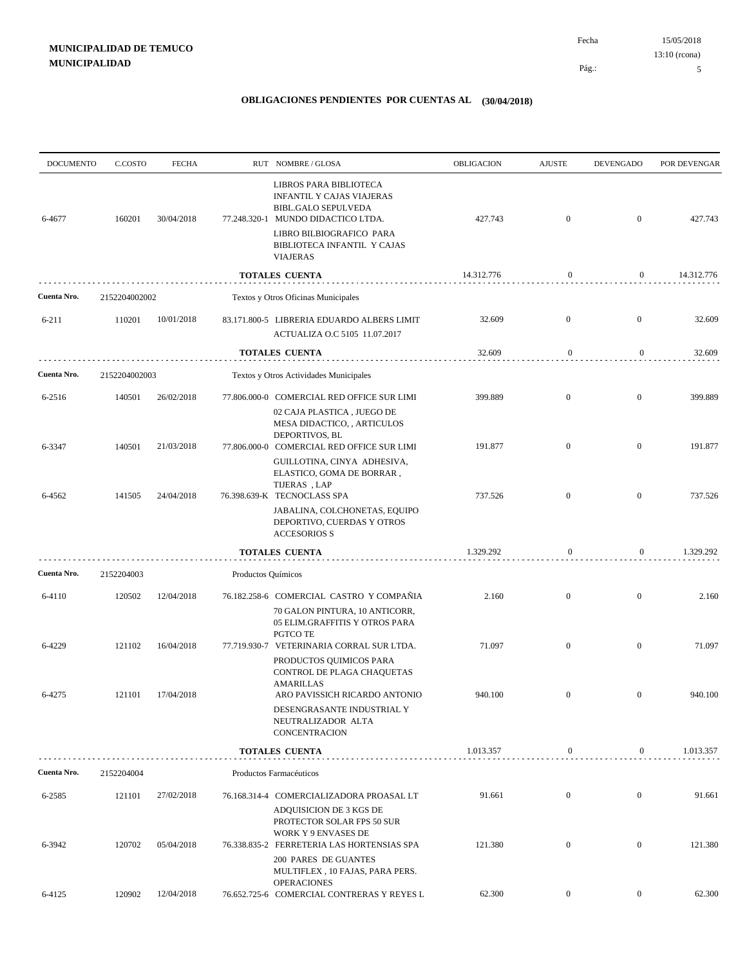| <b>DOCUMENTO</b> | C.COSTO       | <b>FECHA</b> |                                     | RUT NOMBRE/GLOSA                                                                                                                                                                                             | OBLIGACION | <b>AJUSTE</b>    | <b>DEVENGADO</b> | POR DEVENGAR |
|------------------|---------------|--------------|-------------------------------------|--------------------------------------------------------------------------------------------------------------------------------------------------------------------------------------------------------------|------------|------------------|------------------|--------------|
| 6-4677           | 160201        | 30/04/2018   |                                     | LIBROS PARA BIBLIOTECA<br><b>INFANTIL Y CAJAS VIAJERAS</b><br><b>BIBL.GALO SEPULVEDA</b><br>77.248.320-1 MUNDO DIDACTICO LTDA.<br>LIBRO BILBIOGRAFICO PARA<br>BIBLIOTECA INFANTIL Y CAJAS<br><b>VIAJERAS</b> | 427.743    | $\mathbf{0}$     | $\mathbf{0}$     | 427.743      |
|                  |               |              |                                     | <b>TOTALES CUENTA</b>                                                                                                                                                                                        | 14.312.776 | $\bf{0}$         | $\boldsymbol{0}$ | 14.312.776   |
| Cuenta Nro.      | 2152204002002 |              | Textos y Otros Oficinas Municipales |                                                                                                                                                                                                              |            |                  |                  |              |
| 6-211            | 110201        | 10/01/2018   |                                     | 83.171.800-5 LIBRERIA EDUARDO ALBERS LIMIT<br>ACTUALIZA O.C 5105 11.07.2017                                                                                                                                  | 32.609     | $\mathbf{0}$     | $\overline{0}$   | 32.609       |
|                  |               |              | <b>TOTALES CUENTA</b>               |                                                                                                                                                                                                              | 32.609     | $\boldsymbol{0}$ | $\boldsymbol{0}$ | 32.609       |
| Cuenta Nro.      | 2152204002003 |              |                                     | Textos y Otros Actividades Municipales                                                                                                                                                                       |            |                  |                  |              |
| 6-2516           | 140501        | 26/02/2018   |                                     | 77.806.000-0 COMERCIAL RED OFFICE SUR LIMI                                                                                                                                                                   | 399.889    | $\mathbf{0}$     | $\boldsymbol{0}$ | 399.889      |
| 6-3347           | 140501        | 21/03/2018   |                                     | 02 CAJA PLASTICA , JUEGO DE<br>MESA DIDACTICO, , ARTICULOS<br>DEPORTIVOS, BL<br>77.806.000-0 COMERCIAL RED OFFICE SUR LIMI                                                                                   | 191.877    | $\mathbf{0}$     | $\mathbf{0}$     | 191.877      |
| 6-4562           | 141505        | 24/04/2018   |                                     | GUILLOTINA, CINYA ADHESIVA,<br>ELASTICO, GOMA DE BORRAR,<br>TIJERAS, LAP<br>76.398.639-K TECNOCLASS SPA<br>JABALINA, COLCHONETAS, EQUIPO<br>DEPORTIVO, CUERDAS Y OTROS                                       | 737.526    | $\mathbf{0}$     | $\boldsymbol{0}$ | 737.526      |
|                  |               |              |                                     | <b>ACCESORIOS S</b>                                                                                                                                                                                          |            |                  |                  |              |
|                  |               |              |                                     | <b>TOTALES CUENTA</b>                                                                                                                                                                                        | 1.329.292  | $\boldsymbol{0}$ | $\boldsymbol{0}$ | 1.329.292    |
| Cuenta Nro.      | 2152204003    |              | Productos Químicos                  |                                                                                                                                                                                                              |            |                  |                  |              |
| 6-4110           | 120502        | 12/04/2018   |                                     | 76.182.258-6 COMERCIAL CASTRO Y COMPAÑIA<br>70 GALON PINTURA, 10 ANTICORR,<br>05 ELIM.GRAFFITIS Y OTROS PARA<br>PGTCO TE                                                                                     | 2.160      | $\mathbf{0}$     | $\boldsymbol{0}$ | 2.160        |
| 6-4229           | 121102        | 16/04/2018   |                                     | 77.719.930-7 VETERINARIA CORRAL SUR LTDA.<br>PRODUCTOS QUIMICOS PARA<br>CONTROL DE PLAGA CHAQUETAS                                                                                                           | 71.097     | $\mathbf{0}$     | $\boldsymbol{0}$ | 71.097       |
| 6-4275           | 121101        | 17/04/2018   |                                     | AMARILLAS<br>ARO PAVISSICH RICARDO ANTONIO<br>DESENGRASANTE INDUSTRIAL Y<br>NEUTRALIZADOR ALTA<br>CONCENTRACION                                                                                              | 940.100    | $\mathbf{0}$     | $\boldsymbol{0}$ | 940.100      |
|                  |               |              |                                     | <b>TOTALES CUENTA</b>                                                                                                                                                                                        | 1.013.357  | $\boldsymbol{0}$ | $\overline{0}$   | 1.013.357    |
| Cuenta Nro.      | 2152204004    |              |                                     | Productos Farmacéuticos                                                                                                                                                                                      |            |                  |                  |              |
| 6-2585           | 121101        | 27/02/2018   |                                     | 76.168.314-4 COMERCIALIZADORA PROASAL LT<br>ADQUISICION DE 3 KGS DE<br>PROTECTOR SOLAR FPS 50 SUR                                                                                                            | 91.661     | $\mathbf{0}$     | $\overline{0}$   | 91.661       |
| 6-3942           | 120702        | 05/04/2018   |                                     | <b>WORK Y 9 ENVASES DE</b><br>76.338.835-2 FERRETERIA LAS HORTENSIAS SPA<br><b>200 PARES DE GUANTES</b><br>MULTIFLEX, 10 FAJAS, PARA PERS.                                                                   | 121.380    | $\mathbf{0}$     | $\overline{0}$   | 121.380      |
| 6-4125           | 120902        | 12/04/2018   |                                     | <b>OPERACIONES</b><br>76.652.725-6 COMERCIAL CONTRERAS Y REYES L                                                                                                                                             | 62.300     | $\boldsymbol{0}$ | $\overline{0}$   | 62.300       |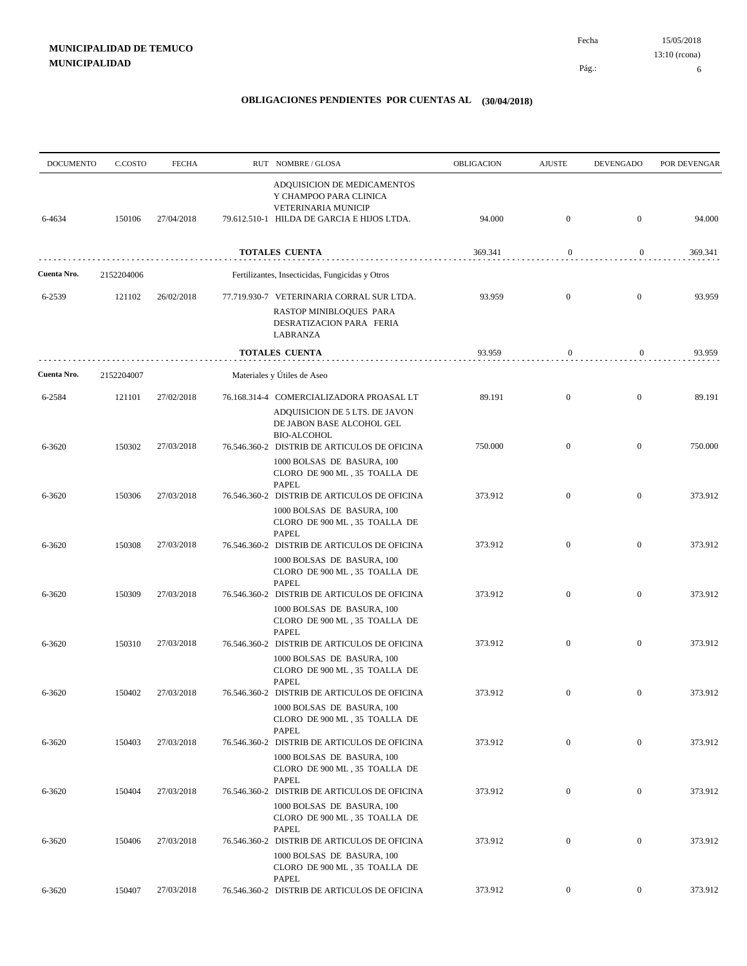| <b>DOCUMENTO</b> | C.COSTO    | <b>FECHA</b> | RUT NOMBRE/GLOSA                                                                                                                            | <b>OBLIGACION</b> | <b>AJUSTE</b>    | <b>DEVENGADO</b> | POR DEVENGAR |
|------------------|------------|--------------|---------------------------------------------------------------------------------------------------------------------------------------------|-------------------|------------------|------------------|--------------|
| 6-4634           | 150106     | 27/04/2018   | ADQUISICION DE MEDICAMENTOS<br>Y CHAMPOO PARA CLINICA<br>VETERINARIA MUNICIP<br>79.612.510-1 HILDA DE GARCIA E HIJOS LTDA.                  | 94.000            | $\mathbf{0}$     | $\mathbf{0}$     | 94.000       |
|                  |            |              | TOTALES CUENTA                                                                                                                              | 369.341           | $\boldsymbol{0}$ | $\boldsymbol{0}$ | 369.341      |
| Cuenta Nro.      | 2152204006 |              | Fertilizantes, Insecticidas, Fungicidas y Otros                                                                                             |                   |                  |                  |              |
| 6-2539           | 121102     | 26/02/2018   | 77.719.930-7 VETERINARIA CORRAL SUR LTDA.<br>RASTOP MINIBLOQUES PARA<br>DESRATIZACION PARA FERIA<br>LABRANZA                                | 93.959            | $\mathbf{0}$     | $\mathbf{0}$     | 93.959       |
|                  |            |              | TOTALES CUENTA                                                                                                                              | 93.959            | $\boldsymbol{0}$ | 0                | 93.959       |
| Cuenta Nro.      | 2152204007 |              | Materiales y Útiles de Aseo                                                                                                                 |                   |                  |                  |              |
| 6-2584           | 121101     | 27/02/2018   | 76.168.314-4 COMERCIALIZADORA PROASAL LT<br>ADQUISICION DE 5 LTS. DE JAVON<br>DE JABON BASE ALCOHOL GEL<br><b>BIO-ALCOHOL</b>               | 89.191            | $\mathbf{0}$     | $\boldsymbol{0}$ | 89.191       |
| 6-3620           | 150302     | 27/03/2018   | 76.546.360-2 DISTRIB DE ARTICULOS DE OFICINA<br>1000 BOLSAS DE BASURA, 100<br>CLORO DE 900 ML, 35 TOALLA DE<br><b>PAPEL</b>                 | 750.000           | $\mathbf{0}$     | $\mathbf{0}$     | 750.000      |
| 6-3620           | 150306     | 27/03/2018   | 76.546.360-2 DISTRIB DE ARTICULOS DE OFICINA<br>1000 BOLSAS DE BASURA, 100<br>CLORO DE 900 ML, 35 TOALLA DE                                 | 373.912           | $\mathbf{0}$     | $\mathbf{0}$     | 373.912      |
| 6-3620           | 150308     | 27/03/2018   | <b>PAPEL</b><br>76.546.360-2 DISTRIB DE ARTICULOS DE OFICINA<br>1000 BOLSAS DE BASURA, 100<br>CLORO DE 900 ML, 35 TOALLA DE                 | 373.912           | $\mathbf{0}$     | $\mathbf{0}$     | 373.912      |
| 6-3620           | 150309     | 27/03/2018   | <b>PAPEL</b><br>76.546.360-2 DISTRIB DE ARTICULOS DE OFICINA<br>1000 BOLSAS DE BASURA, 100<br>CLORO DE 900 ML, 35 TOALLA DE<br><b>PAPEL</b> | 373.912           | $\mathbf{0}$     | $\mathbf{0}$     | 373.912      |
| 6-3620           | 150310     | 27/03/2018   | 76.546.360-2 DISTRIB DE ARTICULOS DE OFICINA<br>1000 BOLSAS DE BASURA, 100<br>CLORO DE 900 ML, 35 TOALLA DE<br><b>PAPEL</b>                 | 373.912           | $\mathbf{0}$     | $\mathbf{0}$     | 373.912      |
| 6-3620           | 150402     | 27/03/2018   | 76.546.360-2 DISTRIB DE ARTICULOS DE OFICINA<br>1000 BOLSAS DE BASURA, 100<br>CLORO DE 900 ML, 35 TOALLA DE                                 | 373.912           | $\boldsymbol{0}$ | $\mathbf{0}$     | 373.912      |
| 6-3620           | 150403     | 27/03/2018   | <b>PAPEL</b><br>76.546.360-2 DISTRIB DE ARTICULOS DE OFICINA<br>1000 BOLSAS DE BASURA, 100<br>CLORO DE 900 ML, 35 TOALLA DE                 | 373.912           | $\mathbf{0}$     | $\mathbf{0}$     | 373.912      |
| 6-3620           | 150404     | 27/03/2018   | <b>PAPEL</b><br>76.546.360-2 DISTRIB DE ARTICULOS DE OFICINA<br>1000 BOLSAS DE BASURA, 100<br>CLORO DE 900 ML, 35 TOALLA DE                 | 373.912           | $\boldsymbol{0}$ | $\mathbf{0}$     | 373.912      |
| 6-3620           | 150406     | 27/03/2018   | PAPEL<br>76.546.360-2 DISTRIB DE ARTICULOS DE OFICINA<br>1000 BOLSAS DE BASURA, 100<br>CLORO DE 900 ML, 35 TOALLA DE                        | 373.912           | $\boldsymbol{0}$ | $\mathbf{0}$     | 373.912      |
| 6-3620           | 150407     | 27/03/2018   | PAPEL<br>76.546.360-2 DISTRIB DE ARTICULOS DE OFICINA                                                                                       | 373.912           | $\overline{0}$   | $\mathbf{0}$     | 373.912      |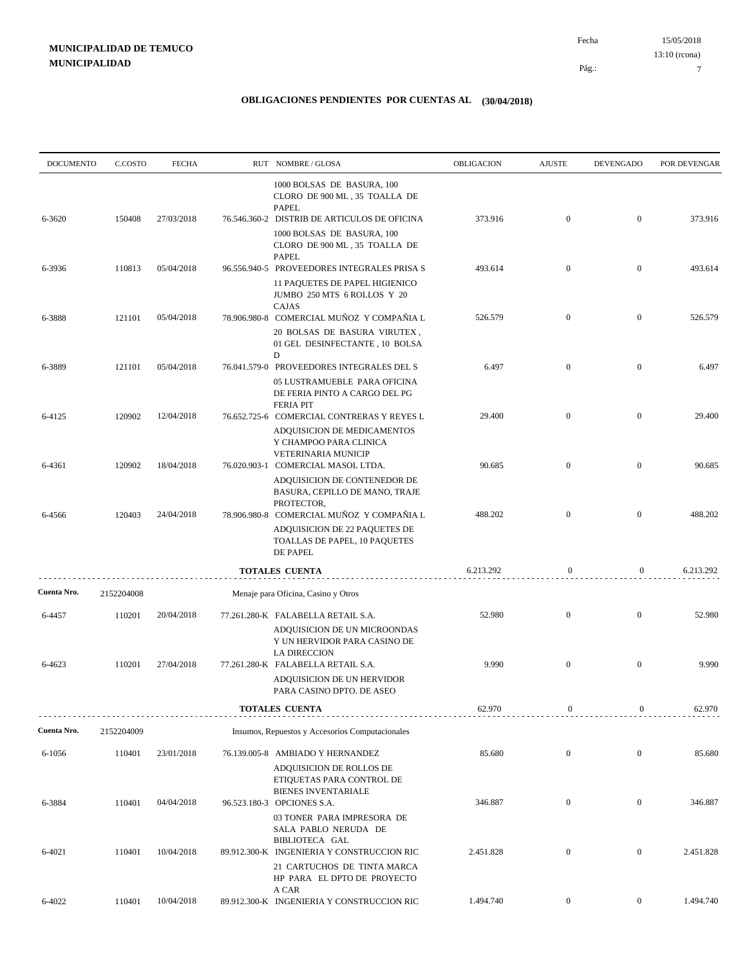| <b>DOCUMENTO</b> | C.COSTO    | <b>FECHA</b> | RUT NOMBRE/GLOSA                                                                                                               | OBLIGACION | <b>AJUSTE</b>    | <b>DEVENGADO</b> | POR DEVENGAR |
|------------------|------------|--------------|--------------------------------------------------------------------------------------------------------------------------------|------------|------------------|------------------|--------------|
|                  |            |              | 1000 BOLSAS DE BASURA, 100<br>CLORO DE 900 ML, 35 TOALLA DE<br><b>PAPEL</b>                                                    |            |                  |                  |              |
| 6-3620           | 150408     | 27/03/2018   | 76.546.360-2 DISTRIB DE ARTICULOS DE OFICINA<br>1000 BOLSAS DE BASURA, 100<br>CLORO DE 900 ML, 35 TOALLA DE<br>PAPEL           | 373.916    | $\mathbf{0}$     | $\mathbf{0}$     | 373.916      |
| 6-3936           | 110813     | 05/04/2018   | 96.556.940-5 PROVEEDORES INTEGRALES PRISA S<br>11 PAQUETES DE PAPEL HIGIENICO<br>JUMBO 250 MTS 6 ROLLOS Y 20                   | 493.614    | $\mathbf{0}$     | $\boldsymbol{0}$ | 493.614      |
| 6-3888           | 121101     | 05/04/2018   | CAJAS<br>78.906.980-8 COMERCIAL MUÑOZ Y COMPAÑIA L<br>20 BOLSAS DE BASURA VIRUTEX,<br>01 GEL DESINFECTANTE, 10 BOLSA<br>D      | 526.579    | $\mathbf{0}$     | $\boldsymbol{0}$ | 526.579      |
| 6-3889           | 121101     | 05/04/2018   | 76.041.579-0 PROVEEDORES INTEGRALES DEL S<br>05 LUSTRAMUEBLE PARA OFICINA<br>DE FERIA PINTO A CARGO DEL PG<br><b>FERIA PIT</b> | 6.497      | $\overline{0}$   | $\mathbf{0}$     | 6.497        |
| 6-4125           | 120902     | 12/04/2018   | 76.652.725-6 COMERCIAL CONTRERAS Y REYES L<br>ADQUISICION DE MEDICAMENTOS<br>Y CHAMPOO PARA CLINICA<br>VETERINARIA MUNICIP     | 29.400     | $\mathbf{0}$     | $\boldsymbol{0}$ | 29.400       |
| 6-4361           | 120902     | 18/04/2018   | 76.020.903-1 COMERCIAL MASOL LTDA.<br>ADQUISICION DE CONTENEDOR DE<br>BASURA, CEPILLO DE MANO, TRAJE<br>PROTECTOR,             | 90.685     | $\overline{0}$   | $\boldsymbol{0}$ | 90.685       |
| 6-4566           | 120403     | 24/04/2018   | 78.906.980-8 COMERCIAL MUÑOZ Y COMPAÑIA L<br>ADQUISICION DE 22 PAQUETES DE<br>TOALLAS DE PAPEL, 10 PAQUETES<br>DE PAPEL        | 488.202    | $\overline{0}$   | $\mathbf{0}$     | 488.202      |
|                  |            |              | <b>TOTALES CUENTA</b>                                                                                                          | 6.213.292  | $\mathbf{0}$     | 0                | 6.213.292    |
| Cuenta Nro.      | 2152204008 |              | Menaje para Oficina, Casino y Otros                                                                                            |            |                  |                  |              |
| 6-4457           | 110201     | 20/04/2018   | 77.261.280-K FALABELLA RETAIL S.A.<br>ADQUISICION DE UN MICROONDAS<br>Y UN HERVIDOR PARA CASINO DE<br><b>LA DIRECCION</b>      | 52.980     | $\mathbf{0}$     | $\boldsymbol{0}$ | 52.980       |
| 6-4623           | 110201     | 27/04/2018   | 77.261.280-K FALABELLA RETAIL S.A.<br>ADQUISICION DE UN HERVIDOR<br>PARA CASINO DPTO. DE ASEO                                  | 9.990      | $\mathbf{0}$     | $\mathbf{0}$     | 9.990        |
|                  |            |              | <b>TOTALES CUENTA</b>                                                                                                          | 62.970     | $\boldsymbol{0}$ | $\boldsymbol{0}$ | 62.970       |
| Cuenta Nro.      | 2152204009 |              | Insumos, Repuestos y Accesorios Computacionales                                                                                |            |                  |                  |              |
| 6-1056           | 110401     | 23/01/2018   | 76.139.005-8 AMBIADO Y HERNANDEZ<br>ADQUISICION DE ROLLOS DE<br>ETIQUETAS PARA CONTROL DE<br><b>BIENES INVENTARIALE</b>        | 85.680     | $\boldsymbol{0}$ | $\mathbf{0}$     | 85.680       |
| 6-3884           | 110401     | 04/04/2018   | 96.523.180-3 OPCIONES S.A.<br>03 TONER PARA IMPRESORA DE<br>SALA PABLO NERUDA DE                                               | 346.887    | $\mathbf{0}$     | $\overline{0}$   | 346.887      |
| 6-4021           | 110401     | 10/04/2018   | BIBLIOTECA GAL<br>89.912.300-K INGENIERIA Y CONSTRUCCION RIC<br>21 CARTUCHOS DE TINTA MARCA<br>HP PARA EL DPTO DE PROYECTO     | 2.451.828  | $\boldsymbol{0}$ | $\boldsymbol{0}$ | 2.451.828    |
| 6-4022           | 110401     | 10/04/2018   | A CAR<br>89.912.300-K INGENIERIA Y CONSTRUCCION RIC                                                                            | 1.494.740  | $\boldsymbol{0}$ | $\overline{0}$   | 1.494.740    |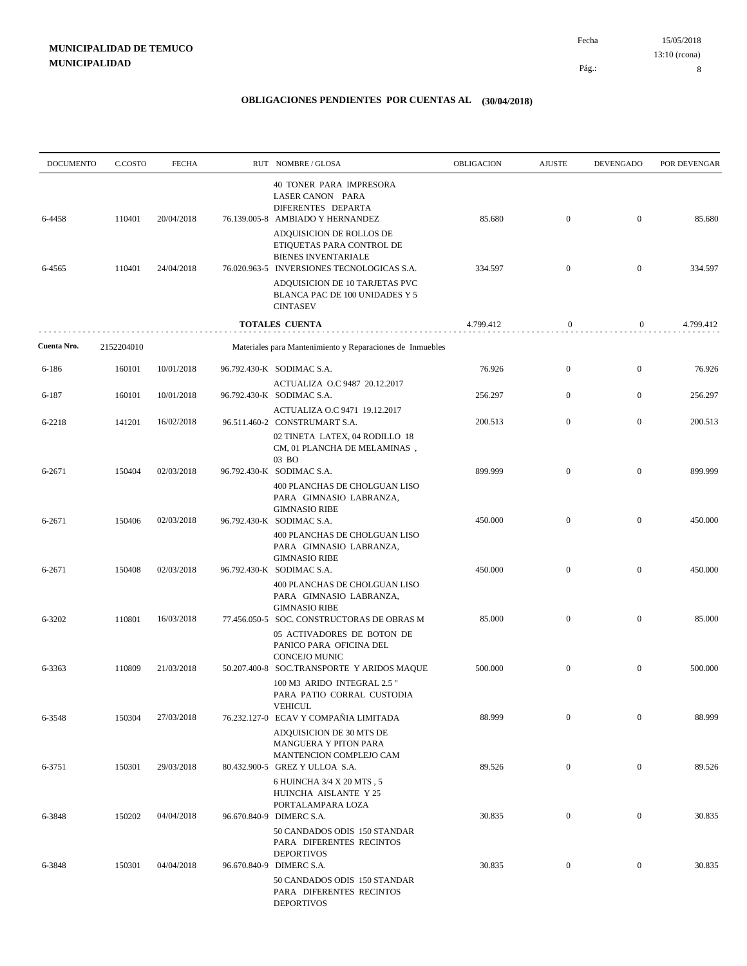| <b>DOCUMENTO</b> | C.COSTO    | <b>FECHA</b> | RUT NOMBRE/GLOSA                                                                                                                                                    | OBLIGACION | <b>AJUSTE</b>    | <b>DEVENGADO</b> | POR DEVENGAR |
|------------------|------------|--------------|---------------------------------------------------------------------------------------------------------------------------------------------------------------------|------------|------------------|------------------|--------------|
| 6-4458           | 110401     | 20/04/2018   | <b>40 TONER PARA IMPRESORA</b><br>LASER CANON PARA<br>DIFERENTES DEPARTA<br>76.139.005-8 AMBIADO Y HERNANDEZ                                                        | 85.680     | $\boldsymbol{0}$ | $\mathbf{0}$     | 85.680       |
| 6-4565           | 110401     | 24/04/2018   | ADQUISICION DE ROLLOS DE<br>ETIQUETAS PARA CONTROL DE<br><b>BIENES INVENTARIALE</b><br>76.020.963-5 INVERSIONES TECNOLOGICAS S.A.<br>ADQUISICION DE 10 TARJETAS PVC | 334.597    | $\boldsymbol{0}$ | $\mathbf{0}$     | 334.597      |
|                  |            |              | BLANCA PAC DE 100 UNIDADES Y 5<br><b>CINTASEV</b>                                                                                                                   |            |                  |                  |              |
|                  |            |              | <b>TOTALES CUENTA</b>                                                                                                                                               | 4.799.412  | $\mathbf{0}$     | $\boldsymbol{0}$ | 4.799.412    |
| Cuenta Nro.      | 2152204010 |              | Materiales para Mantenimiento y Reparaciones de Inmuebles                                                                                                           |            |                  |                  |              |
| 6-186            | 160101     | 10/01/2018   | 96.792.430-K SODIMAC S.A.                                                                                                                                           | 76.926     | $\boldsymbol{0}$ | $\mathbf{0}$     | 76.926       |
| 6-187            | 160101     | 10/01/2018   | ACTUALIZA O.C 9487 20.12.2017<br>96.792.430-K SODIMAC S.A.                                                                                                          | 256.297    | $\boldsymbol{0}$ | $\mathbf{0}$     | 256.297      |
| 6-2218           | 141201     | 16/02/2018   | ACTUALIZA O.C 9471 19.12.2017<br>96.511.460-2 CONSTRUMART S.A.                                                                                                      | 200.513    | $\boldsymbol{0}$ | $\mathbf{0}$     | 200.513      |
|                  |            |              | 02 TINETA LATEX, 04 RODILLO 18<br>CM, 01 PLANCHA DE MELAMINAS,<br>03 BO                                                                                             |            |                  |                  |              |
| 6-2671           | 150404     | 02/03/2018   | 96.792.430-K SODIMAC S.A.<br>400 PLANCHAS DE CHOLGUAN LISO<br>PARA GIMNASIO LABRANZA,                                                                               | 899.999    | $\mathbf{0}$     | $\mathbf{0}$     | 899.999      |
| 6-2671           | 150406     | 02/03/2018   | <b>GIMNASIO RIBE</b><br>96.792.430-K SODIMAC S.A.<br>400 PLANCHAS DE CHOLGUAN LISO<br>PARA GIMNASIO LABRANZA,                                                       | 450.000    | $\boldsymbol{0}$ | $\mathbf{0}$     | 450.000      |
| 6-2671           | 150408     | 02/03/2018   | <b>GIMNASIO RIBE</b><br>96.792.430-K SODIMAC S.A.<br>400 PLANCHAS DE CHOLGUAN LISO                                                                                  | 450.000    | $\boldsymbol{0}$ | $\boldsymbol{0}$ | 450.000      |
| 6-3202           | 110801     | 16/03/2018   | PARA GIMNASIO LABRANZA,<br><b>GIMNASIO RIBE</b><br>77.456.050-5 SOC. CONSTRUCTORAS DE OBRAS M                                                                       | 85.000     | $\boldsymbol{0}$ | $\boldsymbol{0}$ | 85.000       |
|                  |            |              | 05 ACTIVADORES DE BOTON DE<br>PANICO PARA OFICINA DEL                                                                                                               |            |                  |                  |              |
| 6-3363           | 110809     | 21/03/2018   | CONCEJO MUNIC<br>50.207.400-8 SOC.TRANSPORTE Y ARIDOS MAQUE<br>100 M3 ARIDO INTEGRAL 2.5"                                                                           | 500.000    | $\mathbf{0}$     | $\mathbf{0}$     | 500.000      |
| 6-3548           | 150304     | 27/03/2018   | PARA PATIO CORRAL CUSTODIA<br><b>VEHICUL</b><br>76.232.127-0 ECAV Y COMPAÑIA LIMITADA                                                                               | 88.999     | $\mathbf{0}$     | $\mathbf{0}$     | 88.999       |
|                  |            |              | ADQUISICION DE 30 MTS DE<br>MANGUERA Y PITON PARA<br>MANTENCION COMPLEJO CAM                                                                                        |            |                  |                  |              |
| 6-3751           | 150301     | 29/03/2018   | 80.432.900-5 GREZ Y ULLOA S.A.<br>6 HUINCHA 3/4 X 20 MTS, 5                                                                                                         | 89.526     | $\mathbf{0}$     | $\mathbf{0}$     | 89.526       |
| 6-3848           | 150202     | 04/04/2018   | HUINCHA AISLANTE Y 25<br>PORTALAMPARA LOZA<br>96.670.840-9 DIMERC S.A.                                                                                              | 30.835     | $\mathbf{0}$     | $\boldsymbol{0}$ | 30.835       |
|                  |            |              | 50 CANDADOS ODIS 150 STANDAR<br>PARA DIFERENTES RECINTOS<br><b>DEPORTIVOS</b>                                                                                       |            |                  |                  |              |
| 6-3848           | 150301     | 04/04/2018   | 96.670.840-9 DIMERC S.A.<br>50 CANDADOS ODIS 150 STANDAR<br>PARA DIFERENTES RECINTOS<br><b>DEPORTIVOS</b>                                                           | 30.835     | $\boldsymbol{0}$ | $\mathbf{0}$     | 30.835       |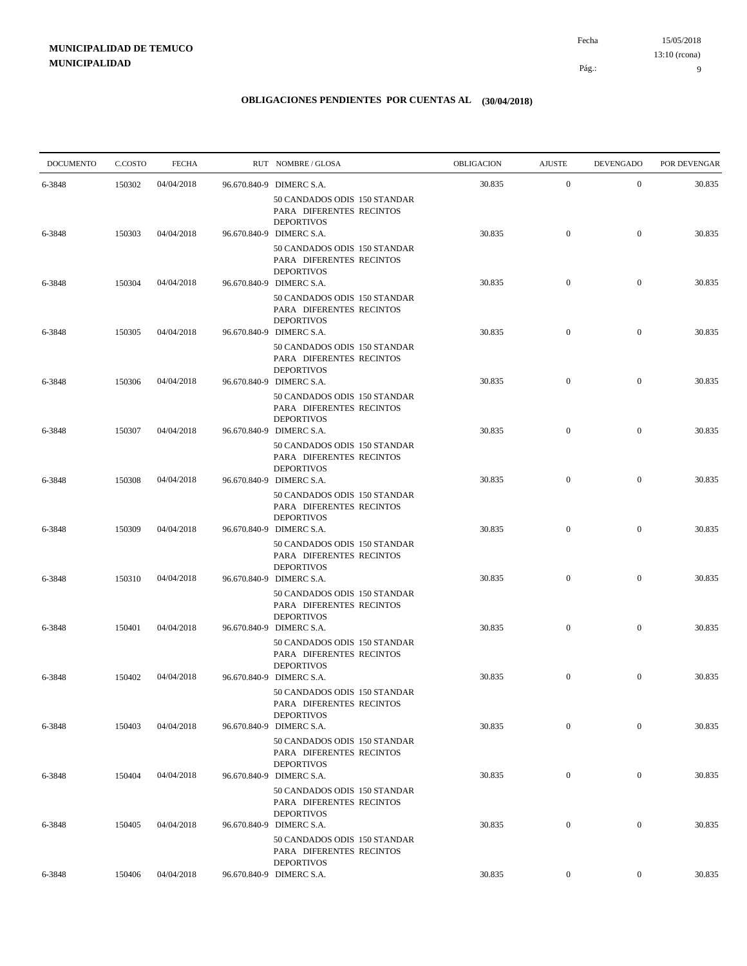| <b>DOCUMENTO</b> | C.COSTO | <b>FECHA</b> | RUT NOMBRE/GLOSA                                                                                          | OBLIGACION | <b>AJUSTE</b>    | <b>DEVENGADO</b> | POR DEVENGAR |
|------------------|---------|--------------|-----------------------------------------------------------------------------------------------------------|------------|------------------|------------------|--------------|
| 6-3848           | 150302  | 04/04/2018   | 96.670.840-9 DIMERC S.A.                                                                                  | 30.835     | $\mathbf{0}$     | $\mathbf{0}$     | 30.835       |
| 6-3848           | 150303  | 04/04/2018   | 50 CANDADOS ODIS 150 STANDAR<br>PARA DIFERENTES RECINTOS<br><b>DEPORTIVOS</b><br>96.670.840-9 DIMERC S.A. | 30.835     | $\boldsymbol{0}$ | $\mathbf{0}$     | 30.835       |
|                  |         |              | 50 CANDADOS ODIS 150 STANDAR<br>PARA DIFERENTES RECINTOS<br><b>DEPORTIVOS</b>                             |            |                  |                  |              |
| 6-3848           | 150304  | 04/04/2018   | 96.670.840-9 DIMERC S.A.<br>50 CANDADOS ODIS 150 STANDAR<br>PARA DIFERENTES RECINTOS                      | 30.835     | $\mathbf{0}$     | $\mathbf{0}$     | 30.835       |
| 6-3848           | 150305  | 04/04/2018   | <b>DEPORTIVOS</b><br>96.670.840-9 DIMERC S.A.                                                             | 30.835     | $\mathbf{0}$     | $\mathbf{0}$     | 30.835       |
| 6-3848           | 150306  | 04/04/2018   | 50 CANDADOS ODIS 150 STANDAR<br>PARA DIFERENTES RECINTOS<br><b>DEPORTIVOS</b><br>96.670.840-9 DIMERC S.A. | 30.835     | $\boldsymbol{0}$ | $\mathbf{0}$     | 30.835       |
|                  |         |              | 50 CANDADOS ODIS 150 STANDAR<br>PARA DIFERENTES RECINTOS<br><b>DEPORTIVOS</b>                             |            |                  |                  |              |
| 6-3848           | 150307  | 04/04/2018   | 96.670.840-9 DIMERC S.A.<br>50 CANDADOS ODIS 150 STANDAR<br>PARA DIFERENTES RECINTOS                      | 30.835     | $\mathbf{0}$     | $\mathbf{0}$     | 30.835       |
| 6-3848           | 150308  | 04/04/2018   | <b>DEPORTIVOS</b><br>96.670.840-9 DIMERC S.A.<br>50 CANDADOS ODIS 150 STANDAR                             | 30.835     | $\mathbf{0}$     | $\mathbf{0}$     | 30.835       |
| 6-3848           | 150309  | 04/04/2018   | PARA DIFERENTES RECINTOS<br><b>DEPORTIVOS</b><br>96.670.840-9 DIMERC S.A.                                 | 30.835     | $\mathbf{0}$     | $\mathbf{0}$     | 30.835       |
| 6-3848           | 150310  | 04/04/2018   | 50 CANDADOS ODIS 150 STANDAR<br>PARA DIFERENTES RECINTOS<br><b>DEPORTIVOS</b><br>96.670.840-9 DIMERC S.A. | 30.835     | $\boldsymbol{0}$ | $\mathbf{0}$     | 30.835       |
|                  |         |              | 50 CANDADOS ODIS 150 STANDAR<br>PARA DIFERENTES RECINTOS<br><b>DEPORTIVOS</b>                             |            |                  |                  |              |
| 6-3848           | 150401  | 04/04/2018   | 96.670.840-9 DIMERC S.A.<br>50 CANDADOS ODIS 150 STANDAR<br>PARA DIFERENTES RECINTOS                      | 30.835     | $\mathbf{0}$     | $\mathbf{0}$     | 30.835       |
| 6-3848           | 150402  | 04/04/2018   | <b>DEPORTIVOS</b><br>96.670.840-9 DIMERC S.A.<br>50 CANDADOS ODIS 150 STANDAR                             | 30.835     | $\mathbf{0}$     | $\mathbf{0}$     | 30.835       |
| 6-3848           | 150403  | 04/04/2018   | PARA DIFERENTES RECINTOS<br><b>DEPORTIVOS</b><br>96.670.840-9 DIMERC S.A.                                 | 30.835     | $\overline{0}$   | $\mathbf{0}$     | 30.835       |
|                  |         |              | 50 CANDADOS ODIS 150 STANDAR<br>PARA DIFERENTES RECINTOS<br><b>DEPORTIVOS</b>                             |            |                  |                  |              |
| 6-3848           | 150404  | 04/04/2018   | 96.670.840-9 DIMERC S.A.<br>50 CANDADOS ODIS 150 STANDAR<br>PARA DIFERENTES RECINTOS                      | 30.835     | $\boldsymbol{0}$ | $\boldsymbol{0}$ | 30.835       |
| 6-3848           | 150405  | 04/04/2018   | <b>DEPORTIVOS</b><br>96.670.840-9 DIMERC S.A.                                                             | 30.835     | $\mathbf{0}$     | $\boldsymbol{0}$ | 30.835       |
|                  |         |              | 50 CANDADOS ODIS 150 STANDAR<br>PARA DIFERENTES RECINTOS<br><b>DEPORTIVOS</b>                             |            |                  |                  |              |
| 6-3848           | 150406  | 04/04/2018   | 96.670.840-9 DIMERC S.A.                                                                                  | 30.835     | $\overline{0}$   | $\overline{0}$   | 30.835       |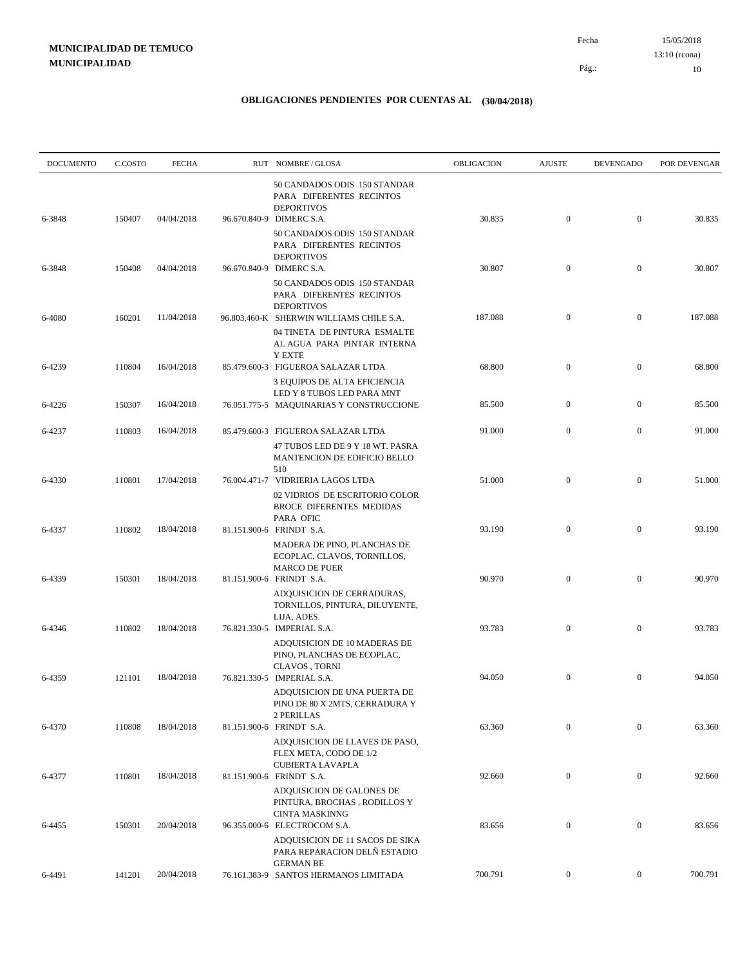| <b>DOCUMENTO</b> | C.COSTO | <b>FECHA</b> | RUT NOMBRE/GLOSA                                                                                                                | OBLIGACION | <b>AJUSTE</b>    | <b>DEVENGADO</b> | POR DEVENGAR |
|------------------|---------|--------------|---------------------------------------------------------------------------------------------------------------------------------|------------|------------------|------------------|--------------|
| 6-3848           | 150407  | 04/04/2018   | 50 CANDADOS ODIS 150 STANDAR<br>PARA DIFERENTES RECINTOS<br><b>DEPORTIVOS</b><br>96.670.840-9 DIMERC S.A.                       | 30.835     | $\mathbf{0}$     | $\boldsymbol{0}$ | 30.835       |
|                  |         |              | 50 CANDADOS ODIS 150 STANDAR<br>PARA DIFERENTES RECINTOS<br><b>DEPORTIVOS</b>                                                   |            |                  |                  |              |
| 6-3848           | 150408  | 04/04/2018   | 96.670.840-9 DIMERC S.A.<br>50 CANDADOS ODIS 150 STANDAR<br>PARA DIFERENTES RECINTOS                                            | 30.807     | $\mathbf{0}$     | $\boldsymbol{0}$ | 30.807       |
| 6-4080           | 160201  | 11/04/2018   | <b>DEPORTIVOS</b><br>96.803.460-K SHERWIN WILLIAMS CHILE S.A.<br>04 TINETA DE PINTURA ESMALTE<br>AL AGUA PARA PINTAR INTERNA    | 187.088    | $\mathbf{0}$     | $\boldsymbol{0}$ | 187.088      |
| 6-4239           | 110804  | 16/04/2018   | <b>Y EXTE</b><br>85.479.600-3 FIGUEROA SALAZAR LTDA<br>3 EQUIPOS DE ALTA EFICIENCIA                                             | 68.800     | $\boldsymbol{0}$ | $\mathbf{0}$     | 68.800       |
| 6-4226           | 150307  | 16/04/2018   | LED Y 8 TUBOS LED PARA MNT<br>76.051.775-5 MAQUINARIAS Y CONSTRUCCIONE                                                          | 85.500     | $\mathbf{0}$     | $\boldsymbol{0}$ | 85.500       |
| 6-4237           | 110803  | 16/04/2018   | 85.479.600-3 FIGUEROA SALAZAR LTDA<br>47 TUBOS LED DE 9 Y 18 WT. PASRA<br>MANTENCION DE EDIFICIO BELLO<br>510                   | 91.000     | $\boldsymbol{0}$ | $\mathbf{0}$     | 91.000       |
| 6-4330           | 110801  | 17/04/2018   | 76.004.471-7 VIDRIERIA LAGOS LTDA<br>02 VIDRIOS DE ESCRITORIO COLOR<br><b>BROCE DIFERENTES MEDIDAS</b><br>PARA OFIC             | 51.000     | $\mathbf{0}$     | $\boldsymbol{0}$ | 51.000       |
| 6-4337           | 110802  | 18/04/2018   | 81.151.900-6 FRINDT S.A.<br>MADERA DE PINO, PLANCHAS DE<br>ECOPLAC, CLAVOS, TORNILLOS,                                          | 93.190     | $\mathbf{0}$     | $\mathbf{0}$     | 93.190       |
| 6-4339           | 150301  | 18/04/2018   | <b>MARCO DE PUER</b><br>81.151.900-6 FRINDT S.A.<br>ADQUISICION DE CERRADURAS,<br>TORNILLOS, PINTURA, DILUYENTE,                | 90.970     | $\boldsymbol{0}$ | $\mathbf{0}$     | 90.970       |
| 6-4346           | 110802  | 18/04/2018   | LIJA, ADES.<br>76.821.330-5 IMPERIAL S.A.<br>ADQUISICION DE 10 MADERAS DE<br>PINO, PLANCHAS DE ECOPLAC,<br><b>CLAVOS, TORNI</b> | 93.783     | $\mathbf{0}$     | $\mathbf{0}$     | 93.783       |
| 6-4359           | 121101  | 18/04/2018   | 76.821.330-5 IMPERIAL S.A.<br>ADQUISICION DE UNA PUERTA DE<br>PINO DE 80 X 2MTS, CERRADURA Y                                    | 94.050     | $\boldsymbol{0}$ | $\boldsymbol{0}$ | 94.050       |
| 6-4370           | 110808  | 18/04/2018   | 2 PERILLAS<br>81.151.900-6 FRINDT S.A.<br>ADQUISICION DE LLAVES DE PASO,<br>FLEX META, CODO DE 1/2                              | 63.360     | $\mathbf{0}$     | $\mathbf{0}$     | 63.360       |
| 6-4377           | 110801  | 18/04/2018   | <b>CUBIERTA LAVAPLA</b><br>81.151.900-6 FRINDT S.A.<br>ADQUISICION DE GALONES DE<br>PINTURA, BROCHAS, RODILLOS Y                | 92.660     | $\boldsymbol{0}$ | $\boldsymbol{0}$ | 92.660       |
| 6-4455           | 150301  | 20/04/2018   | <b>CINTA MASKINNG</b><br>96.355.000-6 ELECTROCOM S.A.<br>ADQUISICION DE 11 SACOS DE SIKA                                        | 83.656     | $\boldsymbol{0}$ | $\boldsymbol{0}$ | 83.656       |
| 6-4491           | 141201  | 20/04/2018   | PARA REPARACION DELÑ ESTADIO<br><b>GERMAN BE</b><br>76.161.383-9 SANTOS HERMANOS LIMITADA                                       | 700.791    | $\boldsymbol{0}$ | $\bf{0}$         | 700.791      |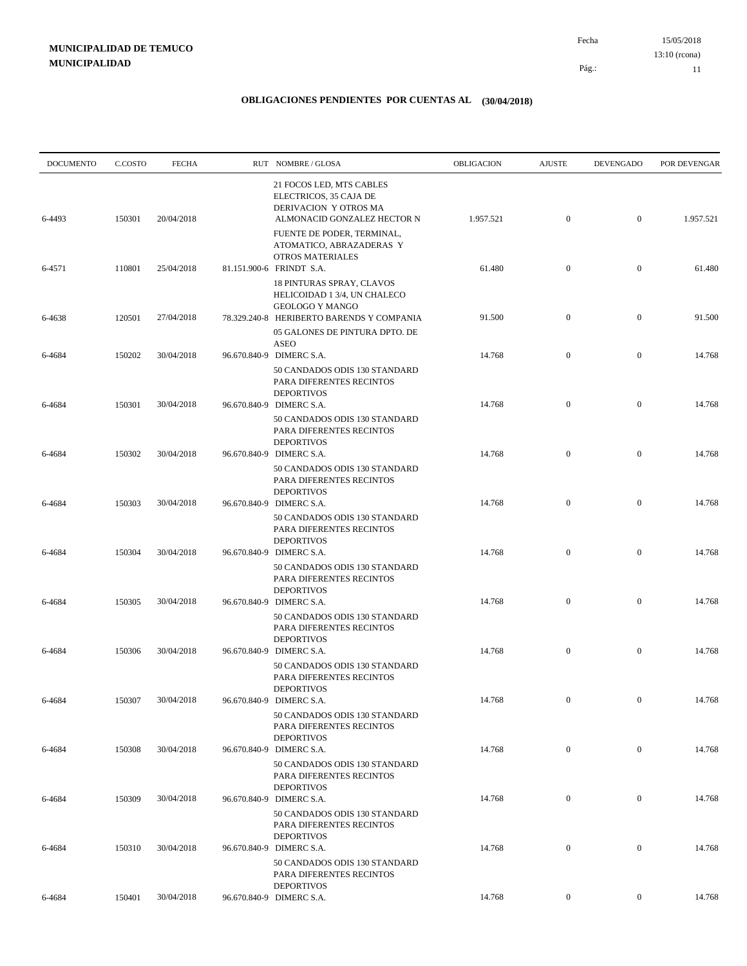| <b>DOCUMENTO</b> | C.COSTO | <b>FECHA</b> | RUT NOMBRE/GLOSA                                                                                           | OBLIGACION | <b>AJUSTE</b>    | <b>DEVENGADO</b> | POR DEVENGAR |
|------------------|---------|--------------|------------------------------------------------------------------------------------------------------------|------------|------------------|------------------|--------------|
| 6-4493           | 150301  | 20/04/2018   | 21 FOCOS LED, MTS CABLES<br>ELECTRICOS, 35 CAJA DE<br>DERIVACION Y OTROS MA<br>ALMONACID GONZALEZ HECTOR N | 1.957.521  | $\mathbf{0}$     | $\boldsymbol{0}$ | 1.957.521    |
|                  |         |              | FUENTE DE PODER, TERMINAL,<br>ATOMATICO, ABRAZADERAS Y<br><b>OTROS MATERIALES</b>                          |            |                  |                  |              |
| 6-4571           | 110801  | 25/04/2018   | 81.151.900-6 FRINDT S.A.<br>18 PINTURAS SPRAY, CLAVOS<br>HELICOIDAD 1 3/4, UN CHALECO                      | 61.480     | $\mathbf{0}$     | $\boldsymbol{0}$ | 61.480       |
| 6-4638           | 120501  | 27/04/2018   | <b>GEOLOGO Y MANGO</b><br>78.329.240-8 HERIBERTO BARENDS Y COMPANIA<br>05 GALONES DE PINTURA DPTO. DE      | 91.500     | $\mathbf{0}$     | $\boldsymbol{0}$ | 91.500       |
| 6-4684           | 150202  | 30/04/2018   | <b>ASEO</b><br>96.670.840-9 DIMERC S.A.                                                                    | 14.768     | $\mathbf{0}$     | $\boldsymbol{0}$ | 14.768       |
| 6-4684           | 150301  | 30/04/2018   | 50 CANDADOS ODIS 130 STANDARD<br>PARA DIFERENTES RECINTOS<br><b>DEPORTIVOS</b><br>96.670.840-9 DIMERC S.A. | 14.768     | $\mathbf{0}$     | $\boldsymbol{0}$ | 14.768       |
|                  |         |              | 50 CANDADOS ODIS 130 STANDARD<br>PARA DIFERENTES RECINTOS<br><b>DEPORTIVOS</b>                             |            |                  |                  |              |
| 6-4684           | 150302  | 30/04/2018   | 96.670.840-9 DIMERC S.A.<br>50 CANDADOS ODIS 130 STANDARD<br>PARA DIFERENTES RECINTOS<br><b>DEPORTIVOS</b> | 14.768     | $\mathbf{0}$     | $\boldsymbol{0}$ | 14.768       |
| 6-4684           | 150303  | 30/04/2018   | 96.670.840-9 DIMERC S.A.<br>50 CANDADOS ODIS 130 STANDARD<br>PARA DIFERENTES RECINTOS                      | 14.768     | $\boldsymbol{0}$ | $\boldsymbol{0}$ | 14.768       |
| 6-4684           | 150304  | 30/04/2018   | <b>DEPORTIVOS</b><br>96.670.840-9 DIMERC S.A.<br>50 CANDADOS ODIS 130 STANDARD                             | 14.768     | $\mathbf{0}$     | $\boldsymbol{0}$ | 14.768       |
| 6-4684           | 150305  | 30/04/2018   | PARA DIFERENTES RECINTOS<br><b>DEPORTIVOS</b><br>96.670.840-9 DIMERC S.A.                                  | 14.768     | $\mathbf{0}$     | $\boldsymbol{0}$ | 14.768       |
|                  |         |              | 50 CANDADOS ODIS 130 STANDARD<br>PARA DIFERENTES RECINTOS<br><b>DEPORTIVOS</b>                             |            |                  |                  |              |
| 6-4684           | 150306  | 30/04/2018   | 96.670.840-9 DIMERC S.A.<br>50 CANDADOS ODIS 130 STANDARD<br>PARA DIFERENTES RECINTOS                      | 14.768     | $\mathbf{0}$     | $\boldsymbol{0}$ | 14.768       |
| 6-4684           | 150307  | 30/04/2018   | <b>DEPORTIVOS</b><br>96.670.840-9 DIMERC S.A.                                                              | 14.768     | $\overline{0}$   | $\overline{0}$   | 14.768       |
| 6-4684           | 150308  | 30/04/2018   | 50 CANDADOS ODIS 130 STANDARD<br>PARA DIFERENTES RECINTOS<br><b>DEPORTIVOS</b><br>96.670.840-9 DIMERC S.A. | 14.768     | $\mathbf{0}$     | $\boldsymbol{0}$ | 14.768       |
|                  |         |              | 50 CANDADOS ODIS 130 STANDARD<br>PARA DIFERENTES RECINTOS<br><b>DEPORTIVOS</b>                             |            |                  |                  |              |
| 6-4684           | 150309  | 30/04/2018   | 96.670.840-9 DIMERC S.A.<br>50 CANDADOS ODIS 130 STANDARD<br>PARA DIFERENTES RECINTOS                      | 14.768     | $\mathbf{0}$     | $\boldsymbol{0}$ | 14.768       |
| 6-4684           | 150310  | 30/04/2018   | <b>DEPORTIVOS</b><br>96.670.840-9 DIMERC S.A.                                                              | 14.768     | $\boldsymbol{0}$ | $\boldsymbol{0}$ | 14.768       |
|                  |         |              | 50 CANDADOS ODIS 130 STANDARD<br>PARA DIFERENTES RECINTOS<br><b>DEPORTIVOS</b>                             |            |                  |                  |              |
| 6-4684           | 150401  | 30/04/2018   | 96.670.840-9 DIMERC S.A.                                                                                   | 14.768     | $\overline{0}$   | $\boldsymbol{0}$ | 14.768       |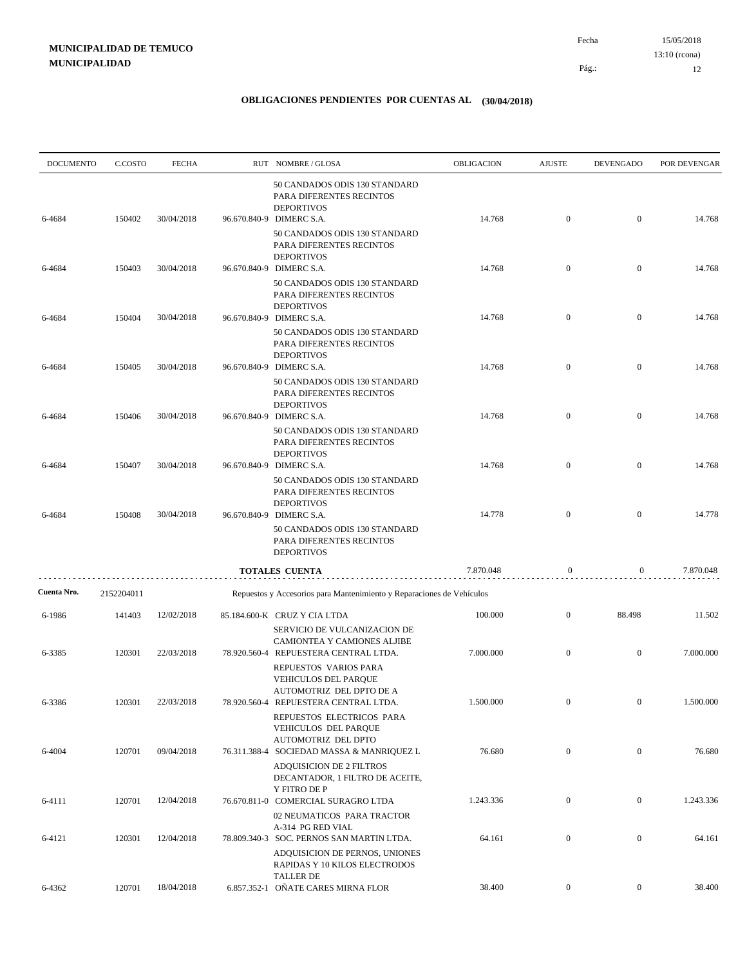| <b>DOCUMENTO</b> | C.COSTO    | <b>FECHA</b> | RUT NOMBRE/GLOSA                                                                                                   | <b>OBLIGACION</b> | <b>AJUSTE</b>    | <b>DEVENGADO</b> | POR DEVENGAR |
|------------------|------------|--------------|--------------------------------------------------------------------------------------------------------------------|-------------------|------------------|------------------|--------------|
| 6-4684           | 150402     | 30/04/2018   | 50 CANDADOS ODIS 130 STANDARD<br>PARA DIFERENTES RECINTOS<br><b>DEPORTIVOS</b><br>96.670.840-9 DIMERC S.A.         | 14.768            | $\boldsymbol{0}$ | $\boldsymbol{0}$ | 14.768       |
|                  |            |              | 50 CANDADOS ODIS 130 STANDARD<br>PARA DIFERENTES RECINTOS<br><b>DEPORTIVOS</b>                                     |                   |                  |                  |              |
| 6-4684           | 150403     | 30/04/2018   | 96.670.840-9 DIMERC S.A.<br>50 CANDADOS ODIS 130 STANDARD<br>PARA DIFERENTES RECINTOS                              | 14.768            | $\boldsymbol{0}$ | $\boldsymbol{0}$ | 14.768       |
| 6-4684           | 150404     | 30/04/2018   | <b>DEPORTIVOS</b><br>96.670.840-9 DIMERC S.A.<br>50 CANDADOS ODIS 130 STANDARD<br>PARA DIFERENTES RECINTOS         | 14.768            | $\mathbf{0}$     | $\boldsymbol{0}$ | 14.768       |
| 6-4684           | 150405     | 30/04/2018   | <b>DEPORTIVOS</b><br>96.670.840-9 DIMERC S.A.<br>50 CANDADOS ODIS 130 STANDARD                                     | 14.768            | $\mathbf{0}$     | $\boldsymbol{0}$ | 14.768       |
| 6-4684           | 150406     | 30/04/2018   | PARA DIFERENTES RECINTOS<br><b>DEPORTIVOS</b><br>96.670.840-9 DIMERC S.A.                                          | 14.768            | $\mathbf{0}$     | $\boldsymbol{0}$ | 14.768       |
| 6-4684           | 150407     | 30/04/2018   | 50 CANDADOS ODIS 130 STANDARD<br>PARA DIFERENTES RECINTOS<br><b>DEPORTIVOS</b><br>96.670.840-9 DIMERC S.A.         | 14.768            | $\mathbf{0}$     | $\boldsymbol{0}$ | 14.768       |
|                  |            |              | 50 CANDADOS ODIS 130 STANDARD<br>PARA DIFERENTES RECINTOS<br><b>DEPORTIVOS</b>                                     |                   |                  |                  |              |
| 6-4684           | 150408     | 30/04/2018   | 96.670.840-9 DIMERC S.A.<br>50 CANDADOS ODIS 130 STANDARD<br>PARA DIFERENTES RECINTOS<br><b>DEPORTIVOS</b>         | 14.778            | $\boldsymbol{0}$ | $\mathbf{0}$     | 14.778       |
|                  |            |              | <b>TOTALES CUENTA</b>                                                                                              | 7.870.048         | $\boldsymbol{0}$ | $\mathbf{0}$     | 7.870.048    |
| Cuenta Nro.      | 2152204011 |              | Repuestos y Accesorios para Mantenimiento y Reparaciones de Vehículos                                              |                   |                  |                  |              |
| 6-1986           | 141403     | 12/02/2018   | 85.184.600-K CRUZ Y CIA LTDA                                                                                       | 100.000           | $\mathbf{0}$     | 88.498           | 11.502       |
| 6-3385           | 120301     | 22/03/2018   | SERVICIO DE VULCANIZACION DE<br>CAMIONTEA Y CAMIONES ALJIBE<br>78.920.560-4 REPUESTERA CENTRAL LTDA.               | 7.000.000         | $\mathbf{0}$     | $\boldsymbol{0}$ | 7.000.000    |
| 6-3386           | 120301     | 22/03/2018   | REPUESTOS VARIOS PARA<br>VEHICULOS DEL PARQUE<br>AUTOMOTRIZ DEL DPTO DE A<br>78.920.560-4 REPUESTERA CENTRAL LTDA. | 1.500.000         |                  |                  | 1.500.000    |
|                  |            |              | REPUESTOS ELECTRICOS PARA<br>VEHICULOS DEL PAROUE<br>AUTOMOTRIZ DEL DPTO                                           |                   |                  |                  |              |
| 6-4004           | 120701     | 09/04/2018   | 76.311.388-4 SOCIEDAD MASSA & MANRIQUEZ L<br><b>ADQUISICION DE 2 FILTROS</b><br>DECANTADOR, 1 FILTRO DE ACEITE,    | 76.680            | $\overline{0}$   | $\bf{0}$         | 76.680       |
| 6-4111           | 120701     | 12/04/2018   | Y FITRO DE P<br>76.670.811-0 COMERCIAL SURAGRO LTDA                                                                | 1.243.336         | $\mathbf{0}$     | $\boldsymbol{0}$ | 1.243.336    |
| 6-4121           | 120301     | 12/04/2018   | 02 NEUMATICOS PARA TRACTOR<br>A-314 PG RED VIAL<br>78.809.340-3 SOC. PERNOS SAN MARTIN LTDA.                       | 64.161            | $\boldsymbol{0}$ | $\boldsymbol{0}$ | 64.161       |
|                  |            |              | ADQUISICION DE PERNOS, UNIONES<br>RAPIDAS Y 10 KILOS ELECTRODOS<br><b>TALLER DE</b>                                |                   |                  |                  |              |
| 6-4362           | 120701     | 18/04/2018   | 6.857.352-1 OÑATE CARES MIRNA FLOR                                                                                 | 38.400            | $\boldsymbol{0}$ | $\overline{0}$   | 38.400       |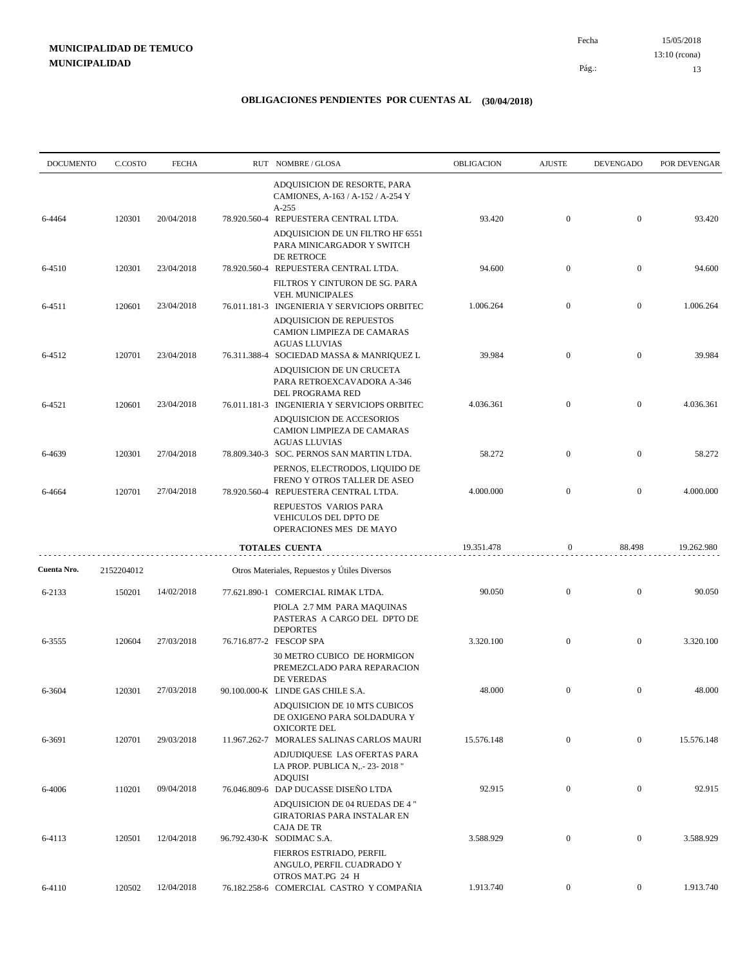| <b>DOCUMENTO</b> | C.COSTO    | <b>FECHA</b> |              | RUT NOMBRE/GLOSA                                                                                                                   | OBLIGACION | <b>AJUSTE</b>    | <b>DEVENGADO</b> | POR DEVENGAR |
|------------------|------------|--------------|--------------|------------------------------------------------------------------------------------------------------------------------------------|------------|------------------|------------------|--------------|
|                  |            |              |              | ADQUISICION DE RESORTE, PARA<br>CAMIONES, A-163 / A-152 / A-254 Y<br>$A-255$                                                       |            |                  |                  |              |
| 6-4464           | 120301     | 20/04/2018   |              | 78.920.560-4 REPUESTERA CENTRAL LTDA.<br>ADQUISICION DE UN FILTRO HF 6551<br>PARA MINICARGADOR Y SWITCH<br>DE RETROCE              | 93.420     | $\mathbf{0}$     | $\boldsymbol{0}$ | 93.420       |
| 6-4510           | 120301     | 23/04/2018   |              | 78.920.560-4 REPUESTERA CENTRAL LTDA.<br>FILTROS Y CINTURON DE SG. PARA                                                            | 94.600     | $\mathbf{0}$     | $\boldsymbol{0}$ | 94.600       |
| 6-4511           | 120601     | 23/04/2018   |              | VEH. MUNICIPALES<br>76.011.181-3 INGENIERIA Y SERVICIOPS ORBITEC                                                                   | 1.006.264  | $\mathbf{0}$     | $\boldsymbol{0}$ | 1.006.264    |
| 6-4512           | 120701     | 23/04/2018   |              | <b>ADQUISICION DE REPUESTOS</b><br>CAMION LIMPIEZA DE CAMARAS<br><b>AGUAS LLUVIAS</b><br>76.311.388-4 SOCIEDAD MASSA & MANRIQUEZ L | 39.984     | $\mathbf{0}$     | $\boldsymbol{0}$ | 39.984       |
|                  |            |              |              | ADQUISICION DE UN CRUCETA<br>PARA RETROEXCAVADORA A-346<br>DEL PROGRAMA RED                                                        |            |                  |                  |              |
| 6-4521           | 120601     | 23/04/2018   |              | 76.011.181-3 INGENIERIA Y SERVICIOPS ORBITEC<br>ADQUISICION DE ACCESORIOS<br>CAMION LIMPIEZA DE CAMARAS                            | 4.036.361  | $\boldsymbol{0}$ | $\mathbf{0}$     | 4.036.361    |
| 6-4639           | 120301     | 27/04/2018   |              | <b>AGUAS LLUVIAS</b><br>78.809.340-3 SOC. PERNOS SAN MARTIN LTDA.<br>PERNOS, ELECTRODOS, LIQUIDO DE                                | 58.272     | $\mathbf{0}$     | $\boldsymbol{0}$ | 58.272       |
| 6-4664           | 120701     | 27/04/2018   | 78.920.560-4 | FRENO Y OTROS TALLER DE ASEO<br>REPUESTERA CENTRAL LTDA.<br>REPUESTOS VARIOS PARA                                                  | 4.000.000  | $\mathbf{0}$     | $\mathbf{0}$     | 4.000.000    |
|                  |            |              |              | VEHICULOS DEL DPTO DE<br>OPERACIONES MES DE MAYO                                                                                   |            |                  |                  |              |
|                  |            |              |              | TOTALES CUENTA                                                                                                                     | 19.351.478 | 0                | 88.498           | 19.262.980   |
| Cuenta Nro.      | 2152204012 |              |              | Otros Materiales, Repuestos y Útiles Diversos                                                                                      |            |                  |                  |              |
| 6-2133           | 150201     | 14/02/2018   |              | 77.621.890-1 COMERCIAL RIMAK LTDA.<br>PIOLA 2.7 MM PARA MAQUINAS<br>PASTERAS A CARGO DEL DPTO DE<br><b>DEPORTES</b>                | 90.050     | $\mathbf{0}$     | $\mathbf{0}$     | 90.050       |
| 6-3555           | 120604     | 27/03/2018   |              | 76.716.877-2 FESCOP SPA<br>30 METRO CUBICO DE HORMIGON<br>PREMEZCLADO PARA REPARACION                                              | 3.320.100  | $\mathbf{0}$     | $\mathbf{0}$     | 3.320.100    |
| 6-3604           | 120301     | 27/03/2018   |              | DE VEREDAS<br>90.100.000-K LINDE GAS CHILE S.A.<br>ADQUISICION DE 10 MTS CUBICOS<br>DE OXIGENO PARA SOLDADURA Y                    | 48.000     | $\mathbf{0}$     | $\boldsymbol{0}$ | 48.000       |
| 6-3691           | 120701     | 29/03/2018   |              | <b>OXICORTE DEL</b><br>11.967.262-7 MORALES SALINAS CARLOS MAURI<br>ADJUDIQUESE LAS OFERTAS PARA                                   | 15.576.148 | $\mathbf{0}$     | $\mathbf{0}$     | 15.576.148   |
| 6-4006           | 110201     | 09/04/2018   |              | LA PROP. PUBLICA N, .- 23-2018"<br><b>ADQUISI</b><br>76.046.809-6 DAP DUCASSE DISEÑO LTDA                                          | 92.915     | $\mathbf{0}$     | $\mathbf{0}$     | 92.915       |
| 6-4113           | 120501     | 12/04/2018   |              | ADQUISICION DE 04 RUEDAS DE 4"<br><b>GIRATORIAS PARA INSTALAR EN</b><br><b>CAJA DE TR</b><br>96.792.430-K SODIMAC S.A.             | 3.588.929  | $\mathbf{0}$     | $\mathbf{0}$     | 3.588.929    |
|                  |            |              |              | FIERROS ESTRIADO, PERFIL<br>ANGULO, PERFIL CUADRADO Y                                                                              |            |                  |                  |              |
| 6-4110           | 120502     | 12/04/2018   |              | OTROS MAT.PG 24 H<br>76.182.258-6 COMERCIAL CASTRO Y COMPAÑIA                                                                      | 1.913.740  | $\overline{0}$   | $\overline{0}$   | 1.913.740    |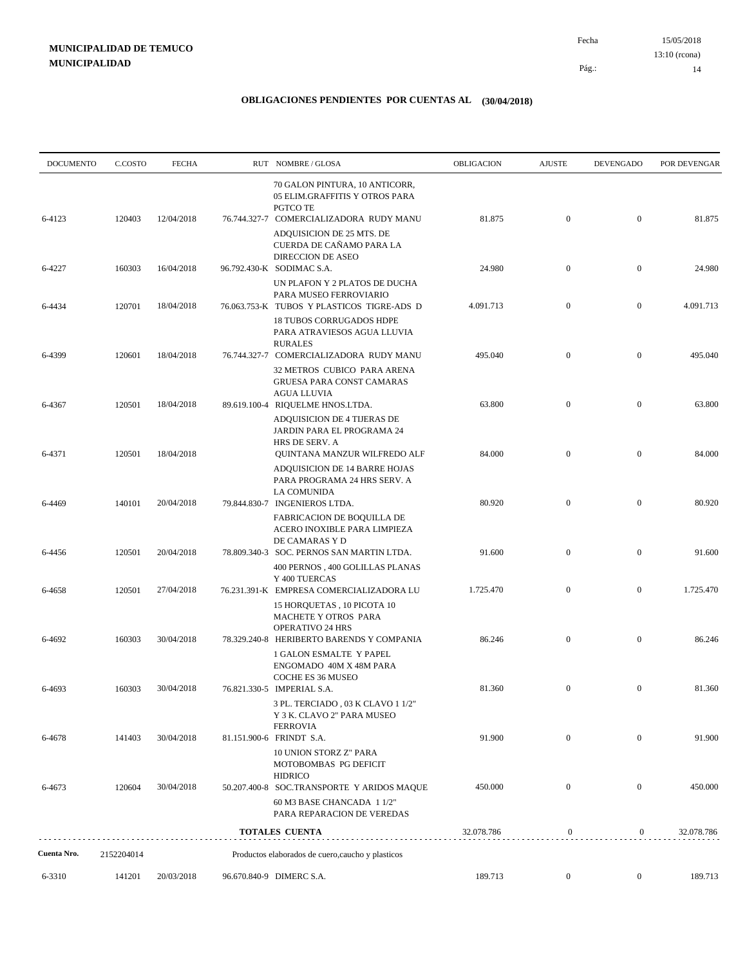| <b>DOCUMENTO</b> | C.COSTO    | <b>FECHA</b> | RUT NOMBRE/GLOSA                                                                                                                                                                 | OBLIGACION | <b>AJUSTE</b>    | <b>DEVENGADO</b> | POR DEVENGAR |
|------------------|------------|--------------|----------------------------------------------------------------------------------------------------------------------------------------------------------------------------------|------------|------------------|------------------|--------------|
| 6-4123           | 120403     | 12/04/2018   | 70 GALON PINTURA, 10 ANTICORR,<br>05 ELIM.GRAFFITIS Y OTROS PARA<br>PGTCO TE<br>76.744.327-7 COMERCIALIZADORA RUDY MANU<br>ADQUISICION DE 25 MTS. DE<br>CUERDA DE CAÑAMO PARA LA | 81.875     | $\mathbf{0}$     | $\mathbf{0}$     | 81.875       |
| 6-4227           | 160303     | 16/04/2018   | <b>DIRECCION DE ASEO</b><br>96.792.430-K SODIMAC S.A.                                                                                                                            | 24.980     | $\boldsymbol{0}$ | $\mathbf{0}$     | 24.980       |
| 6-4434           | 120701     | 18/04/2018   | UN PLAFON Y 2 PLATOS DE DUCHA<br>PARA MUSEO FERROVIARIO<br>76.063.753-K TUBOS Y PLASTICOS TIGRE-ADS D<br><b>18 TUBOS CORRUGADOS HDPE</b>                                         | 4.091.713  | $\mathbf{0}$     | $\mathbf{0}$     | 4.091.713    |
| 6-4399           | 120601     | 18/04/2018   | PARA ATRAVIESOS AGUA LLUVIA<br><b>RURALES</b><br>76.744.327-7 COMERCIALIZADORA RUDY MANU<br>32 METROS CUBICO PARA ARENA                                                          | 495.040    | $\mathbf{0}$     | $\mathbf{0}$     | 495.040      |
| 6-4367           | 120501     | 18/04/2018   | GRUESA PARA CONST CAMARAS<br><b>AGUA LLUVIA</b><br>89.619.100-4 RIQUELME HNOS.LTDA.                                                                                              | 63.800     | $\boldsymbol{0}$ | $\mathbf{0}$     | 63.800       |
| 6-4371           | 120501     | 18/04/2018   | ADQUISICION DE 4 TIJERAS DE<br>JARDIN PARA EL PROGRAMA 24<br>HRS DE SERV. A<br>QUINTANA MANZUR WILFREDO ALF                                                                      | 84.000     | $\mathbf{0}$     | $\mathbf{0}$     | 84.000       |
| 6-4469           | 140101     | 20/04/2018   | ADQUISICION DE 14 BARRE HOJAS<br>PARA PROGRAMA 24 HRS SERV. A<br>LA COMUNIDA<br>79.844.830-7 INGENIEROS LTDA.                                                                    | 80.920     | $\boldsymbol{0}$ | $\mathbf{0}$     | 80.920       |
| 6-4456           | 120501     | 20/04/2018   | FABRICACION DE BOQUILLA DE<br>ACERO INOXIBLE PARA LIMPIEZA<br>DE CAMARAS Y D<br>78.809.340-3 SOC. PERNOS SAN MARTIN LTDA.                                                        | 91.600     | $\boldsymbol{0}$ | $\mathbf{0}$     | 91.600       |
|                  |            |              | 400 PERNOS , 400 GOLILLAS PLANAS<br>Y 400 TUERCAS                                                                                                                                |            |                  |                  |              |
| 6-4658           | 120501     | 27/04/2018   | 76.231.391-K EMPRESA COMERCIALIZADORA LU<br>15 HORQUETAS, 10 PICOTA 10<br>MACHETE Y OTROS PARA<br><b>OPERATIVO 24 HRS</b>                                                        | 1.725.470  | $\boldsymbol{0}$ | $\mathbf{0}$     | 1.725.470    |
| 6-4692           | 160303     | 30/04/2018   | 78.329.240-8 HERIBERTO BARENDS Y COMPANIA<br><b>1 GALON ESMALTE Y PAPEL</b><br>ENGOMADO 40M X 48M PARA                                                                           | 86.246     | $\mathbf{0}$     | $\mathbf{0}$     | 86.246       |
| 6-4693           | 160303     | 30/04/2018   | COCHE ES 36 MUSEO<br>76.821.330-5 IMPERIAL S.A.<br>3 PL. TERCIADO, 03 K CLAVO 1 1/2"<br>Y 3 K. CLAVO 2" PARA MUSEO                                                               | 81.360     | $\boldsymbol{0}$ | $\mathbf{0}$     | 81.360       |
| 6-4678           | 141403     | 30/04/2018   | <b>FERROVIA</b><br>81.151.900-6 FRINDT S.A.<br>10 UNION STORZ Z" PARA                                                                                                            | 91.900     | $\mathbf{0}$     | $\mathbf{0}$     | 91.900       |
| 6-4673           | 120604     | 30/04/2018   | MOTOBOMBAS PG DEFICIT<br><b>HIDRICO</b><br>50.207.400-8 SOC.TRANSPORTE Y ARIDOS MAQUE<br>60 M3 BASE CHANCADA 1 1/2"                                                              | 450.000    | $\boldsymbol{0}$ | $\mathbf{0}$     | 450.000      |
|                  |            |              | PARA REPARACION DE VEREDAS<br><b>TOTALES CUENTA</b>                                                                                                                              | 32.078.786 | $\boldsymbol{0}$ | $\mathbf{0}$     | 32.078.786   |
| Cuenta Nro.      | 2152204014 |              | Productos elaborados de cuero, caucho y plasticos                                                                                                                                |            |                  |                  |              |
| 6-3310           | 141201     | 20/03/2018   | 96.670.840-9 DIMERC S.A.                                                                                                                                                         | 189.713    | $\overline{0}$   | $\boldsymbol{0}$ | 189.713      |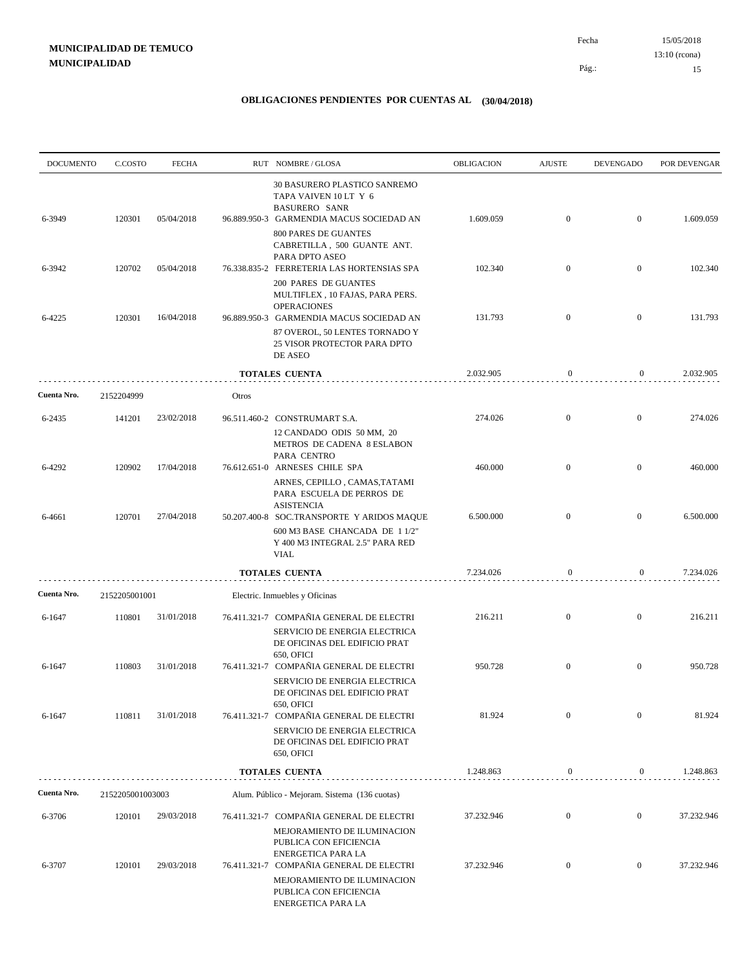| <b>DOCUMENTO</b> | C.COSTO          | <b>FECHA</b> |       | RUT NOMBRE/GLOSA                                                                                                                | OBLIGACION | <b>AJUSTE</b>    | <b>DEVENGADO</b> | POR DEVENGAR |
|------------------|------------------|--------------|-------|---------------------------------------------------------------------------------------------------------------------------------|------------|------------------|------------------|--------------|
| 6-3949           | 120301           | 05/04/2018   |       | 30 BASURERO PLASTICO SANREMO<br>TAPA VAIVEN 10 LT Y 6<br><b>BASURERO SANR</b><br>96.889.950-3 GARMENDIA MACUS SOCIEDAD AN       | 1.609.059  | $\mathbf{0}$     | $\mathbf{0}$     | 1.609.059    |
|                  |                  |              |       | <b>800 PARES DE GUANTES</b><br>CABRETILLA, 500 GUANTE ANT.<br>PARA DPTO ASEO                                                    |            |                  |                  |              |
| 6-3942           | 120702           | 05/04/2018   |       | 76.338.835-2 FERRETERIA LAS HORTENSIAS SPA<br><b>200 PARES DE GUANTES</b><br>MULTIFLEX, 10 FAJAS, PARA PERS.                    | 102.340    | $\overline{0}$   | $\mathbf{0}$     | 102.340      |
| 6-4225           | 120301           | 16/04/2018   |       | <b>OPERACIONES</b><br>96.889.950-3 GARMENDIA MACUS SOCIEDAD AN                                                                  | 131.793    | $\overline{0}$   | $\overline{0}$   | 131.793      |
|                  |                  |              |       | 87 OVEROL, 50 LENTES TORNADO Y<br>25 VISOR PROTECTOR PARA DPTO<br>DE ASEO                                                       |            |                  |                  |              |
|                  |                  |              |       | <b>TOTALES CUENTA</b>                                                                                                           | 2.032.905  | $\bf{0}$         | $\overline{0}$   | 2.032.905    |
| Cuenta Nro.      | 2152204999       |              | Otros |                                                                                                                                 |            |                  |                  |              |
| 6-2435           | 141201           | 23/02/2018   |       | 96.511.460-2 CONSTRUMART S.A.<br>12 CANDADO ODIS 50 MM, 20<br>METROS DE CADENA 8 ESLABON                                        | 274.026    | $\mathbf{0}$     | $\mathbf{0}$     | 274.026      |
| 6-4292           | 120902           | 17/04/2018   |       | PARA CENTRO<br>76.612.651-0 ARNESES CHILE SPA<br>ARNES, CEPILLO, CAMAS, TATAMI                                                  | 460.000    | $\mathbf{0}$     | $\overline{0}$   | 460.000      |
| 6-4661           | 120701           | 27/04/2018   |       | PARA ESCUELA DE PERROS DE<br><b>ASISTENCIA</b><br>50.207.400-8 SOC.TRANSPORTE Y ARIDOS MAQUE                                    | 6.500.000  | $\overline{0}$   | $\mathbf{0}$     | 6.500.000    |
|                  |                  |              |       | 600 M3 BASE CHANCADA DE 1 1/2"<br>Y 400 M3 INTEGRAL 2.5" PARA RED<br><b>VIAL</b>                                                |            |                  |                  |              |
|                  |                  |              |       | <b>TOTALES CUENTA</b>                                                                                                           | 7.234.026  | $\bf{0}$         | 0                | 7.234.026    |
| Cuenta Nro.      | 2152205001001    |              |       | Electric. Inmuebles y Oficinas                                                                                                  |            |                  |                  |              |
| 6-1647           | 110801           | 31/01/2018   |       | 76.411.321-7 COMPAÑIA GENERAL DE ELECTRI<br>SERVICIO DE ENERGIA ELECTRICA<br>DE OFICINAS DEL EDIFICIO PRAT<br><b>650, OFICI</b> | 216.211    | $\mathbf{0}$     | $\boldsymbol{0}$ | 216.211      |
| 6-1647           | 110803           | 31/01/2018   |       | 76.411.321-7 COMPAÑIA GENERAL DE ELECTRI<br>SERVICIO DE ENERGIA ELECTRICA<br>DE OFICINAS DEL EDIFICIO PRAT                      | 950.728    | $\mathbf{0}$     | $\mathbf{0}$     | 950.728      |
| 6-1647           | 110811           | 31/01/2018   |       | <b>650, OFICI</b><br>76.411.321-7 COMPAÑIA GENERAL DE ELECTRI<br>SERVICIO DE ENERGIA ELECTRICA<br>DE OFICINAS DEL EDIFICIO PRAT | 81.924     | $\mathbf{0}$     | $\boldsymbol{0}$ | 81.924       |
|                  |                  |              |       | 650, OFICI<br><b>TOTALES CUENTA</b>                                                                                             | 1.248.863  | $\boldsymbol{0}$ | 0                | 1.248.863    |
| Cuenta Nro.      |                  |              |       |                                                                                                                                 |            |                  |                  |              |
|                  | 2152205001003003 |              |       | Alum. Público - Mejoram. Sistema (136 cuotas)                                                                                   |            |                  |                  |              |
| 6-3706           | 120101           | 29/03/2018   |       | 76.411.321-7 COMPAÑIA GENERAL DE ELECTRI<br>MEJORAMIENTO DE ILUMINACION<br>PUBLICA CON EFICIENCIA<br><b>ENERGETICA PARA LA</b>  | 37.232.946 | $\boldsymbol{0}$ | $\boldsymbol{0}$ | 37.232.946   |
| 6-3707           | 120101           | 29/03/2018   |       | 76.411.321-7 COMPAÑIA GENERAL DE ELECTRI<br>MEJORAMIENTO DE ILUMINACION<br>PUBLICA CON EFICIENCIA<br>ENERGETICA PARA LA         | 37.232.946 | $\boldsymbol{0}$ | $\boldsymbol{0}$ | 37.232.946   |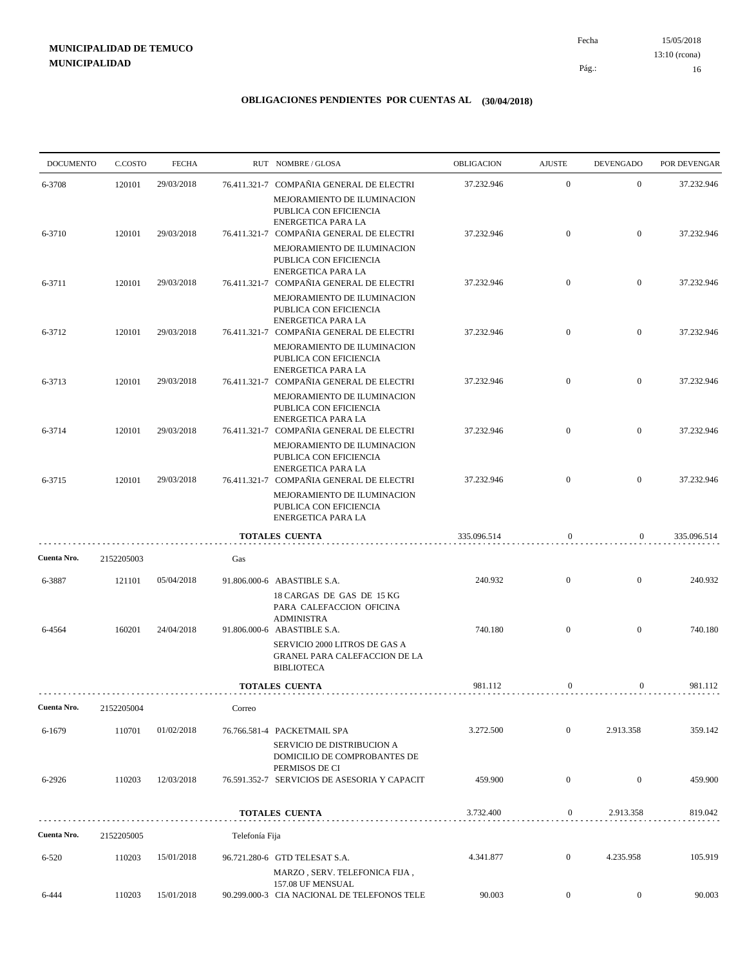15/05/2018 16 Pág.: Fecha 13:10 (rcona)

| <b>DOCUMENTO</b> | C.COSTO    | <b>FECHA</b> |                | RUT NOMBRE/GLOSA                                                                                                               | <b>OBLIGACION</b> | <b>AJUSTE</b>    | <b>DEVENGADO</b> | POR DEVENGAR |
|------------------|------------|--------------|----------------|--------------------------------------------------------------------------------------------------------------------------------|-------------------|------------------|------------------|--------------|
| 6-3708           | 120101     | 29/03/2018   |                | 76.411.321-7 COMPAÑIA GENERAL DE ELECTRI                                                                                       | 37.232.946        | $\mathbf{0}$     | $\overline{0}$   | 37.232.946   |
|                  |            |              |                | MEJORAMIENTO DE ILUMINACION<br>PUBLICA CON EFICIENCIA<br><b>ENERGETICA PARA LA</b>                                             |                   |                  |                  |              |
| 6-3710           | 120101     | 29/03/2018   |                | 76.411.321-7 COMPAÑIA GENERAL DE ELECTRI                                                                                       | 37.232.946        | $\overline{0}$   | $\overline{0}$   | 37.232.946   |
|                  |            |              |                | MEJORAMIENTO DE ILUMINACION<br>PUBLICA CON EFICIENCIA<br>ENERGETICA PARA LA                                                    |                   |                  |                  |              |
| 6-3711           | 120101     | 29/03/2018   |                | 76.411.321-7 COMPAÑIA GENERAL DE ELECTRI                                                                                       | 37.232.946        | $\overline{0}$   | $\mathbf{0}$     | 37.232.946   |
|                  |            |              |                | MEJORAMIENTO DE ILUMINACION<br>PUBLICA CON EFICIENCIA<br><b>ENERGETICA PARA LA</b>                                             |                   |                  |                  |              |
| 6-3712           | 120101     | 29/03/2018   |                | 76.411.321-7 COMPAÑIA GENERAL DE ELECTRI                                                                                       | 37.232.946        | $\overline{0}$   | $\mathbf{0}$     | 37.232.946   |
|                  |            |              |                | MEJORAMIENTO DE ILUMINACION<br>PUBLICA CON EFICIENCIA<br>ENERGETICA PARA LA                                                    |                   |                  |                  |              |
| 6-3713           | 120101     | 29/03/2018   |                | 76.411.321-7 COMPAÑIA GENERAL DE ELECTRI                                                                                       | 37.232.946        | $\overline{0}$   | $\mathbf{0}$     | 37.232.946   |
| 6-3714           | 120101     | 29/03/2018   |                | MEJORAMIENTO DE ILUMINACION<br>PUBLICA CON EFICIENCIA<br><b>ENERGETICA PARA LA</b><br>76.411.321-7 COMPAÑIA GENERAL DE ELECTRI | 37.232.946        | $\overline{0}$   | $\overline{0}$   | 37.232.946   |
|                  |            |              |                | MEJORAMIENTO DE ILUMINACION                                                                                                    |                   |                  |                  |              |
| 6-3715           | 120101     | 29/03/2018   |                | PUBLICA CON EFICIENCIA<br><b>ENERGETICA PARA LA</b><br>76.411.321-7 COMPAÑIA GENERAL DE ELECTRI                                | 37.232.946        | $\overline{0}$   | $\overline{0}$   | 37.232.946   |
|                  |            |              |                | MEJORAMIENTO DE ILUMINACION<br>PUBLICA CON EFICIENCIA<br>ENERGETICA PARA LA                                                    |                   |                  |                  |              |
|                  |            |              |                | <b>TOTALES CUENTA</b>                                                                                                          | 335.096.514       | $\boldsymbol{0}$ | $\overline{0}$   | 335.096.514  |
| Cuenta Nro.      | 2152205003 |              | Gas            |                                                                                                                                |                   |                  |                  |              |
| 6-3887           | 121101     | 05/04/2018   |                | 91.806.000-6 ABASTIBLE S.A.                                                                                                    | 240.932           | $\overline{0}$   | $\mathbf{0}$     | 240.932      |
|                  |            |              |                | 18 CARGAS DE GAS DE 15 KG<br>PARA CALEFACCION OFICINA<br><b>ADMINISTRA</b>                                                     |                   |                  |                  |              |
| 6-4564           | 160201     | 24/04/2018   |                | 91.806.000-6 ABASTIBLE S.A.                                                                                                    | 740.180           | $\overline{0}$   | $\mathbf{0}$     | 740.180      |
|                  |            |              |                | SERVICIO 2000 LITROS DE GAS A<br><b>GRANEL PARA CALEFACCION DE LA</b><br><b>BIBLIOTECA</b>                                     |                   |                  |                  |              |
|                  |            |              |                | <b>TOTALES CUENTA</b>                                                                                                          | 981.112           | $\mathbf{0}$     | $\overline{0}$   | 981.112      |
| Cuenta Nro.      | 2152205004 |              | Correo         |                                                                                                                                |                   |                  |                  |              |
| 6-1679           | 110701     | 01/02/2018   |                | 76.766.581-4 PACKETMAIL SPA                                                                                                    | 3.272.500         | $\mathbf{0}$     | 2.913.358        | 359.142      |
|                  |            |              |                | <b>SERVICIO DE DISTRIBUCION A</b><br>DOMICILIO DE COMPROBANTES DE<br>PERMISOS DE CI                                            |                   |                  |                  |              |
| 6-2926           | 110203     | 12/03/2018   |                | 76.591.352-7 SERVICIOS DE ASESORIA Y CAPACIT                                                                                   | 459.900           | $\boldsymbol{0}$ | $\mathbf{0}$     | 459.900      |
|                  |            |              |                | <b>TOTALES CUENTA</b>                                                                                                          | 3.732.400         | $\boldsymbol{0}$ | 2.913.358        | 819.042      |
| Cuenta Nro.      | 2152205005 |              | Telefonía Fija |                                                                                                                                |                   |                  |                  |              |
| $6 - 520$        | 110203     | 15/01/2018   |                | 96.721.280-6 GTD TELESAT S.A.                                                                                                  | 4.341.877         | $\mathbf{0}$     | 4.235.958        | 105.919      |
|                  |            |              |                | MARZO, SERV. TELEFONICA FIJA,<br>157.08 UF MENSUAL                                                                             |                   |                  |                  |              |
| 6-444            | 110203     | 15/01/2018   |                | 90.299.000-3 CIA NACIONAL DE TELEFONOS TELE                                                                                    | 90.003            | $\boldsymbol{0}$ | $\overline{0}$   | 90.003       |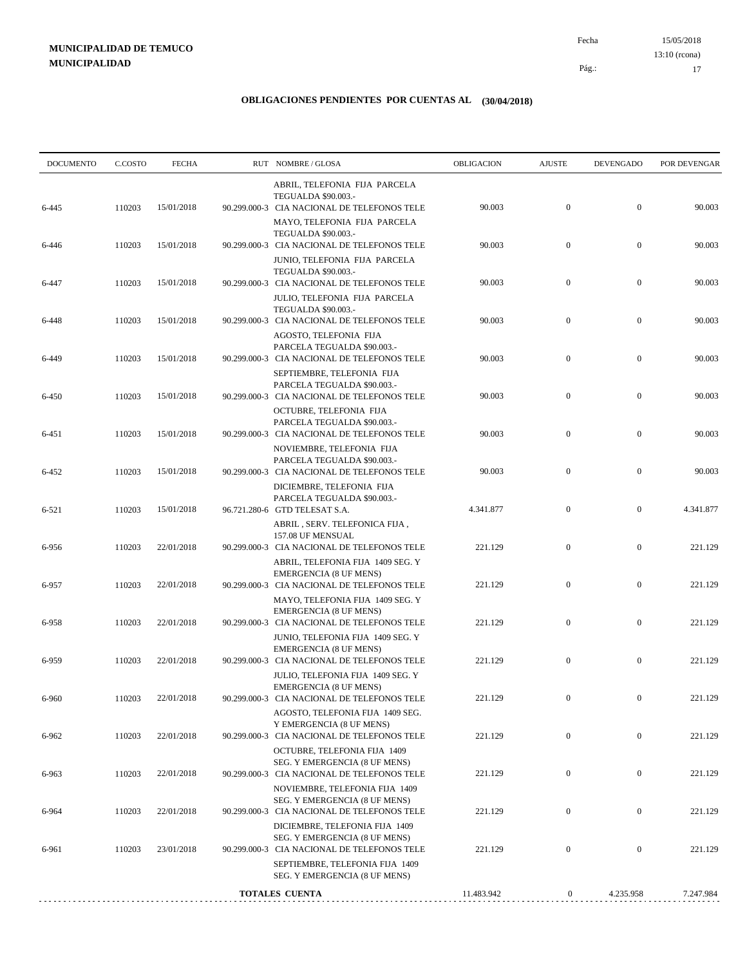15/05/2018 17 Pág.: Fecha 13:10 (rcona)

| ABRIL, TELEFONIA FIJA PARCELA<br>TEGUALDA \$90.003.-<br>90.003<br>$\boldsymbol{0}$<br>110203<br>15/01/2018<br>$\mathbf{0}$<br>6-445<br>90.299.000-3 CIA NACIONAL DE TELEFONOS TELE<br>MAYO, TELEFONIA FIJA PARCELA<br><b>TEGUALDA \$90.003.-</b><br>$\boldsymbol{0}$<br>90.003<br>$\boldsymbol{0}$<br>110203<br>15/01/2018<br>90.299.000-3 CIA NACIONAL DE TELEFONOS TELE<br>6-446<br>JUNIO, TELEFONIA FIJA PARCELA<br>TEGUALDA \$90.003.-<br>90.003<br>$\boldsymbol{0}$<br>$\boldsymbol{0}$<br>110203<br>15/01/2018<br>90.299.000-3 CIA NACIONAL DE TELEFONOS TELE<br>6-447<br>JULIO, TELEFONIA FIJA PARCELA<br>TEGUALDA \$90.003.-<br>$\boldsymbol{0}$<br>$\boldsymbol{0}$<br>15/01/2018<br>90.003<br>6-448<br>110203<br>90.299.000-3 CIA NACIONAL DE TELEFONOS TELE<br>AGOSTO, TELEFONIA FIJA<br>PARCELA TEGUALDA \$90.003.-<br>$\mathbf{0}$<br>90.003<br>$\boldsymbol{0}$<br>110203<br>15/01/2018<br>90.299.000-3 CIA NACIONAL DE TELEFONOS TELE<br>6-449<br>SEPTIEMBRE, TELEFONIA FIJA<br>PARCELA TEGUALDA \$90.003.-<br>110203<br>90.003<br>$\boldsymbol{0}$<br>$\mathbf{0}$<br>6-450<br>15/01/2018<br>90.299.000-3 CIA NACIONAL DE TELEFONOS TELE<br>OCTUBRE, TELEFONIA FIJA<br>PARCELA TEGUALDA \$90.003.-<br>$\mathbf{0}$<br>$\boldsymbol{0}$<br>15/01/2018<br>90.003<br>6-451<br>110203<br>90.299.000-3 CIA NACIONAL DE TELEFONOS TELE<br>NOVIEMBRE, TELEFONIA FIJA<br>PARCELA TEGUALDA \$90.003.-<br>$\mathbf{0}$<br>110203<br>90.299.000-3 CIA NACIONAL DE TELEFONOS TELE<br>90.003<br>$\mathbf{0}$<br>6-452<br>15/01/2018<br>DICIEMBRE, TELEFONIA FIJA<br>PARCELA TEGUALDA \$90.003 .-<br>$\boldsymbol{0}$<br>$\boldsymbol{0}$<br>15/01/2018<br>96.721.280-6 GTD TELESAT S.A.<br>4.341.877<br>6-521<br>110203<br>ABRIL, SERV. TELEFONICA FIJA,<br>157.08 UF MENSUAL<br>110203<br>90.299.000-3 CIA NACIONAL DE TELEFONOS TELE<br>$\boldsymbol{0}$<br>$\boldsymbol{0}$<br>6-956<br>22/01/2018<br>221.129<br>ABRIL, TELEFONIA FIJA 1409 SEG. Y<br><b>EMERGENCIA (8 UF MENS)</b><br>$\mathbf{0}$<br>$\boldsymbol{0}$<br>110203<br>22/01/2018<br>90.299.000-3 CIA NACIONAL DE TELEFONOS TELE<br>221.129<br>6-957<br>MAYO, TELEFONIA FIJA 1409 SEG. Y<br><b>EMERGENCIA (8 UF MENS)</b><br>110203<br>90.299.000-3 CIA NACIONAL DE TELEFONOS TELE<br>221.129<br>$\mathbf{0}$<br>$\boldsymbol{0}$<br>6-958<br>22/01/2018<br>JUNIO, TELEFONIA FIJA 1409 SEG. Y<br><b>EMERGENCIA (8 UF MENS)</b><br>221.129<br>$\mathbf{0}$<br>$\boldsymbol{0}$<br>110203<br>22/01/2018<br>6-959<br>90.299.000-3 CIA NACIONAL DE TELEFONOS TELE<br>JULIO, TELEFONIA FIJA 1409 SEG. Y<br>EMERGENCIA (8 UF MENS)<br>110203<br>22/01/2018<br>90.299.000-3 CIA NACIONAL DE TELEFONOS TELE<br>221.129<br>$\overline{0}$<br>$\mathbf{0}$<br>AGOSTO, TELEFONIA FIJA 1409 SEG.<br>Y EMERGENCIA (8 UF MENS)<br>$\boldsymbol{0}$<br>$\boldsymbol{0}$<br>22/01/2018<br>221.129<br>110203<br>6-962<br>90.299.000-3 CIA NACIONAL DE TELEFONOS TELE<br>OCTUBRE, TELEFONIA FIJA 1409<br>SEG. Y EMERGENCIA (8 UF MENS)<br>$\boldsymbol{0}$<br>$\boldsymbol{0}$<br>110203<br>22/01/2018<br>90.299.000-3 CIA NACIONAL DE TELEFONOS TELE<br>221.129<br>6-963<br>NOVIEMBRE, TELEFONIA FIJA 1409<br>SEG. Y EMERGENCIA (8 UF MENS)<br>$\boldsymbol{0}$<br>$\mathbf{0}$<br>110203<br>22/01/2018<br>90.299.000-3 CIA NACIONAL DE TELEFONOS TELE<br>221.129<br>6-964<br>DICIEMBRE, TELEFONIA FIJA 1409<br>SEG. Y EMERGENCIA (8 UF MENS)<br>$\boldsymbol{0}$<br>$\boldsymbol{0}$<br>221.129<br>110203<br>23/01/2018<br>90.299.000-3 CIA NACIONAL DE TELEFONOS TELE<br>6-961<br>SEPTIEMBRE, TELEFONIA FIJA 1409<br>SEG. Y EMERGENCIA (8 UF MENS)<br>11.483.942<br>4.235.958<br>TOTALES CUENTA<br>0 | <b>DOCUMENTO</b> | C.COSTO | <b>FECHA</b> | RUT NOMBRE/GLOSA | OBLIGACION | <b>AJUSTE</b> | <b>DEVENGADO</b> | POR DEVENGAR |
|-----------------------------------------------------------------------------------------------------------------------------------------------------------------------------------------------------------------------------------------------------------------------------------------------------------------------------------------------------------------------------------------------------------------------------------------------------------------------------------------------------------------------------------------------------------------------------------------------------------------------------------------------------------------------------------------------------------------------------------------------------------------------------------------------------------------------------------------------------------------------------------------------------------------------------------------------------------------------------------------------------------------------------------------------------------------------------------------------------------------------------------------------------------------------------------------------------------------------------------------------------------------------------------------------------------------------------------------------------------------------------------------------------------------------------------------------------------------------------------------------------------------------------------------------------------------------------------------------------------------------------------------------------------------------------------------------------------------------------------------------------------------------------------------------------------------------------------------------------------------------------------------------------------------------------------------------------------------------------------------------------------------------------------------------------------------------------------------------------------------------------------------------------------------------------------------------------------------------------------------------------------------------------------------------------------------------------------------------------------------------------------------------------------------------------------------------------------------------------------------------------------------------------------------------------------------------------------------------------------------------------------------------------------------------------------------------------------------------------------------------------------------------------------------------------------------------------------------------------------------------------------------------------------------------------------------------------------------------------------------------------------------------------------------------------------------------------------------------------------------------------------------------------------------------------------------------------------------------------------------------------------------------------------------------------------------------------------------------------------------------------------------------------------------------------------------------------------------------------------------------------------------------------------------------------------------------------------------------------------------------------------------------------------|------------------|---------|--------------|------------------|------------|---------------|------------------|--------------|
|                                                                                                                                                                                                                                                                                                                                                                                                                                                                                                                                                                                                                                                                                                                                                                                                                                                                                                                                                                                                                                                                                                                                                                                                                                                                                                                                                                                                                                                                                                                                                                                                                                                                                                                                                                                                                                                                                                                                                                                                                                                                                                                                                                                                                                                                                                                                                                                                                                                                                                                                                                                                                                                                                                                                                                                                                                                                                                                                                                                                                                                                                                                                                                                                                                                                                                                                                                                                                                                                                                                                                                                                                                                           |                  |         |              |                  |            |               |                  | 90.003       |
|                                                                                                                                                                                                                                                                                                                                                                                                                                                                                                                                                                                                                                                                                                                                                                                                                                                                                                                                                                                                                                                                                                                                                                                                                                                                                                                                                                                                                                                                                                                                                                                                                                                                                                                                                                                                                                                                                                                                                                                                                                                                                                                                                                                                                                                                                                                                                                                                                                                                                                                                                                                                                                                                                                                                                                                                                                                                                                                                                                                                                                                                                                                                                                                                                                                                                                                                                                                                                                                                                                                                                                                                                                                           |                  |         |              |                  |            |               |                  | 90.003       |
|                                                                                                                                                                                                                                                                                                                                                                                                                                                                                                                                                                                                                                                                                                                                                                                                                                                                                                                                                                                                                                                                                                                                                                                                                                                                                                                                                                                                                                                                                                                                                                                                                                                                                                                                                                                                                                                                                                                                                                                                                                                                                                                                                                                                                                                                                                                                                                                                                                                                                                                                                                                                                                                                                                                                                                                                                                                                                                                                                                                                                                                                                                                                                                                                                                                                                                                                                                                                                                                                                                                                                                                                                                                           |                  |         |              |                  |            |               |                  | 90.003       |
|                                                                                                                                                                                                                                                                                                                                                                                                                                                                                                                                                                                                                                                                                                                                                                                                                                                                                                                                                                                                                                                                                                                                                                                                                                                                                                                                                                                                                                                                                                                                                                                                                                                                                                                                                                                                                                                                                                                                                                                                                                                                                                                                                                                                                                                                                                                                                                                                                                                                                                                                                                                                                                                                                                                                                                                                                                                                                                                                                                                                                                                                                                                                                                                                                                                                                                                                                                                                                                                                                                                                                                                                                                                           |                  |         |              |                  |            |               |                  | 90.003       |
|                                                                                                                                                                                                                                                                                                                                                                                                                                                                                                                                                                                                                                                                                                                                                                                                                                                                                                                                                                                                                                                                                                                                                                                                                                                                                                                                                                                                                                                                                                                                                                                                                                                                                                                                                                                                                                                                                                                                                                                                                                                                                                                                                                                                                                                                                                                                                                                                                                                                                                                                                                                                                                                                                                                                                                                                                                                                                                                                                                                                                                                                                                                                                                                                                                                                                                                                                                                                                                                                                                                                                                                                                                                           |                  |         |              |                  |            |               |                  | 90.003       |
|                                                                                                                                                                                                                                                                                                                                                                                                                                                                                                                                                                                                                                                                                                                                                                                                                                                                                                                                                                                                                                                                                                                                                                                                                                                                                                                                                                                                                                                                                                                                                                                                                                                                                                                                                                                                                                                                                                                                                                                                                                                                                                                                                                                                                                                                                                                                                                                                                                                                                                                                                                                                                                                                                                                                                                                                                                                                                                                                                                                                                                                                                                                                                                                                                                                                                                                                                                                                                                                                                                                                                                                                                                                           |                  |         |              |                  |            |               |                  | 90.003       |
|                                                                                                                                                                                                                                                                                                                                                                                                                                                                                                                                                                                                                                                                                                                                                                                                                                                                                                                                                                                                                                                                                                                                                                                                                                                                                                                                                                                                                                                                                                                                                                                                                                                                                                                                                                                                                                                                                                                                                                                                                                                                                                                                                                                                                                                                                                                                                                                                                                                                                                                                                                                                                                                                                                                                                                                                                                                                                                                                                                                                                                                                                                                                                                                                                                                                                                                                                                                                                                                                                                                                                                                                                                                           |                  |         |              |                  |            |               |                  | 90.003       |
|                                                                                                                                                                                                                                                                                                                                                                                                                                                                                                                                                                                                                                                                                                                                                                                                                                                                                                                                                                                                                                                                                                                                                                                                                                                                                                                                                                                                                                                                                                                                                                                                                                                                                                                                                                                                                                                                                                                                                                                                                                                                                                                                                                                                                                                                                                                                                                                                                                                                                                                                                                                                                                                                                                                                                                                                                                                                                                                                                                                                                                                                                                                                                                                                                                                                                                                                                                                                                                                                                                                                                                                                                                                           |                  |         |              |                  |            |               |                  | 90.003       |
|                                                                                                                                                                                                                                                                                                                                                                                                                                                                                                                                                                                                                                                                                                                                                                                                                                                                                                                                                                                                                                                                                                                                                                                                                                                                                                                                                                                                                                                                                                                                                                                                                                                                                                                                                                                                                                                                                                                                                                                                                                                                                                                                                                                                                                                                                                                                                                                                                                                                                                                                                                                                                                                                                                                                                                                                                                                                                                                                                                                                                                                                                                                                                                                                                                                                                                                                                                                                                                                                                                                                                                                                                                                           |                  |         |              |                  |            |               |                  | 4.341.877    |
|                                                                                                                                                                                                                                                                                                                                                                                                                                                                                                                                                                                                                                                                                                                                                                                                                                                                                                                                                                                                                                                                                                                                                                                                                                                                                                                                                                                                                                                                                                                                                                                                                                                                                                                                                                                                                                                                                                                                                                                                                                                                                                                                                                                                                                                                                                                                                                                                                                                                                                                                                                                                                                                                                                                                                                                                                                                                                                                                                                                                                                                                                                                                                                                                                                                                                                                                                                                                                                                                                                                                                                                                                                                           |                  |         |              |                  |            |               |                  | 221.129      |
|                                                                                                                                                                                                                                                                                                                                                                                                                                                                                                                                                                                                                                                                                                                                                                                                                                                                                                                                                                                                                                                                                                                                                                                                                                                                                                                                                                                                                                                                                                                                                                                                                                                                                                                                                                                                                                                                                                                                                                                                                                                                                                                                                                                                                                                                                                                                                                                                                                                                                                                                                                                                                                                                                                                                                                                                                                                                                                                                                                                                                                                                                                                                                                                                                                                                                                                                                                                                                                                                                                                                                                                                                                                           |                  |         |              |                  |            |               |                  | 221.129      |
|                                                                                                                                                                                                                                                                                                                                                                                                                                                                                                                                                                                                                                                                                                                                                                                                                                                                                                                                                                                                                                                                                                                                                                                                                                                                                                                                                                                                                                                                                                                                                                                                                                                                                                                                                                                                                                                                                                                                                                                                                                                                                                                                                                                                                                                                                                                                                                                                                                                                                                                                                                                                                                                                                                                                                                                                                                                                                                                                                                                                                                                                                                                                                                                                                                                                                                                                                                                                                                                                                                                                                                                                                                                           |                  |         |              |                  |            |               |                  | 221.129      |
|                                                                                                                                                                                                                                                                                                                                                                                                                                                                                                                                                                                                                                                                                                                                                                                                                                                                                                                                                                                                                                                                                                                                                                                                                                                                                                                                                                                                                                                                                                                                                                                                                                                                                                                                                                                                                                                                                                                                                                                                                                                                                                                                                                                                                                                                                                                                                                                                                                                                                                                                                                                                                                                                                                                                                                                                                                                                                                                                                                                                                                                                                                                                                                                                                                                                                                                                                                                                                                                                                                                                                                                                                                                           |                  |         |              |                  |            |               |                  | 221.129      |
|                                                                                                                                                                                                                                                                                                                                                                                                                                                                                                                                                                                                                                                                                                                                                                                                                                                                                                                                                                                                                                                                                                                                                                                                                                                                                                                                                                                                                                                                                                                                                                                                                                                                                                                                                                                                                                                                                                                                                                                                                                                                                                                                                                                                                                                                                                                                                                                                                                                                                                                                                                                                                                                                                                                                                                                                                                                                                                                                                                                                                                                                                                                                                                                                                                                                                                                                                                                                                                                                                                                                                                                                                                                           | 6-960            |         |              |                  |            |               |                  | 221.129      |
|                                                                                                                                                                                                                                                                                                                                                                                                                                                                                                                                                                                                                                                                                                                                                                                                                                                                                                                                                                                                                                                                                                                                                                                                                                                                                                                                                                                                                                                                                                                                                                                                                                                                                                                                                                                                                                                                                                                                                                                                                                                                                                                                                                                                                                                                                                                                                                                                                                                                                                                                                                                                                                                                                                                                                                                                                                                                                                                                                                                                                                                                                                                                                                                                                                                                                                                                                                                                                                                                                                                                                                                                                                                           |                  |         |              |                  |            |               |                  | 221.129      |
|                                                                                                                                                                                                                                                                                                                                                                                                                                                                                                                                                                                                                                                                                                                                                                                                                                                                                                                                                                                                                                                                                                                                                                                                                                                                                                                                                                                                                                                                                                                                                                                                                                                                                                                                                                                                                                                                                                                                                                                                                                                                                                                                                                                                                                                                                                                                                                                                                                                                                                                                                                                                                                                                                                                                                                                                                                                                                                                                                                                                                                                                                                                                                                                                                                                                                                                                                                                                                                                                                                                                                                                                                                                           |                  |         |              |                  |            |               |                  | 221.129      |
|                                                                                                                                                                                                                                                                                                                                                                                                                                                                                                                                                                                                                                                                                                                                                                                                                                                                                                                                                                                                                                                                                                                                                                                                                                                                                                                                                                                                                                                                                                                                                                                                                                                                                                                                                                                                                                                                                                                                                                                                                                                                                                                                                                                                                                                                                                                                                                                                                                                                                                                                                                                                                                                                                                                                                                                                                                                                                                                                                                                                                                                                                                                                                                                                                                                                                                                                                                                                                                                                                                                                                                                                                                                           |                  |         |              |                  |            |               |                  | 221.129      |
|                                                                                                                                                                                                                                                                                                                                                                                                                                                                                                                                                                                                                                                                                                                                                                                                                                                                                                                                                                                                                                                                                                                                                                                                                                                                                                                                                                                                                                                                                                                                                                                                                                                                                                                                                                                                                                                                                                                                                                                                                                                                                                                                                                                                                                                                                                                                                                                                                                                                                                                                                                                                                                                                                                                                                                                                                                                                                                                                                                                                                                                                                                                                                                                                                                                                                                                                                                                                                                                                                                                                                                                                                                                           |                  |         |              |                  |            |               |                  | 221.129      |
|                                                                                                                                                                                                                                                                                                                                                                                                                                                                                                                                                                                                                                                                                                                                                                                                                                                                                                                                                                                                                                                                                                                                                                                                                                                                                                                                                                                                                                                                                                                                                                                                                                                                                                                                                                                                                                                                                                                                                                                                                                                                                                                                                                                                                                                                                                                                                                                                                                                                                                                                                                                                                                                                                                                                                                                                                                                                                                                                                                                                                                                                                                                                                                                                                                                                                                                                                                                                                                                                                                                                                                                                                                                           |                  |         |              |                  |            |               |                  |              |
|                                                                                                                                                                                                                                                                                                                                                                                                                                                                                                                                                                                                                                                                                                                                                                                                                                                                                                                                                                                                                                                                                                                                                                                                                                                                                                                                                                                                                                                                                                                                                                                                                                                                                                                                                                                                                                                                                                                                                                                                                                                                                                                                                                                                                                                                                                                                                                                                                                                                                                                                                                                                                                                                                                                                                                                                                                                                                                                                                                                                                                                                                                                                                                                                                                                                                                                                                                                                                                                                                                                                                                                                                                                           |                  |         |              |                  |            |               |                  | 7.247.984    |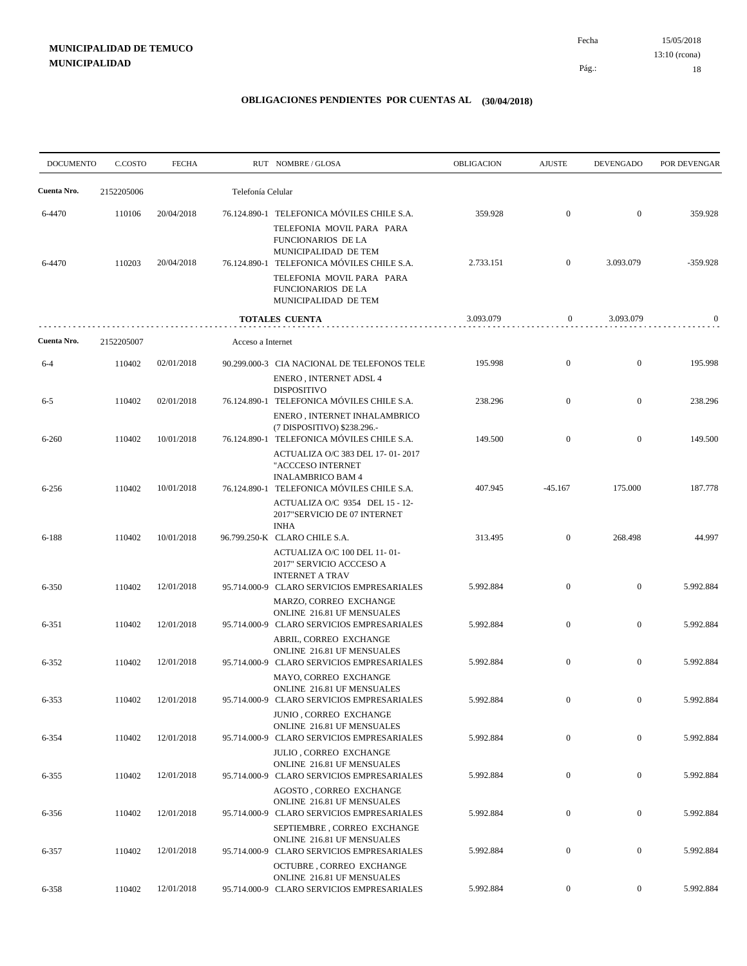15/05/2018 18 Pág.: Fecha 13:10 (rcona)

| <b>DOCUMENTO</b> | C.COSTO    | <b>FECHA</b> |                   | RUT NOMBRE/GLOSA                                                                                                                                                                                        | <b>OBLIGACION</b> | <b>AJUSTE</b>    | <b>DEVENGADO</b> | POR DEVENGAR |
|------------------|------------|--------------|-------------------|---------------------------------------------------------------------------------------------------------------------------------------------------------------------------------------------------------|-------------------|------------------|------------------|--------------|
| Cuenta Nro.      | 2152205006 |              | Telefonía Celular |                                                                                                                                                                                                         |                   |                  |                  |              |
| 6-4470           | 110106     | 20/04/2018   |                   | 76.124.890-1 TELEFONICA MÓVILES CHILE S.A.                                                                                                                                                              | 359.928           | $\mathbf{0}$     | $\overline{0}$   | 359.928      |
| 6-4470           | 110203     | 20/04/2018   |                   | TELEFONIA MOVIL PARA PARA<br>FUNCIONARIOS DE LA<br>MUNICIPALIDAD DE TEM<br>76.124.890-1 TELEFONICA MÓVILES CHILE S.A.<br>TELEFONIA MOVIL PARA PARA<br><b>FUNCIONARIOS DE LA</b><br>MUNICIPALIDAD DE TEM | 2.733.151         | $\mathbf{0}$     | 3.093.079        | $-359.928$   |
|                  |            |              |                   | <b>TOTALES CUENTA</b>                                                                                                                                                                                   | 3.093.079         | $\mathbf{0}$     | 3.093.079        | $\mathbf{0}$ |
| Cuenta Nro.      | 2152205007 |              | Acceso a Internet |                                                                                                                                                                                                         |                   |                  |                  |              |
| $6 - 4$          | 110402     | 02/01/2018   |                   | 90.299.000-3 CIA NACIONAL DE TELEFONOS TELE<br><b>ENERO, INTERNET ADSL 4</b>                                                                                                                            | 195.998           | $\mathbf{0}$     | $\overline{0}$   | 195.998      |
| $6 - 5$          | 110402     | 02/01/2018   |                   | <b>DISPOSITIVO</b><br>76.124.890-1 TELEFONICA MÓVILES CHILE S.A.<br>ENERO, INTERNET INHALAMBRICO                                                                                                        | 238.296           | $\overline{0}$   | $\mathbf{0}$     | 238.296      |
| $6 - 260$        | 110402     | 10/01/2018   |                   | (7 DISPOSITIVO) \$238.296.-<br>76.124.890-1 TELEFONICA MÓVILES CHILE S.A.<br>ACTUALIZA O/C 383 DEL 17-01-2017                                                                                           | 149.500           | $\mathbf{0}$     | $\boldsymbol{0}$ | 149.500      |
| $6 - 256$        | 110402     | 10/01/2018   |                   | "ACCCESO INTERNET<br><b>INALAMBRICO BAM 4</b><br>76.124.890-1 TELEFONICA MÓVILES CHILE S.A.<br>ACTUALIZA O/C 9354 DEL 15 - 12-<br>2017"SERVICIO DE 07 INTERNET                                          | 407.945           | $-45.167$        | 175.000          | 187.778      |
| $6 - 188$        | 110402     | 10/01/2018   |                   | <b>INHA</b><br>96.799.250-K CLARO CHILE S.A.                                                                                                                                                            | 313.495           | $\mathbf{0}$     | 268.498          | 44.997       |
| 6-350            | 110402     | 12/01/2018   |                   | ACTUALIZA O/C 100 DEL 11-01-<br>2017" SERVICIO ACCCESO A<br><b>INTERNET A TRAV</b><br>95.714.000-9 CLARO SERVICIOS EMPRESARIALES<br>MARZO, CORREO EXCHANGE                                              | 5.992.884         | $\mathbf{0}$     | $\overline{0}$   | 5.992.884    |
| 6-351            | 110402     | 12/01/2018   |                   | ONLINE 216.81 UF MENSUALES<br>95.714.000-9 CLARO SERVICIOS EMPRESARIALES                                                                                                                                | 5.992.884         | $\overline{0}$   | $\boldsymbol{0}$ | 5.992.884    |
| 6-352            | 110402     | 12/01/2018   |                   | ABRIL, CORREO EXCHANGE<br>ONLINE 216.81 UF MENSUALES<br>95.714.000-9 CLARO SERVICIOS EMPRESARIALES                                                                                                      | 5.992.884         | $\overline{0}$   | $\boldsymbol{0}$ | 5.992.884    |
| 6-353            | 110402     | 12/01/2018   |                   | MAYO, CORREO EXCHANGE<br>ONLINE 216.81 UF MENSUALES<br>95.714.000-9 CLARO SERVICIOS EMPRESARIALES<br>JUNIO, CORREO EXCHANGE                                                                             | 5.992.884         | $\overline{0}$   | $\overline{0}$   | 5.992.884    |
| 6-354            | 110402     | 12/01/2018   |                   | ONLINE 216.81 UF MENSUALES<br>95.714.000-9 CLARO SERVICIOS EMPRESARIALES                                                                                                                                | 5.992.884         | $\mathbf{0}$     | $\boldsymbol{0}$ | 5.992.884    |
| 6-355            | 110402     | 12/01/2018   |                   | JULIO, CORREO EXCHANGE<br>ONLINE 216.81 UF MENSUALES<br>95.714.000-9 CLARO SERVICIOS EMPRESARIALES                                                                                                      | 5.992.884         | $\boldsymbol{0}$ | $\boldsymbol{0}$ | 5.992.884    |
| 6-356            | 110402     | 12/01/2018   |                   | AGOSTO, CORREO EXCHANGE<br>ONLINE 216.81 UF MENSUALES<br>95.714.000-9 CLARO SERVICIOS EMPRESARIALES                                                                                                     | 5.992.884         | $\mathbf{0}$     | $\boldsymbol{0}$ | 5.992.884    |
| 6-357            | 110402     | 12/01/2018   |                   | SEPTIEMBRE, CORREO EXCHANGE<br>ONLINE 216.81 UF MENSUALES<br>95.714.000-9 CLARO SERVICIOS EMPRESARIALES                                                                                                 | 5.992.884         | $\boldsymbol{0}$ | $\boldsymbol{0}$ | 5.992.884    |
|                  |            | 12/01/2018   |                   | OCTUBRE, CORREO EXCHANGE<br>ONLINE 216.81 UF MENSUALES                                                                                                                                                  | 5.992.884         | $\boldsymbol{0}$ | $\boldsymbol{0}$ | 5.992.884    |
| 6-358            | 110402     |              |                   | 95.714.000-9 CLARO SERVICIOS EMPRESARIALES                                                                                                                                                              |                   |                  |                  |              |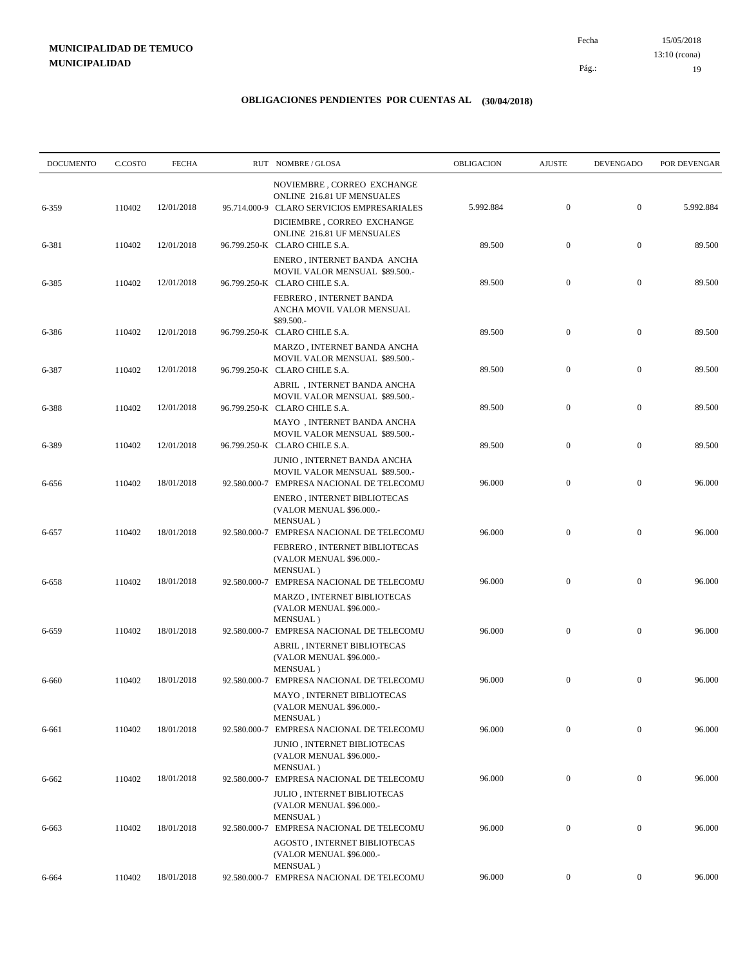15/05/2018 19 Pág.: Fecha 13:10 (rcona)

| <b>DOCUMENTO</b> | C.COSTO | <b>FECHA</b> | RUT NOMBRE/GLOSA                                                                                           | OBLIGACION | <b>AJUSTE</b>    | <b>DEVENGADO</b> | POR DEVENGAR |
|------------------|---------|--------------|------------------------------------------------------------------------------------------------------------|------------|------------------|------------------|--------------|
|                  |         |              | NOVIEMBRE, CORREO EXCHANGE<br>ONLINE 216.81 UF MENSUALES                                                   |            | $\boldsymbol{0}$ | $\boldsymbol{0}$ |              |
| 6-359            | 110402  | 12/01/2018   | 95.714.000-9 CLARO SERVICIOS EMPRESARIALES<br>DICIEMBRE, CORREO EXCHANGE<br>ONLINE 216.81 UF MENSUALES     | 5.992.884  |                  |                  | 5.992.884    |
| 6-381            | 110402  | 12/01/2018   | 96.799.250-K CLARO CHILE S.A.<br>ENERO, INTERNET BANDA ANCHA                                               | 89.500     | $\boldsymbol{0}$ | $\boldsymbol{0}$ | 89.500       |
| 6-385            | 110402  | 12/01/2018   | MOVIL VALOR MENSUAL \$89.500.-<br>96.799.250-K CLARO CHILE S.A.<br>FEBRERO, INTERNET BANDA                 | 89.500     | $\mathbf{0}$     | $\boldsymbol{0}$ | 89.500       |
| 6-386            | 110402  | 12/01/2018   | ANCHA MOVIL VALOR MENSUAL<br>\$89.500.-<br>96.799.250-K CLARO CHILE S.A.                                   | 89.500     | $\mathbf{0}$     | $\boldsymbol{0}$ | 89.500       |
|                  |         |              | MARZO, INTERNET BANDA ANCHA<br>MOVIL VALOR MENSUAL \$89.500.-                                              |            |                  |                  |              |
| 6-387            | 110402  | 12/01/2018   | 96.799.250-K CLARO CHILE S.A.<br>ABRIL, INTERNET BANDA ANCHA                                               | 89.500     | $\mathbf{0}$     | $\boldsymbol{0}$ | 89.500       |
| 6-388            | 110402  | 12/01/2018   | MOVIL VALOR MENSUAL \$89.500.-<br>96.799.250-K CLARO CHILE S.A.<br>MAYO, INTERNET BANDA ANCHA              | 89.500     | $\boldsymbol{0}$ | $\boldsymbol{0}$ | 89.500       |
| 6-389            | 110402  | 12/01/2018   | MOVIL VALOR MENSUAL \$89.500.-<br>96.799.250-K CLARO CHILE S.A.                                            | 89.500     | $\mathbf{0}$     | $\boldsymbol{0}$ | 89.500       |
| 6-656            | 110402  | 18/01/2018   | JUNIO, INTERNET BANDA ANCHA<br>MOVIL VALOR MENSUAL \$89.500.-<br>92.580.000-7 EMPRESA NACIONAL DE TELECOMU | 96.000     | $\mathbf{0}$     | $\boldsymbol{0}$ | 96.000       |
|                  |         |              | ENERO, INTERNET BIBLIOTECAS<br>(VALOR MENUAL \$96.000 .-<br>MENSUAL)                                       |            |                  |                  |              |
| 6-657            | 110402  | 18/01/2018   | 92.580.000-7 EMPRESA NACIONAL DE TELECOMU<br>FEBRERO, INTERNET BIBLIOTECAS<br>(VALOR MENUAL \$96.000.-     | 96.000     | $\mathbf{0}$     | $\boldsymbol{0}$ | 96.000       |
| 6-658            | 110402  | 18/01/2018   | MENSUAL)<br>92.580.000-7 EMPRESA NACIONAL DE TELECOMU                                                      | 96.000     | $\boldsymbol{0}$ | $\mathbf{0}$     | 96.000       |
|                  |         |              | MARZO, INTERNET BIBLIOTECAS<br>(VALOR MENUAL \$96.000.-<br>MENSUAL)                                        |            |                  |                  |              |
| 6-659            | 110402  | 18/01/2018   | 92.580.000-7 EMPRESA NACIONAL DE TELECOMU<br>ABRIL, INTERNET BIBLIOTECAS<br>(VALOR MENUAL \$96.000 .-      | 96.000     | $\boldsymbol{0}$ | $\mathbf{0}$     | 96.000       |
| 6-660            | 110402  | 18/01/2018   | MENSUAL)<br>92.580.000-7 EMPRESA NACIONAL DE TELECOMU<br>MAYO, INTERNET BIBLIOTECAS                        | 96.000     | $\mathbf{0}$     | $\boldsymbol{0}$ | 96.000       |
|                  |         | 18/01/2018   | (VALOR MENUAL \$96.000 .-<br>MENSUAL)                                                                      | 96.000     | $\mathbf{0}$     | $\boldsymbol{0}$ | 96.000       |
| 6-661            | 110402  |              | 92.580.000-7 EMPRESA NACIONAL DE TELECOMU<br>JUNIO, INTERNET BIBLIOTECAS<br>(VALOR MENUAL \$96.000 .-      |            |                  |                  |              |
| 6-662            | 110402  | 18/01/2018   | MENSUAL)<br>92.580.000-7 EMPRESA NACIONAL DE TELECOMU<br>JULIO, INTERNET BIBLIOTECAS                       | 96.000     | $\boldsymbol{0}$ | $\boldsymbol{0}$ | 96.000       |
|                  |         |              | (VALOR MENUAL \$96.000.-<br>MENSUAL)                                                                       |            |                  |                  |              |
| 6-663            | 110402  | 18/01/2018   | 92.580.000-7 EMPRESA NACIONAL DE TELECOMU<br>AGOSTO, INTERNET BIBLIOTECAS<br>(VALOR MENUAL \$96.000.-      | 96.000     | $\boldsymbol{0}$ | $\mathbf{0}$     | 96.000       |
| 6-664            | 110402  | 18/01/2018   | MENSUAL)<br>92.580.000-7 EMPRESA NACIONAL DE TELECOMU                                                      | 96.000     | $\overline{0}$   | $\mathbf{0}$     | 96.000       |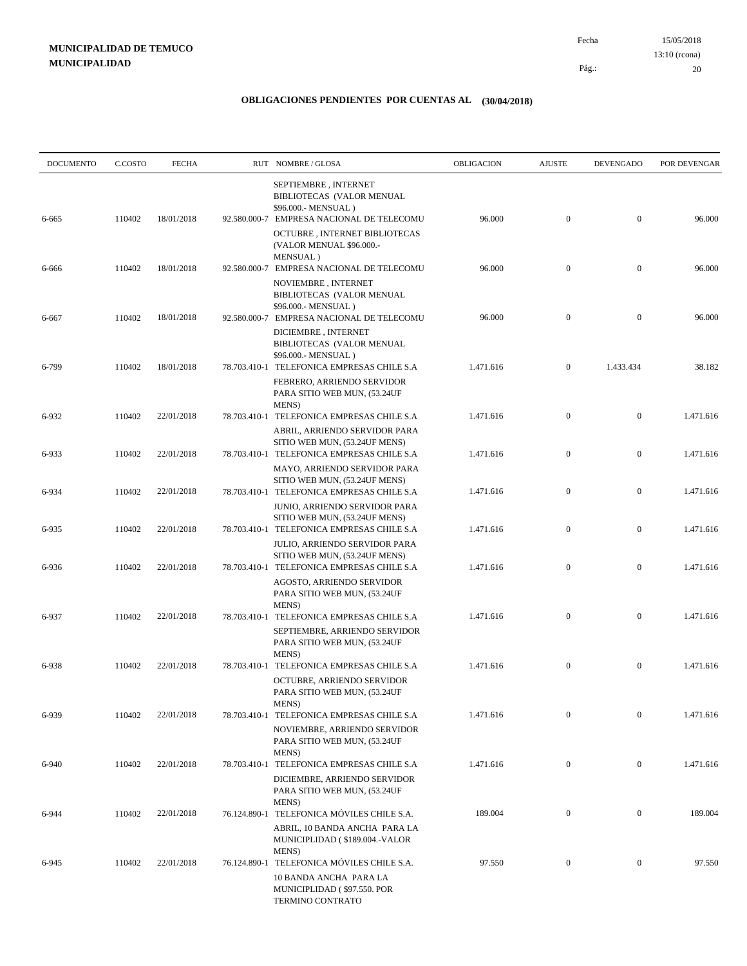| <b>DOCUMENTO</b> | C.COSTO | <b>FECHA</b> |              | RUT NOMBRE/GLOSA                                                                                                                         | OBLIGACION | <b>AJUSTE</b>    | <b>DEVENGADO</b> | POR DEVENGAR |
|------------------|---------|--------------|--------------|------------------------------------------------------------------------------------------------------------------------------------------|------------|------------------|------------------|--------------|
| 6-665            | 110402  | 18/01/2018   |              | SEPTIEMBRE, INTERNET<br>BIBLIOTECAS (VALOR MENUAL<br>\$96.000.- MENSUAL)<br>92.580.000-7 EMPRESA NACIONAL DE TELECOMU                    | 96.000     | $\boldsymbol{0}$ | $\mathbf{0}$     | 96.000       |
|                  |         |              |              | OCTUBRE, INTERNET BIBLIOTECAS<br>(VALOR MENUAL \$96.000.-<br>MENSUAL)                                                                    |            |                  |                  |              |
| 6-666            | 110402  | 18/01/2018   |              | 92.580.000-7 EMPRESA NACIONAL DE TELECOMU<br>NOVIEMBRE, INTERNET<br>BIBLIOTECAS (VALOR MENUAL                                            | 96.000     | $\mathbf{0}$     | $\mathbf{0}$     | 96.000       |
| 6-667            | 110402  | 18/01/2018   | 92.580.000-7 | \$96.000.- MENSUAL)<br>EMPRESA NACIONAL DE TELECOMU<br>DICIEMBRE, INTERNET<br>BIBLIOTECAS (VALOR MENUAL<br>\$96.000.- MENSUAL)           | 96.000     | $\mathbf{0}$     | $\mathbf{0}$     | 96.000       |
| 6-799            | 110402  | 18/01/2018   |              | 78.703.410-1 TELEFONICA EMPRESAS CHILE S.A<br>FEBRERO, ARRIENDO SERVIDOR<br>PARA SITIO WEB MUN, (53.24UF<br>MENS)                        | 1.471.616  | $\mathbf{0}$     | 1.433.434        | 38.182       |
| 6-932            | 110402  | 22/01/2018   |              | 78.703.410-1 TELEFONICA EMPRESAS CHILE S.A<br>ABRIL, ARRIENDO SERVIDOR PARA                                                              | 1.471.616  | $\boldsymbol{0}$ | $\mathbf{0}$     | 1.471.616    |
| 6-933            | 110402  | 22/01/2018   |              | SITIO WEB MUN, (53.24UF MENS)<br>78.703.410-1 TELEFONICA EMPRESAS CHILE S.A<br>MAYO, ARRIENDO SERVIDOR PARA                              | 1.471.616  | $\boldsymbol{0}$ | $\mathbf{0}$     | 1.471.616    |
| 6-934            | 110402  | 22/01/2018   |              | SITIO WEB MUN, (53.24UF MENS)<br>78.703.410-1 TELEFONICA EMPRESAS CHILE S.A<br>JUNIO, ARRIENDO SERVIDOR PARA                             | 1.471.616  | $\boldsymbol{0}$ | $\mathbf{0}$     | 1.471.616    |
| 6-935            | 110402  | 22/01/2018   |              | SITIO WEB MUN, (53.24UF MENS)<br>78.703.410-1 TELEFONICA EMPRESAS CHILE S.A<br>JULIO, ARRIENDO SERVIDOR PARA                             | 1.471.616  | $\mathbf{0}$     | $\mathbf{0}$     | 1.471.616    |
| 6-936            | 110402  | 22/01/2018   |              | SITIO WEB MUN, (53.24UF MENS)<br>78.703.410-1 TELEFONICA EMPRESAS CHILE S.A<br>AGOSTO, ARRIENDO SERVIDOR<br>PARA SITIO WEB MUN, (53.24UF | 1.471.616  | $\mathbf{0}$     | $\mathbf{0}$     | 1.471.616    |
| 6-937            | 110402  | 22/01/2018   |              | MENS)<br>78.703.410-1 TELEFONICA EMPRESAS CHILE S.A<br>SEPTIEMBRE, ARRIENDO SERVIDOR<br>PARA SITIO WEB MUN, (53.24UF                     | 1.471.616  | $\mathbf{0}$     | $\mathbf{0}$     | 1.471.616    |
| 6-938            | 110402  | 22/01/2018   |              | MENS)<br>78.703.410-1 TELEFONICA EMPRESAS CHILE S.A<br>OCTUBRE, ARRIENDO SERVIDOR<br>PARA SITIO WEB MUN, (53.24UF                        | 1.471.616  | $\boldsymbol{0}$ | $\mathbf{0}$     | 1.471.616    |
| 6-939            | 110402  | 22/01/2018   |              | MENS)<br>78.703.410-1 TELEFONICA EMPRESAS CHILE S.A<br>NOVIEMBRE, ARRIENDO SERVIDOR<br>PARA SITIO WEB MUN, (53.24UF                      | 1.471.616  | $\mathbf{0}$     | $\mathbf{0}$     | 1.471.616    |
| 6-940            | 110402  | 22/01/2018   | 78.703.410-1 | MENS)<br>TELEFONICA EMPRESAS CHILE S.A<br>DICIEMBRE, ARRIENDO SERVIDOR<br>PARA SITIO WEB MUN, (53.24UF                                   | 1.471.616  | $\mathbf{0}$     | $\mathbf{0}$     | 1.471.616    |
| 6-944            | 110402  | 22/01/2018   |              | MENS)<br>76.124.890-1 TELEFONICA MÓVILES CHILE S.A.<br>ABRIL, 10 BANDA ANCHA PARA LA<br>MUNICIPLIDAD (\$189.004.-VALOR                   | 189.004    | $\mathbf{0}$     | $\boldsymbol{0}$ | 189.004      |
| 6-945            | 110402  | 22/01/2018   | 76.124.890-1 | MENS)<br>TELEFONICA MÓVILES CHILE S.A.<br>10 BANDA ANCHA PARA LA<br>MUNICIPLIDAD (\$97.550. POR<br>TERMINO CONTRATO                      | 97.550     | $\boldsymbol{0}$ | $\boldsymbol{0}$ | 97.550       |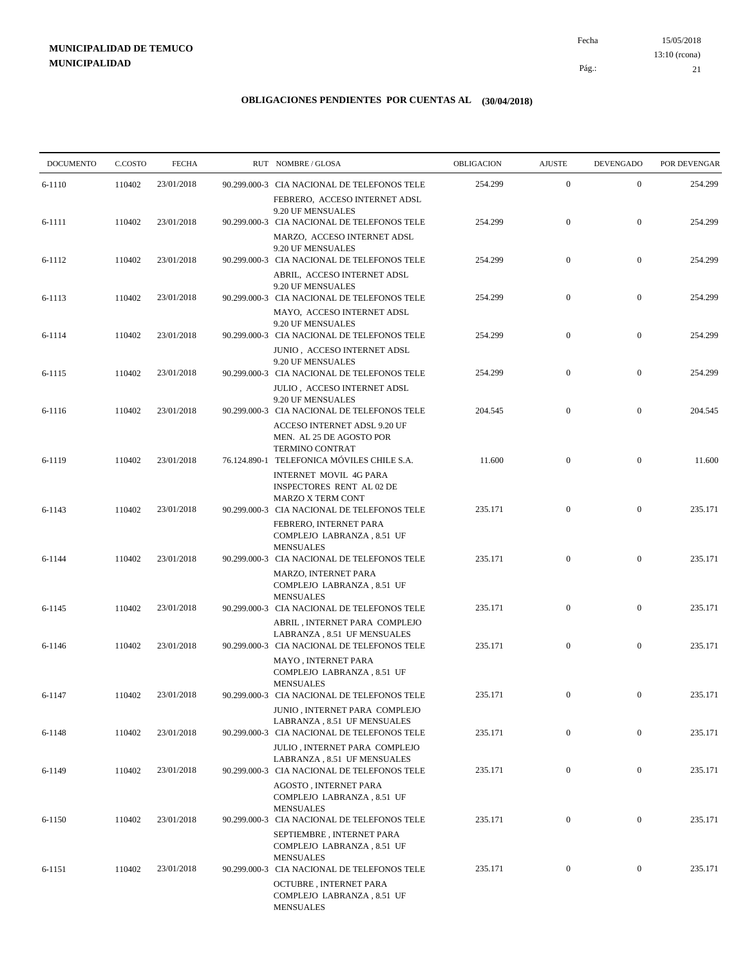15/05/2018 21 Pág.: Fecha 13:10 (rcona)

| <b>DOCUMENTO</b> | C.COSTO | <b>FECHA</b> | RUT NOMBRE/GLOSA                                                                                                                  | OBLIGACION | <b>AJUSTE</b>    | <b>DEVENGADO</b> | POR DEVENGAR |
|------------------|---------|--------------|-----------------------------------------------------------------------------------------------------------------------------------|------------|------------------|------------------|--------------|
| 6-1110           | 110402  | 23/01/2018   | 90.299.000-3 CIA NACIONAL DE TELEFONOS TELE                                                                                       | 254.299    | $\boldsymbol{0}$ | $\mathbf{0}$     | 254.299      |
| 6-1111           | 110402  | 23/01/2018   | FEBRERO, ACCESO INTERNET ADSL<br>9.20 UF MENSUALES<br>90.299.000-3 CIA NACIONAL DE TELEFONOS TELE                                 | 254.299    | $\mathbf{0}$     | $\mathbf{0}$     | 254.299      |
|                  |         |              | MARZO, ACCESO INTERNET ADSL<br>9.20 UF MENSUALES                                                                                  |            |                  |                  |              |
| 6-1112           | 110402  | 23/01/2018   | 90.299.000-3 CIA NACIONAL DE TELEFONOS TELE<br>ABRIL, ACCESO INTERNET ADSL<br>9.20 UF MENSUALES                                   | 254.299    | $\boldsymbol{0}$ | $\mathbf{0}$     | 254.299      |
| 6-1113           | 110402  | 23/01/2018   | 90.299.000-3 CIA NACIONAL DE TELEFONOS TELE<br>MAYO, ACCESO INTERNET ADSL                                                         | 254.299    | $\boldsymbol{0}$ | $\mathbf{0}$     | 254.299      |
| 6-1114           | 110402  | 23/01/2018   | 9.20 UF MENSUALES<br>90.299.000-3 CIA NACIONAL DE TELEFONOS TELE                                                                  | 254.299    | $\mathbf{0}$     | $\mathbf{0}$     | 254.299      |
| 6-1115           | 110402  | 23/01/2018   | JUNIO, ACCESO INTERNET ADSL<br>9.20 UF MENSUALES<br>90.299.000-3 CIA NACIONAL DE TELEFONOS TELE                                   | 254.299    | $\mathbf{0}$     | $\boldsymbol{0}$ | 254.299      |
|                  |         |              | JULIO, ACCESO INTERNET ADSL<br>9.20 UF MENSUALES                                                                                  |            |                  |                  |              |
| 6-1116           | 110402  | 23/01/2018   | 90.299.000-3 CIA NACIONAL DE TELEFONOS TELE<br>ACCESO INTERNET ADSL 9.20 UF<br>MEN. AL 25 DE AGOSTO POR<br><b>TERMINO CONTRAT</b> | 204.545    | $\mathbf{0}$     | $\mathbf{0}$     | 204.545      |
| 6-1119           | 110402  | 23/01/2018   | 76.124.890-1 TELEFONICA MÓVILES CHILE S.A.<br>INTERNET MOVIL 4G PARA<br>INSPECTORES RENT AL 02 DE                                 | 11.600     | $\mathbf{0}$     | $\mathbf{0}$     | 11.600       |
| 6-1143           | 110402  | 23/01/2018   | <b>MARZO X TERM CONT</b><br>90.299.000-3 CIA NACIONAL DE TELEFONOS TELE<br>FEBRERO, INTERNET PARA<br>COMPLEJO LABRANZA, 8.51 UF   | 235.171    | $\mathbf{0}$     | $\mathbf{0}$     | 235.171      |
| 6-1144           | 110402  | 23/01/2018   | <b>MENSUALES</b><br>90.299.000-3 CIA NACIONAL DE TELEFONOS TELE                                                                   | 235.171    | $\mathbf{0}$     | $\mathbf{0}$     | 235.171      |
|                  |         |              | MARZO, INTERNET PARA<br>COMPLEJO LABRANZA, 8.51 UF<br><b>MENSUALES</b>                                                            |            |                  |                  |              |
| 6-1145           | 110402  | 23/01/2018   | 90.299.000-3 CIA NACIONAL DE TELEFONOS TELE<br>ABRIL, INTERNET PARA COMPLEJO                                                      | 235.171    | $\mathbf{0}$     | $\mathbf{0}$     | 235.171      |
| 6-1146           | 110402  | 23/01/2018   | LABRANZA, 8.51 UF MENSUALES<br>90.299.000-3 CIA NACIONAL DE TELEFONOS TELE<br><b>MAYO, INTERNET PARA</b>                          | 235.171    | $\mathbf{0}$     | $\mathbf{0}$     | 235.171      |
| 6-1147           | 110402  | 23/01/2018   | COMPLEJO LABRANZA, 8.51 UF<br><b>MENSUALES</b><br>90.299.000-3 CIA NACIONAL DE TELEFONOS TELE                                     | 235.171    | $\mathbf{0}$     | $\mathbf{0}$     | 235.171      |
|                  |         |              | JUNIO, INTERNET PARA COMPLEJO<br>LABRANZA, 8.51 UF MENSUALES                                                                      |            |                  |                  |              |
| 6-1148           | 110402  | 23/01/2018   | 90.299.000-3 CIA NACIONAL DE TELEFONOS TELE<br>JULIO, INTERNET PARA COMPLEJO                                                      | 235.171    | $\boldsymbol{0}$ | $\mathbf{0}$     | 235.171      |
| 6-1149           | 110402  | 23/01/2018   | LABRANZA, 8.51 UF MENSUALES<br>90.299.000-3 CIA NACIONAL DE TELEFONOS TELE<br>AGOSTO, INTERNET PARA                               | 235.171    | $\mathbf{0}$     | $\boldsymbol{0}$ | 235.171      |
| 6-1150           | 110402  | 23/01/2018   | COMPLEJO LABRANZA, 8.51 UF<br><b>MENSUALES</b><br>90.299.000-3 CIA NACIONAL DE TELEFONOS TELE                                     | 235.171    | $\boldsymbol{0}$ | $\boldsymbol{0}$ | 235.171      |
|                  |         |              | SEPTIEMBRE, INTERNET PARA<br>COMPLEJO LABRANZA, 8.51 UF<br><b>MENSUALES</b>                                                       |            |                  |                  |              |
| 6-1151           | 110402  | 23/01/2018   | 90.299.000-3 CIA NACIONAL DE TELEFONOS TELE<br>OCTUBRE, INTERNET PARA<br>COMPLEJO LABRANZA, 8.51 UF<br><b>MENSUALES</b>           | 235.171    | $\mathbf{0}$     | $\boldsymbol{0}$ | 235.171      |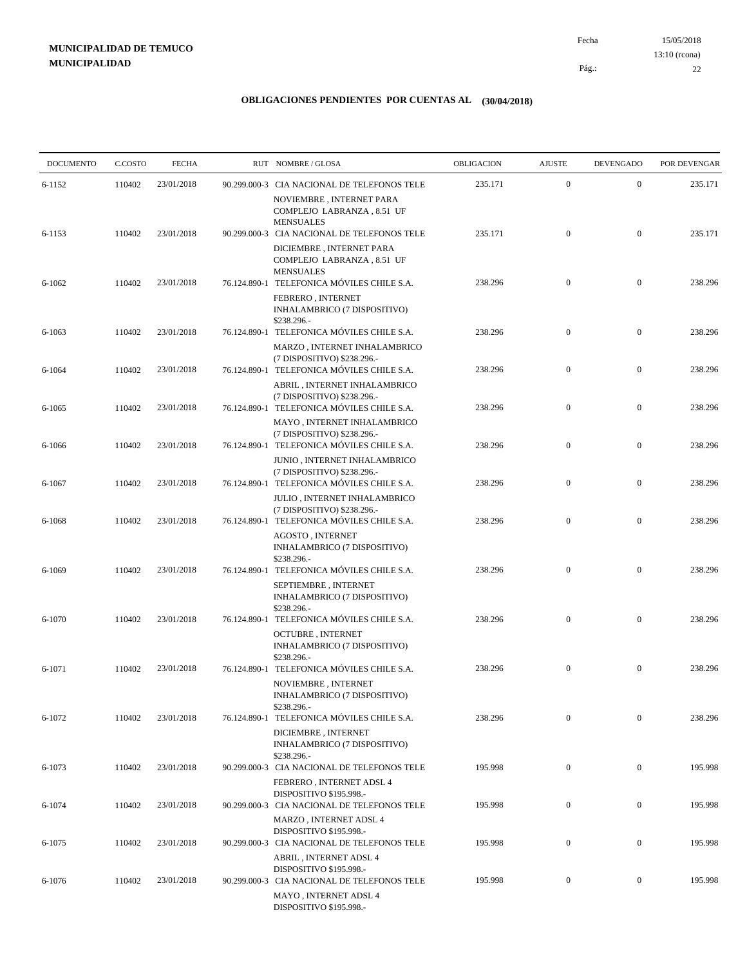15/05/2018 22 Pág.: Fecha 13:10 (rcona)

| <b>DOCUMENTO</b> | C.COSTO | <b>FECHA</b> | RUT NOMBRE/GLOSA                                                                                                 | OBLIGACION | <b>AJUSTE</b>    | <b>DEVENGADO</b> | POR DEVENGAR |
|------------------|---------|--------------|------------------------------------------------------------------------------------------------------------------|------------|------------------|------------------|--------------|
| 6-1152           | 110402  | 23/01/2018   | 90.299.000-3 CIA NACIONAL DE TELEFONOS TELE                                                                      | 235.171    | $\mathbf{0}$     | $\mathbf{0}$     | 235.171      |
|                  |         |              | NOVIEMBRE, INTERNET PARA<br>COMPLEJO LABRANZA, 8.51 UF<br><b>MENSUALES</b>                                       |            |                  |                  |              |
| 6-1153           | 110402  | 23/01/2018   | 90.299.000-3 CIA NACIONAL DE TELEFONOS TELE<br>DICIEMBRE, INTERNET PARA<br>COMPLEJO LABRANZA, 8.51 UF            | 235.171    | $\mathbf{0}$     | $\boldsymbol{0}$ | 235.171      |
| $6 - 1062$       | 110402  | 23/01/2018   | <b>MENSUALES</b><br>76.124.890-1 TELEFONICA MÓVILES CHILE S.A.                                                   | 238.296    | $\mathbf{0}$     | $\mathbf{0}$     | 238.296      |
|                  |         |              | FEBRERO, INTERNET<br>INHALAMBRICO (7 DISPOSITIVO)<br>\$238.296.-                                                 |            |                  |                  |              |
| 6-1063           | 110402  | 23/01/2018   | 76.124.890-1 TELEFONICA MÓVILES CHILE S.A.<br>MARZO, INTERNET INHALAMBRICO                                       | 238.296    | $\mathbf{0}$     | $\mathbf{0}$     | 238.296      |
| 6-1064           | 110402  | 23/01/2018   | (7 DISPOSITIVO) \$238.296.-<br>76.124.890-1 TELEFONICA MÓVILES CHILE S.A.<br>ABRIL, INTERNET INHALAMBRICO        | 238.296    | $\mathbf{0}$     | $\mathbf{0}$     | 238.296      |
| 6-1065           | 110402  | 23/01/2018   | (7 DISPOSITIVO) \$238.296.-<br>76.124.890-1 TELEFONICA MÓVILES CHILE S.A.                                        | 238.296    | $\overline{0}$   | $\mathbf{0}$     | 238.296      |
| 6-1066           | 110402  | 23/01/2018   | MAYO, INTERNET INHALAMBRICO<br>(7 DISPOSITIVO) \$238.296.-<br>76.124.890-1 TELEFONICA MÓVILES CHILE S.A.         | 238.296    | $\mathbf{0}$     | $\mathbf{0}$     | 238.296      |
|                  | 110402  | 23/01/2018   | JUNIO, INTERNET INHALAMBRICO<br>(7 DISPOSITIVO) \$238.296.-<br>76.124.890-1 TELEFONICA MÓVILES CHILE S.A.        |            | $\mathbf{0}$     | $\mathbf{0}$     | 238.296      |
| 6-1067           |         |              | JULIO, INTERNET INHALAMBRICO<br>(7 DISPOSITIVO) \$238.296.-                                                      | 238.296    |                  |                  |              |
| 6-1068           | 110402  | 23/01/2018   | 76.124.890-1 TELEFONICA MÓVILES CHILE S.A.<br>AGOSTO, INTERNET<br>INHALAMBRICO (7 DISPOSITIVO)                   | 238.296    | $\mathbf{0}$     | $\boldsymbol{0}$ | 238.296      |
| 6-1069           | 110402  | 23/01/2018   | \$238.296.-<br>76.124.890-1 TELEFONICA MÓVILES CHILE S.A.<br>SEPTIEMBRE, INTERNET                                | 238.296    | $\mathbf{0}$     | $\boldsymbol{0}$ | 238.296      |
| 6-1070           | 110402  | 23/01/2018   | INHALAMBRICO (7 DISPOSITIVO)<br>\$238.296.-<br>76.124.890-1 TELEFONICA MÓVILES CHILE S.A.                        | 238.296    | $\mathbf{0}$     | $\boldsymbol{0}$ | 238.296      |
|                  |         |              | <b>OCTUBRE, INTERNET</b><br>INHALAMBRICO (7 DISPOSITIVO)<br>\$238.296.-                                          |            |                  |                  |              |
| 6-1071           | 110402  | 23/01/2018   | 76.124.890-1 TELEFONICA MÓVILES CHILE S.A.<br>NOVIEMBRE, INTERNET<br>INHALAMBRICO (7 DISPOSITIVO)                | 238.296    | $\mathbf{0}$     | $\boldsymbol{0}$ | 238.296      |
| 6-1072           | 110402  | 23/01/2018   | \$238.296.-<br>76.124.890-1 TELEFONICA MÓVILES CHILE S.A.<br>DICIEMBRE, INTERNET<br>INHALAMBRICO (7 DISPOSITIVO) | 238.296    | $\mathbf{0}$     | $\boldsymbol{0}$ | 238.296      |
| 6-1073           | 110402  | 23/01/2018   | \$238.296.-<br>90.299.000-3 CIA NACIONAL DE TELEFONOS TELE                                                       | 195.998    | $\mathbf{0}$     | $\boldsymbol{0}$ | 195.998      |
| 6-1074           | 110402  | 23/01/2018   | FEBRERO, INTERNET ADSL 4<br>DISPOSITIVO \$195.998 .-<br>90.299.000-3 CIA NACIONAL DE TELEFONOS TELE              | 195.998    | $\boldsymbol{0}$ | $\boldsymbol{0}$ | 195.998      |
| 6-1075           | 110402  | 23/01/2018   | MARZO, INTERNET ADSL 4<br>DISPOSITIVO \$195.998.-<br>90.299.000-3 CIA NACIONAL DE TELEFONOS TELE                 | 195.998    | $\boldsymbol{0}$ | $\boldsymbol{0}$ | 195.998      |
|                  |         |              | <b>ABRIL, INTERNET ADSL 4</b><br>DISPOSITIVO \$195.998 .-                                                        |            |                  |                  |              |
| 6-1076           | 110402  | 23/01/2018   | 90.299.000-3 CIA NACIONAL DE TELEFONOS TELE<br>MAYO, INTERNET ADSL 4<br>DISPOSITIVO \$195.998.-                  | 195.998    | $\mathbf{0}$     | $\boldsymbol{0}$ | 195.998      |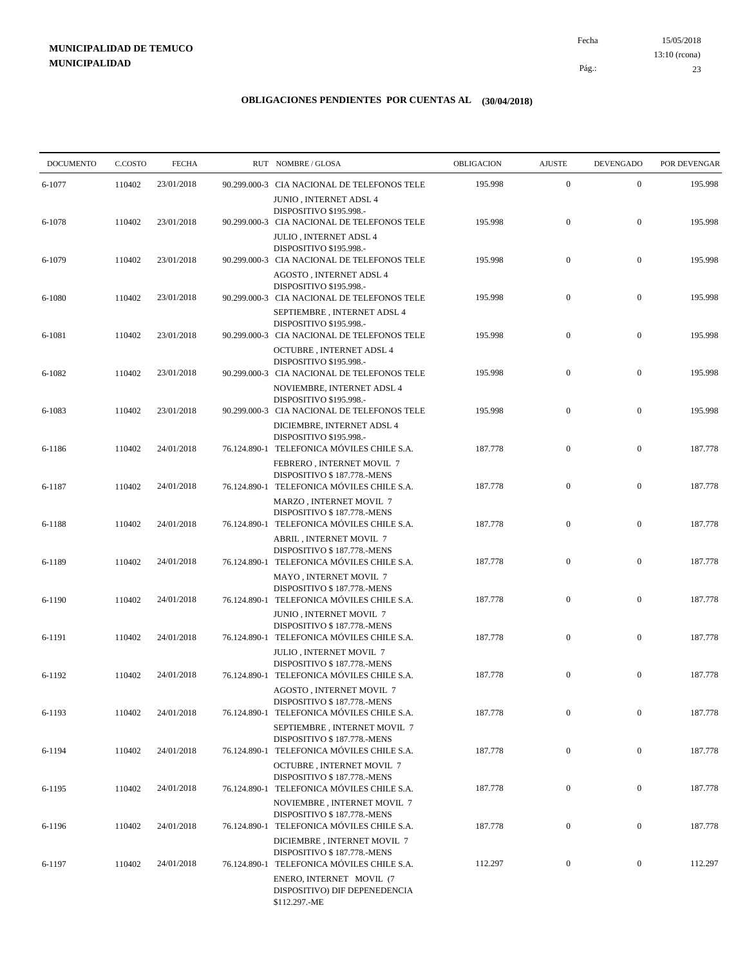15/05/2018 23 Pág.: Fecha 13:10 (rcona)

| <b>DOCUMENTO</b> | C.COSTO | <b>FECHA</b> |              | RUT NOMBRE/GLOSA                                                          | OBLIGACION | <b>AJUSTE</b>    | <b>DEVENGADO</b> | POR DEVENGAR |
|------------------|---------|--------------|--------------|---------------------------------------------------------------------------|------------|------------------|------------------|--------------|
| 6-1077           | 110402  | 23/01/2018   |              | 90.299.000-3 CIA NACIONAL DE TELEFONOS TELE                               | 195.998    | $\boldsymbol{0}$ | $\boldsymbol{0}$ | 195.998      |
|                  |         |              |              | JUNIO, INTERNET ADSL 4<br>DISPOSITIVO \$195.998.-                         |            |                  |                  |              |
| 6-1078           | 110402  | 23/01/2018   |              | 90.299.000-3 CIA NACIONAL DE TELEFONOS TELE                               | 195.998    | $\mathbf{0}$     | $\boldsymbol{0}$ | 195.998      |
|                  |         |              |              | <b>JULIO, INTERNET ADSL 4</b>                                             |            |                  |                  |              |
| 6-1079           | 110402  | 23/01/2018   |              | DISPOSITIVO \$195.998.-<br>90.299.000-3 CIA NACIONAL DE TELEFONOS TELE    | 195.998    | $\mathbf{0}$     | $\boldsymbol{0}$ | 195.998      |
|                  |         |              |              | AGOSTO, INTERNET ADSL 4                                                   |            |                  |                  |              |
|                  |         |              |              | DISPOSITIVO \$195.998 .-                                                  |            |                  |                  |              |
| 6-1080           | 110402  | 23/01/2018   |              | 90.299.000-3 CIA NACIONAL DE TELEFONOS TELE                               | 195.998    | $\mathbf{0}$     | $\boldsymbol{0}$ | 195.998      |
|                  |         |              |              | SEPTIEMBRE, INTERNET ADSL 4<br>DISPOSITIVO \$195.998 .-                   |            |                  |                  |              |
| 6-1081           | 110402  | 23/01/2018   |              | 90.299.000-3 CIA NACIONAL DE TELEFONOS TELE                               | 195.998    | $\mathbf{0}$     | $\boldsymbol{0}$ | 195.998      |
|                  |         |              |              | <b>OCTUBRE, INTERNET ADSL 4</b>                                           |            |                  |                  |              |
| 6-1082           | 110402  | 23/01/2018   |              | DISPOSITIVO \$195.998.-<br>90.299.000-3 CIA NACIONAL DE TELEFONOS TELE    | 195.998    | $\mathbf{0}$     | $\boldsymbol{0}$ | 195.998      |
|                  |         |              |              | NOVIEMBRE, INTERNET ADSL 4                                                |            |                  |                  |              |
|                  |         |              |              | DISPOSITIVO \$195.998.-                                                   |            |                  |                  |              |
| 6-1083           | 110402  | 23/01/2018   |              | 90.299.000-3 CIA NACIONAL DE TELEFONOS TELE<br>DICIEMBRE, INTERNET ADSL 4 | 195.998    | $\mathbf{0}$     | $\boldsymbol{0}$ | 195.998      |
|                  |         |              |              | DISPOSITIVO \$195.998 .-                                                  |            |                  |                  |              |
| 6-1186           | 110402  | 24/01/2018   |              | 76.124.890-1 TELEFONICA MÓVILES CHILE S.A.                                | 187.778    | $\mathbf{0}$     | $\boldsymbol{0}$ | 187.778      |
|                  |         |              |              | FEBRERO, INTERNET MOVIL 7<br>DISPOSITIVO \$187.778.-MENS                  |            |                  |                  |              |
| 6-1187           | 110402  | 24/01/2018   |              | 76.124.890-1 TELEFONICA MÓVILES CHILE S.A.                                | 187.778    | $\mathbf{0}$     | $\boldsymbol{0}$ | 187.778      |
|                  |         |              |              | MARZO, INTERNET MOVIL 7                                                   |            |                  |                  |              |
| 6-1188           | 110402  | 24/01/2018   |              | DISPOSITIVO \$187.778.-MENS<br>76.124.890-1 TELEFONICA MÓVILES CHILE S.A. | 187.778    | $\mathbf{0}$     | $\boldsymbol{0}$ | 187.778      |
|                  |         |              |              | ABRIL, INTERNET MOVIL 7                                                   |            |                  |                  |              |
|                  |         |              |              | DISPOSITIVO \$187.778.-MENS                                               |            |                  |                  |              |
| 6-1189           | 110402  | 24/01/2018   |              | 76.124.890-1 TELEFONICA MÓVILES CHILE S.A.                                | 187.778    | $\mathbf{0}$     | $\boldsymbol{0}$ | 187.778      |
|                  |         |              |              | MAYO, INTERNET MOVIL 7<br>DISPOSITIVO \$187.778.-MENS                     |            |                  |                  |              |
| 6-1190           | 110402  | 24/01/2018   |              | 76.124.890-1 TELEFONICA MÓVILES CHILE S.A.                                | 187.778    | $\mathbf{0}$     | $\boldsymbol{0}$ | 187.778      |
|                  |         |              |              | JUNIO, INTERNET MOVIL 7                                                   |            |                  |                  |              |
| 6-1191           | 110402  | 24/01/2018   | 76.124.890-1 | DISPOSITIVO \$187.778.-MENS<br>TELEFONICA MÓVILES CHILE S.A.              | 187.778    | $\mathbf{0}$     | $\boldsymbol{0}$ | 187.778      |
|                  |         |              |              | <b>JULIO, INTERNET MOVIL 7</b>                                            |            |                  |                  |              |
|                  |         |              |              | DISPOSITIVO \$187.778.-MENS                                               |            |                  |                  |              |
| 6-1192           | 110402  | 24/01/2018   |              | 76.124.890-1 TELEFONICA MÓVILES CHILE S.A.<br>AGOSTO, INTERNET MOVIL 7    | 187.778    | $\mathbf{0}$     | $\mathbf{0}$     | 187.778      |
|                  |         |              |              | DISPOSITIVO \$187.778.-MENS                                               |            |                  |                  |              |
| 6-1193           | 110402  | 24/01/2018   |              | 76.124.890-1 TELEFONICA MÓVILES CHILE S.A.                                | 187.778    | $\mathbf{0}$     | $\boldsymbol{0}$ | 187.778      |
|                  |         |              |              | SEPTIEMBRE, INTERNET MOVIL 7<br>DISPOSITIVO \$187.778.-MENS               |            |                  |                  |              |
| 6-1194           | 110402  | 24/01/2018   |              | 76.124.890-1 TELEFONICA MÓVILES CHILE S.A.                                | 187.778    | $\overline{0}$   | $\bf{0}$         | 187.778      |
|                  |         |              |              | <b>OCTUBRE, INTERNET MOVIL 7</b>                                          |            |                  |                  |              |
| 6-1195           | 110402  | 24/01/2018   |              | DISPOSITIVO \$187.778.-MENS<br>76.124.890-1 TELEFONICA MÓVILES CHILE S.A. | 187.778    | $\boldsymbol{0}$ | $\boldsymbol{0}$ | 187.778      |
|                  |         |              |              | NOVIEMBRE, INTERNET MOVIL 7                                               |            |                  |                  |              |
|                  |         |              |              | DISPOSITIVO \$187.778.-MENS                                               |            |                  |                  |              |
| 6-1196           | 110402  | 24/01/2018   |              | 76.124.890-1 TELEFONICA MÓVILES CHILE S.A.<br>DICIEMBRE, INTERNET MOVIL 7 | 187.778    | $\boldsymbol{0}$ | $\boldsymbol{0}$ | 187.778      |
|                  |         |              |              | DISPOSITIVO \$187.778.-MENS                                               |            |                  |                  |              |
| 6-1197           | 110402  | 24/01/2018   | 76.124.890-1 | TELEFONICA MÓVILES CHILE S.A.                                             | 112.297    | $\boldsymbol{0}$ | $\boldsymbol{0}$ | 112.297      |
|                  |         |              |              | ENERO, INTERNET MOVIL (7<br>DISPOSITIVO) DIF DEPENEDENCIA                 |            |                  |                  |              |
|                  |         |              |              | \$112.297.-ME                                                             |            |                  |                  |              |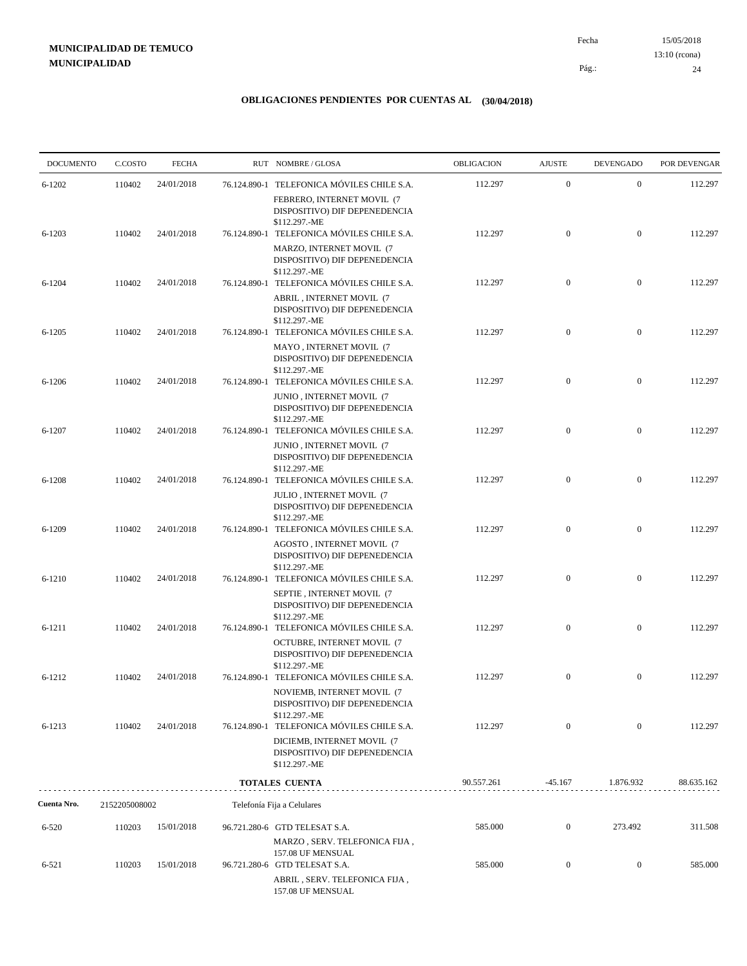15/05/2018 24 Pág.: Fecha 13:10 (rcona)

| <b>DOCUMENTO</b> | C.COSTO       | <b>FECHA</b> | RUT NOMBRE/GLOSA                                                                                                                            | OBLIGACION | <b>AJUSTE</b>    | <b>DEVENGADO</b> | POR DEVENGAR |
|------------------|---------------|--------------|---------------------------------------------------------------------------------------------------------------------------------------------|------------|------------------|------------------|--------------|
| $6 - 1202$       | 110402        | 24/01/2018   | 76.124.890-1 TELEFONICA MÓVILES CHILE S.A.                                                                                                  | 112.297    | $\mathbf{0}$     | $\boldsymbol{0}$ | 112.297      |
|                  |               |              | FEBRERO, INTERNET MOVIL (7<br>DISPOSITIVO) DIF DEPENEDENCIA<br>\$112.297.-ME                                                                |            |                  |                  |              |
| $6 - 1203$       | 110402        | 24/01/2018   | 76.124.890-1 TELEFONICA MÓVILES CHILE S.A.                                                                                                  | 112.297    | $\mathbf{0}$     | $\boldsymbol{0}$ | 112.297      |
|                  |               |              | MARZO, INTERNET MOVIL (7<br>DISPOSITIVO) DIF DEPENEDENCIA<br>\$112.297.-ME                                                                  |            |                  |                  |              |
| $6 - 1204$       | 110402        | 24/01/2018   | 76.124.890-1 TELEFONICA MÓVILES CHILE S.A.<br>ABRIL, INTERNET MOVIL (7<br>DISPOSITIVO) DIF DEPENEDENCIA<br>\$112.297.-ME                    | 112.297    | $\mathbf{0}$     | $\boldsymbol{0}$ | 112.297      |
| $6 - 1205$       | 110402        | 24/01/2018   | 76.124.890-1 TELEFONICA MÓVILES CHILE S.A.<br>MAYO, INTERNET MOVIL (7<br>DISPOSITIVO) DIF DEPENEDENCIA                                      | 112.297    | $\mathbf{0}$     | $\mathbf{0}$     | 112.297      |
| $6 - 1206$       | 110402        | 24/01/2018   | \$112.297.-ME<br>76.124.890-1 TELEFONICA MÓVILES CHILE S.A.                                                                                 | 112.297    | $\mathbf{0}$     | $\boldsymbol{0}$ | 112.297      |
| $6 - 1207$       | 110402        | 24/01/2018   | JUNIO, INTERNET MOVIL (7<br>DISPOSITIVO) DIF DEPENEDENCIA<br>\$112.297.-ME<br>76.124.890-1 TELEFONICA MÓVILES CHILE S.A.                    | 112.297    | $\mathbf{0}$     | $\mathbf{0}$     | 112.297      |
|                  |               |              | JUNIO, INTERNET MOVIL (7<br>DISPOSITIVO) DIF DEPENEDENCIA<br>\$112.297.-ME                                                                  |            |                  |                  |              |
| $6 - 1208$       | 110402        | 24/01/2018   | 76.124.890-1 TELEFONICA MÓVILES CHILE S.A.<br>JULIO, INTERNET MOVIL (7<br>DISPOSITIVO) DIF DEPENEDENCIA<br>\$112.297.-ME                    | 112.297    | $\mathbf{0}$     | $\mathbf{0}$     | 112.297      |
| 6-1209           | 110402        | 24/01/2018   | 76.124.890-1 TELEFONICA MÓVILES CHILE S.A.<br>AGOSTO, INTERNET MOVIL (7<br>DISPOSITIVO) DIF DEPENEDENCIA                                    | 112.297    | $\overline{0}$   | $\boldsymbol{0}$ | 112.297      |
| 6-1210           | 110402        | 24/01/2018   | \$112.297.-ME<br>76.124.890-1 TELEFONICA MÓVILES CHILE S.A.<br>SEPTIE, INTERNET MOVIL (7<br>DISPOSITIVO) DIF DEPENEDENCIA                   | 112.297    | $\mathbf{0}$     | $\mathbf{0}$     | 112.297      |
| $6 - 1211$       | 110402        | 24/01/2018   | \$112.297.-ME<br>76.124.890-1 TELEFONICA MÓVILES CHILE S.A.<br>OCTUBRE, INTERNET MOVIL (7<br>DISPOSITIVO) DIF DEPENEDENCIA<br>\$112.297.-ME | 112.297    | $\mathbf{0}$     | $\mathbf{0}$     | 112.297      |
| $6 - 1212$       | 110402        | 24/01/2018   | 76.124.890-1 TELEFONICA MÓVILES CHILE S.A.<br>NOVIEMB, INTERNET MOVIL (7<br>DISPOSITIVO) DIF DEPENEDENCIA                                   | 112.297    | $\mathbf{0}$     | $\boldsymbol{0}$ | 112.297      |
| 6-1213           | 110402        | 24/01/2018   | \$112.297.-ME<br>76.124.890-1 TELEFONICA MÓVILES CHILE S.A.<br>DICIEMB, INTERNET MOVIL (7                                                   | 112.297    | $\mathbf{0}$     | $\overline{0}$   | 112.297      |
|                  |               |              | DISPOSITIVO) DIF DEPENEDENCIA<br>\$112.297.-ME                                                                                              |            |                  |                  |              |
|                  |               |              | <b>TOTALES CUENTA</b>                                                                                                                       | 90.557.261 | $-45.167$        | 1.876.932        | 88.635.162   |
| Cuenta Nro.      | 2152205008002 |              | Telefonía Fija a Celulares                                                                                                                  |            |                  |                  |              |
| $6 - 520$        | 110203        | 15/01/2018   | 96.721.280-6 GTD TELESAT S.A.<br>MARZO, SERV. TELEFONICA FIJA,                                                                              | 585.000    | $\mathbf{0}$     | 273.492          | 311.508      |
| $6 - 521$        | 110203        | 15/01/2018   | 157.08 UF MENSUAL<br>96.721.280-6 GTD TELESAT S.A.<br>ABRIL, SERV. TELEFONICA FIJA,                                                         | 585.000    | $\boldsymbol{0}$ | $\mathbf{0}$     | 585.000      |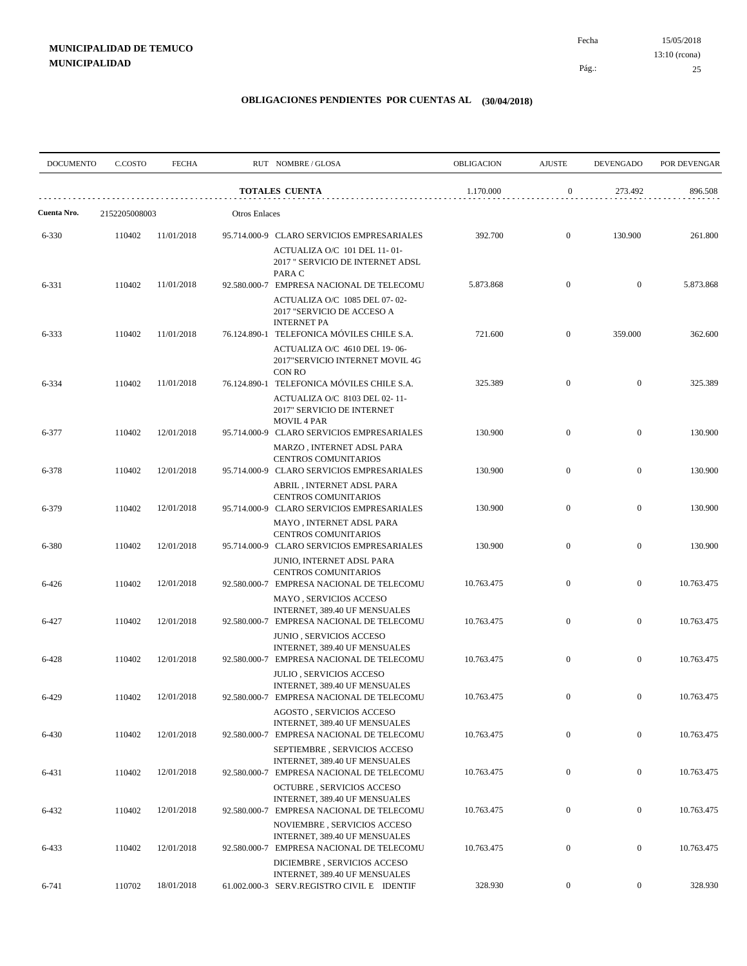|             | <b>DOCUMENTO</b><br>C.COSTO | <b>FECHA</b> |                      | RUT NOMBRE/GLOSA                                                                                                                     | <b>OBLIGACION</b> | <b>AJUSTE</b>    | <b>DEVENGADO</b> | POR DEVENGAR |
|-------------|-----------------------------|--------------|----------------------|--------------------------------------------------------------------------------------------------------------------------------------|-------------------|------------------|------------------|--------------|
|             |                             |              |                      | <b>TOTALES CUENTA</b>                                                                                                                | 1.170.000         | $\boldsymbol{0}$ | 273.492          | 896.508      |
| Cuenta Nro. | 2152205008003               |              | <b>Otros Enlaces</b> |                                                                                                                                      |                   |                  |                  |              |
| 6-330       | 110402                      | 11/01/2018   |                      | 95.714.000-9 CLARO SERVICIOS EMPRESARIALES<br>ACTUALIZA O/C 101 DEL 11-01-<br>2017 " SERVICIO DE INTERNET ADSL                       | 392.700           | $\mathbf{0}$     | 130.900          | 261.800      |
| 6-331       | 110402                      | 11/01/2018   |                      | PARA C<br>92.580.000-7 EMPRESA NACIONAL DE TELECOMU<br>ACTUALIZA O/C 1085 DEL 07-02-<br>2017 "SERVICIO DE ACCESO A                   | 5.873.868         | $\mathbf{0}$     | $\mathbf{0}$     | 5.873.868    |
| 6-333       | 110402                      | 11/01/2018   |                      | <b>INTERNET PA</b><br>76.124.890-1 TELEFONICA MÓVILES CHILE S.A.<br>ACTUALIZA O/C 4610 DEL 19-06-<br>2017"SERVICIO INTERNET MOVIL 4G | 721.600           | $\mathbf{0}$     | 359.000          | 362.600      |
| 6-334       | 110402                      | 11/01/2018   |                      | <b>CON RO</b><br>76.124.890-1 TELEFONICA MÓVILES CHILE S.A.<br>ACTUALIZA O/C 8103 DEL 02-11-<br>2017" SERVICIO DE INTERNET           | 325.389           | $\mathbf{0}$     | $\mathbf{0}$     | 325.389      |
| 6-377       | 110402                      | 12/01/2018   |                      | <b>MOVIL 4 PAR</b><br>95.714.000-9 CLARO SERVICIOS EMPRESARIALES<br>MARZO, INTERNET ADSL PARA                                        | 130.900           | $\mathbf{0}$     | $\mathbf{0}$     | 130.900      |
| 6-378       | 110402                      | 12/01/2018   |                      | CENTROS COMUNITARIOS<br>95.714.000-9 CLARO SERVICIOS EMPRESARIALES<br>ABRIL, INTERNET ADSL PARA                                      | 130.900           | $\mathbf{0}$     | $\mathbf{0}$     | 130.900      |
| 6-379       | 110402                      | 12/01/2018   |                      | <b>CENTROS COMUNITARIOS</b><br>95.714.000-9 CLARO SERVICIOS EMPRESARIALES<br>MAYO, INTERNET ADSL PARA                                | 130.900           | $\mathbf{0}$     | $\mathbf{0}$     | 130.900      |
| 6-380       | 110402                      | 12/01/2018   |                      | CENTROS COMUNITARIOS<br>95.714.000-9 CLARO SERVICIOS EMPRESARIALES<br>JUNIO, INTERNET ADSL PARA                                      | 130.900           | $\mathbf{0}$     | $\mathbf{0}$     | 130.900      |
| 6-426       | 110402                      | 12/01/2018   |                      | <b>CENTROS COMUNITARIOS</b><br>92.580.000-7 EMPRESA NACIONAL DE TELECOMU<br>MAYO, SERVICIOS ACCESO                                   | 10.763.475        | $\mathbf{0}$     | $\mathbf{0}$     | 10.763.475   |
| 6-427       | 110402                      | 12/01/2018   |                      | INTERNET, 389.40 UF MENSUALES<br>92.580.000-7 EMPRESA NACIONAL DE TELECOMU<br>JUNIO, SERVICIOS ACCESO                                | 10.763.475        | $\mathbf{0}$     | $\mathbf{0}$     | 10.763.475   |
| 6-428       | 110402                      | 12/01/2018   |                      | INTERNET, 389.40 UF MENSUALES<br>92.580.000-7 EMPRESA NACIONAL DE TELECOMU<br><b>JULIO, SERVICIOS ACCESO</b>                         | 10.763.475        | $\mathbf{0}$     | $\boldsymbol{0}$ | 10.763.475   |
| 6-429       | 110402                      | 12/01/2018   |                      | INTERNET, 389.40 UF MENSUALES<br>92.580.000-7 EMPRESA NACIONAL DE TELECOMU<br>AGOSTO, SERVICIOS ACCESO                               | 10.763.475        | $\mathbf{0}$     | $\mathbf{0}$     | 10.763.475   |
| 6-430       | 110402                      | 12/01/2018   |                      | INTERNET, 389.40 UF MENSUALES<br>92.580.000-7 EMPRESA NACIONAL DE TELECOMU                                                           | 10.763.475        | $\boldsymbol{0}$ | $\bf{0}$         | 10.763.475   |
| 6-431       | 110402                      | 12/01/2018   |                      | SEPTIEMBRE, SERVICIOS ACCESO<br>INTERNET, 389.40 UF MENSUALES<br>92.580.000-7 EMPRESA NACIONAL DE TELECOMU                           | 10.763.475        | $\boldsymbol{0}$ | $\boldsymbol{0}$ | 10.763.475   |
| 6-432       | 110402                      | 12/01/2018   |                      | OCTUBRE, SERVICIOS ACCESO<br>INTERNET, 389.40 UF MENSUALES<br>92.580.000-7 EMPRESA NACIONAL DE TELECOMU                              | 10.763.475        | $\boldsymbol{0}$ | $\boldsymbol{0}$ | 10.763.475   |
| 6-433       | 110402                      | 12/01/2018   |                      | NOVIEMBRE, SERVICIOS ACCESO<br>INTERNET, 389.40 UF MENSUALES<br>92.580.000-7 EMPRESA NACIONAL DE TELECOMU                            | 10.763.475        | $\boldsymbol{0}$ | $\boldsymbol{0}$ | 10.763.475   |
| 6-741       | 110702                      | 18/01/2018   |                      | DICIEMBRE, SERVICIOS ACCESO<br>INTERNET, 389.40 UF MENSUALES<br>61.002.000-3 SERV.REGISTRO CIVIL E IDENTIF                           | 328.930           | $\overline{0}$   | $\boldsymbol{0}$ | 328.930      |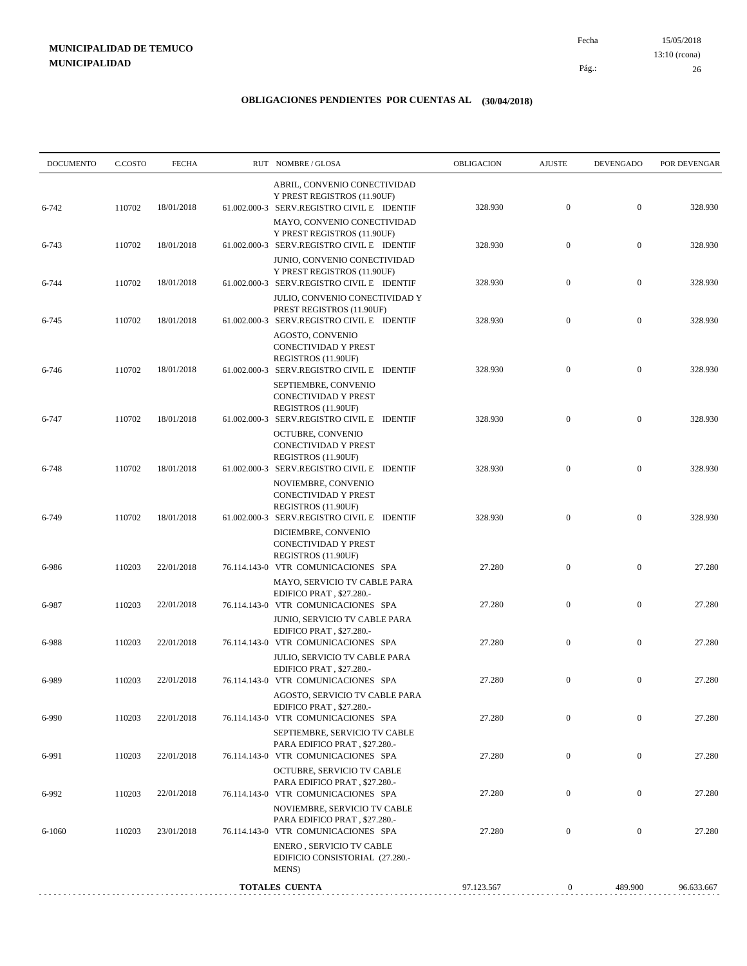15/05/2018 26 Pág.: Fecha 13:10 (rcona)

| <b>DOCUMENTO</b> | C.COSTO | <b>FECHA</b> | RUT NOMBRE/GLOSA                                                                                                                                                    | <b>OBLIGACION</b> | <b>AJUSTE</b>    | <b>DEVENGADO</b> | POR DEVENGAR |
|------------------|---------|--------------|---------------------------------------------------------------------------------------------------------------------------------------------------------------------|-------------------|------------------|------------------|--------------|
| 6-742            | 110702  | 18/01/2018   | ABRIL, CONVENIO CONECTIVIDAD<br>Y PREST REGISTROS (11.90UF)<br>61.002.000-3 SERV.REGISTRO CIVIL E IDENTIF                                                           | 328.930           | $\mathbf{0}$     | $\mathbf{0}$     | 328.930      |
| 6-743            | 110702  | 18/01/2018   | MAYO, CONVENIO CONECTIVIDAD<br>Y PREST REGISTROS (11.90UF)<br>61.002.000-3 SERV.REGISTRO CIVIL E IDENTIF                                                            | 328.930           | $\mathbf{0}$     | $\mathbf{0}$     | 328.930      |
| 6-744            | 110702  | 18/01/2018   | JUNIO, CONVENIO CONECTIVIDAD<br>Y PREST REGISTROS (11.90UF)<br>61.002.000-3 SERV.REGISTRO CIVIL E IDENTIF                                                           | 328.930           | $\mathbf{0}$     | $\mathbf{0}$     | 328.930      |
| 6-745            | 110702  | 18/01/2018   | JULIO, CONVENIO CONECTIVIDAD Y<br>PREST REGISTROS (11.90UF)<br>61.002.000-3 SERV.REGISTRO CIVIL E IDENTIF                                                           | 328.930           | $\mathbf{0}$     | $\mathbf{0}$     | 328.930      |
| 6-746            | 110702  | 18/01/2018   | AGOSTO, CONVENIO<br>CONECTIVIDAD Y PREST<br>REGISTROS (11.90UF)<br>61.002.000-3 SERV.REGISTRO CIVIL E IDENTIF<br>SEPTIEMBRE, CONVENIO                               | 328.930           | $\mathbf{0}$     | $\mathbf{0}$     | 328.930      |
| 6-747            | 110702  | 18/01/2018   | CONECTIVIDAD Y PREST<br>REGISTROS (11.90UF)<br>61.002.000-3 SERV.REGISTRO CIVIL E IDENTIF<br>OCTUBRE, CONVENIO                                                      | 328.930           | $\mathbf{0}$     | $\mathbf{0}$     | 328.930      |
| 6-748            | 110702  | 18/01/2018   | CONECTIVIDAD Y PREST<br>REGISTROS (11.90UF)<br>61.002.000-3 SERV.REGISTRO CIVIL E IDENTIF                                                                           | 328.930           | $\mathbf{0}$     | $\mathbf{0}$     | 328.930      |
| 6-749            | 110702  | 18/01/2018   | NOVIEMBRE, CONVENIO<br>CONECTIVIDAD Y PREST<br>REGISTROS (11.90UF)<br>61.002.000-3 SERV.REGISTRO CIVIL E IDENTIF                                                    | 328.930           | $\mathbf{0}$     | $\mathbf{0}$     | 328.930      |
| 6-986            | 110203  | 22/01/2018   | DICIEMBRE, CONVENIO<br>CONECTIVIDAD Y PREST<br>REGISTROS (11.90UF)<br>76.114.143-0 VTR COMUNICACIONES SPA                                                           | 27.280            | $\mathbf{0}$     | $\mathbf{0}$     | 27.280       |
| 6-987            | 110203  | 22/01/2018   | MAYO, SERVICIO TV CABLE PARA<br>EDIFICO PRAT, \$27.280.-<br>76.114.143-0 VTR COMUNICACIONES SPA                                                                     | 27.280            | $\mathbf{0}$     | $\mathbf{0}$     | 27.280       |
| 6-988            | 110203  | 22/01/2018   | JUNIO, SERVICIO TV CABLE PARA<br>EDIFICO PRAT, \$27.280.-<br>76.114.143-0 VTR COMUNICACIONES SPA<br>JULIO, SERVICIO TV CABLE PARA                                   | 27.280            | $\mathbf{0}$     | $\mathbf{0}$     | 27.280       |
| 6-989            | 110203  | 22/01/2018   | EDIFICO PRAT, \$27.280.-<br>76.114.143-0 VTR COMUNICACIONES SPA                                                                                                     | 27.280            | $\mathbf{0}$     | $\mathbf{0}$     | 27.280       |
| 6-990            | 110203  | 22/01/2018   | AGOSTO, SERVICIO TV CABLE PARA<br>EDIFICO PRAT, \$27.280.-<br>76.114.143-0 VTR COMUNICACIONES SPA                                                                   | 27.280            | $\mathbf{0}$     | $\mathbf{0}$     | 27.280       |
| 6-991            | 110203  | 22/01/2018   | SEPTIEMBRE, SERVICIO TV CABLE<br>PARA EDIFICO PRAT, \$27.280.-<br>76.114.143-0 VTR COMUNICACIONES SPA                                                               | 27.280            | $\mathbf{0}$     | $\boldsymbol{0}$ | 27.280       |
| 6-992            | 110203  | 22/01/2018   | OCTUBRE, SERVICIO TV CABLE<br>PARA EDIFICO PRAT, \$27.280.-<br>76.114.143-0 VTR COMUNICACIONES SPA                                                                  | 27.280            | $\boldsymbol{0}$ | $\boldsymbol{0}$ | 27.280       |
| 6-1060           | 110203  | 23/01/2018   | NOVIEMBRE, SERVICIO TV CABLE<br>PARA EDIFICO PRAT, \$27.280.-<br>76.114.143-0 VTR COMUNICACIONES SPA<br>ENERO, SERVICIO TV CABLE<br>EDIFICIO CONSISTORIAL (27.280.- | 27.280            | $\boldsymbol{0}$ | $\boldsymbol{0}$ | 27.280       |
|                  |         |              | MENS)<br><b>TOTALES CUENTA</b>                                                                                                                                      | 97.123.567        | $\boldsymbol{0}$ | 489.900          | 96.633.667   |
|                  |         |              |                                                                                                                                                                     |                   |                  |                  |              |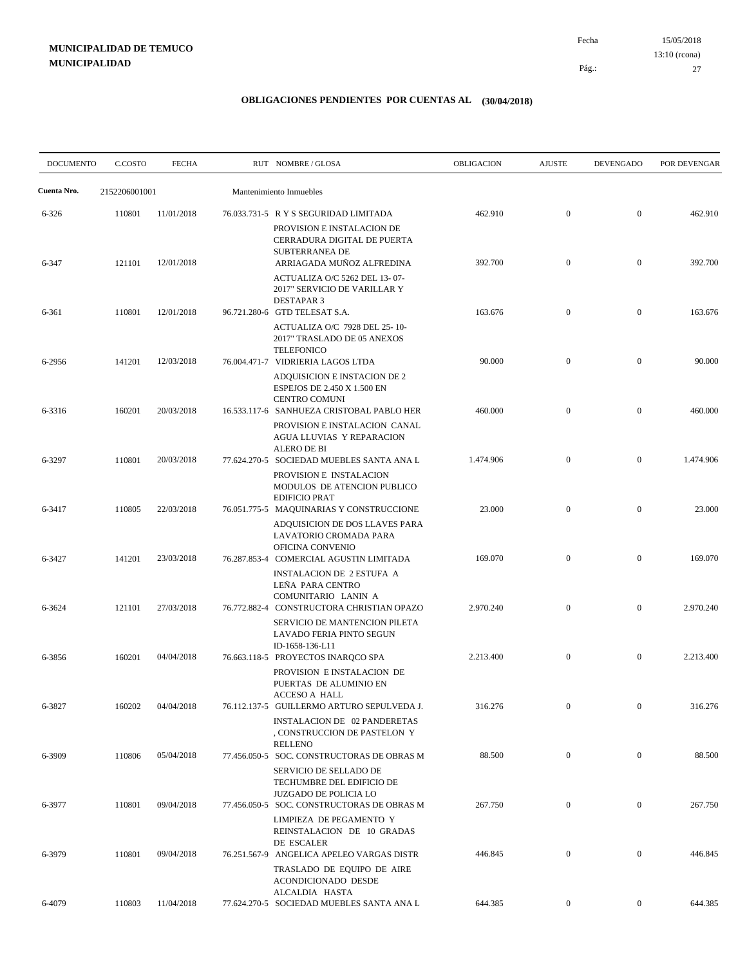15/05/2018 27 Pág.: Fecha 13:10 (rcona)

| <b>DOCUMENTO</b> | C.COSTO       | <b>FECHA</b> | RUT NOMBRE/GLOSA                                                                                                                                 | OBLIGACION | <b>AJUSTE</b>    | <b>DEVENGADO</b> | POR DEVENGAR |
|------------------|---------------|--------------|--------------------------------------------------------------------------------------------------------------------------------------------------|------------|------------------|------------------|--------------|
| Cuenta Nro.      | 2152206001001 |              | Mantenimiento Inmuebles                                                                                                                          |            |                  |                  |              |
| $6 - 326$        | 110801        | 11/01/2018   | 76.033.731-5 R Y S SEGURIDAD LIMITADA                                                                                                            | 462.910    | $\mathbf{0}$     | $\mathbf{0}$     | 462.910      |
| 6-347            | 121101        | 12/01/2018   | PROVISION E INSTALACION DE<br>CERRADURA DIGITAL DE PUERTA<br><b>SUBTERRANEA DE</b><br>ARRIAGADA MUÑOZ ALFREDINA<br>ACTUALIZA O/C 5262 DEL 13-07- | 392.700    | $\mathbf{0}$     | $\mathbf{0}$     | 392.700      |
| 6-361            | 110801        | 12/01/2018   | 2017" SERVICIO DE VARILLAR Y<br><b>DESTAPAR 3</b><br>96.721.280-6 GTD TELESAT S.A.<br>ACTUALIZA O/C 7928 DEL 25-10-                              | 163.676    | $\mathbf{0}$     | $\mathbf{0}$     | 163.676      |
| 6-2956           | 141201        | 12/03/2018   | 2017" TRASLADO DE 05 ANEXOS<br><b>TELEFONICO</b><br>76.004.471-7 VIDRIERIA LAGOS LTDA<br>ADQUISICION E INSTACION DE 2                            | 90.000     | $\mathbf{0}$     | $\mathbf{0}$     | 90.000       |
| 6-3316           | 160201        | 20/03/2018   | <b>ESPEJOS DE 2.450 X 1.500 EN</b><br><b>CENTRO COMUNI</b><br>16.533.117-6 SANHUEZA CRISTOBAL PABLO HER<br>PROVISION E INSTALACION CANAL         | 460.000    | $\mathbf{0}$     | $\mathbf{0}$     | 460.000      |
| 6-3297           | 110801        | 20/03/2018   | AGUA LLUVIAS Y REPARACION<br><b>ALERO DE BI</b><br>77.624.270-5 SOCIEDAD MUEBLES SANTA ANA L<br>PROVISION E INSTALACION                          | 1.474.906  | $\mathbf{0}$     | $\mathbf{0}$     | 1.474.906    |
| 6-3417           | 110805        | 22/03/2018   | MODULOS DE ATENCION PUBLICO<br><b>EDIFICIO PRAT</b><br>76.051.775-5 MAQUINARIAS Y CONSTRUCCIONE                                                  | 23.000     | $\mathbf{0}$     | $\mathbf{0}$     | 23.000       |
| 6-3427           | 141201        | 23/03/2018   | ADQUISICION DE DOS LLAVES PARA<br>LAVATORIO CROMADA PARA<br>OFICINA CONVENIO<br>76.287.853-4 COMERCIAL AGUSTIN LIMITADA                          | 169.070    | $\mathbf{0}$     | $\mathbf{0}$     | 169.070      |
| 6-3624           | 121101        | 27/03/2018   | <b>INSTALACION DE 2 ESTUFA A</b><br>LEÑA PARA CENTRO<br>COMUNITARIO LANIN A<br>76.772.882-4 CONSTRUCTORA CHRISTIAN OPAZO                         | 2.970.240  | $\mathbf{0}$     | $\mathbf{0}$     | 2.970.240    |
|                  |               |              | SERVICIO DE MANTENCION PILETA<br>LAVADO FERIA PINTO SEGUN<br>ID-1658-136-L11                                                                     |            |                  |                  |              |
| 6-3856           | 160201        | 04/04/2018   | 76.663.118-5 PROYECTOS INAROCO SPA<br>PROVISION E INSTALACION DE<br>PUERTAS DE ALUMINIO EN<br>ACCESO A HALL                                      | 2.213.400  | $\mathbf{0}$     | $\mathbf{0}$     | 2.213.400    |
| 6-3827           | 160202        | 04/04/2018   | 76.112.137-5 GUILLERMO ARTURO SEPULVEDA J.<br><b>INSTALACION DE 02 PANDERETAS</b><br>, CONSTRUCCION DE PASTELON Y                                | 316.276    | $\boldsymbol{0}$ | $\mathbf{0}$     | 316.276      |
| 6-3909           | 110806        | 05/04/2018   | RELLENO<br>77.456.050-5 SOC. CONSTRUCTORAS DE OBRAS M<br>SERVICIO DE SELLADO DE                                                                  | 88.500     | $\mathbf{0}$     | $\mathbf{0}$     | 88.500       |
| 6-3977           | 110801        | 09/04/2018   | TECHUMBRE DEL EDIFICIO DE<br><b>JUZGADO DE POLICIA LO</b><br>77.456.050-5 SOC. CONSTRUCTORAS DE OBRAS M                                          | 267.750    | $\boldsymbol{0}$ | $\mathbf{0}$     | 267.750      |
| 6-3979           | 110801        | 09/04/2018   | LIMPIEZA DE PEGAMENTO Y<br>REINSTALACION DE 10 GRADAS<br>DE ESCALER<br>76.251.567-9 ANGELICA APELEO VARGAS DISTR                                 | 446.845    | $\boldsymbol{0}$ | $\mathbf{0}$     | 446.845      |
|                  |               |              | TRASLADO DE EQUIPO DE AIRE<br>ACONDICIONADO DESDE<br>ALCALDIA HASTA                                                                              |            |                  |                  |              |
| 6-4079           | 110803        | 11/04/2018   | 77.624.270-5 SOCIEDAD MUEBLES SANTA ANA L                                                                                                        | 644.385    | $\overline{0}$   | $\overline{0}$   | 644.385      |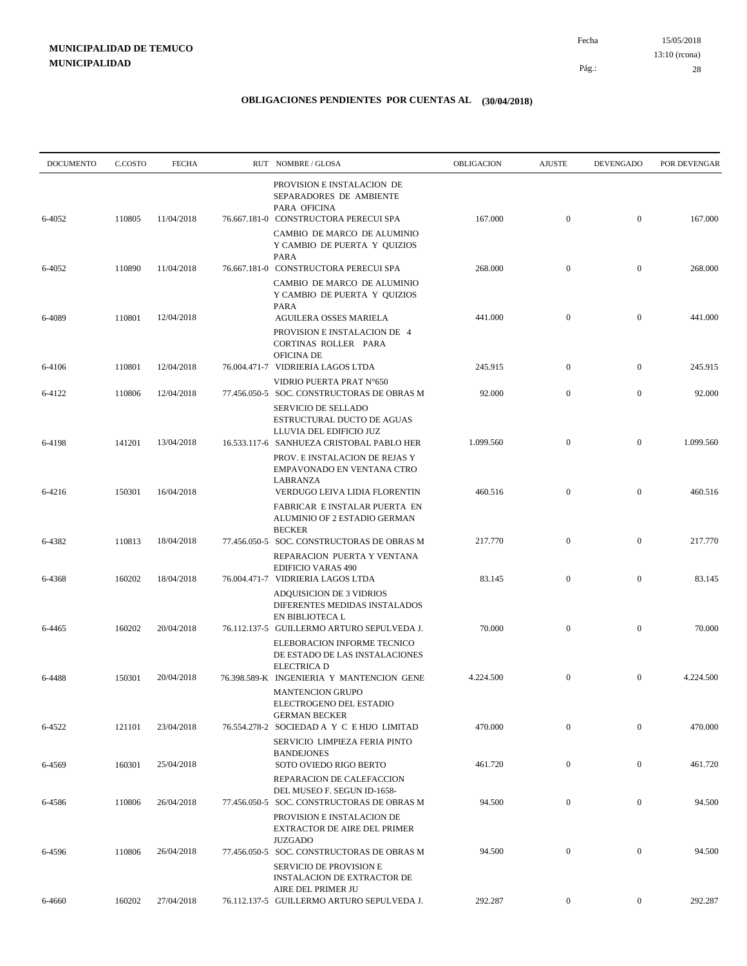| <b>DOCUMENTO</b> | C.COSTO | <b>FECHA</b> | RUT NOMBRE/GLOSA                                                                                                        | OBLIGACION | <b>AJUSTE</b>    | <b>DEVENGADO</b> | POR DEVENGAR |
|------------------|---------|--------------|-------------------------------------------------------------------------------------------------------------------------|------------|------------------|------------------|--------------|
| 6-4052           | 110805  | 11/04/2018   | PROVISION E INSTALACION DE<br>SEPARADORES DE AMBIENTE<br>PARA OFICINA<br>76.667.181-0 CONSTRUCTORA PERECUI SPA          | 167.000    | $\mathbf{0}$     | $\boldsymbol{0}$ | 167.000      |
|                  |         |              | CAMBIO DE MARCO DE ALUMINIO<br>Y CAMBIO DE PUERTA Y QUIZIOS<br>PARA                                                     |            |                  |                  |              |
| 6-4052           | 110890  | 11/04/2018   | 76.667.181-0 CONSTRUCTORA PERECUI SPA                                                                                   | 268.000    | $\mathbf{0}$     | $\mathbf{0}$     | 268.000      |
|                  |         |              | CAMBIO DE MARCO DE ALUMINIO<br>Y CAMBIO DE PUERTA Y QUIZIOS<br><b>PARA</b>                                              |            |                  |                  |              |
| 6-4089           | 110801  | 12/04/2018   | AGUILERA OSSES MARIELA<br>PROVISION E INSTALACION DE 4<br>CORTINAS ROLLER PARA<br><b>OFICINA DE</b>                     | 441.000    | $\mathbf{0}$     | $\mathbf{0}$     | 441.000      |
| 6-4106           | 110801  | 12/04/2018   | 76.004.471-7 VIDRIERIA LAGOS LTDA                                                                                       | 245.915    | $\mathbf{0}$     | $\boldsymbol{0}$ | 245.915      |
| 6-4122           | 110806  | 12/04/2018   | VIDRIO PUERTA PRAT N°650<br>77.456.050-5 SOC. CONSTRUCTORAS DE OBRAS M                                                  | 92.000     | $\mathbf{0}$     | $\mathbf{0}$     | 92.000       |
|                  |         |              | SERVICIO DE SELLADO<br>ESTRUCTURAL DUCTO DE AGUAS<br>LLUVIA DEL EDIFICIO JUZ                                            |            |                  |                  |              |
| 6-4198           | 141201  | 13/04/2018   | 16.533.117-6 SANHUEZA CRISTOBAL PABLO HER                                                                               | 1.099.560  | $\mathbf{0}$     | $\boldsymbol{0}$ | 1.099.560    |
|                  |         |              | PROV. E INSTALACION DE REJAS Y<br>EMPAVONADO EN VENTANA CTRO<br><b>LABRANZA</b>                                         |            |                  |                  |              |
| 6-4216           | 150301  | 16/04/2018   | VERDUGO LEIVA LIDIA FLORENTIN                                                                                           | 460.516    | $\mathbf{0}$     | $\mathbf{0}$     | 460.516      |
|                  |         |              | FABRICAR E INSTALAR PUERTA EN<br>ALUMINIO OF 2 ESTADIO GERMAN<br><b>BECKER</b>                                          |            |                  |                  |              |
| 6-4382           | 110813  | 18/04/2018   | 77.456.050-5 SOC. CONSTRUCTORAS DE OBRAS M                                                                              | 217.770    | $\mathbf{0}$     | $\boldsymbol{0}$ | 217.770      |
| 6-4368           | 160202  | 18/04/2018   | REPARACION PUERTA Y VENTANA<br><b>EDIFICIO VARAS 490</b><br>76.004.471-7 VIDRIERIA LAGOS LTDA                           | 83.145     | $\mathbf{0}$     | $\boldsymbol{0}$ | 83.145       |
|                  |         |              | ADQUISICION DE 3 VIDRIOS<br>DIFERENTES MEDIDAS INSTALADOS<br>EN BIBLIOTECA L                                            |            |                  |                  |              |
| 6-4465           | 160202  | 20/04/2018   | 76.112.137-5 GUILLERMO ARTURO SEPULVEDA J.                                                                              | 70.000     | $\mathbf{0}$     | $\boldsymbol{0}$ | 70.000       |
|                  |         |              | ELEBORACION INFORME TECNICO<br>DE ESTADO DE LAS INSTALACIONES<br><b>ELECTRICA D</b>                                     |            |                  |                  |              |
| 6-4488           | 150301  | 20/04/2018   | 76.398.589-K INGENIERIA Y MANTENCION GENE<br><b>MANTENCION GRUPO</b><br>ELECTROGENO DEL ESTADIO<br><b>GERMAN BECKER</b> | 4.224.500  | $\mathbf{0}$     | $\mathbf{0}$     | 4.224.500    |
| 6-4522           | 121101  | 23/04/2018   | 76.554.278-2 SOCIEDAD A Y C E HIJO LIMITAD<br>SERVICIO LIMPIEZA FERIA PINTO                                             | 470.000    | $\mathbf{0}$     | $\boldsymbol{0}$ | 470.000      |
| 6-4569           | 160301  | 25/04/2018   | <b>BANDEJONES</b><br>SOTO OVIEDO RIGO BERTO                                                                             | 461.720    | $\mathbf{0}$     | $\boldsymbol{0}$ | 461.720      |
| 6-4586           | 110806  | 26/04/2018   | REPARACION DE CALEFACCION<br>DEL MUSEO F. SEGUN ID-1658-<br>77.456.050-5 SOC. CONSTRUCTORAS DE OBRAS M                  | 94.500     | $\boldsymbol{0}$ | $\boldsymbol{0}$ | 94.500       |
|                  |         |              | PROVISION E INSTALACION DE<br>EXTRACTOR DE AIRE DEL PRIMER                                                              |            |                  |                  |              |
| 6-4596           | 110806  | 26/04/2018   | <b>JUZGADO</b><br>77.456.050-5 SOC. CONSTRUCTORAS DE OBRAS M                                                            | 94.500     | $\mathbf{0}$     | $\boldsymbol{0}$ | 94.500       |
|                  |         |              | SERVICIO DE PROVISION E<br><b>INSTALACION DE EXTRACTOR DE</b><br>AIRE DEL PRIMER JU                                     |            |                  |                  |              |
| 6-4660           | 160202  | 27/04/2018   | 76.112.137-5 GUILLERMO ARTURO SEPULVEDA J.                                                                              | 292.287    | $\overline{0}$   | $\boldsymbol{0}$ | 292.287      |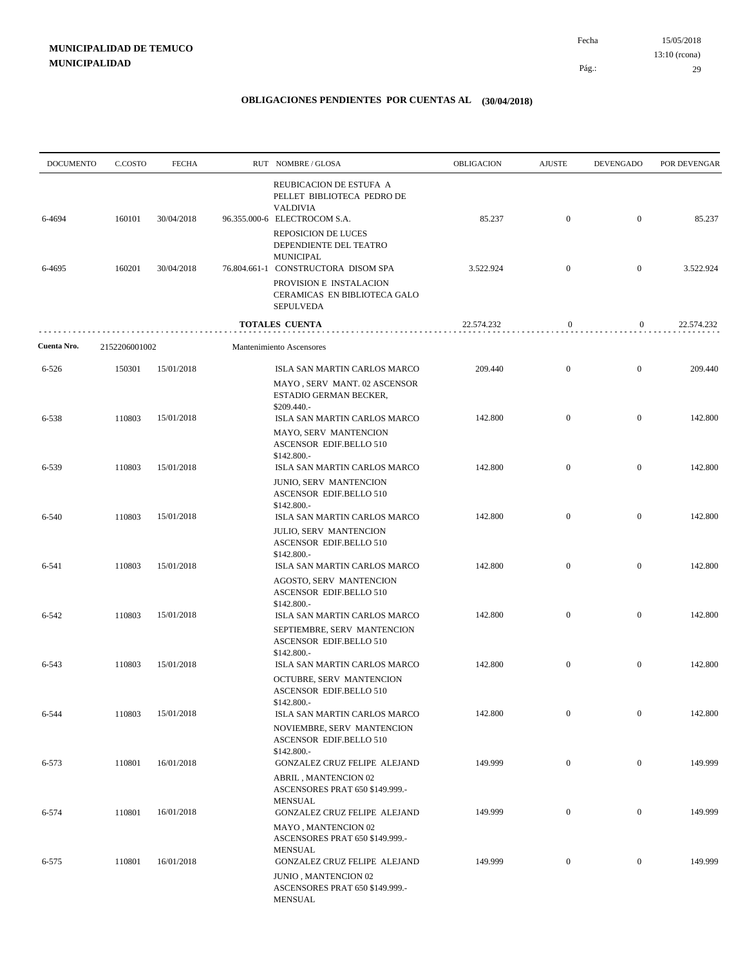| <b>DOCUMENTO</b> | C.COSTO       | <b>FECHA</b> | RUT NOMBRE/GLOSA                                                                                                   | <b>OBLIGACION</b> | <b>AJUSTE</b>    | <b>DEVENGADO</b> | POR DEVENGAR |
|------------------|---------------|--------------|--------------------------------------------------------------------------------------------------------------------|-------------------|------------------|------------------|--------------|
| 6-4694           | 160101        | 30/04/2018   | REUBICACION DE ESTUFA A<br>PELLET BIBLIOTECA PEDRO DE<br><b>VALDIVIA</b><br>96.355.000-6 ELECTROCOM S.A.           | 85.237            | $\mathbf{0}$     | $\overline{0}$   | 85.237       |
|                  |               |              | <b>REPOSICION DE LUCES</b><br>DEPENDIENTE DEL TEATRO<br>MUNICIPAL                                                  |                   |                  |                  |              |
| 6-4695           | 160201        | 30/04/2018   | 76.804.661-1 CONSTRUCTORA DISOM SPA<br>PROVISION E INSTALACION<br>CERAMICAS EN BIBLIOTECA GALO<br><b>SEPULVEDA</b> | 3.522.924         | $\mathbf{0}$     | $\mathbf{0}$     | 3.522.924    |
|                  |               |              | <b>TOTALES CUENTA</b>                                                                                              | 22.574.232        | 0                | $\boldsymbol{0}$ | 22.574.232   |
| Cuenta Nro.      | 2152206001002 |              | Mantenimiento Ascensores                                                                                           |                   |                  |                  |              |
| 6-526            | 150301        | 15/01/2018   | ISLA SAN MARTIN CARLOS MARCO<br>MAYO, SERV MANT. 02 ASCENSOR                                                       | 209.440           | $\mathbf{0}$     | $\mathbf{0}$     | 209.440      |
|                  |               |              | ESTADIO GERMAN BECKER,<br>$$209.440. -$                                                                            |                   |                  |                  |              |
| 6-538            | 110803        | 15/01/2018   | ISLA SAN MARTIN CARLOS MARCO<br>MAYO, SERV MANTENCION<br>ASCENSOR EDIF.BELLO 510<br>$$142.800-$                    | 142.800           | $\mathbf{0}$     | $\mathbf{0}$     | 142.800      |
| 6-539            | 110803        | 15/01/2018   | ISLA SAN MARTIN CARLOS MARCO<br><b>JUNIO, SERV MANTENCION</b><br><b>ASCENSOR EDIF.BELLO 510</b>                    | 142.800           | $\mathbf{0}$     | $\overline{0}$   | 142.800      |
| 6-540            | 110803        | 15/01/2018   | \$142.800.-<br>ISLA SAN MARTIN CARLOS MARCO                                                                        | 142.800           | $\mathbf{0}$     | $\mathbf{0}$     | 142.800      |
|                  |               |              | <b>JULIO, SERV MANTENCION</b><br>ASCENSOR EDIF.BELLO 510<br>\$142.800.-                                            |                   |                  |                  |              |
| 6-541            | 110803        | 15/01/2018   | ISLA SAN MARTIN CARLOS MARCO<br>AGOSTO, SERV MANTENCION<br>ASCENSOR EDIF.BELLO 510<br>\$142.800.-                  | 142.800           | $\mathbf{0}$     | $\mathbf{0}$     | 142.800      |
| 6-542            | 110803        | 15/01/2018   | ISLA SAN MARTIN CARLOS MARCO<br>SEPTIEMBRE, SERV MANTENCION<br>ASCENSOR EDIF.BELLO 510                             | 142.800           | $\mathbf{0}$     | $\mathbf{0}$     | 142.800      |
| 6-543            | 110803        | 15/01/2018   | \$142.800.-<br>ISLA SAN MARTIN CARLOS MARCO<br>OCTUBRE, SERV MANTENCION<br>ASCENSOR EDIF.BELLO 510                 | 142.800           | $\boldsymbol{0}$ | $\mathbf{0}$     | 142.800      |
| 6-544            | 110803        | 15/01/2018   | \$142.800 .-<br>ISLA SAN MARTIN CARLOS MARCO<br>NOVIEMBRE, SERV MANTENCION                                         | 142.800           | $\mathbf{0}$     | $\boldsymbol{0}$ | 142.800      |
|                  |               | 16/01/2018   | ASCENSOR EDIF.BELLO 510<br>\$142.800 .-                                                                            |                   |                  |                  |              |
| 6-573            | 110801        |              | GONZALEZ CRUZ FELIPE ALEJAND<br>ABRIL, MANTENCION 02<br>ASCENSORES PRAT 650 \$149.999.-<br><b>MENSUAL</b>          | 149.999           | $\boldsymbol{0}$ | $\boldsymbol{0}$ | 149.999      |
| 6-574            | 110801        | 16/01/2018   | GONZALEZ CRUZ FELIPE ALEJAND<br>MAYO, MANTENCION 02                                                                | 149.999           | $\boldsymbol{0}$ | $\boldsymbol{0}$ | 149.999      |
| $6 - 575$        | 110801        | 16/01/2018   | ASCENSORES PRAT 650 \$149.999.-<br><b>MENSUAL</b><br>GONZALEZ CRUZ FELIPE ALEJAND<br>JUNIO, MANTENCION 02          | 149.999           | $\boldsymbol{0}$ | $\boldsymbol{0}$ | 149.999      |
|                  |               |              | ASCENSORES PRAT 650 \$149.999.-<br>MENSUAL                                                                         |                   |                  |                  |              |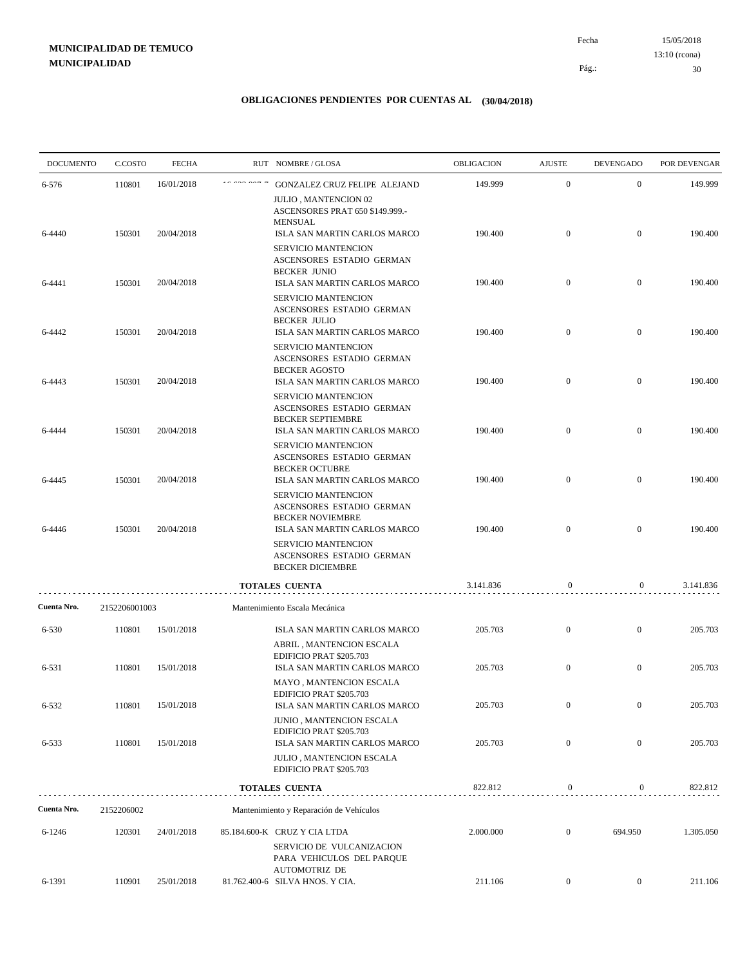15/05/2018 30 Pág.: Fecha 13:10 (rcona)

| <b>DOCUMENTO</b> | C.COSTO       | <b>FECHA</b> | RUT NOMBRE/GLOSA                                                                                            | OBLIGACION | <b>AJUSTE</b>    | <b>DEVENGADO</b> | POR DEVENGAR |
|------------------|---------------|--------------|-------------------------------------------------------------------------------------------------------------|------------|------------------|------------------|--------------|
| 6-576            | 110801        | 16/01/2018   | GONZALEZ CRUZ FELIPE ALEJAND                                                                                | 149.999    | $\mathbf{0}$     | $\overline{0}$   | 149.999      |
| 6-4440           | 150301        | 20/04/2018   | JULIO, MANTENCION 02<br>ASCENSORES PRAT 650 \$149.999.-<br><b>MENSUAL</b><br>ISLA SAN MARTIN CARLOS MARCO   | 190.400    | $\mathbf{0}$     | $\overline{0}$   | 190.400      |
|                  |               |              | SERVICIO MANTENCION<br>ASCENSORES ESTADIO GERMAN<br><b>BECKER JUNIO</b>                                     |            |                  |                  |              |
| 6-4441           | 150301        | 20/04/2018   | ISLA SAN MARTIN CARLOS MARCO<br>SERVICIO MANTENCION<br>ASCENSORES ESTADIO GERMAN                            | 190.400    | $\mathbf{0}$     | $\overline{0}$   | 190.400      |
| 6-4442           | 150301        | 20/04/2018   | <b>BECKER JULIO</b><br>ISLA SAN MARTIN CARLOS MARCO<br>SERVICIO MANTENCION                                  | 190.400    | $\mathbf{0}$     | $\overline{0}$   | 190.400      |
| 6-4443           | 150301        | 20/04/2018   | ASCENSORES ESTADIO GERMAN<br><b>BECKER AGOSTO</b><br>ISLA SAN MARTIN CARLOS MARCO                           | 190.400    | $\mathbf{0}$     | $\mathbf{0}$     | 190.400      |
|                  |               |              | <b>SERVICIO MANTENCION</b><br>ASCENSORES ESTADIO GERMAN<br><b>BECKER SEPTIEMBRE</b>                         |            |                  |                  |              |
| 6-4444           | 150301        | 20/04/2018   | ISLA SAN MARTIN CARLOS MARCO<br>SERVICIO MANTENCION<br>ASCENSORES ESTADIO GERMAN                            | 190.400    | $\mathbf{0}$     | $\overline{0}$   | 190.400      |
| 6-4445           | 150301        | 20/04/2018   | <b>BECKER OCTUBRE</b><br>ISLA SAN MARTIN CARLOS MARCO<br>SERVICIO MANTENCION<br>ASCENSORES ESTADIO GERMAN   | 190.400    | $\mathbf{0}$     | $\overline{0}$   | 190.400      |
| 6-4446           | 150301        | 20/04/2018   | <b>BECKER NOVIEMBRE</b><br>ISLA SAN MARTIN CARLOS MARCO<br>SERVICIO MANTENCION<br>ASCENSORES ESTADIO GERMAN | 190.400    | $\overline{0}$   | $\overline{0}$   | 190.400      |
|                  |               |              | <b>BECKER DICIEMBRE</b>                                                                                     | 3.141.836  |                  |                  |              |
| Cuenta Nro.      | 2152206001003 |              | TOTALES CUENTA<br>Mantenimiento Escala Mecánica                                                             |            | $\boldsymbol{0}$ | 0                | 3.141.836    |
|                  |               |              |                                                                                                             |            | $\mathbf{0}$     | $\boldsymbol{0}$ |              |
| 6-530            | 110801        | 15/01/2018   | ISLA SAN MARTIN CARLOS MARCO<br>ABRIL, MANTENCION ESCALA<br>EDIFICIO PRAT \$205.703                         | 205.703    |                  |                  | 205.703      |
| 6-531            | 110801        | 15/01/2018   | ISLA SAN MARTIN CARLOS MARCO<br>MAYO, MANTENCION ESCALA                                                     | 205.703    | $\mathbf{0}$     | $\overline{0}$   | 205.703      |
| 6-532            | 110801        | 15/01/2018   | EDIFICIO PRAT \$205.703<br>ISLA SAN MARTIN CARLOS MARCO                                                     | 205.703    | $\boldsymbol{0}$ | $\overline{0}$   | 205.703      |
| 6-533            | 110801        | 15/01/2018   | JUNIO, MANTENCION ESCALA<br>EDIFICIO PRAT \$205.703<br>ISLA SAN MARTIN CARLOS MARCO                         | 205.703    | $\boldsymbol{0}$ | $\boldsymbol{0}$ | 205.703      |
|                  |               |              | <b>JULIO, MANTENCION ESCALA</b><br>EDIFICIO PRAT \$205.703                                                  |            |                  |                  |              |
|                  |               |              | TOTALES CUENTA                                                                                              | 822.812    | $\boldsymbol{0}$ | 0                | 822.812      |
| Cuenta Nro.      | 2152206002    |              | Mantenimiento y Reparación de Vehículos                                                                     |            |                  |                  |              |
| 6-1246           | 120301        | 24/01/2018   | 85.184.600-K CRUZ Y CIA LTDA<br>SERVICIO DE VULCANIZACION<br>PARA VEHICULOS DEL PARQUE                      | 2.000.000  | $\boldsymbol{0}$ | 694.950          | 1.305.050    |
| 6-1391           | 110901        | 25/01/2018   | <b>AUTOMOTRIZ DE</b><br>81.762.400-6 SILVA HNOS. Y CIA.                                                     | 211.106    | $\boldsymbol{0}$ | $\overline{0}$   | 211.106      |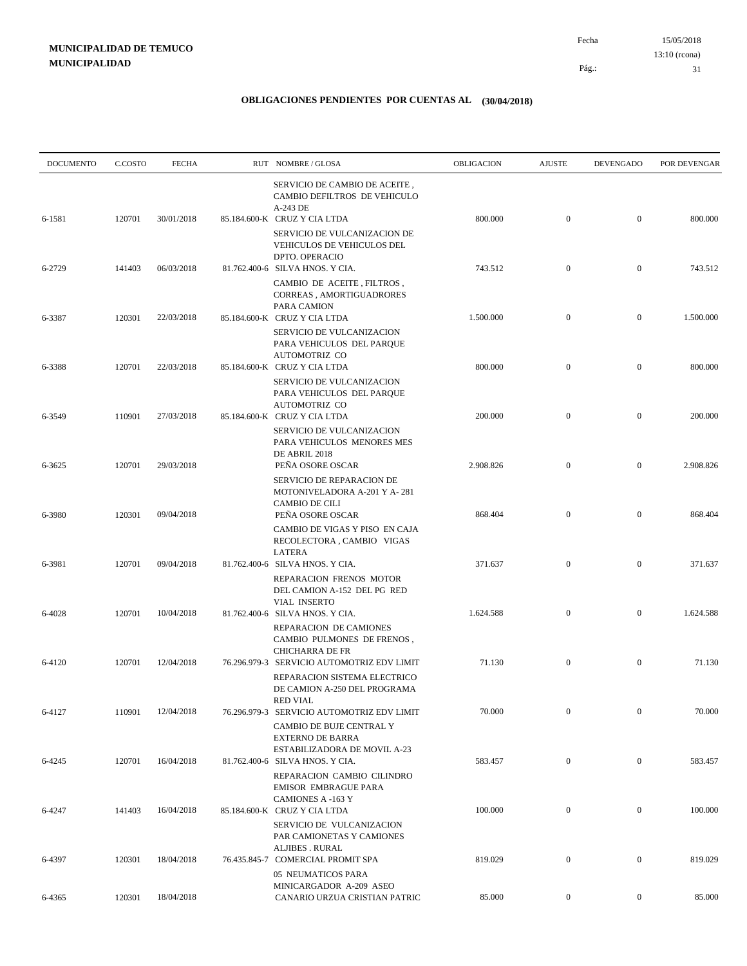| <b>DOCUMENTO</b> | C.COSTO | <b>FECHA</b> | RUT NOMBRE/GLOSA                                                                                           | OBLIGACION | <b>AJUSTE</b>    | <b>DEVENGADO</b> | POR DEVENGAR |
|------------------|---------|--------------|------------------------------------------------------------------------------------------------------------|------------|------------------|------------------|--------------|
| 6-1581           | 120701  | 30/01/2018   | SERVICIO DE CAMBIO DE ACEITE,<br>CAMBIO DEFILTROS DE VEHICULO<br>A-243 DE<br>85.184.600-K CRUZ Y CIA LTDA  | 800.000    | $\boldsymbol{0}$ | $\mathbf{0}$     | 800.000      |
|                  |         |              | SERVICIO DE VULCANIZACION DE<br>VEHICULOS DE VEHICULOS DEL<br>DPTO. OPERACIO                               |            |                  |                  |              |
| 6-2729           | 141403  | 06/03/2018   | 81.762.400-6 SILVA HNOS. Y CIA.<br>CAMBIO DE ACEITE, FILTROS,                                              | 743.512    | $\mathbf{0}$     | $\mathbf{0}$     | 743.512      |
| 6-3387           | 120301  | 22/03/2018   | CORREAS, AMORTIGUADRORES<br>PARA CAMION<br>85.184.600-K CRUZ Y CIA LTDA                                    | 1.500.000  | $\mathbf{0}$     | $\mathbf{0}$     | 1.500.000    |
|                  |         |              | SERVICIO DE VULCANIZACION<br>PARA VEHICULOS DEL PARQUE<br>AUTOMOTRIZ CO                                    | 800.000    | $\boldsymbol{0}$ | $\mathbf{0}$     | 800.000      |
| 6-3388           | 120701  | 22/03/2018   | 85.184.600-K CRUZ Y CIA LTDA<br><b>SERVICIO DE VULCANIZACION</b><br>PARA VEHICULOS DEL PARQUE              |            |                  |                  |              |
| 6-3549           | 110901  | 27/03/2018   | AUTOMOTRIZ CO<br>85.184.600-K CRUZ Y CIA LTDA<br>SERVICIO DE VULCANIZACION                                 | 200.000    | $\boldsymbol{0}$ | $\mathbf{0}$     | 200.000      |
| 6-3625           | 120701  | 29/03/2018   | PARA VEHICULOS MENORES MES<br>DE ABRIL 2018<br>PEÑA OSORE OSCAR                                            | 2.908.826  | $\mathbf{0}$     | $\mathbf{0}$     | 2.908.826    |
|                  |         |              | SERVICIO DE REPARACION DE<br>MOTONIVELADORA A-201 Y A-281<br><b>CAMBIO DE CILI</b>                         |            | $\mathbf{0}$     | $\mathbf{0}$     |              |
| 6-3980           | 120301  | 09/04/2018   | PEÑA OSORE OSCAR<br>CAMBIO DE VIGAS Y PISO EN CAJA<br>RECOLECTORA, CAMBIO VIGAS                            | 868.404    |                  |                  | 868.404      |
| 6-3981           | 120701  | 09/04/2018   | <b>LATERA</b><br>81.762.400-6 SILVA HNOS. Y CIA.<br>REPARACION FRENOS MOTOR                                | 371.637    | $\boldsymbol{0}$ | $\mathbf{0}$     | 371.637      |
| 6-4028           | 120701  | 10/04/2018   | DEL CAMION A-152 DEL PG RED<br><b>VIAL INSERTO</b><br>81.762.400-6 SILVA HNOS. Y CIA.                      | 1.624.588  | $\mathbf{0}$     | $\overline{0}$   | 1.624.588    |
|                  |         |              | REPARACION DE CAMIONES<br>CAMBIO PULMONES DE FRENOS,<br><b>CHICHARRA DE FR</b>                             |            |                  |                  |              |
| 6-4120           | 120701  | 12/04/2018   | 76.296.979-3 SERVICIO AUTOMOTRIZ EDV LIMIT<br>REPARACION SISTEMA ELECTRICO<br>DE CAMION A-250 DEL PROGRAMA | 71.130     | $\boldsymbol{0}$ | $\mathbf{0}$     | 71.130       |
| 6-4127           | 110901  | 12/04/2018   | RED VIAL<br>76.296.979-3 SERVICIO AUTOMOTRIZ EDV LIMIT<br>CAMBIO DE BUJE CENTRAL Y                         | 70.000     | $\mathbf{0}$     | $\boldsymbol{0}$ | 70.000       |
| 6-4245           | 120701  | 16/04/2018   | <b>EXTERNO DE BARRA</b><br>ESTABILIZADORA DE MOVIL A-23<br>81.762.400-6 SILVA HNOS. Y CIA.                 | 583.457    | $\boldsymbol{0}$ | $\boldsymbol{0}$ | 583.457      |
|                  |         |              | REPARACION CAMBIO CILINDRO<br><b>EMISOR EMBRAGUE PARA</b><br><b>CAMIONES A -163 Y</b>                      |            |                  |                  |              |
| 6-4247           | 141403  | 16/04/2018   | 85.184.600-K CRUZ Y CIA LTDA<br>SERVICIO DE VULCANIZACION<br>PAR CAMIONETAS Y CAMIONES                     | 100.000    | $\boldsymbol{0}$ | $\boldsymbol{0}$ | 100.000      |
| 6-4397           | 120301  | 18/04/2018   | ALJIBES . RURAL<br>76.435.845-7 COMERCIAL PROMIT SPA<br>05 NEUMATICOS PARA                                 | 819.029    | $\mathbf{0}$     | $\boldsymbol{0}$ | 819.029      |
| 6-4365           | 120301  | 18/04/2018   | MINICARGADOR A-209 ASEO<br>CANARIO URZUA CRISTIAN PATRIC                                                   | 85.000     | $\overline{0}$   | $\mathbf{0}$     | 85.000       |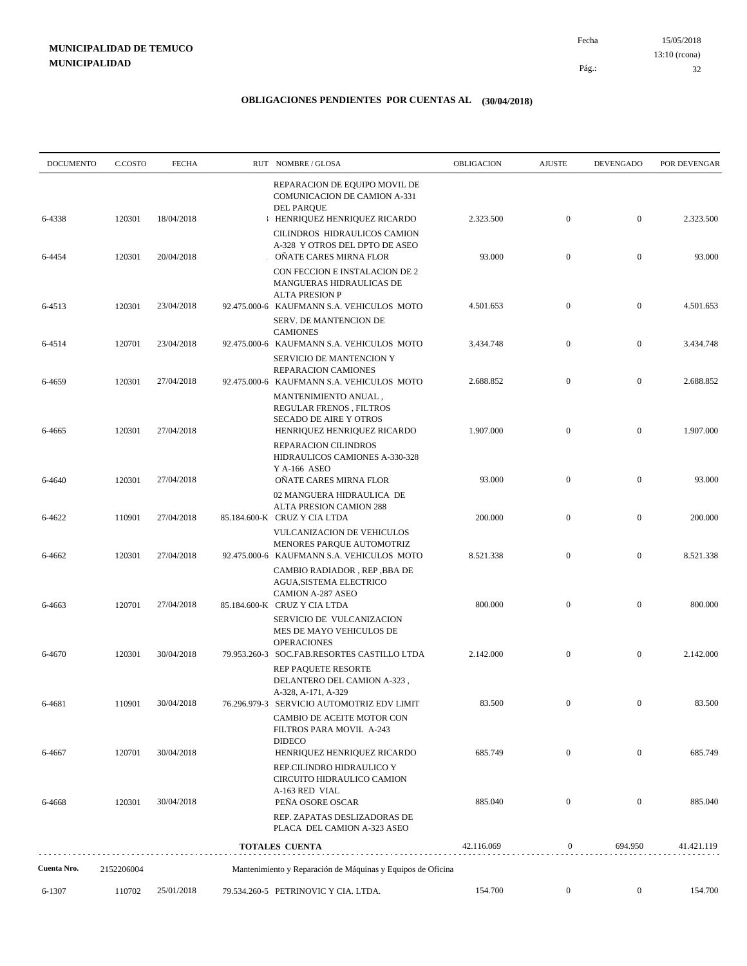| <b>DOCUMENTO</b> | C.COSTO    | <b>FECHA</b> | RUT NOMBRE/GLOSA                                                                                                         | OBLIGACION | <b>AJUSTE</b>    | DEVENGADO        | POR DEVENGAR |
|------------------|------------|--------------|--------------------------------------------------------------------------------------------------------------------------|------------|------------------|------------------|--------------|
| 6-4338           | 120301     | 18/04/2018   | REPARACION DE EQUIPO MOVIL DE<br><b>COMUNICACION DE CAMION A-331</b><br><b>DEL PARQUE</b><br>HENRIQUEZ HENRIQUEZ RICARDO | 2.323.500  | $\boldsymbol{0}$ | $\boldsymbol{0}$ | 2.323.500    |
| 6-4454           | 120301     | 20/04/2018   | CILINDROS HIDRAULICOS CAMION<br>A-328 Y OTROS DEL DPTO DE ASEO<br>OÑATE CARES MIRNA FLOR                                 | 93.000     | $\boldsymbol{0}$ | $\boldsymbol{0}$ | 93.000       |
|                  |            |              | CON FECCION E INSTALACION DE 2<br>MANGUERAS HIDRAULICAS DE<br><b>ALTA PRESION P</b>                                      |            |                  |                  |              |
| 6-4513           | 120301     | 23/04/2018   | 92.475.000-6 KAUFMANN S.A. VEHICULOS MOTO<br>SERV. DE MANTENCION DE<br><b>CAMIONES</b>                                   | 4.501.653  | $\mathbf{0}$     | $\boldsymbol{0}$ | 4.501.653    |
| 6-4514           | 120701     | 23/04/2018   | 92.475.000-6 KAUFMANN S.A. VEHICULOS MOTO<br>SERVICIO DE MANTENCION Y                                                    | 3.434.748  | $\boldsymbol{0}$ | $\boldsymbol{0}$ | 3.434.748    |
| 6-4659           | 120301     | 27/04/2018   | REPARACION CAMIONES<br>92.475.000-6 KAUFMANN S.A. VEHICULOS MOTO                                                         | 2.688.852  | $\boldsymbol{0}$ | $\boldsymbol{0}$ | 2.688.852    |
| 6-4665           | 120301     | 27/04/2018   | MANTENIMIENTO ANUAL,<br><b>REGULAR FRENOS, FILTROS</b><br>SECADO DE AIRE Y OTROS<br>HENRIQUEZ HENRIQUEZ RICARDO          | 1.907.000  | $\boldsymbol{0}$ | $\boldsymbol{0}$ | 1.907.000    |
|                  |            |              | REPARACION CILINDROS<br>HIDRAULICOS CAMIONES A-330-328<br>Y A-166 ASEO                                                   |            |                  |                  |              |
| 6-4640           | 120301     | 27/04/2018   | OÑATE CARES MIRNA FLOR<br>02 MANGUERA HIDRAULICA DE<br>ALTA PRESION CAMION 288                                           | 93.000     | $\boldsymbol{0}$ | $\boldsymbol{0}$ | 93.000       |
| 6-4622           | 110901     | 27/04/2018   | 85.184.600-K CRUZ Y CIA LTDA<br>VULCANIZACION DE VEHICULOS<br>MENORES PARQUE AUTOMOTRIZ                                  | 200.000    | $\boldsymbol{0}$ | $\boldsymbol{0}$ | 200.000      |
| 6-4662           | 120301     | 27/04/2018   | 92.475.000-6 KAUFMANN S.A. VEHICULOS MOTO<br>CAMBIO RADIADOR, REP, BBA DE<br>AGUA, SISTEMA ELECTRICO                     | 8.521.338  | $\boldsymbol{0}$ | $\boldsymbol{0}$ | 8.521.338    |
| 6-4663           | 120701     | 27/04/2018   | <b>CAMION A-287 ASEO</b><br>85.184.600-K CRUZ Y CIA LTDA<br>SERVICIO DE VULCANIZACION                                    | 800.000    | $\boldsymbol{0}$ | $\boldsymbol{0}$ | 800.000      |
| 6-4670           | 120301     | 30/04/2018   | MES DE MAYO VEHICULOS DE<br><b>OPERACIONES</b><br>79.953.260-3 SOC.FAB.RESORTES CASTILLO LTDA                            | 2.142.000  | $\boldsymbol{0}$ | $\boldsymbol{0}$ | 2.142.000    |
|                  |            |              | REP PAQUETE RESORTE<br>DELANTERO DEL CAMION A-323,<br>A-328, A-171, A-329                                                |            |                  |                  |              |
| 6-4681           | 110901     | 30/04/2018   | 76.296.979-3 SERVICIO AUTOMOTRIZ EDV LIMIT<br>CAMBIO DE ACEITE MOTOR CON<br>FILTROS PARA MOVIL A-243                     | 83.500     |                  |                  | 83.500       |
| 6-4667           | 120701     | 30/04/2018   | <b>DIDECO</b><br>HENRIQUEZ HENRIQUEZ RICARDO<br>REP.CILINDRO HIDRAULICO Y<br>CIRCUITO HIDRAULICO CAMION                  | 685.749    | $\overline{0}$   | $\boldsymbol{0}$ | 685.749      |
| 6-4668           | 120301     | 30/04/2018   | A-163 RED VIAL<br>PEÑA OSORE OSCAR<br>REP. ZAPATAS DESLIZADORAS DE                                                       | 885.040    | $\boldsymbol{0}$ | $\boldsymbol{0}$ | 885.040      |
|                  |            |              | PLACA DEL CAMION A-323 ASEO<br>TOTALES CUENTA                                                                            | 42.116.069 | $\mathbf{0}$     | 694.950          | 41.421.119   |
| Cuenta Nro.      | 2152206004 |              | Mantenimiento y Reparación de Máquinas y Equipos de Oficina                                                              |            |                  |                  |              |
| 6-1307           | 110702     | 25/01/2018   | 79.534.260-5 PETRINOVIC Y CIA. LTDA.                                                                                     | 154.700    | $\boldsymbol{0}$ | $\boldsymbol{0}$ | 154.700      |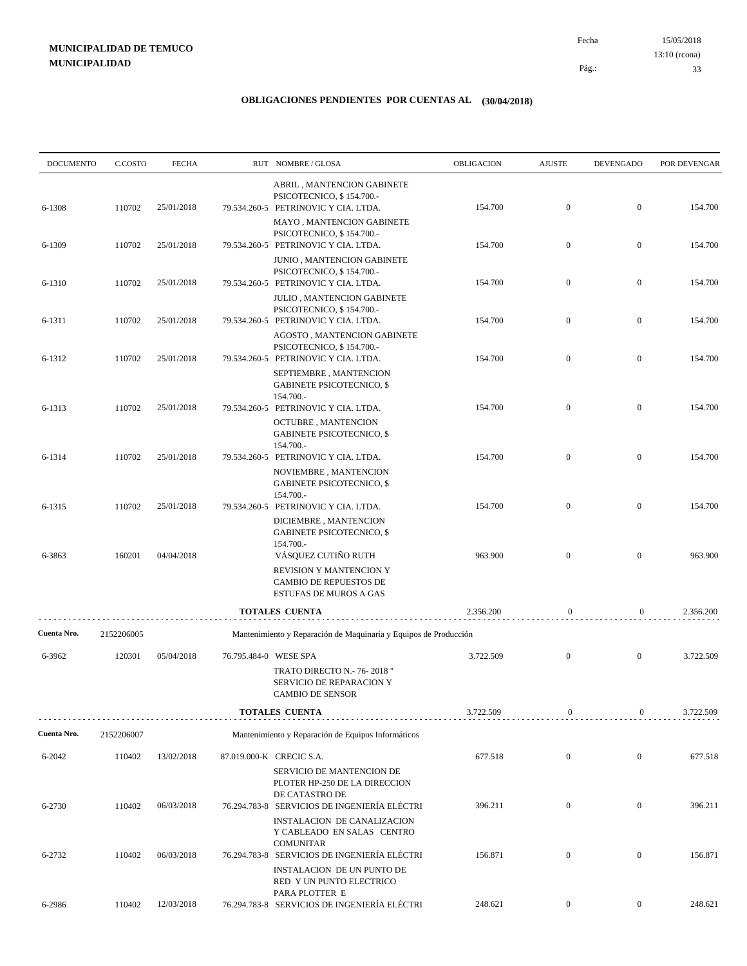15/05/2018 33 Pág.: Fecha 13:10 (rcona)

| <b>DOCUMENTO</b> | C.COSTO    | <b>FECHA</b> |                       | RUT NOMBRE/GLOSA                                                                                                            | OBLIGACION | <b>AJUSTE</b>    | <b>DEVENGADO</b> | POR DEVENGAR |
|------------------|------------|--------------|-----------------------|-----------------------------------------------------------------------------------------------------------------------------|------------|------------------|------------------|--------------|
| 6-1308           | 110702     | 25/01/2018   |                       | ABRIL, MANTENCION GABINETE<br>PSICOTECNICO, \$154.700.-<br>79.534.260-5 PETRINOVIC Y CIA. LTDA.                             | 154.700    | $\mathbf{0}$     | $\mathbf{0}$     | 154.700      |
| 6-1309           | 110702     | 25/01/2018   |                       | MAYO, MANTENCION GABINETE<br>PSICOTECNICO, \$154.700.-<br>79.534.260-5 PETRINOVIC Y CIA. LTDA.                              | 154.700    | $\mathbf{0}$     | $\mathbf{0}$     | 154.700      |
| 6-1310           | 110702     | 25/01/2018   |                       | JUNIO, MANTENCION GABINETE<br>PSICOTECNICO, \$154.700.-<br>79.534.260-5 PETRINOVIC Y CIA. LTDA.                             | 154.700    | $\mathbf{0}$     | $\mathbf{0}$     | 154.700      |
|                  |            |              |                       | JULIO, MANTENCION GABINETE<br>PSICOTECNICO, \$154.700.-                                                                     |            | $\mathbf{0}$     | $\mathbf{0}$     |              |
| 6-1311           | 110702     | 25/01/2018   |                       | 79.534.260-5 PETRINOVIC Y CIA. LTDA.<br>AGOSTO, MANTENCION GABINETE<br>PSICOTECNICO, \$154.700.-                            | 154.700    |                  |                  | 154.700      |
| 6-1312           | 110702     | 25/01/2018   |                       | 79.534.260-5 PETRINOVIC Y CIA. LTDA.<br>SEPTIEMBRE, MANTENCION<br><b>GABINETE PSICOTECNICO, \$</b><br>154.700.-             | 154.700    | $\mathbf{0}$     | $\mathbf{0}$     | 154.700      |
| 6-1313           | 110702     | 25/01/2018   |                       | 79.534.260-5 PETRINOVIC Y CIA. LTDA.<br><b>OCTUBRE, MANTENCION</b><br><b>GABINETE PSICOTECNICO, \$</b>                      | 154.700    | $\mathbf{0}$     | $\mathbf{0}$     | 154.700      |
| 6-1314           | 110702     | 25/01/2018   |                       | 154.700.-<br>79.534.260-5 PETRINOVIC Y CIA. LTDA.<br>NOVIEMBRE, MANTENCION<br><b>GABINETE PSICOTECNICO, \$</b><br>154.700.- | 154.700    | $\mathbf{0}$     | $\mathbf{0}$     | 154.700      |
| 6-1315           | 110702     | 25/01/2018   |                       | 79.534.260-5 PETRINOVIC Y CIA. LTDA.<br>DICIEMBRE, MANTENCION<br><b>GABINETE PSICOTECNICO, \$</b><br>154.700.-              | 154.700    | $\mathbf{0}$     | $\mathbf{0}$     | 154.700      |
| 6-3863           | 160201     | 04/04/2018   |                       | VÁSQUEZ CUTIÑO RUTH<br>REVISION Y MANTENCION Y<br>CAMBIO DE REPUESTOS DE<br><b>ESTUFAS DE MUROS A GAS</b>                   | 963.900    | $\mathbf{0}$     | $\boldsymbol{0}$ | 963.900      |
|                  |            |              |                       | <b>TOTALES CUENTA</b>                                                                                                       | 2.356.200  | 0                | $\boldsymbol{0}$ | 2.356.200    |
| Cuenta Nro.      | 2152206005 |              |                       | Mantenimiento y Reparación de Maquinaria y Equipos de Producción                                                            |            |                  |                  |              |
| 6-3962           | 120301     | 05/04/2018   | 76.795.484-0 WESE SPA |                                                                                                                             | 3.722.509  | $\mathbf{0}$     | $\mathbf{0}$     | 3.722.509    |
|                  |            |              |                       | TRATO DIRECTO N.- 76-2018"<br>SERVICIO DE REPARACION Y<br><b>CAMBIO DE SENSOR</b>                                           |            |                  |                  |              |
|                  |            |              |                       | <b>TOTALES CUENTA</b>                                                                                                       | 3.722.509  | $\boldsymbol{0}$ | 0                | 3.722.509    |
| Cuenta Nro.      | 2152206007 |              |                       | Mantenimiento y Reparación de Equipos Informáticos                                                                          |            |                  |                  |              |
| 6-2042           | 110402     | 13/02/2018   |                       | 87.019.000-K CRECIC S.A.<br>SERVICIO DE MANTENCION DE<br>PLOTER HP-250 DE LA DIRECCION                                      | 677.518    | $\mathbf{0}$     | $\boldsymbol{0}$ | 677.518      |
| 6-2730           | 110402     | 06/03/2018   |                       | DE CATASTRO DE<br>76.294.783-8 SERVICIOS DE INGENIERÍA ELÉCTRI<br>INSTALACION DE CANALIZACION<br>Y CABLEADO EN SALAS CENTRO | 396.211    | $\mathbf{0}$     | $\mathbf{0}$     | 396.211      |
| 6-2732           | 110402     | 06/03/2018   |                       | <b>COMUNITAR</b><br>76.294.783-8 SERVICIOS DE INGENIERÍA ELÉCTRI<br>INSTALACION DE UN PUNTO DE<br>RED Y UN PUNTO ELECTRICO  | 156.871    | $\mathbf{0}$     | $\mathbf{0}$     | 156.871      |
| 6-2986           | 110402     | 12/03/2018   |                       | PARA PLOTTER E<br>76.294.783-8 SERVICIOS DE INGENIERÍA ELÉCTRI                                                              | 248.621    | $\mathbf{0}$     | $\overline{0}$   | 248.621      |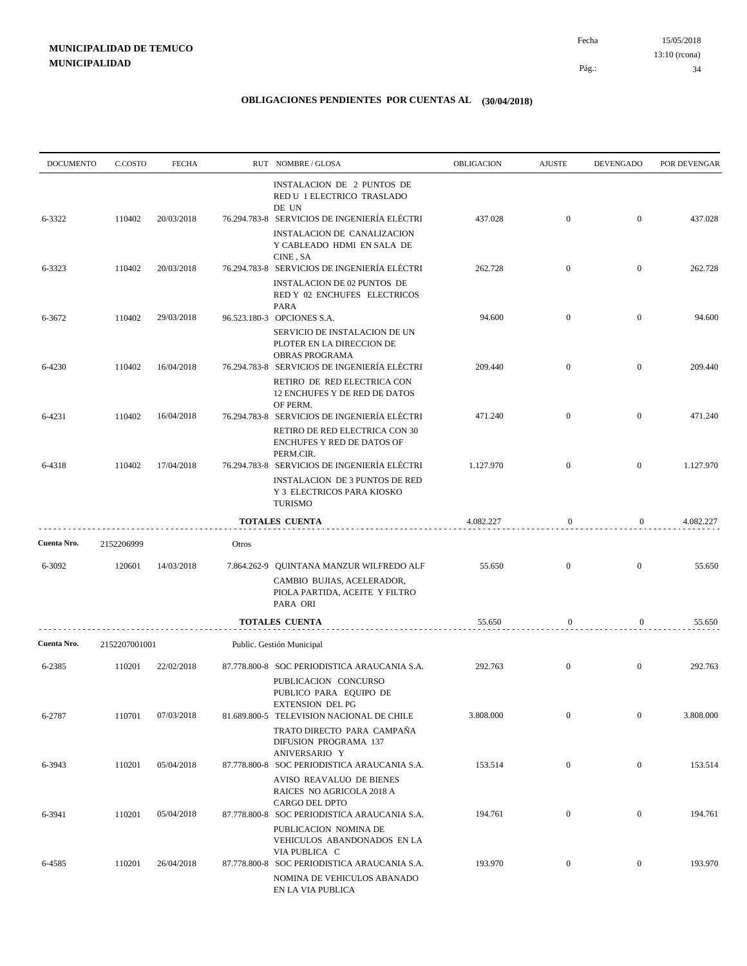| <b>DOCUMENTO</b> | C.COSTO       | <b>FECHA</b> |             | RUT NOMBRE/GLOSA                                                                                                                                                                             | <b>OBLIGACION</b> | <b>AJUSTE</b>    | <b>DEVENGADO</b> | POR DEVENGAR |
|------------------|---------------|--------------|-------------|----------------------------------------------------------------------------------------------------------------------------------------------------------------------------------------------|-------------------|------------------|------------------|--------------|
| 6-3322           | 110402        | 20/03/2018   |             | INSTALACION DE 2 PUNTOS DE<br>RED U 1 ELECTRICO TRASLADO<br>DE UN<br>76.294.783-8 SERVICIOS DE INGENIERÍA ELÉCTRI<br><b>INSTALACION DE CANALIZACION</b><br>Y CABLEADO HDMI EN SALA DE        | 437.028           | $\mathbf{0}$     | $\overline{0}$   | 437.028      |
| 6-3323           | 110402        | 20/03/2018   |             | CINE, SA<br>76.294.783-8 SERVICIOS DE INGENIERÍA ELÉCTRI<br>INSTALACION DE 02 PUNTOS DE<br>RED Y 02 ENCHUFES ELECTRICOS                                                                      | 262.728           | $\mathbf{0}$     | $\mathbf{0}$     | 262.728      |
| 6-3672           | 110402        | 29/03/2018   |             | <b>PARA</b><br>96.523.180-3 OPCIONES S.A.                                                                                                                                                    | 94.600            | $\mathbf{0}$     | $\overline{0}$   | 94.600       |
| 6-4230           | 110402        | 16/04/2018   |             | SERVICIO DE INSTALACION DE UN<br>PLOTER EN LA DIRECCION DE<br>OBRAS PROGRAMA<br>76.294.783-8 SERVICIOS DE INGENIERÍA ELÉCTRI<br>RETIRO DE RED ELECTRICA CON<br>12 ENCHUFES Y DE RED DE DATOS | 209.440           | $\mathbf{0}$     | $\boldsymbol{0}$ | 209.440      |
| 6-4231           | 110402        | 16/04/2018   |             | OF PERM.<br>76.294.783-8 SERVICIOS DE INGENIERÍA ELÉCTRI<br>RETIRO DE RED ELECTRICA CON 30<br>ENCHUFES Y RED DE DATOS OF                                                                     | 471.240           | $\mathbf{0}$     | $\mathbf{0}$     | 471.240      |
| 6-4318           | 110402        | 17/04/2018   |             | PERM.CIR.<br>76.294.783-8 SERVICIOS DE INGENIERÍA ELÉCTRI<br><b>INSTALACION DE 3 PUNTOS DE RED</b><br>Y 3 ELECTRICOS PARA KIOSKO<br><b>TURISMO</b>                                           | 1.127.970         | $\mathbf{0}$     | $\mathbf{0}$     | 1.127.970    |
|                  |               |              |             | <b>TOTALES CUENTA</b>                                                                                                                                                                        | 4.082.227         | $\mathbf{0}$     | $\boldsymbol{0}$ | 4.082.227    |
| Cuenta Nro.      | 2152206999    |              | Otros       |                                                                                                                                                                                              |                   |                  |                  |              |
| 6-3092           | 120601        | 14/03/2018   | 7.864.262-9 | QUINTANA MANZUR WILFREDO ALF<br>CAMBIO BUJIAS, ACELERADOR,<br>PIOLA PARTIDA, ACEITE Y FILTRO<br>PARA ORI                                                                                     | 55.650            | $\overline{0}$   | $\boldsymbol{0}$ | 55.650       |
|                  |               |              |             | <b>TOTALES CUENTA</b>                                                                                                                                                                        | 55.650            | $\bf{0}$         | $\boldsymbol{0}$ | 55.650       |
| Cuenta Nro.      | 2152207001001 |              |             | Public. Gestión Municipal                                                                                                                                                                    |                   |                  |                  |              |
| 6-2385           | 110201        | 22/02/2018   |             | 87.778.800-8 SOC PERIODISTICA ARAUCANIA S.A.<br>PUBLICACION CONCURSO<br>PUBLICO PARA EQUIPO DE<br><b>EXTENSION DEL PG</b>                                                                    | 292.763           | $\mathbf{0}$     | $\mathbf{0}$     | 292.763      |
| 6-2787           | 110701        | 07/03/2018   |             | 81.689.800-5 TELEVISION NACIONAL DE CHILE<br>TRATO DIRECTO PARA CAMPAÑA<br>DIFUSION PROGRAMA 137<br>ANIVERSARIO Y                                                                            | 3.808.000         | $\mathbf{0}$     | $\overline{0}$   | 3.808.000    |
| 6-3943           | 110201        | 05/04/2018   |             | 87.778.800-8 SOC PERIODISTICA ARAUCANIA S.A.<br>AVISO REAVALUO DE BIENES<br>RAICES NO AGRICOLA 2018 A<br>CARGO DEL DPTO                                                                      | 153.514           | $\boldsymbol{0}$ | $\mathbf{0}$     | 153.514      |
| 6-3941           | 110201        | 05/04/2018   |             | 87.778.800-8 SOC PERIODISTICA ARAUCANIA S.A.<br>PUBLICACION NOMINA DE<br>VEHICULOS ABANDONADOS EN LA<br>VIA PUBLICA C                                                                        | 194.761           | $\mathbf{0}$     | $\overline{0}$   | 194.761      |
| 6-4585           | 110201        | 26/04/2018   |             | 87.778.800-8 SOC PERIODISTICA ARAUCANIA S.A.<br>NOMINA DE VEHICULOS ABANADO<br>EN LA VIA PUBLICA                                                                                             | 193.970           | $\boldsymbol{0}$ | $\bf{0}$         | 193.970      |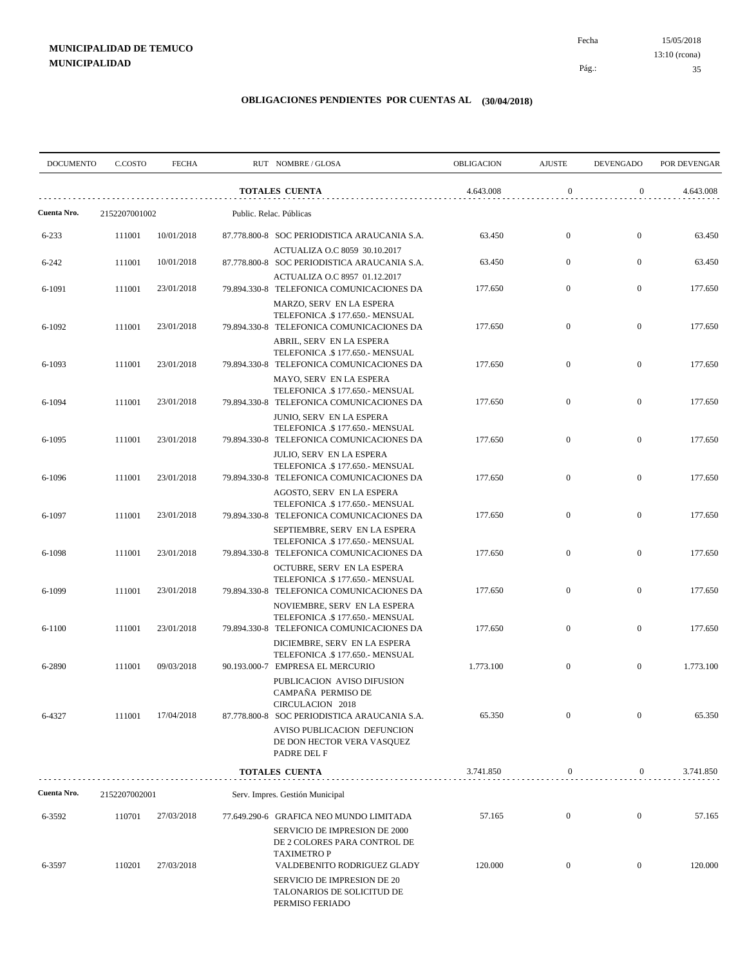15/05/2018 35 Pág.: Fecha 13:10 (rcona)

| <b>DOCUMENTO</b> | C.COSTO       | <b>FECHA</b> | RUT NOMBRE/GLOSA                                                                                                     | OBLIGACION | <b>AJUSTE</b>    | <b>DEVENGADO</b> | POR DEVENGAR |
|------------------|---------------|--------------|----------------------------------------------------------------------------------------------------------------------|------------|------------------|------------------|--------------|
|                  |               |              | <b>TOTALES CUENTA</b>                                                                                                | 4.643.008  | $\boldsymbol{0}$ | $\boldsymbol{0}$ | 4.643.008    |
| Cuenta Nro.      | 2152207001002 |              | Public. Relac. Públicas                                                                                              |            |                  |                  |              |
| $6 - 233$        | 111001        | 10/01/2018   | 87.778.800-8 SOC PERIODISTICA ARAUCANIA S.A.                                                                         | 63.450     | $\mathbf{0}$     | $\overline{0}$   | 63.450       |
| $6 - 242$        | 111001        | 10/01/2018   | ACTUALIZA O.C 8059 30.10.2017<br>87.778.800-8 SOC PERIODISTICA ARAUCANIA S.A.                                        | 63.450     | $\overline{0}$   | $\mathbf{0}$     | 63.450       |
| 6-1091           | 111001        | 23/01/2018   | ACTUALIZA O.C 8957 01.12.2017<br>79.894.330-8 TELEFONICA COMUNICACIONES DA                                           | 177.650    | $\mathbf{0}$     | $\mathbf{0}$     | 177.650      |
| 6-1092           | 111001        | 23/01/2018   | MARZO, SERV EN LA ESPERA<br>TELEFONICA .\$177.650.- MENSUAL<br>79.894.330-8 TELEFONICA COMUNICACIONES DA             | 177.650    | $\overline{0}$   | $\overline{0}$   | 177.650      |
| 6-1093           | 111001        | 23/01/2018   | ABRIL, SERV EN LA ESPERA<br>TELEFONICA .\$177.650.- MENSUAL<br>79.894.330-8 TELEFONICA COMUNICACIONES DA             | 177.650    | $\mathbf{0}$     | $\mathbf{0}$     | 177.650      |
| 6-1094           | 111001        | 23/01/2018   | MAYO, SERV EN LA ESPERA<br>TELEFONICA .\$177.650.- MENSUAL<br>79.894.330-8 TELEFONICA COMUNICACIONES DA              | 177.650    | $\mathbf{0}$     | $\boldsymbol{0}$ | 177.650      |
| 6-1095           | 111001        | 23/01/2018   | JUNIO, SERV EN LA ESPERA<br>TELEFONICA .\$177.650.- MENSUAL<br>79.894.330-8 TELEFONICA COMUNICACIONES DA             | 177.650    | $\overline{0}$   | $\overline{0}$   | 177.650      |
| 6-1096           | 111001        | 23/01/2018   | <b>JULIO, SERV EN LA ESPERA</b><br>TELEFONICA .\$177.650.- MENSUAL<br>79.894.330-8 TELEFONICA COMUNICACIONES DA      | 177.650    | $\mathbf{0}$     | $\mathbf{0}$     | 177.650      |
| 6-1097           | 111001        | 23/01/2018   | AGOSTO, SERV EN LA ESPERA<br>TELEFONICA .\$177.650.- MENSUAL<br>79.894.330-8 TELEFONICA COMUNICACIONES DA            | 177.650    | $\mathbf{0}$     | $\mathbf{0}$     | 177.650      |
| 6-1098           | 111001        | 23/01/2018   | SEPTIEMBRE, SERV EN LA ESPERA<br>TELEFONICA .\$177.650.- MENSUAL<br>79.894.330-8 TELEFONICA COMUNICACIONES DA        | 177.650    | $\mathbf{0}$     | $\mathbf{0}$     | 177.650      |
| 6-1099           | 111001        | 23/01/2018   | OCTUBRE, SERV EN LA ESPERA<br>TELEFONICA .\$177.650.- MENSUAL<br>79.894.330-8 TELEFONICA COMUNICACIONES DA           | 177.650    | $\mathbf{0}$     | $\boldsymbol{0}$ | 177.650      |
| $6 - 1100$       | 111001        | 23/01/2018   | NOVIEMBRE, SERV EN LA ESPERA<br>TELEFONICA .\$177.650.- MENSUAL<br>79.894.330-8 TELEFONICA COMUNICACIONES DA         | 177.650    | $\mathbf{0}$     | $\boldsymbol{0}$ | 177.650      |
| 6-2890           | 111001        | 09/03/2018   | DICIEMBRE, SERV EN LA ESPERA<br>TELEFONICA .\$ 177.650.- MENSUAL<br>90.193.000-7 EMPRESA EL MERCURIO                 | 1.773.100  | $\boldsymbol{0}$ | $\mathbf{0}$     | 1.773.100    |
| 6-4327           | 111001        | 17/04/2018   | PUBLICACION AVISO DIFUSION<br>CAMPAÑA PERMISO DE<br>CIRCULACION 2018<br>87.778.800-8 SOC PERIODISTICA ARAUCANIA S.A. | 65.350     | $\mathbf{0}$     | $\mathbf{0}$     | 65.350       |
|                  |               |              | AVISO PUBLICACION DEFUNCION<br>DE DON HECTOR VERA VASQUEZ<br>PADRE DEL F                                             |            |                  |                  |              |
|                  |               |              | <b>TOTALES CUENTA</b>                                                                                                | 3.741.850  | $\boldsymbol{0}$ | 0                | 3.741.850    |
| Cuenta Nro.      | 2152207002001 |              | Serv. Impres. Gestión Municipal                                                                                      |            |                  |                  |              |
| 6-3592           | 110701        | 27/03/2018   | 77.649.290-6 GRAFICA NEO MUNDO LIMITADA<br>SERVICIO DE IMPRESION DE 2000                                             | 57.165     | $\mathbf{0}$     | $\boldsymbol{0}$ | 57.165       |
| 6-3597           | 110201        | 27/03/2018   | DE 2 COLORES PARA CONTROL DE<br><b>TAXIMETROP</b><br>VALDEBENITO RODRIGUEZ GLADY                                     | 120.000    | $\boldsymbol{0}$ | $\overline{0}$   | 120.000      |
|                  |               |              | SERVICIO DE IMPRESION DE 20<br>TALONARIOS DE SOLICITUD DE<br>PERMISO FERIADO                                         |            |                  |                  |              |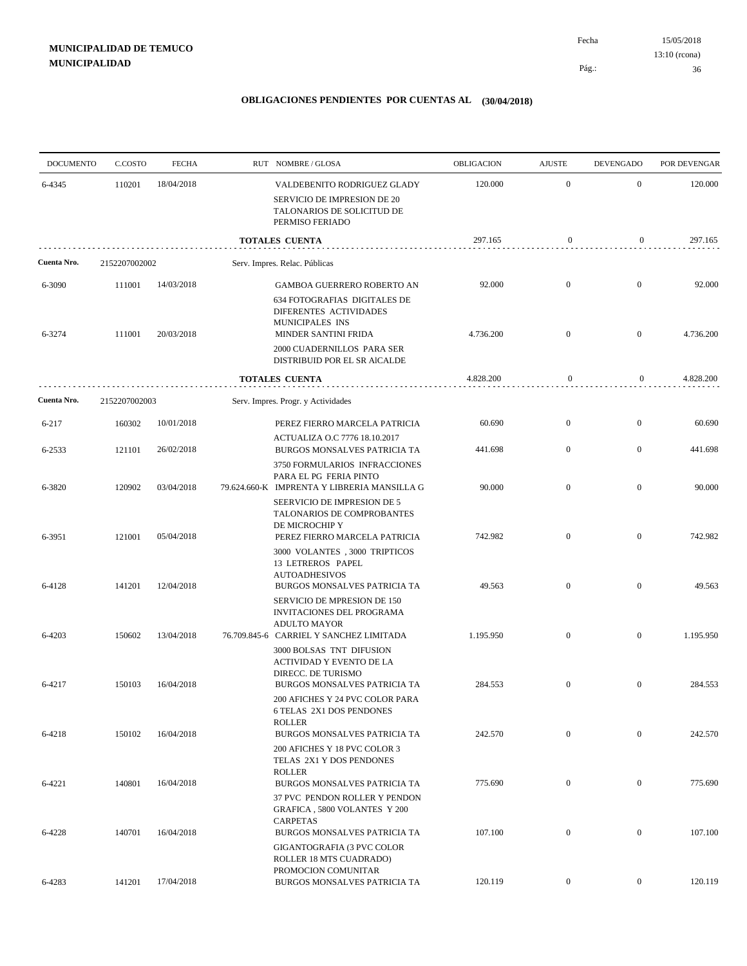| <b>DOCUMENTO</b> | C.COSTO          | <b>FECHA</b>             | RUT NOMBRE/GLOSA                                                                                                                       | <b>OBLIGACION</b>   | <b>AJUSTE</b>                | <b>DEVENGADO</b>                 | POR DEVENGAR        |
|------------------|------------------|--------------------------|----------------------------------------------------------------------------------------------------------------------------------------|---------------------|------------------------------|----------------------------------|---------------------|
| 6-4345           | 110201           | 18/04/2018               | VALDEBENITO RODRIGUEZ GLADY<br>SERVICIO DE IMPRESION DE 20<br>TALONARIOS DE SOLICITUD DE<br>PERMISO FERIADO                            | 120.000             | $\mathbf{0}$                 | $\mathbf{0}$                     | 120.000             |
|                  |                  |                          | <b>TOTALES CUENTA</b>                                                                                                                  | 297.165             | 0                            | 0                                | 297.165             |
| Cuenta Nro.      | 2152207002002    |                          | Serv. Impres. Relac. Públicas                                                                                                          |                     |                              |                                  |                     |
| 6-3090<br>6-3274 | 111001<br>111001 | 14/03/2018<br>20/03/2018 | GAMBOA GUERRERO ROBERTO AN<br><b>634 FOTOGRAFIAS DIGITALES DE</b><br>DIFERENTES ACTIVIDADES<br>MUNICIPALES INS<br>MINDER SANTINI FRIDA | 92.000<br>4.736.200 | $\mathbf{0}$<br>$\mathbf{0}$ | $\overline{0}$<br>$\overline{0}$ | 92.000<br>4.736.200 |
|                  |                  |                          | 2000 CUADERNILLOS PARA SER<br>DISTRIBUID POR EL SR AICALDE                                                                             |                     |                              |                                  |                     |
|                  |                  |                          | <b>TOTALES CUENTA</b>                                                                                                                  | 4.828.200           | $\boldsymbol{0}$             | $\overline{0}$                   | 4.828.200           |
| Cuenta Nro.      | 2152207002003    |                          | Serv. Impres. Progr. y Actividades                                                                                                     |                     |                              |                                  |                     |
| 6-217            | 160302           | 10/01/2018               | PEREZ FIERRO MARCELA PATRICIA                                                                                                          | 60.690              | $\mathbf{0}$                 | $\overline{0}$                   | 60.690              |
| 6-2533           | 121101           | 26/02/2018               | ACTUALIZA O.C 7776 18.10.2017<br>BURGOS MONSALVES PATRICIA TA<br>3750 FORMULARIOS INFRACCIONES                                         | 441.698             | $\overline{0}$               | $\overline{0}$                   | 441.698             |
| 6-3820           | 120902           | 03/04/2018               | PARA EL PG FERIA PINTO<br>79.624.660-K IMPRENTA Y LIBRERIA MANSILLA G                                                                  | 90.000              | $\mathbf{0}$                 | $\boldsymbol{0}$                 | 90.000              |
| 6-3951           | 121001           | 05/04/2018               | SEERVICIO DE IMPRESION DE 5<br>TALONARIOS DE COMPROBANTES<br>DE MICROCHIP Y<br>PEREZ FIERRO MARCELA PATRICIA                           | 742.982             | $\overline{0}$               | $\overline{0}$                   | 742.982             |
| 6-4128           | 141201           | 12/04/2018               | 3000 VOLANTES , 3000 TRIPTICOS<br>13 LETREROS PAPEL<br><b>AUTOADHESIVOS</b><br>BURGOS MONSALVES PATRICIA TA                            | 49.563              | $\mathbf{0}$                 | $\overline{0}$                   | 49.563              |
|                  |                  |                          | SERVICIO DE MPRESION DE 150<br>INVITACIONES DEL PROGRAMA<br><b>ADULTO MAYOR</b>                                                        |                     |                              |                                  |                     |
| 6-4203           | 150602           | 13/04/2018               | 76.709.845-6 CARRIEL Y SANCHEZ LIMITADA<br>3000 BOLSAS TNT DIFUSION<br>ACTIVIDAD Y EVENTO DE LA                                        | 1.195.950           | $\mathbf{0}$                 | $\mathbf{0}$                     | 1.195.950           |
| 6-4217           | 150103           | 16/04/2018               | DIRECC. DE TURISMO<br>BURGOS MONSALVES PATRICIA TA<br>200 AFICHES Y 24 PVC COLOR PARA                                                  | 284.553             | $\overline{0}$               | $\mathbf{0}$                     | 284.553             |
| 6-4218           | 150102           | 16/04/2018               | 6 TELAS 2X1 DOS PENDONES<br><b>ROLLER</b><br>BURGOS MONSALVES PATRICIA TA                                                              | 242.570             | $\mathbf{0}$                 | $\overline{0}$                   | 242.570             |
|                  |                  |                          | 200 AFICHES Y 18 PVC COLOR 3<br>TELAS 2X1 Y DOS PENDONES<br><b>ROLLER</b>                                                              |                     |                              |                                  |                     |
| 6-4221           | 140801           | 16/04/2018               | BURGOS MONSALVES PATRICIA TA<br>37 PVC PENDON ROLLER Y PENDON<br>GRAFICA , 5800 VOLANTES Y 200                                         | 775.690             | $\boldsymbol{0}$             | $\overline{0}$                   | 775.690             |
| 6-4228           | 140701           | 16/04/2018               | <b>CARPETAS</b><br>BURGOS MONSALVES PATRICIA TA<br>GIGANTOGRAFIA (3 PVC COLOR                                                          | 107.100             | $\boldsymbol{0}$             | $\overline{0}$                   | 107.100             |
| 6-4283           | 141201           | 17/04/2018               | ROLLER 18 MTS CUADRADO)<br>PROMOCION COMUNITAR<br>BURGOS MONSALVES PATRICIA TA                                                         | 120.119             | $\boldsymbol{0}$             | $\overline{0}$                   | 120.119             |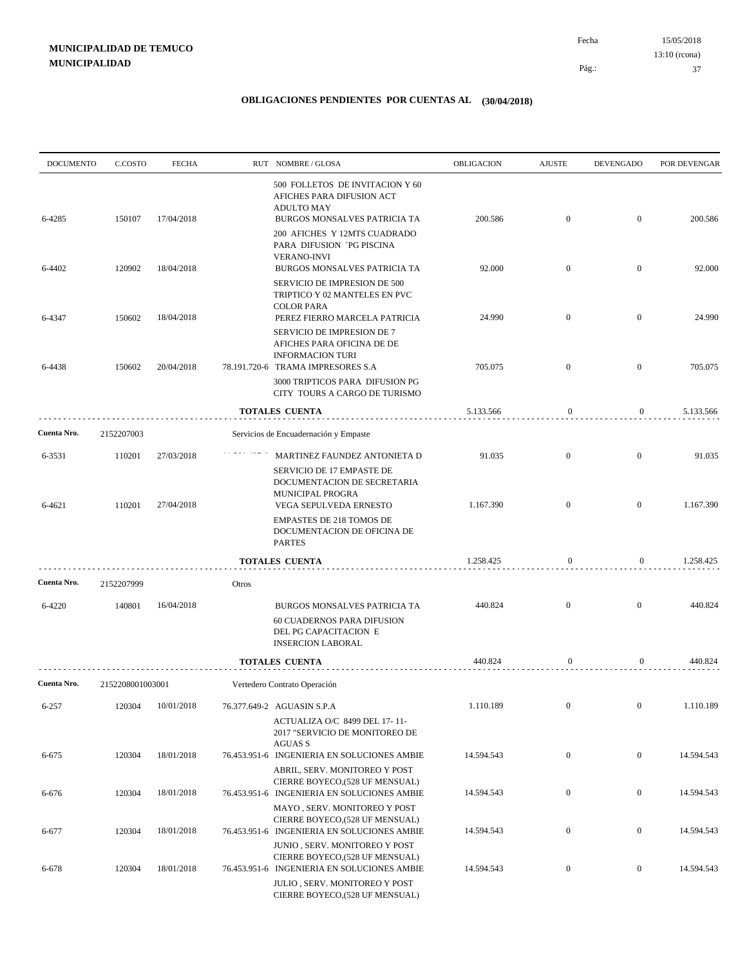| <b>DOCUMENTO</b> | C.COSTO          | <b>FECHA</b> |       | RUT NOMBRE/GLOSA                                                                                                       | OBLIGACION | <b>AJUSTE</b>    | <b>DEVENGADO</b> | POR DEVENGAR |
|------------------|------------------|--------------|-------|------------------------------------------------------------------------------------------------------------------------|------------|------------------|------------------|--------------|
| 6-4285           | 150107           | 17/04/2018   |       | 500 FOLLETOS DE INVITACION Y 60<br>AFICHES PARA DIFUSION ACT<br><b>ADULTO MAY</b><br>BURGOS MONSALVES PATRICIA TA      | 200.586    | $\mathbf{0}$     | $\mathbf{0}$     | 200.586      |
|                  |                  |              |       | 200 AFICHES Y 12MTS CUADRADO<br>PARA DIFUSION PG PISCINA<br><b>VERANO-INVI</b>                                         |            |                  |                  |              |
| 6-4402           | 120902           | 18/04/2018   |       | BURGOS MONSALVES PATRICIA TA<br>SERVICIO DE IMPRESION DE 500<br>TRIPTICO Y 02 MANTELES EN PVC                          | 92.000     | $\mathbf{0}$     | $\bf{0}$         | 92.000       |
| 6-4347           | 150602           | 18/04/2018   |       | <b>COLOR PARA</b><br>PEREZ FIERRO MARCELA PATRICIA                                                                     | 24.990     | $\mathbf{0}$     | $\mathbf{0}$     | 24.990       |
|                  |                  |              |       | SERVICIO DE IMPRESION DE 7<br>AFICHES PARA OFICINA DE DE<br><b>INFORMACION TURI</b>                                    |            |                  |                  |              |
| 6-4438           | 150602           | 20/04/2018   |       | 78.191.720-6 TRAMA IMPRESORES S.A<br>3000 TRIPTICOS PARA DIFUSION PG                                                   | 705.075    | $\mathbf{0}$     | $\mathbf{0}$     | 705.075      |
|                  |                  |              |       | CITY TOURS A CARGO DE TURISMO                                                                                          |            |                  |                  |              |
|                  |                  |              |       | <b>TOTALES CUENTA</b>                                                                                                  | 5.133.566  | $\boldsymbol{0}$ | 0                | 5.133.566    |
| Cuenta Nro.      | 2152207003       |              |       | Servicios de Encuadernación y Empaste                                                                                  |            |                  |                  |              |
| 6-3531           | 110201           | 27/03/2018   |       | MARTINEZ FAUNDEZ ANTONIETA D<br>SERVICIO DE 17 EMPASTE DE<br>DOCUMENTACION DE SECRETARIA                               | 91.035     | $\overline{0}$   | $\overline{0}$   | 91.035       |
| 6-4621           | 110201           | 27/04/2018   |       | MUNICIPAL PROGRA<br>VEGA SEPULVEDA ERNESTO<br><b>EMPASTES DE 218 TOMOS DE</b>                                          | 1.167.390  | $\mathbf{0}$     | $\mathbf{0}$     | 1.167.390    |
|                  |                  |              |       | DOCUMENTACION DE OFICINA DE<br><b>PARTES</b>                                                                           |            |                  |                  |              |
|                  |                  |              |       | <b>TOTALES CUENTA</b>                                                                                                  | 1.258.425  | $\boldsymbol{0}$ | $\overline{0}$   | 1.258.425    |
| Cuenta Nro.      | 2152207999       |              | Otros |                                                                                                                        |            |                  |                  |              |
| 6-4220           | 140801           | 16/04/2018   |       | BURGOS MONSALVES PATRICIA TA<br><b>60 CUADERNOS PARA DIFUSION</b><br>DEL PG CAPACITACION E<br><b>INSERCION LABORAL</b> | 440.824    | $\mathbf{0}$     | $\bf{0}$         | 440.824      |
|                  |                  |              |       | <b>TOTALES CUENTA</b>                                                                                                  | 440.824    | 0                | 0                | 440.824      |
| Cuenta Nro.      | 2152208001003001 |              |       | Vertedero Contrato Operación                                                                                           |            |                  |                  |              |
| 6-257            | 120304           | 10/01/2018   |       | 76.377.649-2 AGUASIN S.P.A<br>ACTUALIZA O/C 8499 DEL 17-11-<br>2017 "SERVICIO DE MONITOREO DE<br><b>AGUAS S</b>        | 1.110.189  | $\boldsymbol{0}$ | $\boldsymbol{0}$ | 1.110.189    |
| 6-675            | 120304           | 18/01/2018   |       | 76.453.951-6 INGENIERIA EN SOLUCIONES AMBIE<br>ABRIL, SERV. MONITOREO Y POST                                           | 14.594.543 | $\boldsymbol{0}$ | $\boldsymbol{0}$ | 14.594.543   |
| 6-676            | 120304           | 18/01/2018   |       | CIERRE BOYECO,(528 UF MENSUAL)<br>76.453.951-6 INGENIERIA EN SOLUCIONES AMBIE                                          | 14.594.543 | $\boldsymbol{0}$ | $\boldsymbol{0}$ | 14.594.543   |
| 6-677            | 120304           | 18/01/2018   |       | MAYO, SERV. MONITOREO Y POST<br>CIERRE BOYECO,(528 UF MENSUAL)<br>76.453.951-6 INGENIERIA EN SOLUCIONES AMBIE          | 14.594.543 | $\boldsymbol{0}$ | $\boldsymbol{0}$ | 14.594.543   |
| 6-678            | 120304           | 18/01/2018   |       | JUNIO, SERV. MONITOREO Y POST<br>CIERRE BOYECO,(528 UF MENSUAL)<br>76.453.951-6 INGENIERIA EN SOLUCIONES AMBIE         | 14.594.543 | $\boldsymbol{0}$ | $\overline{0}$   | 14.594.543   |
|                  |                  |              |       | JULIO, SERV. MONITOREO Y POST<br>CIERRE BOYECO,(528 UF MENSUAL)                                                        |            |                  |                  |              |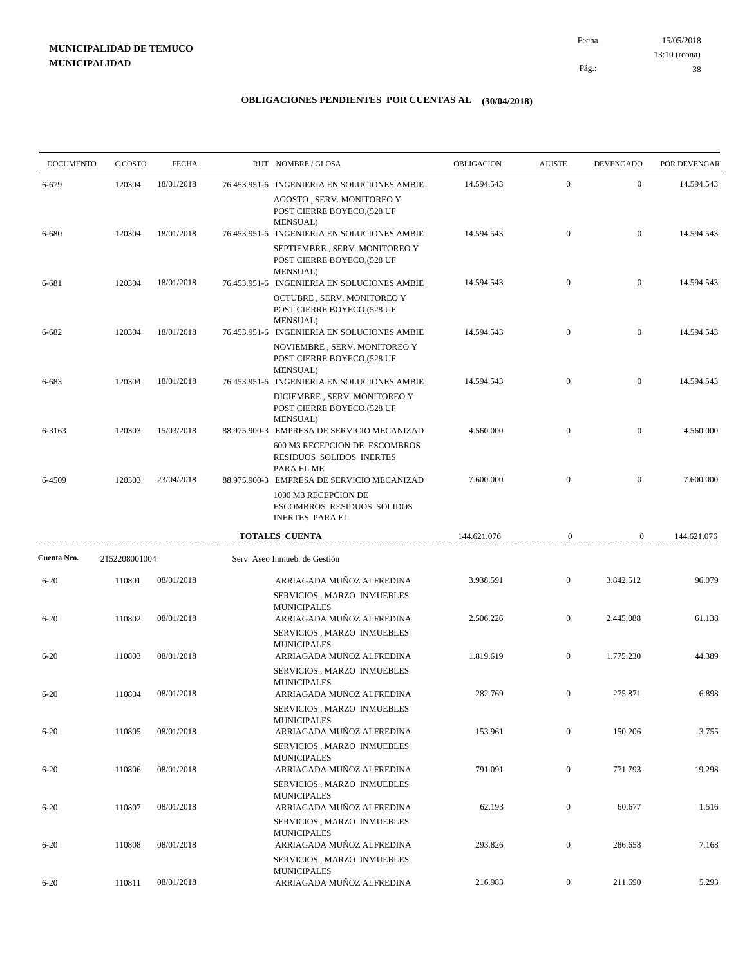15/05/2018 38 Pág.: Fecha 13:10 (rcona)

| <b>DOCUMENTO</b> | C.COSTO       | <b>FECHA</b> | RUT NOMBRE/GLOSA                                                                                                                         | OBLIGACION  | <b>AJUSTE</b>    | <b>DEVENGADO</b> | POR DEVENGAR |
|------------------|---------------|--------------|------------------------------------------------------------------------------------------------------------------------------------------|-------------|------------------|------------------|--------------|
| 6-679            | 120304        | 18/01/2018   | 76.453.951-6 INGENIERIA EN SOLUCIONES AMBIE                                                                                              | 14.594.543  | $\mathbf{0}$     | $\mathbf{0}$     | 14.594.543   |
|                  |               |              | AGOSTO, SERV. MONITOREO Y<br>POST CIERRE BOYECO,(528 UF<br>MENSUAL)                                                                      |             |                  |                  |              |
| 6-680            | 120304        | 18/01/2018   | 76.453.951-6 INGENIERIA EN SOLUCIONES AMBIE<br>SEPTIEMBRE, SERV. MONITOREO Y                                                             | 14.594.543  | $\mathbf{0}$     | $\boldsymbol{0}$ | 14.594.543   |
|                  |               |              | POST CIERRE BOYECO,(528 UF<br>MENSUAL)                                                                                                   |             |                  |                  |              |
| 6-681            | 120304        | 18/01/2018   | 76.453.951-6 INGENIERIA EN SOLUCIONES AMBIE<br>OCTUBRE, SERV. MONITOREO Y<br>POST CIERRE BOYECO,(528 UF<br>MENSUAL)                      | 14.594.543  | $\mathbf{0}$     | $\boldsymbol{0}$ | 14.594.543   |
| 6-682            | 120304        | 18/01/2018   | 76.453.951-6 INGENIERIA EN SOLUCIONES AMBIE<br>NOVIEMBRE, SERV. MONITOREO Y<br>POST CIERRE BOYECO,(528 UF                                | 14.594.543  | $\mathbf{0}$     | $\mathbf{0}$     | 14.594.543   |
| 6-683            | 120304        | 18/01/2018   | MENSUAL)<br>76.453.951-6 INGENIERIA EN SOLUCIONES AMBIE                                                                                  | 14.594.543  | $\mathbf{0}$     | $\boldsymbol{0}$ | 14.594.543   |
|                  |               |              | DICIEMBRE, SERV. MONITOREO Y<br>POST CIERRE BOYECO,(528 UF<br>MENSUAL)                                                                   |             |                  |                  |              |
| 6-3163           | 120303        | 15/03/2018   | 88.975.900-3 EMPRESA DE SERVICIO MECANIZAD<br>600 M3 RECEPCION DE ESCOMBROS<br>RESIDUOS SOLIDOS INERTES                                  | 4.560.000   | $\mathbf{0}$     | $\mathbf{0}$     | 4.560.000    |
| 6-4509           | 120303        | 23/04/2018   | PARA EL ME<br>88.975.900-3 EMPRESA DE SERVICIO MECANIZAD<br>1000 M3 RECEPCION DE<br>ESCOMBROS RESIDUOS SOLIDOS<br><b>INERTES PARA EL</b> | 7.600.000   | $\mathbf{0}$     | $\boldsymbol{0}$ | 7.600.000    |
|                  |               |              | <b>TOTALES CUENTA</b>                                                                                                                    | 144.621.076 | $\mathbf{0}$     | $\overline{0}$   | 144.621.076  |
| Cuenta Nro.      | 2152208001004 |              | Serv. Aseo Inmueb. de Gestión                                                                                                            |             |                  |                  |              |
| $6 - 20$         | 110801        | 08/01/2018   | ARRIAGADA MUÑOZ ALFREDINA<br>SERVICIOS, MARZO INMUEBLES                                                                                  | 3.938.591   | $\mathbf{0}$     | 3.842.512        | 96.079       |
| $6 - 20$         | 110802        | 08/01/2018   | <b>MUNICIPALES</b><br>ARRIAGADA MUÑOZ ALFREDINA<br>SERVICIOS, MARZO INMUEBLES<br><b>MUNICIPALES</b>                                      | 2.506.226   | $\boldsymbol{0}$ | 2.445.088        | 61.138       |
| $6 - 20$         | 110803        | 08/01/2018   | ARRIAGADA MUÑOZ ALFREDINA<br>SERVICIOS, MARZO INMUEBLES                                                                                  | 1.819.619   | $\mathbf{0}$     | 1.775.230        | 44.389       |
| $6 - 20$         | 110804        | 08/01/2018   | <b>MUNICIPALES</b><br>ARRIAGADA MUÑOZ ALFREDINA<br>SERVICIOS, MARZO INMUEBLES                                                            | 282.769     | $\mathbf{0}$     | 275.871          | 6.898        |
| $6 - 20$         | 110805        | 08/01/2018   | <b>MUNICIPALES</b><br>ARRIAGADA MUÑOZ ALFREDINA                                                                                          | 153.961     | $\boldsymbol{0}$ | 150.206          | 3.755        |
| $6 - 20$         | 110806        | 08/01/2018   | SERVICIOS, MARZO INMUEBLES<br><b>MUNICIPALES</b><br>ARRIAGADA MUÑOZ ALFREDINA                                                            | 791.091     | $\boldsymbol{0}$ | 771.793          | 19.298       |
| $6 - 20$         | 110807        | 08/01/2018   | SERVICIOS, MARZO INMUEBLES<br><b>MUNICIPALES</b><br>ARRIAGADA MUÑOZ ALFREDINA                                                            | 62.193      | $\boldsymbol{0}$ | 60.677           | 1.516        |
|                  |               |              | SERVICIOS, MARZO INMUEBLES<br><b>MUNICIPALES</b>                                                                                         |             |                  |                  |              |
| $6 - 20$         | 110808        | 08/01/2018   | ARRIAGADA MUÑOZ ALFREDINA<br>SERVICIOS, MARZO INMUEBLES<br><b>MUNICIPALES</b>                                                            | 293.826     | $\boldsymbol{0}$ | 286.658          | 7.168        |
| $6 - 20$         | 110811        | 08/01/2018   | ARRIAGADA MUÑOZ ALFREDINA                                                                                                                | 216.983     | $\boldsymbol{0}$ | 211.690          | 5.293        |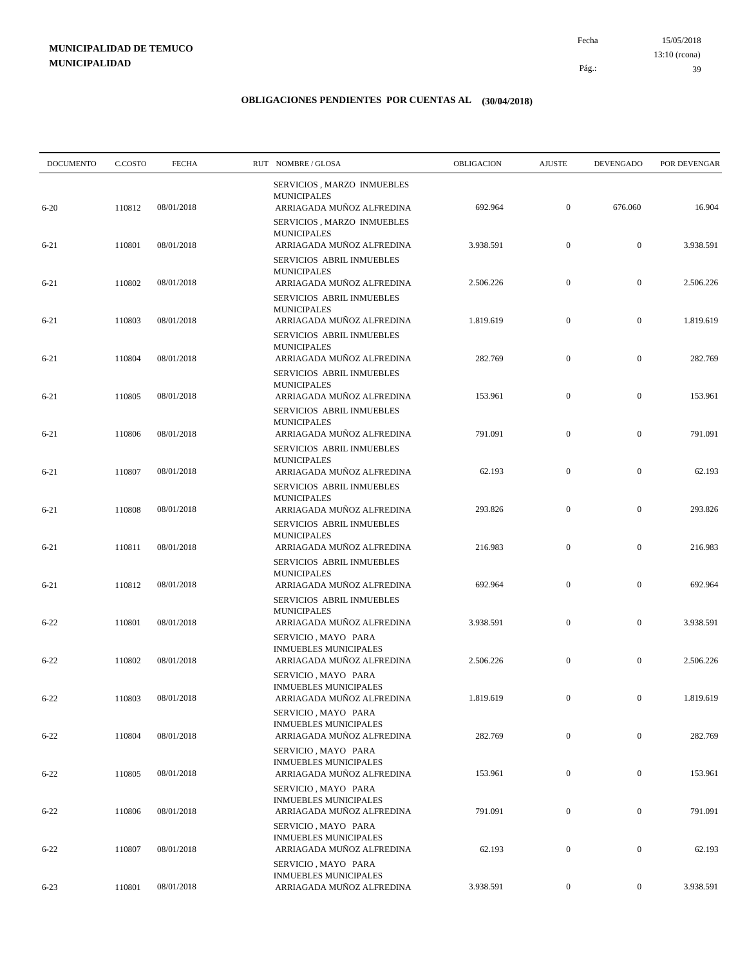15/05/2018 39 Pág.: Fecha 13:10 (rcona)

| <b>DOCUMENTO</b> | C.COSTO | <b>FECHA</b> | RUT NOMBRE/GLOSA                                                                 | OBLIGACION | <b>AJUSTE</b>    | <b>DEVENGADO</b> | POR DEVENGAR |
|------------------|---------|--------------|----------------------------------------------------------------------------------|------------|------------------|------------------|--------------|
|                  |         |              | SERVICIOS, MARZO INMUEBLES<br><b>MUNICIPALES</b>                                 |            |                  |                  |              |
| $6 - 20$         | 110812  | 08/01/2018   | ARRIAGADA MUÑOZ ALFREDINA<br>SERVICIOS, MARZO INMUEBLES<br><b>MUNICIPALES</b>    | 692.964    | $\boldsymbol{0}$ | 676.060          | 16.904       |
| $6 - 21$         | 110801  | 08/01/2018   | ARRIAGADA MUÑOZ ALFREDINA<br>SERVICIOS ABRIL INMUEBLES                           | 3.938.591  | $\boldsymbol{0}$ | $\boldsymbol{0}$ | 3.938.591    |
| $6 - 21$         | 110802  | 08/01/2018   | <b>MUNICIPALES</b><br>ARRIAGADA MUÑOZ ALFREDINA<br>SERVICIOS ABRIL INMUEBLES     | 2.506.226  | $\boldsymbol{0}$ | $\boldsymbol{0}$ | 2.506.226    |
| $6 - 21$         | 110803  | 08/01/2018   | <b>MUNICIPALES</b><br>ARRIAGADA MUÑOZ ALFREDINA<br>SERVICIOS ABRIL INMUEBLES     | 1.819.619  | $\boldsymbol{0}$ | $\boldsymbol{0}$ | 1.819.619    |
| $6 - 21$         | 110804  | 08/01/2018   | <b>MUNICIPALES</b><br>ARRIAGADA MUÑOZ ALFREDINA                                  | 282.769    | $\boldsymbol{0}$ | $\boldsymbol{0}$ | 282.769      |
| $6 - 21$         | 110805  | 08/01/2018   | SERVICIOS ABRIL INMUEBLES<br><b>MUNICIPALES</b><br>ARRIAGADA MUÑOZ ALFREDINA     | 153.961    | $\mathbf{0}$     | $\boldsymbol{0}$ | 153.961      |
| $6 - 21$         | 110806  | 08/01/2018   | SERVICIOS ABRIL INMUEBLES<br><b>MUNICIPALES</b><br>ARRIAGADA MUÑOZ ALFREDINA     | 791.091    | $\mathbf{0}$     | $\boldsymbol{0}$ | 791.091      |
| $6 - 21$         | 110807  | 08/01/2018   | SERVICIOS ABRIL INMUEBLES<br><b>MUNICIPALES</b><br>ARRIAGADA MUÑOZ ALFREDINA     | 62.193     | $\mathbf{0}$     | $\boldsymbol{0}$ | 62.193       |
| $6 - 21$         | 110808  | 08/01/2018   | SERVICIOS ABRIL INMUEBLES<br><b>MUNICIPALES</b><br>ARRIAGADA MUÑOZ ALFREDINA     | 293.826    | $\mathbf{0}$     | $\boldsymbol{0}$ | 293.826      |
| $6 - 21$         | 110811  | 08/01/2018   | SERVICIOS ABRIL INMUEBLES<br><b>MUNICIPALES</b><br>ARRIAGADA MUÑOZ ALFREDINA     | 216.983    | $\boldsymbol{0}$ | $\boldsymbol{0}$ | 216.983      |
| $6 - 21$         | 110812  | 08/01/2018   | SERVICIOS ABRIL INMUEBLES<br><b>MUNICIPALES</b><br>ARRIAGADA MUÑOZ ALFREDINA     | 692.964    | $\boldsymbol{0}$ | $\boldsymbol{0}$ | 692.964      |
|                  |         |              | SERVICIOS ABRIL INMUEBLES<br><b>MUNICIPALES</b>                                  |            | $\mathbf{0}$     |                  |              |
| $6 - 22$         | 110801  | 08/01/2018   | ARRIAGADA MUÑOZ ALFREDINA<br>SERVICIO, MAYO PARA<br><b>INMUEBLES MUNICIPALES</b> | 3.938.591  |                  | $\boldsymbol{0}$ | 3.938.591    |
| $6 - 22$         | 110802  | 08/01/2018   | ARRIAGADA MUÑOZ ALFREDINA<br>SERVICIO, MAYO PARA<br><b>INMUEBLES MUNICIPALES</b> | 2.506.226  | $\mathbf{0}$     | $\mathbf{0}$     | 2.506.226    |
| $6 - 22$         | 110803  | 08/01/2018   | ARRIAGADA MUÑOZ ALFREDINA<br>SERVICIO, MAYO PARA<br><b>INMUEBLES MUNICIPALES</b> | 1.819.619  | $\mathbf{0}$     | $\mathbf{0}$     | 1.819.619    |
| $6 - 22$         | 110804  | 08/01/2018   | ARRIAGADA MUÑOZ ALFREDINA<br>SERVICIO, MAYO PARA                                 | 282.769    | $\boldsymbol{0}$ | $\mathbf{0}$     | 282.769      |
| $6 - 22$         | 110805  | 08/01/2018   | <b>INMUEBLES MUNICIPALES</b><br>ARRIAGADA MUÑOZ ALFREDINA<br>SERVICIO, MAYO PARA | 153.961    | $\boldsymbol{0}$ | $\boldsymbol{0}$ | 153.961      |
| $6 - 22$         | 110806  | 08/01/2018   | <b>INMUEBLES MUNICIPALES</b><br>ARRIAGADA MUÑOZ ALFREDINA<br>SERVICIO, MAYO PARA | 791.091    | $\mathbf{0}$     | $\boldsymbol{0}$ | 791.091      |
| $6 - 22$         | 110807  | 08/01/2018   | <b>INMUEBLES MUNICIPALES</b><br>ARRIAGADA MUÑOZ ALFREDINA                        | 62.193     | $\boldsymbol{0}$ | $\boldsymbol{0}$ | 62.193       |
| $6 - 23$         | 110801  | 08/01/2018   | SERVICIO, MAYO PARA<br><b>INMUEBLES MUNICIPALES</b><br>ARRIAGADA MUÑOZ ALFREDINA | 3.938.591  | $\boldsymbol{0}$ | $\boldsymbol{0}$ | 3.938.591    |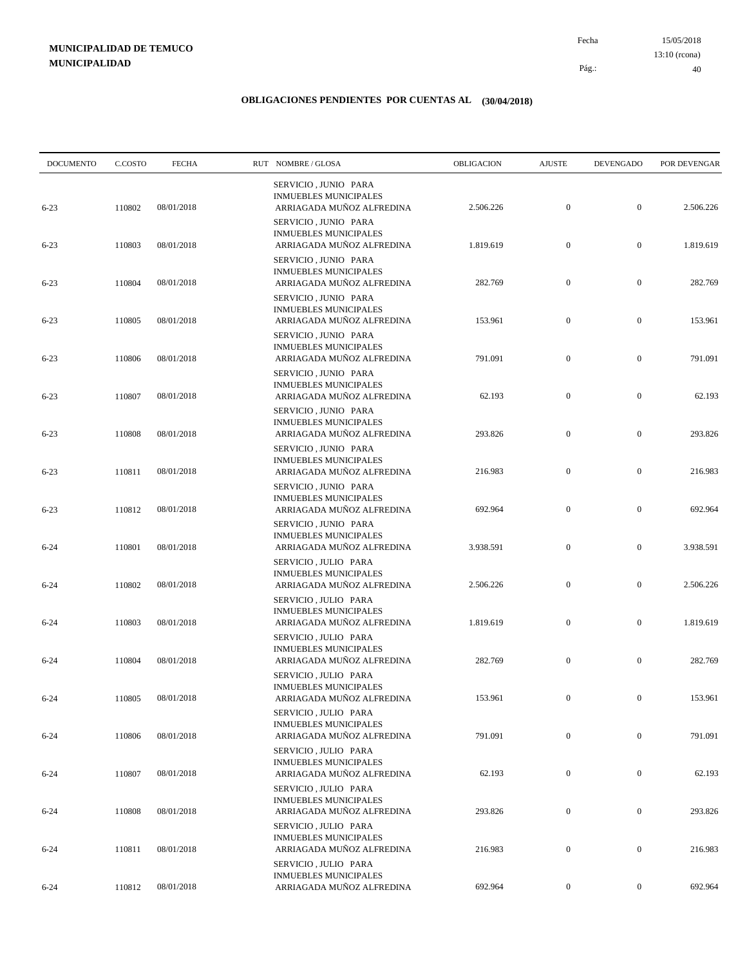15/05/2018 40 Pág.: Fecha 13:10 (rcona)

| <b>DOCUMENTO</b> | C.COSTO | <b>FECHA</b> | RUT NOMBRE/GLOSA                                                                  | OBLIGACION | <b>AJUSTE</b>    | <b>DEVENGADO</b> | POR DEVENGAR |
|------------------|---------|--------------|-----------------------------------------------------------------------------------|------------|------------------|------------------|--------------|
| $6 - 23$         | 110802  | 08/01/2018   | SERVICIO, JUNIO PARA<br><b>INMUEBLES MUNICIPALES</b><br>ARRIAGADA MUÑOZ ALFREDINA | 2.506.226  | $\mathbf{0}$     | $\boldsymbol{0}$ | 2.506.226    |
| $6 - 23$         | 110803  | 08/01/2018   | SERVICIO, JUNIO PARA<br><b>INMUEBLES MUNICIPALES</b><br>ARRIAGADA MUÑOZ ALFREDINA | 1.819.619  | $\boldsymbol{0}$ | $\boldsymbol{0}$ | 1.819.619    |
| $6 - 23$         | 110804  | 08/01/2018   | SERVICIO, JUNIO PARA<br><b>INMUEBLES MUNICIPALES</b><br>ARRIAGADA MUÑOZ ALFREDINA | 282.769    | $\boldsymbol{0}$ | $\boldsymbol{0}$ | 282.769      |
| $6 - 23$         | 110805  | 08/01/2018   | SERVICIO, JUNIO PARA<br><b>INMUEBLES MUNICIPALES</b><br>ARRIAGADA MUÑOZ ALFREDINA | 153.961    | $\boldsymbol{0}$ | $\boldsymbol{0}$ | 153.961      |
| $6 - 23$         | 110806  | 08/01/2018   | SERVICIO, JUNIO PARA<br><b>INMUEBLES MUNICIPALES</b><br>ARRIAGADA MUÑOZ ALFREDINA | 791.091    | $\boldsymbol{0}$ | $\boldsymbol{0}$ | 791.091      |
| $6 - 23$         | 110807  | 08/01/2018   | SERVICIO, JUNIO PARA<br><b>INMUEBLES MUNICIPALES</b><br>ARRIAGADA MUÑOZ ALFREDINA | 62.193     | $\boldsymbol{0}$ | $\boldsymbol{0}$ | 62.193       |
| $6 - 23$         | 110808  | 08/01/2018   | SERVICIO, JUNIO PARA<br><b>INMUEBLES MUNICIPALES</b><br>ARRIAGADA MUÑOZ ALFREDINA | 293.826    | $\boldsymbol{0}$ | $\boldsymbol{0}$ | 293.826      |
| $6 - 23$         | 110811  | 08/01/2018   | SERVICIO, JUNIO PARA<br><b>INMUEBLES MUNICIPALES</b><br>ARRIAGADA MUÑOZ ALFREDINA | 216.983    | $\boldsymbol{0}$ | $\boldsymbol{0}$ | 216.983      |
| $6 - 23$         | 110812  | 08/01/2018   | SERVICIO, JUNIO PARA<br><b>INMUEBLES MUNICIPALES</b><br>ARRIAGADA MUÑOZ ALFREDINA | 692.964    | $\boldsymbol{0}$ | $\boldsymbol{0}$ | 692.964      |
| $6 - 24$         | 110801  | 08/01/2018   | SERVICIO, JUNIO PARA<br><b>INMUEBLES MUNICIPALES</b><br>ARRIAGADA MUÑOZ ALFREDINA | 3.938.591  | $\boldsymbol{0}$ | $\mathbf{0}$     | 3.938.591    |
| $6 - 24$         | 110802  | 08/01/2018   | SERVICIO, JULIO PARA<br><b>INMUEBLES MUNICIPALES</b><br>ARRIAGADA MUÑOZ ALFREDINA | 2.506.226  | $\mathbf{0}$     | $\boldsymbol{0}$ | 2.506.226    |
| $6 - 24$         | 110803  | 08/01/2018   | SERVICIO, JULIO PARA<br><b>INMUEBLES MUNICIPALES</b><br>ARRIAGADA MUÑOZ ALFREDINA | 1.819.619  | $\boldsymbol{0}$ | $\boldsymbol{0}$ | 1.819.619    |
| $6 - 24$         | 110804  | 08/01/2018   | SERVICIO, JULIO PARA<br><b>INMUEBLES MUNICIPALES</b><br>ARRIAGADA MUÑOZ ALFREDINA | 282.769    | $\boldsymbol{0}$ | $\boldsymbol{0}$ | 282.769      |
|                  |         |              | SERVICIO, JULIO PARA<br><b>INMUEBLES MUNICIPALES</b>                              |            |                  |                  |              |
| $6 - 24$         | 110805  | 08/01/2018   | ARRIAGADA MUÑOZ ALFREDINA<br>SERVICIO, JULIO PARA<br>INMUEBLES MUNICIPALES        | 153.961    | $\mathbf{0}$     | $\mathbf{0}$     | 153.961      |
| $6 - 24$         | 110806  | 08/01/2018   | ARRIAGADA MUÑOZ ALFREDINA<br>SERVICIO, JULIO PARA<br><b>INMUEBLES MUNICIPALES</b> | 791.091    | $\boldsymbol{0}$ | $\mathbf{0}$     | 791.091      |
| $6 - 24$         | 110807  | 08/01/2018   | ARRIAGADA MUÑOZ ALFREDINA<br>SERVICIO, JULIO PARA<br><b>INMUEBLES MUNICIPALES</b> | 62.193     | $\boldsymbol{0}$ | $\boldsymbol{0}$ | 62.193       |
| $6 - 24$         | 110808  | 08/01/2018   | ARRIAGADA MUÑOZ ALFREDINA<br>SERVICIO, JULIO PARA<br><b>INMUEBLES MUNICIPALES</b> | 293.826    | $\boldsymbol{0}$ | $\boldsymbol{0}$ | 293.826      |
| $6 - 24$         | 110811  | 08/01/2018   | ARRIAGADA MUÑOZ ALFREDINA<br>SERVICIO, JULIO PARA<br><b>INMUEBLES MUNICIPALES</b> | 216.983    | $\boldsymbol{0}$ | $\overline{0}$   | 216.983      |
| $6 - 24$         | 110812  | 08/01/2018   | ARRIAGADA MUÑOZ ALFREDINA                                                         | 692.964    | $\mathbf{0}$     | $\boldsymbol{0}$ | 692.964      |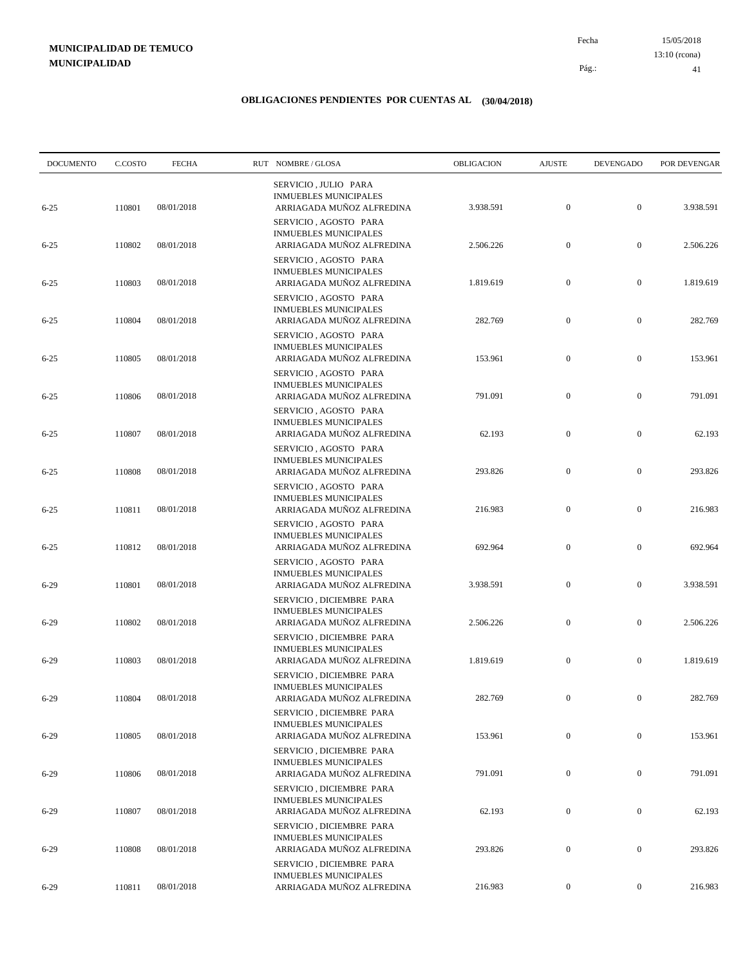15/05/2018 41 Pág.: Fecha 13:10 (rcona)

| <b>DOCUMENTO</b> | C.COSTO | <b>FECHA</b> | RUT NOMBRE/GLOSA                                                                      | OBLIGACION | <b>AJUSTE</b>    | <b>DEVENGADO</b> | POR DEVENGAR |
|------------------|---------|--------------|---------------------------------------------------------------------------------------|------------|------------------|------------------|--------------|
| $6 - 25$         | 110801  | 08/01/2018   | SERVICIO, JULIO PARA<br><b>INMUEBLES MUNICIPALES</b><br>ARRIAGADA MUÑOZ ALFREDINA     | 3.938.591  | $\boldsymbol{0}$ | $\boldsymbol{0}$ | 3.938.591    |
| $6 - 25$         | 110802  | 08/01/2018   | SERVICIO, AGOSTO PARA<br><b>INMUEBLES MUNICIPALES</b><br>ARRIAGADA MUÑOZ ALFREDINA    | 2.506.226  | $\boldsymbol{0}$ | $\boldsymbol{0}$ | 2.506.226    |
| $6 - 25$         | 110803  | 08/01/2018   | SERVICIO, AGOSTO PARA<br><b>INMUEBLES MUNICIPALES</b><br>ARRIAGADA MUÑOZ ALFREDINA    | 1.819.619  | $\boldsymbol{0}$ | $\boldsymbol{0}$ | 1.819.619    |
| $6 - 25$         | 110804  | 08/01/2018   | SERVICIO, AGOSTO PARA<br><b>INMUEBLES MUNICIPALES</b><br>ARRIAGADA MUÑOZ ALFREDINA    | 282.769    | $\boldsymbol{0}$ | $\boldsymbol{0}$ | 282.769      |
| $6 - 25$         | 110805  | 08/01/2018   | SERVICIO, AGOSTO PARA<br><b>INMUEBLES MUNICIPALES</b><br>ARRIAGADA MUÑOZ ALFREDINA    | 153.961    | $\boldsymbol{0}$ | $\boldsymbol{0}$ | 153.961      |
| $6 - 25$         | 110806  | 08/01/2018   | SERVICIO, AGOSTO PARA<br><b>INMUEBLES MUNICIPALES</b><br>ARRIAGADA MUÑOZ ALFREDINA    | 791.091    | $\boldsymbol{0}$ | $\boldsymbol{0}$ | 791.091      |
| $6 - 25$         | 110807  | 08/01/2018   | SERVICIO, AGOSTO PARA<br><b>INMUEBLES MUNICIPALES</b><br>ARRIAGADA MUÑOZ ALFREDINA    | 62.193     | $\boldsymbol{0}$ | $\boldsymbol{0}$ | 62.193       |
| $6 - 25$         | 110808  | 08/01/2018   | SERVICIO, AGOSTO PARA<br><b>INMUEBLES MUNICIPALES</b><br>ARRIAGADA MUÑOZ ALFREDINA    | 293.826    | $\mathbf{0}$     | $\boldsymbol{0}$ | 293.826      |
| $6 - 25$         | 110811  | 08/01/2018   | SERVICIO, AGOSTO PARA<br><b>INMUEBLES MUNICIPALES</b><br>ARRIAGADA MUÑOZ ALFREDINA    | 216.983    | $\boldsymbol{0}$ | $\boldsymbol{0}$ | 216.983      |
| $6 - 25$         | 110812  | 08/01/2018   | SERVICIO, AGOSTO PARA<br><b>INMUEBLES MUNICIPALES</b><br>ARRIAGADA MUÑOZ ALFREDINA    | 692.964    | $\boldsymbol{0}$ | $\boldsymbol{0}$ | 692.964      |
| $6 - 29$         | 110801  | 08/01/2018   | SERVICIO, AGOSTO PARA<br><b>INMUEBLES MUNICIPALES</b><br>ARRIAGADA MUÑOZ ALFREDINA    | 3.938.591  | $\mathbf{0}$     | $\boldsymbol{0}$ | 3.938.591    |
| $6-29$           | 110802  | 08/01/2018   | SERVICIO, DICIEMBRE PARA<br><b>INMUEBLES MUNICIPALES</b><br>ARRIAGADA MUÑOZ ALFREDINA | 2.506.226  | $\mathbf{0}$     | $\boldsymbol{0}$ | 2.506.226    |
| $6-29$           | 110803  | 08/01/2018   | SERVICIO, DICIEMBRE PARA<br><b>INMUEBLES MUNICIPALES</b><br>ARRIAGADA MUÑOZ ALFREDINA | 1.819.619  | $\boldsymbol{0}$ | $\boldsymbol{0}$ | 1.819.619    |
| $6 - 29$         | 110804  | 08/01/2018   | SERVICIO, DICIEMBRE PARA<br><b>INMUEBLES MUNICIPALES</b><br>ARRIAGADA MUÑOZ ALFREDINA | 282.769    | $\mathbf{0}$     | $\mathbf{0}$     | 282.769      |
| $6-29$           | 110805  | 08/01/2018   | SERVICIO, DICIEMBRE PARA<br><b>INMUEBLES MUNICIPALES</b><br>ARRIAGADA MUÑOZ ALFREDINA | 153.961    | $\boldsymbol{0}$ | $\mathbf{0}$     | 153.961      |
| $6-29$           | 110806  | 08/01/2018   | SERVICIO, DICIEMBRE PARA<br><b>INMUEBLES MUNICIPALES</b><br>ARRIAGADA MUÑOZ ALFREDINA | 791.091    | $\boldsymbol{0}$ | $\boldsymbol{0}$ | 791.091      |
| $6-29$           | 110807  | 08/01/2018   | SERVICIO, DICIEMBRE PARA<br><b>INMUEBLES MUNICIPALES</b><br>ARRIAGADA MUÑOZ ALFREDINA | 62.193     | $\boldsymbol{0}$ | $\boldsymbol{0}$ | 62.193       |
|                  |         |              | SERVICIO, DICIEMBRE PARA<br><b>INMUEBLES MUNICIPALES</b>                              |            |                  |                  |              |
| $6-29$           | 110808  | 08/01/2018   | ARRIAGADA MUÑOZ ALFREDINA<br>SERVICIO, DICIEMBRE PARA<br><b>INMUEBLES MUNICIPALES</b> | 293.826    | $\boldsymbol{0}$ | $\boldsymbol{0}$ | 293.826      |
| $6 - 29$         | 110811  | 08/01/2018   | ARRIAGADA MUÑOZ ALFREDINA                                                             | 216.983    | $\boldsymbol{0}$ | $\boldsymbol{0}$ | 216.983      |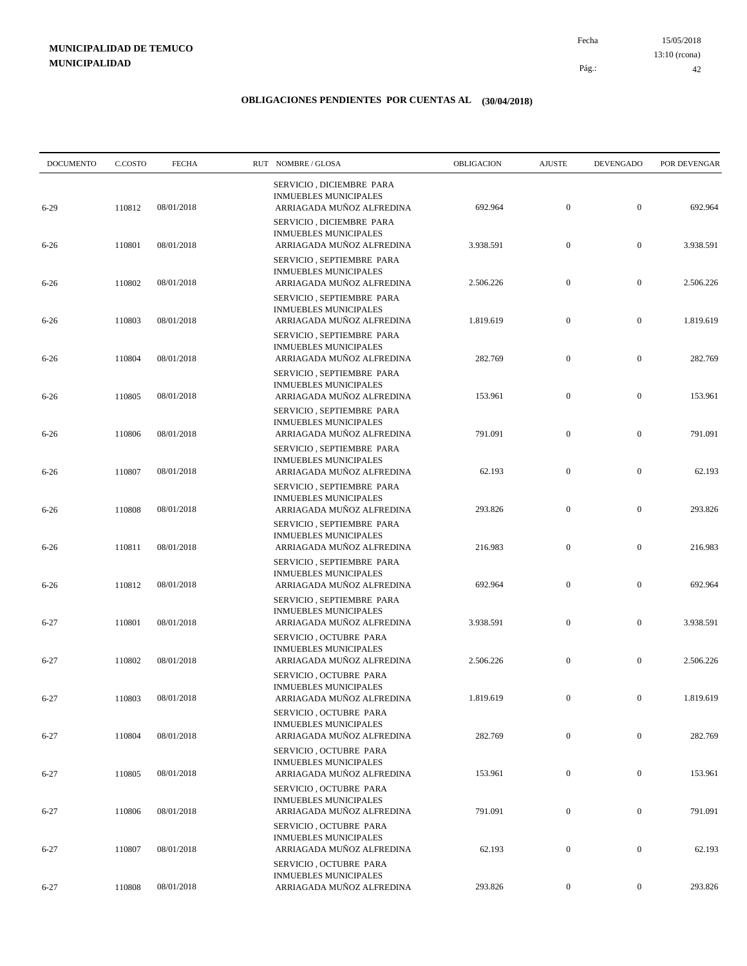15/05/2018 42 Pág.: Fecha 13:10 (rcona)

| <b>DOCUMENTO</b> | C.COSTO | <b>FECHA</b> | RUT NOMBRE/GLOSA                                                                       | OBLIGACION | <b>AJUSTE</b>    | <b>DEVENGADO</b> | POR DEVENGAR |
|------------------|---------|--------------|----------------------------------------------------------------------------------------|------------|------------------|------------------|--------------|
| $6 - 29$         | 110812  | 08/01/2018   | SERVICIO, DICIEMBRE PARA<br><b>INMUEBLES MUNICIPALES</b><br>ARRIAGADA MUÑOZ ALFREDINA  | 692.964    | $\mathbf{0}$     | $\boldsymbol{0}$ | 692.964      |
| $6 - 26$         | 110801  | 08/01/2018   | SERVICIO, DICIEMBRE PARA<br><b>INMUEBLES MUNICIPALES</b><br>ARRIAGADA MUÑOZ ALFREDINA  | 3.938.591  | $\boldsymbol{0}$ | $\boldsymbol{0}$ | 3.938.591    |
| $6 - 26$         | 110802  | 08/01/2018   | SERVICIO, SEPTIEMBRE PARA<br><b>INMUEBLES MUNICIPALES</b><br>ARRIAGADA MUÑOZ ALFREDINA | 2.506.226  | $\boldsymbol{0}$ | $\boldsymbol{0}$ | 2.506.226    |
|                  |         |              | SERVICIO, SEPTIEMBRE PARA<br><b>INMUEBLES MUNICIPALES</b>                              |            |                  |                  |              |
| $6 - 26$         | 110803  | 08/01/2018   | ARRIAGADA MUÑOZ ALFREDINA<br>SERVICIO, SEPTIEMBRE PARA                                 | 1.819.619  | $\mathbf{0}$     | $\boldsymbol{0}$ | 1.819.619    |
| $6 - 26$         | 110804  | 08/01/2018   | <b>INMUEBLES MUNICIPALES</b><br>ARRIAGADA MUÑOZ ALFREDINA<br>SERVICIO, SEPTIEMBRE PARA | 282.769    | $\boldsymbol{0}$ | $\boldsymbol{0}$ | 282.769      |
| $6 - 26$         | 110805  | 08/01/2018   | <b>INMUEBLES MUNICIPALES</b><br>ARRIAGADA MUÑOZ ALFREDINA                              | 153.961    | $\boldsymbol{0}$ | $\boldsymbol{0}$ | 153.961      |
| $6 - 26$         | 110806  | 08/01/2018   | SERVICIO, SEPTIEMBRE PARA<br><b>INMUEBLES MUNICIPALES</b><br>ARRIAGADA MUÑOZ ALFREDINA | 791.091    | $\boldsymbol{0}$ | $\boldsymbol{0}$ | 791.091      |
| $6 - 26$         | 110807  | 08/01/2018   | SERVICIO, SEPTIEMBRE PARA<br><b>INMUEBLES MUNICIPALES</b><br>ARRIAGADA MUÑOZ ALFREDINA | 62.193     | $\boldsymbol{0}$ | $\boldsymbol{0}$ | 62.193       |
| $6 - 26$         | 110808  | 08/01/2018   | SERVICIO, SEPTIEMBRE PARA<br><b>INMUEBLES MUNICIPALES</b><br>ARRIAGADA MUÑOZ ALFREDINA | 293.826    | $\boldsymbol{0}$ | $\boldsymbol{0}$ | 293.826      |
|                  |         |              | SERVICIO, SEPTIEMBRE PARA<br><b>INMUEBLES MUNICIPALES</b><br>ARRIAGADA MUÑOZ ALFREDINA |            | $\boldsymbol{0}$ | $\boldsymbol{0}$ |              |
| $6 - 26$         | 110811  | 08/01/2018   | SERVICIO, SEPTIEMBRE PARA<br><b>INMUEBLES MUNICIPALES</b>                              | 216.983    |                  |                  | 216.983      |
| $6 - 26$         | 110812  | 08/01/2018   | ARRIAGADA MUÑOZ ALFREDINA<br>SERVICIO, SEPTIEMBRE PARA                                 | 692.964    | $\boldsymbol{0}$ | $\boldsymbol{0}$ | 692.964      |
| $6 - 27$         | 110801  | 08/01/2018   | <b>INMUEBLES MUNICIPALES</b><br>ARRIAGADA MUÑOZ ALFREDINA<br>SERVICIO, OCTUBRE PARA    | 3.938.591  | $\boldsymbol{0}$ | $\boldsymbol{0}$ | 3.938.591    |
| $6 - 27$         | 110802  | 08/01/2018   | <b>INMUEBLES MUNICIPALES</b><br>ARRIAGADA MUÑOZ ALFREDINA                              | 2.506.226  | $\boldsymbol{0}$ | $\boldsymbol{0}$ | 2.506.226    |
| $6 - 27$         | 110803  | 08/01/2018   | SERVICIO, OCTUBRE PARA<br><b>INMUEBLES MUNICIPALES</b><br>ARRIAGADA MUÑOZ ALFREDINA    | 1.819.619  | $\overline{0}$   | $\mathbf{0}$     | 1.819.619    |
| $6 - 27$         | 110804  | 08/01/2018   | SERVICIO, OCTUBRE PARA<br><b>INMUEBLES MUNICIPALES</b><br>ARRIAGADA MUÑOZ ALFREDINA    | 282.769    | $\boldsymbol{0}$ | $\boldsymbol{0}$ | 282.769      |
|                  |         |              | SERVICIO, OCTUBRE PARA<br><b>INMUEBLES MUNICIPALES</b>                                 |            |                  |                  |              |
| $6 - 27$         | 110805  | 08/01/2018   | ARRIAGADA MUÑOZ ALFREDINA<br>SERVICIO, OCTUBRE PARA<br><b>INMUEBLES MUNICIPALES</b>    | 153.961    | $\boldsymbol{0}$ | $\boldsymbol{0}$ | 153.961      |
| $6 - 27$         | 110806  | 08/01/2018   | ARRIAGADA MUÑOZ ALFREDINA<br>SERVICIO, OCTUBRE PARA                                    | 791.091    | $\overline{0}$   | $\bf{0}$         | 791.091      |
| $6 - 27$         | 110807  | 08/01/2018   | <b>INMUEBLES MUNICIPALES</b><br>ARRIAGADA MUÑOZ ALFREDINA<br>SERVICIO, OCTUBRE PARA    | 62.193     | $\boldsymbol{0}$ | $\boldsymbol{0}$ | 62.193       |
| $6 - 27$         | 110808  | 08/01/2018   | <b>INMUEBLES MUNICIPALES</b><br>ARRIAGADA MUÑOZ ALFREDINA                              | 293.826    | $\boldsymbol{0}$ | $\boldsymbol{0}$ | 293.826      |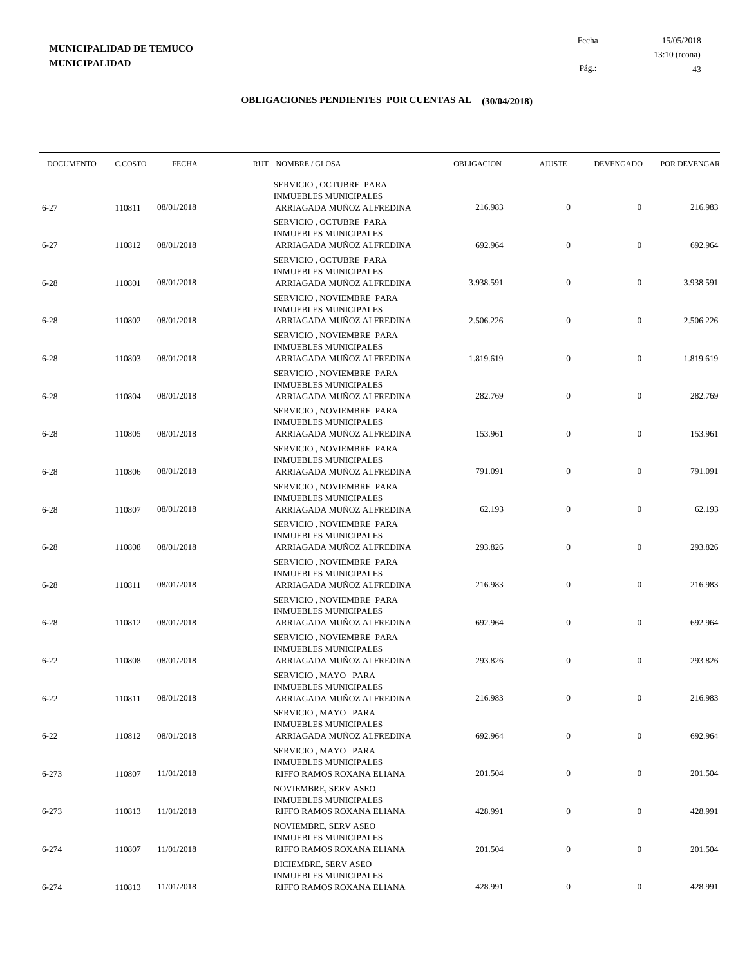15/05/2018 43 Pág.: Fecha 13:10 (rcona)

| <b>DOCUMENTO</b> | C.COSTO | <b>FECHA</b> | RUT NOMBRE/GLOSA                                                                      | OBLIGACION | <b>AJUSTE</b>    | <b>DEVENGADO</b> | POR DEVENGAR |
|------------------|---------|--------------|---------------------------------------------------------------------------------------|------------|------------------|------------------|--------------|
| $6 - 27$         | 110811  | 08/01/2018   | SERVICIO, OCTUBRE PARA<br><b>INMUEBLES MUNICIPALES</b><br>ARRIAGADA MUÑOZ ALFREDINA   | 216.983    | $\boldsymbol{0}$ | $\boldsymbol{0}$ | 216.983      |
| $6 - 27$         | 110812  | 08/01/2018   | SERVICIO, OCTUBRE PARA<br><b>INMUEBLES MUNICIPALES</b><br>ARRIAGADA MUÑOZ ALFREDINA   | 692.964    | $\boldsymbol{0}$ | $\boldsymbol{0}$ | 692.964      |
| $6 - 28$         | 110801  | 08/01/2018   | SERVICIO, OCTUBRE PARA<br><b>INMUEBLES MUNICIPALES</b><br>ARRIAGADA MUÑOZ ALFREDINA   | 3.938.591  | $\boldsymbol{0}$ | $\boldsymbol{0}$ | 3.938.591    |
|                  |         | 08/01/2018   | SERVICIO, NOVIEMBRE PARA<br><b>INMUEBLES MUNICIPALES</b><br>ARRIAGADA MUÑOZ ALFREDINA | 2.506.226  | $\boldsymbol{0}$ | $\boldsymbol{0}$ | 2.506.226    |
| $6 - 28$         | 110802  |              | SERVICIO, NOVIEMBRE PARA<br><b>INMUEBLES MUNICIPALES</b>                              |            |                  |                  |              |
| $6 - 28$         | 110803  | 08/01/2018   | ARRIAGADA MUÑOZ ALFREDINA<br>SERVICIO, NOVIEMBRE PARA<br><b>INMUEBLES MUNICIPALES</b> | 1.819.619  | $\boldsymbol{0}$ | $\boldsymbol{0}$ | 1.819.619    |
| $6 - 28$         | 110804  | 08/01/2018   | ARRIAGADA MUÑOZ ALFREDINA<br>SERVICIO, NOVIEMBRE PARA                                 | 282.769    | $\mathbf{0}$     | $\boldsymbol{0}$ | 282.769      |
| $6 - 28$         | 110805  | 08/01/2018   | <b>INMUEBLES MUNICIPALES</b><br>ARRIAGADA MUÑOZ ALFREDINA<br>SERVICIO, NOVIEMBRE PARA | 153.961    | $\boldsymbol{0}$ | $\boldsymbol{0}$ | 153.961      |
| $6 - 28$         | 110806  | 08/01/2018   | <b>INMUEBLES MUNICIPALES</b><br>ARRIAGADA MUÑOZ ALFREDINA                             | 791.091    | $\boldsymbol{0}$ | $\boldsymbol{0}$ | 791.091      |
| $6 - 28$         | 110807  | 08/01/2018   | SERVICIO, NOVIEMBRE PARA<br><b>INMUEBLES MUNICIPALES</b><br>ARRIAGADA MUÑOZ ALFREDINA | 62.193     | $\mathbf{0}$     | $\boldsymbol{0}$ | 62.193       |
| $6 - 28$         | 110808  | 08/01/2018   | SERVICIO, NOVIEMBRE PARA<br><b>INMUEBLES MUNICIPALES</b><br>ARRIAGADA MUÑOZ ALFREDINA | 293.826    | $\boldsymbol{0}$ | $\boldsymbol{0}$ | 293.826      |
|                  |         |              | SERVICIO, NOVIEMBRE PARA<br><b>INMUEBLES MUNICIPALES</b>                              |            | $\mathbf{0}$     | $\boldsymbol{0}$ | 216.983      |
| $6 - 28$         | 110811  | 08/01/2018   | ARRIAGADA MUÑOZ ALFREDINA<br>SERVICIO, NOVIEMBRE PARA<br><b>INMUEBLES MUNICIPALES</b> | 216.983    |                  |                  |              |
| $6 - 28$         | 110812  | 08/01/2018   | ARRIAGADA MUÑOZ ALFREDINA<br>SERVICIO, NOVIEMBRE PARA<br><b>INMUEBLES MUNICIPALES</b> | 692.964    | $\mathbf{0}$     | $\boldsymbol{0}$ | 692.964      |
| $6 - 22$         | 110808  | 08/01/2018   | ARRIAGADA MUÑOZ ALFREDINA<br>SERVICIO, MAYO PARA                                      | 293.826    | $\boldsymbol{0}$ | $\boldsymbol{0}$ | 293.826      |
| $6 - 22$         | 110811  | 08/01/2018   | <b>INMUEBLES MUNICIPALES</b><br>ARRIAGADA MUÑOZ ALFREDINA<br>SERVICIO, MAYO PARA      | 216.983    | $\overline{0}$   | $\mathbf{0}$     | 216.983      |
| $6 - 22$         | 110812  | 08/01/2018   | <b>INMUEBLES MUNICIPALES</b><br>ARRIAGADA MUÑOZ ALFREDINA                             | 692.964    | $\mathbf{0}$     | $\boldsymbol{0}$ | 692.964      |
| 6-273            | 110807  | 11/01/2018   | SERVICIO, MAYO PARA<br><b>INMUEBLES MUNICIPALES</b><br>RIFFO RAMOS ROXANA ELIANA      | 201.504    | $\boldsymbol{0}$ | $\boldsymbol{0}$ | 201.504      |
| 6-273            | 110813  | 11/01/2018   | NOVIEMBRE, SERV ASEO<br><b>INMUEBLES MUNICIPALES</b><br>RIFFO RAMOS ROXANA ELIANA     | 428.991    | $\overline{0}$   | $\boldsymbol{0}$ | 428.991      |
|                  |         |              | <b>NOVIEMBRE, SERV ASEO</b><br><b>INMUEBLES MUNICIPALES</b>                           |            |                  |                  |              |
| $6 - 274$        | 110807  | 11/01/2018   | RIFFO RAMOS ROXANA ELIANA<br>DICIEMBRE, SERV ASEO                                     | 201.504    | $\mathbf{0}$     | $\boldsymbol{0}$ | 201.504      |
| $6 - 274$        | 110813  | 11/01/2018   | <b>INMUEBLES MUNICIPALES</b><br>RIFFO RAMOS ROXANA ELIANA                             | 428.991    | $\boldsymbol{0}$ | $\boldsymbol{0}$ | 428.991      |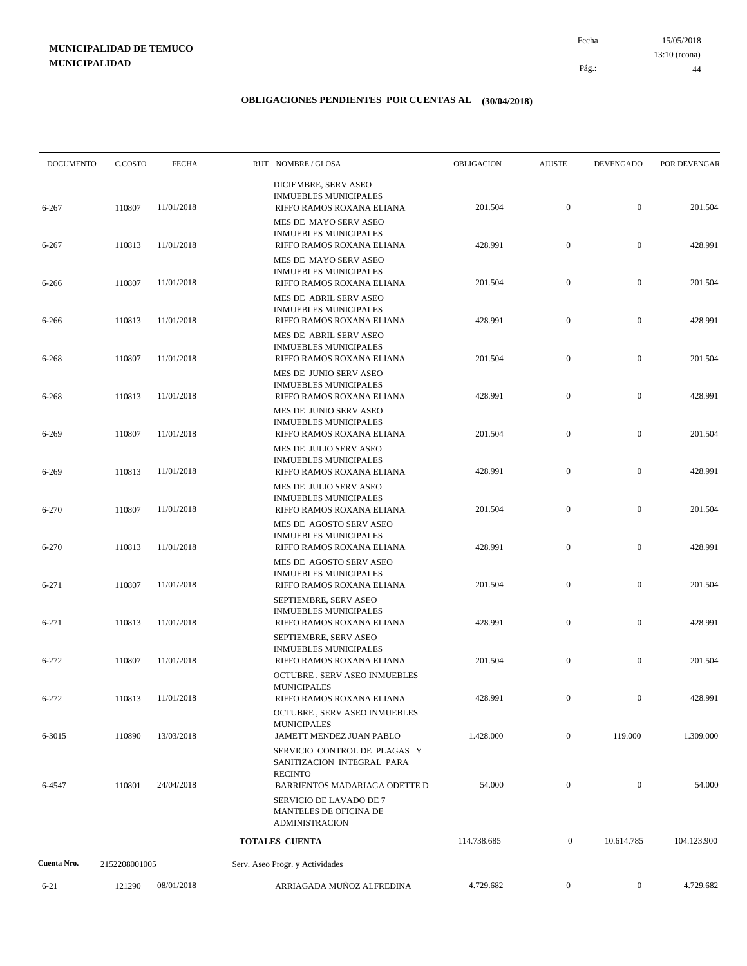15/05/2018 44 Pág.: Fecha 13:10 (rcona)

| <b>DOCUMENTO</b> | C.COSTO       | <b>FECHA</b>      | RUT NOMBRE/GLOSA                                                                     | OBLIGACION  | <b>AJUSTE</b>    | <b>DEVENGADO</b> | POR DEVENGAR |
|------------------|---------------|-------------------|--------------------------------------------------------------------------------------|-------------|------------------|------------------|--------------|
| 6-267            | 110807        | 11/01/2018        | DICIEMBRE, SERV ASEO<br><b>INMUEBLES MUNICIPALES</b><br>RIFFO RAMOS ROXANA ELIANA    | 201.504     | $\mathbf{0}$     | $\boldsymbol{0}$ | 201.504      |
| 6-267            | 110813        | 11/01/2018        | MES DE MAYO SERV ASEO<br><b>INMUEBLES MUNICIPALES</b><br>RIFFO RAMOS ROXANA ELIANA   | 428.991     | $\boldsymbol{0}$ | $\boldsymbol{0}$ | 428.991      |
| $6 - 266$        | 110807        | 11/01/2018        | MES DE MAYO SERV ASEO<br><b>INMUEBLES MUNICIPALES</b><br>RIFFO RAMOS ROXANA ELIANA   | 201.504     | $\boldsymbol{0}$ | $\boldsymbol{0}$ | 201.504      |
|                  |               |                   | MES DE ABRIL SERV ASEO<br><b>INMUEBLES MUNICIPALES</b>                               |             |                  |                  |              |
| 6-266            | 110813        | 11/01/2018        | RIFFO RAMOS ROXANA ELIANA<br>MES DE ABRIL SERV ASEO<br><b>INMUEBLES MUNICIPALES</b>  | 428.991     | $\boldsymbol{0}$ | $\boldsymbol{0}$ | 428.991      |
| 6-268            | 110807        | 11/01/2018        | RIFFO RAMOS ROXANA ELIANA<br>MES DE JUNIO SERV ASEO                                  | 201.504     | $\boldsymbol{0}$ | $\boldsymbol{0}$ | 201.504      |
| 6-268            | 110813        | 11/01/2018        | <b>INMUEBLES MUNICIPALES</b><br>RIFFO RAMOS ROXANA ELIANA<br>MES DE JUNIO SERV ASEO  | 428.991     | $\boldsymbol{0}$ | $\boldsymbol{0}$ | 428.991      |
| 6-269            | 110807        | 11/01/2018        | <b>INMUEBLES MUNICIPALES</b><br>RIFFO RAMOS ROXANA ELIANA                            | 201.504     | $\boldsymbol{0}$ | $\boldsymbol{0}$ | 201.504      |
| 6-269            | 110813        | 11/01/2018        | MES DE JULIO SERV ASEO<br><b>INMUEBLES MUNICIPALES</b><br>RIFFO RAMOS ROXANA ELIANA  | 428.991     | $\boldsymbol{0}$ | $\boldsymbol{0}$ | 428.991      |
| 6-270            | 110807        | 11/01/2018        | MES DE JULIO SERV ASEO<br><b>INMUEBLES MUNICIPALES</b><br>RIFFO RAMOS ROXANA ELIANA  | 201.504     | $\boldsymbol{0}$ | $\boldsymbol{0}$ | 201.504      |
|                  |               |                   | MES DE AGOSTO SERV ASEO<br><b>INMUEBLES MUNICIPALES</b>                              |             |                  |                  |              |
| 6-270            | 110813        | 11/01/2018        | RIFFO RAMOS ROXANA ELIANA<br>MES DE AGOSTO SERV ASEO<br><b>INMUEBLES MUNICIPALES</b> | 428.991     | $\boldsymbol{0}$ | $\boldsymbol{0}$ | 428.991      |
| 6-271            | 110807        | 11/01/2018        | RIFFO RAMOS ROXANA ELIANA<br>SEPTIEMBRE, SERV ASEO                                   | 201.504     | $\boldsymbol{0}$ | $\boldsymbol{0}$ | 201.504      |
| 6-271            | 110813        | 11/01/2018        | <b>INMUEBLES MUNICIPALES</b><br>RIFFO RAMOS ROXANA ELIANA<br>SEPTIEMBRE, SERV ASEO   | 428.991     | $\boldsymbol{0}$ | $\mathbf{0}$     | 428.991      |
| $6 - 272$        | 110807        | 11/01/2018        | <b>INMUEBLES MUNICIPALES</b><br>RIFFO RAMOS ROXANA ELIANA                            | 201.504     | $\boldsymbol{0}$ | $\mathbf{0}$     | 201.504      |
| 6-272            |               | 110813 11/01/2018 | OCTUBRE, SERV ASEO INMUEBLES<br><b>MUNICIPALES</b><br>RIFFO RAMOS ROXANA ELIANA      | 428.991     | $\overline{0}$   | $\theta$         | 428.991      |
| 6-3015           | 110890        | 13/03/2018        | OCTUBRE , SERV ASEO INMUEBLES<br><b>MUNICIPALES</b><br>JAMETT MENDEZ JUAN PABLO      | 1.428.000   | $\overline{0}$   | 119.000          | 1.309.000    |
|                  |               |                   | SERVICIO CONTROL DE PLAGAS Y<br>SANITIZACION INTEGRAL PARA                           |             |                  |                  |              |
| 6-4547           | 110801        | 24/04/2018        | <b>RECINTO</b><br>BARRIENTOS MADARIAGA ODETTE D<br>SERVICIO DE LAVADO DE 7           | 54.000      | $\boldsymbol{0}$ | $\mathbf{0}$     | 54.000       |
|                  |               |                   | MANTELES DE OFICINA DE<br><b>ADMINISTRACION</b>                                      |             |                  |                  |              |
|                  |               |                   | <b>TOTALES CUENTA</b>                                                                | 114.738.685 | $\boldsymbol{0}$ | 10.614.785       | 104.123.900  |
| Cuenta Nro.      | 2152208001005 |                   | Serv. Aseo Progr. y Actividades                                                      |             |                  |                  |              |
| $6 - 21$         | 121290        | 08/01/2018        | ARRIAGADA MUÑOZ ALFREDINA                                                            | 4.729.682   | $\boldsymbol{0}$ | $\boldsymbol{0}$ | 4.729.682    |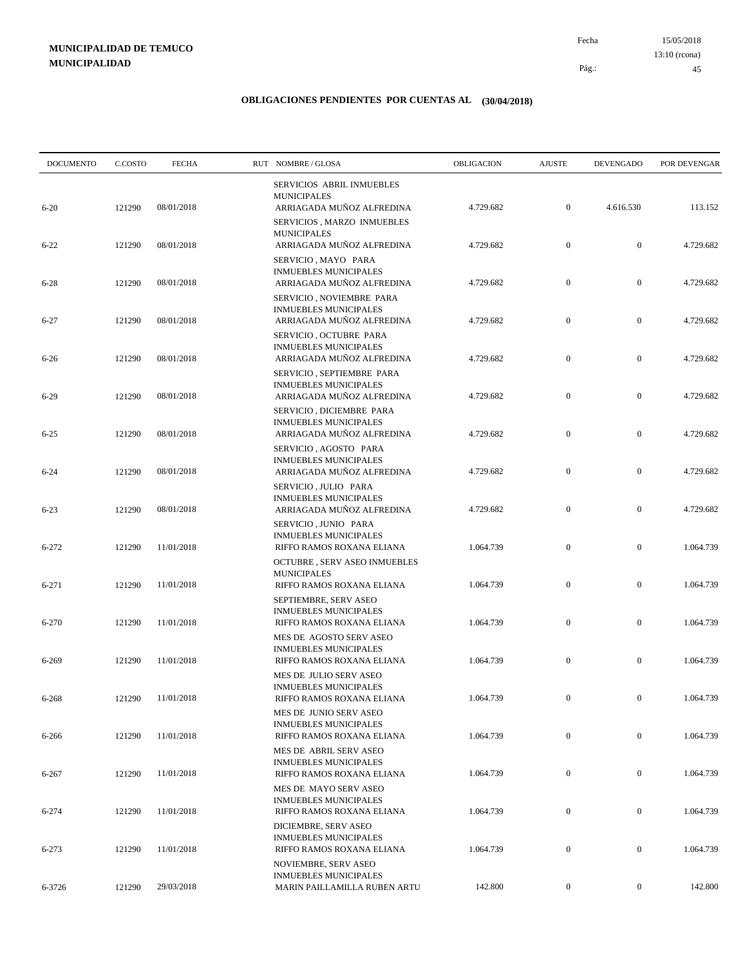15/05/2018 45 Pág.: Fecha 13:10 (rcona)

| <b>DOCUMENTO</b> | C.COSTO | <b>FECHA</b> | RUT NOMBRE/GLOSA                                                                       | OBLIGACION | <b>AJUSTE</b>    | <b>DEVENGADO</b> | POR DEVENGAR |
|------------------|---------|--------------|----------------------------------------------------------------------------------------|------------|------------------|------------------|--------------|
|                  |         |              | SERVICIOS ABRIL INMUEBLES<br><b>MUNICIPALES</b>                                        |            |                  |                  |              |
| $6 - 20$         | 121290  | 08/01/2018   | ARRIAGADA MUÑOZ ALFREDINA<br>SERVICIOS, MARZO INMUEBLES<br><b>MUNICIPALES</b>          | 4.729.682  | $\boldsymbol{0}$ | 4.616.530        | 113.152      |
| $6 - 22$         | 121290  | 08/01/2018   | ARRIAGADA MUÑOZ ALFREDINA<br>SERVICIO, MAYO PARA                                       | 4.729.682  | $\boldsymbol{0}$ | $\boldsymbol{0}$ | 4.729.682    |
| $6 - 28$         | 121290  | 08/01/2018   | <b>INMUEBLES MUNICIPALES</b><br>ARRIAGADA MUÑOZ ALFREDINA<br>SERVICIO, NOVIEMBRE PARA  | 4.729.682  | $\boldsymbol{0}$ | $\boldsymbol{0}$ | 4.729.682    |
| $6 - 27$         | 121290  | 08/01/2018   | <b>INMUEBLES MUNICIPALES</b><br>ARRIAGADA MUÑOZ ALFREDINA                              | 4.729.682  | $\boldsymbol{0}$ | $\boldsymbol{0}$ | 4.729.682    |
| $6 - 26$         | 121290  | 08/01/2018   | SERVICIO, OCTUBRE PARA<br><b>INMUEBLES MUNICIPALES</b><br>ARRIAGADA MUÑOZ ALFREDINA    | 4.729.682  | $\boldsymbol{0}$ | $\boldsymbol{0}$ | 4.729.682    |
| $6 - 29$         | 121290  | 08/01/2018   | SERVICIO, SEPTIEMBRE PARA<br><b>INMUEBLES MUNICIPALES</b><br>ARRIAGADA MUÑOZ ALFREDINA | 4.729.682  | $\boldsymbol{0}$ | $\boldsymbol{0}$ | 4.729.682    |
| $6 - 25$         | 121290  | 08/01/2018   | SERVICIO, DICIEMBRE PARA<br><b>INMUEBLES MUNICIPALES</b><br>ARRIAGADA MUÑOZ ALFREDINA  | 4.729.682  | $\boldsymbol{0}$ | $\boldsymbol{0}$ | 4.729.682    |
| $6 - 24$         | 121290  | 08/01/2018   | SERVICIO, AGOSTO PARA<br><b>INMUEBLES MUNICIPALES</b><br>ARRIAGADA MUÑOZ ALFREDINA     | 4.729.682  | $\boldsymbol{0}$ | $\boldsymbol{0}$ | 4.729.682    |
|                  |         | 08/01/2018   | SERVICIO, JULIO PARA<br><b>INMUEBLES MUNICIPALES</b>                                   | 4.729.682  | $\boldsymbol{0}$ | $\boldsymbol{0}$ | 4.729.682    |
| $6 - 23$         | 121290  |              | ARRIAGADA MUÑOZ ALFREDINA<br>SERVICIO, JUNIO PARA<br><b>INMUEBLES MUNICIPALES</b>      |            |                  |                  |              |
| 6-272            | 121290  | 11/01/2018   | RIFFO RAMOS ROXANA ELIANA<br>OCTUBRE, SERV ASEO INMUEBLES<br><b>MUNICIPALES</b>        | 1.064.739  | $\boldsymbol{0}$ | $\boldsymbol{0}$ | 1.064.739    |
| 6-271            | 121290  | 11/01/2018   | RIFFO RAMOS ROXANA ELIANA<br>SEPTIEMBRE, SERV ASEO                                     | 1.064.739  | $\boldsymbol{0}$ | $\boldsymbol{0}$ | 1.064.739    |
| 6-270            | 121290  | 11/01/2018   | <b>INMUEBLES MUNICIPALES</b><br>RIFFO RAMOS ROXANA ELIANA<br>MES DE AGOSTO SERV ASEO   | 1.064.739  | $\boldsymbol{0}$ | $\boldsymbol{0}$ | 1.064.739    |
| 6-269            | 121290  | 11/01/2018   | <b>INMUEBLES MUNICIPALES</b><br>RIFFO RAMOS ROXANA ELIANA                              | 1.064.739  | $\boldsymbol{0}$ | $\boldsymbol{0}$ | 1.064.739    |
| 6-268            | 121290  | 11/01/2018   | MES DE JULIO SERV ASEO<br><b>INMUEBLES MUNICIPALES</b><br>RIFFO RAMOS ROXANA ELIANA    | 1.064.739  | $\mathbf{0}$     | $\mathbf{0}$     | 1.064.739    |
| $6 - 266$        | 121290  | 11/01/2018   | MES DE JUNIO SERV ASEO<br><b>INMUEBLES MUNICIPALES</b><br>RIFFO RAMOS ROXANA ELIANA    | 1.064.739  | $\boldsymbol{0}$ | $\mathbf{0}$     | 1.064.739    |
| 6-267            | 121290  | 11/01/2018   | MES DE ABRIL SERV ASEO<br><b>INMUEBLES MUNICIPALES</b><br>RIFFO RAMOS ROXANA ELIANA    | 1.064.739  | $\boldsymbol{0}$ | $\boldsymbol{0}$ | 1.064.739    |
|                  |         |              | MES DE MAYO SERV ASEO<br>INMUEBLES MUNICIPALES                                         |            |                  |                  |              |
| 6-274            | 121290  | 11/01/2018   | RIFFO RAMOS ROXANA ELIANA<br>DICIEMBRE, SERV ASEO<br><b>INMUEBLES MUNICIPALES</b>      | 1.064.739  | $\boldsymbol{0}$ | $\boldsymbol{0}$ | 1.064.739    |
| 6-273            | 121290  | 11/01/2018   | RIFFO RAMOS ROXANA ELIANA<br>NOVIEMBRE, SERV ASEO                                      | 1.064.739  | $\boldsymbol{0}$ | $\boldsymbol{0}$ | 1.064.739    |
| 6-3726           | 121290  | 29/03/2018   | <b>INMUEBLES MUNICIPALES</b><br>MARIN PAILLAMILLA RUBEN ARTU                           | 142.800    | $\mathbf{0}$     | $\boldsymbol{0}$ | 142.800      |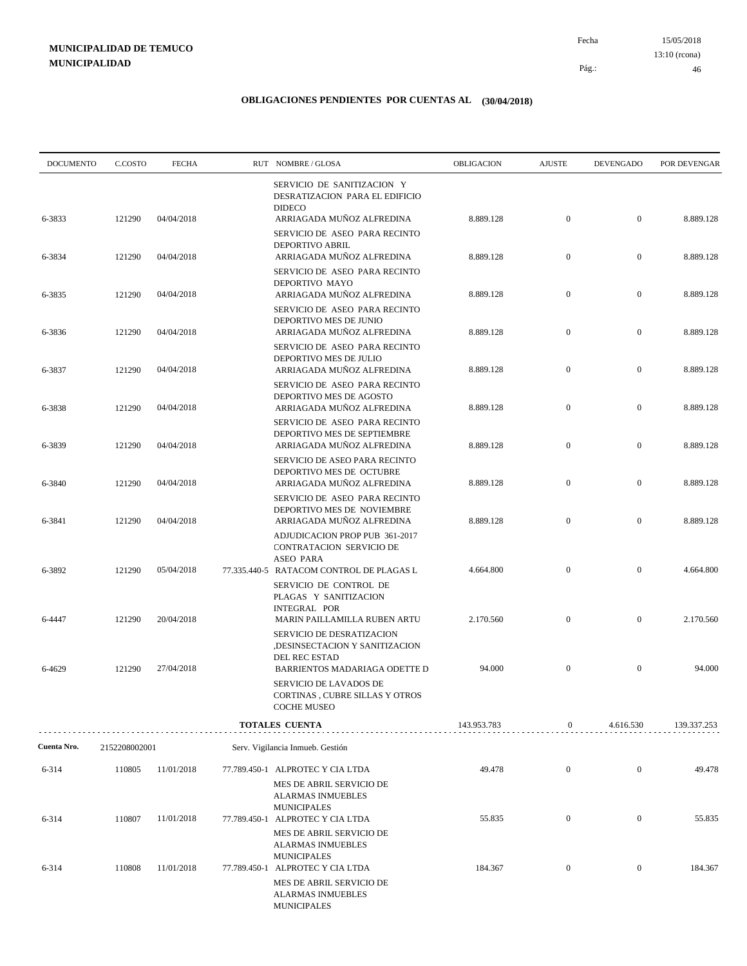15/05/2018 46 Pág.: Fecha 13:10 (rcona)

| <b>DOCUMENTO</b> | C.COSTO       | <b>FECHA</b> | RUT NOMBRE/GLOSA                                                                                                                     | <b>OBLIGACION</b> | <b>AJUSTE</b>    | <b>DEVENGADO</b> | POR DEVENGAR |
|------------------|---------------|--------------|--------------------------------------------------------------------------------------------------------------------------------------|-------------------|------------------|------------------|--------------|
| 6-3833           | 121290        | 04/04/2018   | SERVICIO DE SANITIZACION Y<br>DESRATIZACION PARA EL EDIFICIO<br><b>DIDECO</b><br>ARRIAGADA MUÑOZ ALFREDINA                           | 8.889.128         | $\boldsymbol{0}$ | $\mathbf{0}$     | 8.889.128    |
|                  |               |              | SERVICIO DE ASEO PARA RECINTO<br>DEPORTIVO ABRIL                                                                                     |                   |                  |                  |              |
| 6-3834           | 121290        | 04/04/2018   | ARRIAGADA MUÑOZ ALFREDINA<br>SERVICIO DE ASEO PARA RECINTO                                                                           | 8.889.128         | $\boldsymbol{0}$ | $\mathbf{0}$     | 8.889.128    |
| 6-3835           | 121290        | 04/04/2018   | DEPORTIVO MAYO<br>ARRIAGADA MUÑOZ ALFREDINA                                                                                          | 8.889.128         | $\boldsymbol{0}$ | $\mathbf{0}$     | 8.889.128    |
| 6-3836           | 121290        | 04/04/2018   | SERVICIO DE ASEO PARA RECINTO<br>DEPORTIVO MES DE JUNIO<br>ARRIAGADA MUÑOZ ALFREDINA                                                 | 8.889.128         | $\mathbf{0}$     | $\mathbf{0}$     | 8.889.128    |
|                  |               |              | SERVICIO DE ASEO PARA RECINTO<br>DEPORTIVO MES DE JULIO                                                                              |                   |                  | $\boldsymbol{0}$ |              |
| 6-3837           | 121290        | 04/04/2018   | ARRIAGADA MUÑOZ ALFREDINA<br>SERVICIO DE ASEO PARA RECINTO<br>DEPORTIVO MES DE AGOSTO                                                | 8.889.128         | $\boldsymbol{0}$ |                  | 8.889.128    |
| 6-3838           | 121290        | 04/04/2018   | ARRIAGADA MUÑOZ ALFREDINA<br>SERVICIO DE ASEO PARA RECINTO                                                                           | 8.889.128         | $\mathbf{0}$     | $\mathbf{0}$     | 8.889.128    |
| 6-3839           | 121290        | 04/04/2018   | DEPORTIVO MES DE SEPTIEMBRE<br>ARRIAGADA MUÑOZ ALFREDINA<br>SERVICIO DE ASEO PARA RECINTO                                            | 8.889.128         | $\boldsymbol{0}$ | $\mathbf{0}$     | 8.889.128    |
| 6-3840           | 121290        | 04/04/2018   | DEPORTIVO MES DE OCTUBRE<br>ARRIAGADA MUÑOZ ALFREDINA                                                                                | 8.889.128         | $\boldsymbol{0}$ | $\mathbf{0}$     | 8.889.128    |
| 6-3841           | 121290        | 04/04/2018   | SERVICIO DE ASEO PARA RECINTO<br>DEPORTIVO MES DE NOVIEMBRE<br>ARRIAGADA MUÑOZ ALFREDINA                                             | 8.889.128         | $\mathbf{0}$     | $\mathbf{0}$     | 8.889.128    |
|                  |               |              | ADJUDICACION PROP PUB 361-2017<br>CONTRATACION SERVICIO DE<br><b>ASEO PARA</b>                                                       |                   |                  |                  |              |
| 6-3892           | 121290        | 05/04/2018   | 77.335.440-5 RATACOM CONTROL DE PLAGAS L<br>SERVICIO DE CONTROL DE<br>PLAGAS Y SANITIZACION                                          | 4.664.800         | $\boldsymbol{0}$ | $\boldsymbol{0}$ | 4.664.800    |
| 6-4447           | 121290        | 20/04/2018   | <b>INTEGRAL POR</b><br>MARIN PAILLAMILLA RUBEN ARTU                                                                                  | 2.170.560         | $\boldsymbol{0}$ | $\mathbf{0}$     | 2.170.560    |
|                  |               |              | SERVICIO DE DESRATIZACION<br>,DESINSECTACION Y SANITIZACION<br>DEL REC ESTAD                                                         |                   |                  |                  |              |
| 6-4629           | 121290        | 27/04/2018   | BARRIENTOS MADARIAGA ODETTE D<br><b>SERVICIO DE LAVADOS DE</b><br>CORTINAS, CUBRE SILLAS Y OTROS<br><b>COCHE MUSEO</b>               | 94.000            | $\mathbf{0}$     | $\boldsymbol{0}$ | 94.000       |
|                  |               |              | TOTALES CUENTA                                                                                                                       | 143.953.783       | $\boldsymbol{0}$ | 4.616.530        | 139.337.253  |
| Cuenta Nro.      | 2152208002001 |              | Serv. Vigilancia Inmueb. Gestión                                                                                                     |                   |                  |                  |              |
| 6-314            | 110805        | 11/01/2018   | 77.789.450-1 ALPROTEC Y CIA LTDA                                                                                                     | 49.478            | $\boldsymbol{0}$ | $\mathbf{0}$     | 49.478       |
|                  |               |              | MES DE ABRIL SERVICIO DE<br><b>ALARMAS INMUEBLES</b><br><b>MUNICIPALES</b>                                                           |                   |                  |                  |              |
| 6-314            | 110807        | 11/01/2018   | 77.789.450-1 ALPROTEC Y CIA LTDA<br>MES DE ABRIL SERVICIO DE<br><b>ALARMAS INMUEBLES</b>                                             | 55.835            | $\boldsymbol{0}$ | $\boldsymbol{0}$ | 55.835       |
| 6-314            | 110808        | 11/01/2018   | <b>MUNICIPALES</b><br>77.789.450-1 ALPROTEC Y CIA LTDA<br>MES DE ABRIL SERVICIO DE<br><b>ALARMAS INMUEBLES</b><br><b>MUNICIPALES</b> | 184.367           | $\boldsymbol{0}$ | $\boldsymbol{0}$ | 184.367      |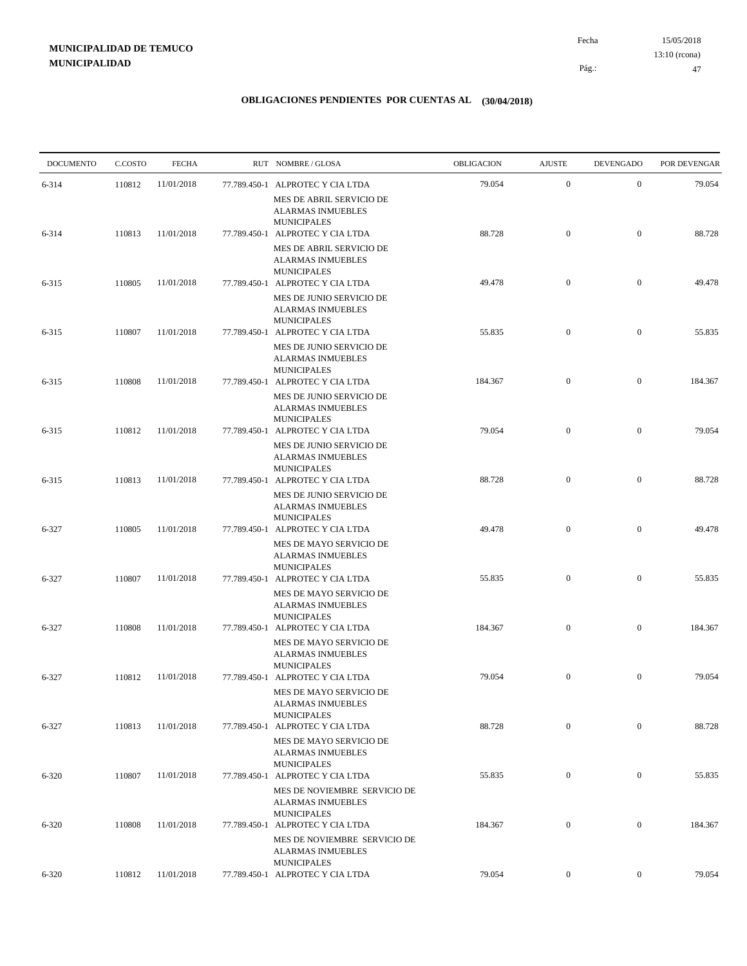15/05/2018 47 Pág.: Fecha 13:10 (rcona)

| <b>DOCUMENTO</b> | C.COSTO | <b>FECHA</b> | RUT NOMBRE/GLOSA                                                                                                   | <b>OBLIGACION</b> | <b>AJUSTE</b>    | <b>DEVENGADO</b> | POR DEVENGAR |
|------------------|---------|--------------|--------------------------------------------------------------------------------------------------------------------|-------------------|------------------|------------------|--------------|
| 6-314            | 110812  | 11/01/2018   | 77.789.450-1 ALPROTEC Y CIA LTDA<br>MES DE ABRIL SERVICIO DE<br><b>ALARMAS INMUEBLES</b>                           | 79.054            | $\boldsymbol{0}$ | $\mathbf{0}$     | 79.054       |
| 6-314            | 110813  | 11/01/2018   | <b>MUNICIPALES</b><br>77.789.450-1 ALPROTEC Y CIA LTDA<br>MES DE ABRIL SERVICIO DE                                 | 88.728            | $\boldsymbol{0}$ | $\mathbf{0}$     | 88.728       |
| $6 - 315$        | 110805  | 11/01/2018   | <b>ALARMAS INMUEBLES</b><br><b>MUNICIPALES</b><br>77.789.450-1 ALPROTEC Y CIA LTDA                                 | 49.478            | $\mathbf{0}$     | $\mathbf{0}$     | 49.478       |
| $6 - 315$        | 110807  | 11/01/2018   | MES DE JUNIO SERVICIO DE<br><b>ALARMAS INMUEBLES</b><br><b>MUNICIPALES</b><br>77.789.450-1 ALPROTEC Y CIA LTDA     | 55.835            | $\mathbf{0}$     | $\mathbf{0}$     | 55.835       |
| $6 - 315$        | 110808  | 11/01/2018   | MES DE JUNIO SERVICIO DE<br><b>ALARMAS INMUEBLES</b><br><b>MUNICIPALES</b><br>77.789.450-1 ALPROTEC Y CIA LTDA     | 184.367           | $\mathbf{0}$     | $\boldsymbol{0}$ | 184.367      |
| 6-315            | 110812  | 11/01/2018   | MES DE JUNIO SERVICIO DE<br><b>ALARMAS INMUEBLES</b><br><b>MUNICIPALES</b><br>77.789.450-1 ALPROTEC Y CIA LTDA     | 79.054            | $\mathbf{0}$     | $\boldsymbol{0}$ | 79.054       |
|                  |         |              | MES DE JUNIO SERVICIO DE<br><b>ALARMAS INMUEBLES</b><br><b>MUNICIPALES</b>                                         |                   |                  |                  |              |
| 6-315            | 110813  | 11/01/2018   | 77.789.450-1 ALPROTEC Y CIA LTDA<br>MES DE JUNIO SERVICIO DE<br><b>ALARMAS INMUEBLES</b><br><b>MUNICIPALES</b>     | 88.728            | $\mathbf{0}$     | $\boldsymbol{0}$ | 88.728       |
| 6-327            | 110805  | 11/01/2018   | 77.789.450-1 ALPROTEC Y CIA LTDA<br>MES DE MAYO SERVICIO DE<br><b>ALARMAS INMUEBLES</b>                            | 49.478            | $\mathbf{0}$     | $\mathbf{0}$     | 49.478       |
| 6-327            | 110807  | 11/01/2018   | <b>MUNICIPALES</b><br>77.789.450-1 ALPROTEC Y CIA LTDA<br>MES DE MAYO SERVICIO DE                                  | 55.835            | $\boldsymbol{0}$ | $\boldsymbol{0}$ | 55.835       |
| 6-327            | 110808  | 11/01/2018   | <b>ALARMAS INMUEBLES</b><br><b>MUNICIPALES</b><br>77.789.450-1 ALPROTEC Y CIA LTDA<br>MES DE MAYO SERVICIO DE      | 184.367           | $\boldsymbol{0}$ | $\mathbf{0}$     | 184.367      |
| 6-327            | 110812  | 11/01/2018   | <b>ALARMAS INMUEBLES</b><br><b>MUNICIPALES</b><br>77.789.450-1 ALPROTEC Y CIA LTDA                                 | 79.054            | $\boldsymbol{0}$ | $\mathbf{0}$     | 79.054       |
| 6-327            | 110813  | 11/01/2018   | MES DE MAYO SERVICIO DE<br><b>ALARMAS INMUEBLES</b><br><b>MUNICIPALES</b><br>77.789.450-1 ALPROTEC Y CIA LTDA      | 88.728            | $\mathbf{0}$     | $\mathbf{0}$     | 88.728       |
|                  |         |              | MES DE MAYO SERVICIO DE<br><b>ALARMAS INMUEBLES</b><br><b>MUNICIPALES</b>                                          |                   |                  |                  |              |
| $6 - 320$        | 110807  | 11/01/2018   | 77.789.450-1 ALPROTEC Y CIA LTDA<br>MES DE NOVIEMBRE SERVICIO DE<br><b>ALARMAS INMUEBLES</b><br><b>MUNICIPALES</b> | 55.835            | $\boldsymbol{0}$ | $\boldsymbol{0}$ | 55.835       |
| 6-320            | 110808  | 11/01/2018   | 77.789.450-1 ALPROTEC Y CIA LTDA<br>MES DE NOVIEMBRE SERVICIO DE<br><b>ALARMAS INMUEBLES</b>                       | 184.367           | $\boldsymbol{0}$ | $\mathbf{0}$     | 184.367      |
| $6 - 320$        | 110812  | 11/01/2018   | <b>MUNICIPALES</b><br>77.789.450-1 ALPROTEC Y CIA LTDA                                                             | 79.054            | $\overline{0}$   | $\boldsymbol{0}$ | 79.054       |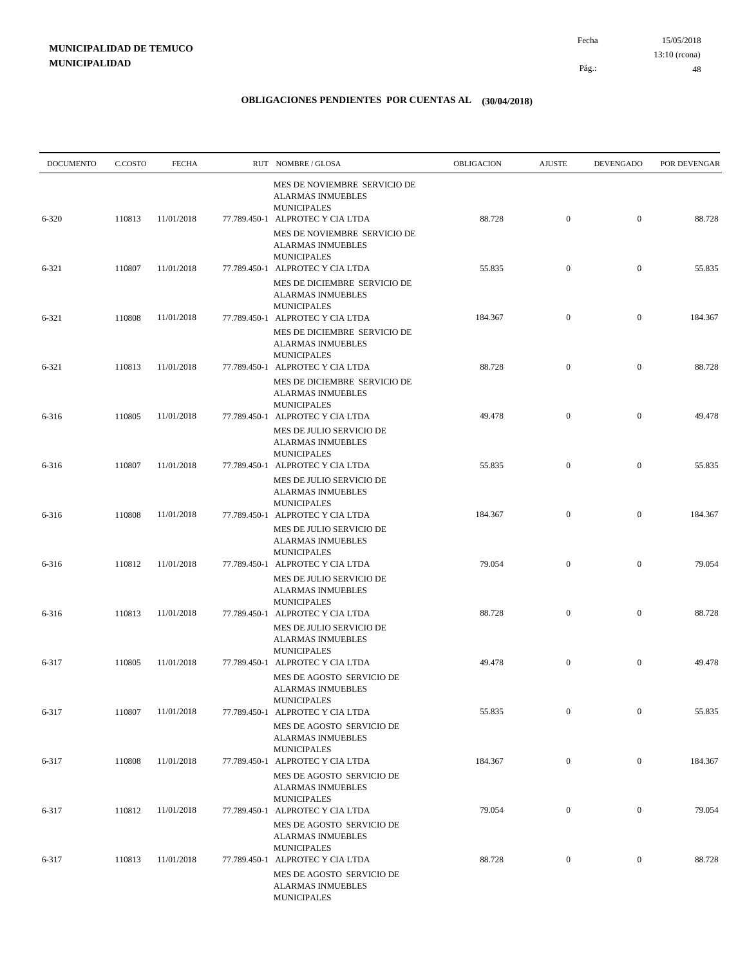| <b>DOCUMENTO</b> | C.COSTO | <b>FECHA</b> | RUT NOMBRE/GLOSA                                                                                                                      | OBLIGACION | <b>AJUSTE</b>    | <b>DEVENGADO</b> | POR DEVENGAR |
|------------------|---------|--------------|---------------------------------------------------------------------------------------------------------------------------------------|------------|------------------|------------------|--------------|
| 6-320            | 110813  | 11/01/2018   | MES DE NOVIEMBRE SERVICIO DE<br><b>ALARMAS INMUEBLES</b><br><b>MUNICIPALES</b><br>77.789.450-1 ALPROTEC Y CIA LTDA                    | 88.728     | $\mathbf{0}$     | $\boldsymbol{0}$ | 88.728       |
|                  |         |              | MES DE NOVIEMBRE SERVICIO DE<br><b>ALARMAS INMUEBLES</b><br><b>MUNICIPALES</b>                                                        |            |                  |                  |              |
| 6-321            | 110807  | 11/01/2018   | 77.789.450-1 ALPROTEC Y CIA LTDA<br>MES DE DICIEMBRE SERVICIO DE<br><b>ALARMAS INMUEBLES</b>                                          | 55.835     | $\mathbf{0}$     | $\boldsymbol{0}$ | 55.835       |
| 6-321            | 110808  | 11/01/2018   | <b>MUNICIPALES</b><br>77.789.450-1 ALPROTEC Y CIA LTDA                                                                                | 184.367    | $\mathbf{0}$     | $\boldsymbol{0}$ | 184.367      |
|                  |         |              | MES DE DICIEMBRE SERVICIO DE<br><b>ALARMAS INMUEBLES</b><br><b>MUNICIPALES</b>                                                        |            |                  |                  |              |
| 6-321            | 110813  | 11/01/2018   | 77.789.450-1 ALPROTEC Y CIA LTDA<br>MES DE DICIEMBRE SERVICIO DE<br><b>ALARMAS INMUEBLES</b>                                          | 88.728     | $\mathbf{0}$     | $\mathbf{0}$     | 88.728       |
| 6-316            | 110805  | 11/01/2018   | <b>MUNICIPALES</b><br>77.789.450-1 ALPROTEC Y CIA LTDA                                                                                | 49.478     | $\boldsymbol{0}$ | $\mathbf{0}$     | 49.478       |
| 6-316            | 110807  | 11/01/2018   | MES DE JULIO SERVICIO DE<br><b>ALARMAS INMUEBLES</b><br><b>MUNICIPALES</b><br>77.789.450-1 ALPROTEC Y CIA LTDA                        | 55.835     | $\boldsymbol{0}$ | $\mathbf{0}$     | 55.835       |
| 6-316            | 110808  | 11/01/2018   | MES DE JULIO SERVICIO DE<br><b>ALARMAS INMUEBLES</b><br><b>MUNICIPALES</b><br>77.789.450-1 ALPROTEC Y CIA LTDA                        | 184.367    | $\mathbf{0}$     | $\mathbf{0}$     | 184.367      |
|                  |         |              | MES DE JULIO SERVICIO DE<br><b>ALARMAS INMUEBLES</b><br><b>MUNICIPALES</b>                                                            |            |                  |                  |              |
| 6-316            | 110812  | 11/01/2018   | 77.789.450-1 ALPROTEC Y CIA LTDA<br>MES DE JULIO SERVICIO DE<br><b>ALARMAS INMUEBLES</b>                                              | 79.054     | $\mathbf{0}$     | $\mathbf{0}$     | 79.054       |
| 6-316            | 110813  | 11/01/2018   | <b>MUNICIPALES</b><br>77.789.450-1 ALPROTEC Y CIA LTDA<br>MES DE JULIO SERVICIO DE                                                    | 88.728     | $\mathbf{0}$     | $\mathbf{0}$     | 88.728       |
| 6-317            | 110805  | 11/01/2018   | <b>ALARMAS INMUEBLES</b><br><b>MUNICIPALES</b><br>77.789.450-1 ALPROTEC Y CIA LTDA                                                    | 49.478     | $\mathbf{0}$     | $\mathbf{0}$     | 49.478       |
|                  |         |              | MES DE AGOSTO SERVICIO DE<br><b>ALARMAS INMUEBLES</b><br><b>MUNICIPALES</b>                                                           |            |                  |                  |              |
| 6-317            | 110807  | 11/01/2018   | 77.789.450-1 ALPROTEC Y CIA LTDA<br>MES DE AGOSTO SERVICIO DE<br><b>ALARMAS INMUEBLES</b>                                             | 55.835     | $\boldsymbol{0}$ | $\boldsymbol{0}$ | 55.835       |
| 6-317            | 110808  | 11/01/2018   | <b>MUNICIPALES</b><br>77.789.450-1 ALPROTEC Y CIA LTDA                                                                                | 184.367    | $\overline{0}$   | $\boldsymbol{0}$ | 184.367      |
|                  |         |              | MES DE AGOSTO SERVICIO DE<br><b>ALARMAS INMUEBLES</b><br><b>MUNICIPALES</b>                                                           |            |                  |                  |              |
| 6-317            | 110812  | 11/01/2018   | 77.789.450-1 ALPROTEC Y CIA LTDA<br>MES DE AGOSTO SERVICIO DE<br><b>ALARMAS INMUEBLES</b>                                             | 79.054     | $\mathbf{0}$     | $\boldsymbol{0}$ | 79.054       |
| 6-317            | 110813  | 11/01/2018   | <b>MUNICIPALES</b><br>77.789.450-1 ALPROTEC Y CIA LTDA<br>MES DE AGOSTO SERVICIO DE<br><b>ALARMAS INMUEBLES</b><br><b>MUNICIPALES</b> | 88.728     | $\mathbf{0}$     | $\boldsymbol{0}$ | 88.728       |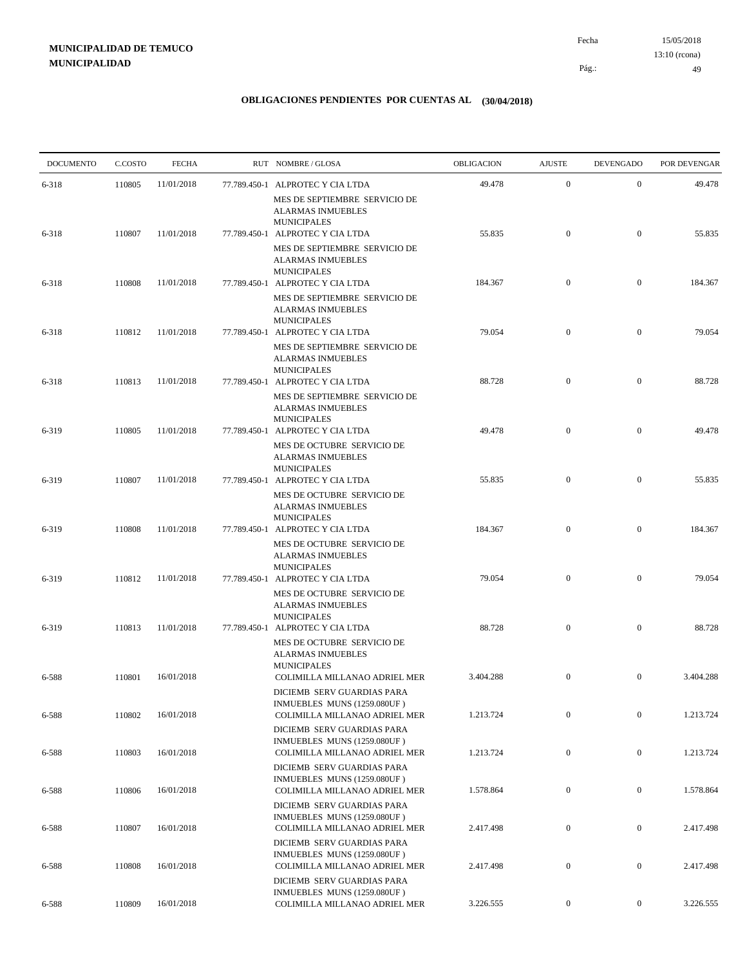15/05/2018 49 Pág.: Fecha 13:10 (rcona)

| <b>DOCUMENTO</b> | C.COSTO | <b>FECHA</b> | RUT NOMBRE/GLOSA                                                                           | <b>OBLIGACION</b> | <b>AJUSTE</b>    | <b>DEVENGADO</b> | POR DEVENGAR |
|------------------|---------|--------------|--------------------------------------------------------------------------------------------|-------------------|------------------|------------------|--------------|
| 6-318            | 110805  | 11/01/2018   | 77.789.450-1 ALPROTEC Y CIA LTDA                                                           | 49.478            | $\boldsymbol{0}$ | $\boldsymbol{0}$ | 49.478       |
|                  |         |              | MES DE SEPTIEMBRE SERVICIO DE<br><b>ALARMAS INMUEBLES</b><br><b>MUNICIPALES</b>            |                   |                  |                  |              |
| 6-318            | 110807  | 11/01/2018   | 77.789.450-1 ALPROTEC Y CIA LTDA                                                           | 55.835            | $\boldsymbol{0}$ | $\mathbf{0}$     | 55.835       |
|                  |         |              | MES DE SEPTIEMBRE SERVICIO DE<br><b>ALARMAS INMUEBLES</b><br><b>MUNICIPALES</b>            |                   |                  |                  |              |
| 6-318            | 110808  | 11/01/2018   | 77.789.450-1 ALPROTEC Y CIA LTDA                                                           | 184.367           | $\mathbf{0}$     | $\boldsymbol{0}$ | 184.367      |
|                  |         |              | MES DE SEPTIEMBRE SERVICIO DE<br><b>ALARMAS INMUEBLES</b><br><b>MUNICIPALES</b>            |                   |                  |                  |              |
| 6-318            | 110812  | 11/01/2018   | 77.789.450-1 ALPROTEC Y CIA LTDA                                                           | 79.054            | $\mathbf{0}$     | $\overline{0}$   | 79.054       |
|                  |         |              | MES DE SEPTIEMBRE SERVICIO DE<br><b>ALARMAS INMUEBLES</b><br><b>MUNICIPALES</b>            |                   |                  |                  |              |
| 6-318            | 110813  | 11/01/2018   | 77.789.450-1 ALPROTEC Y CIA LTDA                                                           | 88.728            | $\mathbf{0}$     | $\mathbf{0}$     | 88.728       |
|                  |         |              | MES DE SEPTIEMBRE SERVICIO DE<br><b>ALARMAS INMUEBLES</b><br><b>MUNICIPALES</b>            |                   |                  |                  |              |
| 6-319            | 110805  | 11/01/2018   | 77.789.450-1 ALPROTEC Y CIA LTDA                                                           | 49.478            | $\boldsymbol{0}$ | $\mathbf{0}$     | 49.478       |
|                  |         |              | MES DE OCTUBRE SERVICIO DE<br><b>ALARMAS INMUEBLES</b><br><b>MUNICIPALES</b>               |                   |                  |                  |              |
| 6-319            | 110807  | 11/01/2018   | 77.789.450-1 ALPROTEC Y CIA LTDA                                                           | 55.835            | $\mathbf{0}$     | $\mathbf{0}$     | 55.835       |
|                  |         |              | MES DE OCTUBRE SERVICIO DE<br><b>ALARMAS INMUEBLES</b><br><b>MUNICIPALES</b>               |                   |                  |                  |              |
| 6-319            | 110808  | 11/01/2018   | 77.789.450-1 ALPROTEC Y CIA LTDA                                                           | 184.367           | $\mathbf{0}$     | $\mathbf{0}$     | 184.367      |
|                  |         |              | MES DE OCTUBRE SERVICIO DE<br><b>ALARMAS INMUEBLES</b><br><b>MUNICIPALES</b>               |                   |                  |                  |              |
| 6-319            | 110812  | 11/01/2018   | 77.789.450-1 ALPROTEC Y CIA LTDA<br>MES DE OCTUBRE SERVICIO DE<br><b>ALARMAS INMUEBLES</b> | 79.054            | $\mathbf{0}$     | $\mathbf{0}$     | 79.054       |
| 6-319            | 110813  | 11/01/2018   | <b>MUNICIPALES</b><br>77.789.450-1 ALPROTEC Y CIA LTDA                                     | 88.728            | $\mathbf{0}$     | $\mathbf{0}$     | 88.728       |
|                  |         |              | MES DE OCTUBRE SERVICIO DE<br><b>ALARMAS INMUEBLES</b><br><b>MUNICIPALES</b>               |                   |                  |                  |              |
| 6-588            | 110801  | 16/01/2018   | COLIMILLA MILLANAO ADRIEL MER                                                              | 3.404.288         | $\mathbf{0}$     | $\mathbf{0}$     | 3.404.288    |
| 6-588            | 110802  | 16/01/2018   | DICIEMB SERV GUARDIAS PARA<br>INMUEBLES MUNS (1259.080UF)<br>COLIMILLA MILLANAO ADRIEL MER | 1.213.724         | $\boldsymbol{0}$ | $\boldsymbol{0}$ | 1.213.724    |
|                  |         |              | DICIEMB SERV GUARDIAS PARA<br>INMUEBLES MUNS (1259.080UF)                                  |                   |                  |                  |              |
| 6-588            | 110803  | 16/01/2018   | COLIMILLA MILLANAO ADRIEL MER                                                              | 1.213.724         | $\boldsymbol{0}$ | $\boldsymbol{0}$ | 1.213.724    |
| 6-588            | 110806  | 16/01/2018   | DICIEMB SERV GUARDIAS PARA<br>INMUEBLES MUNS (1259.080UF)<br>COLIMILLA MILLANAO ADRIEL MER | 1.578.864         | $\boldsymbol{0}$ | $\boldsymbol{0}$ | 1.578.864    |
|                  |         |              | DICIEMB SERV GUARDIAS PARA<br>INMUEBLES MUNS (1259.080UF)                                  |                   | $\boldsymbol{0}$ | $\boldsymbol{0}$ |              |
| 6-588            | 110807  | 16/01/2018   | COLIMILLA MILLANAO ADRIEL MER<br>DICIEMB SERV GUARDIAS PARA<br>INMUEBLES MUNS (1259.080UF) | 2.417.498         |                  |                  | 2.417.498    |
| 6-588            | 110808  | 16/01/2018   | COLIMILLA MILLANAO ADRIEL MER<br>DICIEMB SERV GUARDIAS PARA                                | 2.417.498         | $\boldsymbol{0}$ | $\boldsymbol{0}$ | 2.417.498    |
| 6-588            | 110809  | 16/01/2018   | INMUEBLES MUNS (1259.080UF)<br>COLIMILLA MILLANAO ADRIEL MER                               | 3.226.555         | $\boldsymbol{0}$ | $\overline{0}$   | 3.226.555    |
|                  |         |              |                                                                                            |                   |                  |                  |              |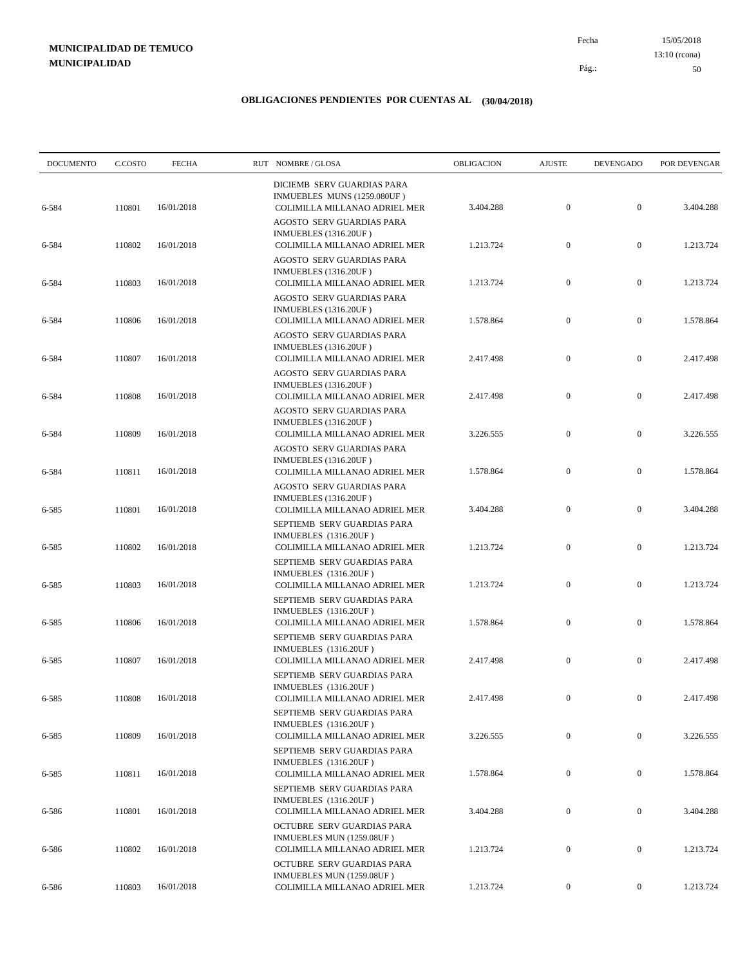15/05/2018 50 Pág.: Fecha 13:10 (rcona)

| <b>DOCUMENTO</b> | C.COSTO | <b>FECHA</b> | RUT NOMBRE/GLOSA                                                                                                        | OBLIGACION | <b>AJUSTE</b>    | <b>DEVENGADO</b> | POR DEVENGAR |
|------------------|---------|--------------|-------------------------------------------------------------------------------------------------------------------------|------------|------------------|------------------|--------------|
| 6-584            | 110801  | 16/01/2018   | DICIEMB SERV GUARDIAS PARA<br>INMUEBLES MUNS (1259.080UF)<br>COLIMILLA MILLANAO ADRIEL MER                              | 3.404.288  | $\mathbf{0}$     | $\mathbf{0}$     | 3.404.288    |
| 6-584            | 110802  | 16/01/2018   | AGOSTO SERV GUARDIAS PARA<br><b>INMUEBLES</b> (1316.20UF)<br>COLIMILLA MILLANAO ADRIEL MER                              | 1.213.724  | $\boldsymbol{0}$ | $\mathbf{0}$     | 1.213.724    |
| 6-584            | 110803  | 16/01/2018   | AGOSTO SERV GUARDIAS PARA<br>INMUEBLES (1316.20UF)<br>COLIMILLA MILLANAO ADRIEL MER                                     | 1.213.724  | $\boldsymbol{0}$ | $\boldsymbol{0}$ | 1.213.724    |
| 6-584            | 110806  | 16/01/2018   | AGOSTO SERV GUARDIAS PARA<br>INMUEBLES (1316.20UF)<br>COLIMILLA MILLANAO ADRIEL MER                                     | 1.578.864  | $\boldsymbol{0}$ | $\boldsymbol{0}$ | 1.578.864    |
| 6-584            | 110807  | 16/01/2018   | AGOSTO SERV GUARDIAS PARA<br><b>INMUEBLES</b> (1316.20UF)<br>COLIMILLA MILLANAO ADRIEL MER<br>AGOSTO SERV GUARDIAS PARA | 2.417.498  | $\boldsymbol{0}$ | $\mathbf{0}$     | 2.417.498    |
| 6-584            | 110808  | 16/01/2018   | INMUEBLES (1316.20UF)<br>COLIMILLA MILLANAO ADRIEL MER                                                                  | 2.417.498  | $\boldsymbol{0}$ | $\boldsymbol{0}$ | 2.417.498    |
| 6-584            | 110809  | 16/01/2018   | AGOSTO SERV GUARDIAS PARA<br><b>INMUEBLES</b> (1316.20UF)<br>COLIMILLA MILLANAO ADRIEL MER                              | 3.226.555  | $\mathbf{0}$     | $\mathbf{0}$     | 3.226.555    |
| 6-584            | 110811  | 16/01/2018   | AGOSTO SERV GUARDIAS PARA<br><b>INMUEBLES</b> (1316.20UF)<br>COLIMILLA MILLANAO ADRIEL MER                              | 1.578.864  | $\boldsymbol{0}$ | $\boldsymbol{0}$ | 1.578.864    |
| 6-585            | 110801  | 16/01/2018   | AGOSTO SERV GUARDIAS PARA<br>INMUEBLES (1316.20UF)<br>COLIMILLA MILLANAO ADRIEL MER                                     | 3.404.288  | $\boldsymbol{0}$ | $\mathbf{0}$     | 3.404.288    |
| 6-585            | 110802  | 16/01/2018   | SEPTIEMB SERV GUARDIAS PARA<br>INMUEBLES (1316.20UF)<br>COLIMILLA MILLANAO ADRIEL MER                                   | 1.213.724  | $\boldsymbol{0}$ | $\mathbf{0}$     | 1.213.724    |
| 6-585            | 110803  | 16/01/2018   | SEPTIEMB SERV GUARDIAS PARA<br>INMUEBLES (1316.20UF)<br>COLIMILLA MILLANAO ADRIEL MER                                   | 1.213.724  | $\boldsymbol{0}$ | $\mathbf{0}$     | 1.213.724    |
| 6-585            | 110806  | 16/01/2018   | SEPTIEMB SERV GUARDIAS PARA<br>INMUEBLES (1316.20UF)<br>COLIMILLA MILLANAO ADRIEL MER                                   | 1.578.864  | $\boldsymbol{0}$ | $\boldsymbol{0}$ | 1.578.864    |
| 6-585            | 110807  | 16/01/2018   | SEPTIEMB SERV GUARDIAS PARA<br>INMUEBLES (1316.20UF)<br>COLIMILLA MILLANAO ADRIEL MER                                   | 2.417.498  | $\boldsymbol{0}$ | $\mathbf{0}$     | 2.417.498    |
| 6-585            | 110808  | 16/01/2018   | SEPTIEMB SERV GUARDIAS PARA<br>INMUEBLES (1316.20UF)<br>COLIMILLA MILLANAO ADRIEL MER                                   | 2.417.498  | $\mathbf{0}$     | $\mathbf{0}$     | 2.417.498    |
|                  |         | 16/01/2018   | SEPTIEMB SERV GUARDIAS PARA<br>INMUEBLES (1316.20UF)                                                                    | 3.226.555  | $\boldsymbol{0}$ | $\mathbf{0}$     | 3.226.555    |
| 6-585            | 110809  |              | COLIMILLA MILLANAO ADRIEL MER<br>SEPTIEMB SERV GUARDIAS PARA<br>INMUEBLES (1316.20UF)                                   |            |                  |                  |              |
| 6-585            | 110811  | 16/01/2018   | COLIMILLA MILLANAO ADRIEL MER<br>SEPTIEMB SERV GUARDIAS PARA<br><b>INMUEBLES</b> (1316.20UF)                            | 1.578.864  | $\boldsymbol{0}$ | $\boldsymbol{0}$ | 1.578.864    |
| 6-586            | 110801  | 16/01/2018   | COLIMILLA MILLANAO ADRIEL MER<br>OCTUBRE SERV GUARDIAS PARA                                                             | 3.404.288  | $\boldsymbol{0}$ | $\boldsymbol{0}$ | 3.404.288    |
| 6-586            | 110802  | 16/01/2018   | INMUEBLES MUN (1259.08UF)<br>COLIMILLA MILLANAO ADRIEL MER<br>OCTUBRE SERV GUARDIAS PARA                                | 1.213.724  | $\boldsymbol{0}$ | $\boldsymbol{0}$ | 1.213.724    |
| 6-586            | 110803  | 16/01/2018   | INMUEBLES MUN (1259.08UF)<br>COLIMILLA MILLANAO ADRIEL MER                                                              | 1.213.724  | $\boldsymbol{0}$ | $\boldsymbol{0}$ | 1.213.724    |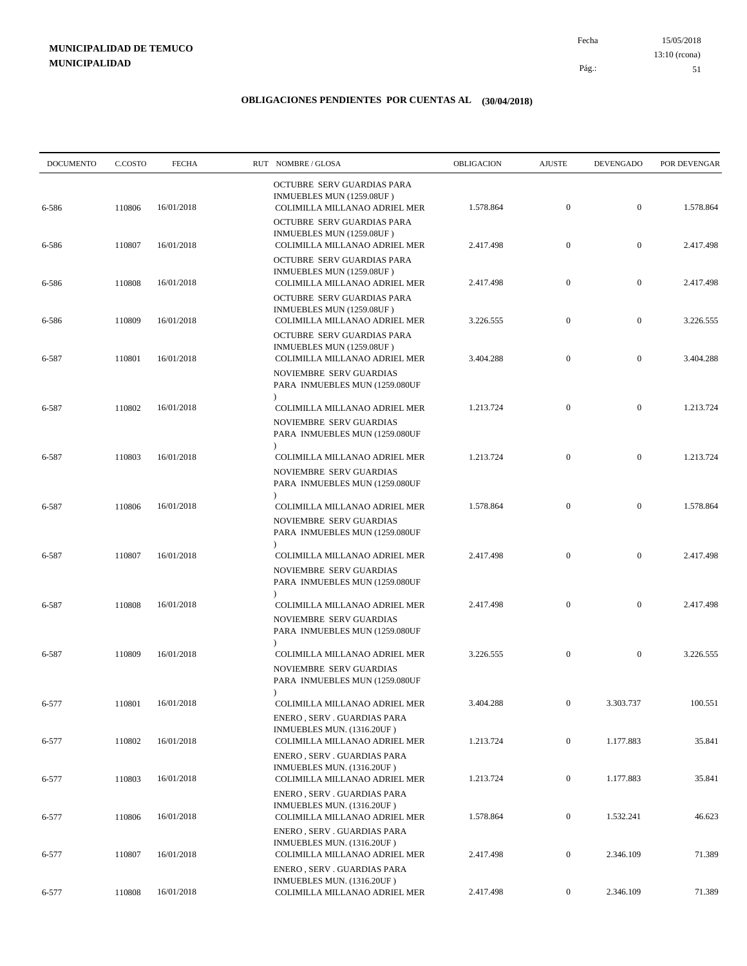15/05/2018 51 Pág.: Fecha 13:10 (rcona)

| <b>DOCUMENTO</b> | C.COSTO | <b>FECHA</b> | RUT NOMBRE/GLOSA                                                                                        | OBLIGACION | <b>AJUSTE</b>    | <b>DEVENGADO</b> | POR DEVENGAR |
|------------------|---------|--------------|---------------------------------------------------------------------------------------------------------|------------|------------------|------------------|--------------|
| 6-586            | 110806  | 16/01/2018   | OCTUBRE SERV GUARDIAS PARA<br>INMUEBLES MUN (1259.08UF)<br>COLIMILLA MILLANAO ADRIEL MER                | 1.578.864  | $\mathbf{0}$     | $\mathbf{0}$     | 1.578.864    |
| 6-586            | 110807  | 16/01/2018   | OCTUBRE SERV GUARDIAS PARA<br>INMUEBLES MUN (1259.08UF)<br>COLIMILLA MILLANAO ADRIEL MER                | 2.417.498  | $\boldsymbol{0}$ | $\mathbf{0}$     | 2.417.498    |
|                  |         |              | OCTUBRE SERV GUARDIAS PARA<br>INMUEBLES MUN (1259.08UF)                                                 |            |                  |                  |              |
| 6-586            | 110808  | 16/01/2018   | COLIMILLA MILLANAO ADRIEL MER<br>OCTUBRE SERV GUARDIAS PARA                                             | 2.417.498  | $\mathbf{0}$     | $\mathbf{0}$     | 2.417.498    |
| 6-586            | 110809  | 16/01/2018   | INMUEBLES MUN (1259.08UF)<br>COLIMILLA MILLANAO ADRIEL MER<br>OCTUBRE SERV GUARDIAS PARA                | 3.226.555  | $\boldsymbol{0}$ | $\mathbf{0}$     | 3.226.555    |
| 6-587            | 110801  | 16/01/2018   | INMUEBLES MUN (1259.08UF)<br>COLIMILLA MILLANAO ADRIEL MER<br>NOVIEMBRE SERV GUARDIAS                   | 3.404.288  | $\boldsymbol{0}$ | $\mathbf{0}$     | 3.404.288    |
|                  |         |              | PARA INMUEBLES MUN (1259.080UF                                                                          |            |                  |                  |              |
| 6-587            | 110802  | 16/01/2018   | COLIMILLA MILLANAO ADRIEL MER<br>NOVIEMBRE SERV GUARDIAS<br>PARA INMUEBLES MUN (1259.080UF<br>$\lambda$ | 1.213.724  | $\boldsymbol{0}$ | $\mathbf{0}$     | 1.213.724    |
| 6-587            | 110803  | 16/01/2018   | COLIMILLA MILLANAO ADRIEL MER<br>NOVIEMBRE SERV GUARDIAS<br>PARA INMUEBLES MUN (1259.080UF              | 1.213.724  | $\mathbf{0}$     | $\mathbf{0}$     | 1.213.724    |
| 6-587            | 110806  | 16/01/2018   | $\lambda$<br>COLIMILLA MILLANAO ADRIEL MER<br>NOVIEMBRE SERV GUARDIAS<br>PARA INMUEBLES MUN (1259.080UF | 1.578.864  | $\mathbf{0}$     | $\mathbf{0}$     | 1.578.864    |
| 6-587            | 110807  | 16/01/2018   | COLIMILLA MILLANAO ADRIEL MER<br>NOVIEMBRE SERV GUARDIAS<br>PARA INMUEBLES MUN (1259.080UF              | 2.417.498  | $\boldsymbol{0}$ | $\mathbf{0}$     | 2.417.498    |
| 6-587            | 110808  | 16/01/2018   | $\lambda$<br>COLIMILLA MILLANAO ADRIEL MER<br>NOVIEMBRE SERV GUARDIAS<br>PARA INMUEBLES MUN (1259.080UF | 2.417.498  | $\mathbf{0}$     | $\mathbf{0}$     | 2.417.498    |
| 6-587            | 110809  | 16/01/2018   | $\lambda$<br>COLIMILLA MILLANAO ADRIEL MER<br>NOVIEMBRE SERV GUARDIAS<br>PARA INMUEBLES MUN (1259.080UF | 3.226.555  | $\mathbf{0}$     | $\mathbf{0}$     | 3.226.555    |
| 6-577            | 110801  | 16/01/2018   | $\lambda$<br>COLIMILLA MILLANAO ADRIEL MER<br>ENERO, SERV. GUARDIAS PARA                                | 3.404.288  | $\mathbf{0}$     | 3.303.737        | 100.551      |
| 6-577            | 110802  | 16/01/2018   | INMUEBLES MUN. (1316.20UF)<br>COLIMILLA MILLANAO ADRIEL MER                                             | 1.213.724  | $\overline{0}$   | 1.177.883        | 35.841       |
| 6-577            | 110803  | 16/01/2018   | ENERO, SERV. GUARDIAS PARA<br>INMUEBLES MUN. (1316.20UF)<br>COLIMILLA MILLANAO ADRIEL MER               | 1.213.724  | $\overline{0}$   | 1.177.883        | 35.841       |
| 6-577            | 110806  | 16/01/2018   | ENERO, SERV. GUARDIAS PARA<br>INMUEBLES MUN. (1316.20UF)<br>COLIMILLA MILLANAO ADRIEL MER               | 1.578.864  | $\overline{0}$   | 1.532.241        | 46.623       |
| 6-577            | 110807  | 16/01/2018   | ENERO, SERV. GUARDIAS PARA<br>INMUEBLES MUN. (1316.20UF)<br>COLIMILLA MILLANAO ADRIEL MER               | 2.417.498  | $\overline{0}$   | 2.346.109        | 71.389       |
|                  |         |              | ENERO, SERV. GUARDIAS PARA<br>INMUEBLES MUN. (1316.20UF)                                                |            |                  |                  |              |
| 6-577            | 110808  | 16/01/2018   | COLIMILLA MILLANAO ADRIEL MER                                                                           | 2.417.498  | $\mathbf{0}$     | 2.346.109        | 71.389       |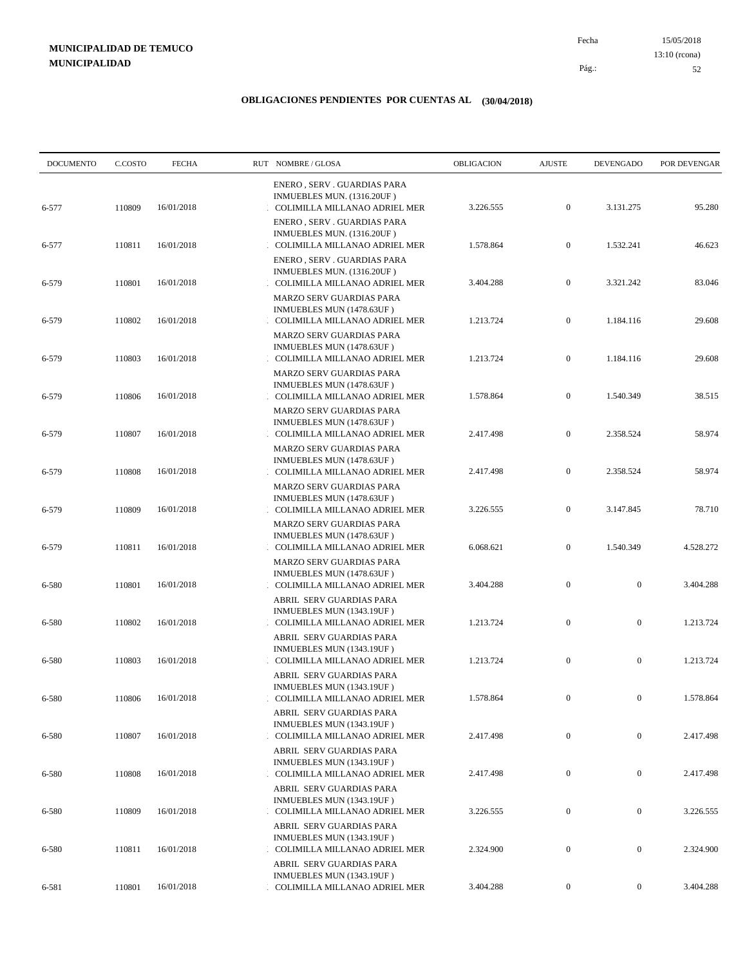15/05/2018 52 Pág.: Fecha 13:10 (rcona)

| <b>DOCUMENTO</b> | C.COSTO | <b>FECHA</b> | RUT NOMBRE/GLOSA                                                                              | OBLIGACION | <b>AJUSTE</b>    | <b>DEVENGADO</b> | POR DEVENGAR |
|------------------|---------|--------------|-----------------------------------------------------------------------------------------------|------------|------------------|------------------|--------------|
| 6-577            | 110809  | 16/01/2018   | ENERO, SERV. GUARDIAS PARA<br>INMUEBLES MUN. (1316.20UF)<br>COLIMILLA MILLANAO ADRIEL MER     | 3.226.555  | $\overline{0}$   | 3.131.275        | 95.280       |
| 6-577            | 110811  | 16/01/2018   | ENERO, SERV. GUARDIAS PARA<br>INMUEBLES MUN. (1316.20UF)<br>COLIMILLA MILLANAO ADRIEL MER     | 1.578.864  | $\boldsymbol{0}$ | 1.532.241        | 46.623       |
| 6-579            | 110801  | 16/01/2018   | ENERO, SERV. GUARDIAS PARA<br>INMUEBLES MUN. (1316.20UF)<br>COLIMILLA MILLANAO ADRIEL MER     | 3.404.288  | $\boldsymbol{0}$ | 3.321.242        | 83.046       |
| 6-579            | 110802  | 16/01/2018   | <b>MARZO SERV GUARDIAS PARA</b><br>INMUEBLES MUN (1478.63UF)<br>COLIMILLA MILLANAO ADRIEL MER | 1.213.724  | $\overline{0}$   | 1.184.116        | 29.608       |
| 6-579            | 110803  | 16/01/2018   | MARZO SERV GUARDIAS PARA<br>INMUEBLES MUN (1478.63UF)<br>COLIMILLA MILLANAO ADRIEL MER        | 1.213.724  | $\boldsymbol{0}$ | 1.184.116        | 29.608       |
| 6-579            | 110806  | 16/01/2018   | MARZO SERV GUARDIAS PARA<br>INMUEBLES MUN (1478.63UF)<br>COLIMILLA MILLANAO ADRIEL MER        | 1.578.864  | $\boldsymbol{0}$ | 1.540.349        | 38.515       |
| 6-579            | 110807  | 16/01/2018   | MARZO SERV GUARDIAS PARA<br>INMUEBLES MUN (1478.63UF)<br>COLIMILLA MILLANAO ADRIEL MER        | 2.417.498  | $\boldsymbol{0}$ | 2.358.524        | 58.974       |
| 6-579            | 110808  | 16/01/2018   | MARZO SERV GUARDIAS PARA<br>INMUEBLES MUN (1478.63UF)<br>COLIMILLA MILLANAO ADRIEL MER        | 2.417.498  | $\boldsymbol{0}$ | 2.358.524        | 58.974       |
| 6-579            | 110809  | 16/01/2018   | MARZO SERV GUARDIAS PARA<br>INMUEBLES MUN (1478.63UF)<br>COLIMILLA MILLANAO ADRIEL MER        | 3.226.555  | $\overline{0}$   | 3.147.845        | 78.710       |
| 6-579            | 110811  | 16/01/2018   | MARZO SERV GUARDIAS PARA<br>INMUEBLES MUN (1478.63UF)<br>COLIMILLA MILLANAO ADRIEL MER        | 6.068.621  | $\boldsymbol{0}$ | 1.540.349        | 4.528.272    |
| 6-580            | 110801  | 16/01/2018   | MARZO SERV GUARDIAS PARA<br>INMUEBLES MUN (1478.63UF)<br>COLIMILLA MILLANAO ADRIEL MER        | 3.404.288  | $\boldsymbol{0}$ | $\boldsymbol{0}$ | 3.404.288    |
| 6-580            | 110802  | 16/01/2018   | ABRIL SERV GUARDIAS PARA<br>INMUEBLES MUN (1343.19UF)<br>COLIMILLA MILLANAO ADRIEL MER        | 1.213.724  | $\mathbf{0}$     | $\boldsymbol{0}$ | 1.213.724    |
| 6-580            | 110803  | 16/01/2018   | ABRIL SERV GUARDIAS PARA<br>INMUEBLES MUN (1343.19UF)<br>COLIMILLA MILLANAO ADRIEL MER        | 1.213.724  | $\mathbf{0}$     | $\boldsymbol{0}$ | 1.213.724    |
| 6-580            | 110806  | 16/01/2018   | ABRIL SERV GUARDIAS PARA<br>INMUEBLES MUN (1343.19UF)<br>COLIMILLA MILLANAO ADRIEL MER        | 1.578.864  | $\theta$         | $\overline{0}$   | 1.578.864    |
|                  |         | 16/01/2018   | ABRIL SERV GUARDIAS PARA<br>INMUEBLES MUN (1343.19UF)<br>COLIMILLA MILLANAO ADRIEL MER        | 2.417.498  | $\mathbf{0}$     | $\boldsymbol{0}$ | 2.417.498    |
| 6-580            | 110807  |              | ABRIL SERV GUARDIAS PARA<br>INMUEBLES MUN (1343.19UF)                                         |            |                  |                  |              |
| 6-580            | 110808  | 16/01/2018   | COLIMILLA MILLANAO ADRIEL MER<br>ABRIL SERV GUARDIAS PARA<br>INMUEBLES MUN (1343.19UF)        | 2.417.498  | $\boldsymbol{0}$ | $\boldsymbol{0}$ | 2.417.498    |
| 6-580            | 110809  | 16/01/2018   | COLIMILLA MILLANAO ADRIEL MER<br>ABRIL SERV GUARDIAS PARA<br>INMUEBLES MUN (1343.19UF)        | 3.226.555  | $\boldsymbol{0}$ | $\boldsymbol{0}$ | 3.226.555    |
| 6-580            | 110811  | 16/01/2018   | COLIMILLA MILLANAO ADRIEL MER<br>ABRIL SERV GUARDIAS PARA                                     | 2.324.900  | $\boldsymbol{0}$ | $\boldsymbol{0}$ | 2.324.900    |
| 6-581            | 110801  | 16/01/2018   | INMUEBLES MUN (1343.19UF)<br>COLIMILLA MILLANAO ADRIEL MER                                    | 3.404.288  | $\boldsymbol{0}$ | $\boldsymbol{0}$ | 3.404.288    |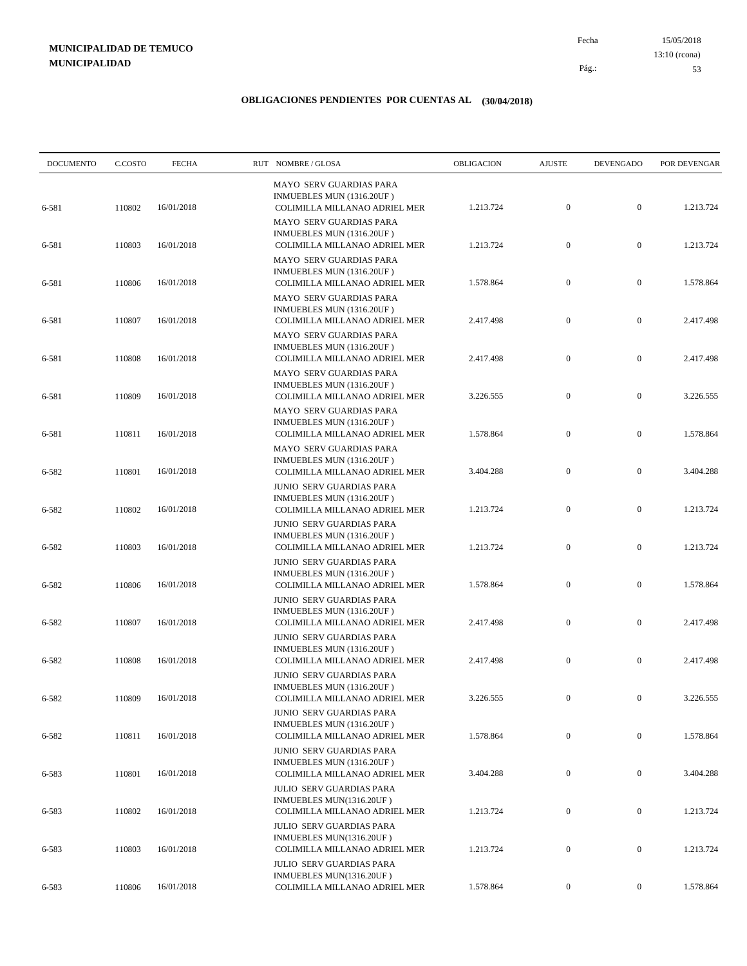15/05/2018 53 Pág.: Fecha 13:10 (rcona)

| <b>DOCUMENTO</b> | C.COSTO | <b>FECHA</b> | RUT NOMBRE/GLOSA                                                                              | OBLIGACION | <b>AJUSTE</b>    | <b>DEVENGADO</b> | POR DEVENGAR |
|------------------|---------|--------------|-----------------------------------------------------------------------------------------------|------------|------------------|------------------|--------------|
| 6-581            | 110802  | 16/01/2018   | MAYO SERV GUARDIAS PARA<br>INMUEBLES MUN (1316.20UF)<br>COLIMILLA MILLANAO ADRIEL MER         | 1.213.724  | $\mathbf{0}$     | $\boldsymbol{0}$ | 1.213.724    |
| 6-581            | 110803  | 16/01/2018   | MAYO SERV GUARDIAS PARA<br>INMUEBLES MUN (1316.20UF)<br>COLIMILLA MILLANAO ADRIEL MER         | 1.213.724  | $\mathbf{0}$     | $\boldsymbol{0}$ | 1.213.724    |
| 6-581            | 110806  | 16/01/2018   | MAYO SERV GUARDIAS PARA<br>INMUEBLES MUN (1316.20UF)<br>COLIMILLA MILLANAO ADRIEL MER         | 1.578.864  | $\mathbf{0}$     | $\boldsymbol{0}$ | 1.578.864    |
| 6-581            | 110807  | 16/01/2018   | MAYO SERV GUARDIAS PARA<br>INMUEBLES MUN (1316.20UF)<br>COLIMILLA MILLANAO ADRIEL MER         | 2.417.498  | $\boldsymbol{0}$ | $\boldsymbol{0}$ | 2.417.498    |
| 6-581            | 110808  | 16/01/2018   | MAYO SERV GUARDIAS PARA<br>INMUEBLES MUN (1316.20UF)<br>COLIMILLA MILLANAO ADRIEL MER         | 2.417.498  | $\mathbf{0}$     | $\boldsymbol{0}$ | 2.417.498    |
| 6-581            | 110809  | 16/01/2018   | MAYO SERV GUARDIAS PARA<br>INMUEBLES MUN (1316.20UF)<br>COLIMILLA MILLANAO ADRIEL MER         | 3.226.555  | $\mathbf{0}$     | $\boldsymbol{0}$ | 3.226.555    |
| 6-581            | 110811  | 16/01/2018   | MAYO SERV GUARDIAS PARA<br>INMUEBLES MUN (1316.20UF)<br>COLIMILLA MILLANAO ADRIEL MER         | 1.578.864  | $\mathbf{0}$     | $\boldsymbol{0}$ | 1.578.864    |
| 6-582            | 110801  | 16/01/2018   | MAYO SERV GUARDIAS PARA<br>INMUEBLES MUN (1316.20UF)<br>COLIMILLA MILLANAO ADRIEL MER         | 3.404.288  | $\mathbf{0}$     | $\boldsymbol{0}$ | 3.404.288    |
| 6-582            | 110802  | 16/01/2018   | JUNIO SERV GUARDIAS PARA<br>INMUEBLES MUN (1316.20UF)<br>COLIMILLA MILLANAO ADRIEL MER        | 1.213.724  | $\boldsymbol{0}$ | $\boldsymbol{0}$ | 1.213.724    |
| 6-582            | 110803  | 16/01/2018   | JUNIO SERV GUARDIAS PARA<br>INMUEBLES MUN (1316.20UF)<br>COLIMILLA MILLANAO ADRIEL MER        | 1.213.724  | $\boldsymbol{0}$ | $\boldsymbol{0}$ | 1.213.724    |
| 6-582            | 110806  | 16/01/2018   | JUNIO SERV GUARDIAS PARA<br>INMUEBLES MUN (1316.20UF)<br>COLIMILLA MILLANAO ADRIEL MER        | 1.578.864  | $\boldsymbol{0}$ | $\boldsymbol{0}$ | 1.578.864    |
| 6-582            | 110807  | 16/01/2018   | JUNIO SERV GUARDIAS PARA<br>INMUEBLES MUN (1316.20UF)<br>COLIMILLA MILLANAO ADRIEL MER        | 2.417.498  | $\boldsymbol{0}$ | $\boldsymbol{0}$ | 2.417.498    |
| 6-582            | 110808  | 16/01/2018   | JUNIO SERV GUARDIAS PARA<br>INMUEBLES MUN (1316.20UF)<br>COLIMILLA MILLANAO ADRIEL MER        | 2.417.498  | $\mathbf{0}$     | $\boldsymbol{0}$ | 2.417.498    |
| 6-582            | 110809  | 16/01/2018   | JUNIO SERV GUARDIAS PARA<br>INMUEBLES MUN (1316.20UF)<br>COLIMILLA MILLANAO ADRIEL MER        | 3.226.555  | $\mathbf{0}$     | $\bf{0}$         | 3.226.555    |
| 6-582            | 110811  | 16/01/2018   | JUNIO SERV GUARDIAS PARA<br>INMUEBLES MUN (1316.20UF)<br>COLIMILLA MILLANAO ADRIEL MER        | 1.578.864  | $\mathbf{0}$     | $\boldsymbol{0}$ | 1.578.864    |
| 6-583            | 110801  | 16/01/2018   | <b>JUNIO SERV GUARDIAS PARA</b><br>INMUEBLES MUN (1316.20UF)<br>COLIMILLA MILLANAO ADRIEL MER | 3.404.288  | $\boldsymbol{0}$ | $\boldsymbol{0}$ | 3.404.288    |
| 6-583            | 110802  | 16/01/2018   | JULIO SERV GUARDIAS PARA<br>INMUEBLES MUN(1316.20UF)<br>COLIMILLA MILLANAO ADRIEL MER         | 1.213.724  | $\boldsymbol{0}$ | $\boldsymbol{0}$ | 1.213.724    |
| 6-583            | 110803  | 16/01/2018   | JULIO SERV GUARDIAS PARA<br>INMUEBLES MUN(1316.20UF)<br>COLIMILLA MILLANAO ADRIEL MER         | 1.213.724  | $\boldsymbol{0}$ | $\mathbf{0}$     | 1.213.724    |
|                  |         |              | JULIO SERV GUARDIAS PARA<br>INMUEBLES MUN(1316.20UF)                                          |            |                  |                  |              |
| 6-583            | 110806  | 16/01/2018   | COLIMILLA MILLANAO ADRIEL MER                                                                 | 1.578.864  | $\boldsymbol{0}$ | $\boldsymbol{0}$ | 1.578.864    |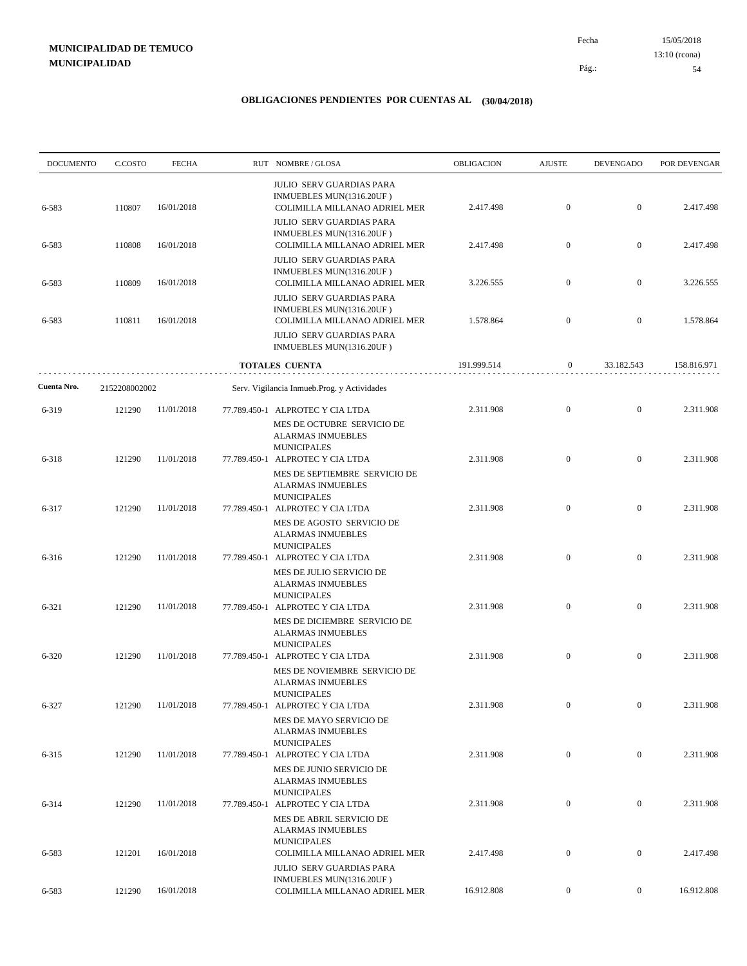15/05/2018 54 Pág.: Fecha 13:10 (rcona)

| <b>DOCUMENTO</b> | C.COSTO       | <b>FECHA</b> | RUT NOMBRE/GLOSA                                                                                                         | OBLIGACION  | <b>AJUSTE</b>    | <b>DEVENGADO</b> | POR DEVENGAR |
|------------------|---------------|--------------|--------------------------------------------------------------------------------------------------------------------------|-------------|------------------|------------------|--------------|
| 6-583            | 110807        | 16/01/2018   | <b>JULIO SERV GUARDIAS PARA</b><br>INMUEBLES MUN(1316.20UF)<br>COLIMILLA MILLANAO ADRIEL MER                             | 2.417.498   | $\mathbf{0}$     | $\boldsymbol{0}$ | 2.417.498    |
| 6-583            | 110808        | 16/01/2018   | <b>JULIO SERV GUARDIAS PARA</b><br>INMUEBLES MUN(1316.20UF)<br>COLIMILLA MILLANAO ADRIEL MER                             | 2.417.498   | $\boldsymbol{0}$ | $\mathbf{0}$     | 2.417.498    |
| 6-583            | 110809        | 16/01/2018   | JULIO SERV GUARDIAS PARA<br>INMUEBLES MUN(1316.20UF)<br>COLIMILLA MILLANAO ADRIEL MER<br><b>JULIO SERV GUARDIAS PARA</b> | 3.226.555   | $\mathbf{0}$     | $\mathbf{0}$     | 3.226.555    |
| 6-583            | 110811        | 16/01/2018   | INMUEBLES MUN(1316.20UF)<br>COLIMILLA MILLANAO ADRIEL MER<br><b>JULIO SERV GUARDIAS PARA</b>                             | 1.578.864   | $\boldsymbol{0}$ | $\mathbf{0}$     | 1.578.864    |
|                  |               |              | INMUEBLES MUN(1316.20UF)<br>TOTALES CUENTA                                                                               | 191.999.514 | $\boldsymbol{0}$ | 33.182.543       | 158.816.971  |
| Cuenta Nro.      | 2152208002002 |              | Serv. Vigilancia Inmueb.Prog. y Actividades                                                                              |             |                  |                  |              |
| 6-319            | 121290        | 11/01/2018   | 77.789.450-1 ALPROTEC Y CIA LTDA<br>MES DE OCTUBRE SERVICIO DE<br><b>ALARMAS INMUEBLES</b>                               | 2.311.908   | $\boldsymbol{0}$ | $\mathbf{0}$     | 2.311.908    |
| 6-318            | 121290        | 11/01/2018   | <b>MUNICIPALES</b><br>77.789.450-1 ALPROTEC Y CIA LTDA<br>MES DE SEPTIEMBRE SERVICIO DE                                  | 2.311.908   | $\mathbf{0}$     | $\mathbf{0}$     | 2.311.908    |
| 6-317            | 121290        | 11/01/2018   | <b>ALARMAS INMUEBLES</b><br><b>MUNICIPALES</b><br>77.789.450-1 ALPROTEC Y CIA LTDA                                       | 2.311.908   | $\mathbf{0}$     | $\mathbf{0}$     | 2.311.908    |
|                  |               | 11/01/2018   | MES DE AGOSTO SERVICIO DE<br><b>ALARMAS INMUEBLES</b><br><b>MUNICIPALES</b>                                              | 2.311.908   | $\mathbf{0}$     | $\mathbf{0}$     | 2.311.908    |
| 6-316            | 121290        |              | 77.789.450-1 ALPROTEC Y CIA LTDA<br>MES DE JULIO SERVICIO DE<br><b>ALARMAS INMUEBLES</b><br><b>MUNICIPALES</b>           |             |                  |                  |              |
| 6-321            | 121290        | 11/01/2018   | 77.789.450-1 ALPROTEC Y CIA LTDA<br>MES DE DICIEMBRE SERVICIO DE<br><b>ALARMAS INMUEBLES</b>                             | 2.311.908   | $\mathbf{0}$     | $\mathbf{0}$     | 2.311.908    |
| 6-320            | 121290        | 11/01/2018   | <b>MUNICIPALES</b><br>77.789.450-1 ALPROTEC Y CIA LTDA<br>MES DE NOVIEMBRE SERVICIO DE<br><b>ALARMAS INMUEBLES</b>       | 2.311.908   | $\mathbf{0}$     | $\mathbf{0}$     | 2.311.908    |
| 6-327            | 121290        | 11/01/2018   | <b>MUNICIPALES</b><br>77.789.450-1 ALPROTEC Y CIA LTDA<br>MES DE MAYO SERVICIO DE                                        | 2.311.908   | $\boldsymbol{0}$ | $\boldsymbol{0}$ | 2.311.908    |
| 6-315            | 121290        | 11/01/2018   | <b>ALARMAS INMUEBLES</b><br><b>MUNICIPALES</b><br>77.789.450-1 ALPROTEC Y CIA LTDA<br>MES DE JUNIO SERVICIO DE           | 2.311.908   | $\boldsymbol{0}$ | $\overline{0}$   | 2.311.908    |
| 6-314            | 121290        | 11/01/2018   | <b>ALARMAS INMUEBLES</b><br><b>MUNICIPALES</b><br>77.789.450-1 ALPROTEC Y CIA LTDA                                       | 2.311.908   | $\boldsymbol{0}$ | $\boldsymbol{0}$ | 2.311.908    |
| 6-583            | 121201        | 16/01/2018   | MES DE ABRIL SERVICIO DE<br><b>ALARMAS INMUEBLES</b><br><b>MUNICIPALES</b><br>COLIMILLA MILLANAO ADRIEL MER              | 2.417.498   | $\boldsymbol{0}$ | $\boldsymbol{0}$ | 2.417.498    |
|                  |               |              | <b>JULIO SERV GUARDIAS PARA</b><br>INMUEBLES MUN(1316.20UF)                                                              |             |                  |                  |              |
| 6-583            | 121290        | 16/01/2018   | COLIMILLA MILLANAO ADRIEL MER                                                                                            | 16.912.808  | $\overline{0}$   | $\boldsymbol{0}$ | 16.912.808   |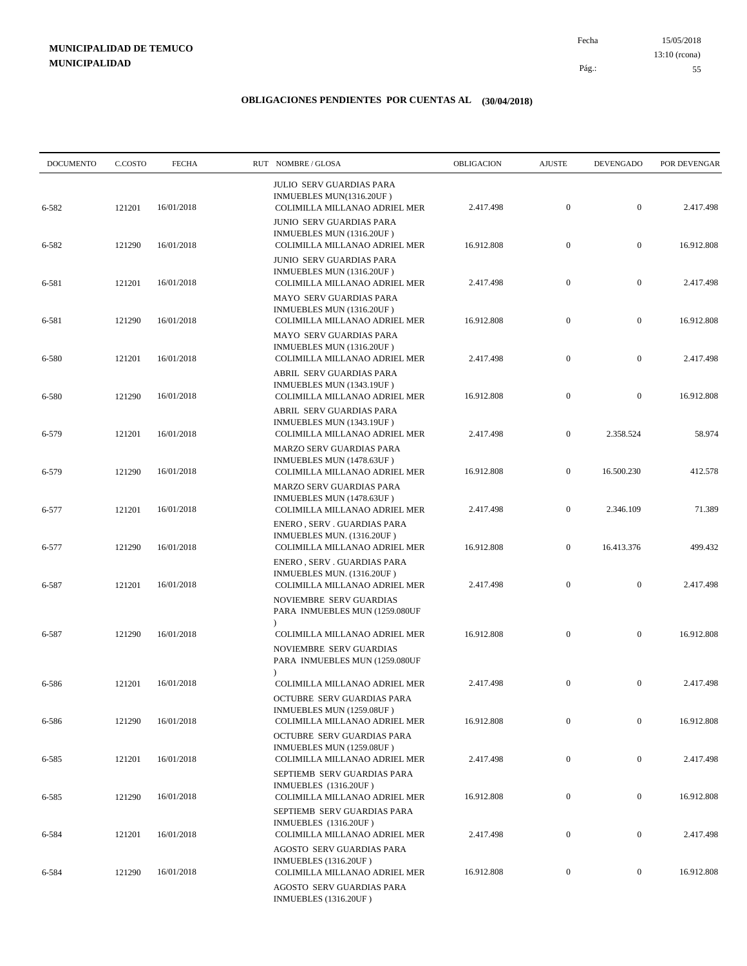15/05/2018 55 Pág.: Fecha 13:10 (rcona)

| <b>DOCUMENTO</b> | C.COSTO | <b>FECHA</b> | RUT NOMBRE/GLOSA                                                                              | OBLIGACION | <b>AJUSTE</b>    | <b>DEVENGADO</b> | POR DEVENGAR |
|------------------|---------|--------------|-----------------------------------------------------------------------------------------------|------------|------------------|------------------|--------------|
| 6-582            | 121201  | 16/01/2018   | <b>JULIO SERV GUARDIAS PARA</b><br>INMUEBLES MUN(1316.20UF)<br>COLIMILLA MILLANAO ADRIEL MER  | 2.417.498  | $\boldsymbol{0}$ | $\mathbf{0}$     | 2.417.498    |
| 6-582            | 121290  | 16/01/2018   | <b>JUNIO SERV GUARDIAS PARA</b><br>INMUEBLES MUN (1316.20UF)<br>COLIMILLA MILLANAO ADRIEL MER | 16.912.808 | $\boldsymbol{0}$ | $\mathbf{0}$     | 16.912.808   |
| 6-581            | 121201  | 16/01/2018   | <b>JUNIO SERV GUARDIAS PARA</b><br>INMUEBLES MUN (1316.20UF)<br>COLIMILLA MILLANAO ADRIEL MER | 2.417.498  | $\boldsymbol{0}$ | $\mathbf{0}$     | 2.417.498    |
| 6-581            | 121290  | 16/01/2018   | <b>MAYO SERV GUARDIAS PARA</b><br>INMUEBLES MUN (1316.20UF)<br>COLIMILLA MILLANAO ADRIEL MER  | 16.912.808 | $\mathbf{0}$     | $\mathbf{0}$     | 16.912.808   |
| 6-580            | 121201  | 16/01/2018   | MAYO SERV GUARDIAS PARA<br>INMUEBLES MUN (1316.20UF)<br>COLIMILLA MILLANAO ADRIEL MER         | 2.417.498  | $\boldsymbol{0}$ | $\mathbf{0}$     | 2.417.498    |
| 6-580            | 121290  | 16/01/2018   | ABRIL SERV GUARDIAS PARA<br>INMUEBLES MUN (1343.19UF)<br>COLIMILLA MILLANAO ADRIEL MER        | 16.912.808 | $\boldsymbol{0}$ | $\mathbf{0}$     | 16.912.808   |
| 6-579            | 121201  | 16/01/2018   | ABRIL SERV GUARDIAS PARA<br>INMUEBLES MUN (1343.19UF)<br>COLIMILLA MILLANAO ADRIEL MER        | 2.417.498  | $\overline{0}$   | 2.358.524        | 58.974       |
| 6-579            | 121290  | 16/01/2018   | MARZO SERV GUARDIAS PARA<br>INMUEBLES MUN (1478.63UF)<br>COLIMILLA MILLANAO ADRIEL MER        | 16.912.808 | $\boldsymbol{0}$ | 16.500.230       | 412.578      |
| 6-577            | 121201  | 16/01/2018   | <b>MARZO SERV GUARDIAS PARA</b><br>INMUEBLES MUN (1478.63UF)<br>COLIMILLA MILLANAO ADRIEL MER | 2.417.498  | $\overline{0}$   | 2.346.109        | 71.389       |
| 6-577            | 121290  | 16/01/2018   | ENERO, SERV. GUARDIAS PARA<br>INMUEBLES MUN. (1316.20UF)<br>COLIMILLA MILLANAO ADRIEL MER     | 16.912.808 | $\boldsymbol{0}$ | 16.413.376       | 499.432      |
| 6-587            | 121201  | 16/01/2018   | ENERO, SERV. GUARDIAS PARA<br>INMUEBLES MUN. (1316.20UF)<br>COLIMILLA MILLANAO ADRIEL MER     | 2.417.498  | $\boldsymbol{0}$ | $\mathbf{0}$     | 2.417.498    |
|                  |         |              | NOVIEMBRE SERV GUARDIAS<br>PARA INMUEBLES MUN (1259.080UF<br>$\lambda$                        |            |                  |                  |              |
| 6-587            | 121290  | 16/01/2018   | COLIMILLA MILLANAO ADRIEL MER<br>NOVIEMBRE SERV GUARDIAS<br>PARA INMUEBLES MUN (1259.080UF    | 16.912.808 | $\boldsymbol{0}$ | $\mathbf{0}$     | 16.912.808   |
| 6-586            | 121201  | 16/01/2018   | COLIMILLA MILLANAO ADRIEL MER<br>OCTUBRE SERV GUARDIAS PARA                                   | 2.417.498  | $\mathbf{0}$     | $\mathbf{0}$     | 2.417.498    |
| 6-586            | 121290  | 16/01/2018   | INMUEBLES MUN (1259.08UF)<br>COLIMILLA MILLANAO ADRIEL MER<br>OCTUBRE SERV GUARDIAS PARA      | 16.912.808 | $\mathbf{0}$     | $\mathbf{0}$     | 16.912.808   |
| 6-585            | 121201  | 16/01/2018   | INMUEBLES MUN (1259.08UF)<br>COLIMILLA MILLANAO ADRIEL MER                                    | 2.417.498  | $\boldsymbol{0}$ | $\boldsymbol{0}$ | 2.417.498    |
| 6-585            | 121290  | 16/01/2018   | SEPTIEMB SERV GUARDIAS PARA<br>INMUEBLES (1316.20UF)<br>COLIMILLA MILLANAO ADRIEL MER         | 16.912.808 | $\boldsymbol{0}$ | $\boldsymbol{0}$ | 16.912.808   |
| 6-584            | 121201  | 16/01/2018   | SEPTIEMB SERV GUARDIAS PARA<br><b>INMUEBLES</b> (1316.20UF)<br>COLIMILLA MILLANAO ADRIEL MER  | 2.417.498  | $\boldsymbol{0}$ | $\boldsymbol{0}$ | 2.417.498    |
| 6-584            | 121290  | 16/01/2018   | AGOSTO SERV GUARDIAS PARA<br><b>INMUEBLES</b> (1316.20UF)<br>COLIMILLA MILLANAO ADRIEL MER    | 16.912.808 | $\boldsymbol{0}$ | $\boldsymbol{0}$ | 16.912.808   |
|                  |         |              | AGOSTO SERV GUARDIAS PARA<br>INMUEBLES (1316.20UF)                                            |            |                  |                  |              |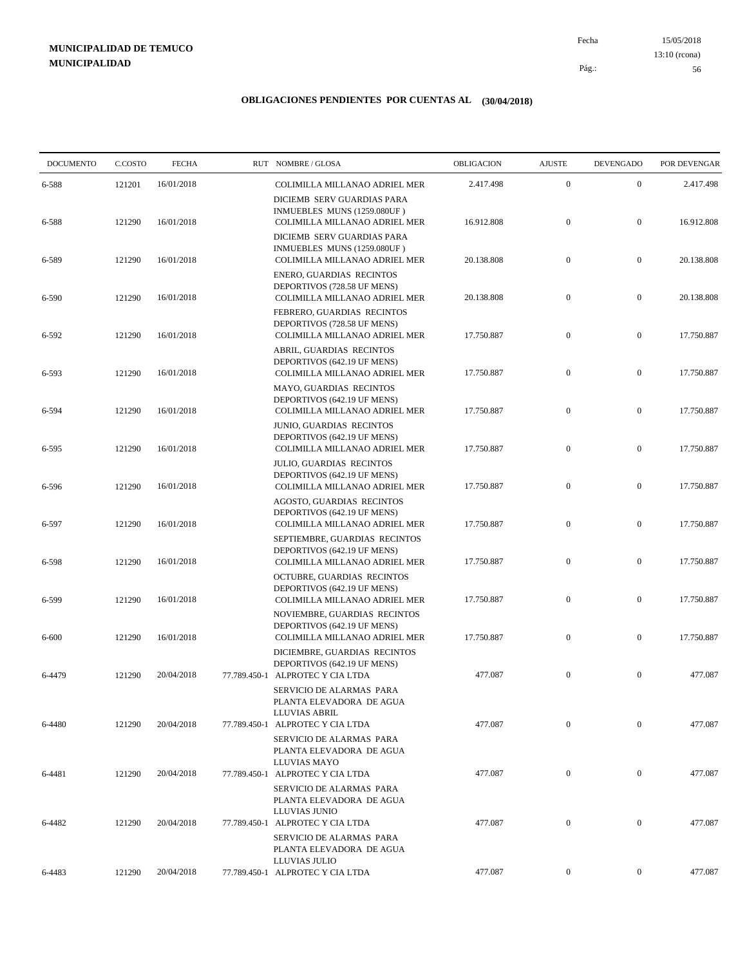15/05/2018 56 Pág.: Fecha 13:10 (rcona)

| <b>DOCUMENTO</b> | C.COSTO | <b>FECHA</b> |              | RUT NOMBRE/GLOSA                                                                              | OBLIGACION | <b>AJUSTE</b>    | <b>DEVENGADO</b> | POR DEVENGAR |
|------------------|---------|--------------|--------------|-----------------------------------------------------------------------------------------------|------------|------------------|------------------|--------------|
| 6-588            | 121201  | 16/01/2018   |              | COLIMILLA MILLANAO ADRIEL MER                                                                 | 2.417.498  | $\boldsymbol{0}$ | $\mathbf{0}$     | 2.417.498    |
| 6-588            | 121290  | 16/01/2018   |              | DICIEMB SERV GUARDIAS PARA<br>INMUEBLES MUNS (1259.080UF)<br>COLIMILLA MILLANAO ADRIEL MER    | 16.912.808 | $\boldsymbol{0}$ | $\mathbf{0}$     | 16.912.808   |
| 6-589            | 121290  | 16/01/2018   |              | DICIEMB SERV GUARDIAS PARA<br>INMUEBLES MUNS (1259.080UF)<br>COLIMILLA MILLANAO ADRIEL MER    | 20.138.808 | $\mathbf{0}$     | $\mathbf{0}$     | 20.138.808   |
| 6-590            | 121290  | 16/01/2018   |              | ENERO, GUARDIAS RECINTOS<br>DEPORTIVOS (728.58 UF MENS)<br>COLIMILLA MILLANAO ADRIEL MER      | 20.138.808 | $\boldsymbol{0}$ | $\mathbf{0}$     | 20.138.808   |
| 6-592            | 121290  | 16/01/2018   |              | FEBRERO, GUARDIAS RECINTOS<br>DEPORTIVOS (728.58 UF MENS)<br>COLIMILLA MILLANAO ADRIEL MER    | 17.750.887 | $\mathbf{0}$     | $\mathbf{0}$     | 17.750.887   |
| 6-593            | 121290  | 16/01/2018   |              | ABRIL, GUARDIAS RECINTOS<br>DEPORTIVOS (642.19 UF MENS)<br>COLIMILLA MILLANAO ADRIEL MER      | 17.750.887 | $\boldsymbol{0}$ | $\mathbf{0}$     | 17.750.887   |
| 6-594            | 121290  | 16/01/2018   |              | MAYO, GUARDIAS RECINTOS<br>DEPORTIVOS (642.19 UF MENS)<br>COLIMILLA MILLANAO ADRIEL MER       | 17.750.887 | $\boldsymbol{0}$ | $\mathbf{0}$     | 17.750.887   |
| 6-595            | 121290  | 16/01/2018   |              | JUNIO, GUARDIAS RECINTOS<br>DEPORTIVOS (642.19 UF MENS)<br>COLIMILLA MILLANAO ADRIEL MER      | 17.750.887 | $\mathbf{0}$     | $\mathbf{0}$     | 17.750.887   |
| 6-596            | 121290  | 16/01/2018   |              | JULIO, GUARDIAS RECINTOS<br>DEPORTIVOS (642.19 UF MENS)<br>COLIMILLA MILLANAO ADRIEL MER      | 17.750.887 | $\mathbf{0}$     | $\mathbf{0}$     | 17.750.887   |
| 6-597            | 121290  | 16/01/2018   |              | AGOSTO, GUARDIAS RECINTOS<br>DEPORTIVOS (642.19 UF MENS)<br>COLIMILLA MILLANAO ADRIEL MER     | 17.750.887 | $\boldsymbol{0}$ | $\mathbf{0}$     | 17.750.887   |
| 6-598            | 121290  | 16/01/2018   |              | SEPTIEMBRE, GUARDIAS RECINTOS<br>DEPORTIVOS (642.19 UF MENS)<br>COLIMILLA MILLANAO ADRIEL MER | 17.750.887 | $\mathbf{0}$     | $\boldsymbol{0}$ | 17.750.887   |
| 6-599            | 121290  | 16/01/2018   |              | OCTUBRE, GUARDIAS RECINTOS<br>DEPORTIVOS (642.19 UF MENS)<br>COLIMILLA MILLANAO ADRIEL MER    | 17.750.887 | $\boldsymbol{0}$ | $\mathbf{0}$     | 17.750.887   |
| 6-600            | 121290  | 16/01/2018   |              | NOVIEMBRE, GUARDIAS RECINTOS<br>DEPORTIVOS (642.19 UF MENS)<br>COLIMILLA MILLANAO ADRIEL MER  | 17.750.887 | $\boldsymbol{0}$ | $\mathbf{0}$     | 17.750.887   |
|                  |         |              |              | DICIEMBRE, GUARDIAS RECINTOS<br>DEPORTIVOS (642.19 UF MENS)                                   |            |                  |                  |              |
| 6-4479           | 121290  | 20/04/2018   | 77.789.450-1 | ALPROTEC Y CIA LTDA<br>SERVICIO DE ALARMAS PARA<br>PLANTA ELEVADORA DE AGUA                   | 477.087    | $\mathbf{0}$     | $\mathbf{0}$     | 477.087      |
| 6-4480           | 121290  | 20/04/2018   |              | LLUVIAS ABRIL<br>77.789.450-1 ALPROTEC Y CIA LTDA<br>SERVICIO DE ALARMAS PARA                 | 477.087    | $\mathbf{0}$     | $\overline{0}$   | 477.087      |
| 6-4481           | 121290  | 20/04/2018   |              | PLANTA ELEVADORA DE AGUA<br>LLUVIAS MAYO<br>77.789.450-1 ALPROTEC Y CIA LTDA                  | 477.087    | $\boldsymbol{0}$ | $\mathbf{0}$     | 477.087      |
|                  |         |              |              | SERVICIO DE ALARMAS PARA<br>PLANTA ELEVADORA DE AGUA<br>LLUVIAS JUNIO                         |            |                  |                  |              |
| 6-4482           | 121290  | 20/04/2018   |              | 77.789.450-1 ALPROTEC Y CIA LTDA<br>SERVICIO DE ALARMAS PARA<br>PLANTA ELEVADORA DE AGUA      | 477.087    | $\mathbf{0}$     | $\mathbf{0}$     | 477.087      |
| 6-4483           | 121290  | 20/04/2018   |              | LLUVIAS JULIO<br>77.789.450-1 ALPROTEC Y CIA LTDA                                             | 477.087    | $\boldsymbol{0}$ | $\boldsymbol{0}$ | 477.087      |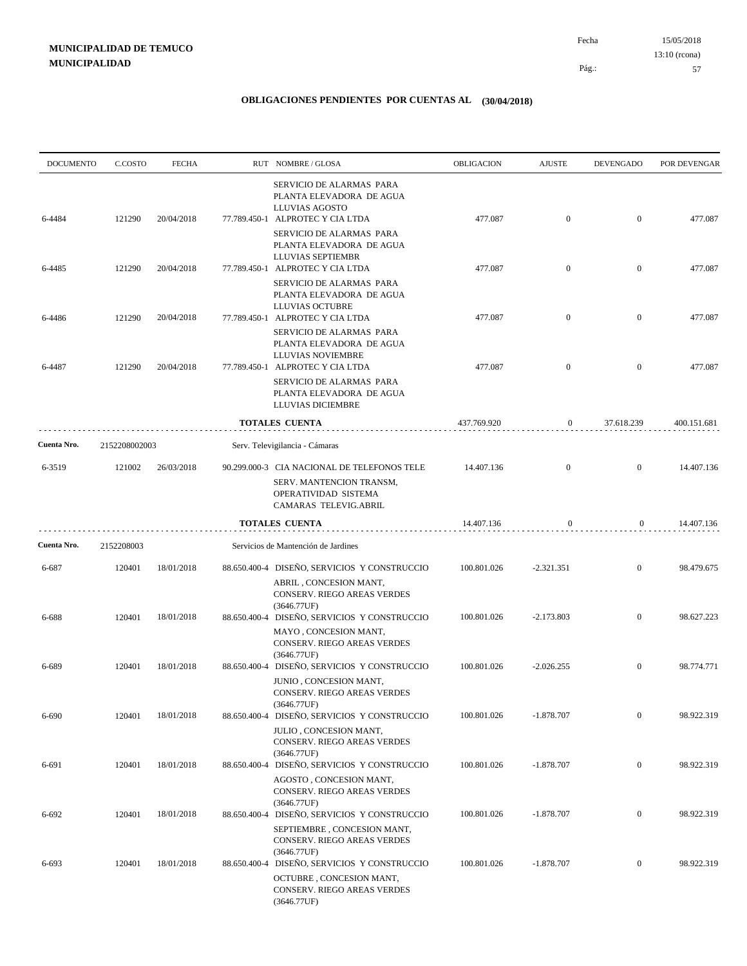| <b>DOCUMENTO</b> | C.COSTO       | <b>FECHA</b> | RUT NOMBRE/GLOSA                                                                                                                      | OBLIGACION  | <b>AJUSTE</b>  | <b>DEVENGADO</b> | POR DEVENGAR |
|------------------|---------------|--------------|---------------------------------------------------------------------------------------------------------------------------------------|-------------|----------------|------------------|--------------|
| 6-4484           | 121290        | 20/04/2018   | SERVICIO DE ALARMAS PARA<br>PLANTA ELEVADORA DE AGUA<br>LLUVIAS AGOSTO<br>77.789.450-1 ALPROTEC Y CIA LTDA                            | 477.087     | $\mathbf{0}$   | $\overline{0}$   | 477.087      |
|                  |               |              | SERVICIO DE ALARMAS PARA<br>PLANTA ELEVADORA DE AGUA<br>LLUVIAS SEPTIEMBR                                                             |             |                |                  |              |
| 6-4485           | 121290        | 20/04/2018   | 77.789.450-1 ALPROTEC Y CIA LTDA<br>SERVICIO DE ALARMAS PARA<br>PLANTA ELEVADORA DE AGUA                                              | 477.087     | $\overline{0}$ | $\overline{0}$   | 477.087      |
| 6-4486           | 121290        | 20/04/2018   | <b>LLUVIAS OCTUBRE</b><br>77.789.450-1 ALPROTEC Y CIA LTDA                                                                            | 477.087     | $\overline{0}$ | $\mathbf{0}$     | 477.087      |
|                  |               |              | SERVICIO DE ALARMAS PARA<br>PLANTA ELEVADORA DE AGUA<br>LLUVIAS NOVIEMBRE                                                             |             |                |                  |              |
| 6-4487           | 121290        | 20/04/2018   | 77.789.450-1 ALPROTEC Y CIA LTDA<br>SERVICIO DE ALARMAS PARA<br>PLANTA ELEVADORA DE AGUA<br>LLUVIAS DICIEMBRE                         | 477.087     | $\overline{0}$ | $\mathbf{0}$     | 477.087      |
|                  |               |              | <b>TOTALES CUENTA</b>                                                                                                                 | 437.769.920 | $\overline{0}$ | 37.618.239       | 400.151.681  |
| Cuenta Nro.      | 2152208002003 |              | Serv. Televigilancia - Cámaras                                                                                                        |             |                |                  |              |
| 6-3519           | 121002        | 26/03/2018   | 90.299.000-3 CIA NACIONAL DE TELEFONOS TELE<br>SERV. MANTENCION TRANSM,<br>OPERATIVIDAD SISTEMA<br>CAMARAS TELEVIG.ABRIL              | 14.407.136  | $\mathbf{0}$   | $\overline{0}$   | 14.407.136   |
|                  |               |              | <b>TOTALES CUENTA</b>                                                                                                                 | 14.407.136  | $\mathbf{0}$   | $\overline{0}$   | 14.407.136   |
| Cuenta Nro.      | 2152208003    |              | Servicios de Mantención de Jardines                                                                                                   |             |                |                  |              |
| 6-687            | 120401        | 18/01/2018   | 88.650.400-4 DISEÑO, SERVICIOS Y CONSTRUCCIO<br>ABRIL, CONCESION MANT,<br>CONSERV. RIEGO AREAS VERDES<br>(3646.77UF)                  | 100.801.026 | $-2.321.351$   | $\mathbf{0}$     | 98.479.675   |
| 6-688            | 120401        | 18/01/2018   | 88.650.400-4 DISEÑO, SERVICIOS Y CONSTRUCCIO<br>MAYO, CONCESION MANT,<br>CONSERV. RIEGO AREAS VERDES<br>(3646.77UF)                   | 100.801.026 | $-2.173.803$   | $\boldsymbol{0}$ | 98.627.223   |
| 6-689            | 120401        | 18/01/2018   | 88.650.400-4 DISEÑO, SERVICIOS Y CONSTRUCCIO<br>JUNIO, CONCESION MANT,<br>CONSERV. RIEGO AREAS VERDES<br>(3646.77UF)                  | 100.801.026 | $-2.026.255$   | $\mathbf{0}$     | 98.774.771   |
| 6-690            | 120401        | 18/01/2018   | 88.650.400-4 DISEÑO, SERVICIOS Y CONSTRUCCIO<br>JULIO, CONCESION MANT,<br>CONSERV. RIEGO AREAS VERDES<br>(3646.77UF)                  | 100.801.026 | $-1.878.707$   | $\boldsymbol{0}$ | 98.922.319   |
| 6-691            | 120401        | 18/01/2018   | 88.650.400-4 DISEÑO, SERVICIOS Y CONSTRUCCIO<br>AGOSTO, CONCESION MANT,<br>CONSERV. RIEGO AREAS VERDES                                | 100.801.026 | $-1.878.707$   | $\mathbf{0}$     | 98.922.319   |
| 6-692            | 120401        | 18/01/2018   | (3646.77UF)<br>88.650.400-4 DISEÑO, SERVICIOS Y CONSTRUCCIO<br>SEPTIEMBRE, CONCESION MANT,<br>CONSERV. RIEGO AREAS VERDES             | 100.801.026 | $-1.878.707$   | $\boldsymbol{0}$ | 98.922.319   |
| 6-693            | 120401        | 18/01/2018   | (3646.77UF)<br>88.650.400-4 DISEÑO, SERVICIOS Y CONSTRUCCIO<br>OCTUBRE, CONCESION MANT,<br>CONSERV. RIEGO AREAS VERDES<br>(3646.77UF) | 100.801.026 | $-1.878.707$   | $\overline{0}$   | 98.922.319   |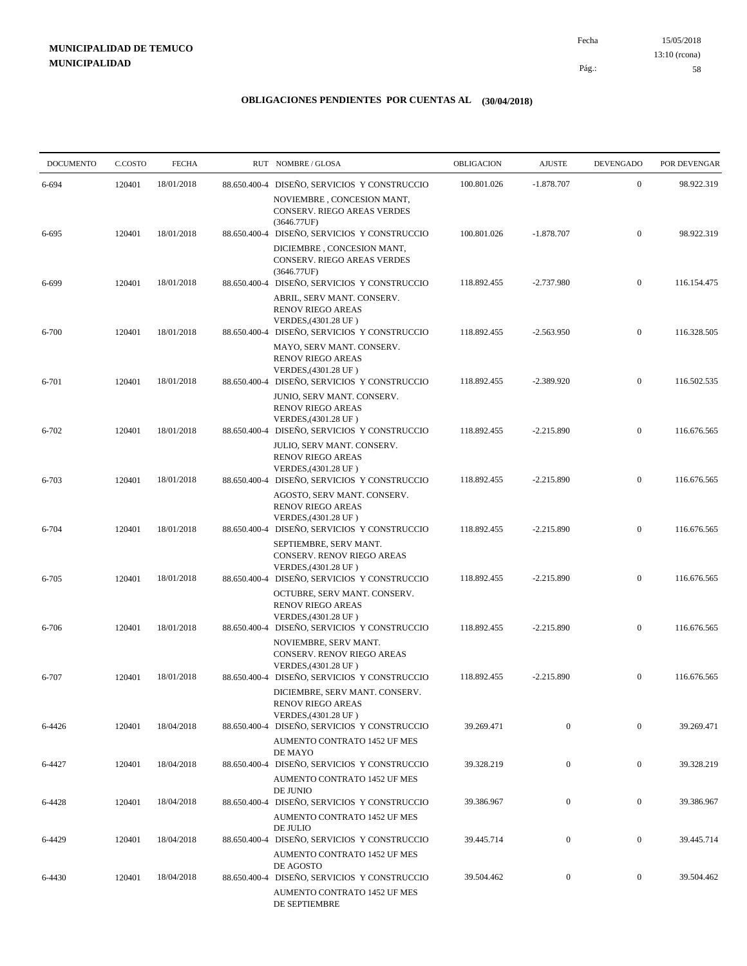15/05/2018 58 Pág.: Fecha 13:10 (rcona)

| <b>DOCUMENTO</b> | C.COSTO | <b>FECHA</b> |              | RUT NOMBRE/GLOSA                                                                                                              | OBLIGACION  | <b>AJUSTE</b>    | <b>DEVENGADO</b> | POR DEVENGAR |
|------------------|---------|--------------|--------------|-------------------------------------------------------------------------------------------------------------------------------|-------------|------------------|------------------|--------------|
| 6-694            | 120401  | 18/01/2018   |              | 88.650.400-4 DISEÑO, SERVICIOS Y CONSTRUCCIO                                                                                  | 100.801.026 | $-1.878.707$     | $\boldsymbol{0}$ | 98.922.319   |
|                  |         | 18/01/2018   |              | NOVIEMBRE, CONCESION MANT,<br>CONSERV. RIEGO AREAS VERDES<br>(3646.77UF)                                                      | 100.801.026 | $-1.878.707$     | $\boldsymbol{0}$ | 98.922.319   |
| 6-695            | 120401  |              |              | 88.650.400-4 DISEÑO, SERVICIOS Y CONSTRUCCIO<br>DICIEMBRE, CONCESION MANT,<br>CONSERV. RIEGO AREAS VERDES                     |             |                  |                  |              |
| 6-699            | 120401  | 18/01/2018   |              | (3646.77UF)<br>88.650.400-4 DISEÑO, SERVICIOS Y CONSTRUCCIO<br>ABRIL, SERV MANT. CONSERV.                                     | 118.892.455 | $-2.737.980$     | $\boldsymbol{0}$ | 116.154.475  |
| 6-700            | 120401  | 18/01/2018   | 88.650.400-4 | <b>RENOV RIEGO AREAS</b><br>VERDES, (4301.28 UF)<br>DISEÑO, SERVICIOS Y CONSTRUCCIO                                           | 118.892.455 | $-2.563.950$     | $\boldsymbol{0}$ | 116.328.505  |
| 6-701            | 120401  | 18/01/2018   |              | MAYO, SERV MANT. CONSERV.<br><b>RENOV RIEGO AREAS</b><br>VERDES, (4301.28 UF)<br>88.650.400-4 DISEÑO, SERVICIOS Y CONSTRUCCIO | 118.892.455 | $-2.389.920$     | $\boldsymbol{0}$ | 116.502.535  |
|                  |         |              |              | JUNIO, SERV MANT. CONSERV.<br><b>RENOV RIEGO AREAS</b><br>VERDES, (4301.28 UF)                                                |             |                  |                  |              |
| 6-702            | 120401  | 18/01/2018   |              | 88.650.400-4 DISEÑO, SERVICIOS Y CONSTRUCCIO<br>JULIO. SERV MANT. CONSERV.<br><b>RENOV RIEGO AREAS</b>                        | 118.892.455 | $-2.215.890$     | $\mathbf{0}$     | 116.676.565  |
| 6-703            | 120401  | 18/01/2018   |              | VERDES, (4301.28 UF)<br>88.650.400-4 DISEÑO, SERVICIOS Y CONSTRUCCIO<br>AGOSTO, SERV MANT. CONSERV.                           | 118.892.455 | $-2.215.890$     | $\boldsymbol{0}$ | 116.676.565  |
| 6-704            | 120401  | 18/01/2018   | 88.650.400-4 | <b>RENOV RIEGO AREAS</b><br>VERDES, (4301.28 UF)<br>DISEÑO, SERVICIOS Y CONSTRUCCIO                                           | 118.892.455 | $-2.215.890$     | $\boldsymbol{0}$ | 116.676.565  |
| 6-705            | 120401  | 18/01/2018   |              | SEPTIEMBRE, SERV MANT.<br>CONSERV. RENOV RIEGO AREAS<br>VERDES, (4301.28 UF)<br>88.650.400-4 DISEÑO, SERVICIOS Y CONSTRUCCIO  | 118.892.455 | $-2.215.890$     | $\mathbf{0}$     | 116.676.565  |
|                  |         |              |              | OCTUBRE, SERV MANT. CONSERV.<br><b>RENOV RIEGO AREAS</b><br>VERDES, (4301.28 UF)                                              |             |                  |                  |              |
| 6-706            | 120401  | 18/01/2018   |              | 88.650.400-4 DISEÑO, SERVICIOS Y CONSTRUCCIO<br>NOVIEMBRE, SERV MANT.<br>CONSERV. RENOV RIEGO AREAS                           | 118.892.455 | $-2.215.890$     | $\mathbf{0}$     | 116.676.565  |
| 6-707            | 120401  | 18/01/2018   | 88.650.400-4 | VERDES, (4301.28 UF)<br>DISEÑO, SERVICIOS Y CONSTRUCCIO<br>DICIEMBRE, SERV MANT. CONSERV.                                     | 118.892.455 | $-2.215.890$     | $\mathbf{0}$     | 116.676.565  |
| 6-4426           | 120401  | 18/04/2018   |              | <b>RENOV RIEGO AREAS</b><br>VERDES, (4301.28 UF)<br>88.650.400-4 DISEÑO, SERVICIOS Y CONSTRUCCIO                              | 39.269.471  | $\mathbf{0}$     | $\mathbf{0}$     | 39.269.471   |
| 6-4427           | 120401  | 18/04/2018   |              | AUMENTO CONTRATO 1452 UF MES<br>DE MAYO<br>88.650.400-4 DISEÑO, SERVICIOS Y CONSTRUCCIO                                       | 39.328.219  | $\boldsymbol{0}$ | $\boldsymbol{0}$ | 39.328.219   |
|                  |         |              |              | AUMENTO CONTRATO 1452 UF MES<br>DE JUNIO                                                                                      |             |                  |                  |              |
| 6-4428           | 120401  | 18/04/2018   |              | 88.650.400-4 DISEÑO, SERVICIOS Y CONSTRUCCIO<br>AUMENTO CONTRATO 1452 UF MES<br>DE JULIO                                      | 39.386.967  | $\mathbf{0}$     | $\bf{0}$         | 39.386.967   |
| 6-4429           | 120401  | 18/04/2018   |              | 88.650.400-4 DISEÑO, SERVICIOS Y CONSTRUCCIO<br>AUMENTO CONTRATO 1452 UF MES<br>DE AGOSTO                                     | 39.445.714  | $\boldsymbol{0}$ | $\boldsymbol{0}$ | 39.445.714   |
| 6-4430           | 120401  | 18/04/2018   |              | 88.650.400-4 DISEÑO, SERVICIOS Y CONSTRUCCIO<br>AUMENTO CONTRATO 1452 UF MES<br>DE SEPTIEMBRE                                 | 39.504.462  | $\boldsymbol{0}$ | $\mathbf{0}$     | 39.504.462   |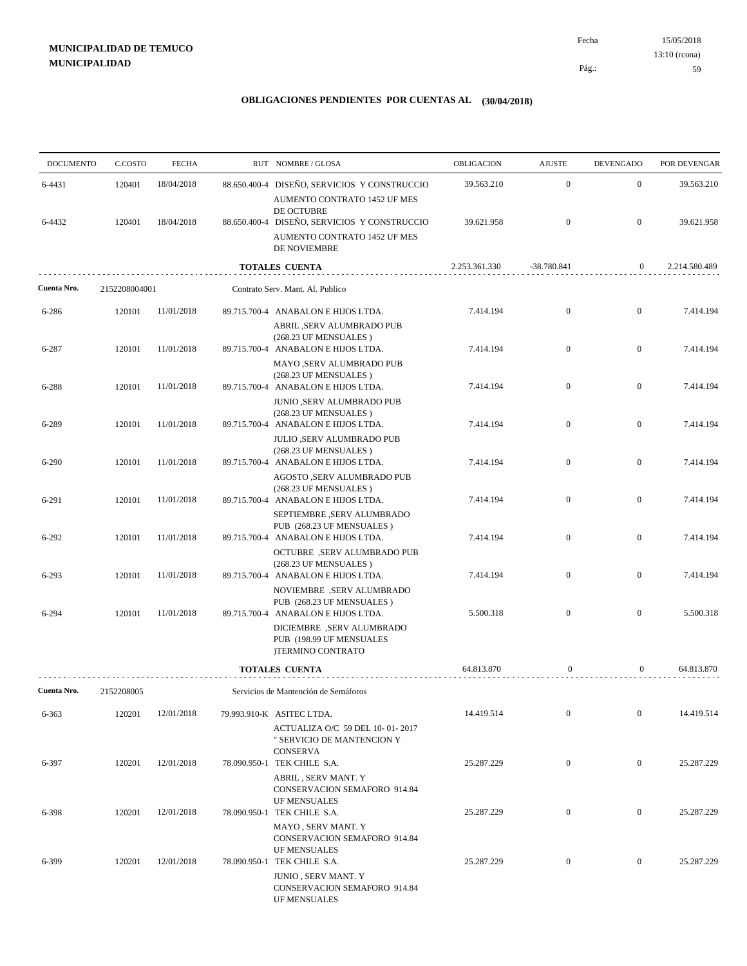15/05/2018 59 Pág.: Fecha 13:10 (rcona)

| <b>DOCUMENTO</b> | C.COSTO       | <b>FECHA</b> | RUT NOMBRE/GLOSA                                                                                                       | OBLIGACION    | <b>AJUSTE</b>    | <b>DEVENGADO</b> | POR DEVENGAR  |
|------------------|---------------|--------------|------------------------------------------------------------------------------------------------------------------------|---------------|------------------|------------------|---------------|
| 6-4431           | 120401        | 18/04/2018   | 88.650.400-4 DISEÑO, SERVICIOS Y CONSTRUCCIO<br>AUMENTO CONTRATO 1452 UF MES                                           | 39.563.210    | $\mathbf{0}$     | $\boldsymbol{0}$ | 39.563.210    |
| 6-4432           | 120401        | 18/04/2018   | DE OCTUBRE<br>88.650.400-4 DISEÑO, SERVICIOS Y CONSTRUCCIO<br>AUMENTO CONTRATO 1452 UF MES<br>DE NOVIEMBRE             | 39.621.958    | $\boldsymbol{0}$ | $\mathbf{0}$     | 39.621.958    |
|                  |               |              | <b>TOTALES CUENTA</b>                                                                                                  | 2.253.361.330 | $-38.780.841$    | $\mathbf{0}$     | 2.214.580.489 |
| Cuenta Nro.      | 2152208004001 |              | Contrato Serv. Mant. Al. Publico                                                                                       |               |                  |                  |               |
| 6-286            | 120101        | 11/01/2018   | 89.715.700-4 ANABALON E HIJOS LTDA.<br>ABRIL ,SERV ALUMBRADO PUB                                                       | 7.414.194     | $\boldsymbol{0}$ | $\mathbf{0}$     | 7.414.194     |
| 6-287            | 120101        | 11/01/2018   | (268.23 UF MENSUALES)<br>89.715.700-4 ANABALON E HIJOS LTDA.<br>MAYO ,SERV ALUMBRADO PUB                               | 7.414.194     | $\mathbf{0}$     | $\mathbf{0}$     | 7.414.194     |
| 6-288            | 120101        | 11/01/2018   | (268.23 UF MENSUALES)<br>89.715.700-4 ANABALON E HIJOS LTDA.                                                           | 7.414.194     | $\boldsymbol{0}$ | $\mathbf{0}$     | 7.414.194     |
| 6-289            | 120101        | 11/01/2018   | JUNIO ,SERV ALUMBRADO PUB<br>(268.23 UF MENSUALES)<br>89.715.700-4 ANABALON E HIJOS LTDA.<br>JULIO ,SERV ALUMBRADO PUB | 7.414.194     | $\boldsymbol{0}$ | $\boldsymbol{0}$ | 7.414.194     |
| 6-290            | 120101        | 11/01/2018   | (268.23 UF MENSUALES)<br>89.715.700-4 ANABALON E HIJOS LTDA.                                                           | 7.414.194     | $\mathbf{0}$     | $\boldsymbol{0}$ | 7.414.194     |
| 6-291            | 120101        | 11/01/2018   | AGOSTO ,SERV ALUMBRADO PUB<br>(268.23 UF MENSUALES)<br>89.715.700-4 ANABALON E HIJOS LTDA.                             | 7.414.194     | $\boldsymbol{0}$ | $\mathbf{0}$     | 7.414.194     |
| 6-292            | 120101        | 11/01/2018   | SEPTIEMBRE , SERV ALUMBRADO<br>PUB (268.23 UF MENSUALES)<br>89.715.700-4 ANABALON E HIJOS LTDA.                        | 7.414.194     | $\boldsymbol{0}$ | $\boldsymbol{0}$ | 7.414.194     |
| 6-293            | 120101        | 11/01/2018   | OCTUBRE ,SERV ALUMBRADO PUB<br>(268.23 UF MENSUALES)<br>89.715.700-4 ANABALON E HIJOS LTDA.                            | 7.414.194     | $\boldsymbol{0}$ | $\mathbf{0}$     | 7.414.194     |
| 6-294            | 120101        | 11/01/2018   | NOVIEMBRE, SERV ALUMBRADO<br>PUB (268.23 UF MENSUALES)<br>89.715.700-4 ANABALON E HIJOS LTDA.                          | 5.500.318     | $\boldsymbol{0}$ | $\mathbf{0}$     | 5.500.318     |
|                  |               |              | DICIEMBRE, SERV ALUMBRADO<br>PUB (198.99 UF MENSUALES<br>)TERMINO CONTRATO                                             |               |                  |                  |               |
|                  |               |              | <b>TOTALES CUENTA</b>                                                                                                  | 64.813.870    | $\mathbf{0}$     | $\overline{0}$   | 64.813.870    |
| Cuenta Nro.      | 2152208005    |              | Servicios de Mantención de Semáforos                                                                                   |               |                  |                  |               |
| 6-363            | 120201        | 12/01/2018   | 79.993.910-K ASITEC LTDA.                                                                                              | 14.419.514    | $\boldsymbol{0}$ | $\overline{0}$   | 14.419.514    |
| 6-397            | 120201        | 12/01/2018   | ACTUALIZA O/C 59 DEL 10-01-2017<br>" SERVICIO DE MANTENCION Y<br><b>CONSERVA</b><br>78.090.950-1 TEK CHILE S.A.        | 25.287.229    | $\boldsymbol{0}$ | $\overline{0}$   | 25.287.229    |
|                  |               |              | ABRIL, SERV MANT. Y<br>CONSERVACION SEMAFORO 914.84<br>UF MENSUALES                                                    |               |                  |                  |               |
| 6-398            | 120201        | 12/01/2018   | 78.090.950-1 TEK CHILE S.A.<br>MAYO, SERV MANT. Y                                                                      | 25.287.229    | $\boldsymbol{0}$ | $\overline{0}$   | 25.287.229    |
| 6-399            | 120201        | 12/01/2018   | CONSERVACION SEMAFORO 914.84<br>UF MENSUALES<br>78.090.950-1 TEK CHILE S.A.                                            | 25.287.229    | $\boldsymbol{0}$ | $\overline{0}$   | 25.287.229    |
|                  |               |              | <b>JUNIO, SERV MANT. Y</b><br>CONSERVACION SEMAFORO 914.84<br>UF MENSUALES                                             |               |                  |                  |               |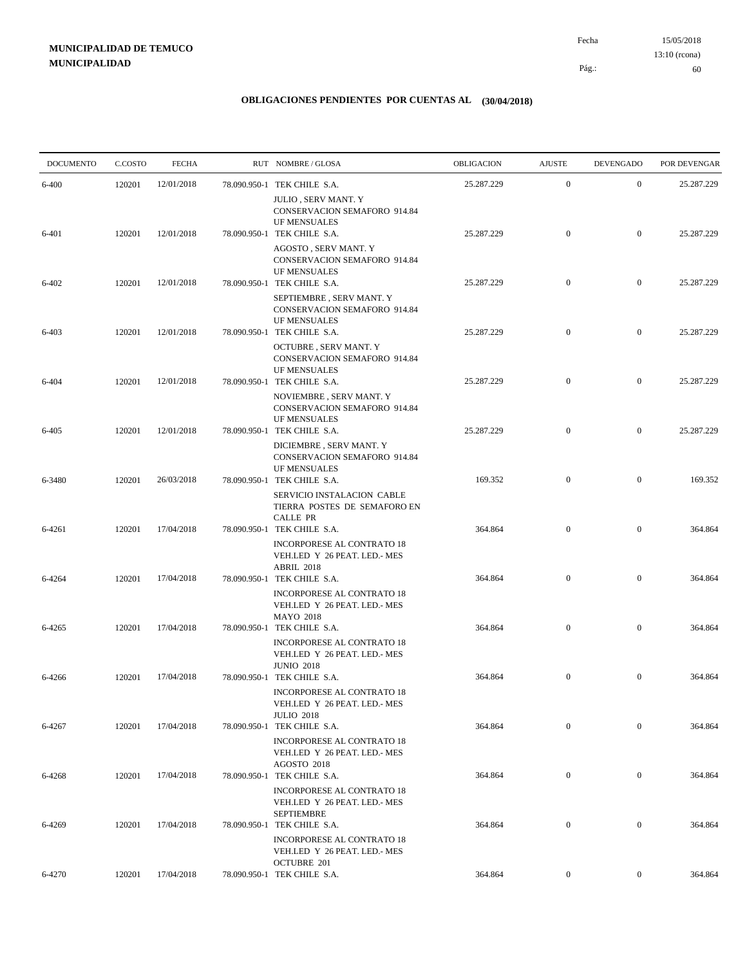15/05/2018 60 Pág.: Fecha 13:10 (rcona)

| <b>DOCUMENTO</b> | C.COSTO | <b>FECHA</b> | RUT NOMBRE/GLOSA                                                                                                     | OBLIGACION | <b>AJUSTE</b>    | <b>DEVENGADO</b> | POR DEVENGAR |
|------------------|---------|--------------|----------------------------------------------------------------------------------------------------------------------|------------|------------------|------------------|--------------|
| 6-400            | 120201  | 12/01/2018   | 78.090.950-1 TEK CHILE S.A.                                                                                          | 25.287.229 | $\mathbf{0}$     | $\mathbf{0}$     | 25.287.229   |
|                  |         |              | <b>JULIO, SERV MANT. Y</b><br>CONSERVACION SEMAFORO 914.84<br>UF MENSUALES                                           |            |                  |                  |              |
| 6-401            | 120201  | 12/01/2018   | 78.090.950-1 TEK CHILE S.A.<br>AGOSTO, SERV MANT. Y                                                                  | 25.287.229 | $\boldsymbol{0}$ | $\mathbf{0}$     | 25.287.229   |
|                  |         |              | CONSERVACION SEMAFORO 914.84<br>UF MENSUALES                                                                         |            |                  |                  |              |
| 6-402            | 120201  | 12/01/2018   | 78.090.950-1 TEK CHILE S.A.<br>SEPTIEMBRE, SERV MANT. Y<br>CONSERVACION SEMAFORO 914.84                              | 25.287.229 | $\mathbf{0}$     | $\mathbf{0}$     | 25.287.229   |
| 6-403            | 120201  | 12/01/2018   | <b>UF MENSUALES</b><br>78.090.950-1 TEK CHILE S.A.                                                                   | 25.287.229 | $\mathbf{0}$     | $\mathbf{0}$     | 25.287.229   |
| 6-404            | 120201  | 12/01/2018   | OCTUBRE, SERV MANT. Y<br>CONSERVACION SEMAFORO 914.84<br><b>UF MENSUALES</b><br>78.090.950-1 TEK CHILE S.A.          | 25.287.229 | $\mathbf{0}$     | $\mathbf{0}$     | 25.287.229   |
|                  |         |              | NOVIEMBRE, SERV MANT. Y<br>CONSERVACION SEMAFORO 914.84<br><b>UF MENSUALES</b>                                       |            |                  |                  |              |
| 6-405            | 120201  | 12/01/2018   | 78.090.950-1 TEK CHILE S.A.<br>DICIEMBRE, SERV MANT. Y<br><b>CONSERVACION SEMAFORO 914.84</b><br><b>UF MENSUALES</b> | 25.287.229 | $\mathbf{0}$     | $\mathbf{0}$     | 25.287.229   |
| 6-3480           | 120201  | 26/03/2018   | 78.090.950-1 TEK CHILE S.A.<br>SERVICIO INSTALACION CABLE<br>TIERRA POSTES DE SEMAFORO EN                            | 169.352    | $\mathbf{0}$     | $\mathbf{0}$     | 169.352      |
| 6-4261           | 120201  | 17/04/2018   | <b>CALLE PR</b><br>78.090.950-1 TEK CHILE S.A.                                                                       | 364.864    | $\mathbf{0}$     | $\mathbf{0}$     | 364.864      |
| 6-4264           | 120201  | 17/04/2018   | INCORPORESE AL CONTRATO 18<br>VEH.LED Y 26 PEAT. LED.- MES<br>ABRIL 2018<br>78.090.950-1 TEK CHILE S.A.              | 364.864    | $\boldsymbol{0}$ | $\mathbf{0}$     | 364.864      |
|                  |         |              | INCORPORESE AL CONTRATO 18<br>VEH.LED Y 26 PEAT. LED.- MES<br><b>MAYO 2018</b>                                       |            |                  |                  |              |
| 6-4265           | 120201  | 17/04/2018   | 78.090.950-1 TEK CHILE S.A.<br>INCORPORESE AL CONTRATO 18<br>VEH.LED Y 26 PEAT. LED.- MES<br><b>JUNIO 2018</b>       | 364.864    | $\boldsymbol{0}$ | $\mathbf{0}$     | 364.864      |
| 6-4266           | 120201  | 17/04/2018   | 78.090.950-1 TEK CHILE S.A.<br>INCORPORESE AL CONTRATO 18<br>VEH.LED Y 26 PEAT. LED.- MES                            | 364.864    | $\mathbf{0}$     | $\mathbf{0}$     | 364.864      |
| 6-4267           | 120201  | 17/04/2018   | <b>JULIO 2018</b><br>78.090.950-1 TEK CHILE S.A.                                                                     | 364.864    | $\boldsymbol{0}$ | $\mathbf{0}$     | 364.864      |
|                  |         |              | INCORPORESE AL CONTRATO 18<br>VEH.LED Y 26 PEAT. LED.- MES<br>AGOSTO 2018                                            |            |                  |                  |              |
| 6-4268           | 120201  | 17/04/2018   | 78.090.950-1 TEK CHILE S.A.<br>INCORPORESE AL CONTRATO 18<br>VEH.LED Y 26 PEAT. LED.- MES                            | 364.864    | $\boldsymbol{0}$ | $\boldsymbol{0}$ | 364.864      |
| 6-4269           | 120201  | 17/04/2018   | SEPTIEMBRE<br>78.090.950-1 TEK CHILE S.A.<br>INCORPORESE AL CONTRATO 18                                              | 364.864    | $\boldsymbol{0}$ | $\boldsymbol{0}$ | 364.864      |
|                  |         |              | VEH.LED Y 26 PEAT. LED.- MES<br>OCTUBRE 201                                                                          |            |                  |                  |              |
| 6-4270           | 120201  | 17/04/2018   | 78.090.950-1 TEK CHILE S.A.                                                                                          | 364.864    | $\boldsymbol{0}$ | $\overline{0}$   | 364.864      |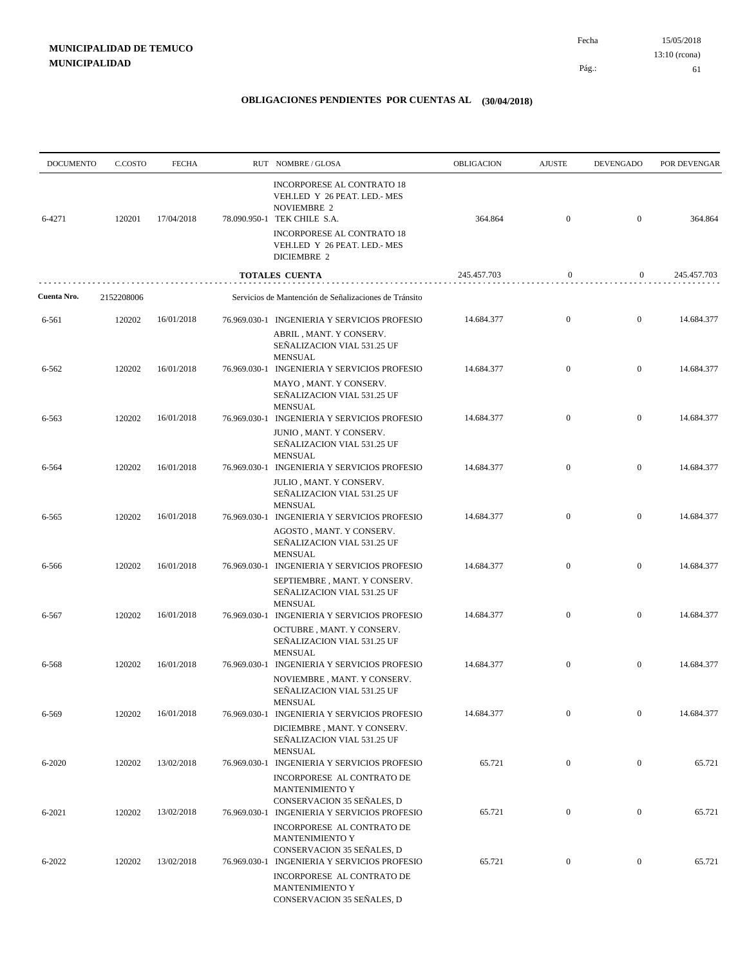| <b>DOCUMENTO</b> | C.COSTO    | <b>FECHA</b> | RUT NOMBRE/GLOSA                                                                                                                                                              | OBLIGACION  | <b>AJUSTE</b>    | <b>DEVENGADO</b> | POR DEVENGAR |
|------------------|------------|--------------|-------------------------------------------------------------------------------------------------------------------------------------------------------------------------------|-------------|------------------|------------------|--------------|
| 6-4271           | 120201     | 17/04/2018   | INCORPORESE AL CONTRATO 18<br>VEH.LED Y 26 PEAT. LED.- MES<br><b>NOVIEMBRE 2</b><br>78.090.950-1 TEK CHILE S.A.<br>INCORPORESE AL CONTRATO 18<br>VEH.LED Y 26 PEAT. LED.- MES | 364.864     | $\boldsymbol{0}$ | $\overline{0}$   | 364.864      |
|                  |            |              | <b>DICIEMBRE 2</b>                                                                                                                                                            |             |                  |                  |              |
|                  |            |              | <b>TOTALES CUENTA</b>                                                                                                                                                         | 245.457.703 | $\boldsymbol{0}$ | $\overline{0}$   | 245.457.703  |
| Cuenta Nro.      | 2152208006 |              | Servicios de Mantención de Señalizaciones de Tránsito                                                                                                                         |             |                  |                  |              |
| 6-561            | 120202     | 16/01/2018   | 76.969.030-1 INGENIERIA Y SERVICIOS PROFESIO<br>ABRIL, MANT. Y CONSERV.<br>SEÑALIZACION VIAL 531.25 UF                                                                        | 14.684.377  | $\mathbf{0}$     | $\overline{0}$   | 14.684.377   |
| 6-562            | 120202     | 16/01/2018   | <b>MENSUAL</b><br>76.969.030-1 INGENIERIA Y SERVICIOS PROFESIO                                                                                                                | 14.684.377  | $\mathbf{0}$     | $\overline{0}$   | 14.684.377   |
|                  |            |              | MAYO, MANT. Y CONSERV.<br>SEÑALIZACION VIAL 531.25 UF<br><b>MENSUAL</b>                                                                                                       |             |                  |                  |              |
| 6-563            | 120202     | 16/01/2018   | 76.969.030-1 INGENIERIA Y SERVICIOS PROFESIO<br>JUNIO, MANT. Y CONSERV.<br>SEÑALIZACION VIAL 531.25 UF<br><b>MENSUAL</b>                                                      | 14.684.377  | $\mathbf{0}$     | $\mathbf{0}$     | 14.684.377   |
| 6-564            | 120202     | 16/01/2018   | 76.969.030-1 INGENIERIA Y SERVICIOS PROFESIO<br>JULIO, MANT. Y CONSERV.<br>SEÑALIZACION VIAL 531.25 UF                                                                        | 14.684.377  | $\boldsymbol{0}$ | $\overline{0}$   | 14.684.377   |
| 6-565            | 120202     | 16/01/2018   | <b>MENSUAL</b><br>76.969.030-1 INGENIERIA Y SERVICIOS PROFESIO<br>AGOSTO, MANT. Y CONSERV.<br>SEÑALIZACION VIAL 531.25 UF                                                     | 14.684.377  | $\mathbf{0}$     | $\overline{0}$   | 14.684.377   |
| 6-566            | 120202     | 16/01/2018   | <b>MENSUAL</b><br>76.969.030-1 INGENIERIA Y SERVICIOS PROFESIO<br>SEPTIEMBRE, MANT. Y CONSERV.<br>SEÑALIZACION VIAL 531.25 UF                                                 | 14.684.377  | $\mathbf{0}$     | $\mathbf{0}$     | 14.684.377   |
| 6-567            | 120202     | 16/01/2018   | <b>MENSUAL</b><br>76.969.030-1 INGENIERIA Y SERVICIOS PROFESIO<br>OCTUBRE, MANT. Y CONSERV.<br>SEÑALIZACION VIAL 531.25 UF                                                    | 14.684.377  | $\overline{0}$   | $\overline{0}$   | 14.684.377   |
| 6-568            | 120202     | 16/01/2018   | <b>MENSUAL</b><br>76.969.030-1 INGENIERIA Y SERVICIOS PROFESIO<br>NOVIEMBRE, MANT. Y CONSERV.<br>SEÑALIZACION VIAL 531.25 UF                                                  | 14.684.377  | $\boldsymbol{0}$ | $\mathbf{0}$     | 14.684.377   |
| 6-569            | 120202     | 16/01/2018   | <b>MENSUAL</b><br>76.969.030-1 INGENIERIA Y SERVICIOS PROFESIO<br>DICIEMBRE, MANT. Y CONSERV.<br>SEÑALIZACION VIAL 531.25 UF                                                  | 14.684.377  | $\mathbf{0}$     | $\boldsymbol{0}$ | 14.684.377   |
| $6 - 2020$       | 120202     | 13/02/2018   | <b>MENSUAL</b><br>76.969.030-1 INGENIERIA Y SERVICIOS PROFESIO<br>INCORPORESE AL CONTRATO DE<br>MANTENIMIENTO Y                                                               | 65.721      | $\mathbf{0}$     | $\boldsymbol{0}$ | 65.721       |
| 6-2021           | 120202     | 13/02/2018   | CONSERVACION 35 SEÑALES, D<br>76.969.030-1 INGENIERIA Y SERVICIOS PROFESIO<br>INCORPORESE AL CONTRATO DE                                                                      | 65.721      | $\boldsymbol{0}$ | $\mathbf{0}$     | 65.721       |
| 6-2022           | 120202     | 13/02/2018   | MANTENIMIENTO Y<br>CONSERVACION 35 SEÑALES, D<br>76.969.030-1 INGENIERIA Y SERVICIOS PROFESIO<br>INCORPORESE AL CONTRATO DE<br>MANTENIMIENTO Y<br>CONSERVACION 35 SEÑALES, D  | 65.721      | $\bf{0}$         | $\bf{0}$         | 65.721       |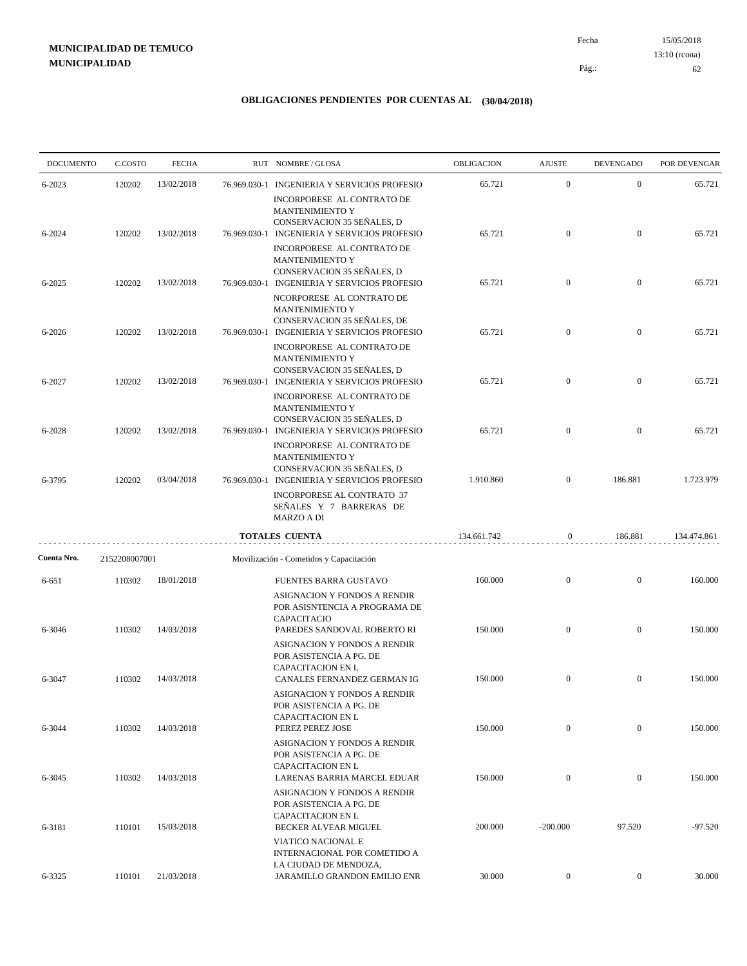15/05/2018 62 Pág.: Fecha 13:10 (rcona)

| <b>DOCUMENTO</b> | C.COSTO       | <b>FECHA</b> |              | RUT NOMBRE/GLOSA                                                                                                                            | OBLIGACION  | <b>AJUSTE</b>    | <b>DEVENGADO</b> | POR DEVENGAR |
|------------------|---------------|--------------|--------------|---------------------------------------------------------------------------------------------------------------------------------------------|-------------|------------------|------------------|--------------|
| 6-2023           | 120202        | 13/02/2018   |              | 76.969.030-1 INGENIERIA Y SERVICIOS PROFESIO<br>INCORPORESE AL CONTRATO DE                                                                  | 65.721      | $\mathbf{0}$     | $\mathbf{0}$     | 65.721       |
| 6-2024           | 120202        | 13/02/2018   |              | <b>MANTENIMIENTO Y</b><br>CONSERVACION 35 SEÑALES, D<br>76.969.030-1 INGENIERIA Y SERVICIOS PROFESIO<br>INCORPORESE AL CONTRATO DE          | 65.721      | $\mathbf{0}$     | $\mathbf{0}$     | 65.721       |
| 6-2025           | 120202        | 13/02/2018   |              | <b>MANTENIMIENTO Y</b><br>CONSERVACION 35 SEÑALES, D<br>76.969.030-1 INGENIERIA Y SERVICIOS PROFESIO                                        | 65.721      | $\overline{0}$   | $\mathbf{0}$     | 65.721       |
| 6-2026           | 120202        | 13/02/2018   |              | NCORPORESE AL CONTRATO DE<br><b>MANTENIMIENTO Y</b><br>CONSERVACION 35 SEÑALES, DE<br>76.969.030-1 INGENIERIA Y SERVICIOS PROFESIO          | 65.721      | $\overline{0}$   | $\overline{0}$   | 65.721       |
| 6-2027           | 120202        | 13/02/2018   | 76.969.030-1 | INCORPORESE AL CONTRATO DE<br><b>MANTENIMIENTO Y</b><br>CONSERVACION 35 SEÑALES, D<br>INGENIERIA Y SERVICIOS PROFESIO                       | 65.721      | $\overline{0}$   | $\overline{0}$   | 65.721       |
|                  |               |              |              | INCORPORESE AL CONTRATO DE<br>MANTENIMIENTO Y<br>CONSERVACION 35 SEÑALES, D                                                                 |             |                  |                  |              |
| 6-2028           | 120202        | 13/02/2018   | 76.969.030-1 | <b>INGENIERIA Y SERVICIOS PROFESIO</b><br>INCORPORESE AL CONTRATO DE<br>MANTENIMIENTO Y                                                     | 65.721      | $\overline{0}$   | $\overline{0}$   | 65.721       |
| 6-3795           | 120202        | 03/04/2018   |              | CONSERVACION 35 SEÑALES, D<br>76.969.030-1 INGENIERIA Y SERVICIOS PROFESIO<br><b>INCORPORESE AL CONTRATO 37</b><br>SEÑALES Y 7 BARRERAS DE  | 1.910.860   | $\overline{0}$   | 186.881          | 1.723.979    |
|                  |               |              |              | MARZO A DI<br><b>TOTALES CUENTA</b>                                                                                                         | 134.661.742 | $\boldsymbol{0}$ | 186.881          | 134.474.861  |
| Cuenta Nro.      | 2152208007001 |              |              | Movilización - Cometidos y Capacitación                                                                                                     |             |                  |                  |              |
| 6-651            | 110302        | 18/01/2018   |              | <b>FUENTES BARRA GUSTAVO</b>                                                                                                                | 160.000     | $\overline{0}$   | $\overline{0}$   | 160.000      |
| 6-3046           | 110302        | 14/03/2018   |              | ASIGNACION Y FONDOS A RENDIR<br>POR ASISNTENCIA A PROGRAMA DE<br>CAPACITACIO<br>PAREDES SANDOVAL ROBERTO RI<br>ASIGNACION Y FONDOS A RENDIR | 150.000     | $\mathbf{0}$     | $\overline{0}$   | 150.000      |
| 6-3047           | 110302        | 14/03/2018   |              | POR ASISTENCIA A PG. DE<br><b>CAPACITACION EN L</b><br>CANALES FERNANDEZ GERMAN IG                                                          | 150.000     | $\overline{0}$   | $\mathbf{0}$     | 150.000      |
| 6-3044           | 110302        | 14/03/2018   |              | ASIGNACION Y FONDOS A RENDIR<br>POR ASISTENCIA A PG. DE<br>CAPACITACION EN L<br>PEREZ PEREZ JOSE                                            | 150.000     | $\boldsymbol{0}$ | $\mathbf{0}$     | 150.000      |
| 6-3045           | 110302        | 14/03/2018   |              | ASIGNACION Y FONDOS A RENDIR<br>POR ASISTENCIA A PG. DE<br>CAPACITACION EN L<br>LARENAS BARRIA MARCEL EDUAR                                 | 150.000     | $\overline{0}$   | $\mathbf{0}$     | 150.000      |
|                  |               |              |              | ASIGNACION Y FONDOS A RENDIR<br>POR ASISTENCIA A PG. DE<br>CAPACITACION EN L                                                                |             |                  |                  |              |
| 6-3181           | 110101        | 15/03/2018   |              | <b>BECKER ALVEAR MIGUEL</b><br><b>VIATICO NACIONAL E</b><br>INTERNACIONAL POR COMETIDO A                                                    | 200.000     | $-200.000$       | 97.520           | $-97.520$    |
| 6-3325           | 110101        | 21/03/2018   |              | LA CIUDAD DE MENDOZA,<br>JARAMILLO GRANDON EMILIO ENR                                                                                       | 30.000      | $\boldsymbol{0}$ | $\overline{0}$   | 30.000       |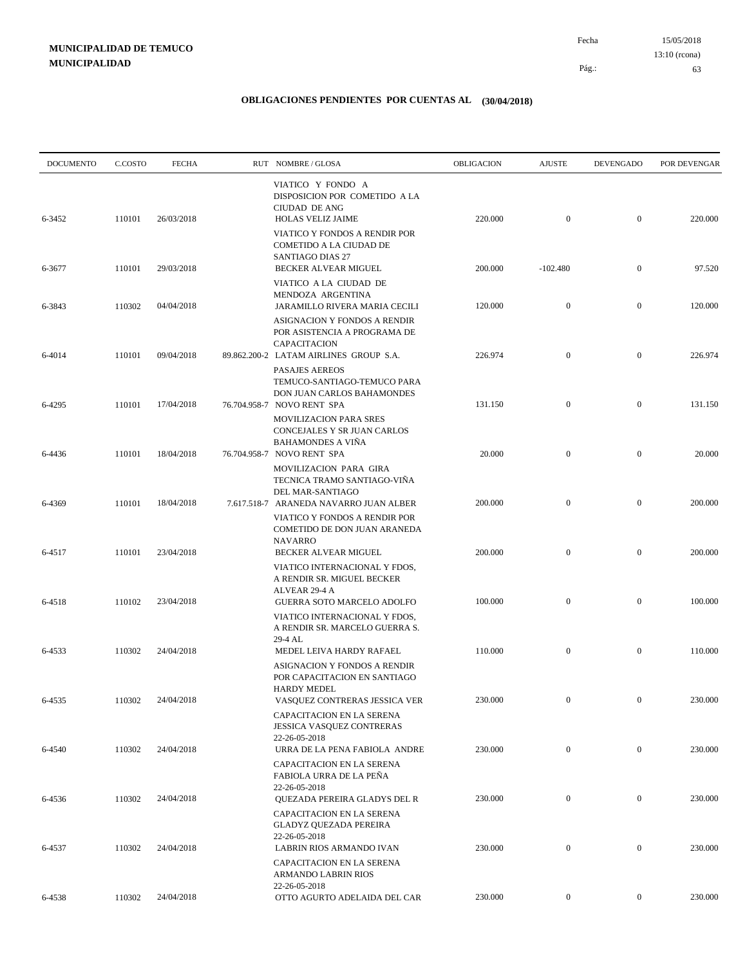15/05/2018 63 Pág.: Fecha 13:10 (rcona)

| <b>DOCUMENTO</b> | C.COSTO | <b>FECHA</b>      | RUT NOMBRE/GLOSA                                                                                        | <b>OBLIGACION</b> | <b>AJUSTE</b>    | <b>DEVENGADO</b> | POR DEVENGAR |
|------------------|---------|-------------------|---------------------------------------------------------------------------------------------------------|-------------------|------------------|------------------|--------------|
| 6-3452           | 110101  | 26/03/2018        | VIATICO Y FONDO A<br>DISPOSICION POR COMETIDO A LA<br>CIUDAD DE ANG<br><b>HOLAS VELIZ JAIME</b>         | 220.000           | $\mathbf{0}$     | $\mathbf{0}$     | 220.000      |
| 6-3677           | 110101  | 29/03/2018        | VIATICO Y FONDOS A RENDIR POR<br>COMETIDO A LA CIUDAD DE<br>SANTIAGO DIAS 27<br>BECKER ALVEAR MIGUEL    | 200.000           | $-102.480$       | $\mathbf{0}$     | 97.520       |
|                  |         |                   | VIATICO A LA CIUDAD DE<br>MENDOZA ARGENTINA                                                             |                   |                  |                  |              |
| 6-3843           | 110302  | 04/04/2018        | JARAMILLO RIVERA MARIA CECILI<br>ASIGNACION Y FONDOS A RENDIR<br>POR ASISTENCIA A PROGRAMA DE           | 120.000           | $\mathbf{0}$     | $\mathbf{0}$     | 120.000      |
| 6-4014           | 110101  | 09/04/2018        | CAPACITACION<br>89.862.200-2 LATAM AIRLINES GROUP S.A.<br><b>PASAJES AEREOS</b>                         | 226.974           | $\mathbf{0}$     | $\mathbf{0}$     | 226.974      |
| 6-4295           | 110101  | 17/04/2018        | TEMUCO-SANTIAGO-TEMUCO PARA<br>DON JUAN CARLOS BAHAMONDES<br>76.704.958-7 NOVO RENT SPA                 | 131.150           | $\mathbf{0}$     | $\mathbf{0}$     | 131.150      |
|                  |         |                   | <b>MOVILIZACION PARA SRES</b><br>CONCEJALES Y SR JUAN CARLOS<br><b>BAHAMONDES A VIÑA</b>                |                   |                  |                  |              |
| 6-4436           | 110101  | 18/04/2018        | 76.704.958-7 NOVO RENT SPA<br>MOVILIZACION PARA GIRA<br>TECNICA TRAMO SANTIAGO-VIÑA<br>DEL MAR-SANTIAGO | 20.000            | $\mathbf{0}$     | $\boldsymbol{0}$ | 20.000       |
| 6-4369           | 110101  | 18/04/2018        | 7.617.518-7 ARANEDA NAVARRO JUAN ALBER<br>VIATICO Y FONDOS A RENDIR POR<br>COMETIDO DE DON JUAN ARANEDA | 200.000           | $\mathbf{0}$     | $\mathbf{0}$     | 200.000      |
| 6-4517           | 110101  | 23/04/2018        | <b>NAVARRO</b><br>BECKER ALVEAR MIGUEL                                                                  | 200.000           | $\boldsymbol{0}$ | $\mathbf{0}$     | 200.000      |
|                  |         |                   | VIATICO INTERNACIONAL Y FDOS,<br>A RENDIR SR. MIGUEL BECKER<br>ALVEAR 29-4 A                            |                   |                  |                  |              |
| 6-4518           | 110102  | 23/04/2018        | GUERRA SOTO MARCELO ADOLFO<br>VIATICO INTERNACIONAL Y FDOS,<br>A RENDIR SR. MARCELO GUERRA S.           | 100.000           | $\mathbf{0}$     | $\boldsymbol{0}$ | 100.000      |
| 6-4533           | 110302  | 24/04/2018        | 29-4 AL<br>MEDEL LEIVA HARDY RAFAEL<br>ASIGNACION Y FONDOS A RENDIR                                     | 110.000           | $\mathbf{0}$     | $\mathbf{0}$     | 110.000      |
| 6-4535           |         | 110302 24/04/2018 | POR CAPACITACION EN SANTIAGO<br><b>HARDY MEDEL</b><br>VASQUEZ CONTRERAS JESSICA VER                     | 230.000           | $\overline{0}$   | $\overline{0}$   | 230.000      |
|                  |         |                   | CAPACITACION EN LA SERENA<br>JESSICA VASQUEZ CONTRERAS<br>22-26-05-2018                                 |                   |                  |                  |              |
| 6-4540           | 110302  | 24/04/2018        | URRA DE LA PENA FABIOLA ANDRE<br>CAPACITACION EN LA SERENA<br>FABIOLA URRA DE LA PEÑA                   | 230.000           | $\mathbf{0}$     | $\overline{0}$   | 230.000      |
| 6-4536           | 110302  | 24/04/2018        | 22-26-05-2018<br>QUEZADA PEREIRA GLADYS DEL R<br>CAPACITACION EN LA SERENA                              | 230.000           | $\mathbf{0}$     | $\boldsymbol{0}$ | 230.000      |
| 6-4537           | 110302  | 24/04/2018        | <b>GLADYZ QUEZADA PEREIRA</b><br>22-26-05-2018<br>LABRIN RIOS ARMANDO IVAN                              | 230.000           | $\mathbf{0}$     | $\boldsymbol{0}$ | 230.000      |
|                  |         |                   | CAPACITACION EN LA SERENA<br>ARMANDO LABRIN RIOS<br>22-26-05-2018                                       |                   |                  |                  |              |
| 6-4538           | 110302  | 24/04/2018        | OTTO AGURTO ADELAIDA DEL CAR                                                                            | 230.000           | $\overline{0}$   | $\boldsymbol{0}$ | 230.000      |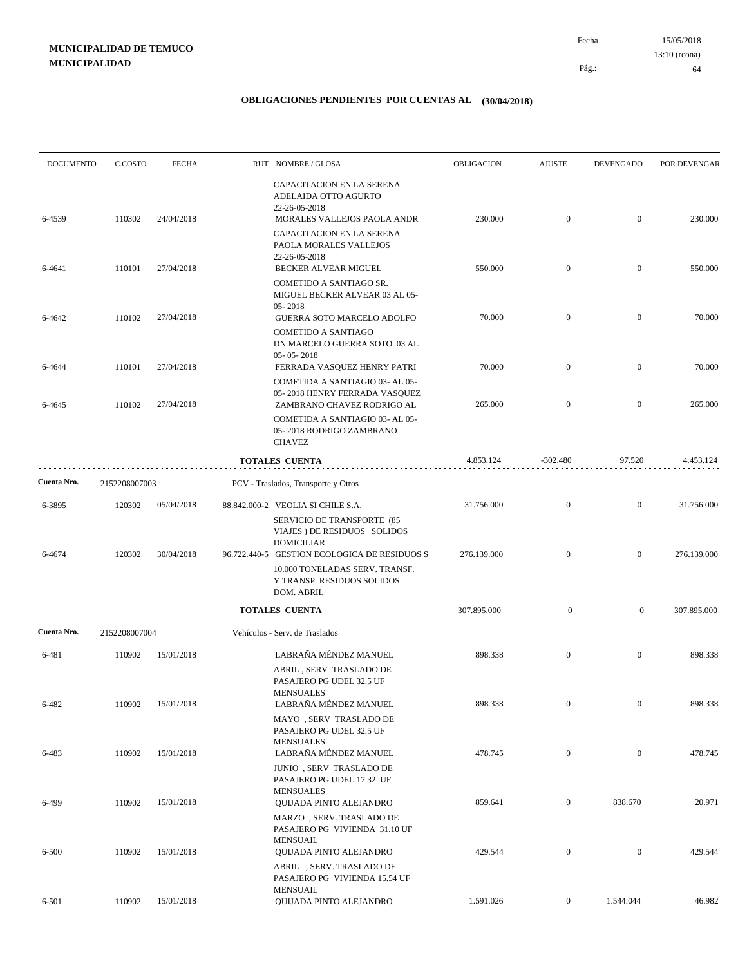15/05/2018 64 Pág.: Fecha 13:10 (rcona)

| <b>DOCUMENTO</b> | C.COSTO       | <b>FECHA</b> | RUT NOMBRE/GLOSA                                                                                                           | OBLIGACION  | <b>AJUSTE</b>    | <b>DEVENGADO</b> | POR DEVENGAR |
|------------------|---------------|--------------|----------------------------------------------------------------------------------------------------------------------------|-------------|------------------|------------------|--------------|
| 6-4539           | 110302        | 24/04/2018   | CAPACITACION EN LA SERENA<br>ADELAIDA OTTO AGURTO<br>22-26-05-2018<br>MORALES VALLEJOS PAOLA ANDR                          | 230.000     | $\mathbf{0}$     | $\mathbf{0}$     | 230.000      |
|                  |               |              | CAPACITACION EN LA SERENA<br>PAOLA MORALES VALLEJOS<br>22-26-05-2018                                                       |             |                  |                  |              |
| 6-4641           | 110101        | 27/04/2018   | BECKER ALVEAR MIGUEL<br>COMETIDO A SANTIAGO SR.<br>MIGUEL BECKER ALVEAR 03 AL 05-                                          | 550.000     | $\mathbf{0}$     | $\boldsymbol{0}$ | 550.000      |
| 6-4642           | 110102        | 27/04/2018   | 05-2018<br>GUERRA SOTO MARCELO ADOLFO                                                                                      | 70.000      | $\mathbf{0}$     | $\mathbf{0}$     | 70.000       |
|                  |               |              | COMETIDO A SANTIAGO<br>DN.MARCELO GUERRA SOTO 03 AL<br>$05 - 05 - 2018$                                                    |             |                  |                  |              |
| 6-4644           | 110101        | 27/04/2018   | FERRADA VASQUEZ HENRY PATRI<br>COMETIDA A SANTIAGIO 03- AL 05-                                                             | 70.000      | $\mathbf{0}$     | $\mathbf{0}$     | 70.000       |
| 6-4645           | 110102        | 27/04/2018   | 05-2018 HENRY FERRADA VASQUEZ<br>ZAMBRANO CHAVEZ RODRIGO AL                                                                | 265.000     | $\mathbf{0}$     | $\mathbf{0}$     | 265.000      |
|                  |               |              | COMETIDA A SANTIAGIO 03- AL 05-<br>05-2018 RODRIGO ZAMBRANO<br><b>CHAVEZ</b>                                               |             |                  |                  |              |
|                  |               |              | <b>TOTALES CUENTA</b>                                                                                                      | 4.853.124   | $-302.480$       | 97.520           | 4.453.124    |
| Cuenta Nro.      | 2152208007003 |              | PCV - Traslados, Transporte y Otros                                                                                        |             |                  |                  |              |
| 6-3895           | 120302        | 05/04/2018   | 88.842.000-2 VEOLIA SI CHILE S.A.<br>SERVICIO DE TRANSPORTE (85<br>VIAJES ) DE RESIDUOS SOLIDOS<br><b>DOMICILIAR</b>       | 31.756.000  | $\mathbf{0}$     | $\mathbf{0}$     | 31.756.000   |
| 6-4674           | 120302        | 30/04/2018   | 96.722.440-5 GESTION ECOLOGICA DE RESIDUOS S<br>10.000 TONELADAS SERV. TRANSF.<br>Y TRANSP. RESIDUOS SOLIDOS<br>DOM. ABRIL | 276.139.000 | $\overline{0}$   | $\mathbf{0}$     | 276.139.000  |
|                  |               |              | <b>TOTALES CUENTA</b>                                                                                                      | 307.895.000 | $\boldsymbol{0}$ | $\boldsymbol{0}$ | 307.895.000  |
| Cuenta Nro.      | 2152208007004 |              | Vehículos - Serv. de Traslados                                                                                             |             |                  |                  |              |
| 6-481            | 110902        | 15/01/2018   | LABRAÑA MÉNDEZ MANUEL<br>ABRIL, SERV TRASLADO DE<br>PASAJERO PG UDEL 32.5 UF                                               | 898.338     | $\mathbf{0}$     | $\mathbf{0}$     | 898.338      |
| 6-482            | 110902        | 15/01/2018   | <b>MENSUALES</b><br>LABRANA MÉNDEZ MANUEL<br>MAYO, SERV TRASLADO DE                                                        | 898.338     | $\boldsymbol{0}$ | $\overline{0}$   | 898.338      |
| 6-483            | 110902        | 15/01/2018   | PASAJERO PG UDEL 32.5 UF<br><b>MENSUALES</b><br>LABRAÑA MÉNDEZ MANUEL                                                      | 478.745     | $\boldsymbol{0}$ | $\mathbf{0}$     | 478.745      |
|                  |               |              | JUNIO, SERV TRASLADO DE<br>PASAJERO PG UDEL 17.32 UF<br><b>MENSUALES</b>                                                   |             |                  |                  |              |
| 6-499            | 110902        | 15/01/2018   | QUIJADA PINTO ALEJANDRO<br>MARZO, SERV. TRASLADO DE<br>PASAJERO PG VIVIENDA 31.10 UF                                       | 859.641     | $\boldsymbol{0}$ | 838.670          | 20.971       |
| $6 - 500$        | 110902        | 15/01/2018   | <b>MENSUAIL</b><br><b>OUIJADA PINTO ALEJANDRO</b><br>ABRIL, SERV. TRASLADO DE                                              | 429.544     | $\boldsymbol{0}$ | $\mathbf{0}$     | 429.544      |
| 6-501            | 110902        | 15/01/2018   | PASAJERO PG VIVIENDA 15.54 UF<br><b>MENSUAIL</b><br>QUIJADA PINTO ALEJANDRO                                                | 1.591.026   | $\mathbf{0}$     | 1.544.044        | 46.982       |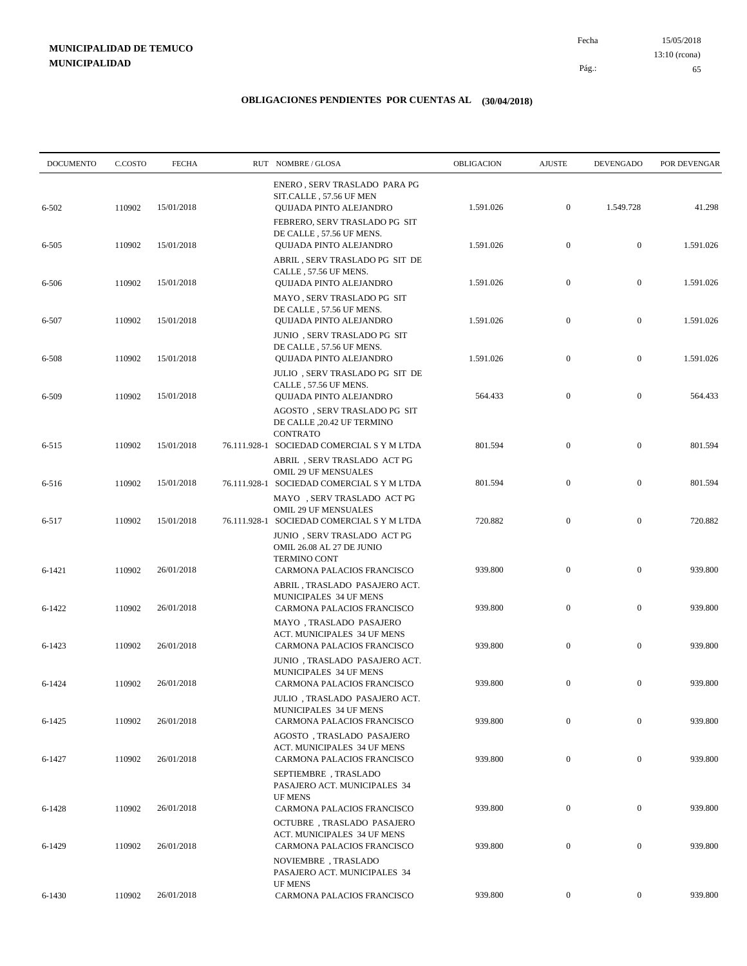15/05/2018 65 Pág.: Fecha 13:10 (rcona)

| <b>DOCUMENTO</b>   | C.COSTO          | <b>FECHA</b>             | RUT NOMBRE/GLOSA                                                                                                                                       | OBLIGACION         | <b>AJUSTE</b>    | <b>DEVENGADO</b> | POR DEVENGAR       |
|--------------------|------------------|--------------------------|--------------------------------------------------------------------------------------------------------------------------------------------------------|--------------------|------------------|------------------|--------------------|
| 6-502              | 110902           | 15/01/2018               | ENERO, SERV TRASLADO PARA PG<br>SIT.CALLE, 57.56 UF MEN<br>QUIJADA PINTO ALEJANDRO                                                                     | 1.591.026          | $\boldsymbol{0}$ | 1.549.728        | 41.298             |
| 6-505              | 110902           | 15/01/2018               | FEBRERO, SERV TRASLADO PG SIT<br>DE CALLE, 57.56 UF MENS.<br>QUIJADA PINTO ALEJANDRO                                                                   | 1.591.026          | $\boldsymbol{0}$ | $\boldsymbol{0}$ | 1.591.026          |
| 6-506              | 110902           | 15/01/2018               | ABRIL, SERV TRASLADO PG SIT DE<br>CALLE, 57.56 UF MENS.<br>QUIJADA PINTO ALEJANDRO                                                                     | 1.591.026          | $\boldsymbol{0}$ | $\mathbf{0}$     | 1.591.026          |
| 6-507              | 110902           | 15/01/2018               | MAYO, SERV TRASLADO PG SIT<br>DE CALLE, 57.56 UF MENS.<br>QUIJADA PINTO ALEJANDRO                                                                      | 1.591.026          | $\boldsymbol{0}$ | $\mathbf{0}$     | 1.591.026          |
| 6-508              | 110902           | 15/01/2018               | JUNIO, SERV TRASLADO PG SIT<br>DE CALLE, 57.56 UF MENS.<br>QUIJADA PINTO ALEJANDRO                                                                     | 1.591.026          | $\boldsymbol{0}$ | $\boldsymbol{0}$ | 1.591.026          |
| 6-509              | 110902           | 15/01/2018               | JULIO, SERV TRASLADO PG SIT DE<br>CALLE, 57.56 UF MENS.<br>QUIJADA PINTO ALEJANDRO                                                                     | 564.433            | $\mathbf{0}$     | $\mathbf{0}$     | 564.433            |
|                    |                  |                          | AGOSTO, SERV TRASLADO PG SIT<br>DE CALLE ,20.42 UF TERMINO<br><b>CONTRATO</b>                                                                          |                    | $\boldsymbol{0}$ | $\mathbf{0}$     |                    |
| $6 - 515$<br>6-516 | 110902<br>110902 | 15/01/2018<br>15/01/2018 | 76.111.928-1 SOCIEDAD COMERCIAL S Y M LTDA<br>ABRIL, SERV TRASLADO ACT PG<br><b>OMIL 29 UF MENSUALES</b><br>76.111.928-1 SOCIEDAD COMERCIAL S Y M LTDA | 801.594<br>801.594 | $\boldsymbol{0}$ | $\boldsymbol{0}$ | 801.594<br>801.594 |
| 6-517              | 110902           | 15/01/2018               | MAYO, SERV TRASLADO ACT PG<br>OMIL 29 UF MENSUALES<br>76.111.928-1 SOCIEDAD COMERCIAL S Y M LTDA                                                       | 720.882            | $\mathbf{0}$     | $\mathbf{0}$     | 720.882            |
|                    |                  |                          | JUNIO, SERV TRASLADO ACT PG<br>OMIL 26.08 AL 27 DE JUNIO<br><b>TERMINO CONT</b>                                                                        |                    |                  |                  |                    |
| 6-1421             | 110902           | 26/01/2018               | CARMONA PALACIOS FRANCISCO<br>ABRIL, TRASLADO PASAJERO ACT.<br>MUNICIPALES 34 UF MENS                                                                  | 939.800            | $\mathbf{0}$     | $\mathbf{0}$     | 939.800            |
| $6 - 1422$         | 110902           | 26/01/2018               | CARMONA PALACIOS FRANCISCO<br>MAYO, TRASLADO PASAJERO<br>ACT. MUNICIPALES 34 UF MENS                                                                   | 939.800            | $\boldsymbol{0}$ | $\mathbf{0}$     | 939.800            |
| $6 - 1423$         | 110902           | 26/01/2018               | CARMONA PALACIOS FRANCISCO<br>JUNIO, TRASLADO PASAJERO ACT.                                                                                            | 939.800            | $\mathbf{0}$     | $\mathbf{0}$     | 939.800            |
| 6-1424             | 110902           | 26/01/2018               | MUNICIPALES 34 UF MENS<br>CARMONA PALACIOS FRANCISCO<br>JULIO , TRASLADO PASAJERO ACT.                                                                 | 939.800            | $\mathbf{0}$     | $\mathbf{0}$     | 939.800            |
| 6-1425             | 110902           | 26/01/2018               | MUNICIPALES 34 UF MENS<br>CARMONA PALACIOS FRANCISCO<br>AGOSTO, TRASLADO PASAJERO                                                                      | 939.800            | $\mathbf{0}$     | $\mathbf{0}$     | 939.800            |
| 6-1427             | 110902           | 26/01/2018               | ACT. MUNICIPALES 34 UF MENS<br>CARMONA PALACIOS FRANCISCO<br>SEPTIEMBRE, TRASLADO                                                                      | 939.800            | $\boldsymbol{0}$ | $\boldsymbol{0}$ | 939.800            |
| 6-1428             | 110902           | 26/01/2018               | PASAJERO ACT. MUNICIPALES 34<br><b>UF MENS</b><br>CARMONA PALACIOS FRANCISCO                                                                           | 939.800            | $\boldsymbol{0}$ | $\boldsymbol{0}$ | 939.800            |
| 6-1429             | 110902           | 26/01/2018               | OCTUBRE, TRASLADO PASAJERO<br>ACT. MUNICIPALES 34 UF MENS<br>CARMONA PALACIOS FRANCISCO                                                                | 939.800            | $\boldsymbol{0}$ | $\boldsymbol{0}$ | 939.800            |
|                    |                  |                          | NOVIEMBRE, TRASLADO<br>PASAJERO ACT. MUNICIPALES 34<br><b>UF MENS</b>                                                                                  |                    |                  |                  |                    |
| 6-1430             | 110902           | 26/01/2018               | CARMONA PALACIOS FRANCISCO                                                                                                                             | 939.800            | $\boldsymbol{0}$ | $\boldsymbol{0}$ | 939.800            |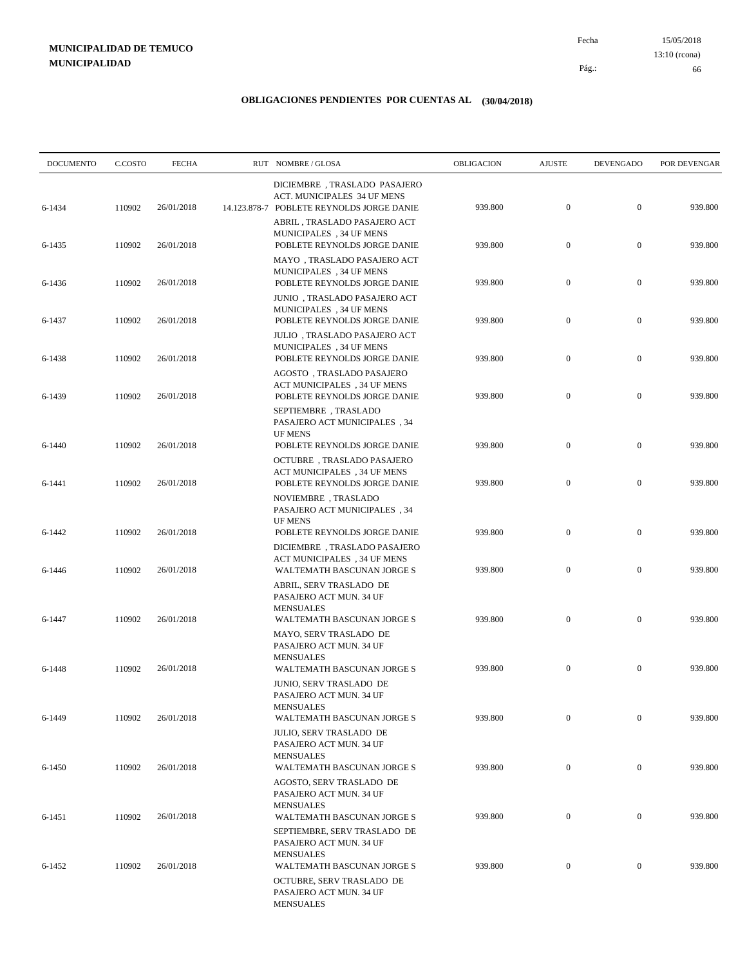15/05/2018 66 Pág.: Fecha 13:10 (rcona)

| <b>DOCUMENTO</b> | C.COSTO | <b>FECHA</b> | RUT NOMBRE/GLOSA                                                                                          | OBLIGACION | <b>AJUSTE</b>    | <b>DEVENGADO</b> | POR DEVENGAR |
|------------------|---------|--------------|-----------------------------------------------------------------------------------------------------------|------------|------------------|------------------|--------------|
| 6-1434           | 110902  | 26/01/2018   | DICIEMBRE, TRASLADO PASAJERO<br>ACT. MUNICIPALES 34 UF MENS<br>14.123.878-7 POBLETE REYNOLDS JORGE DANIE  | 939.800    | $\mathbf{0}$     | $\boldsymbol{0}$ | 939.800      |
| 6-1435           | 110902  | 26/01/2018   | ABRIL, TRASLADO PASAJERO ACT<br>MUNICIPALES, 34 UF MENS<br>POBLETE REYNOLDS JORGE DANIE                   | 939.800    | $\mathbf{0}$     | $\boldsymbol{0}$ | 939.800      |
| 6-1436           | 110902  | 26/01/2018   | MAYO, TRASLADO PASAJERO ACT<br>MUNICIPALES, 34 UF MENS<br>POBLETE REYNOLDS JORGE DANIE                    | 939.800    | $\boldsymbol{0}$ | $\mathbf{0}$     | 939.800      |
| 6-1437           | 110902  | 26/01/2018   | JUNIO, TRASLADO PASAJERO ACT<br>MUNICIPALES, 34 UF MENS<br>POBLETE REYNOLDS JORGE DANIE                   | 939.800    | $\mathbf{0}$     | $\mathbf{0}$     | 939.800      |
| 6-1438           | 110902  | 26/01/2018   | JULIO, TRASLADO PASAJERO ACT<br>MUNICIPALES, 34 UF MENS<br>POBLETE REYNOLDS JORGE DANIE                   | 939.800    | $\mathbf{0}$     | $\boldsymbol{0}$ | 939.800      |
| 6-1439           | 110902  | 26/01/2018   | AGOSTO, TRASLADO PASAJERO<br>ACT MUNICIPALES, 34 UF MENS<br>POBLETE REYNOLDS JORGE DANIE                  | 939.800    | $\boldsymbol{0}$ | $\mathbf{0}$     | 939.800      |
|                  |         |              | SEPTIEMBRE, TRASLADO<br><b>PASAJERO ACT MUNICIPALES</b> , 34<br><b>UF MENS</b>                            |            |                  |                  |              |
| $6 - 1440$       | 110902  | 26/01/2018   | POBLETE REYNOLDS JORGE DANIE<br><b>OCTUBRE</b> , TRASLADO PASAJERO<br>ACT MUNICIPALES, 34 UF MENS         | 939.800    | $\boldsymbol{0}$ | $\mathbf{0}$     | 939.800      |
| 6-1441           | 110902  | 26/01/2018   | POBLETE REYNOLDS JORGE DANIE<br>NOVIEMBRE, TRASLADO                                                       | 939.800    | $\boldsymbol{0}$ | $\mathbf{0}$     | 939.800      |
| 6-1442           | 110902  | 26/01/2018   | PASAJERO ACT MUNICIPALES, 34<br><b>UF MENS</b><br>POBLETE REYNOLDS JORGE DANIE                            | 939.800    | $\mathbf{0}$     | $\mathbf{0}$     | 939.800      |
| 6-1446           | 110902  | 26/01/2018   | DICIEMBRE, TRASLADO PASAJERO<br>ACT MUNICIPALES, 34 UF MENS<br>WALTEMATH BASCUNAN JORGE S                 | 939.800    | $\boldsymbol{0}$ | $\mathbf{0}$     | 939.800      |
|                  |         |              | ABRIL, SERV TRASLADO DE<br>PASAJERO ACT MUN. 34 UF<br><b>MENSUALES</b>                                    |            |                  |                  |              |
| 6-1447           | 110902  | 26/01/2018   | WALTEMATH BASCUNAN JORGE S<br>MAYO, SERV TRASLADO DE<br>PASAJERO ACT MUN. 34 UF                           | 939.800    | $\boldsymbol{0}$ | $\mathbf{0}$     | 939.800      |
| 6-1448           | 110902  | 26/01/2018   | <b>MENSUALES</b><br>WALTEMATH BASCUNAN JORGE S<br>JUNIO, SERV TRASLADO DE                                 | 939.800    | $\mathbf{0}$     | $\mathbf{0}$     | 939.800      |
| 6-1449           | 110902  | 26/01/2018   | PASAJERO ACT MUN. 34 UF<br><b>MENSUALES</b><br>WALTEMATH BASCUNAN JORGE S                                 | 939.800    | $\mathbf{0}$     | $\mathbf{0}$     | 939.800      |
|                  |         |              | JULIO, SERV TRASLADO DE<br>PASAJERO ACT MUN. 34 UF<br><b>MENSUALES</b>                                    |            |                  |                  |              |
| 6-1450           | 110902  | 26/01/2018   | WALTEMATH BASCUNAN JORGE S<br>AGOSTO, SERV TRASLADO DE<br>PASAJERO ACT MUN. 34 UF                         | 939.800    | $\boldsymbol{0}$ | $\mathbf{0}$     | 939.800      |
| 6-1451           | 110902  | 26/01/2018   | <b>MENSUALES</b><br>WALTEMATH BASCUNAN JORGE S                                                            | 939.800    | $\mathbf{0}$     | $\boldsymbol{0}$ | 939.800      |
| 6-1452           | 110902  | 26/01/2018   | SEPTIEMBRE, SERV TRASLADO DE<br>PASAJERO ACT MUN. 34 UF<br><b>MENSUALES</b><br>WALTEMATH BASCUNAN JORGE S | 939.800    | $\mathbf{0}$     | $\mathbf{0}$     | 939.800      |
|                  |         |              | OCTUBRE, SERV TRASLADO DE<br>PASAJERO ACT MUN. 34 UF<br><b>MENSUALES</b>                                  |            |                  |                  |              |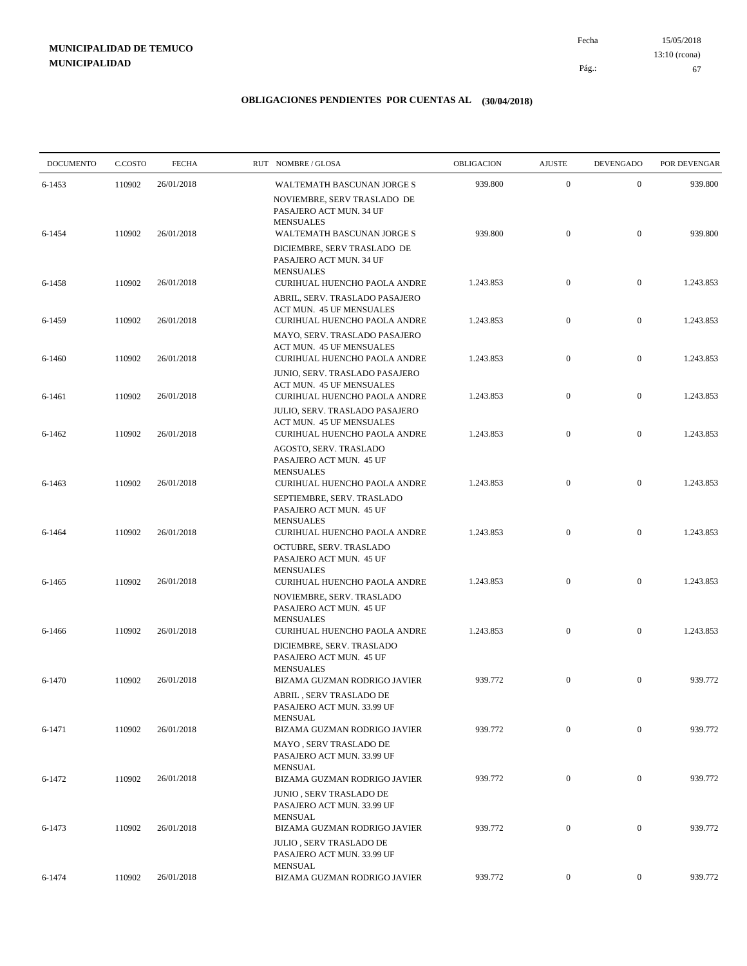15/05/2018 67 Pág.: Fecha 13:10 (rcona)

| <b>DOCUMENTO</b> | C.COSTO | <b>FECHA</b> | RUT NOMBRE/GLOSA                                                                                         | OBLIGACION | <b>AJUSTE</b>    | <b>DEVENGADO</b> | POR DEVENGAR |
|------------------|---------|--------------|----------------------------------------------------------------------------------------------------------|------------|------------------|------------------|--------------|
| 6-1453           | 110902  | 26/01/2018   | WALTEMATH BASCUNAN JORGE S<br>NOVIEMBRE, SERV TRASLADO DE                                                | 939.800    | $\boldsymbol{0}$ | $\mathbf{0}$     | 939.800      |
| 6-1454           | 110902  | 26/01/2018   | PASAJERO ACT MUN. 34 UF<br><b>MENSUALES</b><br>WALTEMATH BASCUNAN JORGE S<br>DICIEMBRE, SERV TRASLADO DE | 939.800    | $\boldsymbol{0}$ | $\boldsymbol{0}$ | 939.800      |
| 6-1458           | 110902  | 26/01/2018   | PASAJERO ACT MUN. 34 UF<br><b>MENSUALES</b><br>CURIHUAL HUENCHO PAOLA ANDRE                              | 1.243.853  | $\boldsymbol{0}$ | $\mathbf{0}$     | 1.243.853    |
| 6-1459           | 110902  | 26/01/2018   | ABRIL, SERV. TRASLADO PASAJERO<br>ACT MUN. 45 UF MENSUALES<br>CURIHUAL HUENCHO PAOLA ANDRE               | 1.243.853  | $\boldsymbol{0}$ | $\mathbf{0}$     | 1.243.853    |
|                  |         |              | MAYO, SERV. TRASLADO PASAJERO<br>ACT MUN. 45 UF MENSUALES                                                |            |                  |                  |              |
| 6-1460           | 110902  | 26/01/2018   | CURIHUAL HUENCHO PAOLA ANDRE<br>JUNIO, SERV. TRASLADO PASAJERO<br>ACT MUN. 45 UF MENSUALES               | 1.243.853  | $\boldsymbol{0}$ | $\mathbf{0}$     | 1.243.853    |
| 6-1461           | 110902  | 26/01/2018   | CURIHUAL HUENCHO PAOLA ANDRE<br>JULIO, SERV. TRASLADO PASAJERO<br>ACT MUN. 45 UF MENSUALES               | 1.243.853  | $\boldsymbol{0}$ | $\boldsymbol{0}$ | 1.243.853    |
| 6-1462           | 110902  | 26/01/2018   | CURIHUAL HUENCHO PAOLA ANDRE<br>AGOSTO, SERV. TRASLADO                                                   | 1.243.853  | $\boldsymbol{0}$ | $\mathbf{0}$     | 1.243.853    |
| 6-1463           | 110902  | 26/01/2018   | PASAJERO ACT MUN. 45 UF<br><b>MENSUALES</b><br>CURIHUAL HUENCHO PAOLA ANDRE                              | 1.243.853  | $\boldsymbol{0}$ | $\mathbf{0}$     | 1.243.853    |
|                  |         |              | SEPTIEMBRE, SERV. TRASLADO<br>PASAJERO ACT MUN. 45 UF<br><b>MENSUALES</b>                                |            |                  |                  |              |
| 6-1464           | 110902  | 26/01/2018   | CURIHUAL HUENCHO PAOLA ANDRE<br>OCTUBRE, SERV. TRASLADO                                                  | 1.243.853  | $\boldsymbol{0}$ | $\mathbf{0}$     | 1.243.853    |
| 6-1465           | 110902  | 26/01/2018   | PASAJERO ACT MUN. 45 UF<br><b>MENSUALES</b><br>CURIHUAL HUENCHO PAOLA ANDRE                              | 1.243.853  | $\boldsymbol{0}$ | $\mathbf{0}$     | 1.243.853    |
|                  |         |              | NOVIEMBRE, SERV. TRASLADO<br>PASAJERO ACT MUN. 45 UF<br><b>MENSUALES</b>                                 |            |                  |                  |              |
| 6-1466           | 110902  | 26/01/2018   | CURIHUAL HUENCHO PAOLA ANDRE<br>DICIEMBRE, SERV. TRASLADO<br>PASAJERO ACT MUN. 45 UF                     | 1.243.853  | $\boldsymbol{0}$ | $\mathbf{0}$     | 1.243.853    |
| 6-1470           | 110902  | 26/01/2018   | <b>MENSUALES</b><br>BIZAMA GUZMAN RODRIGO JAVIER<br>ABRIL, SERV TRASLADO DE                              | 939.772    | $\boldsymbol{0}$ | $\mathbf{0}$     | 939.772      |
| 6-1471           | 110902  | 26/01/2018   | PASAJERO ACT MUN. 33.99 UF<br><b>MENSUAL</b><br>BIZAMA GUZMAN RODRIGO JAVIER                             | 939.772    | $\boldsymbol{0}$ | $\boldsymbol{0}$ | 939.772      |
|                  |         |              | MAYO, SERV TRASLADO DE<br>PASAJERO ACT MUN. 33.99 UF                                                     |            |                  |                  |              |
| 6-1472           | 110902  | 26/01/2018   | <b>MENSUAL</b><br>BIZAMA GUZMAN RODRIGO JAVIER<br>JUNIO, SERV TRASLADO DE                                | 939.772    | $\boldsymbol{0}$ | $\boldsymbol{0}$ | 939.772      |
| 6-1473           | 110902  | 26/01/2018   | PASAJERO ACT MUN. 33.99 UF<br><b>MENSUAL</b><br>BIZAMA GUZMAN RODRIGO JAVIER                             | 939.772    | $\mathbf{0}$     | $\boldsymbol{0}$ | 939.772      |
|                  |         |              | <b>JULIO, SERV TRASLADO DE</b><br>PASAJERO ACT MUN. 33.99 UF<br><b>MENSUAL</b>                           |            |                  |                  |              |
| 6-1474           | 110902  | 26/01/2018   | BIZAMA GUZMAN RODRIGO JAVIER                                                                             | 939.772    | $\mathbf{0}$     | $\boldsymbol{0}$ | 939.772      |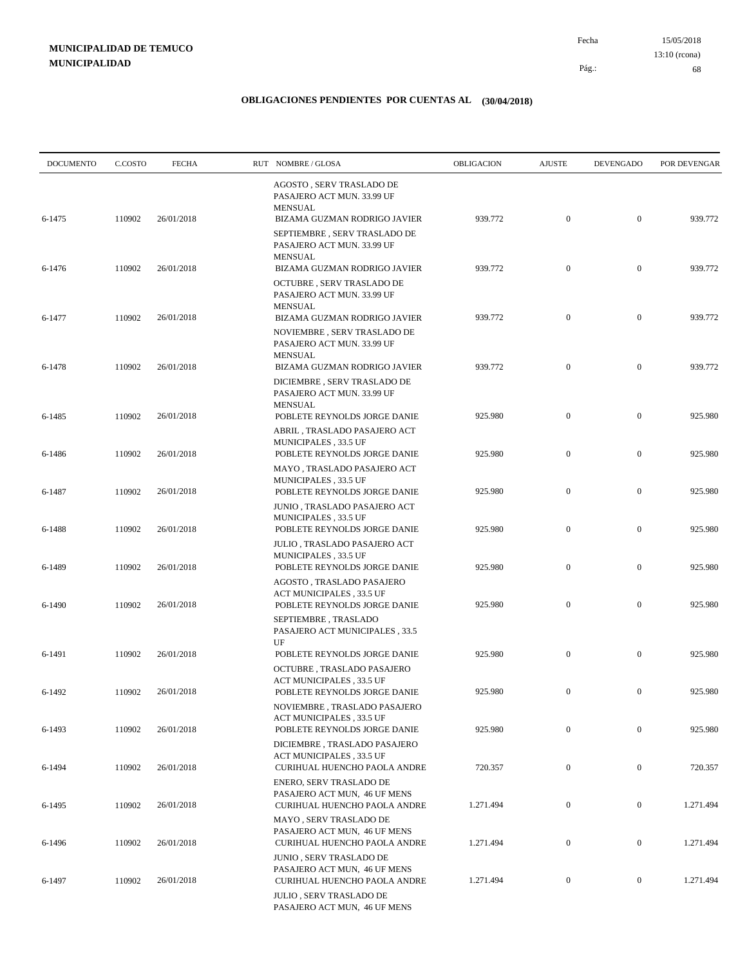15/05/2018 68 Pág.: Fecha 13:10 (rcona)

| <b>DOCUMENTO</b> | C.COSTO | <b>FECHA</b> | RUT NOMBRE/GLOSA                                                                                                     | OBLIGACION | <b>AJUSTE</b>    | <b>DEVENGADO</b> | POR DEVENGAR |
|------------------|---------|--------------|----------------------------------------------------------------------------------------------------------------------|------------|------------------|------------------|--------------|
| 6-1475           | 110902  | 26/01/2018   | AGOSTO, SERV TRASLADO DE<br>PASAJERO ACT MUN. 33.99 UF<br><b>MENSUAL</b><br>BIZAMA GUZMAN RODRIGO JAVIER             | 939.772    | $\mathbf{0}$     | $\boldsymbol{0}$ | 939.772      |
|                  |         |              | SEPTIEMBRE, SERV TRASLADO DE<br>PASAJERO ACT MUN. 33.99 UF<br><b>MENSUAL</b>                                         |            |                  |                  |              |
| 6-1476           | 110902  | 26/01/2018   | BIZAMA GUZMAN RODRIGO JAVIER<br>OCTUBRE, SERV TRASLADO DE<br>PASAJERO ACT MUN. 33.99 UF                              | 939.772    | $\boldsymbol{0}$ | $\boldsymbol{0}$ | 939.772      |
| 6-1477           | 110902  | 26/01/2018   | <b>MENSUAL</b><br>BIZAMA GUZMAN RODRIGO JAVIER<br>NOVIEMBRE, SERV TRASLADO DE<br>PASAJERO ACT MUN. 33.99 UF          | 939.772    | $\boldsymbol{0}$ | $\boldsymbol{0}$ | 939.772      |
| 6-1478           | 110902  | 26/01/2018   | <b>MENSUAL</b><br>BIZAMA GUZMAN RODRIGO JAVIER<br>DICIEMBRE, SERV TRASLADO DE                                        | 939.772    | $\mathbf{0}$     | $\mathbf{0}$     | 939.772      |
| 6-1485           | 110902  | 26/01/2018   | PASAJERO ACT MUN. 33.99 UF<br><b>MENSUAL</b><br>POBLETE REYNOLDS JORGE DANIE                                         | 925.980    | $\mathbf{0}$     | $\boldsymbol{0}$ | 925.980      |
| 6-1486           | 110902  | 26/01/2018   | ABRIL , TRASLADO PASAJERO ACT<br>MUNICIPALES, 33.5 UF<br>POBLETE REYNOLDS JORGE DANIE<br>MAYO, TRASLADO PASAJERO ACT | 925.980    | $\mathbf{0}$     | $\mathbf{0}$     | 925.980      |
| 6-1487           | 110902  | 26/01/2018   | <b>MUNICIPALES, 33.5 UF</b><br>POBLETE REYNOLDS JORGE DANIE<br>JUNIO , TRASLADO PASAJERO ACT                         | 925.980    | $\boldsymbol{0}$ | $\boldsymbol{0}$ | 925.980      |
| 6-1488           | 110902  | 26/01/2018   | MUNICIPALES, 33.5 UF<br>POBLETE REYNOLDS JORGE DANIE<br>JULIO , TRASLADO PASAJERO ACT                                | 925.980    | $\mathbf{0}$     | $\boldsymbol{0}$ | 925.980      |
| 6-1489           | 110902  | 26/01/2018   | MUNICIPALES, 33.5 UF<br>POBLETE REYNOLDS JORGE DANIE<br>AGOSTO, TRASLADO PASAJERO                                    | 925.980    | $\mathbf{0}$     | $\boldsymbol{0}$ | 925.980      |
| 6-1490           | 110902  | 26/01/2018   | ACT MUNICIPALES, 33.5 UF<br>POBLETE REYNOLDS JORGE DANIE<br>SEPTIEMBRE, TRASLADO<br>PASAJERO ACT MUNICIPALES, 33.5   | 925.980    | $\boldsymbol{0}$ | $\boldsymbol{0}$ | 925.980      |
| 6-1491           | 110902  | 26/01/2018   | UF<br>POBLETE REYNOLDS JORGE DANIE<br>OCTUBRE, TRASLADO PASAJERO<br>ACT MUNICIPALES, 33.5 UF                         | 925.980    | $\mathbf{0}$     | $\boldsymbol{0}$ | 925.980      |
| 6-1492           | 110902  | 26/01/2018   | POBLETE REYNOLDS JORGE DANIE<br>NOVIEMBRE, TRASLADO PASAJERO                                                         | 925.980    | $\mathbf{0}$     | $\boldsymbol{0}$ | 925.980      |
| 6-1493           | 110902  | 26/01/2018   | ACT MUNICIPALES, 33.5 UF<br>POBLETE REYNOLDS JORGE DANIE<br>DICIEMBRE, TRASLADO PASAJERO                             | 925.980    | $\boldsymbol{0}$ | $\boldsymbol{0}$ | 925.980      |
| 6-1494           | 110902  | 26/01/2018   | ACT MUNICIPALES, 33.5 UF<br>CURIHUAL HUENCHO PAOLA ANDRE<br><b>ENERO, SERV TRASLADO DE</b>                           | 720.357    | $\mathbf{0}$     | $\boldsymbol{0}$ | 720.357      |
| 6-1495           | 110902  | 26/01/2018   | PASAJERO ACT MUN, 46 UF MENS<br>CURIHUAL HUENCHO PAOLA ANDRE<br>MAYO, SERV TRASLADO DE                               | 1.271.494  | $\boldsymbol{0}$ | $\boldsymbol{0}$ | 1.271.494    |
| 6-1496           | 110902  | 26/01/2018   | PASAJERO ACT MUN, 46 UF MENS<br>CURIHUAL HUENCHO PAOLA ANDRE<br>JUNIO, SERV TRASLADO DE                              | 1.271.494  | $\boldsymbol{0}$ | $\boldsymbol{0}$ | 1.271.494    |
| 6-1497           | 110902  | 26/01/2018   | PASAJERO ACT MUN, 46 UF MENS<br>CURIHUAL HUENCHO PAOLA ANDRE                                                         | 1.271.494  | $\boldsymbol{0}$ | $\boldsymbol{0}$ | 1.271.494    |
|                  |         |              | JULIO, SERV TRASLADO DE<br>PASAJERO ACT MUN, 46 UF MENS                                                              |            |                  |                  |              |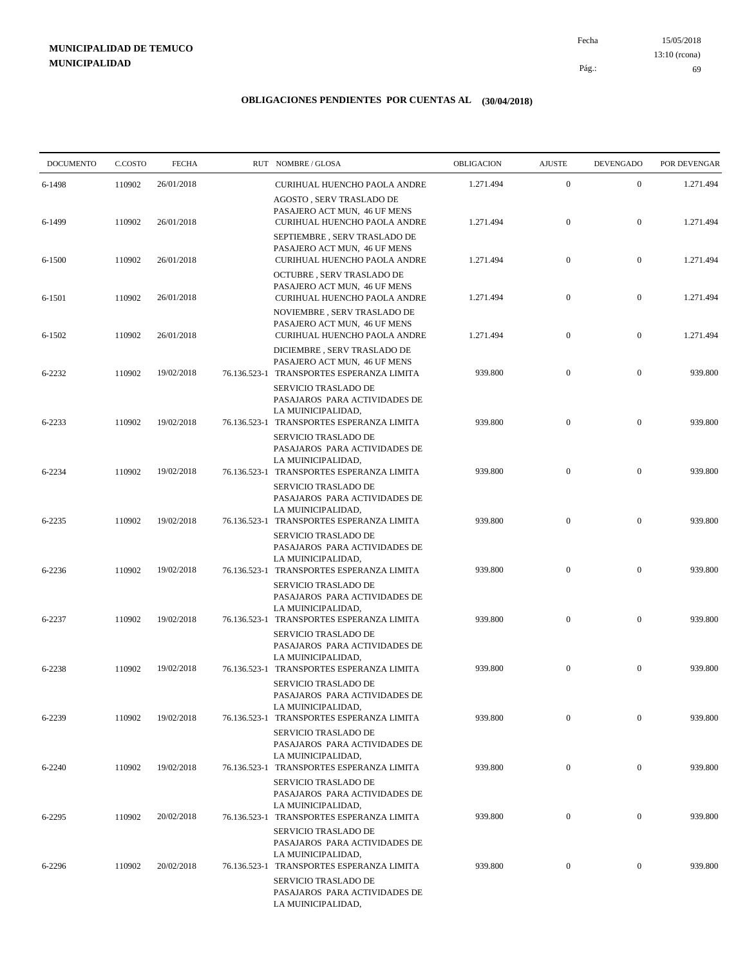15/05/2018 69 Pág.: Fecha 13:10 (rcona)

| <b>DOCUMENTO</b> | C.COSTO | <b>FECHA</b> | RUT NOMBRE/GLOSA                                                                                                                | OBLIGACION | <b>AJUSTE</b>    | <b>DEVENGADO</b> | POR DEVENGAR |
|------------------|---------|--------------|---------------------------------------------------------------------------------------------------------------------------------|------------|------------------|------------------|--------------|
| 6-1498           | 110902  | 26/01/2018   | CURIHUAL HUENCHO PAOLA ANDRE                                                                                                    | 1.271.494  | $\boldsymbol{0}$ | $\boldsymbol{0}$ | 1.271.494    |
| 6-1499           | 110902  | 26/01/2018   | AGOSTO, SERV TRASLADO DE<br>PASAJERO ACT MUN, 46 UF MENS<br>CURIHUAL HUENCHO PAOLA ANDRE                                        | 1.271.494  | $\boldsymbol{0}$ | $\mathbf{0}$     | 1.271.494    |
| 6-1500           | 110902  | 26/01/2018   | SEPTIEMBRE, SERV TRASLADO DE<br>PASAJERO ACT MUN, 46 UF MENS<br>CURIHUAL HUENCHO PAOLA ANDRE                                    | 1.271.494  | $\boldsymbol{0}$ | $\mathbf{0}$     | 1.271.494    |
| 6-1501           | 110902  | 26/01/2018   | OCTUBRE, SERV TRASLADO DE<br>PASAJERO ACT MUN, 46 UF MENS<br>CURIHUAL HUENCHO PAOLA ANDRE                                       | 1.271.494  | $\boldsymbol{0}$ | $\mathbf{0}$     | 1.271.494    |
| 6-1502           | 110902  | 26/01/2018   | NOVIEMBRE, SERV TRASLADO DE<br>PASAJERO ACT MUN, 46 UF MENS<br>CURIHUAL HUENCHO PAOLA ANDRE                                     | 1.271.494  | $\boldsymbol{0}$ | $\mathbf{0}$     | 1.271.494    |
| 6-2232           | 110902  | 19/02/2018   | DICIEMBRE, SERV TRASLADO DE<br>PASAJERO ACT MUN, 46 UF MENS<br>76.136.523-1 TRANSPORTES ESPERANZA LIMITA                        | 939.800    | $\mathbf{0}$     | $\boldsymbol{0}$ | 939.800      |
| 6-2233           | 110902  | 19/02/2018   | SERVICIO TRASLADO DE<br>PASAJAROS PARA ACTIVIDADES DE<br>LA MUINICIPALIDAD,<br>76.136.523-1 TRANSPORTES ESPERANZA LIMITA        | 939.800    | $\boldsymbol{0}$ | $\boldsymbol{0}$ | 939.800      |
| 6-2234           | 110902  | 19/02/2018   | <b>SERVICIO TRASLADO DE</b><br>PASAJAROS PARA ACTIVIDADES DE<br>LA MUINICIPALIDAD,<br>76.136.523-1 TRANSPORTES ESPERANZA LIMITA | 939.800    | $\mathbf{0}$     | $\mathbf{0}$     | 939.800      |
| 6-2235           | 110902  | 19/02/2018   | SERVICIO TRASLADO DE<br>PASAJAROS PARA ACTIVIDADES DE<br>LA MUINICIPALIDAD,<br>76.136.523-1 TRANSPORTES ESPERANZA LIMITA        | 939.800    | $\boldsymbol{0}$ | $\mathbf{0}$     | 939.800      |
| 6-2236           | 110902  | 19/02/2018   | SERVICIO TRASLADO DE<br>PASAJAROS PARA ACTIVIDADES DE<br>LA MUINICIPALIDAD,<br>76.136.523-1 TRANSPORTES ESPERANZA LIMITA        | 939.800    | $\boldsymbol{0}$ | $\mathbf{0}$     | 939.800      |
|                  |         |              | SERVICIO TRASLADO DE<br>PASAJAROS PARA ACTIVIDADES DE<br>LA MUINICIPALIDAD,                                                     |            |                  |                  |              |
| 6-2237           | 110902  | 19/02/2018   | 76.136.523-1 TRANSPORTES ESPERANZA LIMITA<br><b>SERVICIO TRASLADO DE</b><br>PASAJAROS PARA ACTIVIDADES DE                       | 939.800    | $\boldsymbol{0}$ | $\mathbf{0}$     | 939.800      |
| 6-2238           | 110902  | 19/02/2018   | LA MUINICIPALIDAD,<br>76.136.523-1 TRANSPORTES ESPERANZA LIMITA<br>SERVICIO TRASLADO DE                                         | 939.800    | $\mathbf{0}$     | $\mathbf{0}$     | 939.800      |
| 6-2239           | 110902  | 19/02/2018   | PASAJAROS PARA ACTIVIDADES DE<br>LA MUINICIPALIDAD,<br>76.136.523-1 TRANSPORTES ESPERANZA LIMITA                                | 939.800    | $\mathbf{0}$     | $\mathbf{0}$     | 939.800      |
| 6-2240           | 110902  | 19/02/2018   | SERVICIO TRASLADO DE<br>PASAJAROS PARA ACTIVIDADES DE<br>LA MUINICIPALIDAD,<br>76.136.523-1 TRANSPORTES ESPERANZA LIMITA        | 939.800    | $\boldsymbol{0}$ | $\mathbf{0}$     | 939.800      |
| 6-2295           | 110902  | 20/02/2018   | <b>SERVICIO TRASLADO DE</b><br>PASAJAROS PARA ACTIVIDADES DE<br>LA MUINICIPALIDAD,<br>76.136.523-1 TRANSPORTES ESPERANZA LIMITA | 939.800    | $\mathbf{0}$     | $\mathbf{0}$     | 939.800      |
|                  |         |              | SERVICIO TRASLADO DE<br>PASAJAROS PARA ACTIVIDADES DE<br>LA MUINICIPALIDAD,                                                     |            |                  |                  |              |
| 6-2296           | 110902  | 20/02/2018   | 76.136.523-1 TRANSPORTES ESPERANZA LIMITA<br>SERVICIO TRASLADO DE<br>PASAJAROS PARA ACTIVIDADES DE<br>LA MUINICIPALIDAD,        | 939.800    | $\mathbf{0}$     | $\mathbf{0}$     | 939.800      |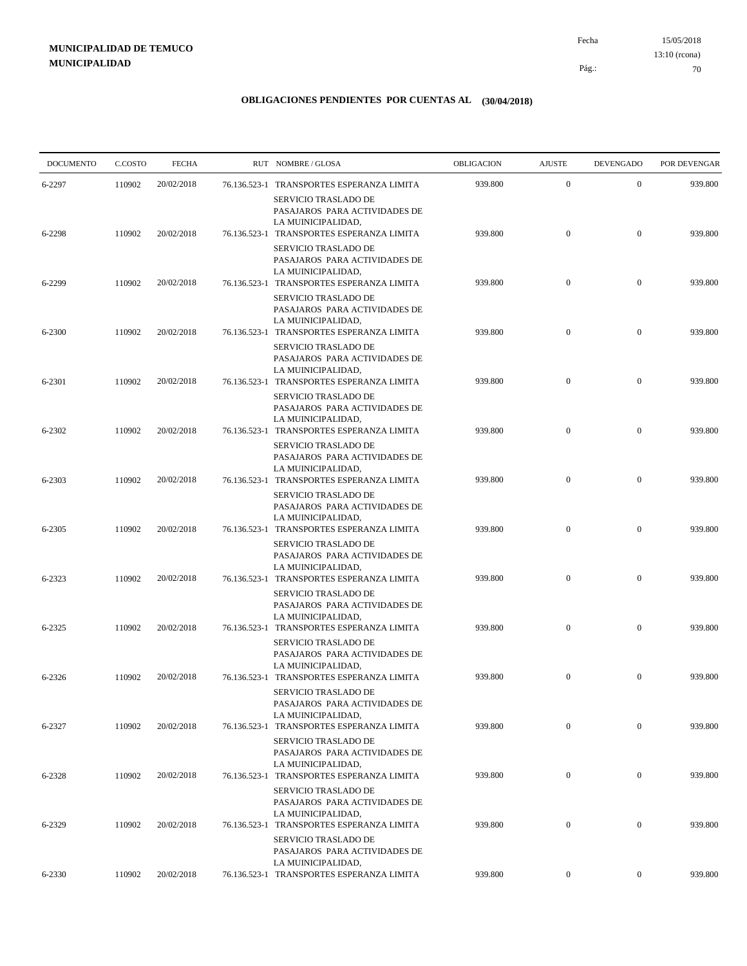15/05/2018 70 Pág.: Fecha 13:10 (rcona)

| <b>DOCUMENTO</b> | C.COSTO | <b>FECHA</b> | RUT NOMBRE/GLOSA                                                                                                                | <b>OBLIGACION</b> | <b>AJUSTE</b>    | <b>DEVENGADO</b> | POR DEVENGAR |
|------------------|---------|--------------|---------------------------------------------------------------------------------------------------------------------------------|-------------------|------------------|------------------|--------------|
| 6-2297           | 110902  | 20/02/2018   | 76.136.523-1 TRANSPORTES ESPERANZA LIMITA                                                                                       | 939.800           | $\boldsymbol{0}$ | $\mathbf{0}$     | 939.800      |
| 6-2298           | 110902  | 20/02/2018   | <b>SERVICIO TRASLADO DE</b><br>PASAJAROS PARA ACTIVIDADES DE<br>LA MUINICIPALIDAD,<br>76.136.523-1 TRANSPORTES ESPERANZA LIMITA | 939.800           | $\boldsymbol{0}$ | $\mathbf{0}$     | 939.800      |
|                  |         |              | SERVICIO TRASLADO DE<br>PASAJAROS PARA ACTIVIDADES DE<br>LA MUINICIPALIDAD,                                                     |                   |                  |                  |              |
| 6-2299           | 110902  | 20/02/2018   | 76.136.523-1 TRANSPORTES ESPERANZA LIMITA<br>SERVICIO TRASLADO DE<br>PASAJAROS PARA ACTIVIDADES DE                              | 939.800           | $\mathbf{0}$     | $\mathbf{0}$     | 939.800      |
| 6-2300           | 110902  | 20/02/2018   | LA MUINICIPALIDAD,<br>76.136.523-1 TRANSPORTES ESPERANZA LIMITA<br>SERVICIO TRASLADO DE                                         | 939.800           | $\mathbf{0}$     | $\mathbf{0}$     | 939.800      |
| 6-2301           | 110902  | 20/02/2018   | PASAJAROS PARA ACTIVIDADES DE<br>LA MUINICIPALIDAD,<br>76.136.523-1 TRANSPORTES ESPERANZA LIMITA                                | 939.800           | $\mathbf{0}$     | $\mathbf{0}$     | 939.800      |
| 6-2302           | 110902  | 20/02/2018   | SERVICIO TRASLADO DE<br>PASAJAROS PARA ACTIVIDADES DE<br>LA MUINICIPALIDAD,<br>76.136.523-1 TRANSPORTES ESPERANZA LIMITA        | 939.800           | $\boldsymbol{0}$ | $\mathbf{0}$     | 939.800      |
|                  |         |              | SERVICIO TRASLADO DE<br>PASAJAROS PARA ACTIVIDADES DE<br>LA MUINICIPALIDAD,                                                     |                   |                  |                  |              |
| 6-2303           | 110902  | 20/02/2018   | 76.136.523-1 TRANSPORTES ESPERANZA LIMITA<br>SERVICIO TRASLADO DE<br>PASAJAROS PARA ACTIVIDADES DE                              | 939.800           | $\boldsymbol{0}$ | $\mathbf{0}$     | 939.800      |
| 6-2305           | 110902  | 20/02/2018   | LA MUINICIPALIDAD,<br>76.136.523-1 TRANSPORTES ESPERANZA LIMITA<br>SERVICIO TRASLADO DE                                         | 939.800           | $\mathbf{0}$     | $\mathbf{0}$     | 939.800      |
| 6-2323           | 110902  | 20/02/2018   | PASAJAROS PARA ACTIVIDADES DE<br>LA MUINICIPALIDAD,<br>76.136.523-1 TRANSPORTES ESPERANZA LIMITA                                | 939.800           | $\mathbf{0}$     | $\mathbf{0}$     | 939.800      |
| 6-2325           | 110902  | 20/02/2018   | SERVICIO TRASLADO DE<br>PASAJAROS PARA ACTIVIDADES DE<br>LA MUINICIPALIDAD,<br>76.136.523-1 TRANSPORTES ESPERANZA LIMITA        | 939.800           | $\mathbf{0}$     | $\overline{0}$   | 939.800      |
|                  |         |              | <b>SERVICIO TRASLADO DE</b><br>PASAJAROS PARA ACTIVIDADES DE<br>LA MUINICIPALIDAD,                                              |                   |                  |                  |              |
| 6-2326           | 110902  | 20/02/2018   | 76.136.523-1 TRANSPORTES ESPERANZA LIMITA<br>SERVICIO TRASLADO DE<br>PASAJAROS PARA ACTIVIDADES DE                              | 939.800           | $\mathbf{0}$     | $\mathbf{0}$     | 939.800      |
| 6-2327           | 110902  | 20/02/2018   | LA MUINICIPALIDAD,<br>76.136.523-1 TRANSPORTES ESPERANZA LIMITA                                                                 | 939.800           | $\mathbf{0}$     | $\mathbf{0}$     | 939.800      |
| 6-2328           | 110902  | 20/02/2018   | SERVICIO TRASLADO DE<br>PASAJAROS PARA ACTIVIDADES DE<br>LA MUINICIPALIDAD,<br>76.136.523-1 TRANSPORTES ESPERANZA LIMITA        | 939.800           | $\bf{0}$         | $\mathbf{0}$     | 939.800      |
|                  |         |              | SERVICIO TRASLADO DE<br>PASAJAROS PARA ACTIVIDADES DE<br>LA MUINICIPALIDAD,                                                     |                   |                  |                  |              |
| 6-2329           | 110902  | 20/02/2018   | 76.136.523-1 TRANSPORTES ESPERANZA LIMITA<br><b>SERVICIO TRASLADO DE</b><br>PASAJAROS PARA ACTIVIDADES DE                       | 939.800           | $\boldsymbol{0}$ | $\mathbf{0}$     | 939.800      |
| 6-2330           | 110902  | 20/02/2018   | LA MUINICIPALIDAD,<br>76.136.523-1 TRANSPORTES ESPERANZA LIMITA                                                                 | 939.800           | $\overline{0}$   | $\boldsymbol{0}$ | 939.800      |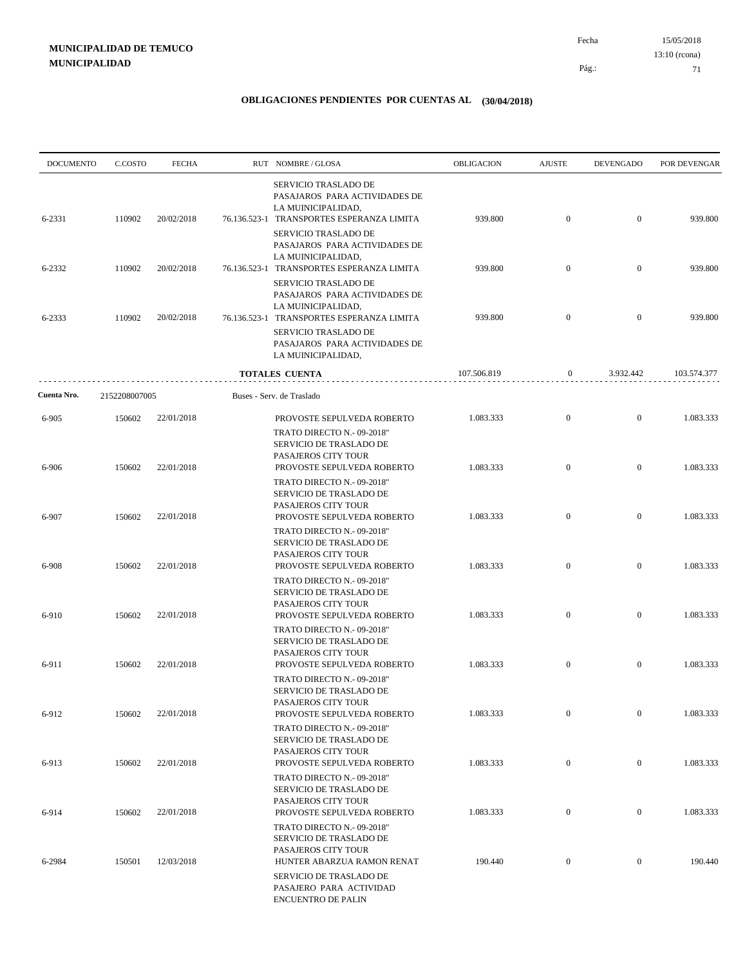| <b>DOCUMENTO</b> | C.COSTO       | <b>FECHA</b> | RUT NOMBRE/GLOSA                                                                                                                | OBLIGACION  | <b>AJUSTE</b>    | <b>DEVENGADO</b> | POR DEVENGAR |
|------------------|---------------|--------------|---------------------------------------------------------------------------------------------------------------------------------|-------------|------------------|------------------|--------------|
| 6-2331           | 110902        | 20/02/2018   | <b>SERVICIO TRASLADO DE</b><br>PASAJAROS PARA ACTIVIDADES DE<br>LA MUINICIPALIDAD,<br>76.136.523-1 TRANSPORTES ESPERANZA LIMITA | 939.800     | $\boldsymbol{0}$ | $\overline{0}$   | 939.800      |
|                  |               |              | SERVICIO TRASLADO DE<br>PASAJAROS PARA ACTIVIDADES DE<br>LA MUINICIPALIDAD,                                                     |             |                  |                  |              |
| 6-2332           | 110902        | 20/02/2018   | 76.136.523-1 TRANSPORTES ESPERANZA LIMITA<br><b>SERVICIO TRASLADO DE</b><br>PASAJAROS PARA ACTIVIDADES DE                       | 939.800     | $\overline{0}$   | $\overline{0}$   | 939.800      |
| 6-2333           | 110902        | 20/02/2018   | LA MUINICIPALIDAD.<br>76.136.523-1 TRANSPORTES ESPERANZA LIMITA<br>SERVICIO TRASLADO DE<br>PASAJAROS PARA ACTIVIDADES DE        | 939.800     | $\overline{0}$   | $\overline{0}$   | 939.800      |
|                  |               |              | LA MUINICIPALIDAD,                                                                                                              |             |                  |                  |              |
|                  |               |              | <b>TOTALES CUENTA</b>                                                                                                           | 107.506.819 | 0                | 3.932.442        | 103.574.377  |
| Cuenta Nro.      | 2152208007005 |              | Buses - Serv. de Traslado                                                                                                       |             |                  |                  |              |
| 6-905            | 150602        | 22/01/2018   | PROVOSTE SEPULVEDA ROBERTO<br>TRATO DIRECTO N.-09-2018"                                                                         | 1.083.333   | $\boldsymbol{0}$ | $\mathbf{0}$     | 1.083.333    |
| 6-906            | 150602        | 22/01/2018   | SERVICIO DE TRASLADO DE<br>PASAJEROS CITY TOUR<br>PROVOSTE SEPULVEDA ROBERTO                                                    | 1.083.333   | $\boldsymbol{0}$ | $\overline{0}$   | 1.083.333    |
|                  |               |              | TRATO DIRECTO N.- 09-2018"<br>SERVICIO DE TRASLADO DE<br>PASAJEROS CITY TOUR                                                    |             |                  |                  |              |
| 6-907            | 150602        | 22/01/2018   | PROVOSTE SEPULVEDA ROBERTO<br>TRATO DIRECTO N.- 09-2018"<br>SERVICIO DE TRASLADO DE                                             | 1.083.333   | $\overline{0}$   | $\mathbf{0}$     | 1.083.333    |
| 6-908            | 150602        | 22/01/2018   | PASAJEROS CITY TOUR<br>PROVOSTE SEPULVEDA ROBERTO<br>TRATO DIRECTO N.- 09-2018"<br>SERVICIO DE TRASLADO DE                      | 1.083.333   | $\boldsymbol{0}$ | $\mathbf{0}$     | 1.083.333    |
| 6-910            | 150602        | 22/01/2018   | PASAJEROS CITY TOUR<br>PROVOSTE SEPULVEDA ROBERTO                                                                               | 1.083.333   | $\overline{0}$   | $\overline{0}$   | 1.083.333    |
|                  |               |              | TRATO DIRECTO N.- 09-2018"<br>SERVICIO DE TRASLADO DE<br>PASAJEROS CITY TOUR                                                    |             |                  |                  |              |
| 6-911            | 150602        | 22/01/2018   | PROVOSTE SEPULVEDA ROBERTO<br>TRATO DIRECTO N.- 09-2018"<br>SERVICIO DE TRASLADO DE                                             | 1.083.333   | $\boldsymbol{0}$ | $\mathbf{0}$     | 1.083.333    |
| 6-912            | 150602        | 22/01/2018   | PASAJEROS CITY TOUR<br>PROVOSTE SEPULVEDA ROBERTO                                                                               | 1.083.333   | $\mathbf{0}$     | $\boldsymbol{0}$ | 1.083.333    |
|                  |               |              | TRATO DIRECTO N.- 09-2018"<br>SERVICIO DE TRASLADO DE<br>PASAJEROS CITY TOUR                                                    |             |                  |                  |              |
| 6-913            | 150602        | 22/01/2018   | PROVOSTE SEPULVEDA ROBERTO<br>TRATO DIRECTO N.- 09-2018"<br>SERVICIO DE TRASLADO DE                                             | 1.083.333   | $\boldsymbol{0}$ | $\boldsymbol{0}$ | 1.083.333    |
| 6-914            | 150602        | 22/01/2018   | PASAJEROS CITY TOUR<br>PROVOSTE SEPULVEDA ROBERTO<br>TRATO DIRECTO N.- 09-2018"                                                 | 1.083.333   | $\boldsymbol{0}$ | $\boldsymbol{0}$ | 1.083.333    |
| 6-2984           | 150501        | 12/03/2018   | SERVICIO DE TRASLADO DE<br>PASAJEROS CITY TOUR<br>HUNTER ABARZUA RAMON RENAT                                                    | 190.440     | $\boldsymbol{0}$ | $\boldsymbol{0}$ | 190.440      |
|                  |               |              | SERVICIO DE TRASLADO DE<br>PASAJERO PARA ACTIVIDAD<br><b>ENCUENTRO DE PALIN</b>                                                 |             |                  |                  |              |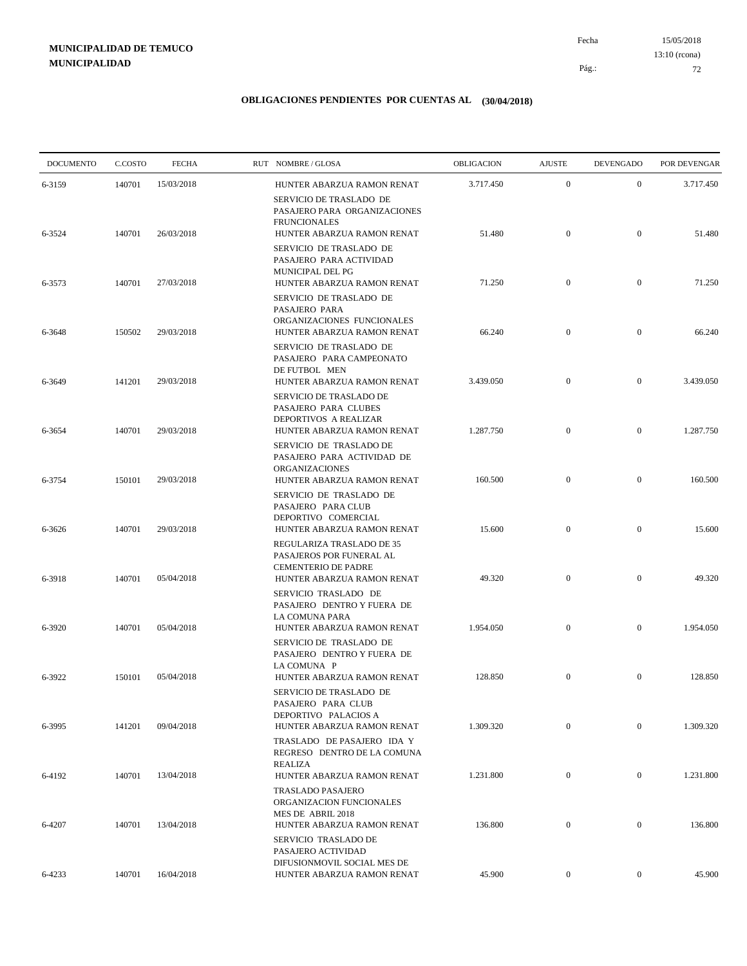15/05/2018 72 Pág.: Fecha 13:10 (rcona)

| <b>DOCUMENTO</b> | C.COSTO | <b>FECHA</b> | RUT NOMBRE/GLOSA                                                                                             | OBLIGACION | <b>AJUSTE</b>    | <b>DEVENGADO</b> | POR DEVENGAR |
|------------------|---------|--------------|--------------------------------------------------------------------------------------------------------------|------------|------------------|------------------|--------------|
| 6-3159           | 140701  | 15/03/2018   | HUNTER ABARZUA RAMON RENAT                                                                                   | 3.717.450  | $\boldsymbol{0}$ | $\mathbf{0}$     | 3.717.450    |
| 6-3524           | 140701  | 26/03/2018   | SERVICIO DE TRASLADO DE<br>PASAJERO PARA ORGANIZACIONES<br><b>FRUNCIONALES</b><br>HUNTER ABARZUA RAMON RENAT | 51.480     | $\boldsymbol{0}$ | $\mathbf{0}$     | 51.480       |
|                  | 140701  | 27/03/2018   | SERVICIO DE TRASLADO DE<br>PASAJERO PARA ACTIVIDAD<br>MUNICIPAL DEL PG<br>HUNTER ABARZUA RAMON RENAT         | 71.250     | $\boldsymbol{0}$ | $\mathbf{0}$     | 71.250       |
| 6-3573           |         |              | SERVICIO DE TRASLADO DE<br>PASAJERO PARA<br>ORGANIZACIONES FUNCIONALES                                       |            |                  |                  |              |
| 6-3648           | 150502  | 29/03/2018   | HUNTER ABARZUA RAMON RENAT<br>SERVICIO DE TRASLADO DE<br>PASAJERO PARA CAMPEONATO<br>DE FUTBOL MEN           | 66.240     | $\mathbf{0}$     | $\mathbf{0}$     | 66.240       |
| 6-3649           | 141201  | 29/03/2018   | HUNTER ABARZUA RAMON RENAT<br>SERVICIO DE TRASLADO DE<br>PASAJERO PARA CLUBES                                | 3.439.050  | $\boldsymbol{0}$ | $\mathbf{0}$     | 3.439.050    |
| 6-3654           | 140701  | 29/03/2018   | DEPORTIVOS A REALIZAR<br>HUNTER ABARZUA RAMON RENAT<br>SERVICIO DE TRASLADO DE                               | 1.287.750  | $\boldsymbol{0}$ | $\mathbf{0}$     | 1.287.750    |
| 6-3754           | 150101  | 29/03/2018   | PASAJERO PARA ACTIVIDAD DE<br>ORGANIZACIONES<br>HUNTER ABARZUA RAMON RENAT                                   | 160.500    | $\boldsymbol{0}$ | $\mathbf{0}$     | 160.500      |
| 6-3626           | 140701  | 29/03/2018   | SERVICIO DE TRASLADO DE<br>PASAJERO PARA CLUB<br>DEPORTIVO COMERCIAL<br>HUNTER ABARZUA RAMON RENAT           | 15.600     | $\mathbf{0}$     | $\mathbf{0}$     | 15.600       |
|                  |         |              | REGULARIZA TRASLADO DE 35<br>PASAJEROS POR FUNERAL AL<br><b>CEMENTERIO DE PADRE</b>                          |            |                  |                  |              |
| 6-3918           | 140701  | 05/04/2018   | HUNTER ABARZUA RAMON RENAT<br>SERVICIO TRASLADO DE<br>PASAJERO DENTRO Y FUERA DE                             | 49.320     | $\boldsymbol{0}$ | $\mathbf{0}$     | 49.320       |
| 6-3920           | 140701  | 05/04/2018   | LA COMUNA PARA<br>HUNTER ABARZUA RAMON RENAT<br>SERVICIO DE TRASLADO DE<br>PASAJERO DENTRO Y FUERA DE        | 1.954.050  | $\boldsymbol{0}$ | $\mathbf{0}$     | 1.954.050    |
| 6-3922           | 150101  | 05/04/2018   | LA COMUNA P<br>HUNTER ABARZUA RAMON RENAT<br>SERVICIO DE TRASLADO DE                                         | 128.850    | $\bf{0}$         | $\mathbf{0}$     | 128.850      |
| 6-3995           | 141201  | 09/04/2018   | PASAJERO PARA CLUB<br>DEPORTIVO PALACIOS A<br>HUNTER ABARZUA RAMON RENAT                                     | 1.309.320  | $\mathbf{0}$     | $\mathbf{0}$     | 1.309.320    |
|                  |         |              | TRASLADO DE PASAJERO IDA Y<br>REGRESO DENTRO DE LA COMUNA<br><b>REALIZA</b>                                  |            |                  |                  |              |
| 6-4192           | 140701  | 13/04/2018   | HUNTER ABARZUA RAMON RENAT<br>TRASLADO PASAJERO<br>ORGANIZACION FUNCIONALES<br>MES DE ABRIL 2018             | 1.231.800  | $\bf{0}$         | $\boldsymbol{0}$ | 1.231.800    |
| 6-4207           | 140701  | 13/04/2018   | HUNTER ABARZUA RAMON RENAT<br>SERVICIO TRASLADO DE<br>PASAJERO ACTIVIDAD                                     | 136.800    | $\boldsymbol{0}$ | $\mathbf{0}$     | 136.800      |
| 6-4233           | 140701  | 16/04/2018   | DIFUSIONMOVIL SOCIAL MES DE<br>HUNTER ABARZUA RAMON RENAT                                                    | 45.900     | $\boldsymbol{0}$ | $\boldsymbol{0}$ | 45.900       |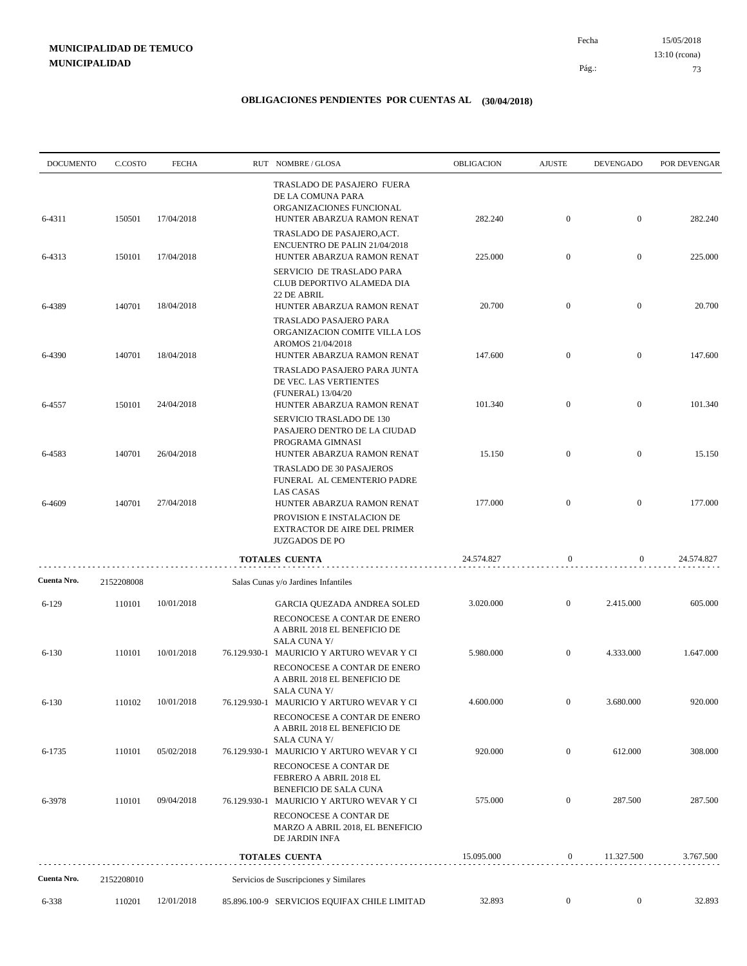15/05/2018 73 Pág.: Fecha 13:10 (rcona)

| <b>DOCUMENTO</b> | C.COSTO    | <b>FECHA</b> | RUT NOMBRE/GLOSA                                                                                                                 | OBLIGACION | <b>AJUSTE</b>    | <b>DEVENGADO</b> | POR DEVENGAR |
|------------------|------------|--------------|----------------------------------------------------------------------------------------------------------------------------------|------------|------------------|------------------|--------------|
| 6-4311           | 150501     | 17/04/2018   | TRASLADO DE PASAJERO FUERA<br>DE LA COMUNA PARA<br>ORGANIZACIONES FUNCIONAL<br>HUNTER ABARZUA RAMON RENAT                        | 282.240    | $\mathbf{0}$     | $\mathbf{0}$     | 282.240      |
| 6-4313           | 150101     | 17/04/2018   | TRASLADO DE PASAJERO, ACT.<br>ENCUENTRO DE PALIN 21/04/2018<br>HUNTER ABARZUA RAMON RENAT<br>SERVICIO DE TRASLADO PARA           | 225.000    | $\mathbf{0}$     | $\mathbf{0}$     | 225.000      |
| 6-4389           | 140701     | 18/04/2018   | CLUB DEPORTIVO ALAMEDA DIA<br>22 DE ABRIL<br>HUNTER ABARZUA RAMON RENAT                                                          | 20.700     | $\mathbf{0}$     | $\mathbf{0}$     | 20.700       |
| 6-4390           | 140701     | 18/04/2018   | TRASLADO PASAJERO PARA<br>ORGANIZACION COMITE VILLA LOS<br>AROMOS 21/04/2018<br>HUNTER ABARZUA RAMON RENAT                       | 147.600    | $\mathbf{0}$     | $\mathbf{0}$     | 147.600      |
|                  |            |              | TRASLADO PASAJERO PARA JUNTA<br>DE VEC. LAS VERTIENTES<br>(FUNERAL) 13/04/20                                                     |            |                  |                  |              |
| 6-4557           | 150101     | 24/04/2018   | HUNTER ABARZUA RAMON RENAT<br>SERVICIO TRASLADO DE 130<br>PASAJERO DENTRO DE LA CIUDAD<br>PROGRAMA GIMNASI                       | 101.340    | $\mathbf{0}$     | $\mathbf{0}$     | 101.340      |
| 6-4583           | 140701     | 26/04/2018   | HUNTER ABARZUA RAMON RENAT<br>TRASLADO DE 30 PASAJEROS<br>FUNERAL AL CEMENTERIO PADRE<br><b>LAS CASAS</b>                        | 15.150     | $\mathbf{0}$     | $\mathbf{0}$     | 15.150       |
| 6-4609           | 140701     | 27/04/2018   | HUNTER ABARZUA RAMON RENAT<br>PROVISION E INSTALACION DE<br><b>EXTRACTOR DE AIRE DEL PRIMER</b><br><b>JUZGADOS DE PO</b>         | 177.000    | $\mathbf{0}$     | $\mathbf{0}$     | 177.000      |
|                  |            |              | <b>TOTALES CUENTA</b>                                                                                                            | 24.574.827 | $\boldsymbol{0}$ | 0                | 24.574.827   |
| Cuenta Nro.      | 2152208008 |              | Salas Cunas y/o Jardines Infantiles                                                                                              |            |                  |                  |              |
| $6 - 129$        | 110101     | 10/01/2018   | GARCIA QUEZADA ANDREA SOLED<br>RECONOCESE A CONTAR DE ENERO<br>A ABRIL 2018 EL BENEFICIO DE<br><b>SALA CUNA Y/</b>               | 3.020.000  | $\mathbf{0}$     | 2.415.000        | 605.000      |
| $6 - 130$        | 110101     | 10/01/2018   | 76.129.930-1 MAURICIO Y ARTURO WEVAR Y CI<br>RECONOCESE A CONTAR DE ENERO<br>A ABRIL 2018 EL BENEFICIO DE                        | 5.980.000  | $\mathbf{0}$     | 4.333.000        | 1.647.000    |
| 6-130            | 110102     | 10/01/2018   | <b>SALA CUNA Y/</b><br>76.129.930-1 MAURICIO Y ARTURO WEVAR Y CI<br>RECONOCESE A CONTAR DE ENERO<br>A ABRIL 2018 EL BENEFICIO DE | 4.600.000  | $\bf{0}$         | 3.680.000        | 920.000      |
| 6-1735           | 110101     | 05/02/2018   | SALA CUNA Y/<br>76.129.930-1 MAURICIO Y ARTURO WEVAR Y CI                                                                        | 920.000    | $\mathbf{0}$     | 612.000          | 308.000      |
| 6-3978           | 110101     | 09/04/2018   | RECONOCESE A CONTAR DE<br>FEBRERO A ABRIL 2018 EL<br>BENEFICIO DE SALA CUNA<br>76.129.930-1 MAURICIO Y ARTURO WEVAR Y CI         | 575.000    | $\mathbf{0}$     | 287.500          | 287.500      |
|                  |            |              | RECONOCESE A CONTAR DE<br>MARZO A ABRIL 2018, EL BENEFICIO<br>DE JARDIN INFA                                                     |            |                  |                  |              |
|                  |            |              | TOTALES CUENTA                                                                                                                   | 15.095.000 | $\boldsymbol{0}$ | 11.327.500       | 3.767.500    |
| Cuenta Nro.      | 2152208010 |              | Servicios de Suscripciones y Similares                                                                                           |            |                  |                  |              |
| 6-338            | 110201     | 12/01/2018   | 85.896.100-9 SERVICIOS EQUIFAX CHILE LIMITAD                                                                                     | 32.893     | $\mathbf{0}$     | $\overline{0}$   | 32.893       |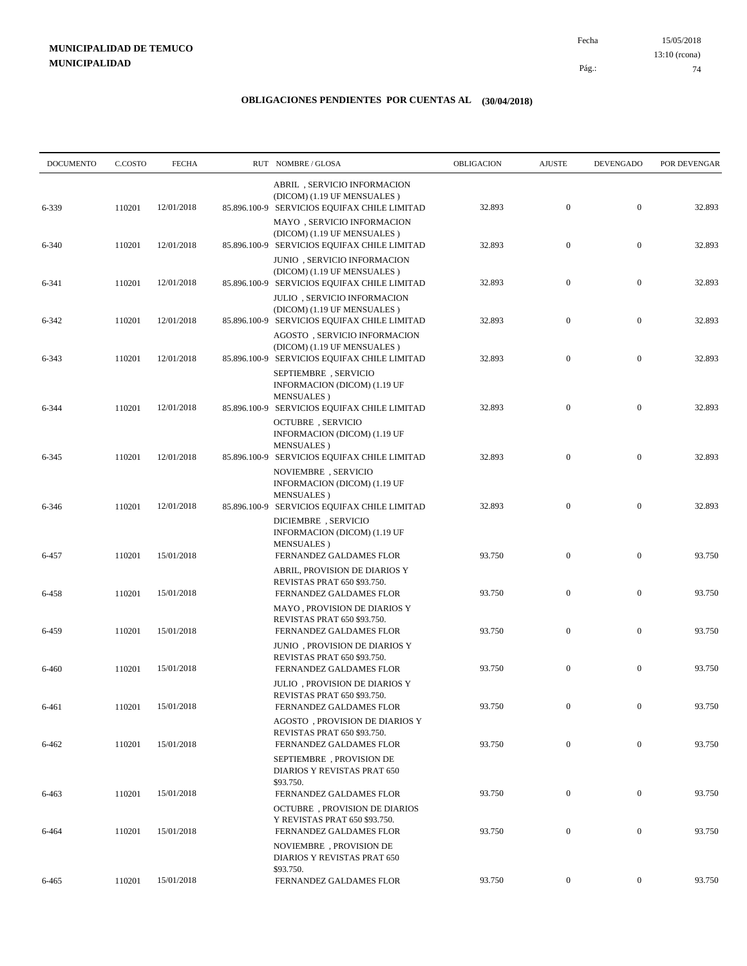15/05/2018 74 Pág.: Fecha 13:10 (rcona)

| <b>DOCUMENTO</b> | C.COSTO | <b>FECHA</b> |              | RUT NOMBRE/GLOSA                                                                                            | <b>OBLIGACION</b> | <b>AJUSTE</b>    | <b>DEVENGADO</b> | POR DEVENGAR |
|------------------|---------|--------------|--------------|-------------------------------------------------------------------------------------------------------------|-------------------|------------------|------------------|--------------|
| 6-339            | 110201  | 12/01/2018   |              | ABRIL, SERVICIO INFORMACION<br>(DICOM) (1.19 UF MENSUALES)<br>85.896.100-9 SERVICIOS EQUIFAX CHILE LIMITAD  | 32.893            | $\mathbf{0}$     | $\mathbf{0}$     | 32.893       |
| $6 - 340$        | 110201  | 12/01/2018   |              | MAYO, SERVICIO INFORMACION<br>(DICOM) (1.19 UF MENSUALES)<br>85.896.100-9 SERVICIOS EQUIFAX CHILE LIMITAD   | 32.893            | $\mathbf{0}$     | $\mathbf{0}$     | 32.893       |
| 6-341            | 110201  | 12/01/2018   |              | JUNIO, SERVICIO INFORMACION<br>(DICOM) (1.19 UF MENSUALES)<br>85.896.100-9 SERVICIOS EQUIFAX CHILE LIMITAD  | 32.893            | $\boldsymbol{0}$ | $\mathbf{0}$     | 32.893       |
| 6-342            | 110201  | 12/01/2018   |              | <b>JULIO</b> , SERVICIO INFORMACION<br>(DICOM) (1.19 UF MENSUALES)                                          | 32.893            | $\mathbf{0}$     | $\mathbf{0}$     | 32.893       |
|                  |         |              |              | 85.896.100-9 SERVICIOS EQUIFAX CHILE LIMITAD<br>AGOSTO, SERVICIO INFORMACION<br>(DICOM) (1.19 UF MENSUALES) |                   |                  |                  |              |
| 6-343            | 110201  | 12/01/2018   |              | 85.896.100-9 SERVICIOS EQUIFAX CHILE LIMITAD<br>SEPTIEMBRE, SERVICIO<br>INFORMACION (DICOM) (1.19 UF        | 32.893            | $\mathbf{0}$     | $\mathbf{0}$     | 32.893       |
| 6-344            | 110201  | 12/01/2018   |              | <b>MENSUALES</b> )<br>85.896.100-9 SERVICIOS EQUIFAX CHILE LIMITAD<br><b>OCTUBRE</b> , SERVICIO             | 32.893            | $\mathbf{0}$     | $\mathbf{0}$     | 32.893       |
| 6-345            | 110201  | 12/01/2018   |              | INFORMACION (DICOM) (1.19 UF<br><b>MENSUALES</b> )<br>85.896.100-9 SERVICIOS EQUIFAX CHILE LIMITAD          | 32.893            | $\mathbf{0}$     | $\mathbf{0}$     | 32.893       |
|                  |         |              |              | NOVIEMBRE, SERVICIO<br>INFORMACION (DICOM) (1.19 UF<br><b>MENSUALES</b> )                                   |                   |                  |                  |              |
| 6-346            | 110201  | 12/01/2018   | 85.896.100-9 | SERVICIOS EQUIFAX CHILE LIMITAD<br>DICIEMBRE, SERVICIO<br>INFORMACION (DICOM) (1.19 UF                      | 32.893            | $\mathbf{0}$     | $\mathbf{0}$     | 32.893       |
| 6-457            | 110201  | 15/01/2018   |              | <b>MENSUALES</b> )<br>FERNANDEZ GALDAMES FLOR<br>ABRIL, PROVISION DE DIARIOS Y                              | 93.750            | $\mathbf{0}$     | $\mathbf{0}$     | 93.750       |
| 6-458            | 110201  | 15/01/2018   |              | REVISTAS PRAT 650 \$93.750.<br>FERNANDEZ GALDAMES FLOR                                                      | 93.750            | $\mathbf{0}$     | $\mathbf{0}$     | 93.750       |
| 6-459            | 110201  | 15/01/2018   |              | MAYO, PROVISION DE DIARIOS Y<br>REVISTAS PRAT 650 \$93.750.<br>FERNANDEZ GALDAMES FLOR                      | 93.750            | $\mathbf{0}$     | $\mathbf{0}$     | 93.750       |
| 6-460            | 110201  | 15/01/2018   |              | JUNIO, PROVISION DE DIARIOS Y<br>REVISTAS PRAT 650 \$93.750.<br>FERNANDEZ GALDAMES FLOR                     | 93.750            | $\mathbf{0}$     | $\mathbf{0}$     | 93.750       |
| 6-461            | 110201  | 15/01/2018   |              | JULIO, PROVISION DE DIARIOS Y<br>REVISTAS PRAT 650 \$93.750.<br>FERNANDEZ GALDAMES FLOR                     | 93.750            | $\boldsymbol{0}$ | $\boldsymbol{0}$ | 93.750       |
| 6-462            | 110201  | 15/01/2018   |              | AGOSTO, PROVISION DE DIARIOS Y<br>REVISTAS PRAT 650 \$93.750.<br>FERNANDEZ GALDAMES FLOR                    | 93.750            | $\boldsymbol{0}$ | $\boldsymbol{0}$ | 93.750       |
|                  |         |              |              | SEPTIEMBRE, PROVISION DE<br>DIARIOS Y REVISTAS PRAT 650                                                     |                   |                  |                  |              |
| 6-463            | 110201  | 15/01/2018   |              | \$93.750.<br>FERNANDEZ GALDAMES FLOR<br><b>OCTUBRE</b> , PROVISION DE DIARIOS                               | 93.750            | $\boldsymbol{0}$ | $\boldsymbol{0}$ | 93.750       |
| 6-464            | 110201  | 15/01/2018   |              | Y REVISTAS PRAT 650 \$93.750.<br>FERNANDEZ GALDAMES FLOR                                                    | 93.750            | $\boldsymbol{0}$ | $\boldsymbol{0}$ | 93.750       |
|                  |         |              |              | NOVIEMBRE, PROVISION DE<br>DIARIOS Y REVISTAS PRAT 650<br>\$93.750.                                         |                   |                  |                  |              |
| 6-465            | 110201  | 15/01/2018   |              | FERNANDEZ GALDAMES FLOR                                                                                     | 93.750            | $\boldsymbol{0}$ | $\boldsymbol{0}$ | 93.750       |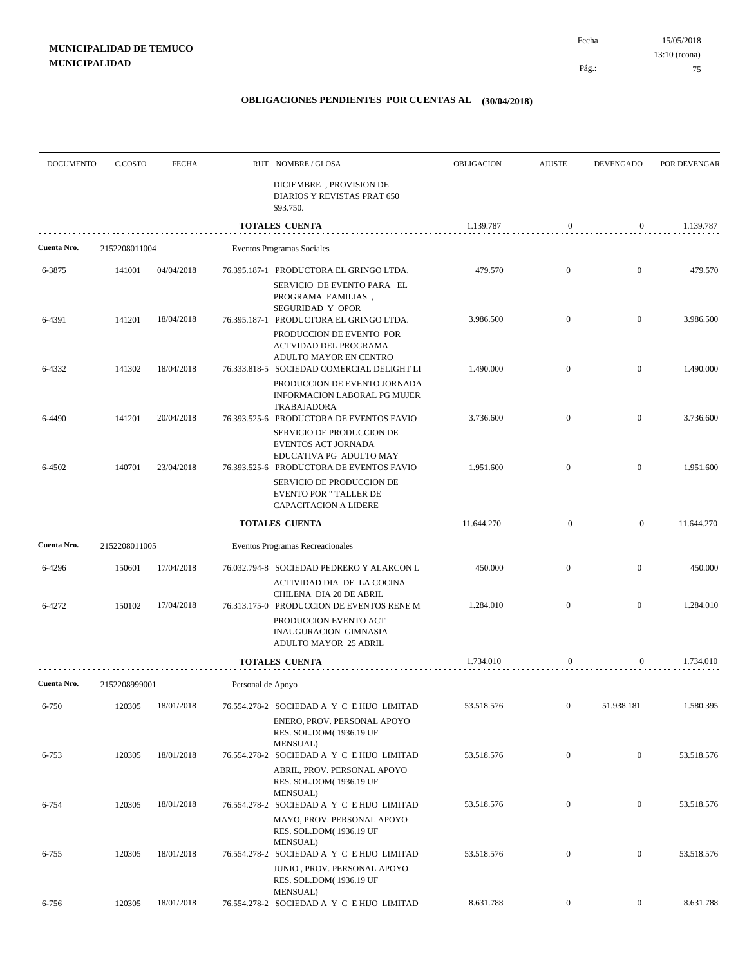15/05/2018 75 Fecha 13:10 (rcona)

Pág.:

| <b>DOCUMENTO</b> | C.COSTO       | <b>FECHA</b> |                   | RUT NOMBRE/GLOSA                                                                                                                           | <b>OBLIGACION</b> | <b>AJUSTE</b>    | <b>DEVENGADO</b> | POR DEVENGAR |
|------------------|---------------|--------------|-------------------|--------------------------------------------------------------------------------------------------------------------------------------------|-------------------|------------------|------------------|--------------|
|                  |               |              |                   | DICIEMBRE, PROVISION DE<br>DIARIOS Y REVISTAS PRAT 650<br>\$93.750.                                                                        |                   |                  |                  |              |
|                  |               |              |                   | <b>TOTALES CUENTA</b>                                                                                                                      | 1.139.787         | $\mathbf{0}$     | $\overline{0}$   | 1.139.787    |
| Cuenta Nro.      | 2152208011004 |              |                   | Eventos Programas Sociales                                                                                                                 |                   |                  |                  |              |
| 6-3875           | 141001        | 04/04/2018   |                   | 76.395.187-1 PRODUCTORA EL GRINGO LTDA.<br>SERVICIO DE EVENTO PARA EL<br>PROGRAMA FAMILIAS,                                                | 479.570           | $\mathbf{0}$     | $\mathbf{0}$     | 479.570      |
| 6-4391           | 141201        | 18/04/2018   |                   | SEGURIDAD Y OPOR<br>76.395.187-1 PRODUCTORA EL GRINGO LTDA.<br>PRODUCCION DE EVENTO POR<br>ACTVIDAD DEL PROGRAMA<br>ADULTO MAYOR EN CENTRO | 3.986.500         | $\mathbf{0}$     | $\mathbf{0}$     | 3.986.500    |
| 6-4332           | 141302        | 18/04/2018   |                   | 76.333.818-5 SOCIEDAD COMERCIAL DELIGHT LI<br>PRODUCCION DE EVENTO JORNADA<br>INFORMACION LABORAL PG MUJER<br><b>TRABAJADORA</b>           | 1.490.000         | $\mathbf{0}$     | $\mathbf{0}$     | 1.490.000    |
| 6-4490           | 141201        | 20/04/2018   |                   | 76.393.525-6 PRODUCTORA DE EVENTOS FAVIO<br>SERVICIO DE PRODUCCION DE<br>EVENTOS ACT JORNADA<br>EDUCATIVA PG ADULTO MAY                    | 3.736.600         | $\mathbf{0}$     | $\mathbf{0}$     | 3.736.600    |
| 6-4502           | 140701        | 23/04/2018   |                   | 76.393.525-6 PRODUCTORA DE EVENTOS FAVIO<br>SERVICIO DE PRODUCCION DE<br><b>EVENTO POR " TALLER DE</b><br>CAPACITACION A LIDERE            | 1.951.600         | $\mathbf{0}$     | $\mathbf{0}$     | 1.951.600    |
|                  |               |              |                   | <b>TOTALES CUENTA</b>                                                                                                                      | 11.644.270        | $\boldsymbol{0}$ | $\overline{0}$   | 11.644.270   |
| Cuenta Nro.      | 2152208011005 |              |                   | Eventos Programas Recreacionales                                                                                                           |                   |                  |                  |              |
| 6-4296           | 150601        | 17/04/2018   |                   | 76.032.794-8 SOCIEDAD PEDRERO Y ALARCON L<br>ACTIVIDAD DIA DE LA COCINA<br>CHILENA DIA 20 DE ABRIL                                         | 450.000           | $\mathbf{0}$     | $\mathbf{0}$     | 450.000      |
| 6-4272           | 150102        | 17/04/2018   |                   | 76.313.175-0 PRODUCCION DE EVENTOS RENE M<br>PRODUCCION EVENTO ACT<br><b>INAUGURACION GIMNASIA</b><br>ADULTO MAYOR 25 ABRIL                | 1.284.010         | $\mathbf{0}$     | $\mathbf{0}$     | 1.284.010    |
|                  |               |              |                   | <b>TOTALES CUENTA</b>                                                                                                                      | 1.734.010         | $\bf{0}$         | $\overline{0}$   | 1.734.010    |
| Cuenta Nro.      | 2152208999001 |              | Personal de Apoyo |                                                                                                                                            |                   |                  |                  |              |
| 6-750            | 120305        | 18/01/2018   |                   | 76.554.278-2 SOCIEDAD A Y C E HIJO LIMITAD<br>ENERO, PROV. PERSONAL APOYO<br>RES. SOL.DOM(1936.19 UF                                       | 53.518.576        | $\boldsymbol{0}$ | 51.938.181       | 1.580.395    |
| 6-753            | 120305        | 18/01/2018   |                   | <b>MENSUAL</b> )<br>76.554.278-2 SOCIEDAD A Y C E HIJO LIMITAD<br>ABRIL, PROV. PERSONAL APOYO<br>RES. SOL.DOM(1936.19 UF                   | 53.518.576        | $\boldsymbol{0}$ | $\mathbf{0}$     | 53.518.576   |
| 6-754            | 120305        | 18/01/2018   |                   | MENSUAL)<br>76.554.278-2 SOCIEDAD A Y C E HIJO LIMITAD<br>MAYO, PROV. PERSONAL APOYO<br>RES. SOL.DOM(1936.19 UF                            | 53.518.576        | $\boldsymbol{0}$ | $\boldsymbol{0}$ | 53.518.576   |
| $6 - 755$        | 120305        | 18/01/2018   |                   | <b>MENSUAL</b> )<br>76.554.278-2 SOCIEDAD A Y C E HIJO LIMITAD<br>JUNIO, PROV. PERSONAL APOYO<br>RES. SOL.DOM(1936.19 UF<br>MENSUAL)       | 53.518.576        | $\boldsymbol{0}$ | $\boldsymbol{0}$ | 53.518.576   |
| 6-756            | 120305        | 18/01/2018   |                   | 76.554.278-2 SOCIEDAD A Y C E HIJO LIMITAD                                                                                                 | 8.631.788         | $\overline{0}$   | $\overline{0}$   | 8.631.788    |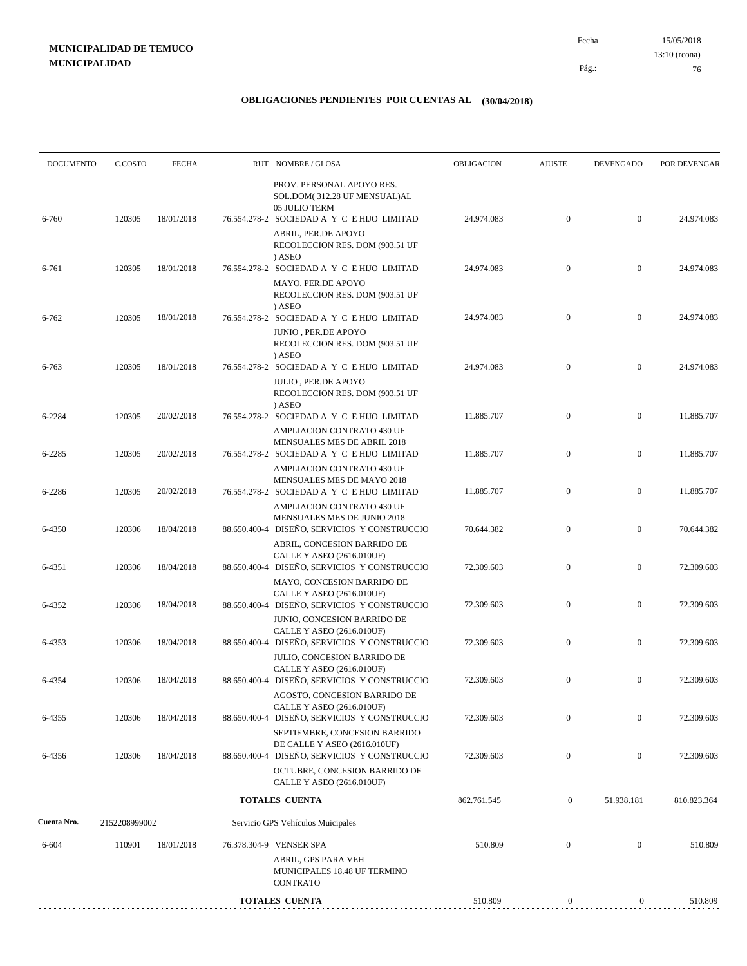| <b>DOCUMENTO</b> | C.COSTO       | <b>FECHA</b> |              | RUT NOMBRE/GLOSA                                                                                                         | <b>OBLIGACION</b> | <b>AJUSTE</b>    | <b>DEVENGADO</b> | POR DEVENGAR |
|------------------|---------------|--------------|--------------|--------------------------------------------------------------------------------------------------------------------------|-------------------|------------------|------------------|--------------|
| 6-760            | 120305        | 18/01/2018   |              | PROV. PERSONAL APOYO RES.<br>SOL.DOM(312.28 UF MENSUAL)AL<br>05 JULIO TERM<br>76.554.278-2 SOCIEDAD A Y C E HIJO LIMITAD | 24.974.083        | $\boldsymbol{0}$ | $\mathbf{0}$     | 24.974.083   |
|                  |               |              |              | ABRIL, PER.DE APOYO<br>RECOLECCION RES. DOM (903.51 UF<br>) ASEO                                                         |                   |                  |                  |              |
| 6-761            | 120305        | 18/01/2018   |              | 76.554.278-2 SOCIEDAD A Y C E HIJO LIMITAD                                                                               | 24.974.083        | $\mathbf{0}$     | $\mathbf{0}$     | 24.974.083   |
|                  |               |              |              | MAYO, PER.DE APOYO<br>RECOLECCION RES. DOM (903.51 UF<br>) ASEO                                                          |                   |                  |                  |              |
| 6-762            | 120305        | 18/01/2018   |              | 76.554.278-2 SOCIEDAD A Y C E HIJO LIMITAD<br>JUNIO, PER.DE APOYO<br>RECOLECCION RES. DOM (903.51 UF<br>) ASEO           | 24.974.083        | $\mathbf{0}$     | $\mathbf{0}$     | 24.974.083   |
| 6-763            | 120305        | 18/01/2018   |              | 76.554.278-2 SOCIEDAD A Y C E HIJO LIMITAD<br>JULIO, PER.DE APOYO<br>RECOLECCION RES. DOM (903.51 UF<br>) ASEO           | 24.974.083        | $\mathbf{0}$     | $\mathbf{0}$     | 24.974.083   |
| 6-2284           | 120305        | 20/02/2018   |              | 76.554.278-2 SOCIEDAD A Y C E HIJO LIMITAD                                                                               | 11.885.707        | $\mathbf{0}$     | $\mathbf{0}$     | 11.885.707   |
| 6-2285           | 120305        | 20/02/2018   |              | AMPLIACION CONTRATO 430 UF<br>MENSUALES MES DE ABRIL 2018<br>76.554.278-2 SOCIEDAD A Y C E HIJO LIMITAD                  | 11.885.707        | $\boldsymbol{0}$ | $\mathbf{0}$     | 11.885.707   |
| 6-2286           | 120305        | 20/02/2018   |              | <b>AMPLIACION CONTRATO 430 UF</b><br>MENSUALES MES DE MAYO 2018<br>76.554.278-2 SOCIEDAD A Y C E HIJO LIMITAD            | 11.885.707        | $\boldsymbol{0}$ | $\mathbf{0}$     | 11.885.707   |
| 6-4350           | 120306        | 18/04/2018   | 88.650.400-4 | AMPLIACION CONTRATO 430 UF<br>MENSUALES MES DE JUNIO 2018<br>DISEÑO, SERVICIOS Y CONSTRUCCIO                             | 70.644.382        | $\mathbf{0}$     | $\mathbf{0}$     | 70.644.382   |
| 6-4351           | 120306        | 18/04/2018   |              | ABRIL, CONCESION BARRIDO DE<br>CALLE Y ASEO (2616.010UF)<br>88.650.400-4 DISEÑO, SERVICIOS Y CONSTRUCCIO                 | 72.309.603        | $\mathbf{0}$     | $\mathbf{0}$     | 72.309.603   |
| 6-4352           | 120306        | 18/04/2018   |              | MAYO, CONCESION BARRIDO DE<br>CALLE Y ASEO (2616.010UF)<br>88.650.400-4 DISEÑO, SERVICIOS Y CONSTRUCCIO                  | 72.309.603        | $\boldsymbol{0}$ | $\mathbf{0}$     | 72.309.603   |
| 6-4353           | 120306        | 18/04/2018   |              | JUNIO, CONCESION BARRIDO DE<br>CALLE Y ASEO (2616.010UF)<br>88.650.400-4 DISEÑO, SERVICIOS Y CONSTRUCCIO                 | 72.309.603        | $\mathbf{0}$     | $\mathbf{0}$     | 72.309.603   |
| 6-4354           | 120306        | 18/04/2018   | 88.650.400-4 | JULIO, CONCESION BARRIDO DE<br>CALLE Y ASEO (2616.010UF)<br>DISEÑO, SERVICIOS Y CONSTRUCCIO                              | 72.309.603        | $\mathbf{0}$     | $\mathbf{0}$     | 72.309.603   |
|                  |               |              |              | AGOSTO, CONCESION BARRIDO DE<br>CALLE Y ASEO (2616.010UF)                                                                |                   |                  |                  |              |
| 6-4355           | 120306        | 18/04/2018   |              | 88.650.400-4 DISEÑO, SERVICIOS Y CONSTRUCCIO<br>SEPTIEMBRE, CONCESION BARRIDO                                            | 72.309.603        | $\mathbf{0}$     | $\mathbf{0}$     | 72.309.603   |
| 6-4356           | 120306        | 18/04/2018   |              | DE CALLE Y ASEO (2616.010UF)<br>88.650.400-4 DISEÑO, SERVICIOS Y CONSTRUCCIO                                             | 72.309.603        | $\mathbf{0}$     | $\mathbf{0}$     | 72.309.603   |
|                  |               |              |              | OCTUBRE, CONCESION BARRIDO DE<br>CALLE Y ASEO (2616.010UF)                                                               |                   |                  |                  |              |
|                  |               |              |              | <b>TOTALES CUENTA</b>                                                                                                    | 862.761.545       | $\boldsymbol{0}$ | 51.938.181       | 810.823.364  |
| Cuenta Nro.      | 2152208999002 |              |              | Servicio GPS Vehículos Muicipales                                                                                        |                   |                  |                  |              |
| 6-604            | 110901        | 18/01/2018   |              | 76.378.304-9 VENSER SPA<br>ABRIL, GPS PARA VEH<br>MUNICIPALES 18.48 UF TERMINO<br><b>CONTRATO</b>                        | 510.809           | $\mathbf{0}$     | $\boldsymbol{0}$ | 510.809      |
|                  |               |              |              | <b>TOTALES CUENTA</b>                                                                                                    | 510.809           | $\boldsymbol{0}$ | $\boldsymbol{0}$ | 510.809      |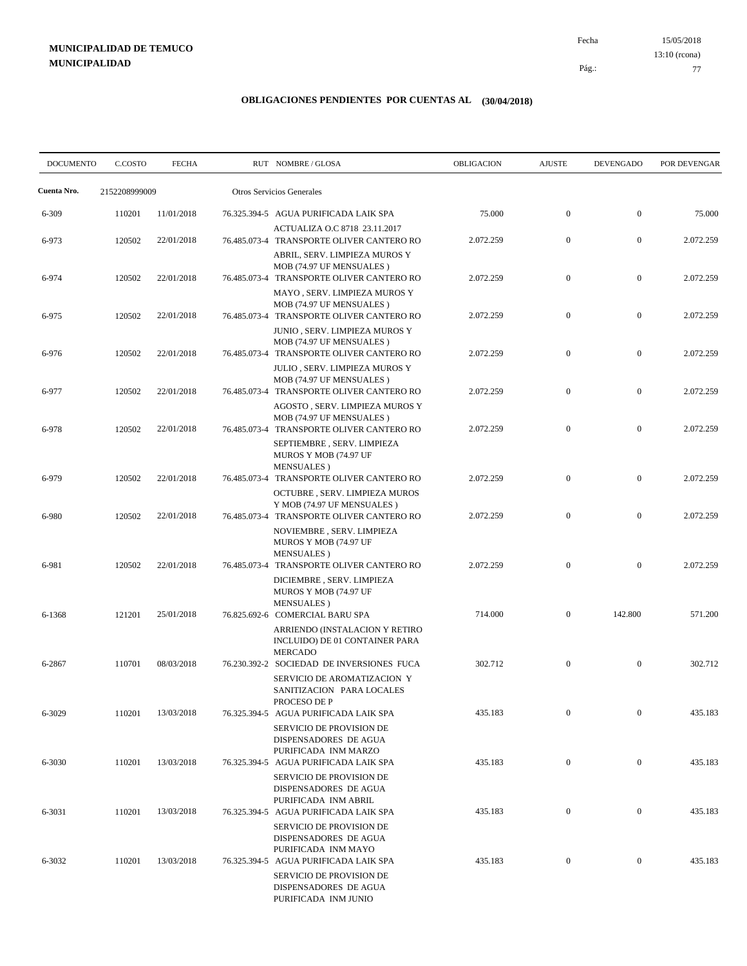15/05/2018 77 Pág.: Fecha 13:10 (rcona)

| <b>DOCUMENTO</b> | C.COSTO       | <b>FECHA</b> | RUT NOMBRE/GLOSA                                                                                                   | OBLIGACION | <b>AJUSTE</b>    | <b>DEVENGADO</b> | POR DEVENGAR |
|------------------|---------------|--------------|--------------------------------------------------------------------------------------------------------------------|------------|------------------|------------------|--------------|
| Cuenta Nro.      | 2152208999009 |              | Otros Servicios Generales                                                                                          |            |                  |                  |              |
| 6-309            | 110201        | 11/01/2018   | 76.325.394-5 AGUA PURIFICADA LAIK SPA                                                                              | 75.000     | $\mathbf{0}$     | $\mathbf{0}$     | 75.000       |
| 6-973            | 120502        | 22/01/2018   | ACTUALIZA O.C 8718 23.11.2017<br>76.485.073-4 TRANSPORTE OLIVER CANTERO RO                                         | 2.072.259  | $\mathbf{0}$     | $\boldsymbol{0}$ | 2.072.259    |
| 6-974            | 120502        | 22/01/2018   | ABRIL, SERV. LIMPIEZA MUROS Y<br>MOB (74.97 UF MENSUALES)<br>76.485.073-4 TRANSPORTE OLIVER CANTERO RO             | 2.072.259  | $\mathbf{0}$     | $\mathbf{0}$     | 2.072.259    |
| 6-975            | 120502        | 22/01/2018   | MAYO, SERV. LIMPIEZA MUROS Y<br>MOB (74.97 UF MENSUALES)<br>76.485.073-4 TRANSPORTE OLIVER CANTERO RO              | 2.072.259  | $\mathbf{0}$     | $\mathbf{0}$     | 2.072.259    |
| 6-976            | 120502        | 22/01/2018   | JUNIO, SERV. LIMPIEZA MUROS Y<br>MOB (74.97 UF MENSUALES)<br>76.485.073-4 TRANSPORTE OLIVER CANTERO RO             | 2.072.259  | $\overline{0}$   | $\boldsymbol{0}$ | 2.072.259    |
| 6-977            | 120502        | 22/01/2018   | JULIO, SERV. LIMPIEZA MUROS Y<br>MOB (74.97 UF MENSUALES)<br>76.485.073-4 TRANSPORTE OLIVER CANTERO RO             | 2.072.259  | $\mathbf{0}$     | $\mathbf{0}$     | 2.072.259    |
| 6-978            | 120502        | 22/01/2018   | AGOSTO, SERV. LIMPIEZA MUROS Y<br>MOB (74.97 UF MENSUALES)<br>76.485.073-4 TRANSPORTE OLIVER CANTERO RO            | 2.072.259  | $\mathbf{0}$     | $\boldsymbol{0}$ | 2.072.259    |
| 6-979            | 120502        | 22/01/2018   | SEPTIEMBRE, SERV. LIMPIEZA<br>MUROS Y MOB (74.97 UF<br>MENSUALES)<br>76.485.073-4 TRANSPORTE OLIVER CANTERO RO     | 2.072.259  | $\mathbf{0}$     | $\boldsymbol{0}$ | 2.072.259    |
| 6-980            | 120502        | 22/01/2018   | OCTUBRE , SERV. LIMPIEZA MUROS<br>Y MOB (74.97 UF MENSUALES)<br>76.485.073-4 TRANSPORTE OLIVER CANTERO RO          | 2.072.259  | $\mathbf{0}$     | $\boldsymbol{0}$ | 2.072.259    |
|                  |               |              | NOVIEMBRE, SERV. LIMPIEZA<br>MUROS Y MOB (74.97 UF<br><b>MENSUALES</b> )                                           |            |                  |                  |              |
| 6-981            | 120502        | 22/01/2018   | 76.485.073-4 TRANSPORTE OLIVER CANTERO RO<br>DICIEMBRE, SERV. LIMPIEZA<br>MUROS Y MOB (74.97 UF                    | 2.072.259  | $\overline{0}$   | $\overline{0}$   | 2.072.259    |
| 6-1368           | 121201        | 25/01/2018   | MENSUALES)<br>76.825.692-6 COMERCIAL BARU SPA<br>ARRIENDO (INSTALACION Y RETIRO                                    | 714.000    | $\mathbf{0}$     | 142.800          | 571.200      |
| 6-2867           | 110701        | 08/03/2018   | INCLUIDO) DE 01 CONTAINER PARA<br><b>MERCADO</b><br>76.230.392-2 SOCIEDAD DE INVERSIONES FUCA                      | 302.712    | $\mathbf{0}$     | $\mathbf{0}$     | 302.712      |
|                  |               |              | SERVICIO DE AROMATIZACION Y<br>SANITIZACION PARA LOCALES<br>PROCESO DE P                                           |            |                  |                  |              |
| 6-3029           | 110201        | 13/03/2018   | 76.325.394-5 AGUA PURIFICADA LAIK SPA<br>SERVICIO DE PROVISION DE<br>DISPENSADORES DE AGUA                         | 435.183    | $\boldsymbol{0}$ | $\boldsymbol{0}$ | 435.183      |
| 6-3030           | 110201        | 13/03/2018   | PURIFICADA INM MARZO<br>76.325.394-5 AGUA PURIFICADA LAIK SPA                                                      | 435.183    | $\boldsymbol{0}$ | $\boldsymbol{0}$ | 435.183      |
| 6-3031           | 110201        | 13/03/2018   | SERVICIO DE PROVISION DE<br>DISPENSADORES DE AGUA<br>PURIFICADA INM ABRIL<br>76.325.394-5 AGUA PURIFICADA LAIK SPA | 435.183    | $\boldsymbol{0}$ | $\boldsymbol{0}$ | 435.183      |
|                  |               |              | <b>SERVICIO DE PROVISION DE</b><br>DISPENSADORES DE AGUA<br>PURIFICADA INM MAYO                                    |            |                  |                  |              |
| 6-3032           | 110201        | 13/03/2018   | 76.325.394-5 AGUA PURIFICADA LAIK SPA<br>SERVICIO DE PROVISION DE<br>DISPENSADORES DE AGUA<br>PURIFICADA INM JUNIO | 435.183    | $\boldsymbol{0}$ | $\boldsymbol{0}$ | 435.183      |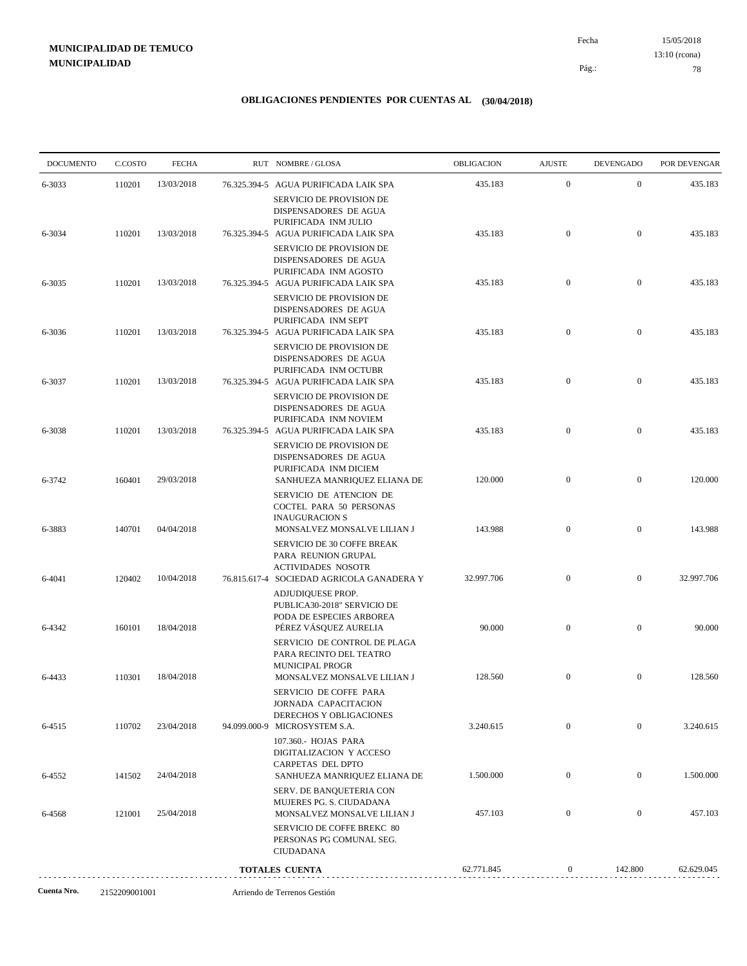15/05/2018 78 Pág.: Fecha 13:10 (rcona)

| <b>DOCUMENTO</b> | C.COSTO | <b>FECHA</b> | RUT NOMBRE/GLOSA                                                                                                            | OBLIGACION | <b>AJUSTE</b>    | <b>DEVENGADO</b> | POR DEVENGAR |
|------------------|---------|--------------|-----------------------------------------------------------------------------------------------------------------------------|------------|------------------|------------------|--------------|
| 6-3033           | 110201  | 13/03/2018   | 76.325.394-5 AGUA PURIFICADA LAIK SPA<br>SERVICIO DE PROVISION DE                                                           | 435.183    | $\boldsymbol{0}$ | $\mathbf{0}$     | 435.183      |
| 6-3034           | 110201  | 13/03/2018   | DISPENSADORES DE AGUA<br>PURIFICADA INM JULIO<br>76.325.394-5 AGUA PURIFICADA LAIK SPA                                      | 435.183    | $\mathbf{0}$     | $\mathbf{0}$     | 435.183      |
|                  |         |              | <b>SERVICIO DE PROVISION DE</b><br>DISPENSADORES DE AGUA<br>PURIFICADA INM AGOSTO                                           |            |                  |                  |              |
| 6-3035           | 110201  | 13/03/2018   | 76.325.394-5 AGUA PURIFICADA LAIK SPA<br>SERVICIO DE PROVISION DE<br>DISPENSADORES DE AGUA                                  | 435.183    | $\mathbf{0}$     | $\mathbf{0}$     | 435.183      |
| 6-3036           | 110201  | 13/03/2018   | PURIFICADA INM SEPT<br>76.325.394-5 AGUA PURIFICADA LAIK SPA<br>SERVICIO DE PROVISION DE                                    | 435.183    | $\mathbf{0}$     | $\mathbf{0}$     | 435.183      |
| 6-3037           | 110201  | 13/03/2018   | DISPENSADORES DE AGUA<br>PURIFICADA INM OCTUBR<br>76.325.394-5 AGUA PURIFICADA LAIK SPA                                     | 435.183    | $\mathbf{0}$     | $\mathbf{0}$     | 435.183      |
|                  |         |              | SERVICIO DE PROVISION DE<br>DISPENSADORES DE AGUA<br>PURIFICADA INM NOVIEM                                                  |            |                  |                  |              |
| 6-3038           | 110201  | 13/03/2018   | 76.325.394-5 AGUA PURIFICADA LAIK SPA<br>SERVICIO DE PROVISION DE<br>DISPENSADORES DE AGUA                                  | 435.183    | $\mathbf{0}$     | $\mathbf{0}$     | 435.183      |
| 6-3742           | 160401  | 29/03/2018   | PURIFICADA INM DICIEM<br>SANHUEZA MANRIQUEZ ELIANA DE<br>SERVICIO DE ATENCION DE                                            | 120.000    | $\mathbf{0}$     | $\boldsymbol{0}$ | 120.000      |
| 6-3883           | 140701  | 04/04/2018   | <b>COCTEL PARA 50 PERSONAS</b><br><b>INAUGURACION S</b><br>MONSALVEZ MONSALVE LILIAN J                                      | 143.988    | $\mathbf{0}$     | $\boldsymbol{0}$ | 143.988      |
| 6-4041           | 120402  | 10/04/2018   | SERVICIO DE 30 COFFE BREAK<br>PARA REUNION GRUPAL<br><b>ACTIVIDADES NOSOTR</b><br>76.815.617-4 SOCIEDAD AGRICOLA GANADERA Y | 32.997.706 | $\mathbf{0}$     | $\mathbf{0}$     | 32.997.706   |
|                  |         |              | ADJUDIQUESE PROP.<br>PUBLICA30-2018" SERVICIO DE<br>PODA DE ESPECIES ARBOREA                                                |            |                  |                  |              |
| 6-4342           | 160101  | 18/04/2018   | PÉREZ VÁSQUEZ AURELIA<br>SERVICIO DE CONTROL DE PLAGA<br>PARA RECINTO DEL TEATRO                                            | 90.000     | $\mathbf{0}$     | $\boldsymbol{0}$ | 90.000       |
| 6-4433           | 110301  | 18/04/2018   | <b>MUNICIPAL PROGR</b><br>MONSALVEZ MONSALVE LILIAN J<br>SERVICIO DE COFFE PARA                                             | 128.560    | $\boldsymbol{0}$ | $\bf{0}$         | 128.560      |
| 6-4515           | 110702  | 23/04/2018   | JORNADA CAPACITACION<br>DERECHOS Y OBLIGACIONES<br>94.099.000-9 MICROSYSTEM S.A.                                            | 3.240.615  | $\mathbf{0}$     | $\mathbf{0}$     | 3.240.615    |
| 6-4552           | 141502  | 24/04/2018   | 107.360.- HOJAS PARA<br>DIGITALIZACION Y ACCESO<br><b>CARPETAS DEL DPTO</b><br>SANHUEZA MANRIQUEZ ELIANA DE                 | 1.500.000  | $\boldsymbol{0}$ | $\mathbf{0}$     | 1.500.000    |
| 6-4568           | 121001  | 25/04/2018   | SERV. DE BANQUETERIA CON<br>MUJERES PG. S. CIUDADANA<br>MONSALVEZ MONSALVE LILIAN J                                         | 457.103    | $\mathbf{0}$     | $\boldsymbol{0}$ | 457.103      |
|                  |         |              | SERVICIO DE COFFE BREKC 80<br>PERSONAS PG COMUNAL SEG.<br><b>CIUDADANA</b>                                                  |            |                  |                  |              |
|                  |         |              | <b>TOTALES CUENTA</b>                                                                                                       | 62.771.845 | $\mathbf{0}$     | 142.800          | 62.629.045   |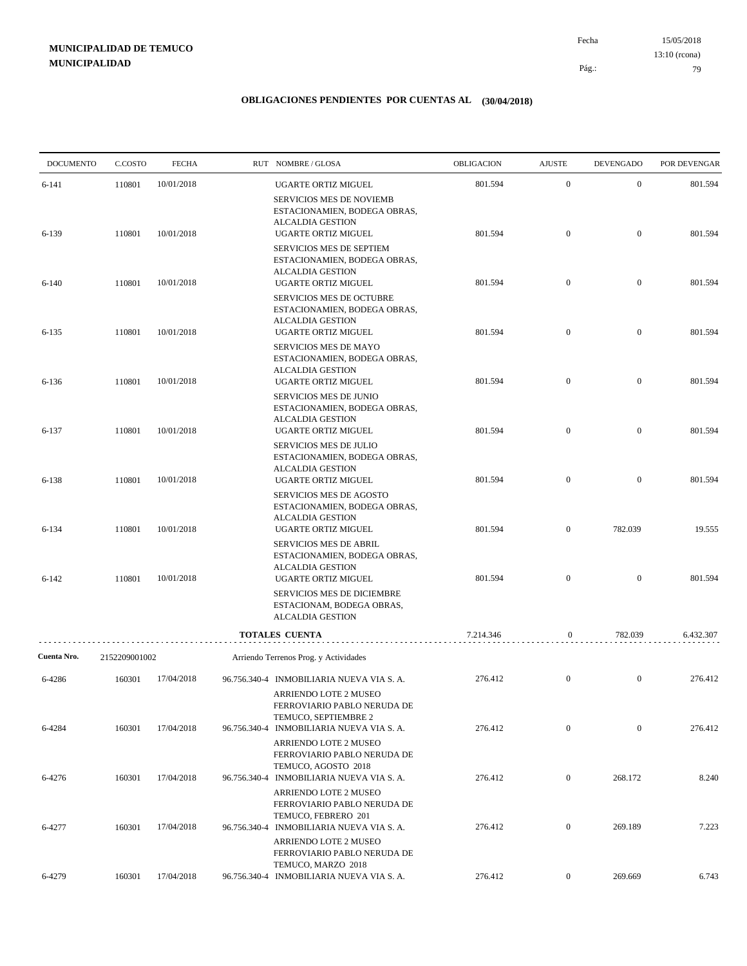15/05/2018 79 Pág.: Fecha 13:10 (rcona)

| <b>DOCUMENTO</b>      | C.COSTO                 | <b>FECHA</b> | RUT NOMBRE/GLOSA                                                                                                                                                      | OBLIGACION | <b>AJUSTE</b>    | <b>DEVENGADO</b> | POR DEVENGAR |
|-----------------------|-------------------------|--------------|-----------------------------------------------------------------------------------------------------------------------------------------------------------------------|------------|------------------|------------------|--------------|
| 6-141                 | 110801                  | 10/01/2018   | UGARTE ORTIZ MIGUEL<br><b>SERVICIOS MES DE NOVIEMB</b>                                                                                                                | 801.594    | $\mathbf{0}$     | $\mathbf{0}$     | 801.594      |
| 6-139                 | 110801                  | 10/01/2018   | ESTACIONAMIEN, BODEGA OBRAS,<br><b>ALCALDIA GESTION</b><br>UGARTE ORTIZ MIGUEL<br>SERVICIOS MES DE SEPTIEM<br>ESTACIONAMIEN, BODEGA OBRAS,<br><b>ALCALDIA GESTION</b> | 801.594    | $\boldsymbol{0}$ | $\mathbf{0}$     | 801.594      |
| $6-140$               | 110801                  | 10/01/2018   | UGARTE ORTIZ MIGUEL<br><b>SERVICIOS MES DE OCTUBRE</b>                                                                                                                | 801.594    | $\boldsymbol{0}$ | $\mathbf{0}$     | 801.594      |
| $6 - 135$             | 110801                  | 10/01/2018   | ESTACIONAMIEN, BODEGA OBRAS,<br><b>ALCALDIA GESTION</b><br>UGARTE ORTIZ MIGUEL                                                                                        | 801.594    | $\boldsymbol{0}$ | $\mathbf{0}$     | 801.594      |
| 6-136                 | 110801                  | 10/01/2018   | SERVICIOS MES DE MAYO<br>ESTACIONAMIEN, BODEGA OBRAS,<br><b>ALCALDIA GESTION</b><br>UGARTE ORTIZ MIGUEL                                                               | 801.594    | $\boldsymbol{0}$ | $\mathbf{0}$     | 801.594      |
| 6-137                 | 110801                  | 10/01/2018   | <b>SERVICIOS MES DE JUNIO</b><br>ESTACIONAMIEN, BODEGA OBRAS,<br><b>ALCALDIA GESTION</b><br>UGARTE ORTIZ MIGUEL                                                       | 801.594    | $\boldsymbol{0}$ | $\mathbf{0}$     | 801.594      |
| 6-138                 | 110801                  | 10/01/2018   | SERVICIOS MES DE JULIO<br>ESTACIONAMIEN, BODEGA OBRAS,<br><b>ALCALDIA GESTION</b><br>UGARTE ORTIZ MIGUEL                                                              | 801.594    | $\boldsymbol{0}$ | $\mathbf{0}$     | 801.594      |
| 6-134                 | 110801                  | 10/01/2018   | SERVICIOS MES DE AGOSTO<br>ESTACIONAMIEN, BODEGA OBRAS,<br><b>ALCALDIA GESTION</b><br>UGARTE ORTIZ MIGUEL                                                             | 801.594    | $\boldsymbol{0}$ | 782.039          | 19.555       |
| $6 - 142$             | 110801                  | 10/01/2018   | SERVICIOS MES DE ABRIL<br>ESTACIONAMIEN, BODEGA OBRAS,<br><b>ALCALDIA GESTION</b><br>UGARTE ORTIZ MIGUEL                                                              | 801.594    | $\boldsymbol{0}$ | $\mathbf{0}$     | 801.594      |
|                       |                         |              | SERVICIOS MES DE DICIEMBRE<br>ESTACIONAM, BODEGA OBRAS,<br><b>ALCALDIA GESTION</b>                                                                                    |            |                  |                  |              |
|                       |                         |              | TOTALES CUENTA                                                                                                                                                        | 7.214.346  | 0                | 782.039          | 6.432.307    |
| Cuenta Nro.<br>6-4286 | 2152209001002<br>160301 | 17/04/2018   | Arriendo Terrenos Prog. y Actividades<br>96.756.340-4 INMOBILIARIA NUEVA VIA S. A.<br>ARRIENDO LOTE 2 MUSEO<br>FERROVIARIO PABLO NERUDA DE                            | 276.412    | $\mathbf{0}$     | $\mathbf{0}$     | 276.412      |
| 6-4284                | 160301                  | 17/04/2018   | TEMUCO, SEPTIEMBRE 2<br>96.756.340-4 INMOBILIARIA NUEVA VIA S. A.                                                                                                     | 276.412    | $\boldsymbol{0}$ | $\boldsymbol{0}$ | 276.412      |
| 6-4276                | 160301                  | 17/04/2018   | ARRIENDO LOTE 2 MUSEO<br>FERROVIARIO PABLO NERUDA DE<br>TEMUCO, AGOSTO 2018<br>96.756.340-4 INMOBILIARIA NUEVA VIA S. A.                                              | 276.412    | $\overline{0}$   | 268.172          | 8.240        |
|                       |                         |              | ARRIENDO LOTE 2 MUSEO<br>FERROVIARIO PABLO NERUDA DE<br>TEMUCO, FEBRERO 201                                                                                           |            |                  |                  |              |
| 6-4277                | 160301                  | 17/04/2018   | 96.756.340-4 INMOBILIARIA NUEVA VIA S. A.<br>ARRIENDO LOTE 2 MUSEO<br>FERROVIARIO PABLO NERUDA DE                                                                     | 276.412    | $\overline{0}$   | 269.189          | 7.223        |
| 6-4279                | 160301                  | 17/04/2018   | TEMUCO, MARZO 2018<br>96.756.340-4 INMOBILIARIA NUEVA VIA S. A.                                                                                                       | 276.412    | $\overline{0}$   | 269.669          | 6.743        |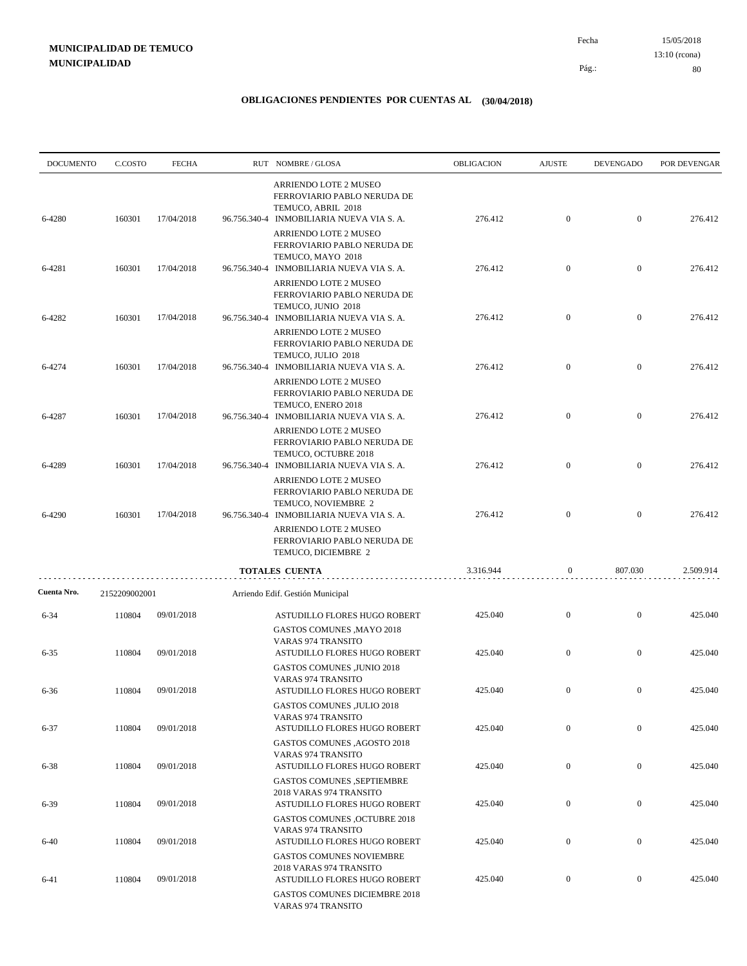15/05/2018 80 Pág.: Fecha 13:10 (rcona)

| <b>DOCUMENTO</b> | C.COSTO       | <b>FECHA</b> |              | RUT NOMBRE/GLOSA                                                                                                                | OBLIGACION | <b>AJUSTE</b>    | <b>DEVENGADO</b> | POR DEVENGAR |
|------------------|---------------|--------------|--------------|---------------------------------------------------------------------------------------------------------------------------------|------------|------------------|------------------|--------------|
| 6-4280           | 160301        | 17/04/2018   |              | ARRIENDO LOTE 2 MUSEO<br>FERROVIARIO PABLO NERUDA DE<br>TEMUCO, ABRIL 2018<br>96.756.340-4 INMOBILIARIA NUEVA VIA S. A.         | 276.412    | $\boldsymbol{0}$ | $\mathbf{0}$     | 276.412      |
|                  |               |              |              | ARRIENDO LOTE 2 MUSEO<br>FERROVIARIO PABLO NERUDA DE                                                                            |            |                  |                  |              |
| 6-4281           | 160301        | 17/04/2018   |              | TEMUCO, MAYO 2018<br>96.756.340-4 INMOBILIARIA NUEVA VIA S. A.<br>ARRIENDO LOTE 2 MUSEO                                         | 276.412    | $\boldsymbol{0}$ | $\mathbf{0}$     | 276.412      |
| 6-4282           | 160301        | 17/04/2018   |              | FERROVIARIO PABLO NERUDA DE<br>TEMUCO, JUNIO 2018<br>96.756.340-4 INMOBILIARIA NUEVA VIA S. A.                                  | 276.412    | $\boldsymbol{0}$ | $\mathbf{0}$     | 276.412      |
|                  |               |              |              | ARRIENDO LOTE 2 MUSEO<br>FERROVIARIO PABLO NERUDA DE<br>TEMUCO, JULIO 2018                                                      |            |                  |                  |              |
| 6-4274           | 160301        | 17/04/2018   | 96.756.340-4 | INMOBILIARIA NUEVA VIA S. A.<br>ARRIENDO LOTE 2 MUSEO<br>FERROVIARIO PABLO NERUDA DE                                            | 276.412    | $\boldsymbol{0}$ | $\mathbf{0}$     | 276.412      |
| 6-4287           | 160301        | 17/04/2018   |              | TEMUCO, ENERO 2018<br>96.756.340-4 INMOBILIARIA NUEVA VIA S. A.                                                                 | 276.412    | $\boldsymbol{0}$ | $\mathbf{0}$     | 276.412      |
| 6-4289           | 160301        | 17/04/2018   |              | ARRIENDO LOTE 2 MUSEO<br>FERROVIARIO PABLO NERUDA DE<br>TEMUCO, OCTUBRE 2018<br>96.756.340-4 INMOBILIARIA NUEVA VIA S. A.       | 276.412    | $\boldsymbol{0}$ | $\mathbf{0}$     | 276.412      |
| 6-4290           | 160301        | 17/04/2018   |              | <b>ARRIENDO LOTE 2 MUSEO</b><br>FERROVIARIO PABLO NERUDA DE<br>TEMUCO, NOVIEMBRE 2<br>96.756.340-4 INMOBILIARIA NUEVA VIA S. A. | 276.412    | $\overline{0}$   | $\boldsymbol{0}$ | 276.412      |
|                  |               |              |              | ARRIENDO LOTE 2 MUSEO<br>FERROVIARIO PABLO NERUDA DE<br>TEMUCO, DICIEMBRE 2                                                     |            |                  |                  |              |
|                  |               |              |              | TOTALES CUENTA                                                                                                                  | 3.316.944  | $\boldsymbol{0}$ | 807.030          | 2.509.914    |
| Cuenta Nro.      | 2152209002001 |              |              | Arriendo Edif. Gestión Municipal                                                                                                |            |                  |                  |              |
| $6 - 34$         | 110804        | 09/01/2018   |              | ASTUDILLO FLORES HUGO ROBERT<br><b>GASTOS COMUNES , MAYO 2018</b><br><b>VARAS 974 TRANSITO</b>                                  | 425.040    | $\boldsymbol{0}$ | $\boldsymbol{0}$ | 425.040      |
| $6 - 35$         | 110804        | 09/01/2018   |              | ASTUDILLO FLORES HUGO ROBERT<br><b>GASTOS COMUNES ,JUNIO 2018</b>                                                               | 425.040    | $\boldsymbol{0}$ | $\mathbf{0}$     | 425.040      |
| 6-36             | 110804        | 09/01/2018   |              | <b>VARAS 974 TRANSITO</b><br>ASTUDILLO FLORES HUGO ROBERT<br>GASTOS COMUNES , JULIO 2018                                        | 425.040    | $\boldsymbol{0}$ | $\mathbf{0}$     | 425.040      |
| $6 - 37$         | 110804        | 09/01/2018   |              | VARAS 974 TRANSITO<br>ASTUDILLO FLORES HUGO ROBERT<br><b>GASTOS COMUNES .AGOSTO 2018</b>                                        | 425.040    | $\boldsymbol{0}$ | $\boldsymbol{0}$ | 425.040      |
| $6 - 38$         | 110804        | 09/01/2018   |              | <b>VARAS 974 TRANSITO</b><br>ASTUDILLO FLORES HUGO ROBERT                                                                       | 425.040    | $\overline{0}$   | $\boldsymbol{0}$ | 425.040      |
| $6 - 39$         | 110804        | 09/01/2018   |              | <b>GASTOS COMUNES ,SEPTIEMBRE</b><br>2018 VARAS 974 TRANSITO<br>ASTUDILLO FLORES HUGO ROBERT                                    | 425.040    | $\boldsymbol{0}$ | $\boldsymbol{0}$ | 425.040      |
| $6-40$           | 110804        | 09/01/2018   |              | <b>GASTOS COMUNES , OCTUBRE 2018</b><br><b>VARAS 974 TRANSITO</b><br>ASTUDILLO FLORES HUGO ROBERT                               | 425.040    | $\boldsymbol{0}$ | $\boldsymbol{0}$ | 425.040      |
|                  |               |              |              | <b>GASTOS COMUNES NOVIEMBRE</b><br>2018 VARAS 974 TRANSITO                                                                      |            |                  |                  |              |
| $6 - 41$         | 110804        | 09/01/2018   |              | ASTUDILLO FLORES HUGO ROBERT<br>GASTOS COMUNES DICIEMBRE 2018<br>VARAS 974 TRANSITO                                             | 425.040    | $\mathbf{0}$     | $\mathbf{0}$     | 425.040      |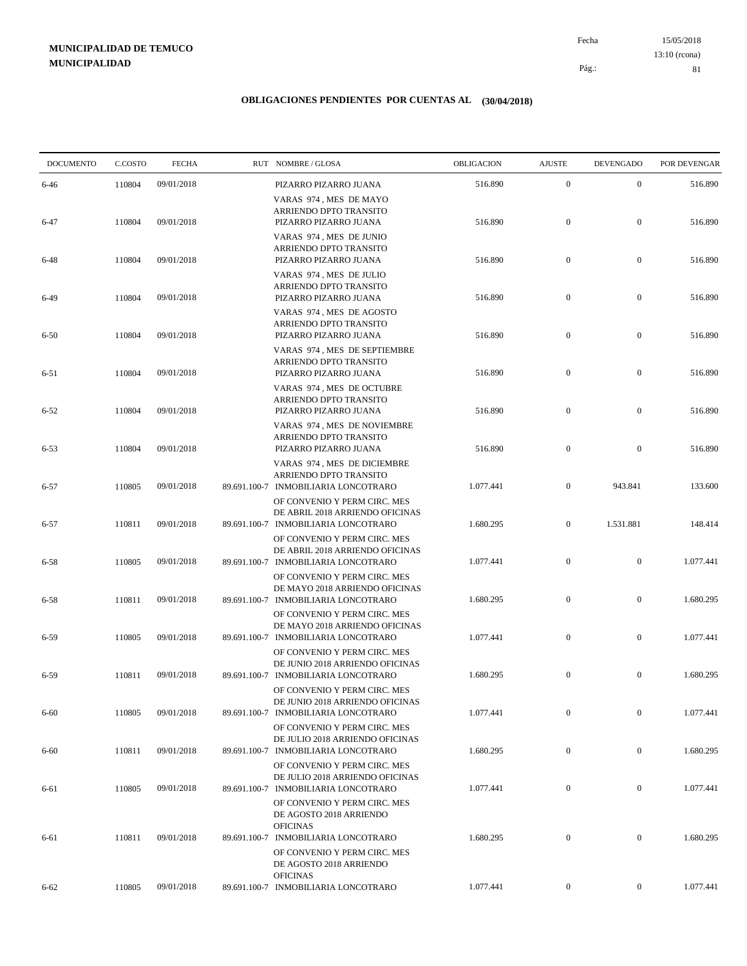15/05/2018 81 Pág.: Fecha 13:10 (rcona)

| <b>DOCUMENTO</b> | C.COSTO | <b>FECHA</b> | RUT NOMBRE/GLOSA                                                                                        | OBLIGACION | <b>AJUSTE</b>    | <b>DEVENGADO</b> | POR DEVENGAR |
|------------------|---------|--------------|---------------------------------------------------------------------------------------------------------|------------|------------------|------------------|--------------|
| $6 - 46$         | 110804  | 09/01/2018   | PIZARRO PIZARRO JUANA                                                                                   | 516.890    | $\boldsymbol{0}$ | $\mathbf{0}$     | 516.890      |
| $6 - 47$         | 110804  | 09/01/2018   | VARAS 974, MES DE MAYO<br>ARRIENDO DPTO TRANSITO<br>PIZARRO PIZARRO JUANA                               | 516.890    | $\mathbf{0}$     | $\boldsymbol{0}$ | 516.890      |
| 6-48             | 110804  | 09/01/2018   | VARAS 974, MES DE JUNIO<br>ARRIENDO DPTO TRANSITO<br>PIZARRO PIZARRO JUANA                              | 516.890    | $\boldsymbol{0}$ | $\boldsymbol{0}$ | 516.890      |
| $6-49$           | 110804  | 09/01/2018   | VARAS 974, MES DE JULIO<br>ARRIENDO DPTO TRANSITO<br>PIZARRO PIZARRO JUANA                              | 516.890    | $\mathbf{0}$     | $\boldsymbol{0}$ | 516.890      |
| $6 - 50$         | 110804  | 09/01/2018   | VARAS 974, MES DE AGOSTO<br>ARRIENDO DPTO TRANSITO<br>PIZARRO PIZARRO JUANA                             | 516.890    | $\boldsymbol{0}$ | $\boldsymbol{0}$ | 516.890      |
| $6 - 51$         | 110804  | 09/01/2018   | VARAS 974, MES DE SEPTIEMBRE<br>ARRIENDO DPTO TRANSITO<br>PIZARRO PIZARRO JUANA                         | 516.890    | $\mathbf{0}$     | $\boldsymbol{0}$ | 516.890      |
| $6 - 52$         | 110804  | 09/01/2018   | VARAS 974, MES DE OCTUBRE<br>ARRIENDO DPTO TRANSITO<br>PIZARRO PIZARRO JUANA                            | 516.890    | $\mathbf{0}$     | $\boldsymbol{0}$ | 516.890      |
| $6 - 53$         | 110804  | 09/01/2018   | VARAS 974, MES DE NOVIEMBRE<br>ARRIENDO DPTO TRANSITO<br>PIZARRO PIZARRO JUANA                          | 516.890    | $\mathbf{0}$     | $\boldsymbol{0}$ | 516.890      |
| $6 - 57$         | 110805  | 09/01/2018   | VARAS 974, MES DE DICIEMBRE<br>ARRIENDO DPTO TRANSITO<br>89.691.100-7 INMOBILIARIA LONCOTRARO           | 1.077.441  | $\overline{0}$   | 943.841          | 133.600      |
| $6 - 57$         | 110811  | 09/01/2018   | OF CONVENIO Y PERM CIRC. MES<br>DE ABRIL 2018 ARRIENDO OFICINAS<br>89.691.100-7 INMOBILIARIA LONCOTRARO | 1.680.295  | $\overline{0}$   | 1.531.881        | 148.414      |
| $6 - 58$         | 110805  | 09/01/2018   | OF CONVENIO Y PERM CIRC. MES<br>DE ABRIL 2018 ARRIENDO OFICINAS<br>89.691.100-7 INMOBILIARIA LONCOTRARO | 1.077.441  | $\boldsymbol{0}$ | $\boldsymbol{0}$ | 1.077.441    |
| $6 - 58$         | 110811  | 09/01/2018   | OF CONVENIO Y PERM CIRC. MES<br>DE MAYO 2018 ARRIENDO OFICINAS<br>89.691.100-7 INMOBILIARIA LONCOTRARO  | 1.680.295  | $\mathbf{0}$     | $\mathbf{0}$     | 1.680.295    |
| $6 - 59$         | 110805  | 09/01/2018   | OF CONVENIO Y PERM CIRC. MES<br>DE MAYO 2018 ARRIENDO OFICINAS<br>89.691.100-7 INMOBILIARIA LONCOTRARO  | 1.077.441  | $\mathbf{0}$     | $\boldsymbol{0}$ | 1.077.441    |
| 6-59             | 110811  | 09/01/2018   | OF CONVENIO Y PERM CIRC. MES<br>DE JUNIO 2018 ARRIENDO OFICINAS<br>89.691.100-7 INMOBILIARIA LONCOTRARO | 1.680.295  | $\mathbf{0}$     | $\boldsymbol{0}$ | 1.680.295    |
| $6 - 60$         | 110805  | 09/01/2018   | OF CONVENIO Y PERM CIRC. MES<br>DE JUNIO 2018 ARRIENDO OFICINAS<br>89.691.100-7 INMOBILIARIA LONCOTRARO | 1.077.441  | $\mathbf{0}$     | $\boldsymbol{0}$ | 1.077.441    |
| $6 - 60$         | 110811  | 09/01/2018   | OF CONVENIO Y PERM CIRC. MES<br>DE JULIO 2018 ARRIENDO OFICINAS<br>89.691.100-7 INMOBILIARIA LONCOTRARO | 1.680.295  | $\boldsymbol{0}$ | $\boldsymbol{0}$ | 1.680.295    |
|                  |         |              | OF CONVENIO Y PERM CIRC. MES<br>DE JULIO 2018 ARRIENDO OFICINAS                                         | 1.077.441  | $\boldsymbol{0}$ | $\boldsymbol{0}$ | 1.077.441    |
| 6-61             | 110805  | 09/01/2018   | 89.691.100-7 INMOBILIARIA LONCOTRARO<br>OF CONVENIO Y PERM CIRC. MES<br>DE AGOSTO 2018 ARRIENDO         |            |                  |                  |              |
| 6-61             | 110811  | 09/01/2018   | <b>OFICINAS</b><br>89.691.100-7 INMOBILIARIA LONCOTRARO<br>OF CONVENIO Y PERM CIRC. MES                 | 1.680.295  | $\mathbf{0}$     | $\boldsymbol{0}$ | 1.680.295    |
| $6 - 62$         | 110805  | 09/01/2018   | DE AGOSTO 2018 ARRIENDO<br><b>OFICINAS</b><br>89.691.100-7 INMOBILIARIA LONCOTRARO                      | 1.077.441  | $\overline{0}$   | $\boldsymbol{0}$ | 1.077.441    |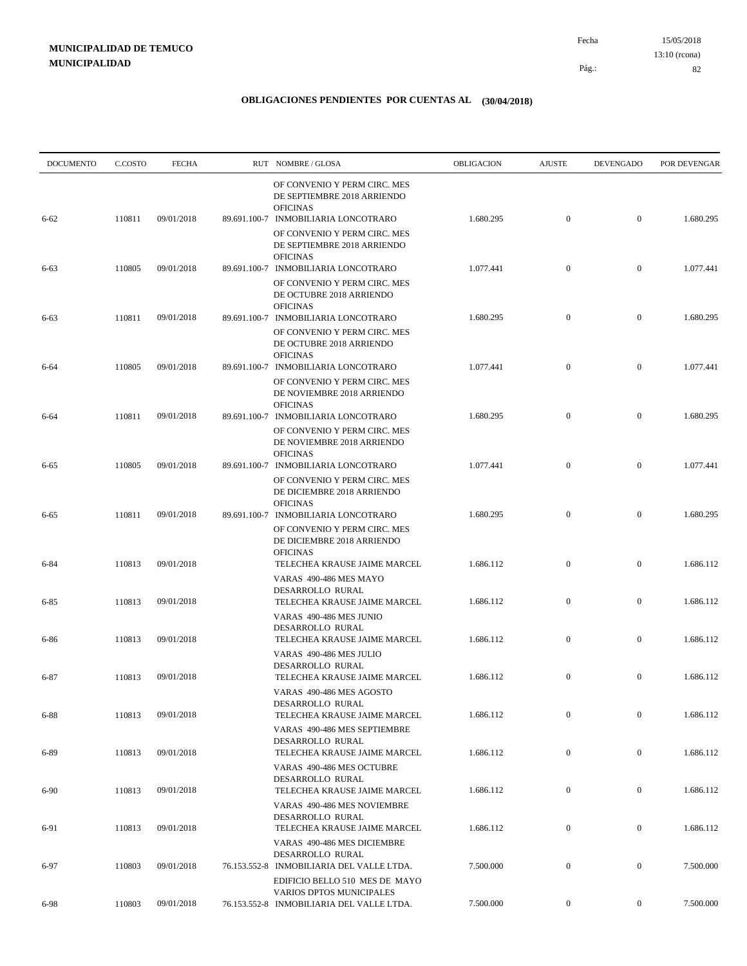| <b>DOCUMENTO</b> | C.COSTO | <b>FECHA</b> | RUT NOMBRE/GLOSA                                                                                                                       | OBLIGACION | <b>AJUSTE</b>    | <b>DEVENGADO</b> | POR DEVENGAR |
|------------------|---------|--------------|----------------------------------------------------------------------------------------------------------------------------------------|------------|------------------|------------------|--------------|
| $6 - 62$         | 110811  | 09/01/2018   | OF CONVENIO Y PERM CIRC. MES<br>DE SEPTIEMBRE 2018 ARRIENDO<br><b>OFICINAS</b><br>89.691.100-7 INMOBILIARIA LONCOTRARO                 | 1.680.295  | $\mathbf{0}$     | $\mathbf{0}$     | 1.680.295    |
|                  |         |              | OF CONVENIO Y PERM CIRC. MES<br>DE SEPTIEMBRE 2018 ARRIENDO<br><b>OFICINAS</b>                                                         |            |                  |                  |              |
| 6-63             | 110805  | 09/01/2018   | 89.691.100-7 INMOBILIARIA LONCOTRARO<br>OF CONVENIO Y PERM CIRC. MES<br>DE OCTUBRE 2018 ARRIENDO                                       | 1.077.441  | $\mathbf{0}$     | $\mathbf{0}$     | 1.077.441    |
| 6-63             | 110811  | 09/01/2018   | <b>OFICINAS</b><br>89.691.100-7 INMOBILIARIA LONCOTRARO<br>OF CONVENIO Y PERM CIRC. MES<br>DE OCTUBRE 2018 ARRIENDO<br><b>OFICINAS</b> | 1.680.295  | $\mathbf{0}$     | $\mathbf{0}$     | 1.680.295    |
| 6-64             | 110805  | 09/01/2018   | 89.691.100-7 INMOBILIARIA LONCOTRARO<br>OF CONVENIO Y PERM CIRC. MES<br>DE NOVIEMBRE 2018 ARRIENDO<br><b>OFICINAS</b>                  | 1.077.441  | $\mathbf{0}$     | $\boldsymbol{0}$ | 1.077.441    |
| 6-64             | 110811  | 09/01/2018   | 89.691.100-7 INMOBILIARIA LONCOTRARO<br>OF CONVENIO Y PERM CIRC. MES<br>DE NOVIEMBRE 2018 ARRIENDO                                     | 1.680.295  | $\mathbf{0}$     | $\mathbf{0}$     | 1.680.295    |
| $6 - 65$         | 110805  | 09/01/2018   | <b>OFICINAS</b><br>89.691.100-7 INMOBILIARIA LONCOTRARO<br>OF CONVENIO Y PERM CIRC. MES<br>DE DICIEMBRE 2018 ARRIENDO                  | 1.077.441  | $\mathbf{0}$     | $\boldsymbol{0}$ | 1.077.441    |
| $6 - 65$         | 110811  | 09/01/2018   | <b>OFICINAS</b><br>89.691.100-7 INMOBILIARIA LONCOTRARO<br>OF CONVENIO Y PERM CIRC. MES<br>DE DICIEMBRE 2018 ARRIENDO                  | 1.680.295  | $\mathbf{0}$     | $\boldsymbol{0}$ | 1.680.295    |
| $6 - 84$         | 110813  | 09/01/2018   | <b>OFICINAS</b><br>TELECHEA KRAUSE JAIME MARCEL<br>VARAS 490-486 MES MAYO                                                              | 1.686.112  | $\mathbf{0}$     | $\boldsymbol{0}$ | 1.686.112    |
| $6 - 85$         | 110813  | 09/01/2018   | DESARROLLO RURAL<br>TELECHEA KRAUSE JAIME MARCEL<br>VARAS 490-486 MES JUNIO                                                            | 1.686.112  | $\mathbf{0}$     | $\boldsymbol{0}$ | 1.686.112    |
| 6-86             | 110813  | 09/01/2018   | DESARROLLO RURAL<br>TELECHEA KRAUSE JAIME MARCEL<br>VARAS 490-486 MES JULIO                                                            | 1.686.112  | $\mathbf{0}$     | $\mathbf{0}$     | 1.686.112    |
| $6 - 87$         | 110813  | 09/01/2018   | DESARROLLO RURAL<br>TELECHEA KRAUSE JAIME MARCEL<br>VARAS 490-486 MES AGOSTO                                                           | 1.686.112  | $\mathbf{0}$     | $\mathbf{0}$     | 1.686.112    |
| $6 - 88$         | 110813  | 09/01/2018   | DESARROLLO RURAL<br>TELECHEA KRAUSE JAIME MARCEL<br>VARAS 490-486 MES SEPTIEMBRE                                                       | 1.686.112  | $\mathbf{0}$     | $\boldsymbol{0}$ | 1.686.112    |
| 6-89             | 110813  | 09/01/2018   | DESARROLLO RURAL<br>TELECHEA KRAUSE JAIME MARCEL                                                                                       | 1.686.112  | $\mathbf{0}$     | $\boldsymbol{0}$ | 1.686.112    |
| $6-90$           | 110813  | 09/01/2018   | VARAS 490-486 MES OCTUBRE<br>DESARROLLO RURAL<br>TELECHEA KRAUSE JAIME MARCEL<br>VARAS 490-486 MES NOVIEMBRE                           | 1.686.112  | $\boldsymbol{0}$ | $\boldsymbol{0}$ | 1.686.112    |
| 6-91             | 110813  | 09/01/2018   | DESARROLLO RURAL<br>TELECHEA KRAUSE JAIME MARCEL                                                                                       | 1.686.112  | $\boldsymbol{0}$ | $\boldsymbol{0}$ | 1.686.112    |
| 6-97             | 110803  | 09/01/2018   | VARAS 490-486 MES DICIEMBRE<br>DESARROLLO RURAL<br>76.153.552-8 INMOBILIARIA DEL VALLE LTDA.<br>EDIFICIO BELLO 510 MES DE MAYO         | 7.500.000  | $\mathbf{0}$     | $\boldsymbol{0}$ | 7.500.000    |
| 6-98             | 110803  | 09/01/2018   | VARIOS DPTOS MUNICIPALES<br>76.153.552-8 INMOBILIARIA DEL VALLE LTDA.                                                                  | 7.500.000  | $\overline{0}$   | $\boldsymbol{0}$ | 7.500.000    |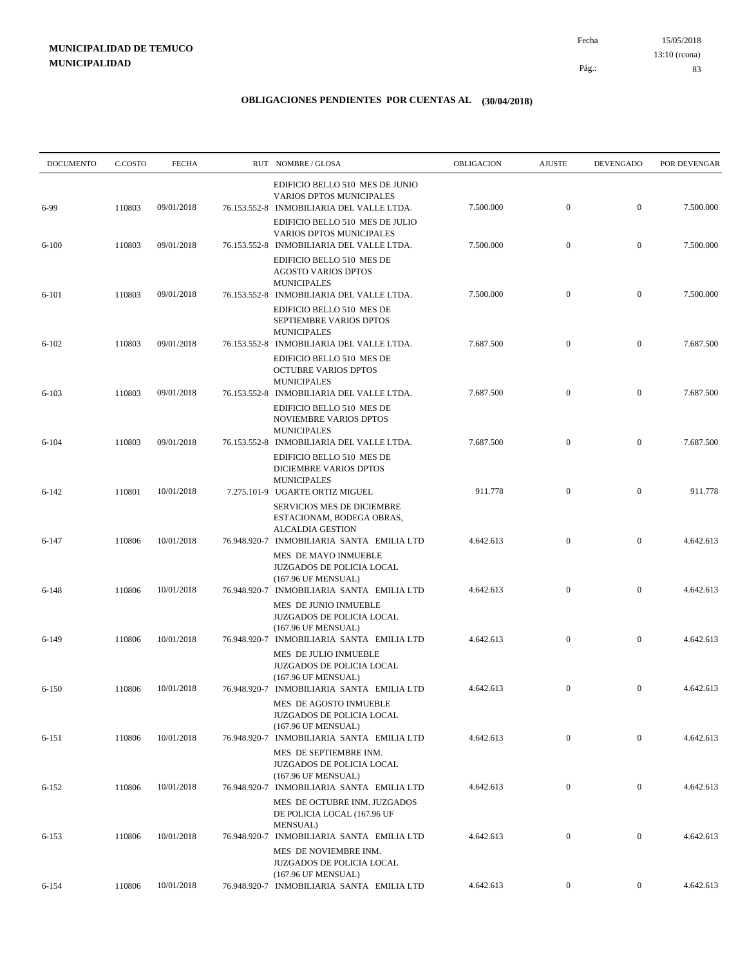15/05/2018 83 Pág.: Fecha 13:10 (rcona)

| <b>DOCUMENTO</b> | C.COSTO | <b>FECHA</b> | RUT NOMBRE/GLOSA                                                                                                       | OBLIGACION | <b>AJUSTE</b>    | <b>DEVENGADO</b> | POR DEVENGAR |
|------------------|---------|--------------|------------------------------------------------------------------------------------------------------------------------|------------|------------------|------------------|--------------|
| 6-99             | 110803  | 09/01/2018   | EDIFICIO BELLO 510 MES DE JUNIO<br><b>VARIOS DPTOS MUNICIPALES</b><br>76.153.552-8 INMOBILIARIA DEL VALLE LTDA.        | 7.500.000  | $\mathbf{0}$     | $\boldsymbol{0}$ | 7.500.000    |
| $6 - 100$        | 110803  | 09/01/2018   | EDIFICIO BELLO 510 MES DE JULIO<br><b>VARIOS DPTOS MUNICIPALES</b><br>76.153.552-8 INMOBILIARIA DEL VALLE LTDA.        | 7.500.000  | $\mathbf{0}$     | $\mathbf{0}$     | 7.500.000    |
|                  |         |              | EDIFICIO BELLO 510 MES DE<br><b>AGOSTO VARIOS DPTOS</b><br><b>MUNICIPALES</b>                                          |            |                  |                  |              |
| $6 - 101$        | 110803  | 09/01/2018   | 76.153.552-8 INMOBILIARIA DEL VALLE LTDA.<br>EDIFICIO BELLO 510 MES DE<br>SEPTIEMBRE VARIOS DPTOS                      | 7.500.000  | $\mathbf{0}$     | $\boldsymbol{0}$ | 7.500.000    |
| $6 - 102$        | 110803  | 09/01/2018   | <b>MUNICIPALES</b><br>76.153.552-8 INMOBILIARIA DEL VALLE LTDA.<br>EDIFICIO BELLO 510 MES DE                           | 7.687.500  | $\mathbf{0}$     | $\mathbf{0}$     | 7.687.500    |
| $6 - 103$        | 110803  | 09/01/2018   | <b>OCTUBRE VARIOS DPTOS</b><br><b>MUNICIPALES</b><br>76.153.552-8 INMOBILIARIA DEL VALLE LTDA.                         | 7.687.500  | $\mathbf{0}$     | $\mathbf{0}$     | 7.687.500    |
|                  |         |              | EDIFICIO BELLO 510 MES DE<br>NOVIEMBRE VARIOS DPTOS<br><b>MUNICIPALES</b>                                              |            |                  |                  |              |
| $6 - 104$        | 110803  | 09/01/2018   | 76.153.552-8 INMOBILIARIA DEL VALLE LTDA.<br>EDIFICIO BELLO 510 MES DE<br>DICIEMBRE VARIOS DPTOS                       | 7.687.500  | $\mathbf{0}$     | $\mathbf{0}$     | 7.687.500    |
| $6 - 142$        | 110801  | 10/01/2018   | <b>MUNICIPALES</b><br>7.275.101-9 UGARTE ORTIZ MIGUEL<br><b>SERVICIOS MES DE DICIEMBRE</b>                             | 911.778    | $\boldsymbol{0}$ | $\boldsymbol{0}$ | 911.778      |
| $6 - 147$        | 110806  | 10/01/2018   | ESTACIONAM, BODEGA OBRAS,<br><b>ALCALDIA GESTION</b><br>76.948.920-7 INMOBILIARIA SANTA EMILIA LTD                     | 4.642.613  | $\mathbf{0}$     | $\mathbf{0}$     | 4.642.613    |
| $6 - 148$        | 110806  | 10/01/2018   | MES DE MAYO INMUEBLE<br>JUZGADOS DE POLICIA LOCAL<br>(167.96 UF MENSUAL)<br>76.948.920-7 INMOBILIARIA SANTA EMILIA LTD | 4.642.613  | $\boldsymbol{0}$ | $\boldsymbol{0}$ | 4.642.613    |
|                  |         |              | MES DE JUNIO INMUEBLE<br>JUZGADOS DE POLICIA LOCAL<br>(167.96 UF MENSUAL)                                              |            |                  |                  |              |
| $6-149$          | 110806  | 10/01/2018   | 76.948.920-7 INMOBILIARIA SANTA EMILIA LTD<br>MES DE JULIO INMUEBLE<br>JUZGADOS DE POLICIA LOCAL                       | 4.642.613  | $\mathbf{0}$     | $\boldsymbol{0}$ | 4.642.613    |
| $6 - 150$        | 110806  | 10/01/2018   | (167.96 UF MENSUAL)<br>76.948.920-7 INMOBILIARIA SANTA EMILIA LTD<br>MES DE AGOSTO INMUEBLE                            | 4.642.613  | $\mathbf{0}$     | $\mathbf{0}$     | 4.642.613    |
| $6 - 151$        | 110806  | 10/01/2018   | <b>JUZGADOS DE POLICIA LOCAL</b><br>(167.96 UF MENSUAL)<br>76.948.920-7 INMOBILIARIA SANTA EMILIA LTD                  | 4.642.613  | $\overline{0}$   | $\overline{0}$   | 4.642.613    |
|                  |         |              | MES DE SEPTIEMBRE INM.<br>JUZGADOS DE POLICIA LOCAL<br>(167.96 UF MENSUAL)                                             |            |                  |                  |              |
| $6 - 152$        | 110806  | 10/01/2018   | 76.948.920-7 INMOBILIARIA SANTA EMILIA LTD<br>MES DE OCTUBRE INM. JUZGADOS<br>DE POLICIA LOCAL (167.96 UF              | 4.642.613  | $\boldsymbol{0}$ | $\mathbf{0}$     | 4.642.613    |
| $6 - 153$        | 110806  | 10/01/2018   | MENSUAL)<br>76.948.920-7 INMOBILIARIA SANTA EMILIA LTD<br>MES DE NOVIEMBRE INM.                                        | 4.642.613  | $\boldsymbol{0}$ | $\mathbf{0}$     | 4.642.613    |
| $6 - 154$        | 110806  | 10/01/2018   | JUZGADOS DE POLICIA LOCAL<br>(167.96 UF MENSUAL)<br>76.948.920-7 INMOBILIARIA SANTA EMILIA LTD                         | 4.642.613  | $\boldsymbol{0}$ | $\boldsymbol{0}$ | 4.642.613    |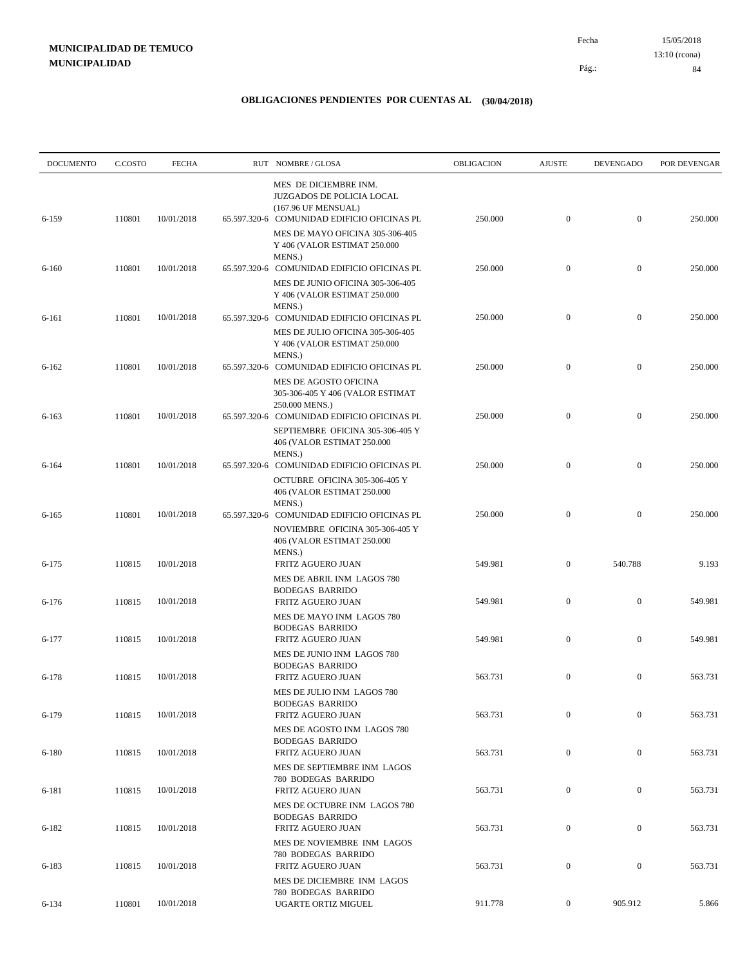| <b>DOCUMENTO</b> | C.COSTO | <b>FECHA</b> | RUT NOMBRE/GLOSA                                                                                                                          | <b>OBLIGACION</b> | <b>AJUSTE</b>    | <b>DEVENGADO</b> | POR DEVENGAR |
|------------------|---------|--------------|-------------------------------------------------------------------------------------------------------------------------------------------|-------------------|------------------|------------------|--------------|
| 6-159            | 110801  | 10/01/2018   | MES DE DICIEMBRE INM.<br>JUZGADOS DE POLICIA LOCAL<br>(167.96 UF MENSUAL)<br>65.597.320-6 COMUNIDAD EDIFICIO OFICINAS PL                  | 250.000           | $\mathbf{0}$     | $\mathbf{0}$     | 250.000      |
|                  |         |              | MES DE MAYO OFICINA 305-306-405<br>Y 406 (VALOR ESTIMAT 250.000<br>MENS.)                                                                 |                   |                  |                  |              |
| $6 - 160$        | 110801  | 10/01/2018   | 65.597.320-6 COMUNIDAD EDIFICIO OFICINAS PL<br>MES DE JUNIO OFICINA 305-306-405<br>Y 406 (VALOR ESTIMAT 250.000                           | 250.000           | $\mathbf{0}$     | $\boldsymbol{0}$ | 250.000      |
| 6-161            | 110801  | 10/01/2018   | MENS.)<br>65.597.320-6 COMUNIDAD EDIFICIO OFICINAS PL<br>MES DE JULIO OFICINA 305-306-405<br>Y 406 (VALOR ESTIMAT 250.000                 | 250.000           | $\mathbf{0}$     | $\boldsymbol{0}$ | 250.000      |
| $6 - 162$        | 110801  | 10/01/2018   | MENS.)<br>65.597.320-6 COMUNIDAD EDIFICIO OFICINAS PL<br>MES DE AGOSTO OFICINA<br>305-306-405 Y 406 (VALOR ESTIMAT                        | 250.000           | $\mathbf{0}$     | $\boldsymbol{0}$ | 250.000      |
| $6 - 163$        | 110801  | 10/01/2018   | 250.000 MENS.)<br>65.597.320-6 COMUNIDAD EDIFICIO OFICINAS PL<br>SEPTIEMBRE OFICINA 305-306-405 Y<br>406 (VALOR ESTIMAT 250.000<br>MENS.) | 250.000           | $\boldsymbol{0}$ | $\boldsymbol{0}$ | 250.000      |
| $6 - 164$        | 110801  | 10/01/2018   | 65.597.320-6 COMUNIDAD EDIFICIO OFICINAS PL<br>OCTUBRE OFICINA 305-306-405 Y<br>406 (VALOR ESTIMAT 250.000                                | 250.000           | $\mathbf{0}$     | $\boldsymbol{0}$ | 250.000      |
| $6 - 165$        | 110801  | 10/01/2018   | MENS.)<br>65.597.320-6 COMUNIDAD EDIFICIO OFICINAS PL<br>NOVIEMBRE OFICINA 305-306-405 Y<br>406 (VALOR ESTIMAT 250.000                    | 250.000           | $\mathbf{0}$     | $\boldsymbol{0}$ | 250.000      |
| $6 - 175$        | 110815  | 10/01/2018   | MENS.)<br>FRITZ AGUERO JUAN<br>MES DE ABRIL INM LAGOS 780                                                                                 | 549.981           | $\boldsymbol{0}$ | 540.788          | 9.193        |
| $6 - 176$        | 110815  | 10/01/2018   | <b>BODEGAS BARRIDO</b><br>FRITZ AGUERO JUAN<br>MES DE MAYO INM LAGOS 780                                                                  | 549.981           | $\mathbf{0}$     | $\boldsymbol{0}$ | 549.981      |
| $6 - 177$        | 110815  | 10/01/2018   | <b>BODEGAS BARRIDO</b><br>FRITZ AGUERO JUAN                                                                                               | 549.981           | $\mathbf{0}$     | $\boldsymbol{0}$ | 549.981      |
| $6 - 178$        | 110815  | 10/01/2018   | MES DE JUNIO INM LAGOS 780<br><b>BODEGAS BARRIDO</b><br>FRITZ AGUERO JUAN<br>MES DE JULIO INM LAGOS 780                                   | 563.731           | $\boldsymbol{0}$ | $\boldsymbol{0}$ | 563.731      |
| 6-179            | 110815  | 10/01/2018   | <b>BODEGAS BARRIDO</b><br>FRITZ AGUERO JUAN                                                                                               | 563.731           | $\mathbf{0}$     | $\boldsymbol{0}$ | 563.731      |
| 6-180            | 110815  | 10/01/2018   | MES DE AGOSTO INM LAGOS 780<br><b>BODEGAS BARRIDO</b><br>FRITZ AGUERO JUAN                                                                | 563.731           | $\boldsymbol{0}$ | $\boldsymbol{0}$ | 563.731      |
| 6-181            | 110815  | 10/01/2018   | MES DE SEPTIEMBRE INM LAGOS<br>780 BODEGAS BARRIDO<br>FRITZ AGUERO JUAN                                                                   | 563.731           | $\boldsymbol{0}$ | $\boldsymbol{0}$ | 563.731      |
| 6-182            | 110815  | 10/01/2018   | MES DE OCTUBRE INM LAGOS 780<br><b>BODEGAS BARRIDO</b><br>FRITZ AGUERO JUAN                                                               | 563.731           | $\boldsymbol{0}$ | $\boldsymbol{0}$ | 563.731      |
| 6-183            | 110815  | 10/01/2018   | MES DE NOVIEMBRE INM LAGOS<br><b>780 BODEGAS BARRIDO</b><br>FRITZ AGUERO JUAN<br>MES DE DICIEMBRE INM LAGOS                               | 563.731           | $\boldsymbol{0}$ | $\boldsymbol{0}$ | 563.731      |
| $6 - 134$        | 110801  | 10/01/2018   | 780 BODEGAS BARRIDO<br>UGARTE ORTIZ MIGUEL                                                                                                | 911.778           | $\overline{0}$   | 905.912          | 5.866        |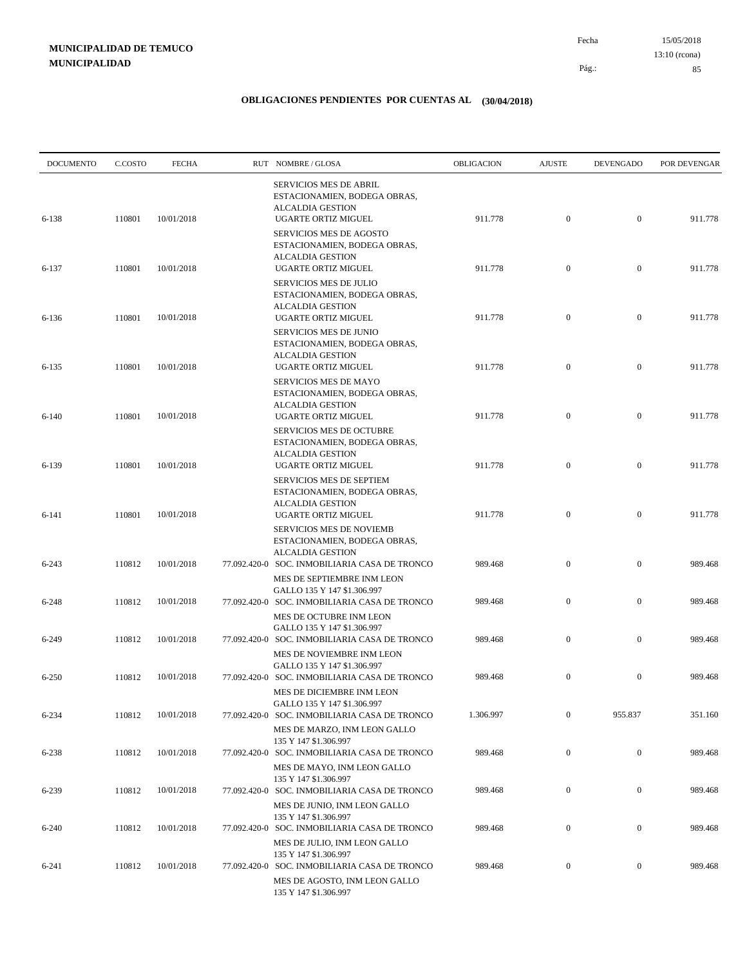15/05/2018 85 Pág.: Fecha 13:10 (rcona)

| <b>DOCUMENTO</b> | C.COSTO | <b>FECHA</b> | RUT NOMBRE/GLOSA                                                                                                         | <b>OBLIGACION</b> | <b>AJUSTE</b>    | <b>DEVENGADO</b> | POR DEVENGAR |
|------------------|---------|--------------|--------------------------------------------------------------------------------------------------------------------------|-------------------|------------------|------------------|--------------|
| 6-138            | 110801  | 10/01/2018   | <b>SERVICIOS MES DE ABRIL</b><br>ESTACIONAMIEN, BODEGA OBRAS,<br><b>ALCALDIA GESTION</b><br>UGARTE ORTIZ MIGUEL          | 911.778           | $\mathbf{0}$     | $\overline{0}$   | 911.778      |
|                  |         |              | <b>SERVICIOS MES DE AGOSTO</b><br>ESTACIONAMIEN, BODEGA OBRAS,<br><b>ALCALDIA GESTION</b>                                |                   |                  |                  |              |
| 6-137            | 110801  | 10/01/2018   | UGARTE ORTIZ MIGUEL<br>SERVICIOS MES DE JULIO<br>ESTACIONAMIEN, BODEGA OBRAS,                                            | 911.778           | $\mathbf{0}$     | $\boldsymbol{0}$ | 911.778      |
| 6-136            | 110801  | 10/01/2018   | <b>ALCALDIA GESTION</b><br>UGARTE ORTIZ MIGUEL<br>SERVICIOS MES DE JUNIO                                                 | 911.778           | $\mathbf{0}$     | $\overline{0}$   | 911.778      |
| $6 - 135$        | 110801  | 10/01/2018   | ESTACIONAMIEN, BODEGA OBRAS,<br><b>ALCALDIA GESTION</b><br>UGARTE ORTIZ MIGUEL                                           | 911.778           | $\boldsymbol{0}$ | $\mathbf{0}$     | 911.778      |
| $6 - 140$        | 110801  | 10/01/2018   | <b>SERVICIOS MES DE MAYO</b><br>ESTACIONAMIEN, BODEGA OBRAS,<br><b>ALCALDIA GESTION</b><br><b>UGARTE ORTIZ MIGUEL</b>    | 911.778           | $\boldsymbol{0}$ | $\boldsymbol{0}$ | 911.778      |
|                  |         |              | SERVICIOS MES DE OCTUBRE<br>ESTACIONAMIEN, BODEGA OBRAS,<br><b>ALCALDIA GESTION</b>                                      |                   |                  |                  |              |
| 6-139            | 110801  | 10/01/2018   | <b>UGARTE ORTIZ MIGUEL</b><br><b>SERVICIOS MES DE SEPTIEM</b><br>ESTACIONAMIEN, BODEGA OBRAS,<br><b>ALCALDIA GESTION</b> | 911.778           | $\mathbf{0}$     | $\boldsymbol{0}$ | 911.778      |
| 6-141            | 110801  | 10/01/2018   | <b>UGARTE ORTIZ MIGUEL</b><br>SERVICIOS MES DE NOVIEMB<br>ESTACIONAMIEN, BODEGA OBRAS,                                   | 911.778           | $\mathbf{0}$     | $\boldsymbol{0}$ | 911.778      |
| $6 - 243$        | 110812  | 10/01/2018   | <b>ALCALDIA GESTION</b><br>77.092.420-0 SOC. INMOBILIARIA CASA DE TRONCO<br>MES DE SEPTIEMBRE INM LEON                   | 989.468           | $\mathbf{0}$     | $\mathbf{0}$     | 989.468      |
| $6 - 248$        | 110812  | 10/01/2018   | GALLO 135 Y 147 \$1.306.997<br>77.092.420-0 SOC. INMOBILIARIA CASA DE TRONCO<br>MES DE OCTUBRE INM LEON                  | 989.468           | $\mathbf{0}$     | $\boldsymbol{0}$ | 989.468      |
| 6-249            | 110812  | 10/01/2018   | GALLO 135 Y 147 \$1.306.997<br>77.092.420-0 SOC. INMOBILIARIA CASA DE TRONCO<br>MES DE NOVIEMBRE INM LEON                | 989.468           | $\mathbf{0}$     | $\boldsymbol{0}$ | 989.468      |
| $6 - 250$        | 110812  | 10/01/2018   | GALLO 135 Y 147 \$1.306.997<br>77.092.420-0 SOC. INMOBILIARIA CASA DE TRONCO<br>MES DE DICIEMBRE INM LEON                | 989.468           | $\mathbf{0}$     | $\boldsymbol{0}$ | 989.468      |
| $6 - 234$        | 110812  | 10/01/2018   | GALLO 135 Y 147 \$1.306.997<br>77.092.420-0 SOC. INMOBILIARIA CASA DE TRONCO<br>MES DE MARZO, INM LEON GALLO             | 1.306.997         | $\mathbf{0}$     | 955.837          | 351.160      |
| 6-238            | 110812  | 10/01/2018   | 135 Y 147 \$1.306.997<br>77.092.420-0 SOC. INMOBILIARIA CASA DE TRONCO<br>MES DE MAYO, INM LEON GALLO                    | 989.468           | $\boldsymbol{0}$ | $\boldsymbol{0}$ | 989.468      |
| 6-239            | 110812  | 10/01/2018   | 135 Y 147 \$1.306.997<br>77.092.420-0 SOC. INMOBILIARIA CASA DE TRONCO<br>MES DE JUNIO, INM LEON GALLO                   | 989.468           | $\mathbf{0}$     | $\boldsymbol{0}$ | 989.468      |
| $6 - 240$        | 110812  | 10/01/2018   | 135 Y 147 \$1.306.997<br>77.092.420-0 SOC. INMOBILIARIA CASA DE TRONCO<br>MES DE JULIO, INM LEON GALLO                   | 989.468           | $\mathbf{0}$     | $\boldsymbol{0}$ | 989.468      |
| 6-241            | 110812  | 10/01/2018   | 135 Y 147 \$1.306.997<br>77.092.420-0 SOC. INMOBILIARIA CASA DE TRONCO<br>MES DE AGOSTO, INM LEON GALLO                  | 989.468           | $\mathbf{0}$     | $\boldsymbol{0}$ | 989.468      |
|                  |         |              | 135 Y 147 \$1.306.997                                                                                                    |                   |                  |                  |              |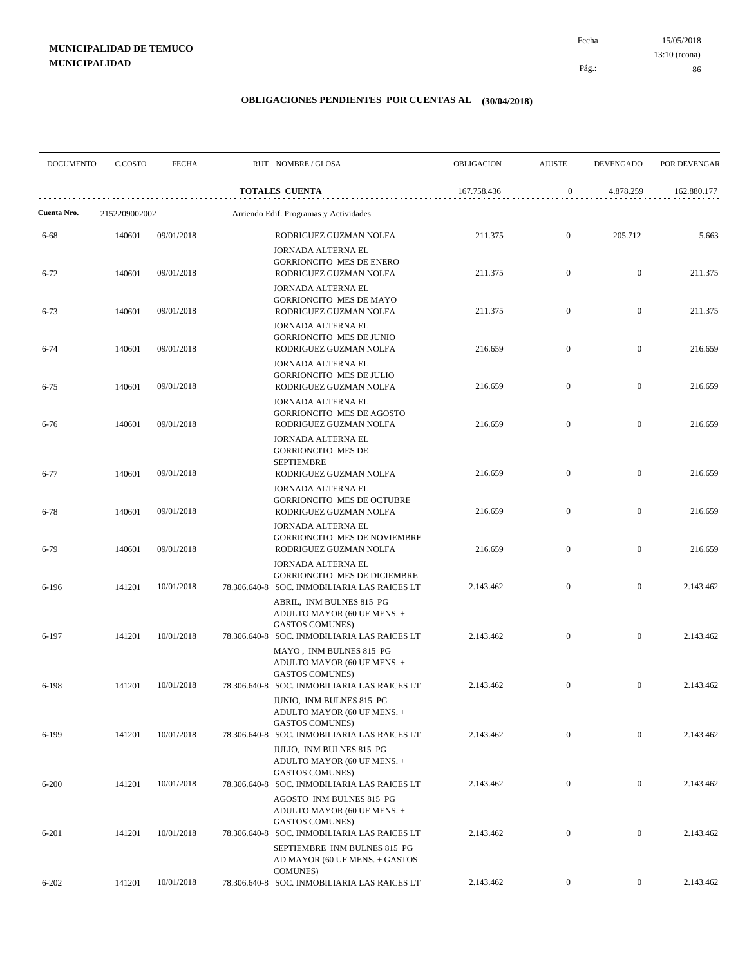15/05/2018 86 Pág.: Fecha 13:10 (rcona)

| <b>DOCUMENTO</b> | C.COSTO       | <b>FECHA</b> | RUT NOMBRE/GLOSA                                                                                          | OBLIGACION  | <b>AJUSTE</b>    | <b>DEVENGADO</b> | POR DEVENGAR |
|------------------|---------------|--------------|-----------------------------------------------------------------------------------------------------------|-------------|------------------|------------------|--------------|
|                  |               |              | <b>TOTALES CUENTA</b>                                                                                     | 167.758.436 | $\boldsymbol{0}$ | 4.878.259        | 162.880.177  |
| Cuenta Nro.      | 2152209002002 |              | Arriendo Edif. Programas y Actividades                                                                    |             |                  |                  |              |
| 6-68             | 140601        | 09/01/2018   | RODRIGUEZ GUZMAN NOLFA<br>JORNADA ALTERNA EL                                                              | 211.375     | $\mathbf{0}$     | 205.712          | 5.663        |
| $6 - 72$         | 140601        | 09/01/2018   | GORRIONCITO MES DE ENERO<br>RODRIGUEZ GUZMAN NOLFA                                                        | 211.375     | $\mathbf{0}$     | $\mathbf{0}$     | 211.375      |
| $6 - 73$         | 140601        | 09/01/2018   | JORNADA ALTERNA EL<br>GORRIONCITO MES DE MAYO<br>RODRIGUEZ GUZMAN NOLFA                                   | 211.375     | $\overline{0}$   | $\overline{0}$   | 211.375      |
| $6 - 74$         | 140601        | 09/01/2018   | JORNADA ALTERNA EL<br>GORRIONCITO MES DE JUNIO<br>RODRIGUEZ GUZMAN NOLFA                                  | 216.659     | $\mathbf{0}$     | $\mathbf{0}$     | 216.659      |
| $6 - 75$         | 140601        | 09/01/2018   | JORNADA ALTERNA EL<br>GORRIONCITO MES DE JULIO<br>RODRIGUEZ GUZMAN NOLFA                                  | 216.659     | $\mathbf{0}$     | $\boldsymbol{0}$ | 216.659      |
| $6 - 76$         | 140601        | 09/01/2018   | JORNADA ALTERNA EL<br><b>GORRIONCITO MES DE AGOSTO</b><br>RODRIGUEZ GUZMAN NOLFA                          | 216.659     | $\mathbf{0}$     | $\mathbf{0}$     | 216.659      |
|                  |               |              | JORNADA ALTERNA EL<br><b>GORRIONCITO MES DE</b><br><b>SEPTIEMBRE</b>                                      |             |                  |                  |              |
| $6 - 77$         | 140601        | 09/01/2018   | RODRIGUEZ GUZMAN NOLFA<br>JORNADA ALTERNA EL                                                              | 216.659     | $\mathbf{0}$     | $\boldsymbol{0}$ | 216.659      |
| $6 - 78$         | 140601        | 09/01/2018   | GORRIONCITO MES DE OCTUBRE<br>RODRIGUEZ GUZMAN NOLFA<br>JORNADA ALTERNA EL                                | 216.659     | $\mathbf{0}$     | $\boldsymbol{0}$ | 216.659      |
| $6 - 79$         | 140601        | 09/01/2018   | <b>GORRIONCITO MES DE NOVIEMBRE</b><br>RODRIGUEZ GUZMAN NOLFA                                             | 216.659     | $\mathbf{0}$     | $\boldsymbol{0}$ | 216.659      |
| 6-196            | 141201        | 10/01/2018   | JORNADA ALTERNA EL<br><b>GORRIONCITO MES DE DICIEMBRE</b><br>78.306.640-8 SOC. INMOBILIARIA LAS RAICES LT | 2.143.462   | $\overline{0}$   | $\overline{0}$   | 2.143.462    |
|                  |               |              | ABRIL, INM BULNES 815 PG<br>ADULTO MAYOR (60 UF MENS. +<br><b>GASTOS COMUNES)</b>                         |             |                  |                  |              |
| 6-197            | 141201        | 10/01/2018   | 78.306.640-8 SOC. INMOBILIARIA LAS RAICES LT<br>MAYO, INM BULNES 815 PG<br>ADULTO MAYOR (60 UF MENS. +    | 2.143.462   | $\mathbf{0}$     | $\boldsymbol{0}$ | 2.143.462    |
| 6-198            | 141201        | 10/01/2018   | <b>GASTOS COMUNES)</b><br>78.306.640-8 SOC. INMOBILIARIA LAS RAICES LT<br>JUNIO, INM BULNES 815 PG        | 2.143.462   | $\overline{0}$   | $\boldsymbol{0}$ | 2.143.462    |
| $6 - 199$        | 141201        | 10/01/2018   | ADULTO MAYOR (60 UF MENS. +<br><b>GASTOS COMUNES)</b><br>78.306.640-8 SOC. INMOBILIARIA LAS RAICES LT     | 2.143.462   | $\boldsymbol{0}$ | $\overline{0}$   | 2.143.462    |
|                  |               |              | JULIO, INM BULNES 815 PG<br>ADULTO MAYOR (60 UF MENS. +<br><b>GASTOS COMUNES)</b>                         |             |                  |                  |              |
| $6 - 200$        | 141201        | 10/01/2018   | 78.306.640-8 SOC. INMOBILIARIA LAS RAICES LT<br>AGOSTO INM BULNES 815 PG                                  | 2.143.462   | $\boldsymbol{0}$ | $\boldsymbol{0}$ | 2.143.462    |
| $6 - 201$        | 141201        | 10/01/2018   | ADULTO MAYOR (60 UF MENS. +<br><b>GASTOS COMUNES)</b><br>78.306.640-8 SOC. INMOBILIARIA LAS RAICES LT     | 2.143.462   | $\boldsymbol{0}$ | $\boldsymbol{0}$ | 2.143.462    |
|                  |               |              | SEPTIEMBRE INM BULNES 815 PG<br>AD MAYOR (60 UF MENS. + GASTOS<br><b>COMUNES</b> )                        |             |                  |                  |              |
| $6 - 202$        | 141201        | 10/01/2018   | 78.306.640-8 SOC. INMOBILIARIA LAS RAICES LT                                                              | 2.143.462   | $\boldsymbol{0}$ | $\overline{0}$   | 2.143.462    |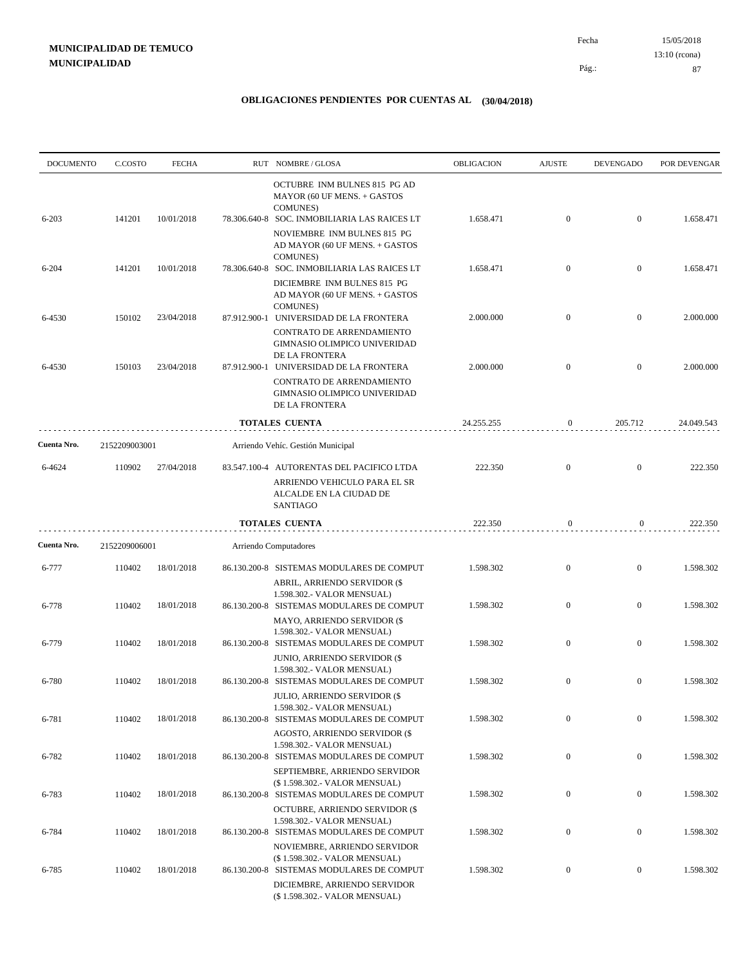| <b>DOCUMENTO</b> | C.COSTO       | <b>FECHA</b> | RUT NOMBRE/GLOSA                                                                                                                                               | <b>OBLIGACION</b> | <b>AJUSTE</b>    | <b>DEVENGADO</b> | POR DEVENGAR |
|------------------|---------------|--------------|----------------------------------------------------------------------------------------------------------------------------------------------------------------|-------------------|------------------|------------------|--------------|
| $6 - 203$        | 141201        | 10/01/2018   | OCTUBRE INM BULNES 815 PG AD<br>MAYOR (60 UF MENS. + GASTOS<br><b>COMUNES</b> )<br>78.306.640-8 SOC. INMOBILIARIA LAS RAICES LT<br>NOVIEMBRE INM BULNES 815 PG | 1.658.471         | $\mathbf{0}$     | $\overline{0}$   | 1.658.471    |
|                  |               |              | AD MAYOR (60 UF MENS. + GASTOS<br><b>COMUNES</b> )                                                                                                             |                   |                  |                  |              |
| $6 - 204$        | 141201        | 10/01/2018   | 78.306.640-8 SOC. INMOBILIARIA LAS RAICES LT<br>DICIEMBRE INM BULNES 815 PG<br>AD MAYOR (60 UF MENS. + GASTOS                                                  | 1.658.471         | $\mathbf{0}$     | $\boldsymbol{0}$ | 1.658.471    |
| 6-4530           | 150102        | 23/04/2018   | <b>COMUNES</b> )<br>87.912.900-1 UNIVERSIDAD DE LA FRONTERA                                                                                                    | 2.000.000         | $\overline{0}$   | $\boldsymbol{0}$ | 2.000.000    |
|                  |               |              | CONTRATO DE ARRENDAMIENTO<br>GIMNASIO OLIMPICO UNIVERIDAD<br>DE LA FRONTERA                                                                                    |                   |                  |                  |              |
| 6-4530           | 150103        | 23/04/2018   | 87.912.900-1 UNIVERSIDAD DE LA FRONTERA                                                                                                                        | 2.000.000         | $\mathbf{0}$     | $\mathbf{0}$     | 2.000.000    |
|                  |               |              | CONTRATO DE ARRENDAMIENTO<br>GIMNASIO OLIMPICO UNIVERIDAD<br><b>DE LA FRONTERA</b>                                                                             |                   |                  |                  |              |
|                  |               |              | <b>TOTALES CUENTA</b>                                                                                                                                          | 24.255.255        | $\boldsymbol{0}$ | 205.712          | 24.049.543   |
| Cuenta Nro.      | 2152209003001 |              | Arriendo Vehíc. Gestión Municipal                                                                                                                              |                   |                  |                  |              |
| 6-4624           | 110902        | 27/04/2018   | 83.547.100-4 AUTORENTAS DEL PACIFICO LTDA<br>ARRIENDO VEHICULO PARA EL SR<br>ALCALDE EN LA CIUDAD DE                                                           | 222.350           | $\overline{0}$   | $\overline{0}$   | 222.350      |
|                  |               |              | <b>SANTIAGO</b>                                                                                                                                                |                   |                  |                  |              |
|                  |               |              | <b>TOTALES CUENTA</b>                                                                                                                                          | 222.350           | $\boldsymbol{0}$ | $\overline{0}$   | 222.350      |
| Cuenta Nro.      | 2152209006001 |              | Arriendo Computadores                                                                                                                                          |                   |                  |                  |              |
| 6-777            | 110402        | 18/01/2018   | 86.130.200-8 SISTEMAS MODULARES DE COMPUT<br>ABRIL, ARRIENDO SERVIDOR (\$<br>1.598.302.- VALOR MENSUAL)                                                        | 1.598.302         | $\mathbf{0}$     | $\mathbf{0}$     | 1.598.302    |
| 6-778            | 110402        | 18/01/2018   | 86.130.200-8 SISTEMAS MODULARES DE COMPUT<br><b>MAYO, ARRIENDO SERVIDOR (\$</b>                                                                                | 1.598.302         | $\mathbf{0}$     | $\boldsymbol{0}$ | 1.598.302    |
| 6-779            | 110402        | 18/01/2018   | 1.598.302.- VALOR MENSUAL)<br>86.130.200-8 SISTEMAS MODULARES DE COMPUT<br>JUNIO, ARRIENDO SERVIDOR (\$                                                        | 1.598.302         | $\overline{0}$   | $\boldsymbol{0}$ | 1.598.302    |
| 6-780            | 110402        | 18/01/2018   | 1.598.302.- VALOR MENSUAL)<br>86.130.200-8 SISTEMAS MODULARES DE COMPUT<br>JULIO, ARRIENDO SERVIDOR (\$                                                        | 1.598.302         | $\mathbf{0}$     | $\mathbf{0}$     | 1.598.302    |
| 6-781            | 110402        | 18/01/2018   | 1.598.302.- VALOR MENSUAL)<br>86.130.200-8 SISTEMAS MODULARES DE COMPUT                                                                                        | 1.598.302         | $\mathbf{0}$     | $\boldsymbol{0}$ | 1.598.302    |
| 6-782            | 110402        | 18/01/2018   | AGOSTO, ARRIENDO SERVIDOR (\$<br>1.598.302.- VALOR MENSUAL)<br>86.130.200-8 SISTEMAS MODULARES DE COMPUT                                                       | 1.598.302         | $\boldsymbol{0}$ | $\boldsymbol{0}$ | 1.598.302    |
| 6-783            | 110402        | 18/01/2018   | SEPTIEMBRE, ARRIENDO SERVIDOR<br>(\$1.598.302.- VALOR MENSUAL)<br>86.130.200-8 SISTEMAS MODULARES DE COMPUT                                                    | 1.598.302         | $\boldsymbol{0}$ | $\boldsymbol{0}$ | 1.598.302    |
|                  |               |              | OCTUBRE, ARRIENDO SERVIDOR (\$<br>1.598.302.- VALOR MENSUAL)                                                                                                   |                   |                  |                  |              |
| 6-784            | 110402        | 18/01/2018   | 86.130.200-8 SISTEMAS MODULARES DE COMPUT<br>NOVIEMBRE, ARRIENDO SERVIDOR                                                                                      | 1.598.302         | $\boldsymbol{0}$ | $\boldsymbol{0}$ | 1.598.302    |
| 6-785            | 110402        | 18/01/2018   | (\$1.598.302.- VALOR MENSUAL)<br>86.130.200-8 SISTEMAS MODULARES DE COMPUT<br>DICIEMBRE, ARRIENDO SERVIDOR                                                     | 1.598.302         | $\boldsymbol{0}$ | $\overline{0}$   | 1.598.302    |
|                  |               |              | (\$1.598.302.- VALOR MENSUAL)                                                                                                                                  |                   |                  |                  |              |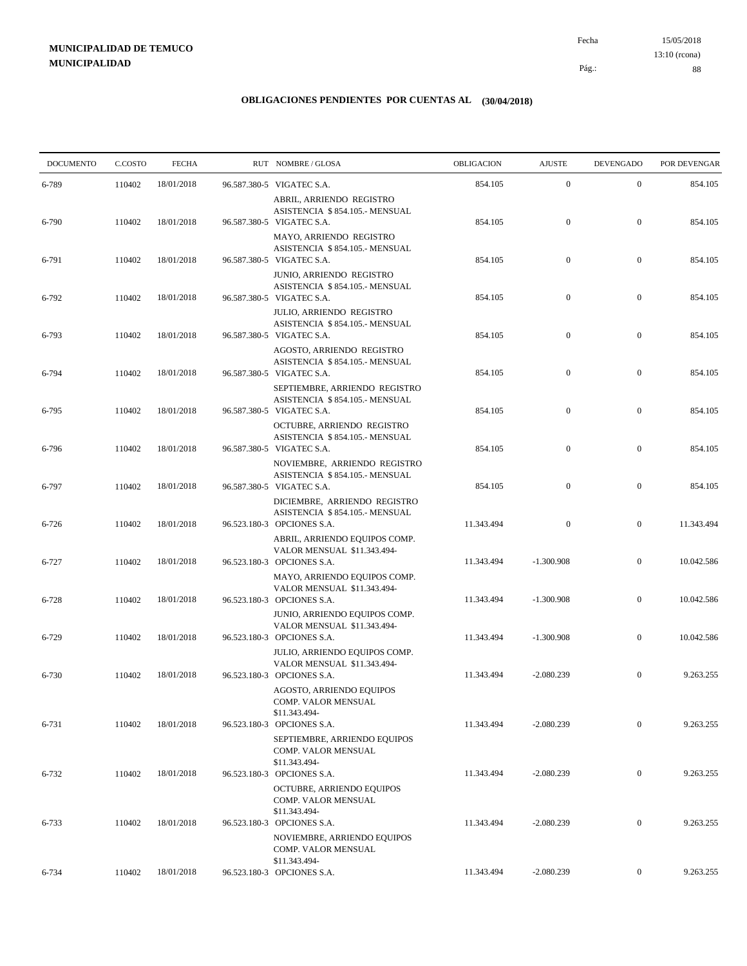15/05/2018 88 Pág.: Fecha 13:10 (rcona)

| <b>DOCUMENTO</b> | C.COSTO | <b>FECHA</b> | RUT NOMBRE/GLOSA                                                                                                   | OBLIGACION | <b>AJUSTE</b>    | <b>DEVENGADO</b> | POR DEVENGAR |
|------------------|---------|--------------|--------------------------------------------------------------------------------------------------------------------|------------|------------------|------------------|--------------|
| 6-789            | 110402  | 18/01/2018   | 96.587.380-5 VIGATEC S.A.                                                                                          | 854.105    | $\mathbf{0}$     | $\mathbf{0}$     | 854.105      |
| 6-790            | 110402  | 18/01/2018   | ABRIL, ARRIENDO REGISTRO<br>ASISTENCIA \$854.105.- MENSUAL<br>96.587.380-5 VIGATEC S.A.<br>MAYO, ARRIENDO REGISTRO | 854.105    | $\mathbf{0}$     | $\mathbf{0}$     | 854.105      |
| 6-791            | 110402  | 18/01/2018   | ASISTENCIA \$854.105.- MENSUAL<br>96.587.380-5 VIGATEC S.A.<br>JUNIO, ARRIENDO REGISTRO                            | 854.105    | $\boldsymbol{0}$ | $\mathbf{0}$     | 854.105      |
| 6-792            | 110402  | 18/01/2018   | ASISTENCIA \$854.105.- MENSUAL<br>96.587.380-5 VIGATEC S.A.                                                        | 854.105    | $\mathbf{0}$     | $\mathbf{0}$     | 854.105      |
| 6-793            | 110402  | 18/01/2018   | JULIO, ARRIENDO REGISTRO<br>ASISTENCIA \$854.105.- MENSUAL<br>96.587.380-5 VIGATEC S.A.                            | 854.105    | $\mathbf{0}$     | $\mathbf{0}$     | 854.105      |
| 6-794            | 110402  | 18/01/2018   | AGOSTO, ARRIENDO REGISTRO<br>ASISTENCIA \$854.105.- MENSUAL<br>96.587.380-5 VIGATEC S.A.                           | 854.105    | $\boldsymbol{0}$ | $\mathbf{0}$     | 854.105      |
| 6-795            | 110402  | 18/01/2018   | SEPTIEMBRE, ARRIENDO REGISTRO<br>ASISTENCIA \$854.105.- MENSUAL<br>96.587.380-5 VIGATEC S.A.                       | 854.105    | $\boldsymbol{0}$ | $\mathbf{0}$     | 854.105      |
| 6-796            | 110402  | 18/01/2018   | OCTUBRE, ARRIENDO REGISTRO<br>ASISTENCIA \$854.105.- MENSUAL<br>96.587.380-5 VIGATEC S.A.                          | 854.105    | $\boldsymbol{0}$ | $\mathbf{0}$     | 854.105      |
| 6-797            | 110402  | 18/01/2018   | NOVIEMBRE, ARRIENDO REGISTRO<br>ASISTENCIA \$854.105.- MENSUAL<br>96.587.380-5 VIGATEC S.A.                        | 854.105    | $\mathbf{0}$     | $\mathbf{0}$     | 854.105      |
| 6-726            | 110402  | 18/01/2018   | DICIEMBRE, ARRIENDO REGISTRO<br>ASISTENCIA \$854.105.- MENSUAL<br>96.523.180-3 OPCIONES S.A.                       | 11.343.494 | $\mathbf{0}$     | $\mathbf{0}$     | 11.343.494   |
| 6-727            | 110402  | 18/01/2018   | ABRIL, ARRIENDO EQUIPOS COMP.<br>VALOR MENSUAL \$11.343.494-<br>96.523.180-3 OPCIONES S.A.                         | 11.343.494 | $-1.300.908$     | $\mathbf{0}$     | 10.042.586   |
| 6-728            | 110402  | 18/01/2018   | MAYO, ARRIENDO EQUIPOS COMP.<br>VALOR MENSUAL \$11.343.494-<br>96.523.180-3 OPCIONES S.A.                          | 11.343.494 | $-1.300.908$     | $\mathbf{0}$     | 10.042.586   |
|                  |         |              | JUNIO, ARRIENDO EQUIPOS COMP.<br>VALOR MENSUAL \$11.343.494-                                                       |            |                  |                  |              |
| 6-729            | 110402  | 18/01/2018   | 96.523.180-3 OPCIONES S.A.<br>JULIO, ARRIENDO EQUIPOS COMP.<br>VALOR MENSUAL \$11.343.494-                         | 11.343.494 | $-1.300.908$     | $\mathbf{0}$     | 10.042.586   |
| 6-730            | 110402  | 18/01/2018   | 96.523.180-3 OPCIONES S.A.<br>AGOSTO, ARRIENDO EQUIPOS<br>COMP. VALOR MENSUAL                                      | 11.343.494 | $-2.080.239$     | $\mathbf{0}$     | 9.263.255    |
| 6-731            | 110402  | 18/01/2018   | \$11.343.494-<br>96.523.180-3 OPCIONES S.A.<br>SEPTIEMBRE, ARRIENDO EQUIPOS                                        | 11.343.494 | $-2.080.239$     | $\overline{0}$   | 9.263.255    |
| $6 - 732$        | 110402  | 18/01/2018   | COMP. VALOR MENSUAL<br>\$11.343.494-<br>96.523.180-3 OPCIONES S.A.                                                 | 11.343.494 | $-2.080.239$     | $\boldsymbol{0}$ | 9.263.255    |
|                  |         |              | OCTUBRE, ARRIENDO EQUIPOS<br>COMP. VALOR MENSUAL<br>\$11.343.494-                                                  |            |                  |                  |              |
| 6-733            | 110402  | 18/01/2018   | 96.523.180-3 OPCIONES S.A.<br>NOVIEMBRE, ARRIENDO EQUIPOS<br>COMP. VALOR MENSUAL                                   | 11.343.494 | $-2.080.239$     | $\boldsymbol{0}$ | 9.263.255    |
| 6-734            | 110402  | 18/01/2018   | \$11.343.494-<br>96.523.180-3 OPCIONES S.A.                                                                        | 11.343.494 | $-2.080.239$     | $\boldsymbol{0}$ | 9.263.255    |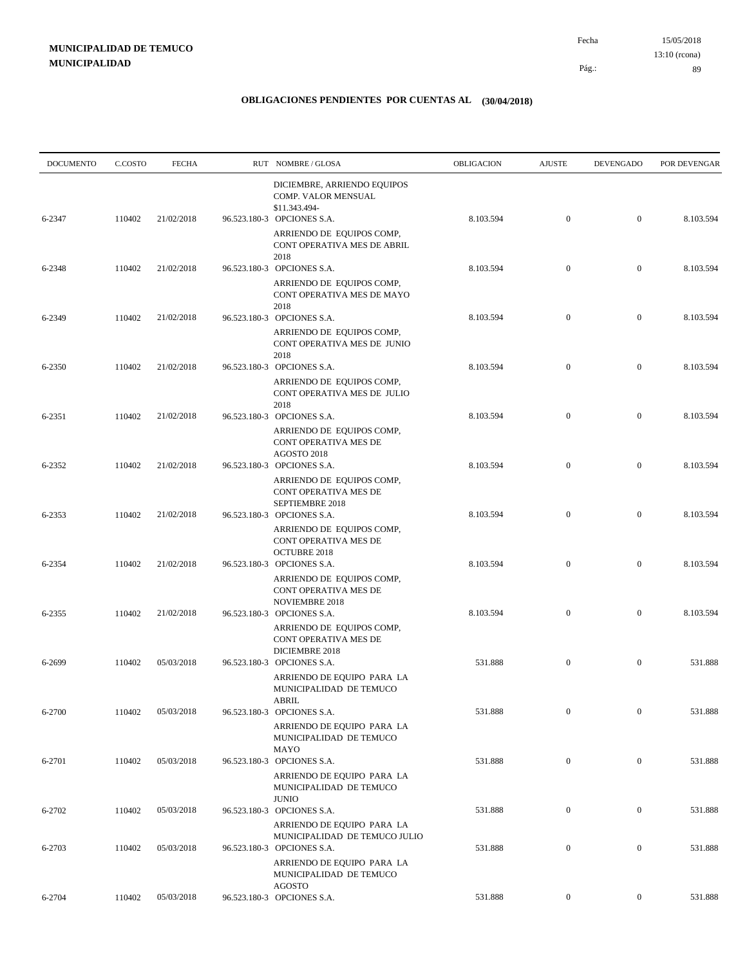| <b>DOCUMENTO</b> | C.COSTO | <b>FECHA</b> | RUT NOMBRE/GLOSA                                                                                          | <b>OBLIGACION</b> | <b>AJUSTE</b>    | <b>DEVENGADO</b> | POR DEVENGAR |
|------------------|---------|--------------|-----------------------------------------------------------------------------------------------------------|-------------------|------------------|------------------|--------------|
| 6-2347           | 110402  | 21/02/2018   | DICIEMBRE, ARRIENDO EQUIPOS<br>COMP. VALOR MENSUAL<br>\$11.343.494-<br>96.523.180-3 OPCIONES S.A.         | 8.103.594         | $\mathbf{0}$     | $\mathbf{0}$     | 8.103.594    |
|                  |         |              | ARRIENDO DE EQUIPOS COMP,<br>CONT OPERATIVA MES DE ABRIL<br>2018                                          |                   |                  |                  |              |
| 6-2348           | 110402  | 21/02/2018   | 96.523.180-3 OPCIONES S.A.<br>ARRIENDO DE EQUIPOS COMP,<br>CONT OPERATIVA MES DE MAYO                     | 8.103.594         | $\mathbf{0}$     | $\mathbf{0}$     | 8.103.594    |
| 6-2349           | 110402  | 21/02/2018   | 2018<br>96.523.180-3 OPCIONES S.A.<br>ARRIENDO DE EQUIPOS COMP,<br>CONT OPERATIVA MES DE JUNIO<br>2018    | 8.103.594         | $\mathbf{0}$     | $\mathbf{0}$     | 8.103.594    |
| 6-2350           | 110402  | 21/02/2018   | 96.523.180-3 OPCIONES S.A.<br>ARRIENDO DE EQUIPOS COMP,<br>CONT OPERATIVA MES DE JULIO<br>2018            | 8.103.594         | $\boldsymbol{0}$ | $\boldsymbol{0}$ | 8.103.594    |
| 6-2351           | 110402  | 21/02/2018   | 96.523.180-3 OPCIONES S.A.<br>ARRIENDO DE EQUIPOS COMP,<br>CONT OPERATIVA MES DE<br>AGOSTO 2018           | 8.103.594         | $\mathbf{0}$     | $\mathbf{0}$     | 8.103.594    |
| 6-2352           | 110402  | 21/02/2018   | 96.523.180-3 OPCIONES S.A.<br>ARRIENDO DE EQUIPOS COMP,<br>CONT OPERATIVA MES DE<br>SEPTIEMBRE 2018       | 8.103.594         | $\boldsymbol{0}$ | $\boldsymbol{0}$ | 8.103.594    |
| 6-2353           | 110402  | 21/02/2018   | 96.523.180-3 OPCIONES S.A.<br>ARRIENDO DE EQUIPOS COMP,<br>CONT OPERATIVA MES DE<br><b>OCTUBRE 2018</b>   | 8.103.594         | $\boldsymbol{0}$ | $\mathbf{0}$     | 8.103.594    |
| 6-2354           | 110402  | 21/02/2018   | 96.523.180-3 OPCIONES S.A.<br>ARRIENDO DE EQUIPOS COMP,<br>CONT OPERATIVA MES DE<br><b>NOVIEMBRE 2018</b> | 8.103.594         | $\boldsymbol{0}$ | $\mathbf{0}$     | 8.103.594    |
| 6-2355           | 110402  | 21/02/2018   | 96.523.180-3 OPCIONES S.A.<br>ARRIENDO DE EQUIPOS COMP,<br>CONT OPERATIVA MES DE<br>DICIEMBRE 2018        | 8.103.594         | $\mathbf{0}$     | $\mathbf{0}$     | 8.103.594    |
| 6-2699           | 110402  | 05/03/2018   | 96.523.180-3 OPCIONES S.A.<br>ARRIENDO DE EQUIPO PARA LA<br>MUNICIPALIDAD DE TEMUCO<br>${\rm ABRIL}$      | 531.888           | $\boldsymbol{0}$ | $\mathbf{0}$     | 531.888      |
| 6-2700           | 110402  | 05/03/2018   | 96.523.180-3 OPCIONES S.A.<br>ARRIENDO DE EQUIPO PARA LA<br>MUNICIPALIDAD DE TEMUCO<br><b>MAYO</b>        | 531.888           | $\boldsymbol{0}$ | $\mathbf{0}$     | 531.888      |
| 6-2701           | 110402  | 05/03/2018   | 96.523.180-3 OPCIONES S.A.<br>ARRIENDO DE EQUIPO PARA LA<br>MUNICIPALIDAD DE TEMUCO<br><b>JUNIO</b>       | 531.888           | $\boldsymbol{0}$ | $\boldsymbol{0}$ | 531.888      |
| 6-2702           | 110402  | 05/03/2018   | 96.523.180-3 OPCIONES S.A.<br>ARRIENDO DE EQUIPO PARA LA<br>MUNICIPALIDAD DE TEMUCO JULIO                 | 531.888           | $\boldsymbol{0}$ | $\boldsymbol{0}$ | 531.888      |
| 6-2703           | 110402  | 05/03/2018   | 96.523.180-3 OPCIONES S.A.<br>ARRIENDO DE EQUIPO PARA LA<br>MUNICIPALIDAD DE TEMUCO                       | 531.888           | $\boldsymbol{0}$ | $\boldsymbol{0}$ | 531.888      |
| 6-2704           | 110402  | 05/03/2018   | <b>AGOSTO</b><br>96.523.180-3 OPCIONES S.A.                                                               | 531.888           | $\overline{0}$   | $\boldsymbol{0}$ | 531.888      |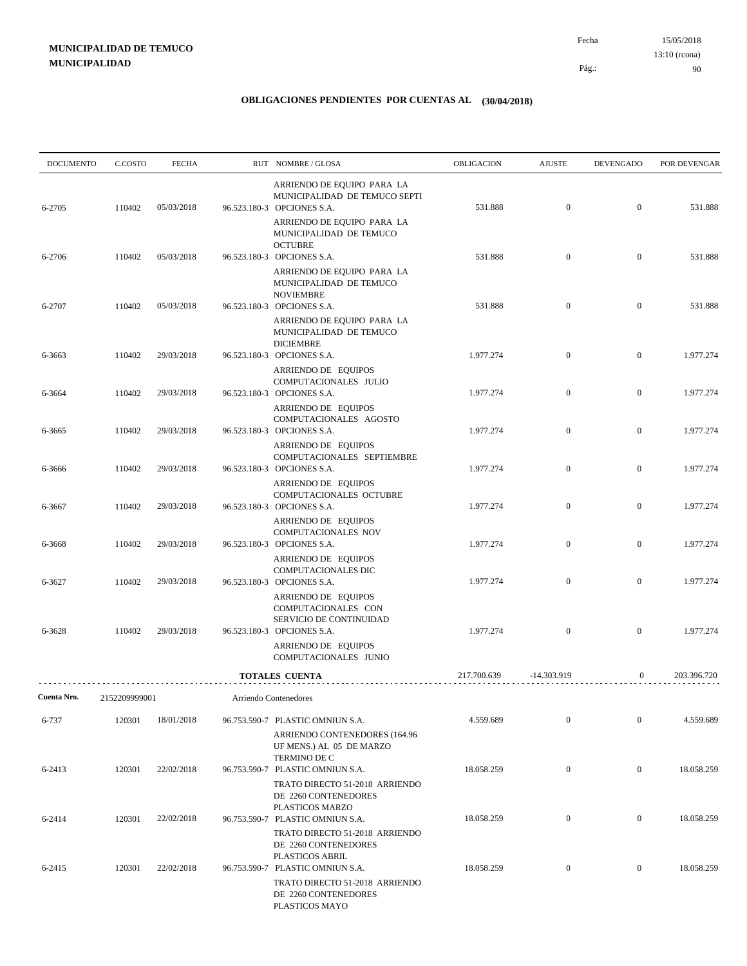15/05/2018 90 Pág.: Fecha 13:10 (rcona)

| <b>DOCUMENTO</b> | C.COSTO       | <b>FECHA</b> | RUT NOMBRE/GLOSA                                                                                                        | OBLIGACION  | <b>AJUSTE</b>    | <b>DEVENGADO</b> | POR DEVENGAR |
|------------------|---------------|--------------|-------------------------------------------------------------------------------------------------------------------------|-------------|------------------|------------------|--------------|
| 6-2705           | 110402        | 05/03/2018   | ARRIENDO DE EQUIPO PARA LA<br>MUNICIPALIDAD DE TEMUCO SEPTI<br>96.523.180-3 OPCIONES S.A.<br>ARRIENDO DE EQUIPO PARA LA | 531.888     | $\boldsymbol{0}$ | $\mathbf{0}$     | 531.888      |
| 6-2706           | 110402        | 05/03/2018   | MUNICIPALIDAD DE TEMUCO<br><b>OCTUBRE</b><br>96.523.180-3 OPCIONES S.A.<br>ARRIENDO DE EQUIPO PARA LA                   | 531.888     | $\boldsymbol{0}$ | $\mathbf{0}$     | 531.888      |
| 6-2707           | 110402        | 05/03/2018   | MUNICIPALIDAD DE TEMUCO<br><b>NOVIEMBRE</b><br>96.523.180-3 OPCIONES S.A.<br>ARRIENDO DE EQUIPO PARA LA                 | 531.888     | $\boldsymbol{0}$ | $\mathbf{0}$     | 531.888      |
| 6-3663           | 110402        | 29/03/2018   | MUNICIPALIDAD DE TEMUCO<br><b>DICIEMBRE</b><br>96.523.180-3 OPCIONES S.A.                                               | 1.977.274   | $\boldsymbol{0}$ | $\boldsymbol{0}$ | 1.977.274    |
| 6-3664           | 110402        | 29/03/2018   | ARRIENDO DE EQUIPOS<br>COMPUTACIONALES JULIO<br>96.523.180-3 OPCIONES S.A.<br>ARRIENDO DE EQUIPOS                       | 1.977.274   | $\boldsymbol{0}$ | $\mathbf{0}$     | 1.977.274    |
| 6-3665           | 110402        | 29/03/2018   | COMPUTACIONALES AGOSTO<br>96.523.180-3 OPCIONES S.A.                                                                    | 1.977.274   | $\boldsymbol{0}$ | $\mathbf{0}$     | 1.977.274    |
| 6-3666           | 110402        | 29/03/2018   | ARRIENDO DE EQUIPOS<br>COMPUTACIONALES SEPTIEMBRE<br>96.523.180-3 OPCIONES S.A.                                         | 1.977.274   | $\boldsymbol{0}$ | $\mathbf{0}$     | 1.977.274    |
| 6-3667           | 110402        | 29/03/2018   | ARRIENDO DE EQUIPOS<br>COMPUTACIONALES OCTUBRE<br>96.523.180-3 OPCIONES S.A.                                            | 1.977.274   | $\boldsymbol{0}$ | $\mathbf{0}$     | 1.977.274    |
| 6-3668           | 110402        | 29/03/2018   | ARRIENDO DE EQUIPOS<br>COMPUTACIONALES NOV<br>96.523.180-3 OPCIONES S.A.                                                | 1.977.274   | $\boldsymbol{0}$ | $\mathbf{0}$     | 1.977.274    |
| 6-3627           | 110402        | 29/03/2018   | ARRIENDO DE EQUIPOS<br>COMPUTACIONALES DIC<br>96.523.180-3 OPCIONES S.A.                                                | 1.977.274   | $\overline{0}$   | $\overline{0}$   | 1.977.274    |
| 6-3628           | 110402        | 29/03/2018   | ARRIENDO DE EQUIPOS<br>COMPUTACIONALES CON<br>SERVICIO DE CONTINUIDAD<br>96.523.180-3 OPCIONES S.A.                     | 1.977.274   | $\boldsymbol{0}$ | $\overline{0}$   | 1.977.274    |
|                  |               |              | ARRIENDO DE EQUIPOS<br>COMPUTACIONALES JUNIO                                                                            |             |                  |                  |              |
|                  |               |              | <b>TOTALES CUENTA</b>                                                                                                   | 217.700.639 | -14.303.919      | $\boldsymbol{0}$ | 203.396.720  |
| Cuenta Nro.      | 2152209999001 |              | Arriendo Contenedores                                                                                                   |             |                  |                  |              |
| 6-737            | 120301        | 18/01/2018   | 96.753.590-7 PLASTIC OMNIUN S.A.<br>ARRIENDO CONTENEDORES (164.96<br>UF MENS.) AL 05 DE MARZO<br>TERMINO DE C           | 4.559.689   | $\mathbf{0}$     | $\overline{0}$   | 4.559.689    |
| 6-2413           | 120301        | 22/02/2018   | 96.753.590-7 PLASTIC OMNIUN S.A.<br>TRATO DIRECTO 51-2018 ARRIENDO<br>DE 2260 CONTENEDORES                              | 18.058.259  | $\boldsymbol{0}$ | $\overline{0}$   | 18.058.259   |
| 6-2414           | 120301        | 22/02/2018   | PLASTICOS MARZO<br>96.753.590-7 PLASTIC OMNIUN S.A.<br>TRATO DIRECTO 51-2018 ARRIENDO                                   | 18.058.259  | $\boldsymbol{0}$ | $\overline{0}$   | 18.058.259   |
| 6-2415           | 120301        | 22/02/2018   | DE 2260 CONTENEDORES<br>PLASTICOS ABRIL<br>96.753.590-7 PLASTIC OMNIUN S.A.                                             | 18.058.259  | $\boldsymbol{0}$ | $\overline{0}$   | 18.058.259   |
|                  |               |              | TRATO DIRECTO 51-2018 ARRIENDO<br>DE 2260 CONTENEDORES<br>PLASTICOS MAYO                                                |             |                  |                  |              |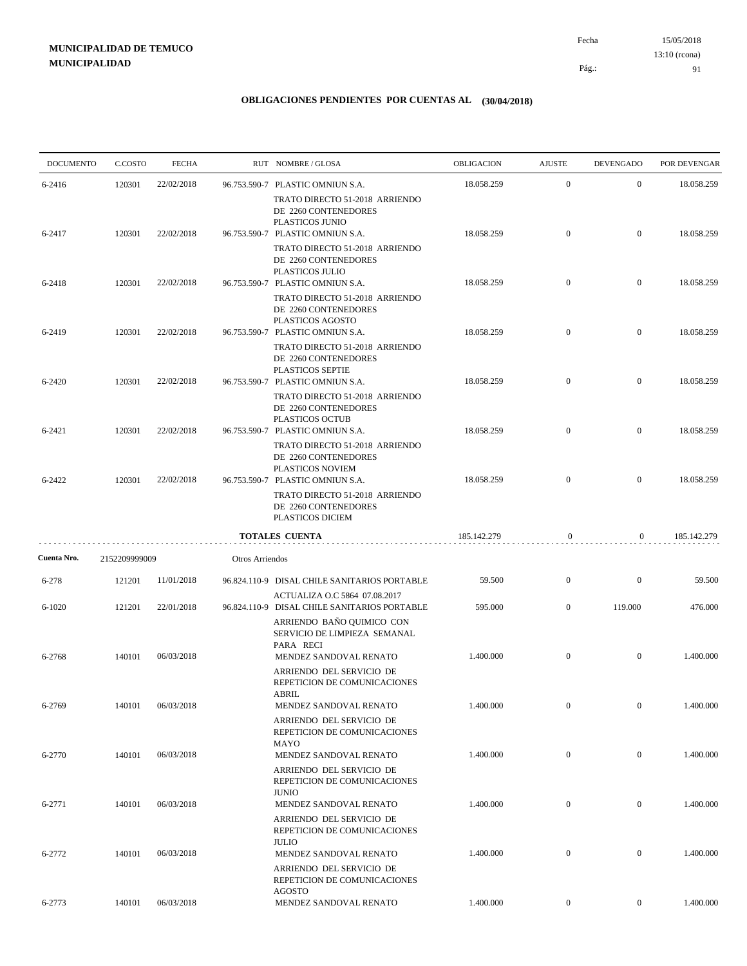15/05/2018 91 Pág.: Fecha 13:10 (rcona)

| <b>DOCUMENTO</b> | C.COSTO       | <b>FECHA</b> |                 | RUT NOMBRE/GLOSA                                                                           | OBLIGACION  | <b>AJUSTE</b>    | <b>DEVENGADO</b> | POR DEVENGAR |
|------------------|---------------|--------------|-----------------|--------------------------------------------------------------------------------------------|-------------|------------------|------------------|--------------|
| 6-2416           | 120301        | 22/02/2018   |                 | 96.753.590-7 PLASTIC OMNIUN S.A.                                                           | 18.058.259  | $\mathbf{0}$     | $\mathbf{0}$     | 18.058.259   |
|                  |               |              |                 | TRATO DIRECTO 51-2018 ARRIENDO<br>DE 2260 CONTENEDORES<br>PLASTICOS JUNIO                  |             |                  |                  |              |
| 6-2417           | 120301        | 22/02/2018   |                 | 96.753.590-7 PLASTIC OMNIUN S.A.<br>TRATO DIRECTO 51-2018 ARRIENDO<br>DE 2260 CONTENEDORES | 18.058.259  | $\mathbf{0}$     | $\overline{0}$   | 18.058.259   |
| 6-2418           | 120301        | 22/02/2018   |                 | PLASTICOS JULIO<br>96.753.590-7 PLASTIC OMNIUN S.A.<br>TRATO DIRECTO 51-2018 ARRIENDO      | 18.058.259  | $\mathbf{0}$     | $\mathbf{0}$     | 18.058.259   |
| 6-2419           | 120301        | 22/02/2018   |                 | DE 2260 CONTENEDORES<br>PLASTICOS AGOSTO<br>96.753.590-7 PLASTIC OMNIUN S.A.               | 18.058.259  | $\overline{0}$   | $\mathbf{0}$     | 18.058.259   |
|                  |               |              |                 | TRATO DIRECTO 51-2018 ARRIENDO<br>DE 2260 CONTENEDORES<br>PLASTICOS SEPTIE                 |             |                  |                  |              |
| 6-2420           | 120301        | 22/02/2018   |                 | 96.753.590-7 PLASTIC OMNIUN S.A.<br>TRATO DIRECTO 51-2018 ARRIENDO<br>DE 2260 CONTENEDORES | 18.058.259  | $\overline{0}$   | $\mathbf{0}$     | 18.058.259   |
| 6-2421           | 120301        | 22/02/2018   |                 | PLASTICOS OCTUB<br>96.753.590-7 PLASTIC OMNIUN S.A.<br>TRATO DIRECTO 51-2018 ARRIENDO      | 18.058.259  | $\overline{0}$   | $\overline{0}$   | 18.058.259   |
| 6-2422           | 120301        | 22/02/2018   |                 | DE 2260 CONTENEDORES<br>PLASTICOS NOVIEM<br>96.753.590-7 PLASTIC OMNIUN S.A.               | 18.058.259  | $\overline{0}$   | $\mathbf{0}$     | 18.058.259   |
|                  |               |              |                 | TRATO DIRECTO 51-2018 ARRIENDO<br>DE 2260 CONTENEDORES<br>PLASTICOS DICIEM                 |             |                  |                  |              |
|                  |               |              |                 | <b>TOTALES CUENTA</b>                                                                      | 185.142.279 | $\mathbf{0}$     | $\overline{0}$   | 185.142.279  |
| Cuenta Nro.      | 2152209999009 |              | Otros Arriendos |                                                                                            |             |                  |                  |              |
| $6 - 278$        | 121201        | 11/01/2018   |                 | 96.824.110-9 DISAL CHILE SANITARIOS PORTABLE                                               | 59.500      | $\overline{0}$   | $\mathbf{0}$     | 59.500       |
| $6 - 1020$       | 121201        | 22/01/2018   |                 | ACTUALIZA O.C 5864 07.08.2017<br>96.824.110-9 DISAL CHILE SANITARIOS PORTABLE              | 595.000     | $\mathbf{0}$     | 119.000          | 476.000      |
|                  |               |              |                 | ARRIENDO BAÑO QUIMICO CON<br>SERVICIO DE LIMPIEZA SEMANAL<br>PARA RECI                     |             |                  |                  |              |
| 6-2768           | 140101        | 06/03/2018   |                 | MENDEZ SANDOVAL RENATO<br>ARRIENDO DEL SERVICIO DE<br>REPETICION DE COMUNICACIONES         | 1.400.000   | $\mathbf{0}$     | $\mathbf{0}$     | 1.400.000    |
| 6-2769           | 140101        | 06/03/2018   |                 | <b>ABRIL</b><br>MENDEZ SANDOVAL RENATO<br>ARRIENDO DEL SERVICIO DE                         | 1.400.000   | $\boldsymbol{0}$ | $\overline{0}$   | 1.400.000    |
| 6-2770           | 140101        | 06/03/2018   |                 | REPETICION DE COMUNICACIONES<br>MAYO<br>MENDEZ SANDOVAL RENATO                             | 1.400.000   | $\boldsymbol{0}$ | $\mathbf{0}$     | 1.400.000    |
|                  |               |              |                 | ARRIENDO DEL SERVICIO DE<br>REPETICION DE COMUNICACIONES<br><b>JUNIO</b>                   |             |                  |                  |              |
| 6-2771           | 140101        | 06/03/2018   |                 | MENDEZ SANDOVAL RENATO<br>ARRIENDO DEL SERVICIO DE<br>REPETICION DE COMUNICACIONES         | 1.400.000   | $\mathbf{0}$     | $\mathbf{0}$     | 1.400.000    |
| 6-2772           | 140101        | 06/03/2018   |                 | <b>JULIO</b><br>MENDEZ SANDOVAL RENATO<br>ARRIENDO DEL SERVICIO DE                         | 1.400.000   | $\boldsymbol{0}$ | $\mathbf{0}$     | 1.400.000    |
| 6-2773           | 140101        | 06/03/2018   |                 | REPETICION DE COMUNICACIONES<br>AGOSTO<br>MENDEZ SANDOVAL RENATO                           | 1.400.000   | $\mathbf{0}$     | $\mathbf{0}$     | 1.400.000    |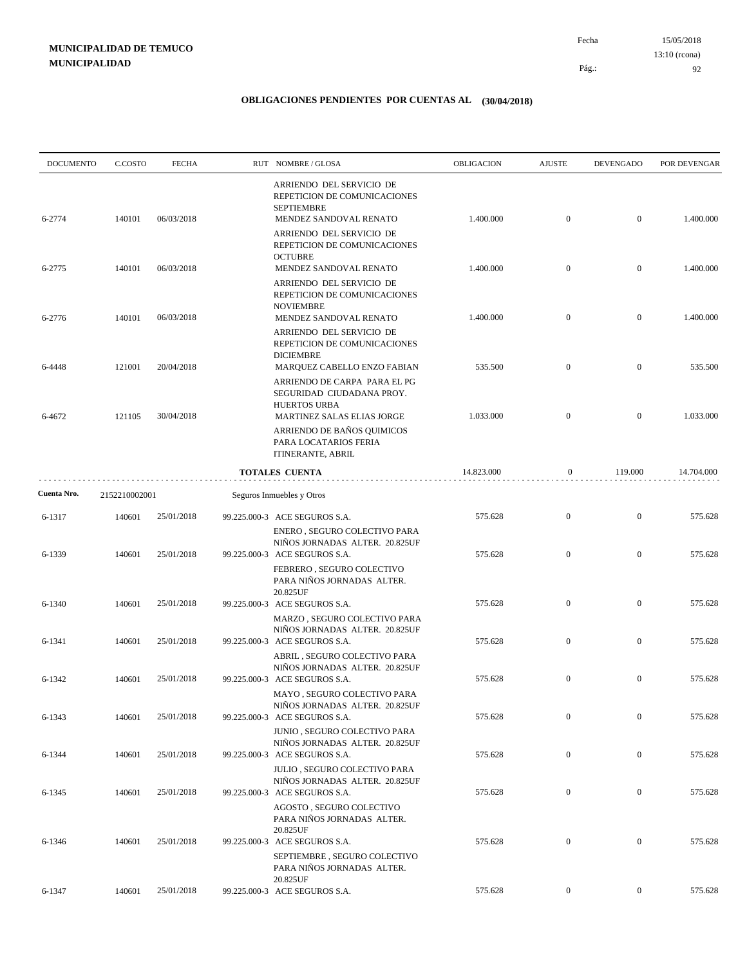| <b>DOCUMENTO</b> | C.COSTO       | <b>FECHA</b> | RUT NOMBRE/GLOSA                                                                                                                                                      | <b>OBLIGACION</b> | <b>AJUSTE</b>    | <b>DEVENGADO</b> | POR DEVENGAR |
|------------------|---------------|--------------|-----------------------------------------------------------------------------------------------------------------------------------------------------------------------|-------------------|------------------|------------------|--------------|
| 6-2774           | 140101        | 06/03/2018   | ARRIENDO DEL SERVICIO DE<br>REPETICION DE COMUNICACIONES<br><b>SEPTIEMBRE</b><br>MENDEZ SANDOVAL RENATO                                                               | 1.400.000         | $\mathbf{0}$     | $\mathbf{0}$     | 1.400.000    |
|                  |               |              | ARRIENDO DEL SERVICIO DE<br>REPETICION DE COMUNICACIONES<br><b>OCTUBRE</b>                                                                                            |                   |                  |                  |              |
| 6-2775           | 140101        | 06/03/2018   | MENDEZ SANDOVAL RENATO<br>ARRIENDO DEL SERVICIO DE<br>REPETICION DE COMUNICACIONES                                                                                    | 1.400.000         | $\mathbf{0}$     | $\boldsymbol{0}$ | 1.400.000    |
| 6-2776           | 140101        | 06/03/2018   | <b>NOVIEMBRE</b><br>MENDEZ SANDOVAL RENATO<br>ARRIENDO DEL SERVICIO DE<br>REPETICION DE COMUNICACIONES                                                                | 1.400.000         | $\mathbf{0}$     | $\boldsymbol{0}$ | 1.400.000    |
| 6-4448           | 121001        | 20/04/2018   | <b>DICIEMBRE</b><br>MARQUEZ CABELLO ENZO FABIAN                                                                                                                       | 535.500           | $\mathbf{0}$     | $\mathbf{0}$     | 535.500      |
| 6-4672           | 121105        | 30/04/2018   | ARRIENDO DE CARPA PARA EL PG<br>SEGURIDAD CIUDADANA PROY.<br><b>HUERTOS URBA</b><br>MARTINEZ SALAS ELIAS JORGE<br>ARRIENDO DE BAÑOS QUIMICOS<br>PARA LOCATARIOS FERIA | 1.033.000         | $\mathbf{0}$     | $\mathbf{0}$     | 1.033.000    |
|                  |               |              | ITINERANTE, ABRIL<br><b>TOTALES CUENTA</b>                                                                                                                            | 14.823.000        | $\boldsymbol{0}$ | 119.000          | 14.704.000   |
| Cuenta Nro.      | 2152210002001 |              | Seguros Inmuebles y Otros                                                                                                                                             |                   |                  |                  |              |
| 6-1317           | 140601        | 25/01/2018   | 99.225.000-3 ACE SEGUROS S.A.                                                                                                                                         | 575.628           | $\mathbf{0}$     | $\boldsymbol{0}$ | 575.628      |
| 6-1339           | 140601        | 25/01/2018   | ENERO, SEGURO COLECTIVO PARA<br>NIÑOS JORNADAS ALTER. 20.825UF<br>99.225.000-3 ACE SEGUROS S.A.                                                                       | 575.628           | $\mathbf{0}$     | $\mathbf{0}$     | 575.628      |
|                  |               |              | FEBRERO, SEGURO COLECTIVO<br>PARA NIÑOS JORNADAS ALTER.<br>20.825UF                                                                                                   |                   |                  |                  |              |
| 6-1340           | 140601        | 25/01/2018   | 99.225.000-3 ACE SEGUROS S.A.<br>MARZO, SEGURO COLECTIVO PARA<br>NIÑOS JORNADAS ALTER. 20.825UF                                                                       | 575.628           | $\mathbf{0}$     | $\boldsymbol{0}$ | 575.628      |
| 6-1341           | 140601        | 25/01/2018   | 99.225.000-3 ACE SEGUROS S.A.<br>ABRIL, SEGURO COLECTIVO PARA<br>NIÑOS JORNADAS ALTER. 20.825UF                                                                       | 575.628           | $\mathbf{0}$     | $\boldsymbol{0}$ | 575.628      |
| 6-1342           | 140601        | 25/01/2018   | 99.225.000-3 ACE SEGUROS S.A.<br>MAYO, SEGURO COLECTIVO PARA<br>NINOS JORNADAS ALTER. 20.825UF                                                                        | 575.628           | $\mathbf{0}$     | $\mathbf{0}$     | 575.628      |
| 6-1343           | 140601        | 25/01/2018   | 99.225.000-3 ACE SEGUROS S.A.<br>JUNIO, SEGURO COLECTIVO PARA<br>NIÑOS JORNADAS ALTER. 20.825UF                                                                       | 575.628           | $\boldsymbol{0}$ | $\overline{0}$   | 575.628      |
| 6-1344           | 140601        | 25/01/2018   | 99.225.000-3 ACE SEGUROS S.A.<br>JULIO, SEGURO COLECTIVO PARA<br>NIÑOS JORNADAS ALTER. 20.825UF                                                                       | 575.628           | $\boldsymbol{0}$ | $\overline{0}$   | 575.628      |
| 6-1345           | 140601        | 25/01/2018   | 99.225.000-3 ACE SEGUROS S.A.<br>AGOSTO, SEGURO COLECTIVO<br>PARA NIÑOS JORNADAS ALTER.                                                                               | 575.628           | $\boldsymbol{0}$ | $\boldsymbol{0}$ | 575.628      |
| 6-1346           | 140601        | 25/01/2018   | 20.825UF<br>99.225.000-3 ACE SEGUROS S.A.<br>SEPTIEMBRE, SEGURO COLECTIVO                                                                                             | 575.628           | $\boldsymbol{0}$ | $\mathbf{0}$     | 575.628      |
| 6-1347           | 140601        | 25/01/2018   | PARA NINOS JORNADAS ALTER.<br>20.825UF<br>99.225.000-3 ACE SEGUROS S.A.                                                                                               | 575.628           | $\boldsymbol{0}$ | $\overline{0}$   | 575.628      |
|                  |               |              |                                                                                                                                                                       |                   |                  |                  |              |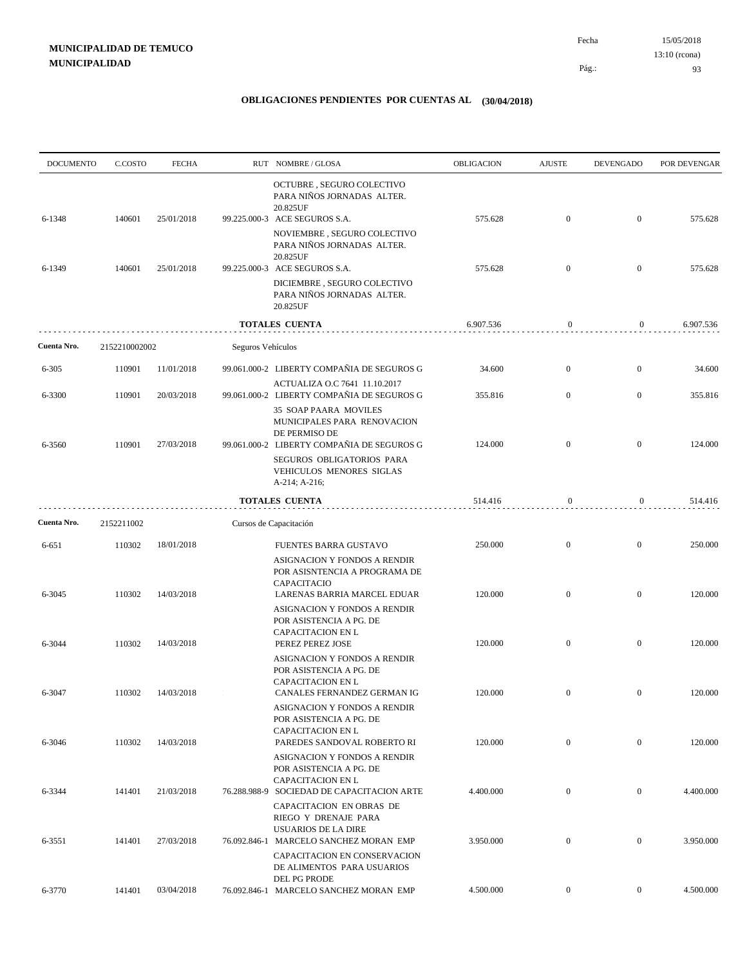| <b>DOCUMENTO</b> | C.COSTO       | <b>FECHA</b> |                   | RUT NOMBRE/GLOSA                                                                                                           | OBLIGACION | <b>AJUSTE</b>    | <b>DEVENGADO</b> | POR DEVENGAR |
|------------------|---------------|--------------|-------------------|----------------------------------------------------------------------------------------------------------------------------|------------|------------------|------------------|--------------|
| 6-1348           | 140601        | 25/01/2018   |                   | OCTUBRE, SEGURO COLECTIVO<br>PARA NIÑOS JORNADAS ALTER.<br>20.825UF<br>99.225.000-3 ACE SEGUROS S.A.                       | 575.628    | $\mathbf{0}$     | $\boldsymbol{0}$ | 575.628      |
|                  |               |              |                   | NOVIEMBRE, SEGURO COLECTIVO<br>PARA NIÑOS JORNADAS ALTER.<br>20.825UF                                                      |            |                  |                  |              |
| 6-1349           | 140601        | 25/01/2018   |                   | 99.225.000-3 ACE SEGUROS S.A.<br>DICIEMBRE, SEGURO COLECTIVO<br>PARA NIÑOS JORNADAS ALTER.                                 | 575.628    | $\mathbf{0}$     | $\bf{0}$         | 575.628      |
|                  |               |              |                   | 20.825UF                                                                                                                   |            |                  |                  |              |
|                  |               |              |                   | <b>TOTALES CUENTA</b>                                                                                                      | 6.907.536  | 0                | 0                | 6.907.536    |
| Cuenta Nro.      | 2152210002002 |              | Seguros Vehículos |                                                                                                                            |            |                  |                  |              |
| $6 - 305$        | 110901        | 11/01/2018   |                   | 99.061.000-2 LIBERTY COMPAÑIA DE SEGUROS G                                                                                 | 34.600     | $\mathbf{0}$     | $\boldsymbol{0}$ | 34.600       |
| 6-3300           | 110901        | 20/03/2018   |                   | ACTUALIZA O.C 7641 11.10.2017<br>99.061.000-2 LIBERTY COMPAÑIA DE SEGUROS G                                                | 355.816    | $\mathbf{0}$     | $\mathbf{0}$     | 355.816      |
| 6-3560           | 110901        | 27/03/2018   |                   | <b>35 SOAP PAARA MOVILES</b><br>MUNICIPALES PARA RENOVACION<br>DE PERMISO DE<br>99.061.000-2 LIBERTY COMPAÑIA DE SEGUROS G | 124.000    | $\mathbf{0}$     | $\mathbf{0}$     | 124.000      |
|                  |               |              |                   | SEGUROS OBLIGATORIOS PARA<br>VEHICULOS MENORES SIGLAS<br>$A-214$ ; $A-216$ ;                                               |            |                  |                  |              |
|                  |               |              |                   | <b>TOTALES CUENTA</b>                                                                                                      | 514.416    | 0                | 0                | 514.416      |
| Cuenta Nro.      | 2152211002    |              |                   | Cursos de Capacitación                                                                                                     |            |                  |                  |              |
| 6-651            | 110302        | 18/01/2018   |                   | FUENTES BARRA GUSTAVO                                                                                                      | 250.000    | $\mathbf{0}$     | $\boldsymbol{0}$ | 250.000      |
|                  |               |              |                   | ASIGNACION Y FONDOS A RENDIR<br>POR ASISNTENCIA A PROGRAMA DE<br>CAPACITACIO                                               |            |                  |                  |              |
| 6-3045           | 110302        | 14/03/2018   |                   | LARENAS BARRIA MARCEL EDUAR<br>ASIGNACION Y FONDOS A RENDIR<br>POR ASISTENCIA A PG. DE<br><b>CAPACITACION EN L</b>         | 120.000    | $\mathbf{0}$     | $\mathbf{0}$     | 120.000      |
| 6-3044           | 110302        | 14/03/2018   |                   | PEREZ PEREZ JOSE<br>ASIGNACION Y FONDOS A RENDIR                                                                           | 120.000    | $\mathbf{0}$     | $\boldsymbol{0}$ | 120.000      |
| 6-3047           | 110302        | 14/03/2018   |                   | POR ASISTENCIA A PG. DE<br><b>CAPACITACION EN L</b><br>CANALES FERNANDEZ GERMAN IG                                         | 120.000    | $\boldsymbol{0}$ | $\boldsymbol{0}$ | 120.000      |
|                  |               |              |                   | ASIGNACION Y FONDOS A RENDIR<br>POR ASISTENCIA A PG. DE<br><b>CAPACITACION EN L</b>                                        |            |                  |                  |              |
| 6-3046           | 110302        | 14/03/2018   |                   | PAREDES SANDOVAL ROBERTO RI<br>ASIGNACION Y FONDOS A RENDIR<br>POR ASISTENCIA A PG. DE                                     | 120.000    | $\mathbf{0}$     | $\overline{0}$   | 120.000      |
| 6-3344           | 141401        | 21/03/2018   |                   | CAPACITACION EN L<br>76.288.988-9 SOCIEDAD DE CAPACITACION ARTE                                                            | 4.400.000  | $\boldsymbol{0}$ | $\mathbf{0}$     | 4.400.000    |
| 6-3551           | 141401        | 27/03/2018   |                   | CAPACITACION EN OBRAS DE<br>RIEGO Y DRENAJE PARA<br><b>USUARIOS DE LA DIRE</b><br>76.092.846-1 MARCELO SANCHEZ MORAN EMP   | 3.950.000  | $\boldsymbol{0}$ | $\overline{0}$   | 3.950.000    |
|                  |               |              |                   | CAPACITACION EN CONSERVACION<br>DE ALIMENTOS PARA USUARIOS<br>DEL PG PRODE                                                 |            |                  |                  |              |
| 6-3770           | 141401        | 03/04/2018   |                   | 76.092.846-1 MARCELO SANCHEZ MORAN EMP                                                                                     | 4.500.000  | $\mathbf{0}$     | $\mathbf{0}$     | 4.500.000    |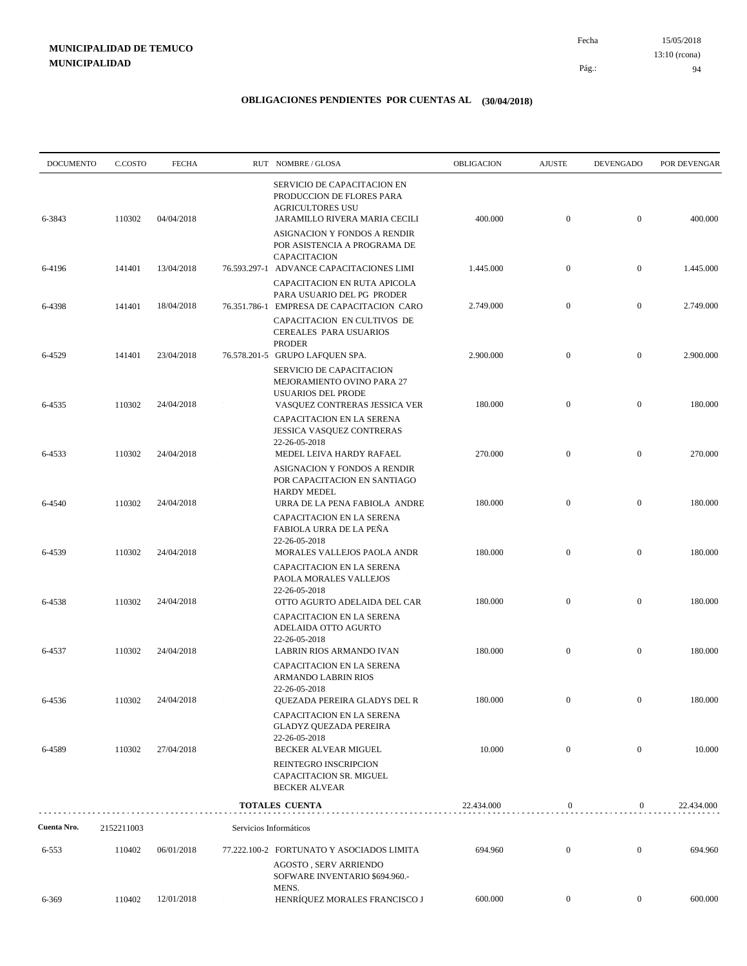15/05/2018 94 Pág.: Fecha 13:10 (rcona)

| <b>DOCUMENTO</b> | C.COSTO    | <b>FECHA</b> | RUT NOMBRE/GLOSA                                                                                                            | OBLIGACION | <b>AJUSTE</b>    | <b>DEVENGADO</b> | POR DEVENGAR |
|------------------|------------|--------------|-----------------------------------------------------------------------------------------------------------------------------|------------|------------------|------------------|--------------|
| 6-3843           | 110302     | 04/04/2018   | <b>SERVICIO DE CAPACITACION EN</b><br>PRODUCCION DE FLORES PARA<br><b>AGRICULTORES USU</b><br>JARAMILLO RIVERA MARIA CECILI | 400.000    | $\boldsymbol{0}$ | $\mathbf{0}$     | 400.000      |
|                  |            |              | ASIGNACION Y FONDOS A RENDIR<br>POR ASISTENCIA A PROGRAMA DE<br>CAPACITACION                                                |            |                  |                  |              |
| 6-4196           | 141401     | 13/04/2018   | 76.593.297-1 ADVANCE CAPACITACIONES LIMI<br>CAPACITACION EN RUTA APICOLA                                                    | 1.445.000  | $\boldsymbol{0}$ | $\mathbf{0}$     | 1.445.000    |
| 6-4398           | 141401     | 18/04/2018   | PARA USUARIO DEL PG PRODER<br>76.351.786-1 EMPRESA DE CAPACITACION CARO<br>CAPACITACION EN CULTIVOS DE                      | 2.749.000  | $\boldsymbol{0}$ | $\mathbf{0}$     | 2.749.000    |
| 6-4529           | 141401     | 23/04/2018   | CEREALES PARA USUARIOS<br><b>PRODER</b><br>76.578.201-5 GRUPO LAFQUEN SPA.                                                  | 2.900.000  | $\mathbf{0}$     | $\mathbf{0}$     | 2.900.000    |
| 6-4535           | 110302     | 24/04/2018   | SERVICIO DE CAPACITACION<br>MEJORAMIENTO OVINO PARA 27<br><b>USUARIOS DEL PRODE</b><br>VASQUEZ CONTRERAS JESSICA VER        | 180.000    | $\mathbf{0}$     | $\mathbf{0}$     | 180.000      |
|                  |            | 24/04/2018   | CAPACITACION EN LA SERENA<br><b>JESSICA VASQUEZ CONTRERAS</b><br>22-26-05-2018                                              |            | $\boldsymbol{0}$ | $\mathbf{0}$     |              |
| 6-4533           | 110302     |              | MEDEL LEIVA HARDY RAFAEL<br>ASIGNACION Y FONDOS A RENDIR<br>POR CAPACITACION EN SANTIAGO<br><b>HARDY MEDEL</b>              | 270.000    |                  |                  | 270.000      |
| 6-4540           | 110302     | 24/04/2018   | URRA DE LA PENA FABIOLA ANDRE<br>CAPACITACION EN LA SERENA<br>FABIOLA URRA DE LA PEÑA                                       | 180.000    | $\boldsymbol{0}$ | $\mathbf{0}$     | 180.000      |
| 6-4539           | 110302     | 24/04/2018   | 22-26-05-2018<br>MORALES VALLEJOS PAOLA ANDR<br>CAPACITACION EN LA SERENA<br>PAOLA MORALES VALLEJOS                         | 180.000    | $\boldsymbol{0}$ | $\mathbf{0}$     | 180.000      |
| 6-4538           | 110302     | 24/04/2018   | 22-26-05-2018<br>OTTO AGURTO ADELAIDA DEL CAR<br>CAPACITACION EN LA SERENA                                                  | 180.000    | $\boldsymbol{0}$ | $\mathbf{0}$     | 180.000      |
| 6-4537           | 110302     | 24/04/2018   | ADELAIDA OTTO AGURTO<br>22-26-05-2018<br>LABRIN RIOS ARMANDO IVAN                                                           | 180.000    | $\boldsymbol{0}$ | $\mathbf{0}$     | 180.000      |
|                  |            |              | CAPACITACION EN LA SERENA<br><b>ARMANDO LABRIN RIOS</b>                                                                     |            |                  |                  |              |
| 6-4536           | 110302     | 24/04/2018   | 22-26-05-2018<br>QUEZADA PEREIRA GLADYS DEL R<br>CAPACITACION EN LA SERENA                                                  | 180.000    |                  | $\overline{0}$   | 180.000      |
| 6-4589           | 110302     | 27/04/2018   | <b>GLADYZ QUEZADA PEREIRA</b><br>22-26-05-2018<br>BECKER ALVEAR MIGUEL                                                      | 10.000     | $\boldsymbol{0}$ | $\overline{0}$   | 10.000       |
|                  |            |              | REINTEGRO INSCRIPCION<br>CAPACITACION SR. MIGUEL<br><b>BECKER ALVEAR</b>                                                    |            |                  |                  |              |
|                  |            |              | <b>TOTALES CUENTA</b>                                                                                                       | 22.434.000 | $\boldsymbol{0}$ | $\overline{0}$   | 22.434.000   |
| Cuenta Nro.      | 2152211003 |              | Servicios Informáticos                                                                                                      |            |                  |                  |              |
| 6-553            | 110402     | 06/01/2018   | 77.222.100-2 FORTUNATO Y ASOCIADOS LIMITA<br><b>AGOSTO, SERV ARRIENDO</b><br>SOFWARE INVENTARIO \$694.960.-<br>MENS.        | 694.960    | $\boldsymbol{0}$ | $\mathbf{0}$     | 694.960      |
| 6-369            | 110402     | 12/01/2018   | HENRÍQUEZ MORALES FRANCISCO J                                                                                               | 600.000    | $\overline{0}$   | $\overline{0}$   | 600.000      |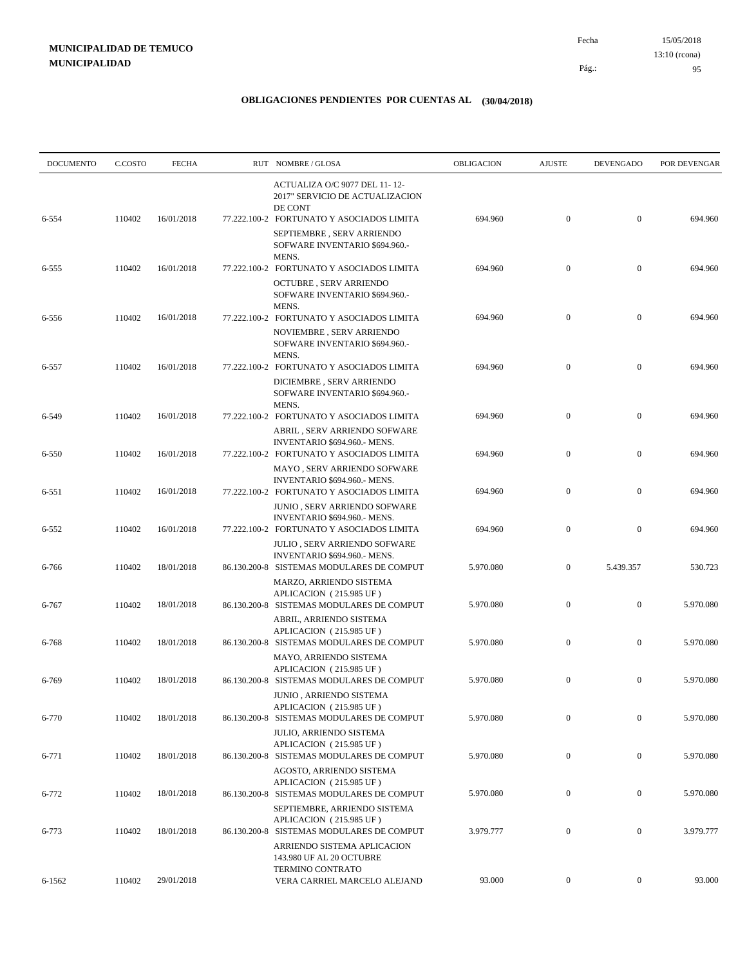| <b>DOCUMENTO</b> | C.COSTO | <b>FECHA</b> | RUT NOMBRE/GLOSA                                                                                                         | OBLIGACION | <b>AJUSTE</b>    | <b>DEVENGADO</b> | POR DEVENGAR |
|------------------|---------|--------------|--------------------------------------------------------------------------------------------------------------------------|------------|------------------|------------------|--------------|
| 6-554            | 110402  | 16/01/2018   | ACTUALIZA O/C 9077 DEL 11-12-<br>2017" SERVICIO DE ACTUALIZACION<br>DE CONT<br>77.222.100-2 FORTUNATO Y ASOCIADOS LIMITA | 694.960    | $\mathbf{0}$     | $\boldsymbol{0}$ | 694.960      |
|                  |         |              | SEPTIEMBRE, SERV ARRIENDO<br>SOFWARE INVENTARIO \$694.960.-<br>MENS.                                                     |            |                  |                  |              |
| 6-555            | 110402  | 16/01/2018   | 77.222.100-2 FORTUNATO Y ASOCIADOS LIMITA<br><b>OCTUBRE, SERV ARRIENDO</b>                                               | 694.960    | $\mathbf{0}$     | $\mathbf{0}$     | 694.960      |
| 6-556            | 110402  | 16/01/2018   | SOFWARE INVENTARIO \$694.960.-<br>MENS.<br>77.222.100-2 FORTUNATO Y ASOCIADOS LIMITA                                     | 694.960    | $\boldsymbol{0}$ | $\boldsymbol{0}$ | 694.960      |
|                  |         |              | NOVIEMBRE, SERV ARRIENDO<br>SOFWARE INVENTARIO \$694.960.-<br>MENS.                                                      |            |                  |                  |              |
| 6-557            | 110402  | 16/01/2018   | 77.222.100-2 FORTUNATO Y ASOCIADOS LIMITA<br>DICIEMBRE, SERV ARRIENDO<br>SOFWARE INVENTARIO \$694.960.-                  | 694.960    | $\mathbf{0}$     | $\mathbf{0}$     | 694.960      |
| 6-549            | 110402  | 16/01/2018   | MENS.<br>77.222.100-2 FORTUNATO Y ASOCIADOS LIMITA<br>ABRIL, SERV ARRIENDO SOFWARE                                       | 694.960    | $\mathbf{0}$     | $\boldsymbol{0}$ | 694.960      |
| 6-550            | 110402  | 16/01/2018   | INVENTARIO \$694.960.- MENS.<br>77.222.100-2 FORTUNATO Y ASOCIADOS LIMITA<br>MAYO, SERV ARRIENDO SOFWARE                 | 694.960    | $\boldsymbol{0}$ | $\boldsymbol{0}$ | 694.960      |
| 6-551            | 110402  | 16/01/2018   | INVENTARIO \$694.960.- MENS.<br>77.222.100-2 FORTUNATO Y ASOCIADOS LIMITA<br>JUNIO, SERV ARRIENDO SOFWARE                | 694.960    | $\mathbf{0}$     | $\mathbf{0}$     | 694.960      |
| 6-552            | 110402  | 16/01/2018   | INVENTARIO \$694.960.- MENS.<br>77.222.100-2 FORTUNATO Y ASOCIADOS LIMITA                                                | 694.960    | $\mathbf{0}$     | $\boldsymbol{0}$ | 694.960      |
| 6-766            | 110402  | 18/01/2018   | JULIO, SERV ARRIENDO SOFWARE<br>INVENTARIO \$694.960.- MENS.<br>86.130.200-8 SISTEMAS MODULARES DE COMPUT                | 5.970.080  | $\mathbf{0}$     | 5.439.357        | 530.723      |
| 6-767            | 110402  | 18/01/2018   | MARZO, ARRIENDO SISTEMA<br>APLICACION (215.985 UF)<br>86.130.200-8 SISTEMAS MODULARES DE COMPUT                          | 5.970.080  | $\boldsymbol{0}$ | $\boldsymbol{0}$ | 5.970.080    |
| 6-768            | 110402  | 18/01/2018   | ABRIL, ARRIENDO SISTEMA<br>APLICACION (215.985 UF)<br>86.130.200-8 SISTEMAS MODULARES DE COMPUT                          | 5.970.080  | $\mathbf{0}$     | $\boldsymbol{0}$ | 5.970.080    |
| 6-769            | 110402  | 18/01/2018   | MAYO, ARRIENDO SISTEMA<br>APLICACION (215.985 UF)<br>86.130.200-8 SISTEMAS MODULARES DE COMPUT                           | 5.970.080  | $\boldsymbol{0}$ | $\boldsymbol{0}$ | 5.970.080    |
| 6-770            | 110402  | 18/01/2018   | JUNIO, ARRIENDO SISTEMA<br>APLICACION (215.985 UF)<br>86.130.200-8 SISTEMAS MODULARES DE COMPUT                          | 5.970.080  | $\mathbf{0}$     | $\boldsymbol{0}$ | 5.970.080    |
| 6-771            | 110402  | 18/01/2018   | JULIO, ARRIENDO SISTEMA<br>APLICACION (215.985 UF)<br>86.130.200-8 SISTEMAS MODULARES DE COMPUT                          | 5.970.080  | $\boldsymbol{0}$ | $\boldsymbol{0}$ | 5.970.080    |
|                  |         |              | AGOSTO, ARRIENDO SISTEMA<br>APLICACION (215.985 UF)                                                                      |            |                  |                  |              |
| 6-772            | 110402  | 18/01/2018   | 86.130.200-8 SISTEMAS MODULARES DE COMPUT<br>SEPTIEMBRE, ARRIENDO SISTEMA<br>APLICACION (215.985 UF)                     | 5.970.080  | $\boldsymbol{0}$ | $\boldsymbol{0}$ | 5.970.080    |
| 6-773            | 110402  | 18/01/2018   | 86.130.200-8 SISTEMAS MODULARES DE COMPUT<br>ARRIENDO SISTEMA APLICACION<br>143.980 UF AL 20 OCTUBRE                     | 3.979.777  | $\mathbf{0}$     | $\boldsymbol{0}$ | 3.979.777    |
| 6-1562           | 110402  | 29/01/2018   | TERMINO CONTRATO<br>VERA CARRIEL MARCELO ALEJAND                                                                         | 93.000     | $\boldsymbol{0}$ | $\boldsymbol{0}$ | 93.000       |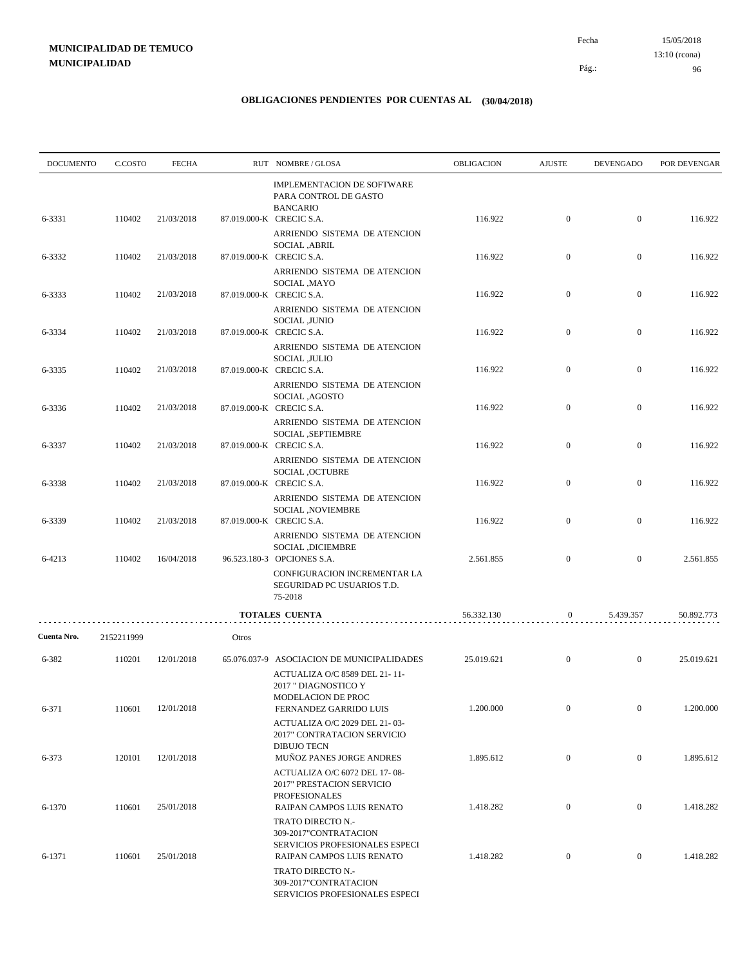| <b>DOCUMENTO</b> | C.COSTO    | <b>FECHA</b> |       | RUT NOMBRE/GLOSA                                                                                                          | OBLIGACION | <b>AJUSTE</b>    | <b>DEVENGADO</b> | POR DEVENGAR |
|------------------|------------|--------------|-------|---------------------------------------------------------------------------------------------------------------------------|------------|------------------|------------------|--------------|
| 6-3331           | 110402     | 21/03/2018   |       | IMPLEMENTACION DE SOFTWARE<br>PARA CONTROL DE GASTO<br><b>BANCARIO</b><br>87.019.000-K CRECIC S.A.                        | 116.922    | $\boldsymbol{0}$ | $\mathbf{0}$     | 116.922      |
|                  |            |              |       | ARRIENDO SISTEMA DE ATENCION                                                                                              |            |                  |                  |              |
| 6-3332           | 110402     | 21/03/2018   |       | SOCIAL ,ABRIL<br>87.019.000-K CRECIC S.A.                                                                                 | 116.922    | $\boldsymbol{0}$ | $\mathbf{0}$     | 116.922      |
| 6-3333           | 110402     | 21/03/2018   |       | ARRIENDO SISTEMA DE ATENCION<br>SOCIAL, MAYO<br>87.019.000-K CRECIC S.A.                                                  | 116.922    | $\boldsymbol{0}$ | $\mathbf{0}$     | 116.922      |
| 6-3334           | 110402     | 21/03/2018   |       | ARRIENDO SISTEMA DE ATENCION<br>SOCIAL ,JUNIO<br>87.019.000-K CRECIC S.A.                                                 | 116.922    | $\mathbf{0}$     | $\mathbf{0}$     | 116.922      |
| 6-3335           | 110402     | 21/03/2018   |       | ARRIENDO SISTEMA DE ATENCION<br>SOCIAL , JULIO<br>87.019.000-K CRECIC S.A.                                                | 116.922    | $\boldsymbol{0}$ | $\mathbf{0}$     | 116.922      |
| 6-3336           | 110402     | 21/03/2018   |       | ARRIENDO SISTEMA DE ATENCION<br>SOCIAL, AGOSTO<br>87.019.000-K CRECIC S.A.                                                | 116.922    | $\boldsymbol{0}$ | $\mathbf{0}$     | 116.922      |
| 6-3337           | 110402     | 21/03/2018   |       | ARRIENDO SISTEMA DE ATENCION<br>SOCIAL , SEPTIEMBRE<br>87.019.000-K CRECIC S.A.                                           | 116.922    | $\boldsymbol{0}$ | $\mathbf{0}$     | 116.922      |
| 6-3338           | 110402     | 21/03/2018   |       | ARRIENDO SISTEMA DE ATENCION<br>SOCIAL , OCTUBRE<br>87.019.000-K CRECIC S.A.                                              | 116.922    | $\boldsymbol{0}$ | $\mathbf{0}$     | 116.922      |
| 6-3339           | 110402     | 21/03/2018   |       | ARRIENDO SISTEMA DE ATENCION<br>SOCIAL , NOVIEMBRE<br>87.019.000-K CRECIC S.A.                                            | 116.922    | $\boldsymbol{0}$ | $\mathbf{0}$     | 116.922      |
| 6-4213           | 110402     | 16/04/2018   |       | ARRIENDO SISTEMA DE ATENCION<br>SOCIAL , DICIEMBRE<br>96.523.180-3 OPCIONES S.A.                                          | 2.561.855  | $\mathbf{0}$     | $\mathbf{0}$     | 2.561.855    |
|                  |            |              |       | CONFIGURACION INCREMENTAR LA<br>SEGURIDAD PC USUARIOS T.D.<br>75-2018                                                     |            |                  |                  |              |
|                  |            |              |       | TOTALES CUENTA                                                                                                            | 56.332.130 | $\boldsymbol{0}$ | 5.439.357        | 50.892.773   |
| Cuenta Nro.      | 2152211999 |              | Otros |                                                                                                                           |            |                  |                  |              |
| 6-382            | 110201     | 12/01/2018   |       | 65.076.037-9 ASOCIACION DE MUNICIPALIDADES<br>ACTUALIZA O/C 8589 DEL 21-11-<br>2017 " DIAGNOSTICO Y<br>MODELACION DE PROC | 25.019.621 | $\boldsymbol{0}$ | $\mathbf{0}$     | 25.019.621   |
| 6-371            | 110601     | 12/01/2018   |       | FERNANDEZ GARRIDO LUIS<br>ACTUALIZA O/C 2029 DEL 21-03-<br>2017" CONTRATACION SERVICIO                                    | 1.200.000  | $\boldsymbol{0}$ | $\overline{0}$   | 1.200.000    |
| 6-373            | 120101     | 12/01/2018   |       | <b>DIBUJO TECN</b><br>MUÑOZ PANES JORGE ANDRES<br>ACTUALIZA O/C 6072 DEL 17-08-                                           | 1.895.612  | $\boldsymbol{0}$ | $\boldsymbol{0}$ | 1.895.612    |
| 6-1370           | 110601     | 25/01/2018   |       | 2017" PRESTACION SERVICIO<br><b>PROFESIONALES</b><br>RAIPAN CAMPOS LUIS RENATO                                            | 1.418.282  | $\mathbf{0}$     | $\boldsymbol{0}$ | 1.418.282    |
| 6-1371           | 110601     | 25/01/2018   |       | TRATO DIRECTO N.-<br>309-2017"CONTRATACION<br>SERVICIOS PROFESIONALES ESPECI<br>RAIPAN CAMPOS LUIS RENATO                 | 1.418.282  | $\boldsymbol{0}$ | $\boldsymbol{0}$ | 1.418.282    |
|                  |            |              |       | TRATO DIRECTO N.-<br>309-2017"CONTRATACION<br>SERVICIOS PROFESIONALES ESPECI                                              |            |                  |                  |              |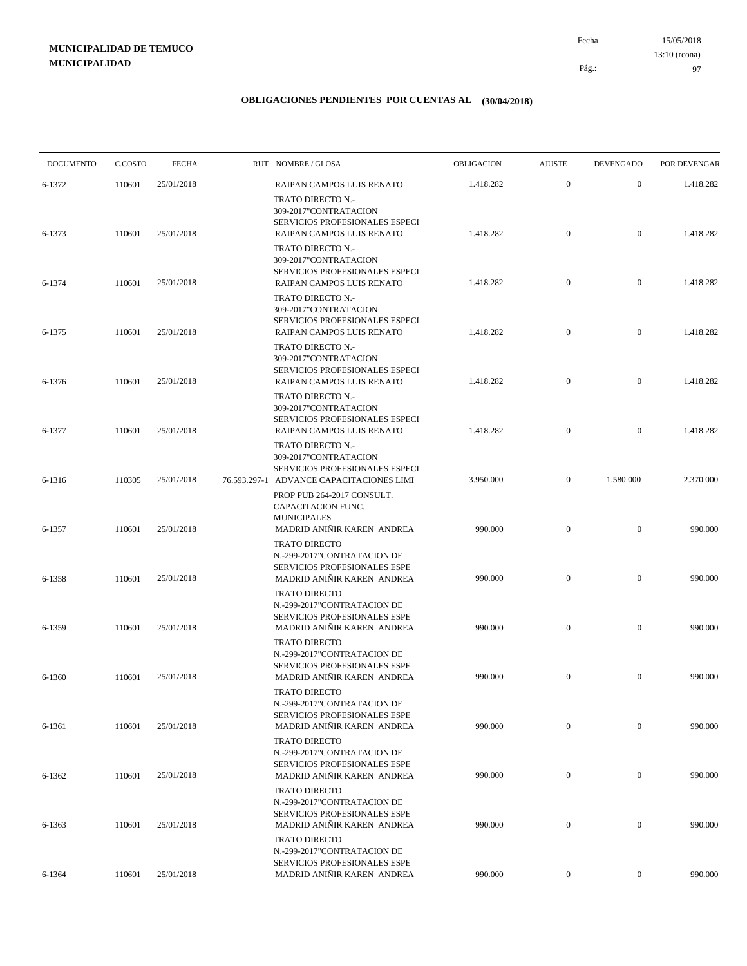15/05/2018 97 Pág.: Fecha

### **OBLIGACIONES PENDIENTES POR CUENTAS AL (30/04/2018)**

| <b>DOCUMENTO</b> | C.COSTO | <b>FECHA</b> | RUT NOMBRE/GLOSA                                                                                                               | <b>OBLIGACION</b> | <b>AJUSTE</b>    | <b>DEVENGADO</b> | POR DEVENGAR |
|------------------|---------|--------------|--------------------------------------------------------------------------------------------------------------------------------|-------------------|------------------|------------------|--------------|
| 6-1372           | 110601  | 25/01/2018   | RAIPAN CAMPOS LUIS RENATO                                                                                                      | 1.418.282         | $\mathbf{0}$     | $\mathbf{0}$     | 1.418.282    |
| 6-1373           | 110601  | 25/01/2018   | TRATO DIRECTO N.-<br>309-2017"CONTRATACION<br>SERVICIOS PROFESIONALES ESPECI<br>RAIPAN CAMPOS LUIS RENATO<br>TRATO DIRECTO N.- | 1.418.282         | $\boldsymbol{0}$ | $\overline{0}$   | 1.418.282    |
| 6-1374           | 110601  | 25/01/2018   | 309-2017"CONTRATACION<br>SERVICIOS PROFESIONALES ESPECI<br>RAIPAN CAMPOS LUIS RENATO                                           | 1.418.282         | $\boldsymbol{0}$ | $\mathbf{0}$     | 1.418.282    |
| 6-1375           | 110601  | 25/01/2018   | TRATO DIRECTO N.-<br>309-2017"CONTRATACION<br>SERVICIOS PROFESIONALES ESPECI<br>RAIPAN CAMPOS LUIS RENATO                      | 1.418.282         | $\mathbf{0}$     | $\mathbf{0}$     | 1.418.282    |
| 6-1376           | 110601  | 25/01/2018   | TRATO DIRECTO N.-<br>309-2017"CONTRATACION<br>SERVICIOS PROFESIONALES ESPECI<br>RAIPAN CAMPOS LUIS RENATO                      | 1.418.282         | $\boldsymbol{0}$ | $\mathbf{0}$     | 1.418.282    |
| 6-1377           | 110601  | 25/01/2018   | TRATO DIRECTO N.-<br>309-2017"CONTRATACION<br><b>SERVICIOS PROFESIONALES ESPECI</b><br><b>RAIPAN CAMPOS LUIS RENATO</b>        | 1.418.282         | $\boldsymbol{0}$ | $\overline{0}$   | 1.418.282    |
| 6-1316           | 110305  | 25/01/2018   | TRATO DIRECTO N.-<br>309-2017"CONTRATACION<br>SERVICIOS PROFESIONALES ESPECI<br>76.593.297-1 ADVANCE CAPACITACIONES LIMI       | 3.950.000         | $\boldsymbol{0}$ | 1.580.000        | 2.370.000    |
| 6-1357           | 110601  | 25/01/2018   | PROP PUB 264-2017 CONSULT.<br>CAPACITACION FUNC.<br><b>MUNICIPALES</b><br>MADRID ANIÑIR KAREN ANDREA                           | 990.000           | $\overline{0}$   | $\mathbf{0}$     | 990.000      |
| 6-1358           | 110601  | 25/01/2018   | <b>TRATO DIRECTO</b><br>N.-299-2017"CONTRATACION DE<br>SERVICIOS PROFESIONALES ESPE<br>MADRID ANIÑIR KAREN ANDREA              | 990.000           | $\mathbf{0}$     | $\mathbf{0}$     | 990.000      |
| 6-1359           | 110601  | 25/01/2018   | <b>TRATO DIRECTO</b><br>N.-299-2017"CONTRATACION DE<br>SERVICIOS PROFESIONALES ESPE<br>MADRID ANIÑIR KAREN ANDREA              | 990.000           | $\mathbf{0}$     | $\overline{0}$   | 990.000      |
| 6-1360           | 110601  | 25/01/2018   | <b>TRATO DIRECTO</b><br>N.-299-2017"CONTRATACION DE<br>SERVICIOS PROFESIONALES ESPE<br>MADRID ANIÑIR KAREN ANDREA              | 990.000           | $\mathbf{0}$     | $\mathbf{0}$     | 990.000      |
| 6-1361           | 110601  | 25/01/2018   | <b>TRATO DIRECTO</b><br>N.-299-2017"CONTRATACION DE<br>SERVICIOS PROFESIONALES ESPE<br>MADRID ANIÑIR KAREN ANDREA              | 990.000           | $\mathbf{0}$     | $\mathbf{0}$     | 990.000      |
| 6-1362           | 110601  | 25/01/2018   | <b>TRATO DIRECTO</b><br>N.-299-2017"CONTRATACION DE<br><b>SERVICIOS PROFESIONALES ESPE</b><br>MADRID ANINIR KAREN ANDREA       | 990.000           | $\boldsymbol{0}$ | $\boldsymbol{0}$ | 990.000      |
| 6-1363           | 110601  | 25/01/2018   | <b>TRATO DIRECTO</b><br>N.-299-2017"CONTRATACION DE<br>SERVICIOS PROFESIONALES ESPE<br>MADRID ANIÑIR KAREN ANDREA              | 990.000           | $\boldsymbol{0}$ | $\boldsymbol{0}$ | 990.000      |
|                  |         |              | <b>TRATO DIRECTO</b><br>N.-299-2017"CONTRATACION DE<br>SERVICIOS PROFESIONALES ESPE                                            |                   |                  |                  |              |
| 6-1364           | 110601  | 25/01/2018   | MADRID ANIÑIR KAREN ANDREA                                                                                                     | 990.000           | $\boldsymbol{0}$ | $\boldsymbol{0}$ | 990.000      |

13:10 (rcona)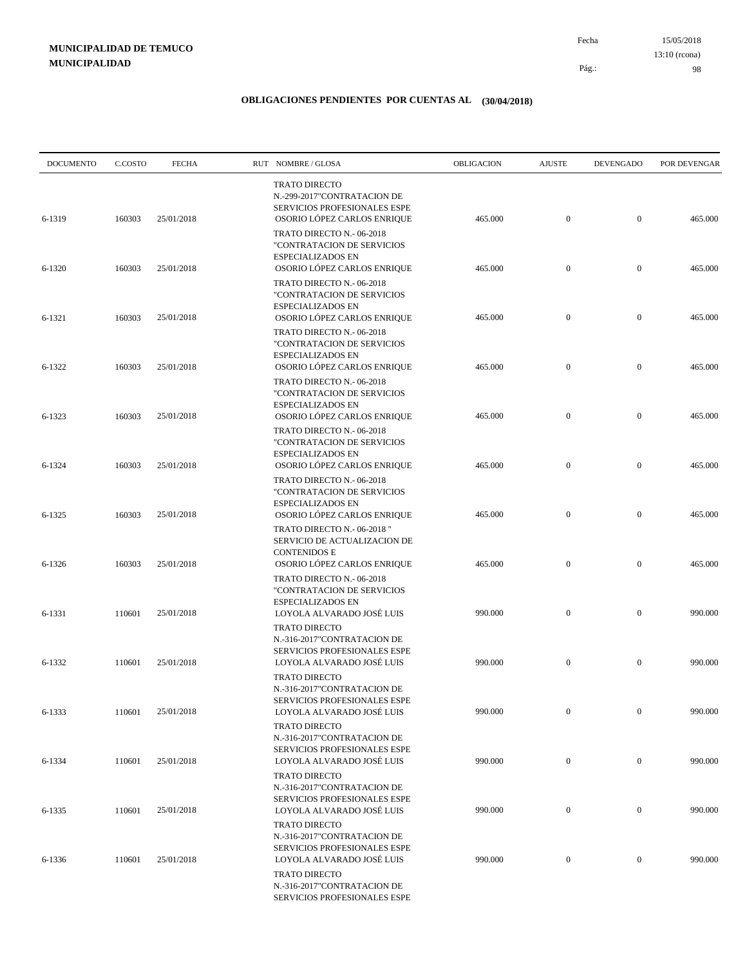15/05/2018 98 Pág.: Fecha 13:10 (rcona)

| <b>DOCUMENTO</b> | C.COSTO | <b>FECHA</b> | RUT NOMBRE/GLOSA                                                                                                   | OBLIGACION | <b>AJUSTE</b>    | <b>DEVENGADO</b> | POR DEVENGAR |
|------------------|---------|--------------|--------------------------------------------------------------------------------------------------------------------|------------|------------------|------------------|--------------|
| 6-1319           | 160303  | 25/01/2018   | <b>TRATO DIRECTO</b><br>N.-299-2017"CONTRATACION DE<br>SERVICIOS PROFESIONALES ESPE<br>OSORIO LÓPEZ CARLOS ENRIQUE | 465.000    | $\boldsymbol{0}$ | $\mathbf{0}$     | 465.000      |
|                  |         |              | TRATO DIRECTO N.- 06-2018<br>"CONTRATACION DE SERVICIOS<br>ESPECIALIZADOS EN                                       |            |                  |                  |              |
| 6-1320           | 160303  | 25/01/2018   | OSORIO LÓPEZ CARLOS ENRIQUE<br>TRATO DIRECTO N.-06-2018<br>"CONTRATACION DE SERVICIOS<br>ESPECIALIZADOS EN         | 465.000    | $\boldsymbol{0}$ | $\mathbf{0}$     | 465.000      |
| 6-1321           | 160303  | 25/01/2018   | OSORIO LÓPEZ CARLOS ENRIQUE<br>TRATO DIRECTO N.-06-2018<br>"CONTRATACION DE SERVICIOS                              | 465.000    | $\boldsymbol{0}$ | $\mathbf{0}$     | 465.000      |
| 6-1322           | 160303  | 25/01/2018   | ESPECIALIZADOS EN<br>OSORIO LÓPEZ CARLOS ENRIQUE<br>TRATO DIRECTO N. - 06-2018                                     | 465.000    | $\boldsymbol{0}$ | $\mathbf{0}$     | 465.000      |
| 6-1323           | 160303  | 25/01/2018   | "CONTRATACION DE SERVICIOS<br><b>ESPECIALIZADOS EN</b><br>OSORIO LÓPEZ CARLOS ENRIQUE                              | 465.000    | $\boldsymbol{0}$ | $\mathbf{0}$     | 465.000      |
| 6-1324           | 160303  | 25/01/2018   | TRATO DIRECTO N.- 06-2018<br>"CONTRATACION DE SERVICIOS<br>ESPECIALIZADOS EN<br>OSORIO LÓPEZ CARLOS ENRIQUE        | 465.000    | $\boldsymbol{0}$ | $\mathbf{0}$     | 465.000      |
|                  |         |              | TRATO DIRECTO N.-06-2018<br>"CONTRATACION DE SERVICIOS<br>ESPECIALIZADOS EN                                        |            |                  |                  |              |
| 6-1325           | 160303  | 25/01/2018   | OSORIO LÓPEZ CARLOS ENRIQUE<br>TRATO DIRECTO N.- 06-2018"<br>SERVICIO DE ACTUALIZACION DE<br><b>CONTENIDOS E</b>   | 465.000    | $\mathbf{0}$     | $\mathbf{0}$     | 465.000      |
| 6-1326           | 160303  | 25/01/2018   | OSORIO LÓPEZ CARLOS ENRIQUE<br>TRATO DIRECTO N.- 06-2018<br>"CONTRATACION DE SERVICIOS                             | 465.000    | $\boldsymbol{0}$ | $\mathbf{0}$     | 465.000      |
| 6-1331           | 110601  | 25/01/2018   | <b>ESPECIALIZADOS EN</b><br>LOYOLA ALVARADO JOSÉ LUIS<br><b>TRATO DIRECTO</b>                                      | 990.000    | $\mathbf{0}$     | $\mathbf{0}$     | 990.000      |
| 6-1332           | 110601  | 25/01/2018   | N.-316-2017"CONTRATACION DE<br>SERVICIOS PROFESIONALES ESPE<br>LOYOLA ALVARADO JOSÉ LUIS                           | 990.000    | $\boldsymbol{0}$ | $\mathbf{0}$     | 990.000      |
| 6-1333           | 110601  | 25/01/2018   | <b>TRATO DIRECTO</b><br>N.-316-2017"CONTRATACION DE<br>SERVICIOS PROFESIONALES ESPE<br>LOYOLA ALVARADO JOSÉ LUIS   | 990.000    | $\boldsymbol{0}$ | $\mathbf{0}$     | 990.000      |
|                  |         |              | <b>TRATO DIRECTO</b><br>N.-316-2017"CONTRATACION DE<br>SERVICIOS PROFESIONALES ESPE                                |            |                  |                  |              |
| 6-1334           | 110601  | 25/01/2018   | LOYOLA ALVARADO JOSÉ LUIS<br>TRATO DIRECTO<br>N.-316-2017"CONTRATACION DE                                          | 990.000    | $\boldsymbol{0}$ | $\bf{0}$         | 990.000      |
| 6-1335           | 110601  | 25/01/2018   | SERVICIOS PROFESIONALES ESPE<br>LOYOLA ALVARADO JOSÉ LUIS<br><b>TRATO DIRECTO</b>                                  | 990.000    | $\boldsymbol{0}$ | $\boldsymbol{0}$ | 990.000      |
| 6-1336           | 110601  | 25/01/2018   | N.-316-2017"CONTRATACION DE<br>SERVICIOS PROFESIONALES ESPE<br>LOYOLA ALVARADO JOSÉ LUIS                           | 990.000    | $\boldsymbol{0}$ | $\boldsymbol{0}$ | 990.000      |
|                  |         |              | <b>TRATO DIRECTO</b><br>N.-316-2017"CONTRATACION DE<br>SERVICIOS PROFESIONALES ESPE                                |            |                  |                  |              |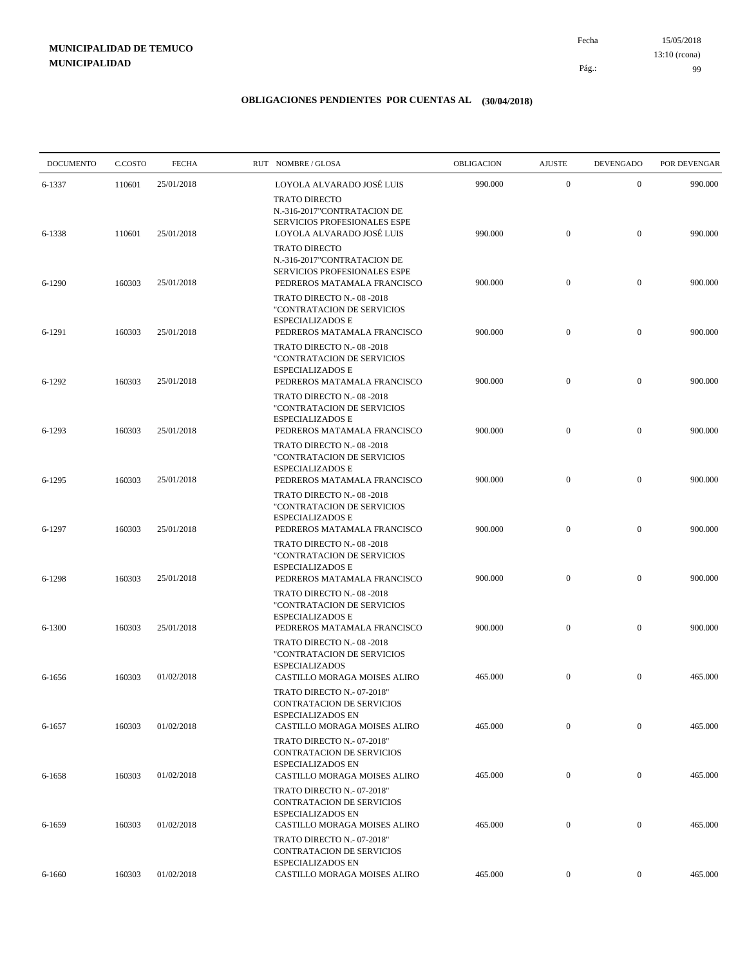15/05/2018 99 Pág.: Fecha 13:10 (rcona)

| <b>DOCUMENTO</b> | C.COSTO | <b>FECHA</b> | RUT NOMBRE/GLOSA                                                                                                                                | OBLIGACION | <b>AJUSTE</b>    | <b>DEVENGADO</b> | POR DEVENGAR |
|------------------|---------|--------------|-------------------------------------------------------------------------------------------------------------------------------------------------|------------|------------------|------------------|--------------|
| 6-1337           | 110601  | 25/01/2018   | LOYOLA ALVARADO JOSÉ LUIS<br><b>TRATO DIRECTO</b>                                                                                               | 990.000    | $\mathbf{0}$     | $\mathbf{0}$     | 990.000      |
| 6-1338           | 110601  | 25/01/2018   | N.-316-2017"CONTRATACION DE<br>SERVICIOS PROFESIONALES ESPE<br>LOYOLA ALVARADO JOSÉ LUIS<br><b>TRATO DIRECTO</b><br>N.-316-2017"CONTRATACION DE | 990.000    | $\boldsymbol{0}$ | $\mathbf{0}$     | 990.000      |
| 6-1290           | 160303  | 25/01/2018   | SERVICIOS PROFESIONALES ESPE<br>PEDREROS MATAMALA FRANCISCO<br>TRATO DIRECTO N.-08-2018                                                         | 900.000    | $\boldsymbol{0}$ | $\mathbf{0}$     | 900.000      |
| 6-1291           | 160303  | 25/01/2018   | "CONTRATACION DE SERVICIOS<br>ESPECIALIZADOS E<br>PEDREROS MATAMALA FRANCISCO                                                                   | 900.000    | $\boldsymbol{0}$ | $\mathbf{0}$     | 900.000      |
| 6-1292           | 160303  | 25/01/2018   | TRATO DIRECTO N.-08-2018<br>"CONTRATACION DE SERVICIOS<br><b>ESPECIALIZADOS E</b><br>PEDREROS MATAMALA FRANCISCO                                | 900.000    | $\boldsymbol{0}$ | $\mathbf{0}$     | 900.000      |
|                  |         |              | TRATO DIRECTO N.-08-2018<br>"CONTRATACION DE SERVICIOS<br><b>ESPECIALIZADOS E</b>                                                               |            |                  |                  |              |
| 6-1293           | 160303  | 25/01/2018   | PEDREROS MATAMALA FRANCISCO<br>TRATO DIRECTO N.-08-2018<br>"CONTRATACION DE SERVICIOS<br><b>ESPECIALIZADOS E</b>                                | 900.000    | $\boldsymbol{0}$ | $\mathbf{0}$     | 900.000      |
| 6-1295           | 160303  | 25/01/2018   | PEDREROS MATAMALA FRANCISCO<br>TRATO DIRECTO N.-08-2018<br>"CONTRATACION DE SERVICIOS                                                           | 900.000    | $\mathbf{0}$     | $\mathbf{0}$     | 900.000      |
| 6-1297           | 160303  | 25/01/2018   | <b>ESPECIALIZADOS E</b><br>PEDREROS MATAMALA FRANCISCO<br>TRATO DIRECTO N.-08-2018                                                              | 900.000    | $\mathbf{0}$     | $\mathbf{0}$     | 900.000      |
| 6-1298           | 160303  | 25/01/2018   | "CONTRATACION DE SERVICIOS<br><b>ESPECIALIZADOS E</b><br>PEDREROS MATAMALA FRANCISCO                                                            | 900.000    | $\boldsymbol{0}$ | $\mathbf{0}$     | 900.000      |
| 6-1300           | 160303  | 25/01/2018   | TRATO DIRECTO N.-08-2018<br>"CONTRATACION DE SERVICIOS<br>ESPECIALIZADOS E<br>PEDREROS MATAMALA FRANCISCO                                       | 900.000    | $\boldsymbol{0}$ | $\mathbf{0}$     | 900.000      |
|                  |         |              | TRATO DIRECTO N.-08-2018<br>"CONTRATACION DE SERVICIOS<br><b>ESPECIALIZADOS</b>                                                                 |            |                  |                  |              |
| 6-1656           | 160303  | 01/02/2018   | <b>CASTILLO MORAGA MOISES ALIRO</b><br>TRATO DIRECTO N.- 07-2018"<br>CONTRATACION DE SERVICIOS                                                  | 465.000    | $\mathbf{0}$     | $\mathbf{0}$     | 465.000      |
| 6-1657           | 160303  | 01/02/2018   | <b>ESPECIALIZADOS EN</b><br>CASTILLO MORAGA MOISES ALIRO<br>TRATO DIRECTO N.- 07-2018"                                                          | 465.000    | $\mathbf{0}$     | $\mathbf{0}$     | 465.000      |
| 6-1658           | 160303  | 01/02/2018   | <b>CONTRATACION DE SERVICIOS</b><br><b>ESPECIALIZADOS EN</b><br>CASTILLO MORAGA MOISES ALIRO                                                    | 465.000    | $\boldsymbol{0}$ | $\overline{0}$   | 465.000      |
|                  |         | 01/02/2018   | TRATO DIRECTO N.- 07-2018"<br><b>CONTRATACION DE SERVICIOS</b><br><b>ESPECIALIZADOS EN</b>                                                      | 465.000    | $\overline{0}$   | $\mathbf{0}$     | 465.000      |
| 6-1659           | 160303  |              | CASTILLO MORAGA MOISES ALIRO<br>TRATO DIRECTO N.- 07-2018"<br>CONTRATACION DE SERVICIOS                                                         |            |                  |                  |              |
| 6-1660           | 160303  | 01/02/2018   | ESPECIALIZADOS EN<br>CASTILLO MORAGA MOISES ALIRO                                                                                               | 465.000    | $\boldsymbol{0}$ | $\overline{0}$   | 465.000      |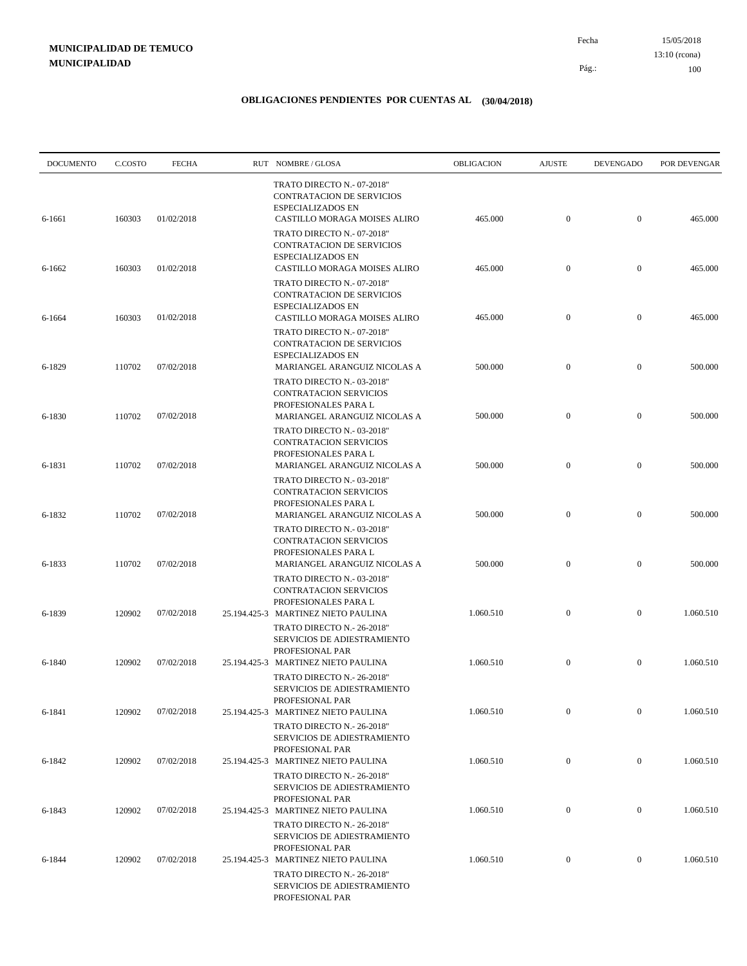15/05/2018 100 Pág.: Fecha 13:10 (rcona)

| <b>DOCUMENTO</b> | C.COSTO | <b>FECHA</b> | RUT NOMBRE/GLOSA                                                                                                           | OBLIGACION | <b>AJUSTE</b>    | <b>DEVENGADO</b> | POR DEVENGAR |
|------------------|---------|--------------|----------------------------------------------------------------------------------------------------------------------------|------------|------------------|------------------|--------------|
| 6-1661           | 160303  | 01/02/2018   | TRATO DIRECTO N.- 07-2018"<br><b>CONTRATACION DE SERVICIOS</b><br><b>ESPECIALIZADOS EN</b><br>CASTILLO MORAGA MOISES ALIRO | 465.000    | $\mathbf{0}$     | $\mathbf{0}$     | 465.000      |
|                  |         |              | TRATO DIRECTO N.- 07-2018"<br><b>CONTRATACION DE SERVICIOS</b><br><b>ESPECIALIZADOS EN</b>                                 |            |                  |                  |              |
| 6-1662           | 160303  | 01/02/2018   | CASTILLO MORAGA MOISES ALIRO<br>TRATO DIRECTO N.- 07-2018"<br><b>CONTRATACION DE SERVICIOS</b><br><b>ESPECIALIZADOS EN</b> | 465.000    | $\mathbf{0}$     | $\mathbf{0}$     | 465.000      |
| 6-1664           | 160303  | 01/02/2018   | CASTILLO MORAGA MOISES ALIRO<br>TRATO DIRECTO N.- 07-2018"<br><b>CONTRATACION DE SERVICIOS</b>                             | 465.000    | $\mathbf{0}$     | $\mathbf{0}$     | 465.000      |
| 6-1829           | 110702  | 07/02/2018   | <b>ESPECIALIZADOS EN</b><br>MARIANGEL ARANGUIZ NICOLAS A<br>TRATO DIRECTO N.- 03-2018"                                     | 500.000    | $\mathbf{0}$     | $\mathbf{0}$     | 500.000      |
| 6-1830           | 110702  | 07/02/2018   | CONTRATACION SERVICIOS<br>PROFESIONALES PARA L<br>MARIANGEL ARANGUIZ NICOLAS A                                             | 500.000    | $\mathbf{0}$     | $\mathbf{0}$     | 500.000      |
| 6-1831           | 110702  | 07/02/2018   | TRATO DIRECTO N.- 03-2018"<br>CONTRATACION SERVICIOS<br>PROFESIONALES PARA L<br>MARIANGEL ARANGUIZ NICOLAS A               | 500.000    | $\mathbf{0}$     | $\mathbf{0}$     | 500.000      |
| 6-1832           | 110702  | 07/02/2018   | TRATO DIRECTO N.-03-2018"<br>CONTRATACION SERVICIOS<br>PROFESIONALES PARA L<br>MARIANGEL ARANGUIZ NICOLAS A                | 500.000    | $\mathbf{0}$     | $\mathbf{0}$     | 500.000      |
| 6-1833           | 110702  | 07/02/2018   | TRATO DIRECTO N.- 03-2018"<br>CONTRATACION SERVICIOS<br>PROFESIONALES PARA L<br>MARIANGEL ARANGUIZ NICOLAS A               | 500.000    | $\mathbf{0}$     | $\mathbf{0}$     | 500.000      |
|                  |         |              | TRATO DIRECTO N.- 03-2018"<br>CONTRATACION SERVICIOS<br>PROFESIONALES PARA L                                               |            |                  |                  |              |
| 6-1839           | 120902  | 07/02/2018   | 25.194.425-3 MARTINEZ NIETO PAULINA<br>TRATO DIRECTO N.- 26-2018"<br>SERVICIOS DE ADIESTRAMIENTO                           | 1.060.510  | $\mathbf{0}$     | $\mathbf{0}$     | 1.060.510    |
| 6-1840           | 120902  | 07/02/2018   | PROFESIONAL PAR<br>25.194.425-3 MARTINEZ NIETO PAULINA<br>TRATO DIRECTO N.- 26-2018"                                       | 1.060.510  | $\mathbf{0}$     | $\mathbf{0}$     | 1.060.510    |
| 6-1841           | 120902  | 07/02/2018   | SERVICIOS DE ADIESTRAMIENTO<br>PROFESIONAL PAR<br>25.194.425-3 MARTINEZ NIETO PAULINA                                      | 1.060.510  | $\mathbf{0}$     | $\mathbf{0}$     | 1.060.510    |
| 6-1842           | 120902  | 07/02/2018   | TRATO DIRECTO N.- 26-2018"<br>SERVICIOS DE ADIESTRAMIENTO<br>PROFESIONAL PAR<br>25.194.425-3 MARTINEZ NIETO PAULINA        | 1.060.510  | $\mathbf{0}$     | $\boldsymbol{0}$ | 1.060.510    |
|                  |         |              | TRATO DIRECTO N.- 26-2018"<br>SERVICIOS DE ADIESTRAMIENTO<br>PROFESIONAL PAR                                               |            |                  |                  |              |
| 6-1843           | 120902  | 07/02/2018   | 25.194.425-3 MARTINEZ NIETO PAULINA<br>TRATO DIRECTO N.- 26-2018"<br>SERVICIOS DE ADIESTRAMIENTO                           | 1.060.510  | $\boldsymbol{0}$ | $\boldsymbol{0}$ | 1.060.510    |
| 6-1844           | 120902  | 07/02/2018   | PROFESIONAL PAR<br>25.194.425-3 MARTINEZ NIETO PAULINA<br>TRATO DIRECTO N.- 26-2018"                                       | 1.060.510  | $\mathbf{0}$     | $\boldsymbol{0}$ | 1.060.510    |
|                  |         |              | SERVICIOS DE ADIESTRAMIENTO<br>PROFESIONAL PAR                                                                             |            |                  |                  |              |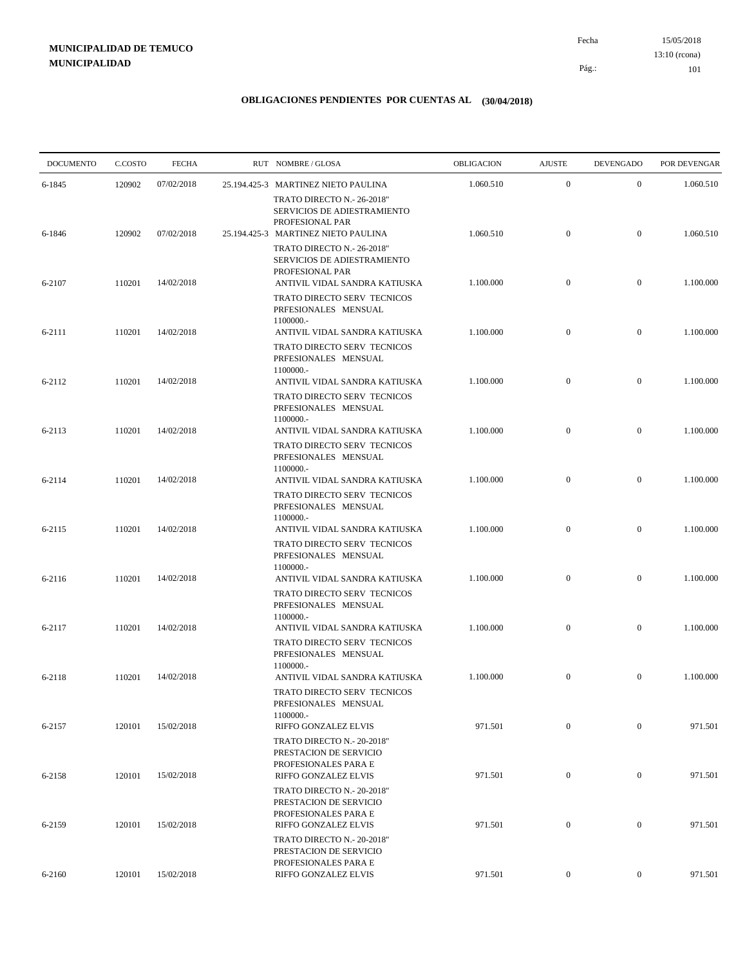15/05/2018 101 Pág.: Fecha 13:10 (rcona)

| <b>DOCUMENTO</b> | C.COSTO | <b>FECHA</b> | RUT NOMBRE/GLOSA                                                                                     | OBLIGACION | <b>AJUSTE</b>    | <b>DEVENGADO</b> | POR DEVENGAR |
|------------------|---------|--------------|------------------------------------------------------------------------------------------------------|------------|------------------|------------------|--------------|
| 6-1845           | 120902  | 07/02/2018   | 25.194.425-3 MARTINEZ NIETO PAULINA                                                                  | 1.060.510  | $\mathbf{0}$     | $\mathbf{0}$     | 1.060.510    |
|                  |         |              | TRATO DIRECTO N.- 26-2018"<br>SERVICIOS DE ADIESTRAMIENTO<br>PROFESIONAL PAR                         |            |                  |                  |              |
| 6-1846           | 120902  | 07/02/2018   | 25.194.425-3 MARTINEZ NIETO PAULINA                                                                  | 1.060.510  | $\mathbf{0}$     | $\mathbf{0}$     | 1.060.510    |
|                  |         |              | TRATO DIRECTO N.- 26-2018"<br>SERVICIOS DE ADIESTRAMIENTO<br>PROFESIONAL PAR                         |            |                  |                  |              |
| 6-2107           | 110201  | 14/02/2018   | ANTIVIL VIDAL SANDRA KATIUSKA<br>TRATO DIRECTO SERV TECNICOS<br>PRFESIONALES MENSUAL<br>1100000 .-   | 1.100.000  | $\mathbf{0}$     | $\mathbf{0}$     | 1.100.000    |
| 6-2111           | 110201  | 14/02/2018   | ANTIVIL VIDAL SANDRA KATIUSKA                                                                        | 1.100.000  | $\mathbf{0}$     | $\mathbf{0}$     | 1.100.000    |
| 6-2112           | 110201  | 14/02/2018   | TRATO DIRECTO SERV TECNICOS<br>PRFESIONALES MENSUAL<br>1100000 .-<br>ANTIVIL VIDAL SANDRA KATIUSKA   | 1.100.000  | $\mathbf{0}$     | $\mathbf{0}$     | 1.100.000    |
|                  |         |              | <b>TRATO DIRECTO SERV TECNICOS</b><br>PRFESIONALES MENSUAL<br>1100000 .-                             |            |                  |                  |              |
| 6-2113           | 110201  | 14/02/2018   | ANTIVIL VIDAL SANDRA KATIUSKA<br>TRATO DIRECTO SERV TECNICOS<br>PRFESIONALES MENSUAL<br>1100000 .-   | 1.100.000  | $\mathbf{0}$     | $\mathbf{0}$     | 1.100.000    |
| 6-2114           | 110201  | 14/02/2018   | ANTIVIL VIDAL SANDRA KATIUSKA                                                                        | 1.100.000  | $\mathbf{0}$     | $\mathbf{0}$     | 1.100.000    |
|                  |         |              | TRATO DIRECTO SERV TECNICOS<br>PRFESIONALES MENSUAL<br>1100000 .-                                    |            |                  |                  |              |
| 6-2115           | 110201  | 14/02/2018   | ANTIVIL VIDAL SANDRA KATIUSKA                                                                        | 1.100.000  | $\mathbf{0}$     | $\mathbf{0}$     | 1.100.000    |
| 6-2116           | 110201  | 14/02/2018   | TRATO DIRECTO SERV TECNICOS<br>PRFESIONALES MENSUAL<br>1100000 .-<br>ANTIVIL VIDAL SANDRA KATIUSKA   | 1.100.000  | $\mathbf{0}$     | $\mathbf{0}$     | 1.100.000    |
|                  |         |              | TRATO DIRECTO SERV TECNICOS<br>PRFESIONALES MENSUAL<br>1100000 .-                                    |            |                  |                  |              |
| 6-2117           | 110201  | 14/02/2018   | ANTIVIL VIDAL SANDRA KATIUSKA<br>TRATO DIRECTO SERV TECNICOS<br>PRFESIONALES MENSUAL                 | 1.100.000  | $\mathbf{0}$     | $\mathbf{0}$     | 1.100.000    |
| 6-2118           | 110201  | 14/02/2018   | 1100000 .-<br>ANTIVIL VIDAL SANDRA KATIUSKA<br>TRATO DIRECTO SERV TECNICOS                           | 1.100.000  | $\mathbf{0}$     | $\mathbf{0}$     | 1.100.000    |
| 6-2157           | 120101  | 15/02/2018   | PRFESIONALES MENSUAL<br>1100000 .-<br>RIFFO GONZALEZ ELVIS                                           | 971.501    | $\boldsymbol{0}$ | $\mathbf{0}$     | 971.501      |
|                  |         |              | TRATO DIRECTO N.- 20-2018"<br>PRESTACION DE SERVICIO<br>PROFESIONALES PARA E                         | 971.501    | $\boldsymbol{0}$ | $\boldsymbol{0}$ | 971.501      |
| 6-2158           | 120101  | 15/02/2018   | RIFFO GONZALEZ ELVIS<br>TRATO DIRECTO N.- 20-2018"<br>PRESTACION DE SERVICIO<br>PROFESIONALES PARA E |            |                  |                  |              |
| 6-2159           | 120101  | 15/02/2018   | RIFFO GONZALEZ ELVIS<br>TRATO DIRECTO N.- 20-2018"                                                   | 971.501    | $\boldsymbol{0}$ | $\boldsymbol{0}$ | 971.501      |
|                  |         |              | PRESTACION DE SERVICIO<br>PROFESIONALES PARA E                                                       |            |                  |                  |              |
| 6-2160           | 120101  | 15/02/2018   | RIFFO GONZALEZ ELVIS                                                                                 | 971.501    | $\overline{0}$   | $\boldsymbol{0}$ | 971.501      |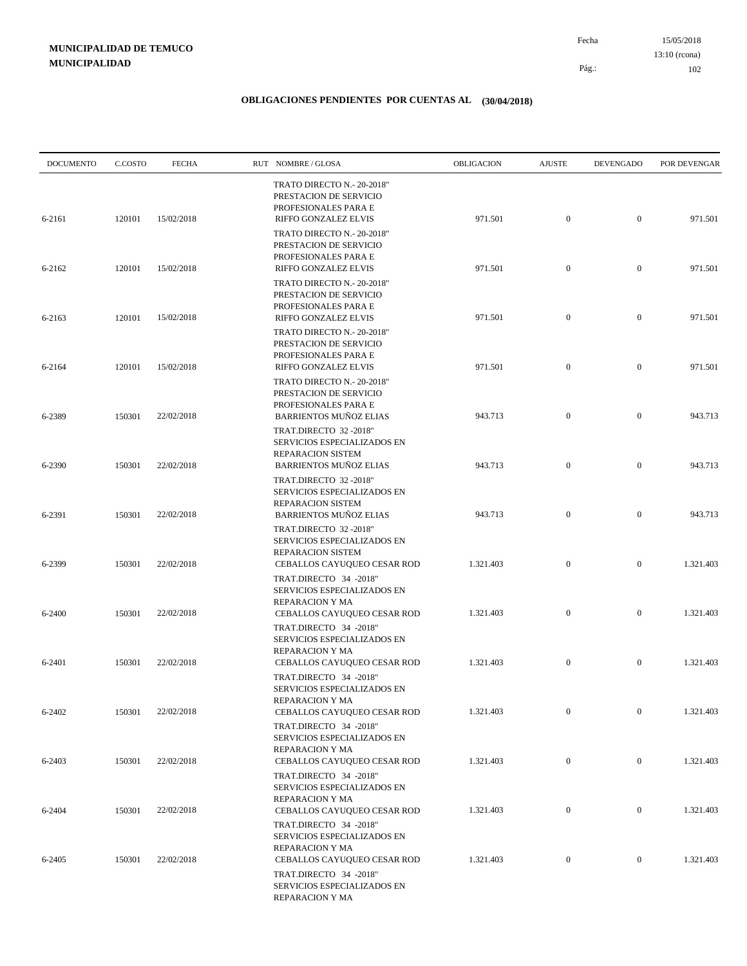15/05/2018 102 Pág.: Fecha 13:10 (rcona)

| <b>DOCUMENTO</b> | C.COSTO | <b>FECHA</b> | RUT NOMBRE/GLOSA                                                                                                           | OBLIGACION | <b>AJUSTE</b>    | <b>DEVENGADO</b> | POR DEVENGAR |
|------------------|---------|--------------|----------------------------------------------------------------------------------------------------------------------------|------------|------------------|------------------|--------------|
| 6-2161           | 120101  | 15/02/2018   | TRATO DIRECTO N.- 20-2018"<br>PRESTACION DE SERVICIO<br>PROFESIONALES PARA E<br>RIFFO GONZALEZ ELVIS                       | 971.501    | $\mathbf{0}$     | $\mathbf{0}$     | 971.501      |
| 6-2162           | 120101  | 15/02/2018   | TRATO DIRECTO N.- 20-2018"<br>PRESTACION DE SERVICIO<br>PROFESIONALES PARA E<br>RIFFO GONZALEZ ELVIS                       | 971.501    | $\boldsymbol{0}$ | $\mathbf{0}$     | 971.501      |
|                  |         |              | TRATO DIRECTO N.- 20-2018"<br>PRESTACION DE SERVICIO<br>PROFESIONALES PARA E                                               |            |                  |                  |              |
| 6-2163           | 120101  | 15/02/2018   | RIFFO GONZALEZ ELVIS<br>TRATO DIRECTO N.- 20-2018"<br>PRESTACION DE SERVICIO                                               | 971.501    | $\boldsymbol{0}$ | $\mathbf{0}$     | 971.501      |
| 6-2164           | 120101  | 15/02/2018   | PROFESIONALES PARA E<br>RIFFO GONZALEZ ELVIS<br>TRATO DIRECTO N.- 20-2018"                                                 | 971.501    | $\boldsymbol{0}$ | $\mathbf{0}$     | 971.501      |
| 6-2389           | 150301  | 22/02/2018   | PRESTACION DE SERVICIO<br>PROFESIONALES PARA E<br><b>BARRIENTOS MUÑOZ ELIAS</b>                                            | 943.713    | $\boldsymbol{0}$ | $\mathbf{0}$     | 943.713      |
| 6-2390           | 150301  | 22/02/2018   | TRAT.DIRECTO 32 -2018"<br>SERVICIOS ESPECIALIZADOS EN<br>REPARACION SISTEM<br><b>BARRIENTOS MUÑOZ ELIAS</b>                | 943.713    | $\boldsymbol{0}$ | $\mathbf{0}$     | 943.713      |
| 6-2391           | 150301  | 22/02/2018   | TRAT.DIRECTO 32 -2018"<br>SERVICIOS ESPECIALIZADOS EN<br>REPARACION SISTEM<br><b>BARRIENTOS MUÑOZ ELIAS</b>                | 943.713    | $\boldsymbol{0}$ | $\mathbf{0}$     | 943.713      |
| 6-2399           | 150301  | 22/02/2018   | TRAT.DIRECTO 32 -2018"<br>SERVICIOS ESPECIALIZADOS EN<br>REPARACION SISTEM<br>CEBALLOS CAYUQUEO CESAR ROD                  | 1.321.403  | $\boldsymbol{0}$ | $\overline{0}$   | 1.321.403    |
|                  |         |              | TRAT.DIRECTO 34 -2018"<br>SERVICIOS ESPECIALIZADOS EN<br>REPARACION Y MA                                                   |            |                  |                  |              |
| 6-2400           | 150301  | 22/02/2018   | CEBALLOS CAYUQUEO CESAR ROD<br>TRAT.DIRECTO 34 -2018"<br>SERVICIOS ESPECIALIZADOS EN                                       | 1.321.403  | $\boldsymbol{0}$ | $\mathbf{0}$     | 1.321.403    |
| 6-2401           | 150301  | 22/02/2018   | <b>REPARACION Y MA</b><br>CEBALLOS CAYUQUEO CESAR ROD<br>TRAT.DIRECTO 34 -2018"                                            | 1.321.403  | $\boldsymbol{0}$ | $\mathbf{0}$     | 1.321.403    |
| 6-2402           | 150301  | 22/02/2018   | SERVICIOS ESPECIALIZADOS EN<br>REPARACION Y MA<br>CEBALLOS CAYUQUEO CESAR ROD                                              | 1.321.403  | $\boldsymbol{0}$ | $\overline{0}$   | 1.321.403    |
| 6-2403           | 150301  | 22/02/2018   | TRAT.DIRECTO 34 -2018"<br>SERVICIOS ESPECIALIZADOS EN<br>REPARACION Y MA<br>CEBALLOS CAYUQUEO CESAR ROD                    | 1.321.403  | $\overline{0}$   | $\mathbf{0}$     | 1.321.403    |
|                  |         |              | TRAT.DIRECTO 34 -2018"<br>SERVICIOS ESPECIALIZADOS EN<br>REPARACION Y MA                                                   |            |                  |                  |              |
| 6-2404           | 150301  | 22/02/2018   | CEBALLOS CAYUQUEO CESAR ROD<br>TRAT.DIRECTO 34 -2018"<br>SERVICIOS ESPECIALIZADOS EN                                       | 1.321.403  | $\boldsymbol{0}$ | $\boldsymbol{0}$ | 1.321.403    |
| 6-2405           | 150301  | 22/02/2018   | REPARACION Y MA<br>CEBALLOS CAYUQUEO CESAR ROD<br>TRAT.DIRECTO 34 -2018"<br>SERVICIOS ESPECIALIZADOS EN<br>REPARACION Y MA | 1.321.403  | $\mathbf{0}$     | $\boldsymbol{0}$ | 1.321.403    |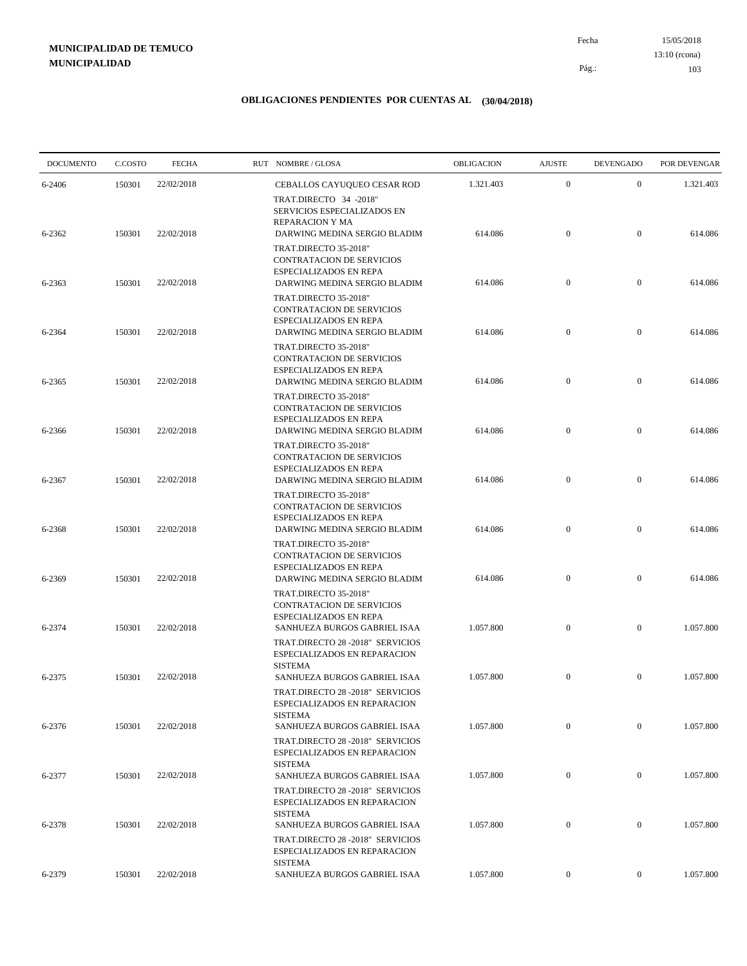15/05/2018 103 Pág.: Fecha 13:10 (rcona)

| <b>DOCUMENTO</b> | C.COSTO | <b>FECHA</b> | RUT NOMBRE/GLOSA                                                                                                           | OBLIGACION | <b>AJUSTE</b>    | <b>DEVENGADO</b> | POR DEVENGAR |
|------------------|---------|--------------|----------------------------------------------------------------------------------------------------------------------------|------------|------------------|------------------|--------------|
| 6-2406           | 150301  | 22/02/2018   | CEBALLOS CAYUQUEO CESAR ROD                                                                                                | 1.321.403  | $\boldsymbol{0}$ | $\mathbf{0}$     | 1.321.403    |
| 6-2362           | 150301  | 22/02/2018   | TRAT.DIRECTO 34 -2018"<br>SERVICIOS ESPECIALIZADOS EN<br><b>REPARACION Y MA</b><br>DARWING MEDINA SERGIO BLADIM            | 614.086    | $\boldsymbol{0}$ | $\mathbf{0}$     | 614.086      |
|                  |         |              | TRAT.DIRECTO 35-2018"<br>CONTRATACION DE SERVICIOS<br>ESPECIALIZADOS EN REPA                                               |            |                  |                  |              |
| 6-2363           | 150301  | 22/02/2018   | DARWING MEDINA SERGIO BLADIM<br>TRAT.DIRECTO 35-2018"<br>CONTRATACION DE SERVICIOS                                         | 614.086    | $\boldsymbol{0}$ | $\mathbf{0}$     | 614.086      |
| 6-2364           | 150301  | 22/02/2018   | ESPECIALIZADOS EN REPA<br>DARWING MEDINA SERGIO BLADIM                                                                     | 614.086    | $\boldsymbol{0}$ | $\mathbf{0}$     | 614.086      |
| 6-2365           | 150301  | 22/02/2018   | TRAT.DIRECTO 35-2018"<br>CONTRATACION DE SERVICIOS<br><b>ESPECIALIZADOS EN REPA</b><br>DARWING MEDINA SERGIO BLADIM        | 614.086    | $\boldsymbol{0}$ | $\mathbf{0}$     | 614.086      |
| 6-2366           | 150301  | 22/02/2018   | TRAT.DIRECTO 35-2018"<br>CONTRATACION DE SERVICIOS<br>ESPECIALIZADOS EN REPA<br>DARWING MEDINA SERGIO BLADIM               | 614.086    | $\boldsymbol{0}$ | $\mathbf{0}$     | 614.086      |
|                  |         |              | TRAT.DIRECTO 35-2018"<br><b>CONTRATACION DE SERVICIOS</b><br>ESPECIALIZADOS EN REPA                                        |            |                  |                  |              |
| 6-2367           | 150301  | 22/02/2018   | DARWING MEDINA SERGIO BLADIM<br>TRAT.DIRECTO 35-2018"<br>CONTRATACION DE SERVICIOS<br>ESPECIALIZADOS EN REPA               | 614.086    | $\boldsymbol{0}$ | $\mathbf{0}$     | 614.086      |
| 6-2368           | 150301  | 22/02/2018   | DARWING MEDINA SERGIO BLADIM<br>TRAT.DIRECTO 35-2018"<br>CONTRATACION DE SERVICIOS<br>ESPECIALIZADOS EN REPA               | 614.086    | $\boldsymbol{0}$ | $\mathbf{0}$     | 614.086      |
| 6-2369           | 150301  | 22/02/2018   | DARWING MEDINA SERGIO BLADIM<br>TRAT.DIRECTO 35-2018"<br>CONTRATACION DE SERVICIOS                                         | 614.086    | $\boldsymbol{0}$ | $\mathbf{0}$     | 614.086      |
| 6-2374           | 150301  | 22/02/2018   | ESPECIALIZADOS EN REPA<br>SANHUEZA BURGOS GABRIEL ISAA<br>TRAT.DIRECTO 28 -2018" SERVICIOS<br>ESPECIALIZADOS EN REPARACION | 1.057.800  | $\boldsymbol{0}$ | $\boldsymbol{0}$ | 1.057.800    |
| 6-2375           | 150301  | 22/02/2018   | <b>SISTEMA</b><br>SANHUEZA BURGOS GABRIEL ISAA<br>TRAT.DIRECTO 28 -2018" SERVICIOS<br>ESPECIALIZADOS EN REPARACION         | 1.057.800  | $\boldsymbol{0}$ | $\mathbf{0}$     | 1.057.800    |
| 6-2376           | 150301  | 22/02/2018   | <b>SISTEMA</b><br>SANHUEZA BURGOS GABRIEL ISAA                                                                             | 1.057.800  | $\boldsymbol{0}$ | $\overline{0}$   | 1.057.800    |
| 6-2377           | 150301  | 22/02/2018   | TRAT.DIRECTO 28 -2018" SERVICIOS<br>ESPECIALIZADOS EN REPARACION<br><b>SISTEMA</b><br>SANHUEZA BURGOS GABRIEL ISAA         | 1.057.800  | $\boldsymbol{0}$ | $\overline{0}$   | 1.057.800    |
|                  |         |              | TRAT.DIRECTO 28 -2018" SERVICIOS<br>ESPECIALIZADOS EN REPARACION<br><b>SISTEMA</b>                                         |            |                  |                  |              |
| 6-2378           | 150301  | 22/02/2018   | SANHUEZA BURGOS GABRIEL ISAA<br>TRAT.DIRECTO 28 -2018" SERVICIOS<br>ESPECIALIZADOS EN REPARACION                           | 1.057.800  | $\mathbf{0}$     | $\overline{0}$   | 1.057.800    |
| 6-2379           | 150301  | 22/02/2018   | <b>SISTEMA</b><br>SANHUEZA BURGOS GABRIEL ISAA                                                                             | 1.057.800  | $\overline{0}$   | $\mathbf{0}$     | 1.057.800    |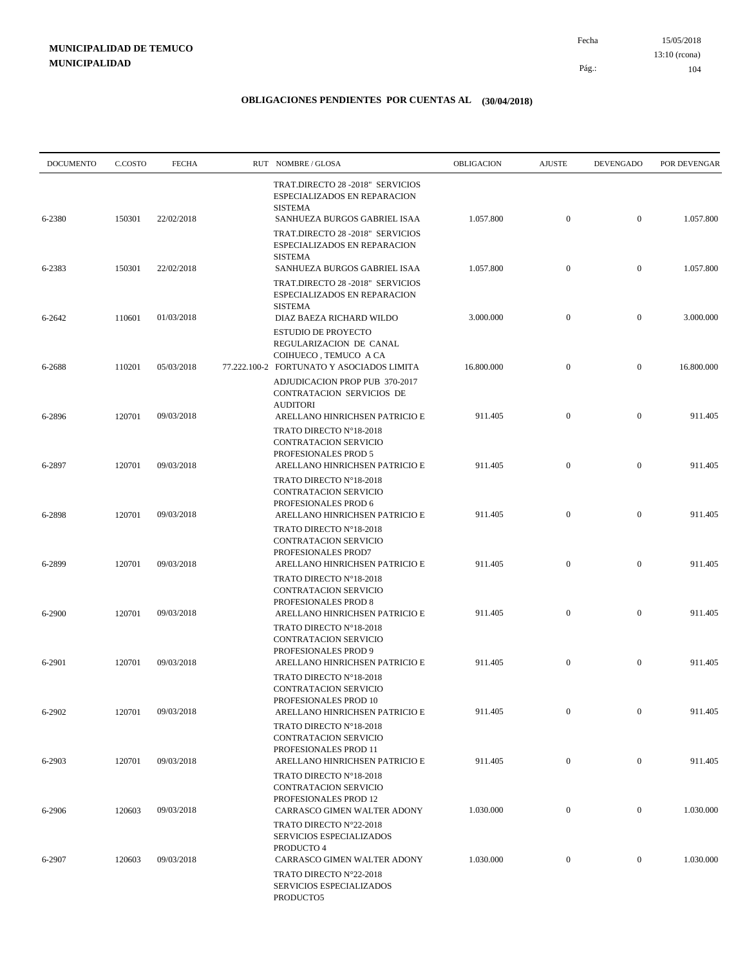15/05/2018 104 Pág.: Fecha 13:10 (rcona)

| <b>DOCUMENTO</b> | C.COSTO | <b>FECHA</b> | RUT NOMBRE/GLOSA                                                                                                   | OBLIGACION | <b>AJUSTE</b>    | <b>DEVENGADO</b> | POR DEVENGAR |
|------------------|---------|--------------|--------------------------------------------------------------------------------------------------------------------|------------|------------------|------------------|--------------|
| 6-2380           | 150301  | 22/02/2018   | TRAT.DIRECTO 28 -2018" SERVICIOS<br>ESPECIALIZADOS EN REPARACION<br><b>SISTEMA</b><br>SANHUEZA BURGOS GABRIEL ISAA | 1.057.800  | $\boldsymbol{0}$ | $\mathbf{0}$     | 1.057.800    |
|                  |         |              | TRAT.DIRECTO 28 -2018" SERVICIOS<br>ESPECIALIZADOS EN REPARACION<br><b>SISTEMA</b>                                 |            |                  |                  |              |
| 6-2383           | 150301  | 22/02/2018   | SANHUEZA BURGOS GABRIEL ISAA<br>TRAT.DIRECTO 28 -2018" SERVICIOS<br>ESPECIALIZADOS EN REPARACION                   | 1.057.800  | $\mathbf{0}$     | $\mathbf{0}$     | 1.057.800    |
| 6-2642           | 110601  | 01/03/2018   | <b>SISTEMA</b><br>DIAZ BAEZA RICHARD WILDO<br><b>ESTUDIO DE PROYECTO</b><br>REGULARIZACION DE CANAL                | 3.000.000  | $\mathbf{0}$     | $\mathbf{0}$     | 3.000.000    |
| 6-2688           | 110201  | 05/03/2018   | COIHUECO, TEMUCO A CA<br>77.222.100-2 FORTUNATO Y ASOCIADOS LIMITA<br>ADJUDICACION PROP PUB 370-2017               | 16.800.000 | $\boldsymbol{0}$ | $\mathbf{0}$     | 16.800.000   |
| 6-2896           | 120701  | 09/03/2018   | CONTRATACION SERVICIOS DE<br><b>AUDITORI</b><br>ARELLANO HINRICHSEN PATRICIO E                                     | 911.405    | $\boldsymbol{0}$ | $\mathbf{0}$     | 911.405      |
| 6-2897           | 120701  | 09/03/2018   | TRATO DIRECTO N°18-2018<br>CONTRATACION SERVICIO<br>PROFESIONALES PROD 5<br>ARELLANO HINRICHSEN PATRICIO E         | 911.405    | $\mathbf{0}$     | $\mathbf{0}$     | 911.405      |
| 6-2898           | 120701  | 09/03/2018   | TRATO DIRECTO N°18-2018<br>CONTRATACION SERVICIO<br>PROFESIONALES PROD 6<br>ARELLANO HINRICHSEN PATRICIO E         | 911.405    | $\boldsymbol{0}$ | $\mathbf{0}$     | 911.405      |
| 6-2899           | 120701  | 09/03/2018   | TRATO DIRECTO N°18-2018<br>CONTRATACION SERVICIO<br>PROFESIONALES PROD7<br>ARELLANO HINRICHSEN PATRICIO E          | 911.405    | $\boldsymbol{0}$ | $\mathbf{0}$     | 911.405      |
|                  |         |              | TRATO DIRECTO N°18-2018<br><b>CONTRATACION SERVICIO</b><br>PROFESIONALES PROD 8                                    |            |                  |                  |              |
| 6-2900           | 120701  | 09/03/2018   | ARELLANO HINRICHSEN PATRICIO E<br>TRATO DIRECTO N°18-2018<br>CONTRATACION SERVICIO                                 | 911.405    | $\boldsymbol{0}$ | $\mathbf{0}$     | 911.405      |
| 6-2901           | 120701  | 09/03/2018   | PROFESIONALES PROD 9<br>ARELLANO HINRICHSEN PATRICIO E<br>TRATO DIRECTO N°18-2018                                  | 911.405    | $\boldsymbol{0}$ | $\mathbf{0}$     | 911.405      |
| 6-2902           | 120701  | 09/03/2018   | CONTRATACION SERVICIO<br>PROFESIONALES PROD 10<br>ARELLANO HINRICHSEN PATRICIO E                                   | 911.405    | $\mathbf{0}$     | $\mathbf{0}$     | 911.405      |
| 6-2903           | 120701  | 09/03/2018   | TRATO DIRECTO Nº18-2018<br>CONTRATACION SERVICIO<br>PROFESIONALES PROD 11<br>ARELLANO HINRICHSEN PATRICIO E        | 911.405    | $\boldsymbol{0}$ | $\overline{0}$   | 911.405      |
|                  |         |              | TRATO DIRECTO Nº18-2018<br>CONTRATACION SERVICIO<br>PROFESIONALES PROD 12                                          |            |                  |                  |              |
| 6-2906           | 120603  | 09/03/2018   | CARRASCO GIMEN WALTER ADONY<br>TRATO DIRECTO N°22-2018<br>SERVICIOS ESPECIALIZADOS                                 | 1.030.000  | $\mathbf{0}$     | $\mathbf{0}$     | 1.030.000    |
| 6-2907           | 120603  | 09/03/2018   | PRODUCTO 4<br>CARRASCO GIMEN WALTER ADONY<br>TRATO DIRECTO N°22-2018<br>SERVICIOS ESPECIALIZADOS<br>PRODUCTO5      | 1.030.000  | $\boldsymbol{0}$ | $\mathbf{0}$     | 1.030.000    |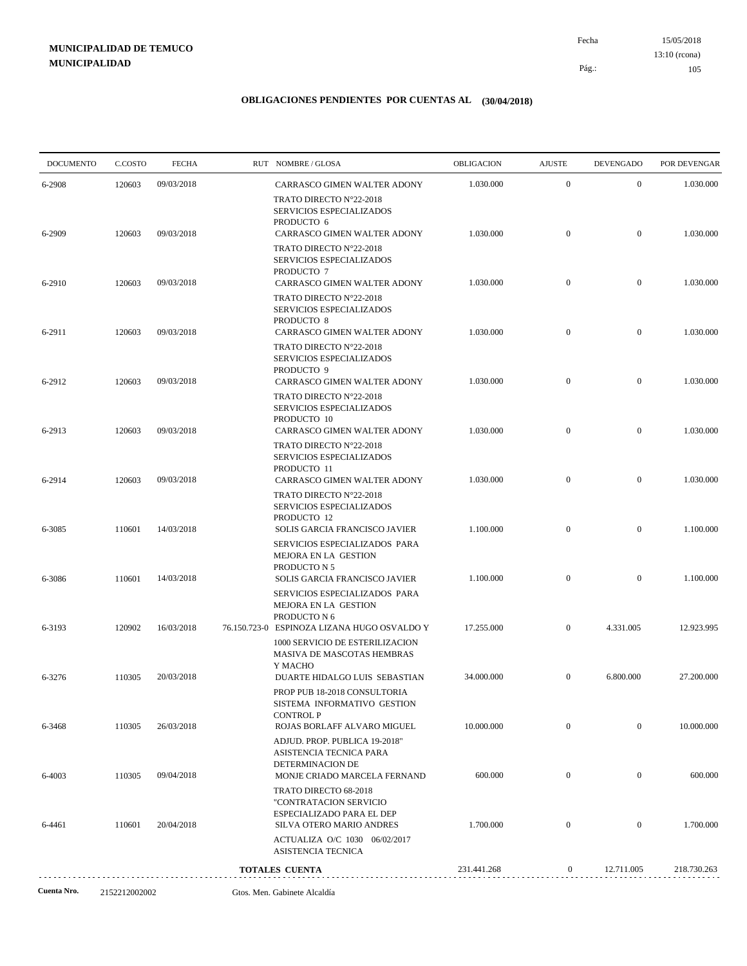15/05/2018 105 Pág.: Fecha 13:10 (rcona)

| <b>DOCUMENTO</b> | C.COSTO | <b>FECHA</b> | RUT NOMBRE/GLOSA                                                                                       | <b>OBLIGACION</b> | <b>AJUSTE</b>    | <b>DEVENGADO</b> | POR DEVENGAR |
|------------------|---------|--------------|--------------------------------------------------------------------------------------------------------|-------------------|------------------|------------------|--------------|
| 6-2908           | 120603  | 09/03/2018   | CARRASCO GIMEN WALTER ADONY                                                                            | 1.030.000         | $\boldsymbol{0}$ | $\mathbf{0}$     | 1.030.000    |
| 6-2909           | 120603  | 09/03/2018   | TRATO DIRECTO N°22-2018<br>SERVICIOS ESPECIALIZADOS<br>PRODUCTO 6<br>CARRASCO GIMEN WALTER ADONY       | 1.030.000         | $\mathbf{0}$     | $\overline{0}$   | 1.030.000    |
|                  |         |              | TRATO DIRECTO N°22-2018<br>SERVICIOS ESPECIALIZADOS                                                    |                   |                  |                  |              |
| 6-2910           | 120603  | 09/03/2018   | PRODUCTO 7<br>CARRASCO GIMEN WALTER ADONY<br>TRATO DIRECTO N°22-2018<br>SERVICIOS ESPECIALIZADOS       | 1.030.000         | $\mathbf{0}$     | $\mathbf{0}$     | 1.030.000    |
| 6-2911           | 120603  | 09/03/2018   | PRODUCTO 8<br>CARRASCO GIMEN WALTER ADONY<br>TRATO DIRECTO N°22-2018                                   | 1.030.000         | $\mathbf{0}$     | $\mathbf{0}$     | 1.030.000    |
| 6-2912           | 120603  | 09/03/2018   | SERVICIOS ESPECIALIZADOS<br>PRODUCTO 9<br>CARRASCO GIMEN WALTER ADONY                                  | 1.030.000         | $\mathbf{0}$     | $\mathbf{0}$     | 1.030.000    |
|                  |         |              | TRATO DIRECTO N°22-2018<br>SERVICIOS ESPECIALIZADOS                                                    |                   |                  |                  |              |
| 6-2913           | 120603  | 09/03/2018   | PRODUCTO 10<br>CARRASCO GIMEN WALTER ADONY<br>TRATO DIRECTO N°22-2018                                  | 1.030.000         | $\mathbf{0}$     | $\mathbf{0}$     | 1.030.000    |
| 6-2914           | 120603  | 09/03/2018   | SERVICIOS ESPECIALIZADOS<br>PRODUCTO 11<br>CARRASCO GIMEN WALTER ADONY                                 | 1.030.000         | $\mathbf{0}$     | $\mathbf{0}$     | 1.030.000    |
|                  |         |              | TRATO DIRECTO N°22-2018<br>SERVICIOS ESPECIALIZADOS<br>PRODUCTO 12                                     |                   |                  |                  |              |
| 6-3085           | 110601  | 14/03/2018   | SOLIS GARCIA FRANCISCO JAVIER<br>SERVICIOS ESPECIALIZADOS PARA<br>MEJORA EN LA GESTION                 | 1.100.000         | $\mathbf{0}$     | $\mathbf{0}$     | 1.100.000    |
| 6-3086           | 110601  | 14/03/2018   | PRODUCTO N 5<br>SOLIS GARCIA FRANCISCO JAVIER<br>SERVICIOS ESPECIALIZADOS PARA<br>MEJORA EN LA GESTION | 1.100.000         | $\mathbf{0}$     | $\mathbf{0}$     | 1.100.000    |
| 6-3193           | 120902  | 16/03/2018   | PRODUCTO N 6<br>76.150.723-0 ESPINOZA LIZANA HUGO OSVALDO Y                                            | 17.255.000        | $\overline{0}$   | 4.331.005        | 12.923.995   |
|                  |         |              | 1000 SERVICIO DE ESTERILIZACION<br>MASIVA DE MASCOTAS HEMBRAS<br>Y MACHO                               |                   |                  |                  |              |
| 6-3276           | 110305  | 20/03/2018   | DUARTE HIDALGO LUIS SEBASTIAN<br>PROP PUB 18-2018 CONSULTORIA<br>SISTEMA INFORMATIVO GESTION           | 34,000,000        | $\overline{0}$   | 6.800.000        | 27.200.000   |
| 6-3468           | 110305  | 26/03/2018   | <b>CONTROL P</b><br>ROJAS BORLAFF ALVARO MIGUEL<br>ADJUD. PROP. PUBLICA 19-2018"                       | 10.000.000        | $\mathbf{0}$     | $\mathbf{0}$     | 10.000.000   |
| 6-4003           | 110305  | 09/04/2018   | ASISTENCIA TECNICA PARA<br>DETERMINACION DE<br>MONJE CRIADO MARCELA FERNAND                            | 600.000           | $\mathbf{0}$     | $\mathbf{0}$     | 600.000      |
|                  |         |              | TRATO DIRECTO 68-2018<br>"CONTRATACION SERVICIO<br>ESPECIALIZADO PARA EL DEP                           |                   |                  |                  |              |
| 6-4461           | 110601  | 20/04/2018   | SILVA OTERO MARIO ANDRES<br>ACTUALIZA O/C 1030 06/02/2017<br>ASISTENCIA TECNICA                        | 1.700.000         | $\mathbf{0}$     | $\mathbf{0}$     | 1.700.000    |
|                  |         |              | <b>TOTALES CUENTA</b>                                                                                  | 231.441.268       | $\boldsymbol{0}$ | 12.711.005       | 218.730.263  |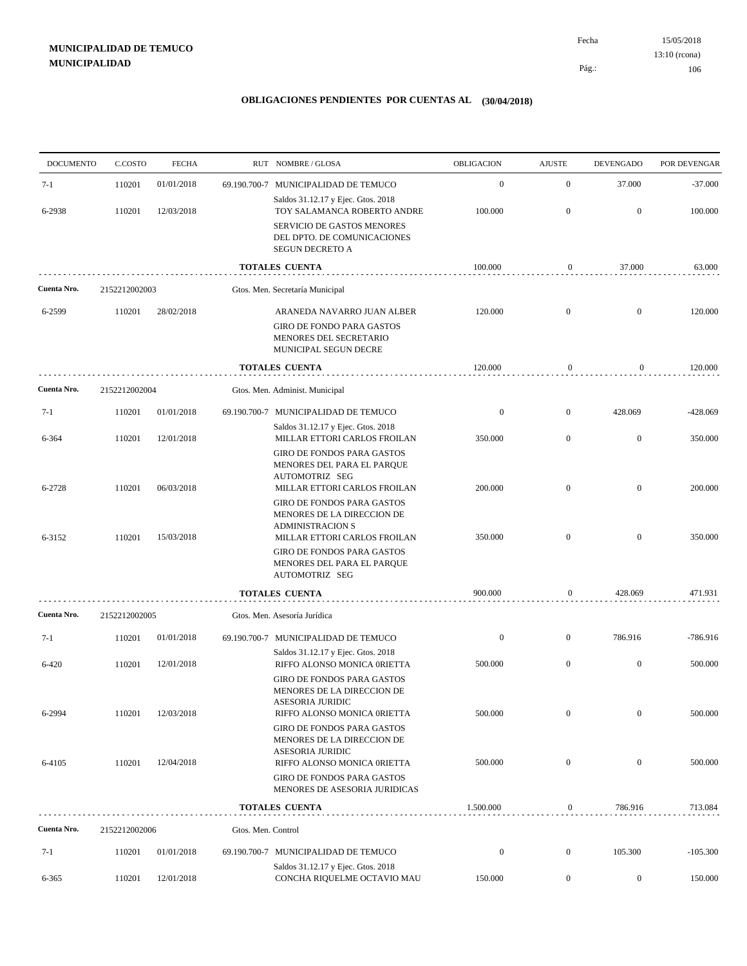15/05/2018 106 Pág.: Fecha 13:10 (rcona)

| <b>DOCUMENTO</b> | C.COSTO       | <b>FECHA</b> |                    | RUT NOMBRE/GLOSA                                                                                                    | OBLIGACION       | <b>AJUSTE</b>    | <b>DEVENGADO</b> | POR DEVENGAR |
|------------------|---------------|--------------|--------------------|---------------------------------------------------------------------------------------------------------------------|------------------|------------------|------------------|--------------|
| $7-1$            | 110201        | 01/01/2018   |                    | 69.190.700-7 MUNICIPALIDAD DE TEMUCO                                                                                | $\boldsymbol{0}$ | $\mathbf{0}$     | 37.000           | $-37.000$    |
| 6-2938           | 110201        | 12/03/2018   |                    | Saldos 31.12.17 y Ejec. Gtos. 2018<br>TOY SALAMANCA ROBERTO ANDRE                                                   | 100.000          | $\mathbf{0}$     | $\mathbf{0}$     | 100.000      |
|                  |               |              |                    | SERVICIO DE GASTOS MENORES<br>DEL DPTO. DE COMUNICACIONES<br>SEGUN DECRETO A                                        |                  |                  |                  |              |
|                  |               |              |                    | <b>TOTALES CUENTA</b>                                                                                               | 100.000          | $\boldsymbol{0}$ | 37.000           | 63.000       |
| Cuenta Nro.      | 2152212002003 |              |                    | Gtos. Men. Secretaría Municipal                                                                                     |                  |                  |                  |              |
| 6-2599           | 110201        | 28/02/2018   |                    | ARANEDA NAVARRO JUAN ALBER<br><b>GIRO DE FONDO PARA GASTOS</b><br>MENORES DEL SECRETARIO<br>MUNICIPAL SEGUN DECRE   | 120.000          | $\mathbf{0}$     | $\boldsymbol{0}$ | 120.000      |
|                  |               |              |                    | <b>TOTALES CUENTA</b>                                                                                               | 120.000          | 0                | $\boldsymbol{0}$ | 120.000      |
| Cuenta Nro.      | 2152212002004 |              |                    | Gtos. Men. Administ. Municipal                                                                                      |                  |                  |                  |              |
| $7-1$            | 110201        | 01/01/2018   |                    | 69.190.700-7 MUNICIPALIDAD DE TEMUCO                                                                                | $\boldsymbol{0}$ | $\mathbf{0}$     | 428.069          | $-428.069$   |
| 6-364            | 110201        | 12/01/2018   |                    | Saldos 31.12.17 y Ejec. Gtos. 2018<br>MILLAR ETTORI CARLOS FROILAN                                                  | 350.000          | $\mathbf{0}$     | $\mathbf{0}$     | 350.000      |
| 6-2728           | 110201        | 06/03/2018   |                    | <b>GIRO DE FONDOS PARA GASTOS</b><br>MENORES DEL PARA EL PARQUE<br>AUTOMOTRIZ SEG<br>MILLAR ETTORI CARLOS FROILAN   | 200.000          | $\mathbf{0}$     | $\overline{0}$   | 200.000      |
| 6-3152           | 110201        | 15/03/2018   |                    | GIRO DE FONDOS PARA GASTOS<br>MENORES DE LA DIRECCION DE<br><b>ADMINISTRACION S</b><br>MILLAR ETTORI CARLOS FROILAN | 350.000          | $\mathbf{0}$     | $\overline{0}$   | 350.000      |
|                  |               |              |                    | <b>GIRO DE FONDOS PARA GASTOS</b><br>MENORES DEL PARA EL PARQUE<br>AUTOMOTRIZ SEG                                   |                  |                  |                  |              |
|                  |               |              |                    | <b>TOTALES CUENTA</b>                                                                                               | 900.000          | $\boldsymbol{0}$ | 428.069          | 471.931      |
| Cuenta Nro.      | 2152212002005 |              |                    | Gtos. Men. Asesoría Jurídica                                                                                        |                  |                  |                  |              |
| $7-1$            | 110201        | 01/01/2018   |                    | 69.190.700-7 MUNICIPALIDAD DE TEMUCO                                                                                | $\boldsymbol{0}$ | $\mathbf{0}$     | 786.916          | $-786.916$   |
| $6 - 420$        | 110201        | 12/01/2018   |                    | Saldos 31.12.17 y Ejec. Gtos. 2018<br>RIFFO ALONSO MONICA 0RIETTA<br>GIRO DE FONDOS PARA GASTOS                     | 500.000          | $\mathbf{0}$     | $\mathbf{0}$     | 500.000      |
| 6-2994           | 110201        | 12/03/2018   |                    | MENORES DE LA DIRECCION DE<br>ASESORIA JURIDIC<br>RIFFO ALONSO MONICA 0RIETTA                                       | 500.000          | $\mathbf{0}$     | $\boldsymbol{0}$ | 500.000      |
|                  |               |              |                    | GIRO DE FONDOS PARA GASTOS<br>MENORES DE LA DIRECCION DE<br><b>ASESORIA JURIDIC</b>                                 |                  |                  |                  |              |
| 6-4105           | 110201        | 12/04/2018   |                    | RIFFO ALONSO MONICA 0RIETTA<br><b>GIRO DE FONDOS PARA GASTOS</b>                                                    | 500.000          | $\mathbf{0}$     | $\mathbf{0}$     | 500.000      |
|                  |               |              |                    | MENORES DE ASESORIA JURIDICAS                                                                                       |                  |                  |                  |              |
|                  |               |              |                    | <b>TOTALES CUENTA</b>                                                                                               | 1.500.000        | $\boldsymbol{0}$ | 786.916          | 713.084      |
| Cuenta Nro.      | 2152212002006 |              | Gtos. Men. Control |                                                                                                                     |                  |                  |                  |              |
| $7-1$            | 110201        | 01/01/2018   |                    | 69.190.700-7 MUNICIPALIDAD DE TEMUCO<br>Saldos 31.12.17 y Ejec. Gtos. 2018                                          | $\boldsymbol{0}$ | $\boldsymbol{0}$ | 105.300          | $-105.300$   |
| 6-365            | 110201        | 12/01/2018   |                    | CONCHA RIQUELME OCTAVIO MAU                                                                                         | 150.000          | $\boldsymbol{0}$ | $\boldsymbol{0}$ | 150.000      |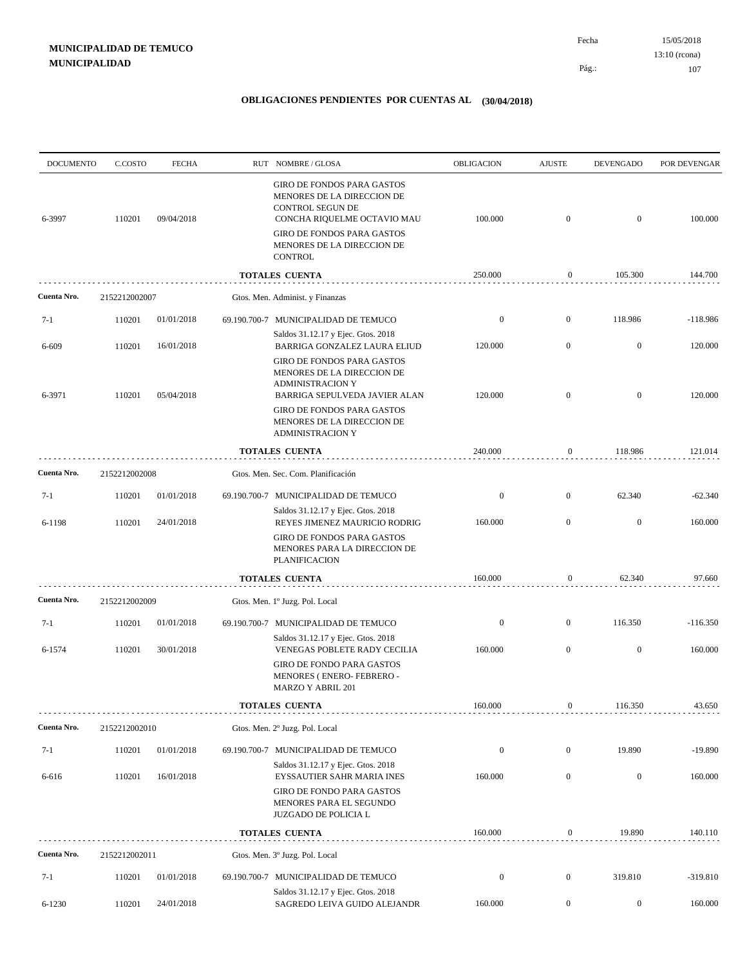15/05/2018 107 Pág.: Fecha 13:10 (rcona)

| <b>DOCUMENTO</b> | C.COSTO       | <b>FECHA</b> | RUT NOMBRE/GLOSA                                                                                                                                                                                        | <b>OBLIGACION</b> | <b>AJUSTE</b>    | <b>DEVENGADO</b> | POR DEVENGAR |
|------------------|---------------|--------------|---------------------------------------------------------------------------------------------------------------------------------------------------------------------------------------------------------|-------------------|------------------|------------------|--------------|
| 6-3997           | 110201        | 09/04/2018   | GIRO DE FONDOS PARA GASTOS<br>MENORES DE LA DIRECCION DE<br><b>CONTROL SEGUN DE</b><br>CONCHA RIQUELME OCTAVIO MAU<br><b>GIRO DE FONDOS PARA GASTOS</b><br>MENORES DE LA DIRECCION DE<br><b>CONTROL</b> | 100.000           | $\mathbf{0}$     | $\mathbf{0}$     | 100.000      |
|                  |               |              | <b>TOTALES CUENTA</b>                                                                                                                                                                                   | 250.000           | $\boldsymbol{0}$ | 105.300          | 144.700      |
| Cuenta Nro.      | 2152212002007 |              | Gtos. Men. Administ. y Finanzas                                                                                                                                                                         |                   |                  |                  |              |
| $7-1$            | 110201        | 01/01/2018   | 69.190.700-7 MUNICIPALIDAD DE TEMUCO                                                                                                                                                                    | $\boldsymbol{0}$  | $\mathbf{0}$     | 118.986          | $-118.986$   |
| 6-609            | 110201        | 16/01/2018   | Saldos 31.12.17 y Ejec. Gtos. 2018<br>BARRIGA GONZALEZ LAURA ELIUD<br>GIRO DE FONDOS PARA GASTOS<br>MENORES DE LA DIRECCION DE                                                                          | 120.000           | $\mathbf{0}$     | $\mathbf{0}$     | 120.000      |
| 6-3971           | 110201        | 05/04/2018   | <b>ADMINISTRACION Y</b><br>BARRIGA SEPULVEDA JAVIER ALAN<br>GIRO DE FONDOS PARA GASTOS<br>MENORES DE LA DIRECCION DE<br><b>ADMINISTRACION Y</b>                                                         | 120.000           | $\mathbf{0}$     | $\mathbf{0}$     | 120.000      |
|                  |               |              | <b>TOTALES CUENTA</b>                                                                                                                                                                                   | 240.000           | $\boldsymbol{0}$ | 118.986          | 121.014      |
| Cuenta Nro.      | 2152212002008 |              | Gtos. Men. Sec. Com. Planificación                                                                                                                                                                      |                   |                  |                  |              |
| $7-1$            | 110201        | 01/01/2018   | 69.190.700-7 MUNICIPALIDAD DE TEMUCO                                                                                                                                                                    | $\boldsymbol{0}$  | $\mathbf{0}$     | 62.340           | $-62.340$    |
| 6-1198           | 110201        | 24/01/2018   | Saldos 31.12.17 y Ejec. Gtos. 2018<br>REYES JIMENEZ MAURICIO RODRIG                                                                                                                                     | 160.000           | $\mathbf{0}$     | $\mathbf{0}$     | 160.000      |
|                  |               |              | <b>GIRO DE FONDOS PARA GASTOS</b><br>MENORES PARA LA DIRECCION DE<br><b>PLANIFICACION</b>                                                                                                               |                   |                  |                  |              |
|                  |               |              | <b>TOTALES CUENTA</b>                                                                                                                                                                                   | 160.000           | $\mathbf{0}$     | 62.340           | 97.660       |
| Cuenta Nro.      | 2152212002009 |              | Gtos. Men. 1º Juzg. Pol. Local                                                                                                                                                                          |                   |                  |                  |              |
| $7-1$            | 110201        | 01/01/2018   | 69.190.700-7 MUNICIPALIDAD DE TEMUCO                                                                                                                                                                    | $\boldsymbol{0}$  | $\mathbf{0}$     | 116.350          | $-116.350$   |
| 6-1574           | 110201        | 30/01/2018   | Saldos 31.12.17 y Ejec. Gtos. 2018<br>VENEGAS POBLETE RADY CECILIA                                                                                                                                      | 160.000           | $\mathbf{0}$     | $\boldsymbol{0}$ | 160.000      |
|                  |               |              | <b>GIRO DE FONDO PARA GASTOS</b><br>MENORES (ENERO-FEBRERO-<br>MARZO Y ABRIL 201                                                                                                                        |                   |                  |                  |              |
|                  |               |              | <b>TOTALES CUENTA</b>                                                                                                                                                                                   | 160.000           | $\boldsymbol{0}$ | 116.350          | 43.650       |
| Cuenta Nro.      | 2152212002010 |              | Gtos. Men. 2º Juzg. Pol. Local                                                                                                                                                                          |                   |                  |                  |              |
| $7-1$            | 110201        | 01/01/2018   | 69.190.700-7 MUNICIPALIDAD DE TEMUCO                                                                                                                                                                    | $\boldsymbol{0}$  | $\boldsymbol{0}$ | 19.890           | $-19.890$    |
| 6-616            | 110201        | 16/01/2018   | Saldos 31.12.17 y Ejec. Gtos. 2018<br>EYSSAUTIER SAHR MARIA INES                                                                                                                                        | 160.000           | $\mathbf{0}$     | $\mathbf{0}$     | 160.000      |
|                  |               |              | GIRO DE FONDO PARA GASTOS<br>MENORES PARA EL SEGUNDO<br>JUZGADO DE POLICIA L                                                                                                                            |                   |                  |                  |              |
|                  |               |              | <b>TOTALES CUENTA</b>                                                                                                                                                                                   | 160.000           | $\boldsymbol{0}$ | 19.890           | 140.110      |
| Cuenta Nro.      | 2152212002011 |              | Gtos. Men. 3º Juzg. Pol. Local                                                                                                                                                                          |                   |                  |                  |              |
| $7-1$            | 110201        | 01/01/2018   | 69.190.700-7 MUNICIPALIDAD DE TEMUCO                                                                                                                                                                    | $\boldsymbol{0}$  | $\boldsymbol{0}$ | 319.810          | $-319.810$   |
| 6-1230           | 110201        | 24/01/2018   | Saldos 31.12.17 y Ejec. Gtos. 2018<br>SAGREDO LEIVA GUIDO ALEJANDR                                                                                                                                      | 160.000           | $\overline{0}$   | $\boldsymbol{0}$ | 160.000      |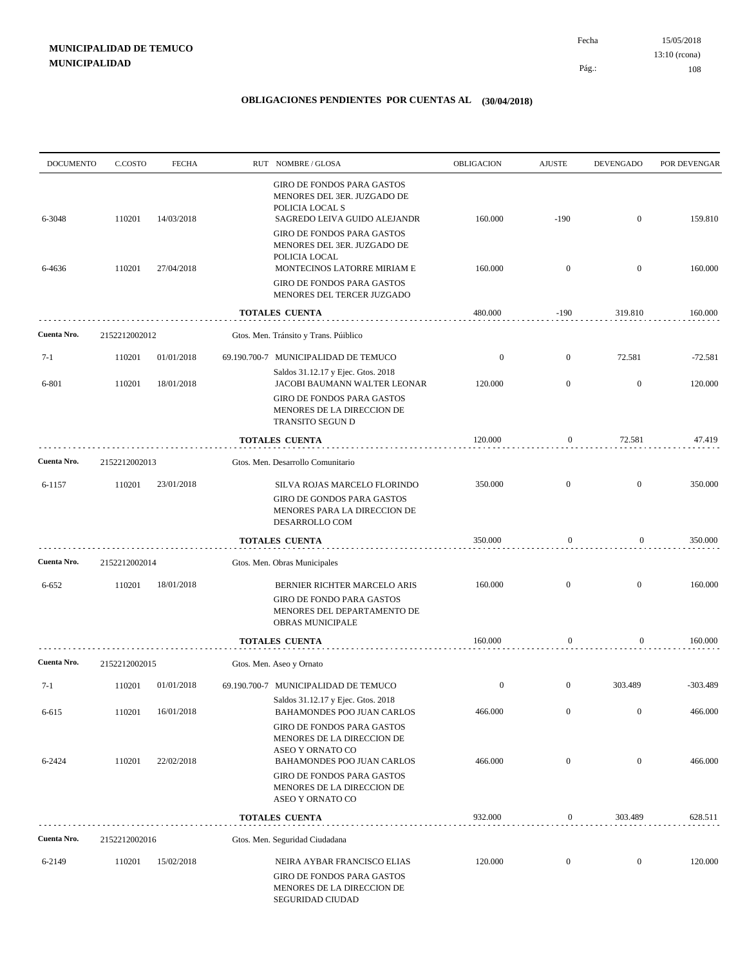15/05/2018 108 Pág.: Fecha 13:10 (rcona)

| <b>DOCUMENTO</b> | C.COSTO       | <b>FECHA</b> | RUT NOMBRE/GLOSA                                                                                                                                                                                  | OBLIGACION       | <b>AJUSTE</b>    | <b>DEVENGADO</b> | POR DEVENGAR |
|------------------|---------------|--------------|---------------------------------------------------------------------------------------------------------------------------------------------------------------------------------------------------|------------------|------------------|------------------|--------------|
| 6-3048           | 110201        | 14/03/2018   | GIRO DE FONDOS PARA GASTOS<br>MENORES DEL 3ER. JUZGADO DE<br>POLICIA LOCAL S<br>SAGREDO LEIVA GUIDO ALEJANDR                                                                                      | 160.000          | $-190$           | $\boldsymbol{0}$ | 159.810      |
| 6-4636           | 110201        | 27/04/2018   | <b>GIRO DE FONDOS PARA GASTOS</b><br>MENORES DEL 3ER. JUZGADO DE<br>POLICIA LOCAL<br>MONTECINOS LATORRE MIRIAM E<br><b>GIRO DE FONDOS PARA GASTOS</b><br>MENORES DEL TERCER JUZGADO               | 160.000          | $\mathbf{0}$     | $\mathbf{0}$     | 160.000      |
|                  |               |              | TOTALES CUENTA                                                                                                                                                                                    | 480.000          | $-190$           | 319.810          | 160.000      |
| Cuenta Nro.      | 2152212002012 |              | Gtos. Men. Tránsito y Trans. Púiblico                                                                                                                                                             |                  |                  |                  |              |
| $7-1$            | 110201        | 01/01/2018   | 69.190.700-7 MUNICIPALIDAD DE TEMUCO                                                                                                                                                              | $\boldsymbol{0}$ | $\overline{0}$   | 72.581           | $-72.581$    |
| 6-801            | 110201        | 18/01/2018   | Saldos 31.12.17 y Ejec. Gtos. 2018<br>JACOBI BAUMANN WALTER LEONAR<br><b>GIRO DE FONDOS PARA GASTOS</b><br>MENORES DE LA DIRECCION DE<br>TRANSITO SEGUN D                                         | 120.000          | $\overline{0}$   | $\mathbf{0}$     | 120.000      |
|                  |               |              | <b>TOTALES CUENTA</b>                                                                                                                                                                             | 120.000          | 0                | 72.581           | 47.419       |
| Cuenta Nro.      | 2152212002013 |              | Gtos. Men. Desarrollo Comunitario                                                                                                                                                                 |                  |                  |                  |              |
| 6-1157           | 110201        | 23/01/2018   | SILVA ROJAS MARCELO FLORINDO<br><b>GIRO DE GONDOS PARA GASTOS</b><br>MENORES PARA LA DIRECCION DE<br>DESARROLLO COM                                                                               | 350.000          | $\mathbf{0}$     | $\mathbf{0}$     | 350.000      |
|                  |               |              | <b>TOTALES CUENTA</b>                                                                                                                                                                             | 350.000          | $\boldsymbol{0}$ | 0                | 350.000      |
| Cuenta Nro.      | 2152212002014 |              | Gtos. Men. Obras Municipales                                                                                                                                                                      |                  |                  |                  |              |
| 6-652            | 110201        | 18/01/2018   | BERNIER RICHTER MARCELO ARIS<br><b>GIRO DE FONDO PARA GASTOS</b><br>MENORES DEL DEPARTAMENTO DE<br>OBRAS MUNICIPALE                                                                               | 160.000          | $\mathbf{0}$     | $\mathbf{0}$     | 160.000      |
|                  |               |              | <b>TOTALES CUENTA</b>                                                                                                                                                                             | 160.000          | $\boldsymbol{0}$ | 0                | 160.000      |
| Cuenta Nro.      | 2152212002015 |              | Gtos. Men. Aseo y Ornato                                                                                                                                                                          |                  |                  |                  |              |
| $7-1$            | 110201        | 01/01/2018   | 69.190.700-7 MUNICIPALIDAD DE TEMUCO                                                                                                                                                              | $\boldsymbol{0}$ | $\mathbf{0}$     | 303.489          | $-303.489$   |
| 6-615            | 110201        | 16/01/2018   | Saldos 31.12.17 y Ejec. Gtos. 2018<br>BAHAMONDES POO JUAN CARLOS                                                                                                                                  | 466.000          | $\mathbf{0}$     | $\boldsymbol{0}$ | 466.000      |
| 6-2424           | 110201        | 22/02/2018   | GIRO DE FONDOS PARA GASTOS<br>MENORES DE LA DIRECCION DE<br>ASEO Y ORNATO CO<br>BAHAMONDES POO JUAN CARLOS<br><b>GIRO DE FONDOS PARA GASTOS</b><br>MENORES DE LA DIRECCION DE<br>ASEO Y ORNATO CO | 466.000          | $\boldsymbol{0}$ | $\boldsymbol{0}$ | 466.000      |
|                  |               |              | <b>TOTALES CUENTA</b>                                                                                                                                                                             | 932.000          | $\boldsymbol{0}$ | 303.489          | 628.511      |
| Cuenta Nro.      | 2152212002016 |              | Gtos. Men. Seguridad Ciudadana                                                                                                                                                                    |                  |                  |                  |              |
| 6-2149           | 110201        | 15/02/2018   | NEIRA AYBAR FRANCISCO ELIAS<br>GIRO DE FONDOS PARA GASTOS<br>MENORES DE LA DIRECCION DE<br>SEGURIDAD CIUDAD                                                                                       | 120.000          | $\boldsymbol{0}$ | $\boldsymbol{0}$ | 120.000      |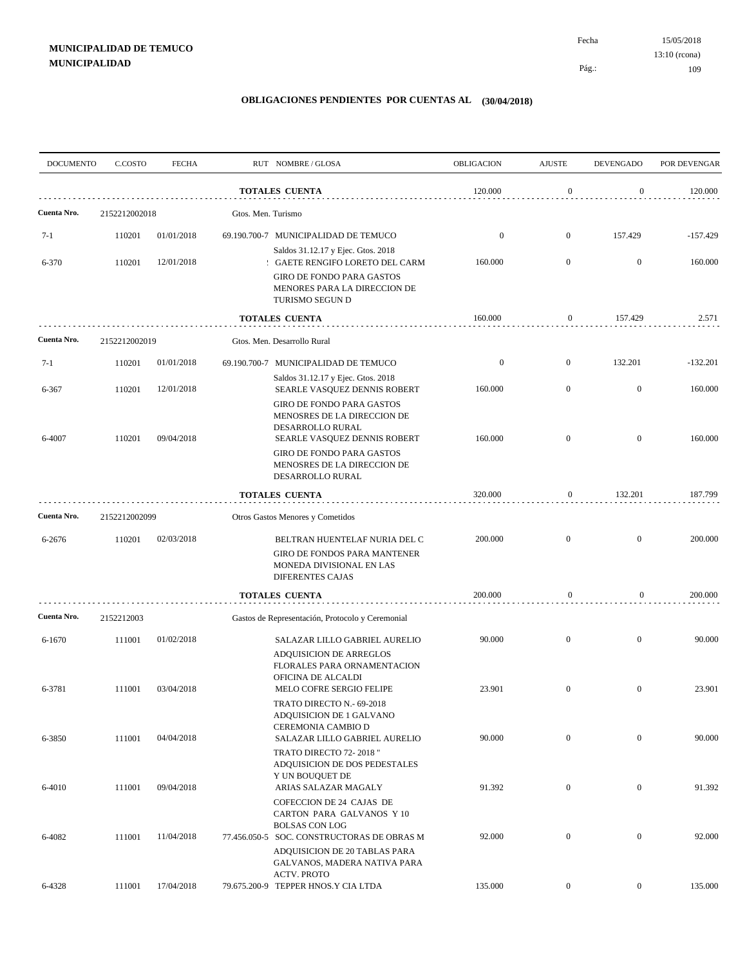| <b>DOCUMENTO</b> | C.COSTO       | <b>FECHA</b> |                    | RUT NOMBRE/GLOSA                                                                                                    | OBLIGACION       | <b>AJUSTE</b>    | <b>DEVENGADO</b> | POR DEVENGAR |
|------------------|---------------|--------------|--------------------|---------------------------------------------------------------------------------------------------------------------|------------------|------------------|------------------|--------------|
|                  |               |              |                    | <b>TOTALES CUENTA</b>                                                                                               | 120.000          | $\mathbf{0}$     | $\boldsymbol{0}$ | 120.000      |
| Cuenta Nro.      | 2152212002018 |              | Gtos. Men. Turismo |                                                                                                                     |                  |                  |                  |              |
| $7-1$            | 110201        | 01/01/2018   |                    | 69.190.700-7 MUNICIPALIDAD DE TEMUCO                                                                                | $\mathbf{0}$     | $\mathbf{0}$     | 157.429          | $-157.429$   |
| 6-370            | 110201        | 12/01/2018   |                    | Saldos 31.12.17 y Ejec. Gtos. 2018<br>: GAETE RENGIFO LORETO DEL CARM                                               | 160.000          | $\overline{0}$   | $\mathbf{0}$     | 160.000      |
|                  |               |              |                    | <b>GIRO DE FONDO PARA GASTOS</b><br>MENORES PARA LA DIRECCION DE<br>TURISMO SEGUN D                                 |                  |                  |                  |              |
|                  |               |              |                    | TOTALES CUENTA                                                                                                      | 160.000          | $\boldsymbol{0}$ | 157.429          | 2.571        |
| Cuenta Nro.      | 2152212002019 |              |                    | Gtos. Men. Desarrollo Rural                                                                                         |                  |                  |                  |              |
| $7-1$            | 110201        | 01/01/2018   |                    | 69.190.700-7 MUNICIPALIDAD DE TEMUCO                                                                                | $\boldsymbol{0}$ | $\mathbf{0}$     | 132.201          | $-132.201$   |
| 6-367            | 110201        | 12/01/2018   |                    | Saldos 31.12.17 y Ejec. Gtos. 2018<br>SEARLE VASQUEZ DENNIS ROBERT                                                  | 160.000          | $\mathbf{0}$     | $\mathbf{0}$     | 160.000      |
| 6-4007           | 110201        | 09/04/2018   |                    | <b>GIRO DE FONDO PARA GASTOS</b><br>MENOSRES DE LA DIRECCION DE<br>DESARROLLO RURAL<br>SEARLE VASQUEZ DENNIS ROBERT | 160.000          | $\mathbf{0}$     | $\overline{0}$   | 160.000      |
|                  |               |              |                    | <b>GIRO DE FONDO PARA GASTOS</b><br>MENOSRES DE LA DIRECCION DE<br>DESARROLLO RURAL                                 |                  |                  |                  |              |
|                  |               |              |                    | TOTALES CUENTA                                                                                                      | 320.000          | $\boldsymbol{0}$ | 132.201          | 187.799      |
| Cuenta Nro.      | 2152212002099 |              |                    | Otros Gastos Menores y Cometidos                                                                                    |                  |                  |                  |              |
| 6-2676           | 110201        | 02/03/2018   |                    | BELTRAN HUENTELAF NURIA DEL C                                                                                       | 200.000          | $\overline{0}$   | $\overline{0}$   | 200.000      |
|                  |               |              |                    | GIRO DE FONDOS PARA MANTENER<br>MONEDA DIVISIONAL EN LAS<br><b>DIFERENTES CAJAS</b>                                 |                  |                  |                  |              |
|                  |               |              |                    | <b>TOTALES CUENTA</b>                                                                                               | 200.000          | $\boldsymbol{0}$ | $\overline{0}$   | 200.000      |
| Cuenta Nro.      | 2152212003    |              |                    | Gastos de Representación, Protocolo y Ceremonial                                                                    |                  |                  |                  |              |
| 6-1670           | 111001        | 01/02/2018   |                    | SALAZAR LILLO GABRIEL AURELIO<br>ADQUISICION DE ARREGLOS<br>FLORALES PARA ORNAMENTACION<br>OFICINA DE ALCALDI       | 90.000           | $\mathbf{0}$     | $\overline{0}$   | 90.000       |
| 6-3781           | 111001        | 03/04/2018   |                    | MELO COFRE SERGIO FELIPE<br>TRATO DIRECTO N.- 69-2018                                                               | 23.901           | $\mathbf{0}$     | $\mathbf{0}$     | 23.901       |
| 6-3850           | 111001        | 04/04/2018   |                    | ADQUISICION DE 1 GALVANO<br>CEREMONIA CAMBIO D<br>SALAZAR LILLO GABRIEL AURELIO                                     | 90.000           | $\mathbf{0}$     | $\overline{0}$   | 90.000       |
|                  |               |              |                    | TRATO DIRECTO 72-2018"<br>ADQUISICION DE DOS PEDESTALES<br>Y UN BOUQUET DE                                          |                  |                  |                  |              |
| 6-4010           | 111001        | 09/04/2018   |                    | ARIAS SALAZAR MAGALY<br>COFECCION DE 24 CAJAS DE                                                                    | 91.392           | $\boldsymbol{0}$ | $\mathbf{0}$     | 91.392       |
| 6-4082           | 111001        | 11/04/2018   |                    | CARTON PARA GALVANOS Y 10<br><b>BOLSAS CON LOG</b><br>77.456.050-5 SOC. CONSTRUCTORAS DE OBRAS M                    | 92.000           | $\boldsymbol{0}$ | $\overline{0}$   | 92.000       |
|                  |               |              |                    | ADQUISICION DE 20 TABLAS PARA<br>GALVANOS, MADERA NATIVA PARA<br><b>ACTV. PROTO</b>                                 |                  |                  |                  |              |
| 6-4328           | 111001        | 17/04/2018   |                    | 79.675.200-9 TEPPER HNOS.Y CIA LTDA                                                                                 | 135.000          | $\boldsymbol{0}$ | $\overline{0}$   | 135.000      |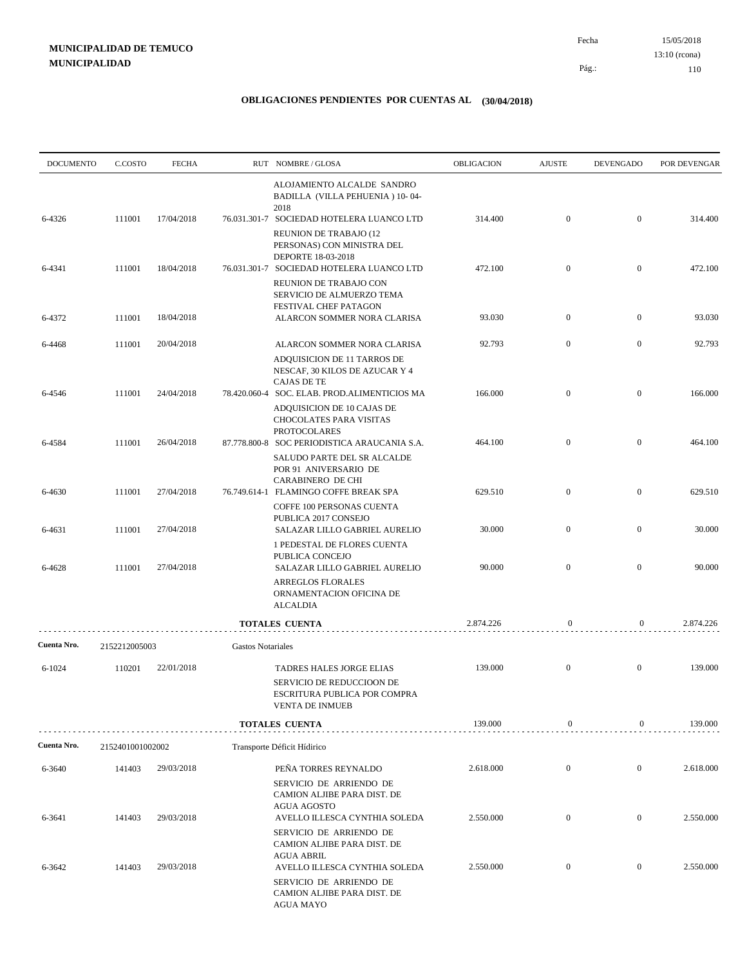| <b>DOCUMENTO</b> | C.COSTO          | <b>FECHA</b> |                          | RUT NOMBRE/GLOSA                                                                                                                 | OBLIGACION | <b>AJUSTE</b>    | <b>DEVENGADO</b> | POR DEVENGAR |
|------------------|------------------|--------------|--------------------------|----------------------------------------------------------------------------------------------------------------------------------|------------|------------------|------------------|--------------|
|                  |                  |              |                          | ALOJAMIENTO ALCALDE SANDRO<br>BADILLA (VILLA PEHUENIA) 10-04-<br>2018                                                            |            |                  |                  |              |
| 6-4326           | 111001           | 17/04/2018   |                          | 76.031.301-7 SOCIEDAD HOTELERA LUANCO LTD<br><b>REUNION DE TRABAJO (12)</b><br>PERSONAS) CON MINISTRA DEL                        | 314.400    | $\mathbf{0}$     | $\overline{0}$   | 314.400      |
| 6-4341           | 111001           | 18/04/2018   |                          | DEPORTE 18-03-2018<br>76.031.301-7 SOCIEDAD HOTELERA LUANCO LTD<br>REUNION DE TRABAJO CON<br>SERVICIO DE ALMUERZO TEMA           | 472.100    | $\mathbf{0}$     | $\overline{0}$   | 472.100      |
| 6-4372           | 111001           | 18/04/2018   |                          | FESTIVAL CHEF PATAGON<br>ALARCON SOMMER NORA CLARISA                                                                             | 93.030     | $\mathbf{0}$     | $\overline{0}$   | 93.030       |
| 6-4468           | 111001           | 20/04/2018   |                          | ALARCON SOMMER NORA CLARISA<br>ADQUISICION DE 11 TARROS DE<br>NESCAF, 30 KILOS DE AZUCAR Y 4<br><b>CAJAS DE TE</b>               | 92.793     | $\mathbf{0}$     | $\mathbf{0}$     | 92.793       |
| 6-4546           | 111001           | 24/04/2018   |                          | 78.420.060-4 SOC. ELAB. PROD.ALIMENTICIOS MA<br>ADQUISICION DE 10 CAJAS DE<br>CHOCOLATES PARA VISITAS<br><b>PROTOCOLARES</b>     | 166.000    | $\mathbf{0}$     | $\overline{0}$   | 166.000      |
| 6-4584           | 111001           | 26/04/2018   |                          | 87.778.800-8 SOC PERIODISTICA ARAUCANIA S.A.<br>SALUDO PARTE DEL SR ALCALDE<br>POR 91 ANIVERSARIO DE<br><b>CARABINERO DE CHI</b> | 464.100    | $\mathbf{0}$     | $\overline{0}$   | 464.100      |
| 6-4630           | 111001           | 27/04/2018   |                          | 76.749.614-1 FLAMINGO COFFE BREAK SPA<br>COFFE 100 PERSONAS CUENTA<br>PUBLICA 2017 CONSEJO                                       | 629.510    | $\mathbf{0}$     | $\overline{0}$   | 629.510      |
| 6-4631           | 111001           | 27/04/2018   |                          | SALAZAR LILLO GABRIEL AURELIO<br>1 PEDESTAL DE FLORES CUENTA<br>PUBLICA CONCEJO                                                  | 30.000     | $\mathbf{0}$     | $\boldsymbol{0}$ | 30.000       |
| 6-4628           | 111001           | 27/04/2018   |                          | SALAZAR LILLO GABRIEL AURELIO<br>ARREGLOS FLORALES<br>ORNAMENTACION OFICINA DE<br><b>ALCALDIA</b>                                | 90.000     | $\overline{0}$   | $\mathbf{0}$     | 90.000       |
|                  |                  |              |                          | <b>TOTALES CUENTA</b>                                                                                                            | 2.874.226  | $\boldsymbol{0}$ | $\boldsymbol{0}$ | 2.874.226    |
| Cuenta Nro.      | 2152212005003    |              | <b>Gastos Notariales</b> |                                                                                                                                  |            |                  |                  |              |
| $6 - 1024$       | 110201           | 22/01/2018   |                          | TADRES HALES JORGE ELIAS<br>SERVICIO DE REDUCCIOON DE<br>ESCRITURA PUBLICA POR COMPRA<br><b>VENTA DE INMUEB</b>                  | 139.000    | $\overline{0}$   | $\mathbf{0}$     | 139.000      |
|                  |                  |              |                          | <b>TOTALES CUENTA</b>                                                                                                            | 139.000    | $\bf{0}$         | $\mathbf{0}$     | 139.000      |
| Cuenta Nro.      | 2152401001002002 |              |                          | Transporte Déficit Hídirico                                                                                                      |            |                  |                  |              |
| 6-3640           | 141403           | 29/03/2018   |                          | PEÑA TORRES REYNALDO<br>SERVICIO DE ARRIENDO DE<br>CAMION ALJIBE PARA DIST. DE<br><b>AGUA AGOSTO</b>                             | 2.618.000  | $\boldsymbol{0}$ | $\mathbf{0}$     | 2.618.000    |
| 6-3641           | 141403           | 29/03/2018   |                          | AVELLO ILLESCA CYNTHIA SOLEDA<br>SERVICIO DE ARRIENDO DE<br>CAMION ALJIBE PARA DIST. DE                                          | 2.550.000  | $\boldsymbol{0}$ | $\mathbf{0}$     | 2.550.000    |
| 6-3642           | 141403           | 29/03/2018   |                          | <b>AGUA ABRIL</b><br>AVELLO ILLESCA CYNTHIA SOLEDA<br>SERVICIO DE ARRIENDO DE<br>CAMION ALJIBE PARA DIST. DE<br>AGUA MAYO        | 2.550.000  | $\mathbf{0}$     | $\mathbf{0}$     | 2.550.000    |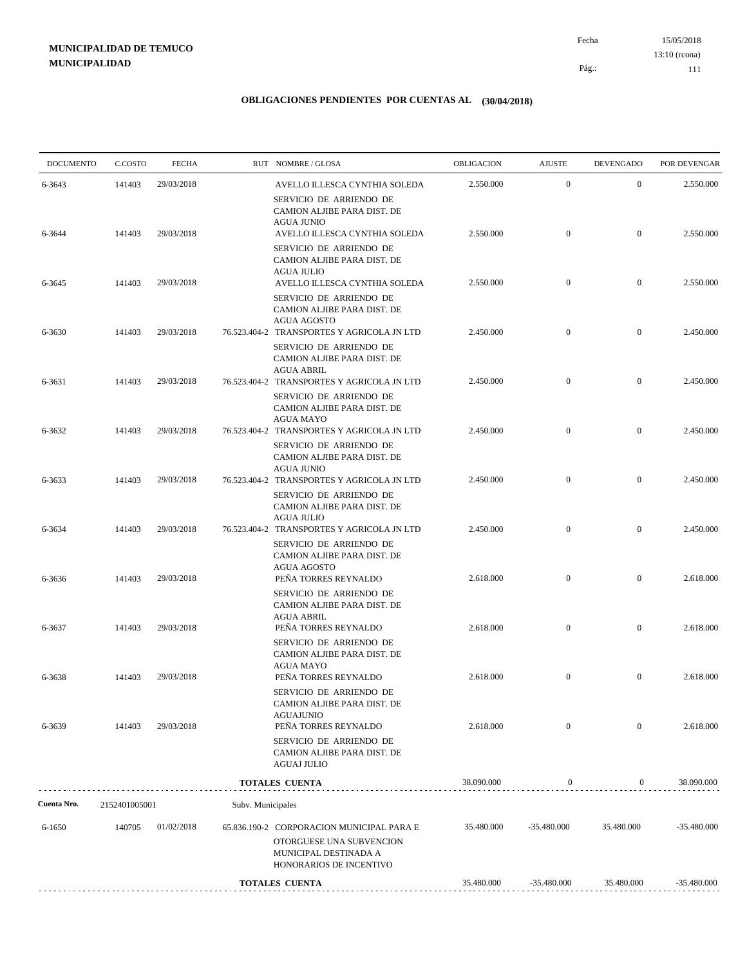15/05/2018 111 Pág.: Fecha 13:10 (rcona)

| <b>DOCUMENTO</b> | C.COSTO       | <b>FECHA</b> |                   | RUT NOMBRE/GLOSA                                                                                                                   | <b>OBLIGACION</b> | <b>AJUSTE</b>    | <b>DEVENGADO</b> | POR DEVENGAR  |
|------------------|---------------|--------------|-------------------|------------------------------------------------------------------------------------------------------------------------------------|-------------------|------------------|------------------|---------------|
| 6-3643           | 141403        | 29/03/2018   |                   | AVELLO ILLESCA CYNTHIA SOLEDA                                                                                                      | 2.550.000         | $\boldsymbol{0}$ | $\mathbf{0}$     | 2.550.000     |
| 6-3644           | 141403        | 29/03/2018   |                   | SERVICIO DE ARRIENDO DE<br>CAMION ALJIBE PARA DIST. DE<br><b>AGUA JUNIO</b><br>AVELLO ILLESCA CYNTHIA SOLEDA                       | 2.550.000         | $\boldsymbol{0}$ | $\boldsymbol{0}$ | 2.550.000     |
|                  |               |              |                   | SERVICIO DE ARRIENDO DE<br>CAMION ALJIBE PARA DIST. DE                                                                             |                   |                  |                  |               |
| 6-3645           | 141403        | 29/03/2018   |                   | <b>AGUA JULIO</b><br>AVELLO ILLESCA CYNTHIA SOLEDA<br>SERVICIO DE ARRIENDO DE<br>CAMION ALJIBE PARA DIST. DE<br><b>AGUA AGOSTO</b> | 2.550.000         | $\boldsymbol{0}$ | $\boldsymbol{0}$ | 2.550.000     |
| 6-3630           | 141403        | 29/03/2018   |                   | 76.523.404-2 TRANSPORTES Y AGRICOLA JN LTD<br>SERVICIO DE ARRIENDO DE<br>CAMION ALJIBE PARA DIST. DE<br>AGUA ABRIL                 | 2.450.000         | $\boldsymbol{0}$ | $\boldsymbol{0}$ | 2.450.000     |
| 6-3631           | 141403        | 29/03/2018   |                   | 76.523.404-2 TRANSPORTES Y AGRICOLA JN LTD<br>SERVICIO DE ARRIENDO DE<br>CAMION ALJIBE PARA DIST. DE                               | 2.450.000         | $\boldsymbol{0}$ | $\boldsymbol{0}$ | 2.450.000     |
| 6-3632           | 141403        | 29/03/2018   |                   | <b>AGUA MAYO</b><br>76.523.404-2 TRANSPORTES Y AGRICOLA JN LTD<br>SERVICIO DE ARRIENDO DE                                          | 2.450.000         | $\mathbf{0}$     | $\mathbf{0}$     | 2.450.000     |
| 6-3633           | 141403        | 29/03/2018   |                   | CAMION ALJIBE PARA DIST. DE<br><b>AGUA JUNIO</b><br>76.523.404-2 TRANSPORTES Y AGRICOLA JN LTD<br>SERVICIO DE ARRIENDO DE          | 2.450.000         | $\boldsymbol{0}$ | $\mathbf{0}$     | 2.450.000     |
| 6-3634           | 141403        | 29/03/2018   |                   | CAMION ALJIBE PARA DIST. DE<br><b>AGUA JULIO</b><br>76.523.404-2 TRANSPORTES Y AGRICOLA JN LTD<br>SERVICIO DE ARRIENDO DE          | 2.450.000         | $\mathbf{0}$     | $\overline{0}$   | 2.450.000     |
| 6-3636           | 141403        | 29/03/2018   |                   | CAMION ALJIBE PARA DIST. DE<br><b>AGUA AGOSTO</b><br>PEÑA TORRES REYNALDO<br>SERVICIO DE ARRIENDO DE                               | 2.618.000         | $\boldsymbol{0}$ | $\mathbf{0}$     | 2.618.000     |
| 6-3637           | 141403        | 29/03/2018   |                   | CAMION ALJIBE PARA DIST. DE<br><b>AGUA ABRIL</b><br>PEÑA TORRES REYNALDO                                                           | 2.618.000         | $\boldsymbol{0}$ | $\boldsymbol{0}$ | 2.618.000     |
| 6-3638           | 141403        | 29/03/2018   |                   | SERVICIO DE ARRIENDO DE<br>CAMION ALJIBE PARA DIST. DE<br><b>AGUA MAYO</b><br>PEÑA TORRES REYNALDO                                 | 2.618.000         | $\boldsymbol{0}$ | $\overline{0}$   | 2.618.000     |
|                  | 141403        | 29/03/2018   |                   | SERVICIO DE ARRIENDO DE<br>CAMION ALJIBE PARA DIST. DE<br><b>AGUAJUNIO</b><br>PEÑA TORRES REYNALDO                                 | 2.618.000         | $\mathbf{0}$     | $\boldsymbol{0}$ | 2.618.000     |
| 6-3639           |               |              |                   | SERVICIO DE ARRIENDO DE<br>CAMION ALJIBE PARA DIST. DE<br><b>AGUAJ JULIO</b>                                                       |                   |                  |                  |               |
|                  |               |              |                   | <b>TOTALES CUENTA</b>                                                                                                              | 38.090.000        | $\boldsymbol{0}$ | $\overline{0}$   | 38.090.000    |
| Cuenta Nro.      | 2152401005001 |              | Subv. Municipales |                                                                                                                                    |                   |                  |                  |               |
| 6-1650           | 140705        | 01/02/2018   |                   | 65.836.190-2 CORPORACION MUNICIPAL PARA E<br>OTORGUESE UNA SUBVENCION<br>MUNICIPAL DESTINADA A<br>HONORARIOS DE INCENTIVO          | 35.480.000        | -35.480.000      | 35.480.000       | $-35.480.000$ |
|                  |               |              |                   | <b>TOTALES CUENTA</b>                                                                                                              | 35.480.000        | $-35.480.000$    | 35.480.000       | $-35.480.000$ |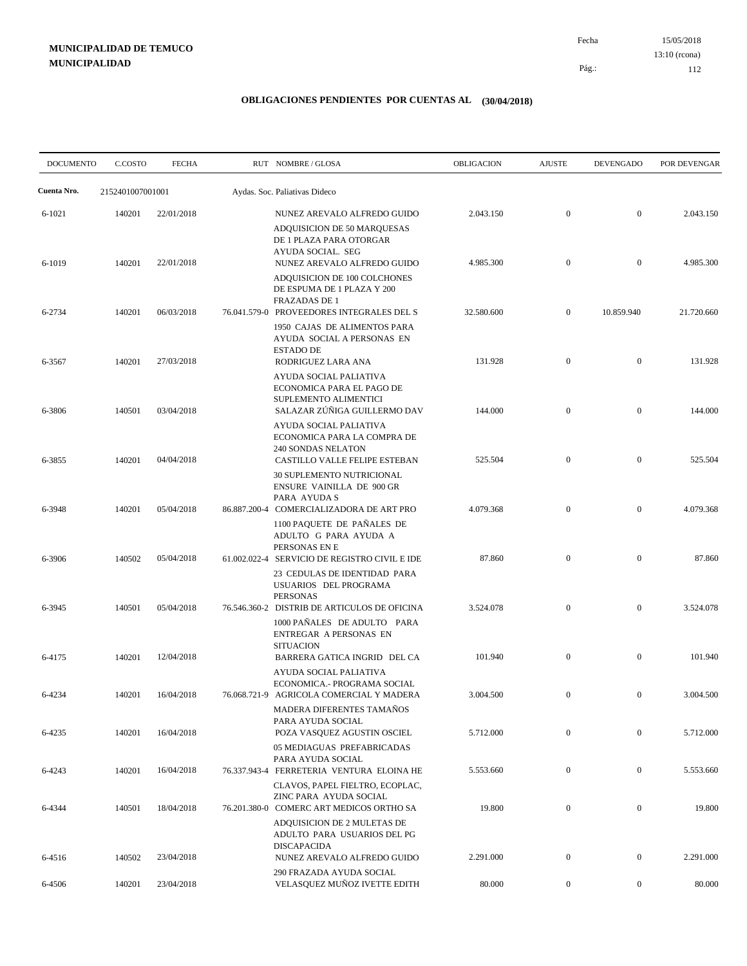15/05/2018 112 Pág.: Fecha 13:10 (rcona)

| <b>DOCUMENTO</b> | C.COSTO          | <b>FECHA</b> | RUT NOMBRE/GLOSA                                                                                                                     | OBLIGACION | <b>AJUSTE</b>    | <b>DEVENGADO</b> | POR DEVENGAR |
|------------------|------------------|--------------|--------------------------------------------------------------------------------------------------------------------------------------|------------|------------------|------------------|--------------|
| Cuenta Nro.      | 2152401007001001 |              | Aydas. Soc. Paliativas Dideco                                                                                                        |            |                  |                  |              |
| 6-1021           | 140201           | 22/01/2018   | NUNEZ AREVALO ALFREDO GUIDO<br>ADQUISICION DE 50 MARQUESAS<br>DE 1 PLAZA PARA OTORGAR                                                | 2.043.150  | $\mathbf{0}$     | $\boldsymbol{0}$ | 2.043.150    |
| 6-1019           | 140201           | 22/01/2018   | AYUDA SOCIAL. SEG<br>NUNEZ AREVALO ALFREDO GUIDO<br>ADQUISICION DE 100 COLCHONES<br>DE ESPUMA DE 1 PLAZA Y 200                       | 4.985.300  | $\mathbf{0}$     | $\overline{0}$   | 4.985.300    |
| 6-2734           | 140201           | 06/03/2018   | <b>FRAZADAS DE 1</b><br>76.041.579-0 PROVEEDORES INTEGRALES DEL S<br>1950 CAJAS DE ALIMENTOS PARA                                    | 32.580.600 | $\mathbf{0}$     | 10.859.940       | 21.720.660   |
| 6-3567           | 140201           | 27/03/2018   | AYUDA SOCIAL A PERSONAS EN<br><b>ESTADO DE</b><br>RODRIGUEZ LARA ANA                                                                 | 131.928    | $\mathbf{0}$     | $\mathbf{0}$     | 131.928      |
| 6-3806           | 140501           | 03/04/2018   | AYUDA SOCIAL PALIATIVA<br>ECONOMICA PARA EL PAGO DE<br>SUPLEMENTO ALIMENTICI<br>SALAZAR ZÚÑIGA GUILLERMO DAV                         | 144.000    | $\mathbf{0}$     | $\overline{0}$   | 144.000      |
| 6-3855           | 140201           | 04/04/2018   | AYUDA SOCIAL PALIATIVA<br>ECONOMICA PARA LA COMPRA DE<br><b>240 SONDAS NELATON</b><br>CASTILLO VALLE FELIPE ESTEBAN                  | 525.504    | $\mathbf{0}$     | $\mathbf{0}$     | 525.504      |
| 6-3948           | 140201           | 05/04/2018   | <b>30 SUPLEMENTO NUTRICIONAL</b><br><b>ENSURE VAINILLA DE 900 GR</b><br>PARA AYUDA S<br>86.887.200-4 COMERCIALIZADORA DE ART PRO     | 4.079.368  | $\mathbf{0}$     | $\mathbf{0}$     | 4.079.368    |
| 6-3906           | 140502           | 05/04/2018   | 1100 PAQUETE DE PAÑALES DE<br>ADULTO G PARA AYUDA A<br>PERSONAS EN E<br>61.002.022-4 SERVICIO DE REGISTRO CIVIL E IDE                | 87.860     | $\mathbf{0}$     | $\mathbf{0}$     | 87.860       |
|                  |                  |              | 23 CEDULAS DE IDENTIDAD PARA<br>USUARIOS DEL PROGRAMA<br><b>PERSONAS</b>                                                             |            |                  |                  |              |
| 6-3945           | 140501           | 05/04/2018   | 76.546.360-2 DISTRIB DE ARTICULOS DE OFICINA<br>1000 PAÑALES DE ADULTO PARA<br>ENTREGAR A PERSONAS EN                                | 3.524.078  | $\mathbf{0}$     | $\mathbf{0}$     | 3.524.078    |
| 6-4175           | 140201           | 12/04/2018   | <b>SITUACION</b><br>BARRERA GATICA INGRID DEL CA<br>AYUDA SOCIAL PALIATIVA                                                           | 101.940    | $\mathbf{0}$     | $\mathbf{0}$     | 101.940      |
| 6-4234           | 140201           | 16/04/2018   | ECONOMICA.- PROGRAMA SOCIAL<br>76.068.721-9 AGRICOLA COMERCIAL Y MADERA<br>MADERA DIFERENTES TAMAÑOS                                 | 3.004.500  | $\mathbf{0}$     | $\mathbf{0}$     | 3.004.500    |
| 6-4235           | 140201           | 16/04/2018   | PARA AYUDA SOCIAL<br>POZA VASQUEZ AGUSTIN OSCIEL<br>05 MEDIAGUAS PREFABRICADAS                                                       | 5.712.000  | $\boldsymbol{0}$ | $\overline{0}$   | 5.712.000    |
| 6-4243           | 140201           | 16/04/2018   | PARA AYUDA SOCIAL<br>76.337.943-4 FERRETERIA VENTURA ELOINA HE                                                                       | 5.553.660  | $\boldsymbol{0}$ | $\boldsymbol{0}$ | 5.553.660    |
| 6-4344           | 140501           | 18/04/2018   | CLAVOS, PAPEL FIELTRO, ECOPLAC,<br>ZINC PARA AYUDA SOCIAL<br>76.201.380-0 COMERC ART MEDICOS ORTHO SA<br>ADQUISICION DE 2 MULETAS DE | 19.800     | $\boldsymbol{0}$ | $\mathbf{0}$     | 19.800       |
| 6-4516           | 140502           | 23/04/2018   | ADULTO PARA USUARIOS DEL PG<br><b>DISCAPACIDA</b><br>NUNEZ AREVALO ALFREDO GUIDO                                                     | 2.291.000  | $\boldsymbol{0}$ | $\boldsymbol{0}$ | 2.291.000    |
|                  |                  |              | 290 FRAZADA AYUDA SOCIAL                                                                                                             | 80.000     |                  | $\boldsymbol{0}$ | 80.000       |
| 6-4506           | 140201           | 23/04/2018   | VELASQUEZ MUÑOZ IVETTE EDITH                                                                                                         |            | $\boldsymbol{0}$ |                  |              |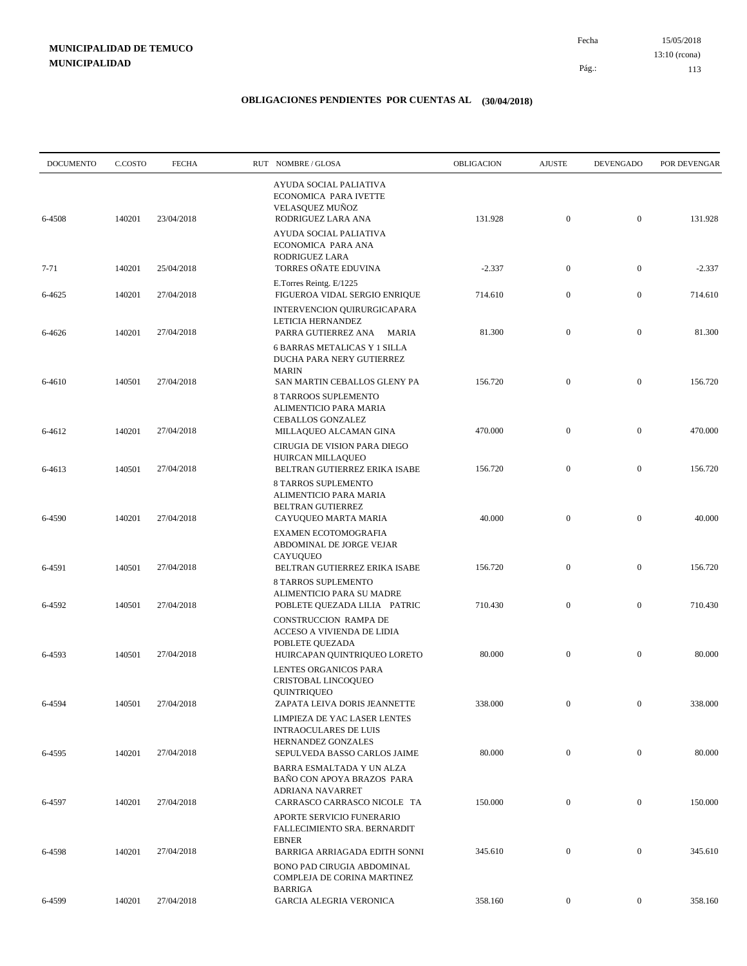15/05/2018 113 Pág.: Fecha 13:10 (rcona)

| <b>DOCUMENTO</b> | C.COSTO | <b>FECHA</b> | RUT NOMBRE/GLOSA                                                                                                                                  | OBLIGACION | <b>AJUSTE</b>    | <b>DEVENGADO</b> | POR DEVENGAR |
|------------------|---------|--------------|---------------------------------------------------------------------------------------------------------------------------------------------------|------------|------------------|------------------|--------------|
| 6-4508           | 140201  | 23/04/2018   | AYUDA SOCIAL PALIATIVA<br>ECONOMICA PARA IVETTE<br>VELASQUEZ MUÑOZ<br>RODRIGUEZ LARA ANA                                                          | 131.928    | $\mathbf{0}$     | $\mathbf{0}$     | 131.928      |
|                  |         |              | <b>AYUDA SOCIAL PALIATIVA</b><br>ECONOMICA PARA ANA<br>RODRIGUEZ LARA                                                                             |            |                  |                  |              |
| 7-71             | 140201  | 25/04/2018   | TORRES OÑATE EDUVINA                                                                                                                              | $-2.337$   | $\boldsymbol{0}$ | $\mathbf{0}$     | $-2.337$     |
| 6-4625           | 140201  | 27/04/2018   | E.Torres Reintg. E/1225<br>FIGUEROA VIDAL SERGIO ENRIQUE                                                                                          | 714.610    | $\boldsymbol{0}$ | $\mathbf{0}$     | 714.610      |
| 6-4626           | 140201  | 27/04/2018   | INTERVENCION QUIRURGICAPARA<br>LETICIA HERNANDEZ<br>PARRA GUTIERREZ ANA MARIA<br><b>6 BARRAS METALICAS Y 1 SILLA</b><br>DUCHA PARA NERY GUTIERREZ | 81.300     | $\boldsymbol{0}$ | $\mathbf{0}$     | 81.300       |
| 6-4610           | 140501  | 27/04/2018   | <b>MARIN</b><br>SAN MARTIN CEBALLOS GLENY PA<br>8 TARROOS SUPLEMENTO<br>ALIMENTICIO PARA MARIA                                                    | 156.720    | $\mathbf{0}$     | $\mathbf{0}$     | 156.720      |
| 6-4612           | 140201  | 27/04/2018   | <b>CEBALLOS GONZALEZ</b><br>MILLAQUEO ALCAMAN GINA                                                                                                | 470.000    | $\boldsymbol{0}$ | $\mathbf{0}$     | 470.000      |
| 6-4613           | 140501  | 27/04/2018   | CIRUGIA DE VISION PARA DIEGO<br>HUIRCAN MILLAQUEO<br>BELTRAN GUTIERREZ ERIKA ISABE                                                                | 156.720    | $\boldsymbol{0}$ | $\boldsymbol{0}$ | 156.720      |
| 6-4590           | 140201  | 27/04/2018   | <b>8 TARROS SUPLEMENTO</b><br>ALIMENTICIO PARA MARIA<br><b>BELTRAN GUTIERREZ</b><br>CAYUQUEO MARTA MARIA                                          | 40.000     | $\mathbf{0}$     | $\mathbf{0}$     | 40.000       |
| 6-4591           | 140501  | 27/04/2018   | <b>EXAMEN ECOTOMOGRAFIA</b><br>ABDOMINAL DE JORGE VEJAR<br>CAYUQUEO<br>BELTRAN GUTIERREZ ERIKA ISABE                                              | 156.720    | $\mathbf{0}$     | $\boldsymbol{0}$ | 156.720      |
|                  |         |              | <b>8 TARROS SUPLEMENTO</b><br>ALIMENTICIO PARA SU MADRE                                                                                           |            |                  |                  |              |
| 6-4592           | 140501  | 27/04/2018   | POBLETE QUEZADA LILIA PATRIC<br>CONSTRUCCION RAMPA DE<br>ACCESO A VIVIENDA DE LIDIA<br>POBLETE QUEZADA                                            | 710.430    | $\mathbf{0}$     | $\mathbf{0}$     | 710.430      |
| 6-4593           | 140501  | 27/04/2018   | HUIRCAPAN QUINTRIQUEO LORETO<br>LENTES ORGANICOS PARA<br>CRISTOBAL LINCOQUEO                                                                      | 80.000     | $\mathbf{0}$     | $\mathbf{0}$     | 80.000       |
| 6-4594           | 140501  | 27/04/2018   | QUINTRIQUEO<br>ZAPATA LEIVA DORIS JEANNETTE<br>LIMPIEZA DE YAC LASER LENTES                                                                       | 338.000    | 0                | $\bf{0}$         | 338.000      |
| 6-4595           | 140201  | 27/04/2018   | <b>INTRAOCULARES DE LUIS</b><br>HERNANDEZ GONZALES<br>SEPULVEDA BASSO CARLOS JAIME                                                                | 80.000     | $\mathbf{0}$     | $\boldsymbol{0}$ | 80.000       |
| 6-4597           | 140201  | 27/04/2018   | BARRA ESMALTADA Y UN ALZA<br>BAÑO CON APOYA BRAZOS PARA<br>ADRIANA NAVARRET<br>CARRASCO CARRASCO NICOLE TA                                        | 150.000    | $\boldsymbol{0}$ | $\boldsymbol{0}$ | 150.000      |
|                  |         |              | APORTE SERVICIO FUNERARIO<br>FALLECIMIENTO SRA. BERNARDIT<br><b>EBNER</b>                                                                         |            |                  |                  |              |
| 6-4598           | 140201  | 27/04/2018   | BARRIGA ARRIAGADA EDITH SONNI<br>BONO PAD CIRUGIA ABDOMINAL<br>COMPLEJA DE CORINA MARTINEZ                                                        | 345.610    | $\mathbf{0}$     | $\boldsymbol{0}$ | 345.610      |
| 6-4599           | 140201  | 27/04/2018   | <b>BARRIGA</b><br>GARCIA ALEGRIA VERONICA                                                                                                         | 358.160    | $\mathbf{0}$     | $\boldsymbol{0}$ | 358.160      |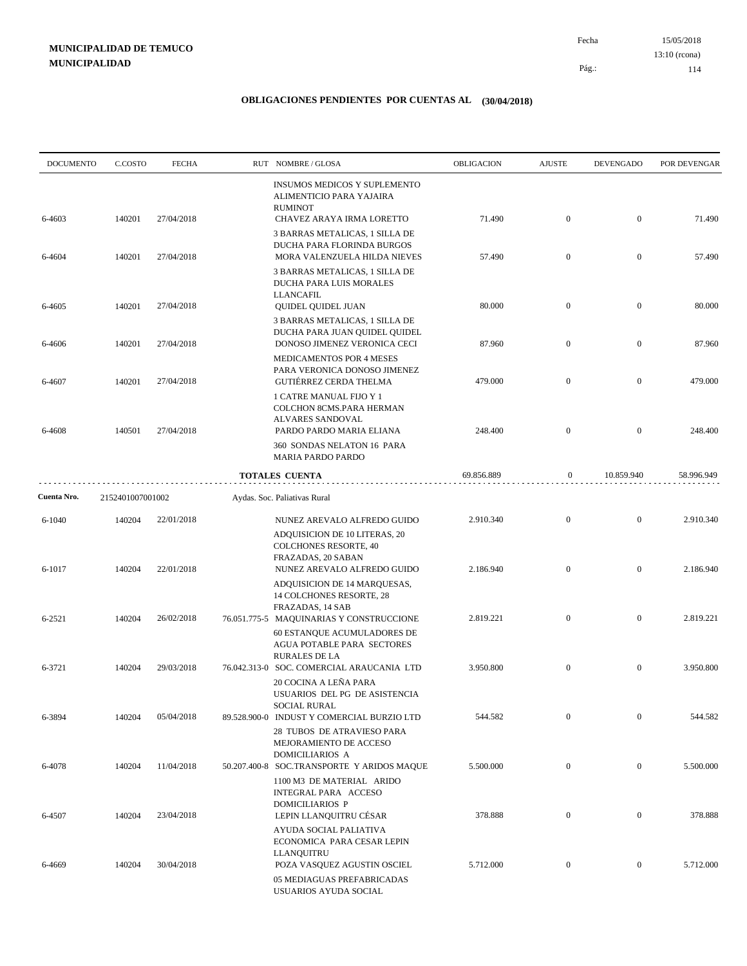15/05/2018 114 Pág.: Fecha 13:10 (rcona)

| <b>DOCUMENTO</b> | C.COSTO          | <b>FECHA</b> | RUT NOMBRE/GLOSA                                                                                                              | <b>OBLIGACION</b> | <b>AJUSTE</b>    | <b>DEVENGADO</b> | POR DEVENGAR |
|------------------|------------------|--------------|-------------------------------------------------------------------------------------------------------------------------------|-------------------|------------------|------------------|--------------|
| 6-4603           | 140201           | 27/04/2018   | INSUMOS MEDICOS Y SUPLEMENTO<br>ALIMENTICIO PARA YAJAIRA<br><b>RUMINOT</b><br>CHAVEZ ARAYA IRMA LORETTO                       | 71.490            | $\mathbf{0}$     | $\mathbf{0}$     | 71.490       |
| 6-4604           | 140201           | 27/04/2018   | 3 BARRAS METALICAS, 1 SILLA DE<br>DUCHA PARA FLORINDA BURGOS<br>MORA VALENZUELA HILDA NIEVES                                  | 57.490            | $\mathbf{0}$     | $\mathbf{0}$     | 57.490       |
| 6-4605           | 140201           | 27/04/2018   | 3 BARRAS METALICAS, 1 SILLA DE<br>DUCHA PARA LUIS MORALES<br><b>LLANCAFIL</b><br><b>QUIDEL QUIDEL JUAN</b>                    | 80.000            | $\mathbf{0}$     | $\mathbf{0}$     | 80.000       |
| 6-4606           | 140201           | 27/04/2018   | 3 BARRAS METALICAS, 1 SILLA DE<br>DUCHA PARA JUAN QUIDEL QUIDEL<br>DONOSO JIMENEZ VERONICA CECI                               | 87.960            | $\mathbf{0}$     | $\boldsymbol{0}$ | 87.960       |
| 6-4607           | 140201           | 27/04/2018   | MEDICAMENTOS POR 4 MESES<br>PARA VERONICA DONOSO JIMENEZ<br>GUTIÉRREZ CERDA THELMA                                            | 479.000           | $\mathbf{0}$     | $\mathbf{0}$     | 479.000      |
| 6-4608           | 140501           | 27/04/2018   | 1 CATRE MANUAL FIJO Y 1<br>COLCHON 8CMS.PARA HERMAN<br>ALVARES SANDOVAL<br>PARDO PARDO MARIA ELIANA                           | 248.400           | $\mathbf{0}$     | $\mathbf{0}$     | 248.400      |
|                  |                  |              | 360 SONDAS NELATON 16 PARA<br>MARIA PARDO PARDO                                                                               |                   |                  |                  |              |
|                  |                  |              | <b>TOTALES CUENTA</b>                                                                                                         | 69.856.889        | $\boldsymbol{0}$ | 10.859.940       | 58.996.949   |
| Cuenta Nro.      | 2152401007001002 |              | Aydas. Soc. Paliativas Rural                                                                                                  |                   |                  |                  |              |
| 6-1040           | 140204           | 22/01/2018   | NUNEZ AREVALO ALFREDO GUIDO<br>ADQUISICION DE 10 LITERAS, 20<br><b>COLCHONES RESORTE, 40</b><br>FRAZADAS, 20 SABAN            | 2.910.340         | $\mathbf{0}$     | $\mathbf{0}$     | 2.910.340    |
| 6-1017           | 140204           | 22/01/2018   | NUNEZ AREVALO ALFREDO GUIDO<br>ADQUISICION DE 14 MARQUESAS,<br>14 COLCHONES RESORTE, 28<br>FRAZADAS, 14 SAB                   | 2.186.940         | $\mathbf{0}$     | $\boldsymbol{0}$ | 2.186.940    |
| $6 - 2521$       | 140204           | 26/02/2018   | 76.051.775-5 MAQUINARIAS Y CONSTRUCCIONE<br>60 ESTANQUE ACUMULADORES DE<br>AGUA POTABLE PARA SECTORES<br><b>RURALES DE LA</b> | 2.819.221         | $\mathbf{0}$     | $\boldsymbol{0}$ | 2.819.221    |
| 6-3721           | 140204           | 29/03/2018   | 76.042.313-0 SOC. COMERCIAL ARAUCANIA LTD<br>20 COCINA A LEÑA PARA<br>USUARIOS DEL PG DE ASISTENCIA                           | 3.950.800         | $\mathbf{0}$     | $\mathbf{0}$     | 3.950.800    |
| 6-3894           | 140204           | 05/04/2018   | <b>SOCIAL RURAL</b><br>89.528.900-0 INDUST Y COMERCIAL BURZIO LTD<br>28 TUBOS DE ATRAVIESO PARA<br>MEJORAMIENTO DE ACCESO     | 544.582           | $\mathbf{0}$     | $\overline{0}$   | 544.582      |
| 6-4078           | 140204           | 11/04/2018   | DOMICILIARIOS A<br>50.207.400-8 SOC.TRANSPORTE Y ARIDOS MAQUE<br>1100 M3 DE MATERIAL ARIDO<br>INTEGRAL PARA ACCESO            | 5.500.000         | $\mathbf{0}$     | $\overline{0}$   | 5.500.000    |
| 6-4507           | 140204           | 23/04/2018   | <b>DOMICILIARIOS P</b><br>LEPIN LLANQUITRU CÉSAR<br>AYUDA SOCIAL PALIATIVA                                                    | 378.888           | $\mathbf{0}$     | $\boldsymbol{0}$ | 378.888      |
| 6-4669           | 140204           | 30/04/2018   | ECONOMICA PARA CESAR LEPIN<br><b>LLANQUITRU</b><br>POZA VASQUEZ AGUSTIN OSCIEL<br>05 MEDIAGUAS PREFABRICADAS                  | 5.712.000         | $\mathbf{0}$     | $\boldsymbol{0}$ | 5.712.000    |
|                  |                  |              | USUARIOS AYUDA SOCIAL                                                                                                         |                   |                  |                  |              |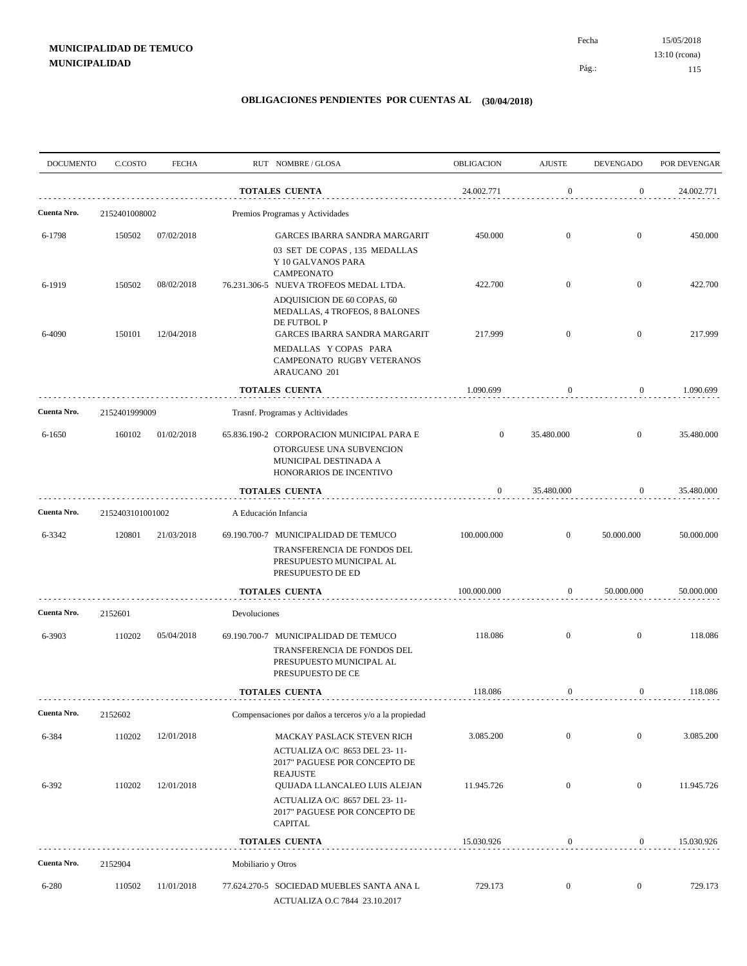| <b>DOCUMENTO</b> | C.COSTO          | <b>FECHA</b> |                      | RUT NOMBRE/GLOSA                                                                                                                                   | <b>OBLIGACION</b> | <b>AJUSTE</b>    | <b>DEVENGADO</b> | POR DEVENGAR |
|------------------|------------------|--------------|----------------------|----------------------------------------------------------------------------------------------------------------------------------------------------|-------------------|------------------|------------------|--------------|
|                  |                  |              |                      | <b>TOTALES CUENTA</b>                                                                                                                              | 24.002.771        | $\mathbf{0}$     | $\boldsymbol{0}$ | 24.002.771   |
| Cuenta Nro.      | 2152401008002    |              |                      | Premios Programas y Actividades                                                                                                                    |                   |                  |                  |              |
| 6-1798           | 150502           | 07/02/2018   |                      | <b>GARCES IBARRA SANDRA MARGARIT</b><br>03 SET DE COPAS, 135 MEDALLAS                                                                              | 450.000           | $\mathbf{0}$     | $\overline{0}$   | 450.000      |
| 6-1919           | 150502           | 08/02/2018   |                      | Y 10 GALVANOS PARA<br><b>CAMPEONATO</b><br>76.231.306-5 NUEVA TROFEOS MEDAL LTDA.<br>ADQUISICION DE 60 COPAS, 60<br>MEDALLAS, 4 TROFEOS, 8 BALONES | 422.700           | $\mathbf{0}$     | $\boldsymbol{0}$ | 422.700      |
| 6-4090           | 150101           | 12/04/2018   |                      | DE FUTBOL P<br><b>GARCES IBARRA SANDRA MARGARIT</b><br>MEDALLAS Y COPAS PARA<br>CAMPEONATO RUGBY VETERANOS<br>ARAUCANO 201                         | 217.999           | $\mathbf{0}$     | $\mathbf{0}$     | 217.999      |
|                  |                  |              |                      | <b>TOTALES CUENTA</b>                                                                                                                              | 1.090.699         | $\bf{0}$         | $\boldsymbol{0}$ | 1.090.699    |
| Cuenta Nro.      | 2152401999009    |              |                      | Trasnf. Programas y Acltividades                                                                                                                   |                   |                  |                  |              |
| 6-1650           | 160102           | 01/02/2018   |                      | 65.836.190-2 CORPORACION MUNICIPAL PARA E<br>OTORGUESE UNA SUBVENCION<br>MUNICIPAL DESTINADA A<br>HONORARIOS DE INCENTIVO                          | $\boldsymbol{0}$  | 35.480.000       | $\mathbf{0}$     | 35.480.000   |
|                  |                  |              |                      | <b>TOTALES CUENTA</b>                                                                                                                              | $\mathbf{0}$      | 35.480.000       | $\overline{0}$   | 35.480.000   |
| Cuenta Nro.      | 2152403101001002 |              | A Educación Infancia |                                                                                                                                                    |                   |                  |                  |              |
| 6-3342           | 120801           | 21/03/2018   |                      | 69.190.700-7 MUNICIPALIDAD DE TEMUCO<br>TRANSFERENCIA DE FONDOS DEL<br>PRESUPUESTO MUNICIPAL AL<br>PRESUPUESTO DE ED                               | 100.000.000       | $\overline{0}$   | 50.000.000       | 50.000.000   |
|                  |                  |              |                      | <b>TOTALES CUENTA</b>                                                                                                                              | 100.000.000       | $\boldsymbol{0}$ | 50.000.000       | 50.000.000   |
| Cuenta Nro.      | 2152601          |              | Devoluciones         |                                                                                                                                                    |                   |                  |                  |              |
| 6-3903           | 110202           | 05/04/2018   |                      | 69.190.700-7 MUNICIPALIDAD DE TEMUCO<br>TRANSFERENCIA DE FONDOS DEL<br>PRESUPUESTO MUNICIPAL AL<br>PRESUPUESTO DE CE                               | 118.086           | $\mathbf{0}$     | $\mathbf{0}$     | 118.086      |
|                  |                  |              |                      | <b>TOTALES CUENTA</b>                                                                                                                              | 118.086           | $\bf{0}$         | 0                | 118.086      |
| Cuenta Nro.      | 2152602          |              |                      | Compensaciones por daños a terceros y/o a la propiedad                                                                                             |                   |                  |                  |              |
| 6-384            | 110202           | 12/01/2018   |                      | MACKAY PASLACK STEVEN RICH                                                                                                                         | 3.085.200         | $\mathbf{0}$     | $\overline{0}$   | 3.085.200    |
| 6-392            | 110202           | 12/01/2018   |                      | ACTUALIZA O/C 8653 DEL 23-11-<br>2017" PAGUESE POR CONCEPTO DE<br><b>REAJUSTE</b><br>QUIJADA LLANCALEO LUIS ALEJAN                                 | 11.945.726        | $\mathbf{0}$     | $\overline{0}$   | 11.945.726   |
|                  |                  |              |                      | ACTUALIZA O/C 8657 DEL 23-11-<br>2017" PAGUESE POR CONCEPTO DE<br><b>CAPITAL</b>                                                                   |                   |                  |                  |              |
|                  |                  |              |                      | <b>TOTALES CUENTA</b>                                                                                                                              | 15.030.926        | $\boldsymbol{0}$ | $\overline{0}$   | 15.030.926   |
| Cuenta Nro.      | 2152904          |              | Mobiliario y Otros   |                                                                                                                                                    |                   |                  |                  |              |
| 6-280            | 110502           | 11/01/2018   |                      | 77.624.270-5 SOCIEDAD MUEBLES SANTA ANA L<br>ACTUALIZA O.C 7844 23.10.2017                                                                         | 729.173           | $\boldsymbol{0}$ | $\overline{0}$   | 729.173      |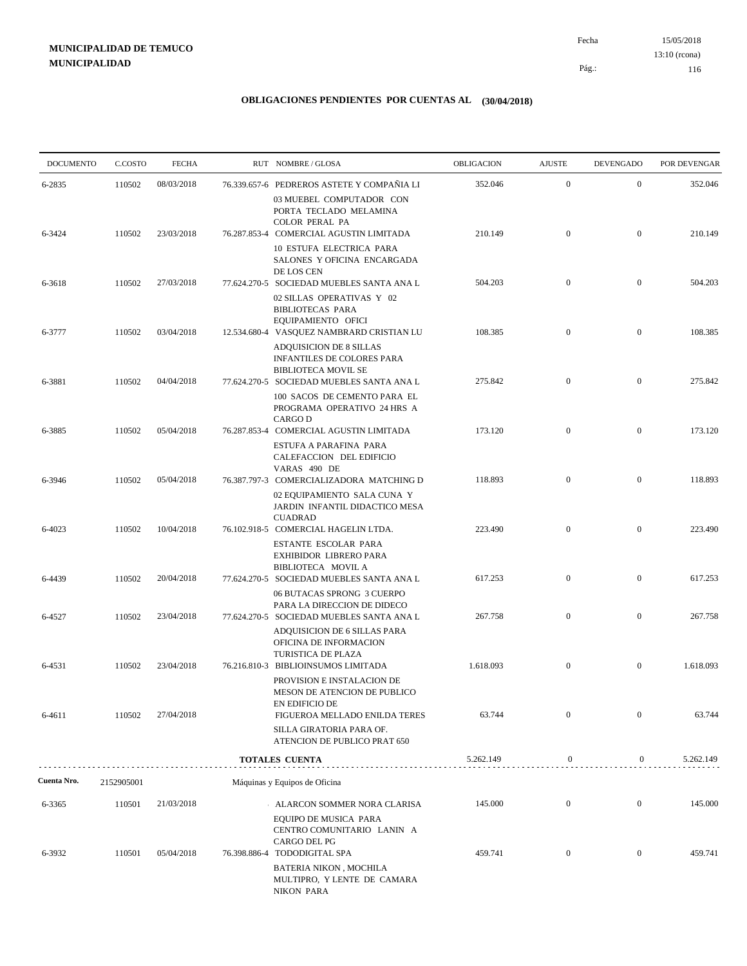15/05/2018 116 Pág.: Fecha 13:10 (rcona)

| <b>DOCUMENTO</b> | C.COSTO    | <b>FECHA</b> | RUT NOMBRE/GLOSA                                                                                                          | OBLIGACION | <b>AJUSTE</b>    | <b>DEVENGADO</b> | POR DEVENGAR |
|------------------|------------|--------------|---------------------------------------------------------------------------------------------------------------------------|------------|------------------|------------------|--------------|
| 6-2835           | 110502     | 08/03/2018   | 76.339.657-6 PEDREROS ASTETE Y COMPAÑIA LI                                                                                | 352.046    | $\mathbf{0}$     | $\mathbf{0}$     | 352.046      |
|                  |            |              | 03 MUEBEL COMPUTADOR CON<br>PORTA TECLADO MELAMINA<br>COLOR PERAL PA                                                      |            | $\mathbf{0}$     | $\overline{0}$   | 210.149      |
| 6-3424           | 110502     | 23/03/2018   | 76.287.853-4 COMERCIAL AGUSTIN LIMITADA<br>10 ESTUFA ELECTRICA PARA<br>SALONES Y OFICINA ENCARGADA                        | 210.149    |                  |                  |              |
| 6-3618           | 110502     | 27/03/2018   | DE LOS CEN<br>77.624.270-5 SOCIEDAD MUEBLES SANTA ANA L                                                                   | 504.203    | $\overline{0}$   | $\overline{0}$   | 504.203      |
|                  |            |              | 02 SILLAS OPERATIVAS Y 02<br><b>BIBLIOTECAS PARA</b><br>EQUIPAMIENTO OFICI                                                |            |                  | $\overline{0}$   |              |
| 6-3777           | 110502     | 03/04/2018   | 12.534.680-4 VASQUEZ NAMBRARD CRISTIAN LU<br>ADQUISICION DE 8 SILLAS<br>INFANTILES DE COLORES PARA<br>BIBLIOTECA MOVIL SE | 108.385    | $\mathbf{0}$     |                  | 108.385      |
| 6-3881           | 110502     | 04/04/2018   | 77.624.270-5 SOCIEDAD MUEBLES SANTA ANA L                                                                                 | 275.842    | $\mathbf{0}$     | $\overline{0}$   | 275.842      |
|                  |            |              | 100 SACOS DE CEMENTO PARA EL<br>PROGRAMA OPERATIVO 24 HRS A<br><b>CARGO D</b>                                             | 173.120    | $\mathbf{0}$     | $\mathbf{0}$     | 173.120      |
| 6-3885           | 110502     | 05/04/2018   | 76.287.853-4 COMERCIAL AGUSTIN LIMITADA<br>ESTUFA A PARAFINA PARA<br>CALEFACCION DEL EDIFICIO                             |            |                  |                  |              |
| 6-3946           | 110502     | 05/04/2018   | VARAS 490 DE<br>76.387.797-3 COMERCIALIZADORA MATCHING D                                                                  | 118.893    | $\overline{0}$   | $\mathbf{0}$     | 118.893      |
|                  |            |              | 02 EQUIPAMIENTO SALA CUNA Y<br>JARDIN INFANTIL DIDACTICO MESA<br><b>CUADRAD</b>                                           |            |                  |                  |              |
| 6-4023           | 110502     | 10/04/2018   | 76.102.918-5 COMERCIAL HAGELIN LTDA.<br>ESTANTE ESCOLAR PARA<br>EXHIBIDOR LIBRERO PARA                                    | 223.490    | $\overline{0}$   | $\mathbf{0}$     | 223.490      |
| 6-4439           | 110502     | 20/04/2018   | BIBLIOTECA MOVIL A<br>77.624.270-5 SOCIEDAD MUEBLES SANTA ANA L                                                           | 617.253    | $\mathbf{0}$     | $\mathbf{0}$     | 617.253      |
|                  |            |              | 06 BUTACAS SPRONG 3 CUERPO<br>PARA LA DIRECCION DE DIDECO                                                                 |            | $\mathbf{0}$     | $\mathbf{0}$     | 267.758      |
| 6-4527           | 110502     | 23/04/2018   | 77.624.270-5 SOCIEDAD MUEBLES SANTA ANA L<br>ADQUISICION DE 6 SILLAS PARA<br>OFICINA DE INFORMACION                       | 267.758    |                  |                  |              |
| 6-4531           | 110502     | 23/04/2018   | TURISTICA DE PLAZA<br>76.216.810-3 BIBLIOINSUMOS LIMITADA                                                                 | 1.618.093  | $\mathbf{0}$     | $\overline{0}$   | 1.618.093    |
| 6-4611           |            | 27/04/2018   | PROVISION E INSTALACION DE<br>MESON DE ATENCION DE PUBLICO<br>EN EDIFICIO DE<br>FIGUEROA MELLADO ENILDA TERES             | 63.744     | $\mathbf{0}$     | $\mathbf{0}$     | 63.744       |
|                  | 110502     |              | SILLA GIRATORIA PARA OF.<br>ATENCION DE PUBLICO PRAT 650                                                                  |            |                  |                  |              |
|                  |            |              | TOTALES CUENTA                                                                                                            | 5.262.149  | $\boldsymbol{0}$ | $\overline{0}$   | 5.262.149    |
| Cuenta Nro.      | 2152905001 |              | Máquinas y Equipos de Oficina                                                                                             |            |                  |                  |              |
| 6-3365           | 110501     | 21/03/2018   | ALARCON SOMMER NORA CLARISA                                                                                               | 145.000    | $\boldsymbol{0}$ | $\boldsymbol{0}$ | 145.000      |
|                  |            |              | EQUIPO DE MUSICA PARA<br>CENTRO COMUNITARIO LANIN A<br>CARGO DEL PG                                                       |            |                  |                  |              |
| 6-3932           | 110501     | 05/04/2018   | 76.398.886-4 TODODIGITAL SPA<br>BATERIA NIKON, MOCHILA<br>MULTIPRO, Y LENTE DE CAMARA<br><b>NIKON PARA</b>                | 459.741    | $\mathbf{0}$     | $\mathbf{0}$     | 459.741      |